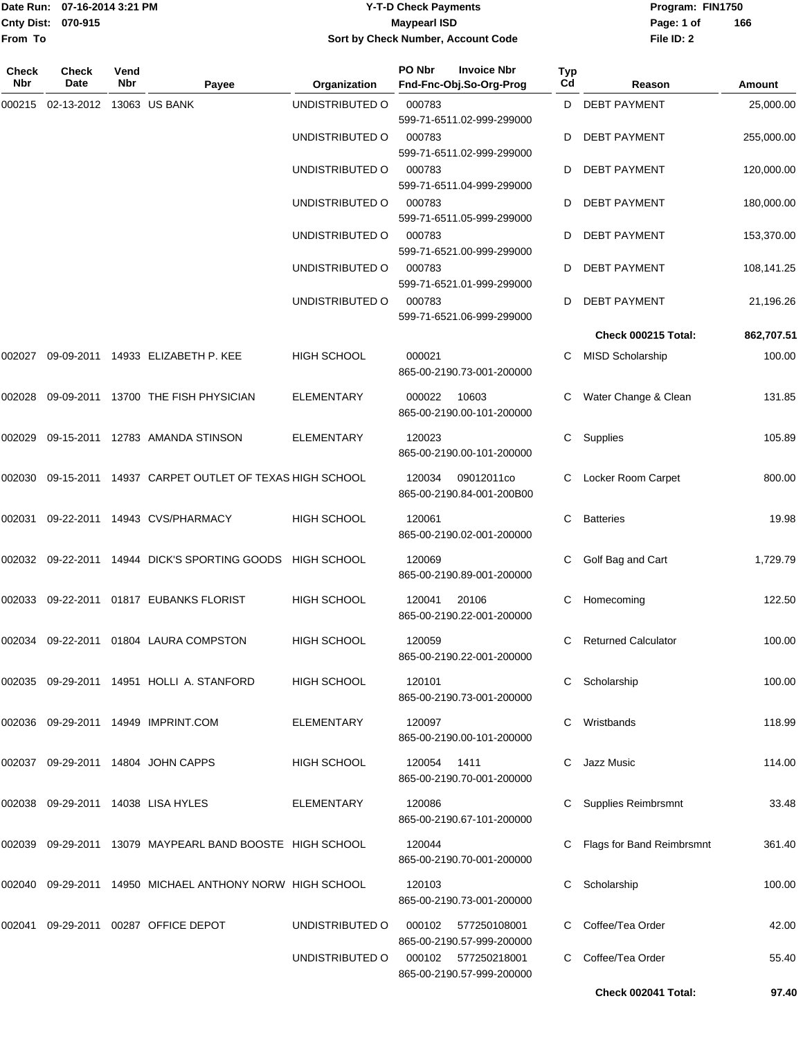#### Date Run: 07-16-2014 3:21 PM **Program:** FIN1750 **Cnty Dist:** 070-915 **Page: 1 of Page: 1 of Page: 1 of Page: 1 of Page: 1 of Page: 1 of Y-T-D Check Payments 070-915 Maypearl ISD Sort by Check Number, Account Code**

| Check<br><b>Nbr</b> | Check<br>Date            | Vend<br><b>Nbr</b> | Payee                                                     | Organization       | PO Nbr | <b>Invoice Nbr</b><br>Fnd-Fnc-Obj.So-Org-Prog                          | Typ<br>Cd | Reason                      | Amount     |
|---------------------|--------------------------|--------------------|-----------------------------------------------------------|--------------------|--------|------------------------------------------------------------------------|-----------|-----------------------------|------------|
| 000215              | 02-13-2012 13063 US BANK |                    |                                                           | UNDISTRIBUTED O    | 000783 | 599-71-6511.02-999-299000                                              | D         | <b>DEBT PAYMENT</b>         | 25,000.00  |
|                     |                          |                    |                                                           | UNDISTRIBUTED O    | 000783 | 599-71-6511.02-999-299000                                              | D         | <b>DEBT PAYMENT</b>         | 255,000.00 |
|                     |                          |                    |                                                           | UNDISTRIBUTED O    | 000783 | 599-71-6511.04-999-299000                                              | D         | <b>DEBT PAYMENT</b>         | 120,000.00 |
|                     |                          |                    |                                                           | UNDISTRIBUTED O    | 000783 | 599-71-6511.05-999-299000                                              | D         | <b>DEBT PAYMENT</b>         | 180,000.00 |
|                     |                          |                    |                                                           | UNDISTRIBUTED O    | 000783 | 599-71-6521.00-999-299000                                              | D         | <b>DEBT PAYMENT</b>         | 153,370.00 |
|                     |                          |                    |                                                           | UNDISTRIBUTED O    | 000783 | 599-71-6521.01-999-299000                                              | D         | <b>DEBT PAYMENT</b>         | 108,141.25 |
|                     |                          |                    |                                                           | UNDISTRIBUTED O    | 000783 | 599-71-6521.06-999-299000                                              | D         | <b>DEBT PAYMENT</b>         | 21,196.26  |
|                     |                          |                    |                                                           |                    |        |                                                                        |           | Check 000215 Total:         | 862,707.51 |
| 002027              |                          |                    | 09-09-2011  14933  ELIZABETH P. KEE                       | <b>HIGH SCHOOL</b> | 000021 | 865-00-2190.73-001-200000                                              | C         | <b>MISD Scholarship</b>     | 100.00     |
| 002028              | 09-09-2011               |                    | 13700 THE FISH PHYSICIAN                                  | ELEMENTARY         | 000022 | 10603<br>865-00-2190.00-101-200000                                     |           | Water Change & Clean        | 131.85     |
| 002029              |                          |                    | 09-15-2011 12783 AMANDA STINSON                           | <b>ELEMENTARY</b>  | 120023 | 865-00-2190.00-101-200000                                              | C         | Supplies                    | 105.89     |
| 002030              |                          |                    | 09-15-2011 14937 CARPET OUTLET OF TEXAS HIGH SCHOOL       |                    | 120034 | 09012011co<br>865-00-2190.84-001-200B00                                | C         | Locker Room Carpet          | 800.00     |
| 002031              |                          |                    | 09-22-2011 14943 CVS/PHARMACY                             | HIGH SCHOOL        | 120061 | 865-00-2190.02-001-200000                                              | C         | <b>Batteries</b>            | 19.98      |
|                     |                          |                    | 002032 09-22-2011 14944 DICK'S SPORTING GOODS HIGH SCHOOL |                    | 120069 | 865-00-2190.89-001-200000                                              | С         | Golf Bag and Cart           | 1,729.79   |
| 002033              |                          |                    | 09-22-2011  01817  EUBANKS FLORIST                        | <b>HIGH SCHOOL</b> | 120041 | 20106<br>865-00-2190.22-001-200000                                     | С         | Homecoming                  | 122.50     |
|                     |                          |                    | 002034 09-22-2011 01804  LAURA COMPSTON                   | <b>HIGH SCHOOL</b> | 120059 | 865-00-2190.22-001-200000                                              | C         | <b>Returned Calculator</b>  | 100.00     |
|                     |                          |                    | 002035  09-29-2011  14951  HOLLI A. STANFORD              | HIGH SCHOOL        | 120101 | 865-00-2190.73-001-200000                                              |           | C Scholarship               | 100.00     |
|                     |                          |                    | 002036 09-29-2011 14949 IMPRINT.COM                       | <b>ELEMENTARY</b>  | 120097 | 865-00-2190.00-101-200000                                              | C.        | Wristbands                  | 118.99     |
|                     |                          |                    | 002037 09-29-2011 14804 JOHN CAPPS                        | HIGH SCHOOL        | 120054 | 1411<br>865-00-2190.70-001-200000                                      |           | Jazz Music                  | 114.00     |
|                     |                          |                    | 002038 09-29-2011 14038 LISA HYLES                        | <b>ELEMENTARY</b>  | 120086 | 865-00-2190.67-101-200000                                              |           | Supplies Reimbrsmnt         | 33.48      |
| 002039              |                          |                    | 09-29-2011 13079 MAYPEARL BAND BOOSTE HIGH SCHOOL         |                    | 120044 | 865-00-2190.70-001-200000                                              |           | C Flags for Band Reimbrsmnt | 361.40     |
|                     |                          |                    | 002040 09-29-2011 14950 MICHAEL ANTHONY NORW HIGH SCHOOL  |                    | 120103 | 865-00-2190.73-001-200000                                              |           | Scholarship                 | 100.00     |
| 002041              |                          |                    | 09-29-2011 00287 OFFICE DEPOT                             | UNDISTRIBUTED O    | 000102 | 577250108001                                                           |           | Coffee/Tea Order            | 42.00      |
|                     |                          |                    |                                                           | UNDISTRIBUTED O    | 000102 | 865-00-2190.57-999-200000<br>577250218001<br>865-00-2190.57-999-200000 | C.        | Coffee/Tea Order            | 55.40      |
|                     |                          |                    |                                                           |                    |        |                                                                        |           | Check 002041 Total:         | 97.40      |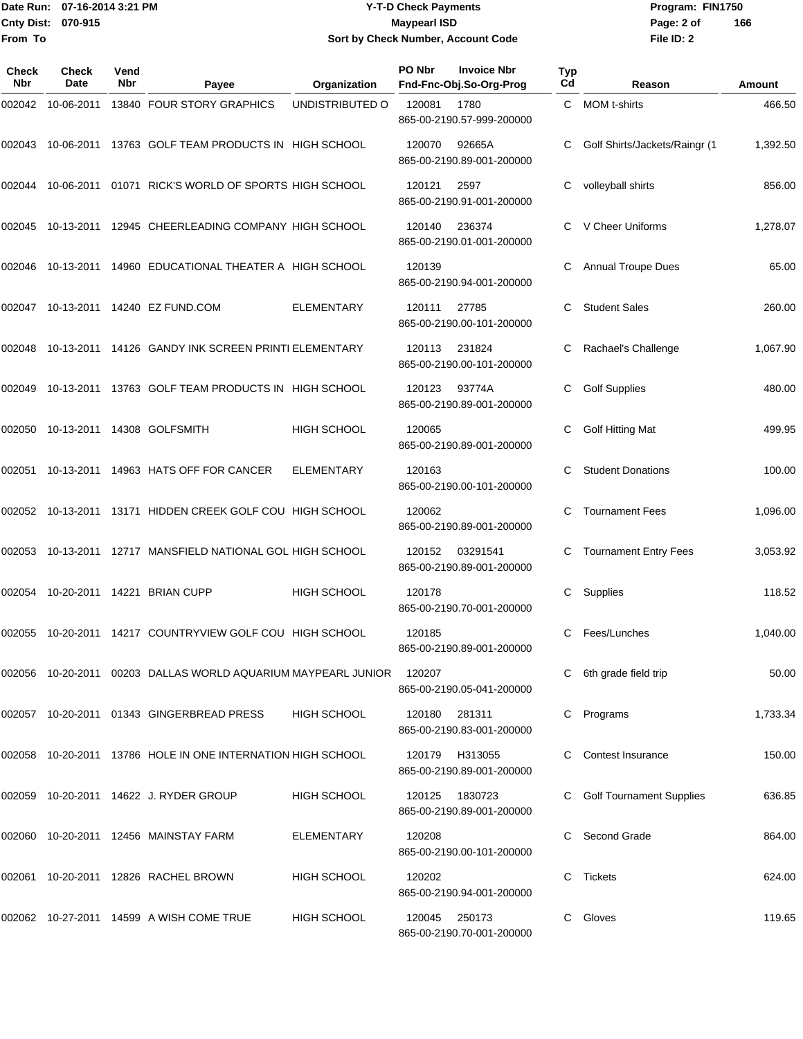#### Date Run: 07-16-2014 3:21 PM **Program:** FIN1750 **Cnty Dist:** 070-915 **Page: 2 of Page: 2 of MaypearI ISD Y-T-D Check Payments 070-915 Maypearl ISD Sort by Check Number, Account Code**

| Check<br>Nbr | Check<br>Date | Vend<br>Nbr | Payee                                                         | Organization       | PO Nbr | <b>Invoice Nbr</b><br>Fnd-Fnc-Obj.So-Org-Prog | Typ<br>Cd | Reason                          | Amount   |
|--------------|---------------|-------------|---------------------------------------------------------------|--------------------|--------|-----------------------------------------------|-----------|---------------------------------|----------|
| 002042       | 10-06-2011    |             | 13840 FOUR STORY GRAPHICS                                     | UNDISTRIBUTED O    | 120081 | 1780<br>865-00-2190.57-999-200000             | C.        | MOM t-shirts                    | 466.50   |
| 002043       |               |             | 10-06-2011 13763 GOLF TEAM PRODUCTS IN HIGH SCHOOL            |                    | 120070 | 92665A<br>865-00-2190.89-001-200000           | C         | Golf Shirts/Jackets/Raingr (1   | 1,392.50 |
| 002044       | 10-06-2011    |             | 01071 RICK'S WORLD OF SPORTS HIGH SCHOOL                      |                    | 120121 | 2597<br>865-00-2190.91-001-200000             | C         | volleyball shirts               | 856.00   |
| 002045       |               |             | 10-13-2011 12945 CHEERLEADING COMPANY HIGH SCHOOL             |                    | 120140 | 236374<br>865-00-2190.01-001-200000           |           | V Cheer Uniforms                | 1,278.07 |
| 002046       |               |             | 10-13-2011 14960 EDUCATIONAL THEATER A HIGH SCHOOL            |                    | 120139 | 865-00-2190.94-001-200000                     | C         | <b>Annual Troupe Dues</b>       | 65.00    |
|              |               |             | 002047 10-13-2011 14240 EZ FUND.COM                           | <b>ELEMENTARY</b>  | 120111 | 27785<br>865-00-2190.00-101-200000            | C.        | <b>Student Sales</b>            | 260.00   |
| 002048       |               |             | 10-13-2011 14126 GANDY INK SCREEN PRINTI ELEMENTARY           |                    | 120113 | 231824<br>865-00-2190.00-101-200000           | C         | Rachael's Challenge             | 1,067.90 |
| 002049       |               |             | 10-13-2011 13763 GOLF TEAM PRODUCTS IN HIGH SCHOOL            |                    | 120123 | 93774A<br>865-00-2190.89-001-200000           | C         | <b>Golf Supplies</b>            | 480.00   |
| 002050       |               |             | 10-13-2011  14308  GOLFSMITH                                  | <b>HIGH SCHOOL</b> | 120065 | 865-00-2190.89-001-200000                     | С         | <b>Golf Hitting Mat</b>         | 499.95   |
| 002051       |               |             | 10-13-2011  14963  HATS OFF FOR CANCER                        | <b>ELEMENTARY</b>  | 120163 | 865-00-2190.00-101-200000                     | C         | <b>Student Donations</b>        | 100.00   |
|              |               |             | 002052 10-13-2011 13171 HIDDEN CREEK GOLF COU HIGH SCHOOL     |                    | 120062 | 865-00-2190.89-001-200000                     | C.        | <b>Tournament Fees</b>          | 1,096.00 |
| 002053       |               |             | 10-13-2011 12717 MANSFIELD NATIONAL GOL HIGH SCHOOL           |                    | 120152 | 03291541<br>865-00-2190.89-001-200000         | C         | <b>Tournament Entry Fees</b>    | 3,053.92 |
| 002054       |               |             | 10-20-2011  14221  BRIAN CUPP                                 | <b>HIGH SCHOOL</b> | 120178 | 865-00-2190.70-001-200000                     | С         | Supplies                        | 118.52   |
| 002055       |               |             | 10-20-2011 14217 COUNTRYVIEW GOLF COU HIGH SCHOOL             |                    | 120185 | 865-00-2190.89-001-200000                     | C.        | Fees/Lunches                    | 1,040.00 |
|              |               |             | 002056 10-20-2011 00203 DALLAS WORLD AQUARIUM MAYPEARL JUNIOR |                    | 120207 | 865-00-2190.05-041-200000                     |           | C 6th grade field trip          | 50.00    |
|              |               |             | 002057 10-20-2011 01343 GINGERBREAD PRESS                     | <b>HIGH SCHOOL</b> | 120180 | 281311<br>865-00-2190.83-001-200000           |           | C Programs                      | 1,733.34 |
|              |               |             | 002058 10-20-2011 13786 HOLE IN ONE INTERNATION HIGH SCHOOL   |                    |        | 120179 H313055<br>865-00-2190.89-001-200000   |           | Contest Insurance               | 150.00   |
|              |               |             | 002059 10-20-2011 14622 J. RYDER GROUP                        | HIGH SCHOOL        | 120125 | 1830723<br>865-00-2190.89-001-200000          |           | <b>Golf Tournament Supplies</b> | 636.85   |
|              |               |             | 002060 10-20-2011 12456 MAINSTAY FARM                         | ELEMENTARY         | 120208 | 865-00-2190.00-101-200000                     |           | Second Grade                    | 864.00   |
|              |               |             | 002061 10-20-2011 12826 RACHEL BROWN                          | HIGH SCHOOL        | 120202 | 865-00-2190.94-001-200000                     | C         | Tickets                         | 624.00   |
|              |               |             | 002062 10-27-2011 14599 A WISH COME TRUE                      | <b>HIGH SCHOOL</b> | 120045 | 250173<br>865-00-2190.70-001-200000           | C.        | Gloves                          | 119.65   |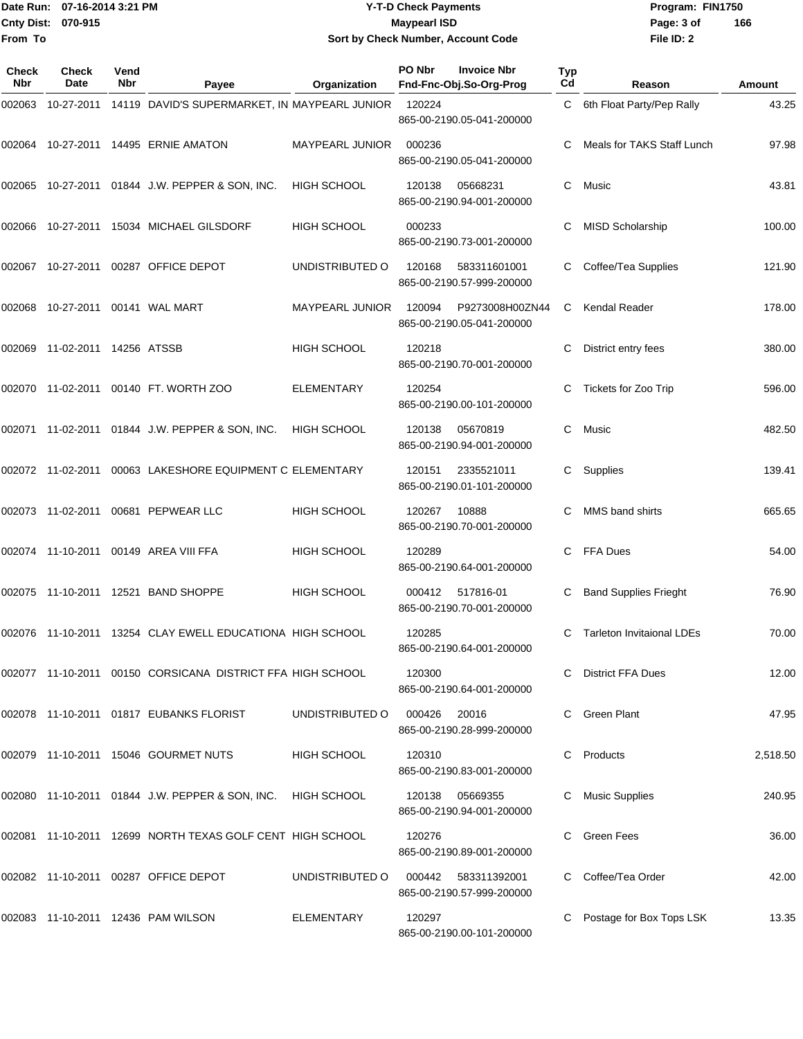#### Date Run: 07-16-2014 3:21 PM **Program:** FIN1750 **Cnty Dist:** 070-915 **Page: 3 of Page: 3 of MaypearI ISD Y-T-D Check Payments 070-915 Maypearl ISD Sort by Check Number, Account Code**

| Check<br><b>Nbr</b> | <b>Check</b><br>Date          | Vend<br>Nbr | Payee                                                           | Organization           | <b>PO Nbr</b><br><b>Invoice Nbr</b><br>Fnd-Fnc-Obj.So-Org-Prog | Typ<br>Cd | Reason                           | Amount   |
|---------------------|-------------------------------|-------------|-----------------------------------------------------------------|------------------------|----------------------------------------------------------------|-----------|----------------------------------|----------|
| 002063              |                               |             | 10-27-2011 14119 DAVID'S SUPERMARKET, IN MAYPEARL JUNIOR        |                        | 120224<br>865-00-2190.05-041-200000                            | C         | 6th Float Party/Pep Rally        | 43.25    |
|                     |                               |             |                                                                 | <b>MAYPEARL JUNIOR</b> | 000236<br>865-00-2190.05-041-200000                            |           | Meals for TAKS Staff Lunch       | 97.98    |
|                     |                               |             | 002065 10-27-2011 01844 J.W. PEPPER & SON, INC.                 | <b>HIGH SCHOOL</b>     | 05668231<br>120138<br>865-00-2190.94-001-200000                | C         | Music                            | 43.81    |
|                     |                               |             | 002066 10-27-2011 15034 MICHAEL GILSDORF                        | <b>HIGH SCHOOL</b>     | 000233<br>865-00-2190.73-001-200000                            |           | <b>MISD Scholarship</b>          | 100.00   |
|                     | 002067 10-27-2011             |             | 00287 OFFICE DEPOT                                              | UNDISTRIBUTED O        | 120168<br>583311601001<br>865-00-2190.57-999-200000            |           | Coffee/Tea Supplies              | 121.90   |
| 002068              |                               |             |                                                                 | <b>MAYPEARL JUNIOR</b> | 120094<br>P9273008H00ZN44<br>865-00-2190.05-041-200000         | C         | Kendal Reader                    | 178.00   |
|                     | 002069 11-02-2011 14256 ATSSB |             |                                                                 | <b>HIGH SCHOOL</b>     | 120218<br>865-00-2190.70-001-200000                            |           | District entry fees              | 380.00   |
|                     |                               |             | 002070 11-02-2011 00140 FT. WORTH ZOO                           | <b>ELEMENTARY</b>      | 120254<br>865-00-2190.00-101-200000                            |           | Tickets for Zoo Trip             | 596.00   |
|                     |                               |             | 002071 11-02-2011 01844 J.W. PEPPER & SON, INC.                 | <b>HIGH SCHOOL</b>     | 120138<br>05670819<br>865-00-2190.94-001-200000                | C         | Music                            | 482.50   |
|                     |                               |             | 002072 11-02-2011 00063 LAKESHORE EQUIPMENT C ELEMENTARY        |                        | 120151<br>2335521011<br>865-00-2190.01-101-200000              | C         | Supplies                         | 139.41   |
|                     | 002073 11-02-2011             |             | 00681 PEPWEAR LLC                                               | <b>HIGH SCHOOL</b>     | 120267<br>10888<br>865-00-2190.70-001-200000                   |           | MMS band shirts                  | 665.65   |
|                     |                               |             | 002074 11-10-2011 00149 AREA VIII FFA                           | <b>HIGH SCHOOL</b>     | 120289<br>865-00-2190.64-001-200000                            | C         | FFA Dues                         | 54.00    |
|                     |                               |             | 002075 11-10-2011 12521 BAND SHOPPE                             | <b>HIGH SCHOOL</b>     | 000412<br>517816-01<br>865-00-2190.70-001-200000               |           | <b>Band Supplies Frieght</b>     | 76.90    |
|                     |                               |             | 002076 11-10-2011 13254 CLAY EWELL EDUCATIONA HIGH SCHOOL       |                        | 120285<br>865-00-2190.64-001-200000                            | C         | <b>Tarleton Invitaional LDEs</b> | 70.00    |
|                     |                               |             | 002077 11-10-2011 00150 CORSICANA DISTRICT FFA HIGH SCHOOL      |                        | 120300<br>865-00-2190.64-001-200000                            |           | C District FFA Dues              | 12.00    |
|                     |                               |             | 002078 11-10-2011 01817 EUBANKS FLORIST                         | UNDISTRIBUTED O        | 000426<br>20016<br>865-00-2190.28-999-200000                   |           | C Green Plant                    | 47.95    |
|                     |                               |             | 002079 11-10-2011 15046 GOURMET NUTS                            | <b>HIGH SCHOOL</b>     | 120310<br>865-00-2190.83-001-200000                            |           | Products                         | 2,518.50 |
|                     |                               |             | 002080  11-10-2011  01844  J.W. PEPPER & SON, INC.  HIGH SCHOOL |                        | 120138<br>05669355<br>865-00-2190.94-001-200000                |           | C Music Supplies                 | 240.95   |
|                     |                               |             | 002081 11-10-2011 12699 NORTH TEXAS GOLF CENT HIGH SCHOOL       |                        | 120276<br>865-00-2190.89-001-200000                            |           | Green Fees                       | 36.00    |
|                     |                               |             | 002082 11-10-2011 00287 OFFICE DEPOT                            | UNDISTRIBUTED O        | 000442<br>583311392001<br>865-00-2190.57-999-200000            |           | Coffee/Tea Order                 | 42.00    |
|                     |                               |             | 002083 11-10-2011 12436 PAM WILSON                              | ELEMENTARY             | 120297<br>865-00-2190.00-101-200000                            |           | Postage for Box Tops LSK         | 13.35    |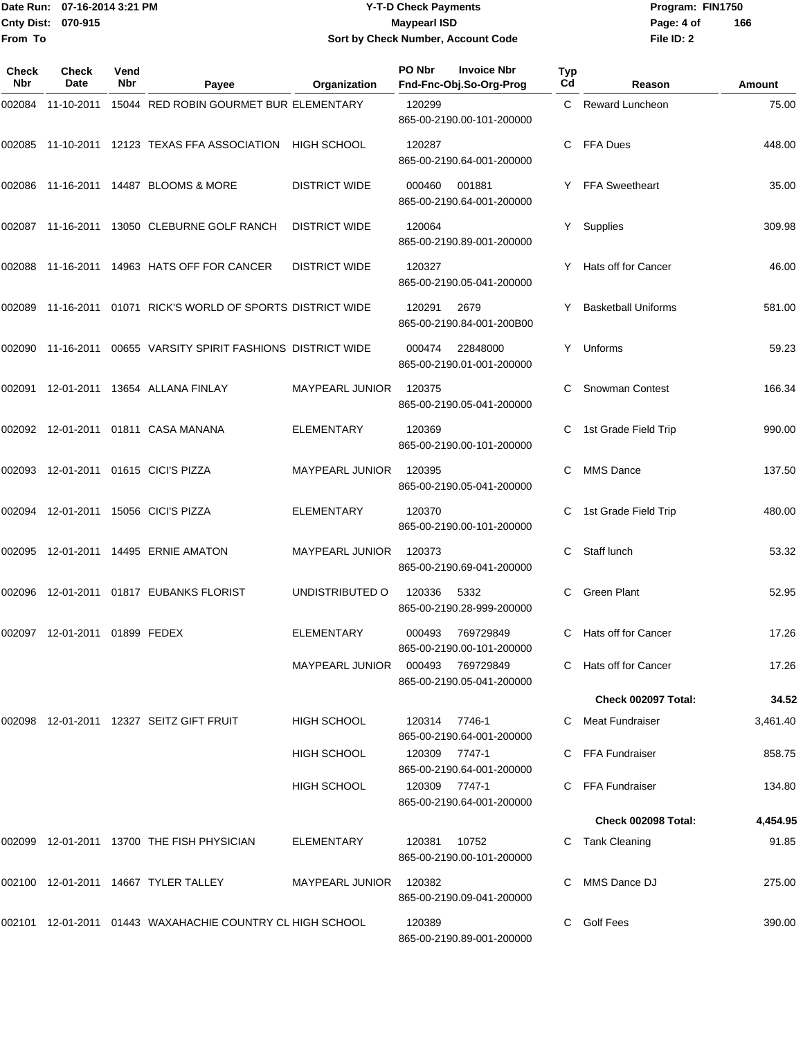#### Date Run: 07-16-2014 3:21 PM **Program:** FIN1750 **Cnty Dist:** 070-915 **Page: 4 of Page: 4 of Page: 4 of Page: 4 of Page: 4 of Page: 4 of Y-T-D Check Payments 070-915 Maypearl ISD Sort by Check Number, Account Code**

| Check<br>Nbr | Check<br>Date                 | Vend<br>Nbr | Payee                                                        | Organization           | PO Nbr        | <b>Invoice Nbr</b><br>Fnd-Fnc-Obj.So-Org-Prog | Typ<br>Cd | Reason                     | <b>Amount</b> |
|--------------|-------------------------------|-------------|--------------------------------------------------------------|------------------------|---------------|-----------------------------------------------|-----------|----------------------------|---------------|
| 002084       | 11-10-2011                    |             | 15044 RED ROBIN GOURMET BUR ELEMENTARY                       |                        | 120299        | 865-00-2190.00-101-200000                     |           | C Reward Luncheon          | 75.00         |
|              |                               |             | 002085 11-10-2011 12123 TEXAS FFA ASSOCIATION                | <b>HIGH SCHOOL</b>     | 120287        | 865-00-2190.64-001-200000                     | C.        | FFA Dues                   | 448.00        |
|              |                               |             | 002086  11-16-2011  14487  BLOOMS & MORE                     | <b>DISTRICT WIDE</b>   | 000460        | 001881<br>865-00-2190.64-001-200000           |           | Y FFA Sweetheart           | 35.00         |
|              |                               |             | 002087 11-16-2011 13050 CLEBURNE GOLF RANCH                  | <b>DISTRICT WIDE</b>   | 120064        | 865-00-2190.89-001-200000                     |           | Y Supplies                 | 309.98        |
|              |                               |             | 002088 11-16-2011 14963 HATS OFF FOR CANCER                  | <b>DISTRICT WIDE</b>   | 120327        | 865-00-2190.05-041-200000                     |           | Y Hats off for Cancer      | 46.00         |
|              |                               |             | 002089 11-16-2011 01071 RICK'S WORLD OF SPORTS DISTRICT WIDE |                        | 120291        | 2679<br>865-00-2190.84-001-200B00             |           | <b>Basketball Uniforms</b> | 581.00        |
|              | 002090 11-16-2011             |             | 00655 VARSITY SPIRIT FASHIONS DISTRICT WIDE                  |                        | 000474        | 22848000<br>865-00-2190.01-001-200000         | Y.        | Unforms                    | 59.23         |
|              |                               |             | 002091 12-01-2011 13654 ALLANA FINLAY                        | <b>MAYPEARL JUNIOR</b> | 120375        | 865-00-2190.05-041-200000                     | C.        | <b>Snowman Contest</b>     | 166.34        |
|              |                               |             |                                                              | <b>ELEMENTARY</b>      | 120369        | 865-00-2190.00-101-200000                     |           | 1st Grade Field Trip       | 990.00        |
|              |                               |             | 002093 12-01-2011 01615 CICI'S PIZZA                         | MAYPEARL JUNIOR        | 120395        | 865-00-2190.05-041-200000                     | C         | <b>MMS Dance</b>           | 137.50        |
|              |                               |             | 002094  12-01-2011  15056  CICI'S PIZZA                      | <b>ELEMENTARY</b>      | 120370        | 865-00-2190.00-101-200000                     | C         | 1st Grade Field Trip       | 480.00        |
|              |                               |             |                                                              | <b>MAYPEARL JUNIOR</b> | 120373        | 865-00-2190.69-041-200000                     |           | Staff lunch                | 53.32         |
| 002096       |                               |             | 12-01-2011  01817  EUBANKS FLORIST                           | UNDISTRIBUTED O        | 120336        | 5332<br>865-00-2190.28-999-200000             | C         | <b>Green Plant</b>         | 52.95         |
|              | 002097 12-01-2011 01899 FEDEX |             |                                                              | <b>ELEMENTARY</b>      | 000493        | 769729849<br>865-00-2190.00-101-200000        | C.        | Hats off for Cancer        | 17.26         |
|              |                               |             |                                                              | <b>MAYPEARL JUNIOR</b> | 000493        | 769729849<br>865-00-2190.05-041-200000        |           | C Hats off for Cancer      | 17.26         |
|              |                               |             |                                                              |                        |               |                                               |           | Check 002097 Total:        | 34.52         |
|              |                               |             | 002098 12-01-2011 12327 SEITZ GIFT FRUIT                     | <b>HIGH SCHOOL</b>     | 120314        | 7746-1<br>865-00-2190.64-001-200000           |           | Meat Fundraiser            | 3,461.40      |
|              |                               |             |                                                              | HIGH SCHOOL            | 120309        | 7747-1<br>865-00-2190.64-001-200000           |           | C FFA Fundraiser           | 858.75        |
|              |                               |             |                                                              | <b>HIGH SCHOOL</b>     | 120309 7747-1 | 865-00-2190.64-001-200000                     |           | C FFA Fundraiser           | 134.80        |
|              |                               |             |                                                              |                        |               |                                               |           | Check 002098 Total:        | 4,454.95      |
|              |                               |             | 002099 12-01-2011 13700 THE FISH PHYSICIAN                   | <b>ELEMENTARY</b>      | 120381        | 10752<br>865-00-2190.00-101-200000            |           | C Tank Cleaning            | 91.85         |
|              |                               |             | 002100 12-01-2011 14667 TYLER TALLEY                         | <b>MAYPEARL JUNIOR</b> | 120382        | 865-00-2190.09-041-200000                     |           | MMS Dance DJ               | 275.00        |
|              |                               |             | 002101 12-01-2011 01443 WAXAHACHIE COUNTRY CL HIGH SCHOOL    |                        | 120389        | 865-00-2190.89-001-200000                     |           | C Golf Fees                | 390.00        |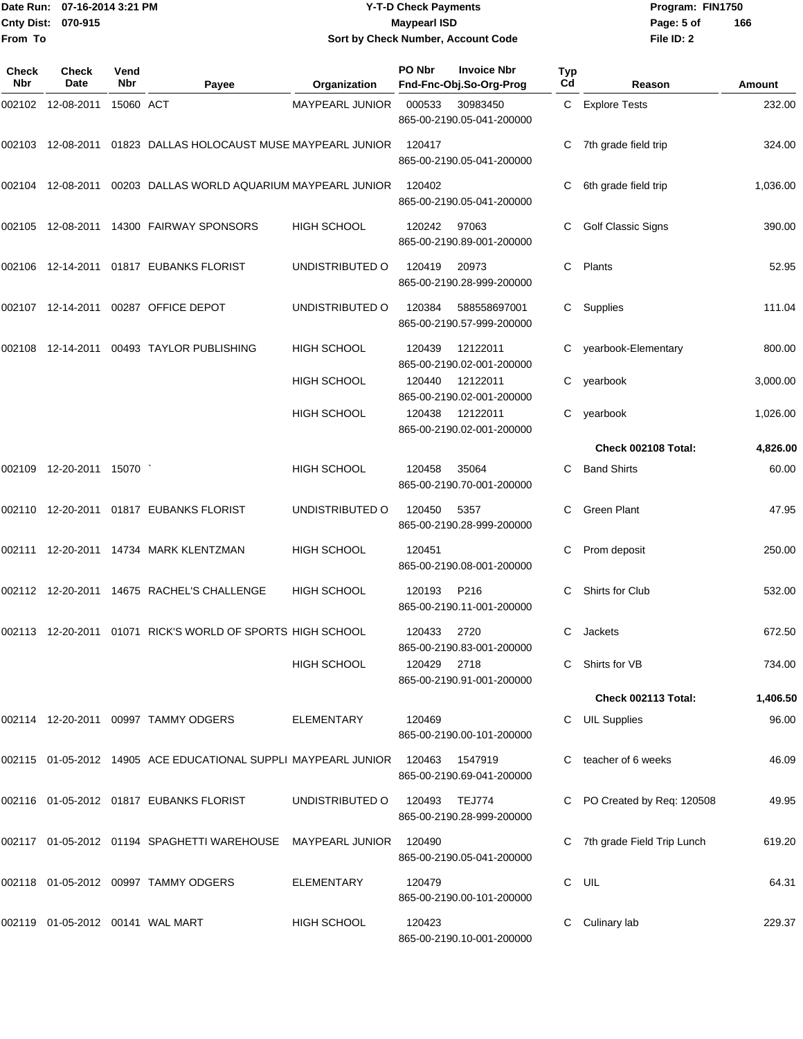#### Date Run: 07-16-2014 3:21 PM **Program:** FIN1750 **Cnty Dist:** 070-915 **Page:** 5 of **Y-T-D Check Payments 070-915 Maypearl ISD Sort by Check Number, Account Code**

| Check<br>Nbr | <b>Check</b><br>Date                | Vend<br><b>Nbr</b> | Payee                                                             | Organization       | PO Nbr | <b>Invoice Nbr</b><br>Fnd-Fnc-Obj.So-Org-Prog | Typ<br>Cd | Reason                       | Amount   |
|--------------|-------------------------------------|--------------------|-------------------------------------------------------------------|--------------------|--------|-----------------------------------------------|-----------|------------------------------|----------|
|              | 002102 12-08-2011                   | 15060 ACT          |                                                                   | MAYPEARL JUNIOR    | 000533 | 30983450<br>865-00-2190.05-041-200000         |           | C Explore Tests              | 232.00   |
|              |                                     |                    | 002103 12-08-2011 01823 DALLAS HOLOCAUST MUSE MAYPEARL JUNIOR     |                    | 120417 | 865-00-2190.05-041-200000                     |           | C 7th grade field trip       | 324.00   |
|              |                                     |                    | 002104 12-08-2011 00203 DALLAS WORLD AQUARIUM MAYPEARL JUNIOR     |                    | 120402 | 865-00-2190.05-041-200000                     |           | 6th grade field trip         | 1,036.00 |
|              |                                     |                    | 002105 12-08-2011 14300 FAIRWAY SPONSORS                          | <b>HIGH SCHOOL</b> | 120242 | 97063<br>865-00-2190.89-001-200000            |           | Golf Classic Signs           | 390.00   |
|              |                                     |                    | 002106 12-14-2011 01817 EUBANKS FLORIST                           | UNDISTRIBUTED O    | 120419 | 20973<br>865-00-2190.28-999-200000            | C         | Plants                       | 52.95    |
|              |                                     |                    | 002107  12-14-2011  00287  OFFICE DEPOT                           | UNDISTRIBUTED O    | 120384 | 588558697001<br>865-00-2190.57-999-200000     | C.        | Supplies                     | 111.04   |
|              |                                     |                    | 002108 12-14-2011 00493 TAYLOR PUBLISHING                         | <b>HIGH SCHOOL</b> | 120439 | 12122011<br>865-00-2190.02-001-200000         |           | C yearbook-Elementary        | 800.00   |
|              |                                     |                    |                                                                   | <b>HIGH SCHOOL</b> | 120440 | 12122011<br>865-00-2190.02-001-200000         |           | C yearbook                   | 3,000.00 |
|              |                                     |                    |                                                                   | <b>HIGH SCHOOL</b> | 120438 | 12122011<br>865-00-2190.02-001-200000         |           | C yearbook                   | 1,026.00 |
|              |                                     |                    |                                                                   |                    |        |                                               |           | Check 002108 Total:          | 4,826.00 |
|              | 002109 12-20-2011 15070             |                    |                                                                   | <b>HIGH SCHOOL</b> | 120458 | 35064<br>865-00-2190.70-001-200000            | С         | <b>Band Shirts</b>           | 60.00    |
|              |                                     |                    | 002110  12-20-2011  01817  EUBANKS FLORIST                        | UNDISTRIBUTED O    | 120450 | 5357<br>865-00-2190.28-999-200000             | C.        | <b>Green Plant</b>           | 47.95    |
|              |                                     |                    | 002111 12-20-2011 14734 MARK KLENTZMAN                            | <b>HIGH SCHOOL</b> | 120451 | 865-00-2190.08-001-200000                     | С         | Prom deposit                 | 250.00   |
|              |                                     |                    | 002112 12-20-2011 14675 RACHEL'S CHALLENGE                        | <b>HIGH SCHOOL</b> | 120193 | P216<br>865-00-2190.11-001-200000             | С         | Shirts for Club              | 532.00   |
|              |                                     |                    | 002113  12-20-2011  01071  RICK'S WORLD OF SPORTS  HIGH SCHOOL    |                    | 120433 | 2720<br>865-00-2190.83-001-200000             | C.        | Jackets                      | 672.50   |
|              |                                     |                    |                                                                   | <b>HIGH SCHOOL</b> | 120429 | 2718<br>865-00-2190.91-001-200000             |           | C Shirts for VB              | 734.00   |
|              |                                     |                    |                                                                   |                    |        |                                               |           | Check 002113 Total:          | 1,406.50 |
|              |                                     |                    | 002114 12-20-2011 00997 TAMMY ODGERS                              | ELEMENTARY         | 120469 | 865-00-2190.00-101-200000                     |           | <b>UIL Supplies</b>          | 96.00    |
|              |                                     |                    | 002115  01-05-2012  14905  ACE EDUCATIONAL SUPPLI MAYPEARL JUNIOR |                    | 120463 | 1547919<br>865-00-2190.69-041-200000          |           | C teacher of 6 weeks         | 46.09    |
|              |                                     |                    |                                                                   | UNDISTRIBUTED O    | 120493 | <b>TEJ774</b><br>865-00-2190.28-999-200000    |           | PO Created by Req: 120508    | 49.95    |
|              |                                     |                    | 002117  01-05-2012  01194  SPAGHETTI WAREHOUSE  MAYPEARL JUNIOR   |                    | 120490 | 865-00-2190.05-041-200000                     |           | C 7th grade Field Trip Lunch | 619.20   |
|              |                                     |                    | 002118 01-05-2012 00997 TAMMY ODGERS                              | ELEMENTARY         | 120479 | 865-00-2190.00-101-200000                     | C.        | UIL                          | 64.31    |
|              | 002119  01-05-2012  00141  WAL MART |                    |                                                                   | <b>HIGH SCHOOL</b> | 120423 | 865-00-2190.10-001-200000                     |           | Culinary lab                 | 229.37   |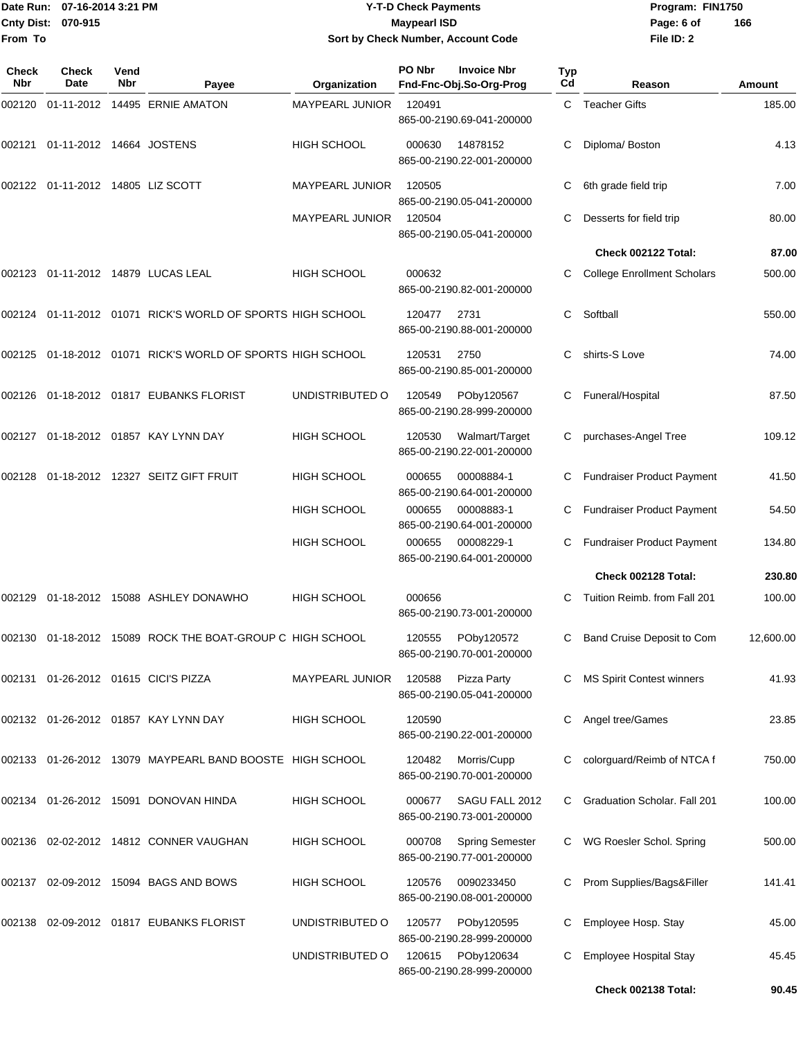### Date Run: 07-16-2014 3:21 PM **Program:** FIN1750 **Cnty Dist:** 070-915 **Page: 6 of Page: 6 of Page: 6 of Page: 6 of Page: 6 of Page: 6 of Y-T-D Check Payments 070-915 Maypearl ISD Sort by Check Number, Account Code**

| Check<br><b>Nbr</b> | Check<br>Date                     | Vend<br>Nbr | Payee                                                         | Organization           | PO Nbr | <b>Invoice Nbr</b><br>Fnd-Fnc-Obj.So-Org-Prog       | <b>Typ</b><br>Cd | Reason                             | Amount    |
|---------------------|-----------------------------------|-------------|---------------------------------------------------------------|------------------------|--------|-----------------------------------------------------|------------------|------------------------------------|-----------|
| 002120              |                                   |             | 01-11-2012 14495 ERNIE AMATON                                 | MAYPEARL JUNIOR        | 120491 | 865-00-2190.69-041-200000                           |                  | C Teacher Gifts                    | 185.00    |
| 002121              | 01-11-2012 14664 JOSTENS          |             |                                                               | <b>HIGH SCHOOL</b>     | 000630 | 14878152<br>865-00-2190.22-001-200000               | C                | Diploma/Boston                     | 4.13      |
|                     | 002122 01-11-2012 14805 LIZ SCOTT |             |                                                               | MAYPEARL JUNIOR        | 120505 | 865-00-2190.05-041-200000                           | С                | 6th grade field trip               | 7.00      |
|                     |                                   |             |                                                               | <b>MAYPEARL JUNIOR</b> | 120504 | 865-00-2190.05-041-200000                           | С                | Desserts for field trip            | 80.00     |
|                     |                                   |             |                                                               |                        |        |                                                     |                  | Check 002122 Total:                | 87.00     |
|                     |                                   |             | 002123  01-11-2012  14879  LUCAS LEAL                         | <b>HIGH SCHOOL</b>     | 000632 | 865-00-2190.82-001-200000                           | C                | <b>College Enrollment Scholars</b> | 500.00    |
|                     |                                   |             | 002124 01-11-2012 01071 RICK'S WORLD OF SPORTS HIGH SCHOOL    |                        | 120477 | 2731<br>865-00-2190.88-001-200000                   | C                | Softball                           | 550.00    |
| 002125              |                                   |             | 01-18-2012  01071  RICK'S WORLD OF SPORTS HIGH SCHOOL         |                        | 120531 | 2750<br>865-00-2190.85-001-200000                   | C                | shirts-S Love                      | 74.00     |
| 002126              |                                   |             | 01-18-2012 01817 EUBANKS FLORIST                              | UNDISTRIBUTED O        | 120549 | POby120567<br>865-00-2190.28-999-200000             | С                | Funeral/Hospital                   | 87.50     |
| 002127              |                                   |             | 01-18-2012  01857  KAY LYNN DAY                               | <b>HIGH SCHOOL</b>     | 120530 | Walmart/Target<br>865-00-2190.22-001-200000         |                  | purchases-Angel Tree               | 109.12    |
| 002128              |                                   |             | 01-18-2012 12327 SEITZ GIFT FRUIT                             | <b>HIGH SCHOOL</b>     | 000655 | 00008884-1<br>865-00-2190.64-001-200000             | С                | <b>Fundraiser Product Payment</b>  | 41.50     |
|                     |                                   |             |                                                               | <b>HIGH SCHOOL</b>     | 000655 | 00008883-1<br>865-00-2190.64-001-200000             | C                | <b>Fundraiser Product Payment</b>  | 54.50     |
|                     |                                   |             |                                                               | <b>HIGH SCHOOL</b>     | 000655 | 00008229-1<br>865-00-2190.64-001-200000             |                  | Fundraiser Product Payment         | 134.80    |
|                     |                                   |             |                                                               |                        |        |                                                     |                  | Check 002128 Total:                | 230.80    |
| 002129              |                                   |             | 01-18-2012 15088 ASHLEY DONAWHO                               | HIGH SCHOOL            | 000656 | 865-00-2190.73-001-200000                           | C                | Tuition Reimb. from Fall 201       | 100.00    |
|                     |                                   |             | 002130  01-18-2012  15089  ROCK THE BOAT-GROUP C  HIGH SCHOOL |                        | 120555 | POby120572<br>865-00-2190.70-001-200000             | С                | Band Cruise Deposit to Com         | 12,600.00 |
|                     |                                   |             | 002131  01-26-2012  01615  CICI'S PIZZA                       | MAYPEARL JUNIOR        | 120588 | Pizza Party<br>865-00-2190.05-041-200000            | C                | <b>MS Spirit Contest winners</b>   | 41.93     |
|                     |                                   |             | 002132  01-26-2012  01857  KAY LYNN DAY                       | <b>HIGH SCHOOL</b>     | 120590 | 865-00-2190.22-001-200000                           | C.               | Angel tree/Games                   | 23.85     |
|                     |                                   |             | 002133 01-26-2012 13079 MAYPEARL BAND BOOSTE HIGH SCHOOL      |                        | 120482 | Morris/Cupp<br>865-00-2190.70-001-200000            | C                | colorguard/Reimb of NTCA f         | 750.00    |
|                     |                                   |             | 002134    01-26-2012    15091    DONOVAN HINDA                | <b>HIGH SCHOOL</b>     | 000677 | SAGU FALL 2012<br>865-00-2190.73-001-200000         | C.               | Graduation Scholar. Fall 201       | 100.00    |
| 002136              |                                   |             | 02-02-2012 14812 CONNER VAUGHAN                               | <b>HIGH SCHOOL</b>     | 000708 | <b>Spring Semester</b><br>865-00-2190.77-001-200000 |                  | WG Roesler Schol. Spring           | 500.00    |
| 002137              |                                   |             | 02-09-2012 15094 BAGS AND BOWS                                | <b>HIGH SCHOOL</b>     | 120576 | 0090233450<br>865-00-2190.08-001-200000             | C                | Prom Supplies/Bags&Filler          | 141.41    |
| 002138              |                                   |             | 02-09-2012  01817  EUBANKS FLORIST                            | UNDISTRIBUTED O        | 120577 | POby120595<br>865-00-2190.28-999-200000             | C                | Employee Hosp. Stay                | 45.00     |
|                     |                                   |             |                                                               | UNDISTRIBUTED O        | 120615 | POby120634<br>865-00-2190.28-999-200000             |                  | Employee Hospital Stay             | 45.45     |
|                     |                                   |             |                                                               |                        |        |                                                     |                  | Check 002138 Total:                | 90.45     |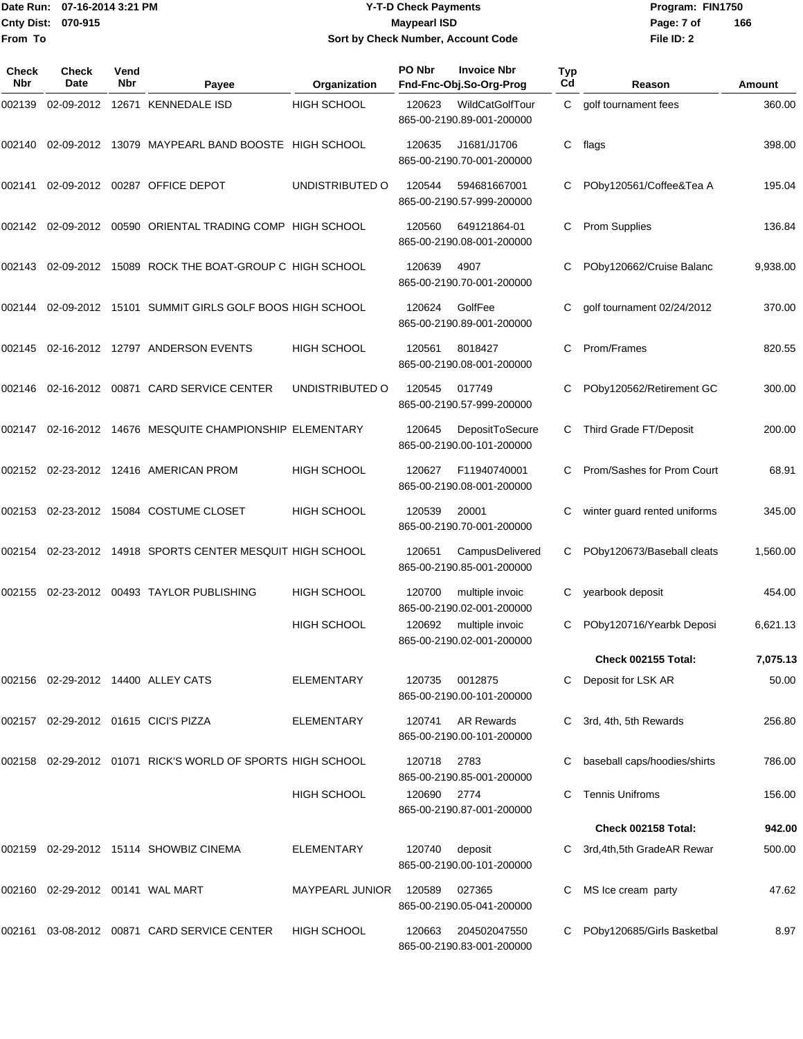#### Date Run: 07-16-2014 3:21 PM **Program:** FIN1750 **Cnty Dist:** 070-915 **Page: 7 of Page: 7 of MaypearI ISD Y-T-D Check Payments 070-915 Maypearl ISD Sort by Check Number, Account Code**

| Check<br>Nbr | Check<br>Date | Vend<br>Nbr | Payee                                                      | Organization       | PO Nbr | <b>Invoice Nbr</b><br>Fnd-Fnc-Obj.So-Org-Prog  | <b>Typ</b><br>Cd | Reason                       | <b>Amount</b> |
|--------------|---------------|-------------|------------------------------------------------------------|--------------------|--------|------------------------------------------------|------------------|------------------------------|---------------|
| 002139       |               |             | 02-09-2012 12671 KENNEDALE ISD                             | <b>HIGH SCHOOL</b> | 120623 | WildCatGolfTour<br>865-00-2190.89-001-200000   | C.               | golf tournament fees         | 360.00        |
| 002140       |               |             | 02-09-2012 13079 MAYPEARL BAND BOOSTE HIGH SCHOOL          |                    | 120635 | J1681/J1706<br>865-00-2190.70-001-200000       | C                | flags                        | 398.00        |
| 002141       |               |             | 02-09-2012 00287 OFFICE DEPOT                              | UNDISTRIBUTED O    | 120544 | 594681667001<br>865-00-2190.57-999-200000      |                  | POby120561/Coffee&Tea A      | 195.04        |
| 002142       |               |             | 02-09-2012 00590 ORIENTAL TRADING COMP HIGH SCHOOL         |                    | 120560 | 649121864-01<br>865-00-2190.08-001-200000      | С                | <b>Prom Supplies</b>         | 136.84        |
| 002143       |               |             | 02-09-2012 15089 ROCK THE BOAT-GROUP C HIGH SCHOOL         |                    | 120639 | 4907<br>865-00-2190.70-001-200000              |                  | POby120662/Cruise Balanc     | 9,938.00      |
| 002144       |               |             | 02-09-2012 15101 SUMMIT GIRLS GOLF BOOS HIGH SCHOOL        |                    | 120624 | GolfFee<br>865-00-2190.89-001-200000           | С                | golf tournament 02/24/2012   | 370.00        |
| 002145       |               |             | 02-16-2012 12797 ANDERSON EVENTS                           | <b>HIGH SCHOOL</b> | 120561 | 8018427<br>865-00-2190.08-001-200000           | C                | Prom/Frames                  | 820.55        |
| 002146       |               |             | 02-16-2012 00871 CARD SERVICE CENTER                       | UNDISTRIBUTED O    | 120545 | 017749<br>865-00-2190.57-999-200000            |                  | POby120562/Retirement GC     | 300.00        |
| 002147       |               |             | 02-16-2012 14676 MESQUITE CHAMPIONSHIP ELEMENTARY          |                    | 120645 | DepositToSecure<br>865-00-2190.00-101-200000   | C                | Third Grade FT/Deposit       | 200.00        |
| 002152       |               |             | 02-23-2012 12416 AMERICAN PROM                             | <b>HIGH SCHOOL</b> | 120627 | F11940740001<br>865-00-2190.08-001-200000      | C                | Prom/Sashes for Prom Court   | 68.91         |
| 002153       |               |             | 02-23-2012 15084 COSTUME CLOSET                            | <b>HIGH SCHOOL</b> | 120539 | 20001<br>865-00-2190.70-001-200000             | С                | winter guard rented uniforms | 345.00        |
| 002154       |               |             | 02-23-2012 14918 SPORTS CENTER MESQUIT HIGH SCHOOL         |                    | 120651 | CampusDelivered<br>865-00-2190.85-001-200000   | C                | POby120673/Baseball cleats   | 1,560.00      |
| 002155       |               |             | 02-23-2012 00493 TAYLOR PUBLISHING                         | <b>HIGH SCHOOL</b> | 120700 | multiple invoic<br>865-00-2190.02-001-200000   |                  | yearbook deposit             | 454.00        |
|              |               |             |                                                            | <b>HIGH SCHOOL</b> | 120692 | multiple invoic<br>865-00-2190.02-001-200000   | C                | POby120716/Yearbk Deposi     | 6,621.13      |
|              |               |             |                                                            |                    |        |                                                |                  | Check 002155 Total:          | 7,075.13      |
|              |               |             | 002156 02-29-2012 14400 ALLEY CATS                         | <b>ELEMENTARY</b>  | 120735 | 0012875<br>865-00-2190.00-101-200000           |                  | Deposit for LSK AR           | 50.00         |
|              |               |             | 002157 02-29-2012 01615 CICI'S PIZZA                       | <b>ELEMENTARY</b>  | 120741 | <b>AR Rewards</b><br>865-00-2190.00-101-200000 |                  | 3rd, 4th, 5th Rewards        | 256.80        |
|              |               |             | 002158 02-29-2012 01071 RICK'S WORLD OF SPORTS HIGH SCHOOL |                    | 120718 | 2783<br>865-00-2190.85-001-200000              |                  | baseball caps/hoodies/shirts | 786.00        |
|              |               |             |                                                            | <b>HIGH SCHOOL</b> | 120690 | 2774<br>865-00-2190.87-001-200000              |                  | <b>Tennis Unifroms</b>       | 156.00        |
|              |               |             |                                                            |                    |        |                                                |                  | Check 002158 Total:          | 942.00        |
|              |               |             | 002159 02-29-2012 15114  SHOWBIZ CINEMA                    | <b>ELEMENTARY</b>  | 120740 | deposit<br>865-00-2190.00-101-200000           |                  | 3rd, 4th, 5th GradeAR Rewar  | 500.00        |
| 002160       |               |             | 02-29-2012    00141    WAL MART                            | MAYPEARL JUNIOR    | 120589 | 027365<br>865-00-2190.05-041-200000            | С                | MS Ice cream party           | 47.62         |
|              |               |             | 002161 03-08-2012 00871 CARD SERVICE CENTER                | <b>HIGH SCHOOL</b> | 120663 | 204502047550<br>865-00-2190.83-001-200000      |                  | POby120685/Girls Basketbal   | 8.97          |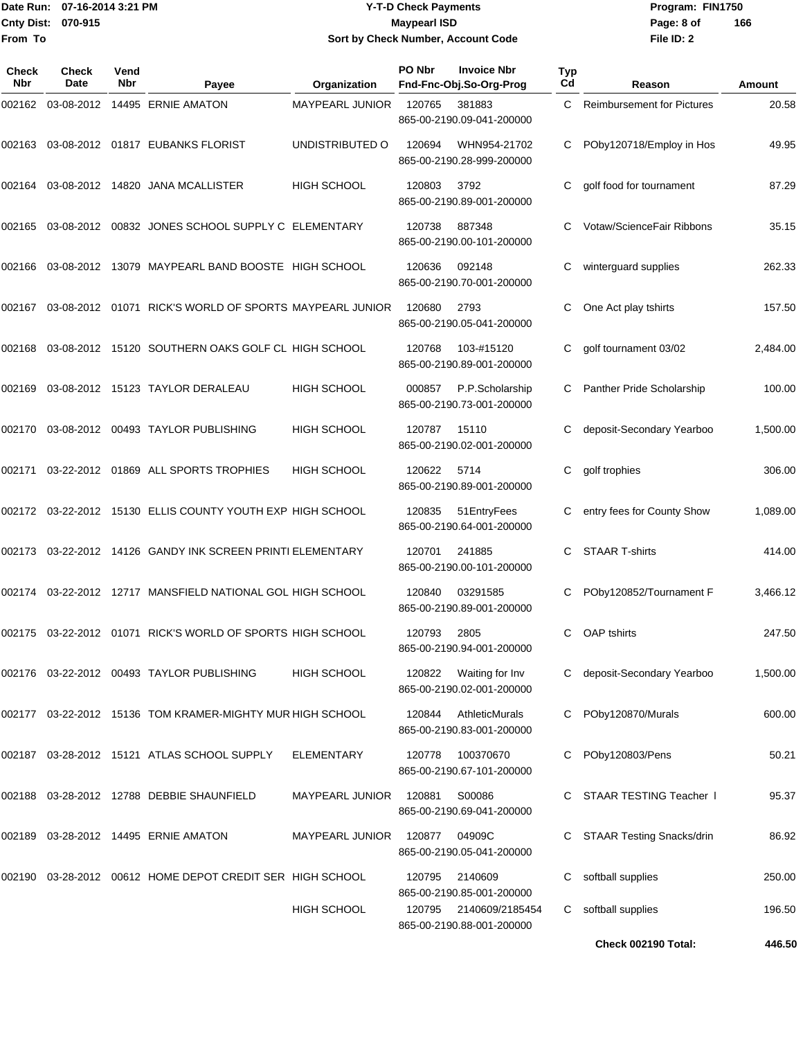#### Date Run: 07-16-2014 3:21 PM **Program:** FIN1750 **Cnty Dist:** 070-915 **Page: 8 of Page: 8 of MaypearI ISD Y-T-D Check Payments 070-915 Maypearl ISD Sort by Check Number, Account Code**

| Check<br>Nbr | Check<br>Date | Vend<br>Nbr | Payee                                                          | Organization           | PO Nbr | <b>Invoice Nbr</b><br>Fnd-Fnc-Obj.So-Org-Prog | Typ<br>Cd | Reason                            | Amount   |
|--------------|---------------|-------------|----------------------------------------------------------------|------------------------|--------|-----------------------------------------------|-----------|-----------------------------------|----------|
| 002162       | 03-08-2012    |             | 14495 ERNIE AMATON                                             | MAYPEARL JUNIOR        | 120765 | 381883<br>865-00-2190.09-041-200000           | C         | <b>Reimbursement for Pictures</b> | 20.58    |
| 002163       |               |             | 03-08-2012   01817   EUBANKS FLORIST                           | UNDISTRIBUTED O        | 120694 | WHN954-21702<br>865-00-2190.28-999-200000     | C         | POby120718/Employ in Hos          | 49.95    |
| 002164       |               |             | 03-08-2012 14820 JANA MCALLISTER                               | HIGH SCHOOL            | 120803 | 3792<br>865-00-2190.89-001-200000             | С         | golf food for tournament          | 87.29    |
| 002165       |               |             | 03-08-2012 00832 JONES SCHOOL SUPPLY C ELEMENTARY              |                        | 120738 | 887348<br>865-00-2190.00-101-200000           | C         | Votaw/ScienceFair Ribbons         | 35.15    |
| 002166       |               |             | 03-08-2012 13079 MAYPEARL BAND BOOSTE HIGH SCHOOL              |                        | 120636 | 092148<br>865-00-2190.70-001-200000           | С         | winterguard supplies              | 262.33   |
| 002167       |               |             | 03-08-2012  01071  RICK'S WORLD OF SPORTS MAYPEARL JUNIOR      |                        | 120680 | 2793<br>865-00-2190.05-041-200000             |           | One Act play tshirts              | 157.50   |
| 002168       |               |             | 03-08-2012 15120 SOUTHERN OAKS GOLF CL HIGH SCHOOL             |                        | 120768 | 103-#15120<br>865-00-2190.89-001-200000       | С         | golf tournament 03/02             | 2,484.00 |
| 002169       |               |             | 03-08-2012 15123 TAYLOR DERALEAU                               | <b>HIGH SCHOOL</b>     | 000857 | P.P.Scholarship<br>865-00-2190.73-001-200000  | C         | Panther Pride Scholarship         | 100.00   |
| 002170       |               |             | 03-08-2012  00493  TAYLOR PUBLISHING                           | <b>HIGH SCHOOL</b>     | 120787 | 15110<br>865-00-2190.02-001-200000            |           | deposit-Secondary Yearboo         | 1,500.00 |
| 002171       |               |             | 03-22-2012 01869 ALL SPORTS TROPHIES                           | <b>HIGH SCHOOL</b>     | 120622 | 5714<br>865-00-2190.89-001-200000             | С         | golf trophies                     | 306.00   |
| 002172       |               |             | 03-22-2012 15130 ELLIS COUNTY YOUTH EXP HIGH SCHOOL            |                        | 120835 | 51 Entry Fees<br>865-00-2190.64-001-200000    | С         | entry fees for County Show        | 1,089.00 |
| 002173       |               |             | 03-22-2012 14126 GANDY INK SCREEN PRINTI ELEMENTARY            |                        | 120701 | 241885<br>865-00-2190.00-101-200000           |           | <b>STAAR T-shirts</b>             | 414.00   |
| 002174       |               |             | 03-22-2012 12717 MANSFIELD NATIONAL GOL HIGH SCHOOL            |                        | 120840 | 03291585<br>865-00-2190.89-001-200000         | С         | POby120852/Tournament F           | 3,466.12 |
|              |               |             | 002175  03-22-2012  01071  RICK'S WORLD OF SPORTS  HIGH SCHOOL |                        | 120793 | 2805<br>865-00-2190.94-001-200000             | C.        | <b>OAP</b> tshirts                | 247.50   |
|              |               |             | 002176 03-22-2012 00493  TAYLOR PUBLISHING                     | <b>HIGH SCHOOL</b>     | 120822 | Waiting for Inv<br>865-00-2190.02-001-200000  |           | deposit-Secondary Yearboo         | 1,500.00 |
|              |               |             | 002177 03-22-2012 15136 TOM KRAMER-MIGHTY MUR HIGH SCHOOL      |                        | 120844 | AthleticMurals<br>865-00-2190.83-001-200000   | C         | POby120870/Murals                 | 600.00   |
|              |               |             | 002187 03-28-2012 15121 ATLAS SCHOOL SUPPLY                    | <b>ELEMENTARY</b>      | 120778 | 100370670<br>865-00-2190.67-101-200000        | C         | POby120803/Pens                   | 50.21    |
|              |               |             | 002188 03-28-2012 12788 DEBBIE SHAUNFIELD                      | <b>MAYPEARL JUNIOR</b> | 120881 | S00086<br>865-00-2190.69-041-200000           |           | STAAR TESTING Teacher I           | 95.37    |
| 002189       |               |             | 03-28-2012 14495 ERNIE AMATON                                  | <b>MAYPEARL JUNIOR</b> | 120877 | 04909C<br>865-00-2190.05-041-200000           | C         | <b>STAAR Testing Snacks/drin</b>  | 86.92    |
|              |               |             | 002190 03-28-2012 00612 HOME DEPOT CREDIT SER HIGH SCHOOL      |                        | 120795 | 2140609<br>865-00-2190.85-001-200000          | С         | softball supplies                 | 250.00   |
|              |               |             |                                                                | <b>HIGH SCHOOL</b>     | 120795 | 2140609/2185454<br>865-00-2190.88-001-200000  | С         | softball supplies                 | 196.50   |
|              |               |             |                                                                |                        |        |                                               |           | Check 002190 Total:               | 446.50   |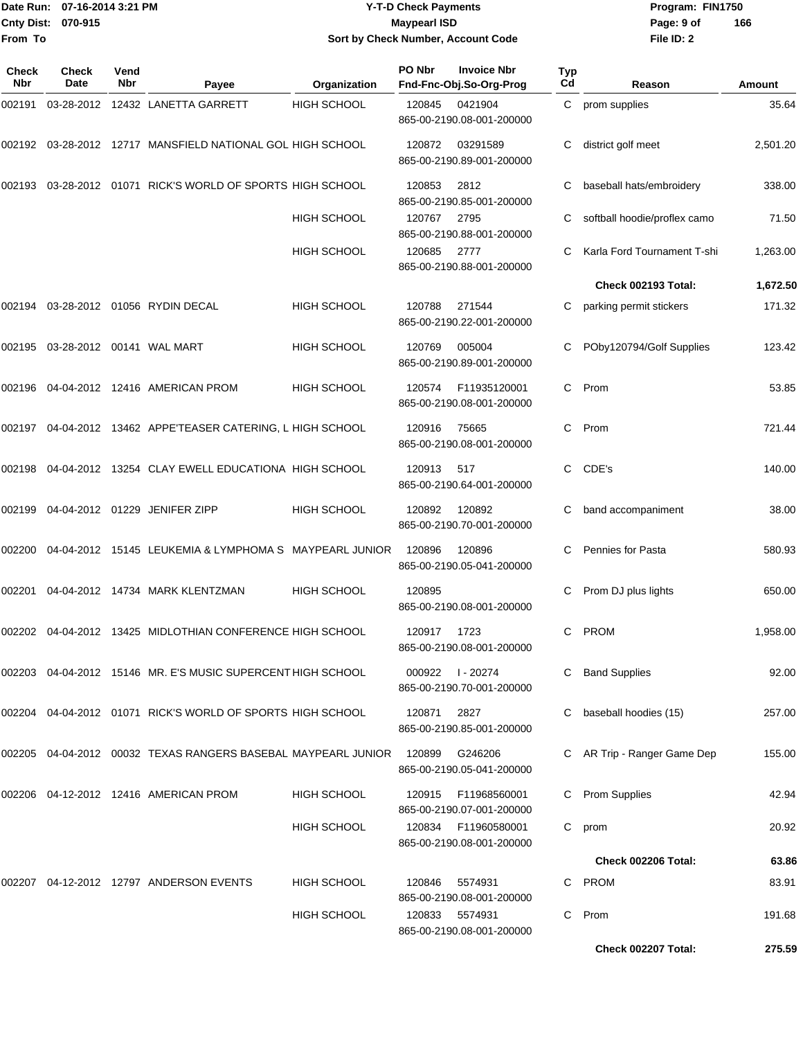#### Date Run: 07-16-2014 3:21 PM **Program:** FIN1750 **Cnty Dist:** 070-915 **Page: 9 of Page: 9 of MaypearI ISD Y-T-D Check Payments 070-915 Maypearl ISD Sort by Check Number, Account Code**

| Check<br><b>Nbr</b> | Check<br><b>Date</b> | Vend<br>Nbr | Payee                                                            | Organization       | PO Nbr | <b>Invoice Nbr</b><br>Fnd-Fnc-Obj.So-Org-Prog | <b>Typ</b><br>Cd | Reason                       | Amount   |
|---------------------|----------------------|-------------|------------------------------------------------------------------|--------------------|--------|-----------------------------------------------|------------------|------------------------------|----------|
| 002191              |                      |             | 03-28-2012 12432 LANETTA GARRETT                                 | <b>HIGH SCHOOL</b> | 120845 | 0421904<br>865-00-2190.08-001-200000          | C.               | prom supplies                | 35.64    |
| 002192              |                      |             | 03-28-2012 12717 MANSFIELD NATIONAL GOL HIGH SCHOOL              |                    | 120872 | 03291589<br>865-00-2190.89-001-200000         | C                | district golf meet           | 2,501.20 |
| 002193              |                      |             | 03-28-2012 01071 RICK'S WORLD OF SPORTS HIGH SCHOOL              |                    | 120853 | 2812<br>865-00-2190.85-001-200000             | С                | baseball hats/embroidery     | 338.00   |
|                     |                      |             |                                                                  | HIGH SCHOOL        | 120767 | 2795<br>865-00-2190.88-001-200000             | С                | softball hoodie/proflex camo | 71.50    |
|                     |                      |             |                                                                  | <b>HIGH SCHOOL</b> | 120685 | 2777<br>865-00-2190.88-001-200000             | С                | Karla Ford Tournament T-shi  | 1,263.00 |
|                     |                      |             |                                                                  |                    |        |                                               |                  | <b>Check 002193 Total:</b>   | 1,672.50 |
|                     |                      |             | 002194 03-28-2012 01056 RYDIN DECAL                              | <b>HIGH SCHOOL</b> | 120788 | 271544<br>865-00-2190.22-001-200000           | С                | parking permit stickers      | 171.32   |
| 002195              |                      |             |                                                                  | <b>HIGH SCHOOL</b> | 120769 | 005004<br>865-00-2190.89-001-200000           | С                | POby120794/Golf Supplies     | 123.42   |
| 002196              |                      |             | 04-04-2012 12416 AMERICAN PROM                                   | HIGH SCHOOL        | 120574 | F11935120001<br>865-00-2190.08-001-200000     | C.               | Prom                         | 53.85    |
| 002197              |                      |             | 04-04-2012 13462 APPE'TEASER CATERING, L HIGH SCHOOL             |                    | 120916 | 75665<br>865-00-2190.08-001-200000            | C.               | Prom                         | 721.44   |
| 002198              |                      |             | 04-04-2012 13254 CLAY EWELL EDUCATIONA HIGH SCHOOL               |                    | 120913 | 517<br>865-00-2190.64-001-200000              | C                | CDE's                        | 140.00   |
| 002199              |                      |             | 04-04-2012  01229  JENIFER ZIPP                                  | <b>HIGH SCHOOL</b> | 120892 | 120892<br>865-00-2190.70-001-200000           | С                | band accompaniment           | 38.00    |
| 002200              |                      |             | 04-04-2012 15145 LEUKEMIA & LYMPHOMA S MAYPEARL JUNIOR           |                    | 120896 | 120896<br>865-00-2190.05-041-200000           | С                | Pennies for Pasta            | 580.93   |
| 002201              |                      |             | 04-04-2012 14734 MARK KLENTZMAN                                  | <b>HIGH SCHOOL</b> | 120895 | 865-00-2190.08-001-200000                     | С                | Prom DJ plus lights          | 650.00   |
|                     |                      |             | 002202 04-04-2012 13425 MIDLOTHIAN CONFERENCE HIGH SCHOOL        |                    | 120917 | 1723<br>865-00-2190.08-001-200000             | C.               | <b>PROM</b>                  | 1,958.00 |
|                     |                      |             | 002203 04-04-2012 15146 MR. E'S MUSIC SUPERCENT HIGH SCHOOL      |                    | 000922 | l - 20274<br>865-00-2190.70-001-200000        | C.               | <b>Band Supplies</b>         | 92.00    |
|                     |                      |             | 002204 04-04-2012 01071 RICK'S WORLD OF SPORTS HIGH SCHOOL       |                    | 120871 | 2827<br>865-00-2190.85-001-200000             | C                | baseball hoodies (15)        | 257.00   |
|                     |                      |             | 002205  04-04-2012  00032  TEXAS RANGERS BASEBAL MAYPEARL JUNIOR |                    | 120899 | G246206<br>865-00-2190.05-041-200000          |                  | C AR Trip - Ranger Game Dep  | 155.00   |
|                     |                      |             | 002206 04-12-2012 12416 AMERICAN PROM                            | <b>HIGH SCHOOL</b> | 120915 | F11968560001<br>865-00-2190.07-001-200000     | C.               | <b>Prom Supplies</b>         | 42.94    |
|                     |                      |             |                                                                  | <b>HIGH SCHOOL</b> | 120834 | F11960580001<br>865-00-2190.08-001-200000     | C                | prom                         | 20.92    |
|                     |                      |             |                                                                  |                    |        |                                               |                  | Check 002206 Total:          | 63.86    |
|                     |                      |             | 002207  04-12-2012  12797  ANDERSON EVENTS                       | <b>HIGH SCHOOL</b> | 120846 | 5574931<br>865-00-2190.08-001-200000          |                  | C PROM                       | 83.91    |
|                     |                      |             |                                                                  | HIGH SCHOOL        | 120833 | 5574931<br>865-00-2190.08-001-200000          | C.               | Prom                         | 191.68   |
|                     |                      |             |                                                                  |                    |        |                                               |                  | Check 002207 Total:          | 275.59   |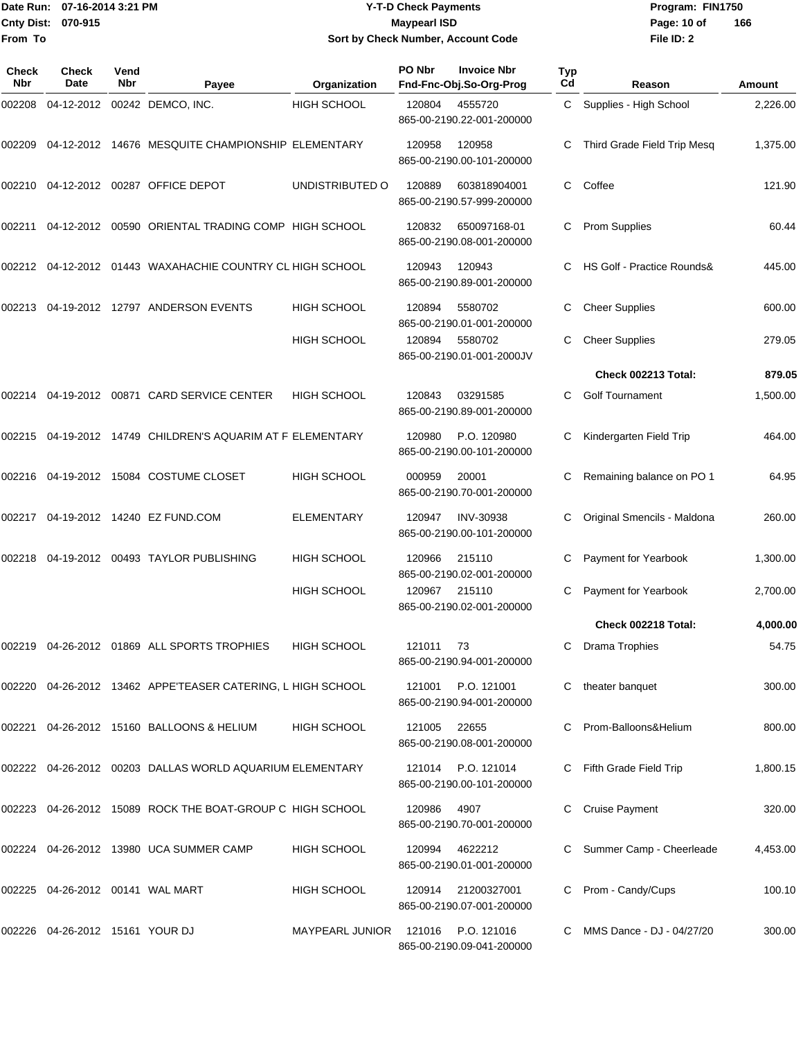#### Date Run: 07-16-2014 3:21 PM **Program:** FIN1750 **Cnty Dist:** 070-915 **Page: 10 of** Maypearl ISD **CONTEX Page: 10 of Y-T-D Check Payments 070-915 Maypearl ISD Sort by Check Number, Account Code**

| <b>Check</b><br>Nbr | Check<br>Date                       | Vend<br>Nbr | Payee                                                         | Organization           | PO Nbr    | <b>Invoice Nbr</b><br>Fnd-Fnc-Obj.So-Org-Prog | Typ<br>Cd | Reason                      | <b>Amount</b> |
|---------------------|-------------------------------------|-------------|---------------------------------------------------------------|------------------------|-----------|-----------------------------------------------|-----------|-----------------------------|---------------|
| 002208              |                                     |             | 04-12-2012 00242 DEMCO, INC.                                  | <b>HIGH SCHOOL</b>     | 120804    | 4555720<br>865-00-2190.22-001-200000          |           | C Supplies - High School    | 2,226.00      |
| 002209              |                                     |             | 04-12-2012 14676 MESQUITE CHAMPIONSHIP ELEMENTARY             |                        | 120958    | 120958<br>865-00-2190.00-101-200000           |           | Third Grade Field Trip Mesq | 1,375.00      |
| 002210              |                                     |             | 04-12-2012 00287 OFFICE DEPOT                                 | UNDISTRIBUTED O        | 120889    | 603818904001<br>865-00-2190.57-999-200000     | C         | Coffee                      | 121.90        |
|                     |                                     |             | 002211  04-12-2012  00590  ORIENTAL TRADING COMP  HIGH SCHOOL |                        | 120832    | 650097168-01<br>865-00-2190.08-001-200000     | C         | <b>Prom Supplies</b>        | 60.44         |
|                     |                                     |             | 002212 04-12-2012 01443 WAXAHACHIE COUNTRY CL HIGH SCHOOL     |                        | 120943    | 120943<br>865-00-2190.89-001-200000           |           | HS Golf - Practice Rounds&  | 445.00        |
| 002213              |                                     |             | 04-19-2012 12797 ANDERSON EVENTS                              | <b>HIGH SCHOOL</b>     | 120894    | 5580702<br>865-00-2190.01-001-200000          | C         | <b>Cheer Supplies</b>       | 600.00        |
|                     |                                     |             |                                                               | <b>HIGH SCHOOL</b>     | 120894    | 5580702<br>865-00-2190.01-001-2000JV          | C         | <b>Cheer Supplies</b>       | 279.05        |
|                     |                                     |             |                                                               |                        |           |                                               |           | Check 002213 Total:         | 879.05        |
| 002214              |                                     |             | 04-19-2012  00871  CARD SERVICE CENTER                        | <b>HIGH SCHOOL</b>     | 120843    | 03291585<br>865-00-2190.89-001-200000         | C         | <b>Golf Tournament</b>      | 1,500.00      |
|                     |                                     |             | 002215 04-19-2012 14749 CHILDREN'S AQUARIM AT F ELEMENTARY    |                        | 120980    | P.O. 120980<br>865-00-2190.00-101-200000      |           | Kindergarten Field Trip     | 464.00        |
|                     |                                     |             | 002216  04-19-2012  15084  COSTUME CLOSET                     | <b>HIGH SCHOOL</b>     | 000959    | 20001<br>865-00-2190.70-001-200000            |           | Remaining balance on PO 1   | 64.95         |
|                     |                                     |             | 002217  04-19-2012  14240  EZ FUND.COM                        | <b>ELEMENTARY</b>      | 120947    | <b>INV-30938</b><br>865-00-2190.00-101-200000 | C         | Original Smencils - Maldona | 260.00        |
| 002218              |                                     |             | 04-19-2012  00493  TAYLOR PUBLISHING                          | <b>HIGH SCHOOL</b>     | 120966    | 215110<br>865-00-2190.02-001-200000           |           | Payment for Yearbook        | 1,300.00      |
|                     |                                     |             |                                                               | HIGH SCHOOL            | 120967    | 215110<br>865-00-2190.02-001-200000           |           | Payment for Yearbook        | 2,700.00      |
|                     |                                     |             |                                                               |                        |           |                                               |           | Check 002218 Total:         | 4,000.00      |
|                     |                                     |             | 002219 04-26-2012 01869 ALL SPORTS TROPHIES HIGH SCHOOL       |                        | 121011 73 | 865-00-2190.94-001-200000                     |           | C Drama Trophies            | 54.75         |
|                     |                                     |             | 002220 04-26-2012 13462 APPE'TEASER CATERING, L HIGH SCHOOL   |                        | 121001    | P.O. 121001<br>865-00-2190.94-001-200000      | C         | theater banquet             | 300.00        |
|                     |                                     |             | 002221 04-26-2012 15160 BALLOONS & HELIUM                     | <b>HIGH SCHOOL</b>     | 121005    | 22655<br>865-00-2190.08-001-200000            |           | C Prom-Balloons&Helium      | 800.00        |
|                     |                                     |             | 002222 04-26-2012 00203 DALLAS WORLD AQUARIUM ELEMENTARY      |                        | 121014    | P.O. 121014<br>865-00-2190.00-101-200000      |           | C Fifth Grade Field Trip    | 1,800.15      |
|                     |                                     |             | 002223 04-26-2012 15089 ROCK THE BOAT-GROUP C HIGH SCHOOL     |                        | 120986    | 4907<br>865-00-2190.70-001-200000             |           | <b>Cruise Payment</b>       | 320.00        |
|                     |                                     |             | 002224 04-26-2012 13980 UCA SUMMER CAMP                       | <b>HIGH SCHOOL</b>     | 120994    | 4622212<br>865-00-2190.01-001-200000          |           | C Summer Camp - Cheerleade  | 4,453.00      |
|                     | 002225  04-26-2012  00141  WAL MART |             |                                                               | <b>HIGH SCHOOL</b>     | 120914    | 21200327001<br>865-00-2190.07-001-200000      |           | C Prom - Candy/Cups         | 100.10        |
|                     | 002226  04-26-2012  15161  YOUR DJ  |             |                                                               | <b>MAYPEARL JUNIOR</b> | 121016    | P.O. 121016<br>865-00-2190.09-041-200000      |           | C MMS Dance - DJ - 04/27/20 | 300.00        |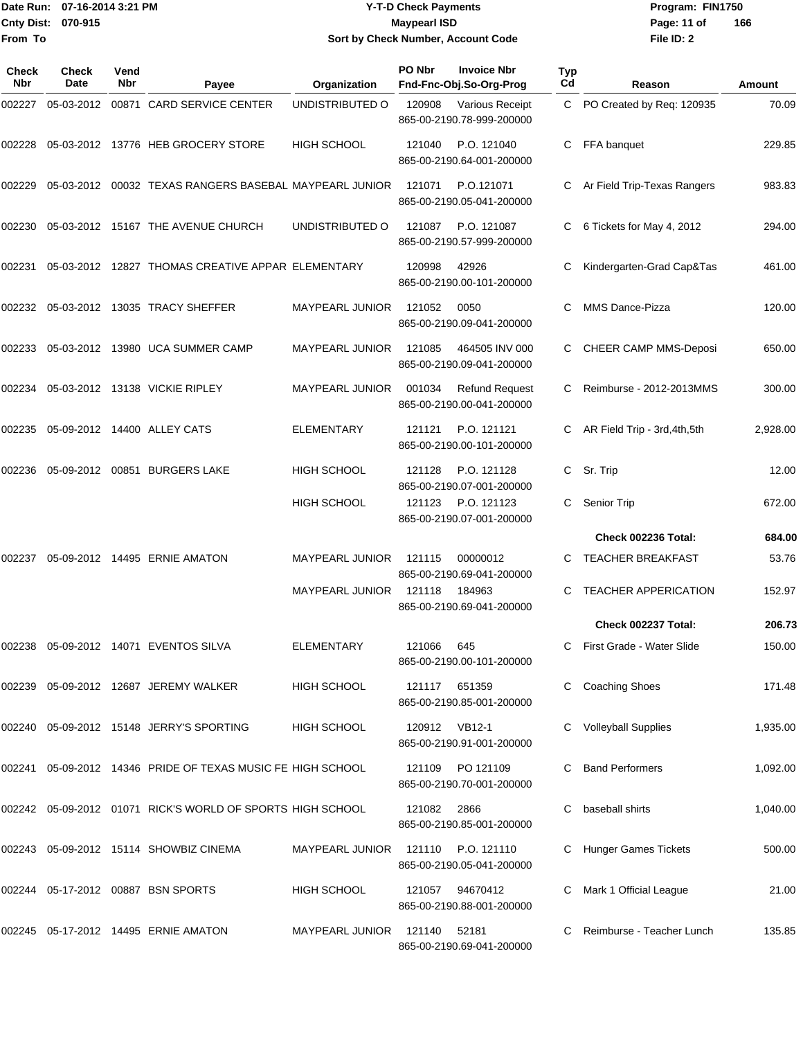#### Date Run: 07-16-2014 3:21 PM **Program:** FIN1750 **Cnty Dist:** 070-915 **Page: 11 of** Maypearl ISD **CONTEX Page: 11 of** Maypearl ISD **Y-T-D Check Payments 070-915 Maypearl ISD Sort by Check Number, Account Code**

| Check<br>Nbr | Check<br>Date | Vend<br><b>Nbr</b> | Payee                                                       | Organization           | PO Nbr        | <b>Invoice Nbr</b><br>Fnd-Fnc-Obj.So-Org-Prog      | Typ<br>Cd | Reason                        | Amount   |
|--------------|---------------|--------------------|-------------------------------------------------------------|------------------------|---------------|----------------------------------------------------|-----------|-------------------------------|----------|
| 002227       |               |                    | 05-03-2012  00871  CARD SERVICE CENTER                      | UNDISTRIBUTED O        | 120908        | Various Receipt<br>865-00-2190.78-999-200000       |           | C PO Created by Req: 120935   | 70.09    |
| 002228       |               |                    | 05-03-2012 13776 HEB GROCERY STORE                          | <b>HIGH SCHOOL</b>     | 121040        | P.O. 121040<br>865-00-2190.64-001-200000           |           | FFA banquet                   | 229.85   |
| 002229       |               |                    | 05-03-2012  00032  TEXAS RANGERS BASEBAL MAYPEARL JUNIOR    |                        | 121071        | P.O.121071<br>865-00-2190.05-041-200000            | C         | Ar Field Trip-Texas Rangers   | 983.83   |
| 002230       |               |                    | 05-03-2012 15167 THE AVENUE CHURCH                          | UNDISTRIBUTED O        | 121087        | P.O. 121087<br>865-00-2190.57-999-200000           | C         | 6 Tickets for May 4, 2012     | 294.00   |
| 002231       |               |                    | 05-03-2012 12827 THOMAS CREATIVE APPAR ELEMENTARY           |                        | 120998        | 42926<br>865-00-2190.00-101-200000                 |           | Kindergarten-Grad Cap&Tas     | 461.00   |
| 002232       |               |                    | 05-03-2012 13035 TRACY SHEFFER                              | MAYPEARL JUNIOR        | 121052        | 0050<br>865-00-2190.09-041-200000                  | C         | <b>MMS Dance-Pizza</b>        | 120.00   |
| 002233       |               |                    | 05-03-2012 13980 UCA SUMMER CAMP                            | <b>MAYPEARL JUNIOR</b> | 121085        | 464505 INV 000<br>865-00-2190.09-041-200000        | C         | <b>CHEER CAMP MMS-Deposi</b>  | 650.00   |
| 002234       |               |                    | 05-03-2012 13138 VICKIE RIPLEY                              | MAYPEARL JUNIOR        | 001034        | <b>Refund Request</b><br>865-00-2190.00-041-200000 |           | Reimburse - 2012-2013MMS      | 300.00   |
| 002235       |               |                    | 05-09-2012 14400 ALLEY CATS                                 | <b>ELEMENTARY</b>      | 121121        | P.O. 121121<br>865-00-2190.00-101-200000           |           | AR Field Trip - 3rd, 4th, 5th | 2,928.00 |
| 002236       |               |                    | 05-09-2012 00851 BURGERS LAKE                               | <b>HIGH SCHOOL</b>     | 121128        | P.O. 121128<br>865-00-2190.07-001-200000           | C         | Sr. Trip                      | 12.00    |
|              |               |                    |                                                             | <b>HIGH SCHOOL</b>     | 121123        | P.O. 121123<br>865-00-2190.07-001-200000           |           | Senior Trip                   | 672.00   |
|              |               |                    |                                                             |                        |               |                                                    |           | Check 002236 Total:           | 684.00   |
| 002237       |               |                    | 05-09-2012 14495 ERNIE AMATON                               | MAYPEARL JUNIOR        | 121115        | 00000012<br>865-00-2190.69-041-200000              |           | <b>TEACHER BREAKFAST</b>      | 53.76    |
|              |               |                    |                                                             | MAYPEARL JUNIOR        | 121118        | 184963<br>865-00-2190.69-041-200000                | C         | TEACHER APPERICATION          | 152.97   |
|              |               |                    |                                                             |                        |               |                                                    |           | Check 002237 Total:           | 206.73   |
|              |               |                    | 002238 05-09-2012 14071 EVENTOS SILVA                       | <b>ELEMENTARY</b>      | 121066 645    | 865-00-2190.00-101-200000                          |           | C First Grade - Water Slide   | 150.00   |
|              |               |                    | 002239  05-09-2012  12687  JEREMY WALKER                    | HIGH SCHOOL            | 121117 651359 | 865-00-2190.85-001-200000                          |           | <b>Coaching Shoes</b>         | 171.48   |
|              |               |                    | 002240 05-09-2012 15148 JERRY'S SPORTING                    | HIGH SCHOOL            | 120912 VB12-1 | 865-00-2190.91-001-200000                          |           | <b>Volleyball Supplies</b>    | 1,935.00 |
|              |               |                    | 002241 05-09-2012 14346 PRIDE OF TEXAS MUSIC FE HIGH SCHOOL |                        |               | 121109 PO 121109<br>865-00-2190.70-001-200000      |           | <b>Band Performers</b>        | 1,092.00 |
|              |               |                    | 002242 05-09-2012 01071 RICK'S WORLD OF SPORTS HIGH SCHOOL  |                        | 121082        | 2866<br>865-00-2190.85-001-200000                  |           | baseball shirts               | 1,040.00 |
|              |               |                    |                                                             | MAYPEARL JUNIOR        |               | 121110 P.O. 121110<br>865-00-2190.05-041-200000    |           | C Hunger Games Tickets        | 500.00   |
|              |               |                    | 002244 05-17-2012 00887 BSN SPORTS                          | HIGH SCHOOL            | 121057        | 94670412<br>865-00-2190.88-001-200000              |           | Mark 1 Official League        | 21.00    |
|              |               |                    | 002245  05-17-2012  14495  ERNIE AMATON                     | <b>MAYPEARL JUNIOR</b> | 121140        | 52181<br>865-00-2190.69-041-200000                 |           | Reimburse - Teacher Lunch     | 135.85   |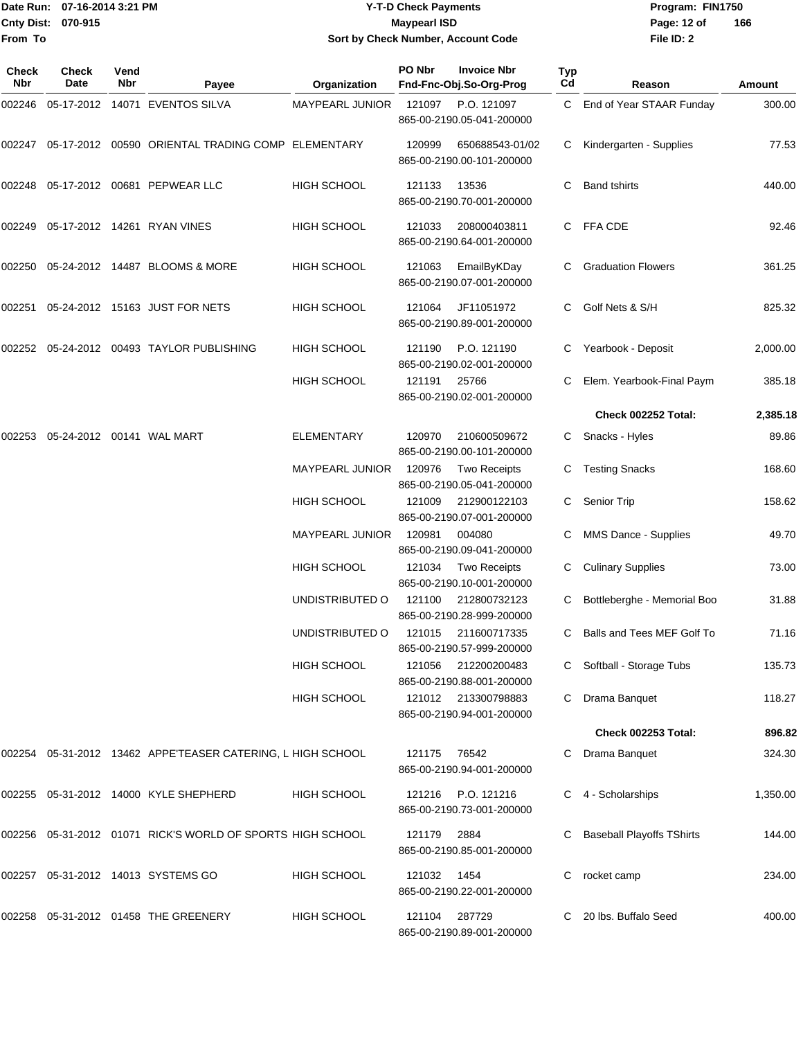#### Date Run: 07-16-2014 3:21 PM **Program:** FIN1750 **Cnty Dist:** 070-915 **Page: 12 of** Maypearl ISD **CONTEX 12 of** Maypearl ISD **Y-T-D Check Payments 070-915 Maypearl ISD Sort by Check Number, Account Code**

| Check<br><b>Nbr</b> | <b>Check</b><br>Date | Vend<br>Nbr | Payee                                                         | Organization       | PO Nbr        | <b>Invoice Nbr</b><br>Fnd-Fnc-Obj.So-Org-Prog    | <b>Typ</b><br>Cd | Reason                           | Amount   |
|---------------------|----------------------|-------------|---------------------------------------------------------------|--------------------|---------------|--------------------------------------------------|------------------|----------------------------------|----------|
| 002246              |                      |             | 05-17-2012 14071 EVENTOS SILVA                                | MAYPEARL JUNIOR    | 121097        | P.O. 121097<br>865-00-2190.05-041-200000         |                  | C End of Year STAAR Funday       | 300.00   |
| 002247              |                      |             | 05-17-2012 00590 ORIENTAL TRADING COMP ELEMENTARY             |                    | 120999        | 650688543-01/02<br>865-00-2190.00-101-200000     |                  | Kindergarten - Supplies          | 77.53    |
|                     |                      |             | 002248  05-17-2012  00681  PEPWEAR LLC                        | <b>HIGH SCHOOL</b> | 121133        | 13536<br>865-00-2190.70-001-200000               | C                | <b>Band tshirts</b>              | 440.00   |
| 002249              |                      |             | 05-17-2012 14261 RYAN VINES                                   | <b>HIGH SCHOOL</b> | 121033        | 208000403811<br>865-00-2190.64-001-200000        |                  | C FFA CDE                        | 92.46    |
| 002250              |                      |             | 05-24-2012 14487 BLOOMS & MORE                                | <b>HIGH SCHOOL</b> | 121063        | EmailByKDay<br>865-00-2190.07-001-200000         |                  | <b>Graduation Flowers</b>        | 361.25   |
| 002251              |                      |             | 05-24-2012 15163 JUST FOR NETS                                | <b>HIGH SCHOOL</b> | 121064        | JF11051972<br>865-00-2190.89-001-200000          | С                | Golf Nets & S/H                  | 825.32   |
| 002252              |                      |             | 05-24-2012 00493 TAYLOR PUBLISHING                            | <b>HIGH SCHOOL</b> | 121190        | P.O. 121190<br>865-00-2190.02-001-200000         | C                | Yearbook - Deposit               | 2,000.00 |
|                     |                      |             |                                                               | <b>HIGH SCHOOL</b> | 121191        | 25766<br>865-00-2190.02-001-200000               |                  | Elem. Yearbook-Final Paym        | 385.18   |
|                     |                      |             |                                                               |                    |               |                                                  |                  | Check 002252 Total:              | 2,385.18 |
| 002253              |                      |             | 05-24-2012 00141 WAL MART                                     | <b>ELEMENTARY</b>  | 120970        | 210600509672<br>865-00-2190.00-101-200000        | C                | Snacks - Hyles                   | 89.86    |
|                     |                      |             |                                                               | MAYPEARL JUNIOR    | 120976        | <b>Two Receipts</b><br>865-00-2190.05-041-200000 |                  | <b>Testing Snacks</b>            | 168.60   |
|                     |                      |             |                                                               | <b>HIGH SCHOOL</b> | 121009        | 212900122103<br>865-00-2190.07-001-200000        | C.               | <b>Senior Trip</b>               | 158.62   |
|                     |                      |             |                                                               | MAYPEARL JUNIOR    | 120981        | 004080<br>865-00-2190.09-041-200000              |                  | MMS Dance - Supplies             | 49.70    |
|                     |                      |             |                                                               | <b>HIGH SCHOOL</b> | 121034        | <b>Two Receipts</b><br>865-00-2190.10-001-200000 |                  | <b>Culinary Supplies</b>         | 73.00    |
|                     |                      |             |                                                               | UNDISTRIBUTED O    | 121100        | 212800732123<br>865-00-2190.28-999-200000        |                  | Bottleberghe - Memorial Boo      | 31.88    |
|                     |                      |             |                                                               | UNDISTRIBUTED O    | 121015        | 211600717335<br>865-00-2190.57-999-200000        | C                | Balls and Tees MEF Golf To       | 71.16    |
|                     |                      |             |                                                               | <b>HIGH SCHOOL</b> | 121056        | 212200200483<br>865-00-2190.88-001-200000        |                  | C Softball - Storage Tubs        | 135.73   |
|                     |                      |             |                                                               | <b>HIGH SCHOOL</b> |               | 121012 213300798883<br>865-00-2190.94-001-200000 | C.               | Drama Banquet                    | 118.27   |
|                     |                      |             |                                                               |                    |               |                                                  |                  | <b>Check 002253 Total:</b>       | 896.82   |
|                     |                      |             | 002254 05-31-2012 13462   APPE'TEASER CATERING, L HIGH SCHOOL |                    | 121175        | 76542<br>865-00-2190.94-001-200000               |                  | Drama Banquet                    | 324.30   |
|                     |                      |             | 002255 05-31-2012 14000 KYLE SHEPHERD                         | <b>HIGH SCHOOL</b> | 121216        | P.O. 121216<br>865-00-2190.73-001-200000         |                  | 4 - Scholarships                 | 1,350.00 |
|                     |                      |             | 002256 05-31-2012 01071 RICK'S WORLD OF SPORTS HIGH SCHOOL    |                    | 121179        | 2884<br>865-00-2190.85-001-200000                |                  | <b>Baseball Playoffs TShirts</b> | 144.00   |
|                     |                      |             | 002257 05-31-2012 14013 SYSTEMS GO                            | <b>HIGH SCHOOL</b> | 121032        | 1454<br>865-00-2190.22-001-200000                | С                | rocket camp                      | 234.00   |
|                     |                      |             | 002258  05-31-2012  01458  THE GREENERY                       | <b>HIGH SCHOOL</b> | 121104 287729 | 865-00-2190.89-001-200000                        |                  | 20 lbs. Buffalo Seed             | 400.00   |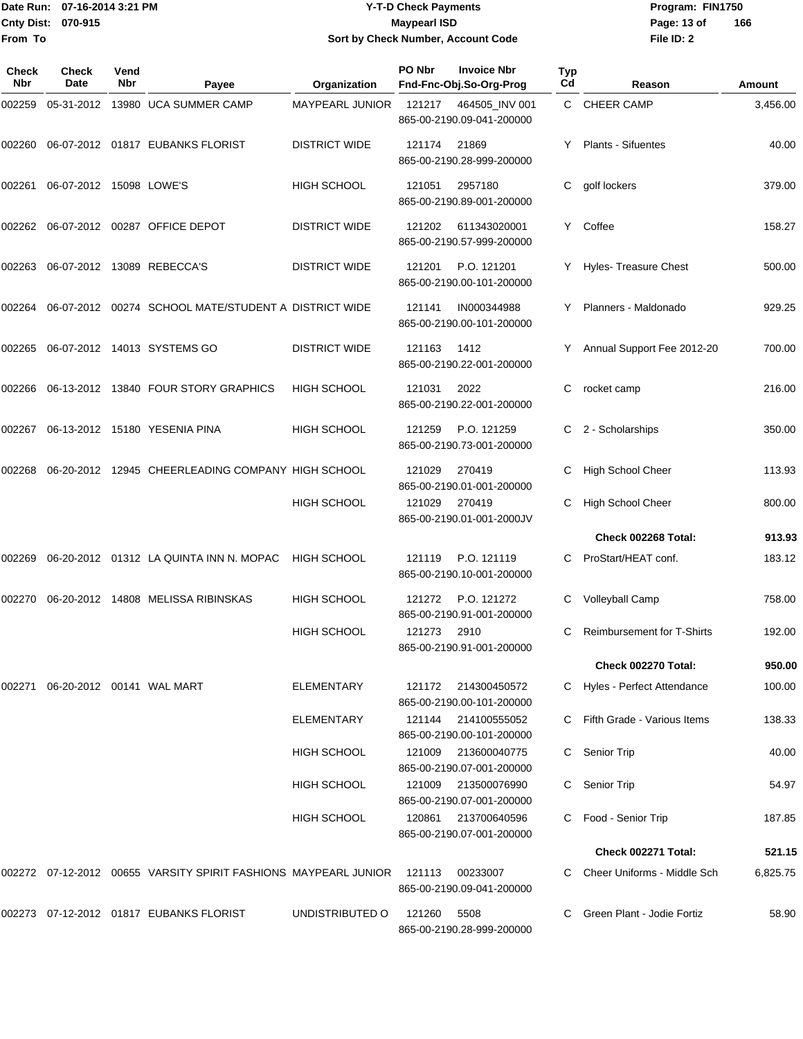#### Date Run: 07-16-2014 3:21 PM **Program:** FIN1750 **Cnty Dist:** 070-915 **Page: 13 of** Maypearl ISD **CONTEX 13 OF** Page: 13 of **Y-T-D Check Payments 070-915 Maypearl ISD Sort by Check Number, Account Code**

| Check<br>Nbr | Check<br>Date           | Vend<br>Nbr | Payee                                                           | Organization           | PO Nbr | <b>Invoice Nbr</b><br>Fnd-Fnc-Obj.So-Org-Prog | Typ<br>Cd | Reason                            | Amount   |
|--------------|-------------------------|-------------|-----------------------------------------------------------------|------------------------|--------|-----------------------------------------------|-----------|-----------------------------------|----------|
| 002259       |                         |             | 05-31-2012 13980 UCA SUMMER CAMP                                | <b>MAYPEARL JUNIOR</b> | 121217 | 464505_INV 001<br>865-00-2190.09-041-200000   |           | C CHEER CAMP                      | 3,456.00 |
| 002260       |                         |             | 06-07-2012 01817 EUBANKS FLORIST                                | <b>DISTRICT WIDE</b>   | 121174 | 21869<br>865-00-2190.28-999-200000            |           | <b>Plants - Sifuentes</b>         | 40.00    |
| 002261       | 06-07-2012 15098 LOWE'S |             |                                                                 | <b>HIGH SCHOOL</b>     | 121051 | 2957180<br>865-00-2190.89-001-200000          | С         | golf lockers                      | 379.00   |
|              |                         |             | 002262 06-07-2012 00287 OFFICE DEPOT                            | <b>DISTRICT WIDE</b>   | 121202 | 611343020001<br>865-00-2190.57-999-200000     |           | Y Coffee                          | 158.27   |
| 002263       |                         |             | 06-07-2012 13089 REBECCA'S                                      | <b>DISTRICT WIDE</b>   | 121201 | P.O. 121201<br>865-00-2190.00-101-200000      |           | Y Hyles- Treasure Chest           | 500.00   |
| 002264       |                         |             | 06-07-2012 00274 SCHOOL MATE/STUDENT A DISTRICT WIDE            |                        | 121141 | IN000344988<br>865-00-2190.00-101-200000      | Y         | Planners - Maldonado              | 929.25   |
| 002265       |                         |             | 06-07-2012 14013 SYSTEMS GO                                     | <b>DISTRICT WIDE</b>   | 121163 | 1412<br>865-00-2190.22-001-200000             |           | Annual Support Fee 2012-20        | 700.00   |
| 002266       |                         |             | 06-13-2012 13840 FOUR STORY GRAPHICS                            | <b>HIGH SCHOOL</b>     | 121031 | 2022<br>865-00-2190.22-001-200000             | С         | rocket camp                       | 216.00   |
| 002267       |                         |             | 06-13-2012 15180 YESENIA PINA                                   | <b>HIGH SCHOOL</b>     | 121259 | P.O. 121259<br>865-00-2190.73-001-200000      | С         | 2 - Scholarships                  | 350.00   |
| 002268       |                         |             | 06-20-2012 12945 CHEERLEADING COMPANY HIGH SCHOOL               |                        | 121029 | 270419<br>865-00-2190.01-001-200000           |           | High School Cheer                 | 113.93   |
|              |                         |             |                                                                 | <b>HIGH SCHOOL</b>     | 121029 | 270419<br>865-00-2190.01-001-2000JV           | C.        | High School Cheer                 | 800.00   |
|              |                         |             |                                                                 |                        |        |                                               |           | Check 002268 Total:               | 913.93   |
| 002269       |                         |             | 06-20-2012 01312 LA QUINTA INN N. MOPAC                         | <b>HIGH SCHOOL</b>     | 121119 | P.O. 121119<br>865-00-2190.10-001-200000      | C.        | ProStart/HEAT conf.               | 183.12   |
| 002270       |                         |             | 06-20-2012 14808 MELISSA RIBINSKAS                              | <b>HIGH SCHOOL</b>     | 121272 | P.O. 121272<br>865-00-2190.91-001-200000      | С         | Volleyball Camp                   | 758.00   |
|              |                         |             |                                                                 | <b>HIGH SCHOOL</b>     | 121273 | 2910<br>865-00-2190.91-001-200000             |           | <b>Reimbursement for T-Shirts</b> | 192.00   |
|              |                         |             |                                                                 |                        |        |                                               |           | <b>Check 002270 Total:</b>        | 950.00   |
| 002271       |                         |             | 06-20-2012 00141 WAL MART                                       | <b>ELEMENTARY</b>      | 121172 | 214300450572<br>865-00-2190.00-101-200000     |           | C Hyles - Perfect Attendance      | 100.00   |
|              |                         |             |                                                                 | ELEMENTARY             | 121144 | 214100555052<br>865-00-2190.00-101-200000     |           | Fifth Grade - Various Items       | 138.33   |
|              |                         |             |                                                                 | HIGH SCHOOL            | 121009 | 213600040775<br>865-00-2190.07-001-200000     | C         | Senior Trip                       | 40.00    |
|              |                         |             |                                                                 | HIGH SCHOOL            | 121009 | 213500076990<br>865-00-2190.07-001-200000     |           | <b>Senior Trip</b>                | 54.97    |
|              |                         |             |                                                                 | HIGH SCHOOL            | 120861 | 213700640596<br>865-00-2190.07-001-200000     | C         | Food - Senior Trip                | 187.85   |
|              |                         |             |                                                                 |                        |        |                                               |           | Check 002271 Total:               | 521.15   |
|              |                         |             | 002272 07-12-2012 00655 VARSITY SPIRIT FASHIONS MAYPEARL JUNIOR |                        | 121113 | 00233007<br>865-00-2190.09-041-200000         |           | Cheer Uniforms - Middle Sch       | 6,825.75 |
|              |                         |             | 002273 07-12-2012 01817 EUBANKS FLORIST                         | UNDISTRIBUTED O        | 121260 | 5508<br>865-00-2190.28-999-200000             |           | Green Plant - Jodie Fortiz        | 58.90    |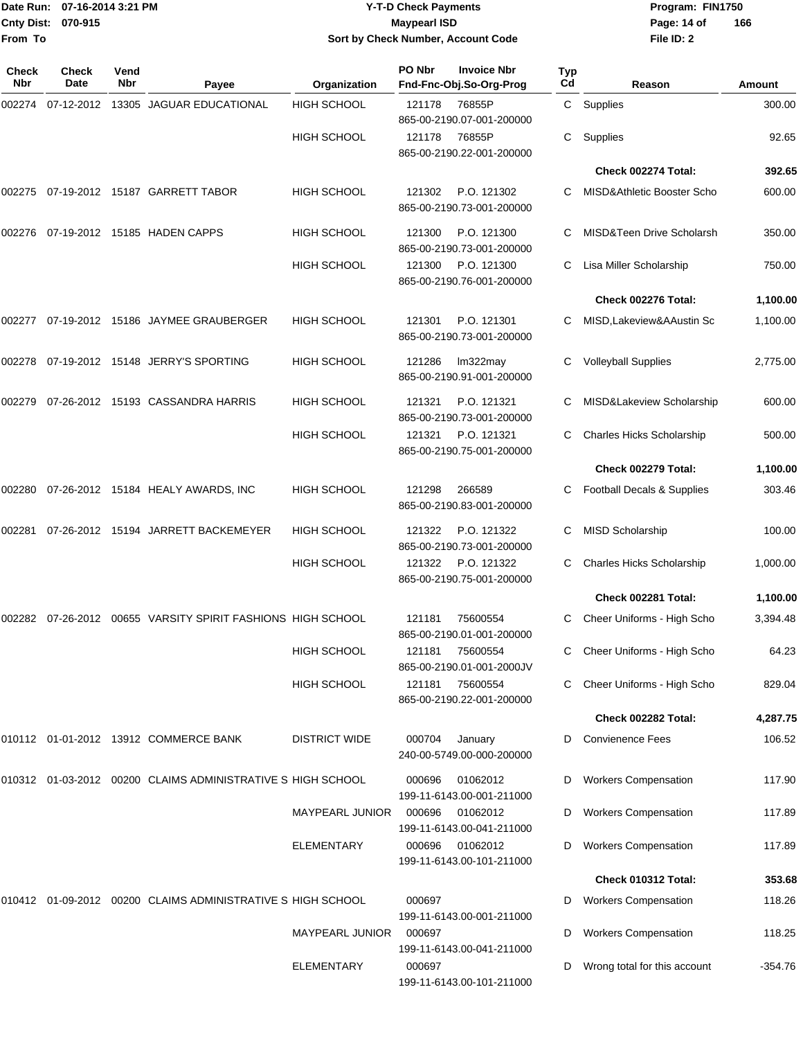#### Date Run: 07-16-2014 3:21 PM **Program:** FIN1750 **Cnty Dist:** 070-915 **Page: 14 of** Maypearl ISD **CONTEX 150 Page: 14 of Y-T-D Check Payments 070-915 Maypearl ISD Sort by Check Number, Account Code**

| <b>Check</b><br>Nbr | Check<br>Date | Vend<br>Nbr | Payee                                                          | Organization           | PO Nbr | <b>Invoice Nbr</b><br>Fnd-Fnc-Obj.So-Org-Prog | Typ<br>Cd | Reason                                | Amount    |
|---------------------|---------------|-------------|----------------------------------------------------------------|------------------------|--------|-----------------------------------------------|-----------|---------------------------------------|-----------|
| 002274              |               |             | 07-12-2012 13305 JAGUAR EDUCATIONAL                            | <b>HIGH SCHOOL</b>     | 121178 | 76855P<br>865-00-2190.07-001-200000           |           | C Supplies                            | 300.00    |
|                     |               |             |                                                                | <b>HIGH SCHOOL</b>     | 121178 | 76855P<br>865-00-2190.22-001-200000           | С         | Supplies                              | 92.65     |
|                     |               |             |                                                                |                        |        |                                               |           | Check 002274 Total:                   | 392.65    |
| 002275              |               |             | 07-19-2012 15187 GARRETT TABOR                                 | HIGH SCHOOL            | 121302 | P.O. 121302<br>865-00-2190.73-001-200000      | С         | MISD&Athletic Booster Scho            | 600.00    |
| 002276              |               |             | 07-19-2012 15185 HADEN CAPPS                                   | HIGH SCHOOL            | 121300 | P.O. 121300<br>865-00-2190.73-001-200000      |           | <b>MISD&amp;Teen Drive Scholarsh</b>  | 350.00    |
|                     |               |             |                                                                | HIGH SCHOOL            | 121300 | P.O. 121300<br>865-00-2190.76-001-200000      |           | Lisa Miller Scholarship               | 750.00    |
|                     |               |             |                                                                |                        |        |                                               |           | Check 002276 Total:                   | 1,100.00  |
| 002277              |               |             | 07-19-2012 15186 JAYMEE GRAUBERGER                             | <b>HIGH SCHOOL</b>     | 121301 | P.O. 121301<br>865-00-2190.73-001-200000      |           | MISD, Lakeview & AAustin Sc           | 1,100.00  |
| 002278              |               |             | 07-19-2012 15148 JERRY'S SPORTING                              | HIGH SCHOOL            | 121286 | lm322may<br>865-00-2190.91-001-200000         | С         | <b>Volleyball Supplies</b>            | 2,775.00  |
| 002279              |               |             | 07-26-2012 15193 CASSANDRA HARRIS                              | HIGH SCHOOL            | 121321 | P.O. 121321<br>865-00-2190.73-001-200000      |           | MISD&Lakeview Scholarship             | 600.00    |
|                     |               |             |                                                                | HIGH SCHOOL            | 121321 | P.O. 121321<br>865-00-2190.75-001-200000      | С         | <b>Charles Hicks Scholarship</b>      | 500.00    |
|                     |               |             |                                                                |                        |        |                                               |           | <b>Check 002279 Total:</b>            | 1,100.00  |
| 002280              |               |             | 07-26-2012 15184 HEALY AWARDS, INC                             | HIGH SCHOOL            | 121298 | 266589<br>865-00-2190.83-001-200000           | C         | <b>Football Decals &amp; Supplies</b> | 303.46    |
| 002281              |               |             | 07-26-2012 15194 JARRETT BACKEMEYER                            | <b>HIGH SCHOOL</b>     | 121322 | P.O. 121322<br>865-00-2190.73-001-200000      | С         | <b>MISD Scholarship</b>               | 100.00    |
|                     |               |             |                                                                | HIGH SCHOOL            | 121322 | P.O. 121322<br>865-00-2190.75-001-200000      |           | <b>Charles Hicks Scholarship</b>      | 1,000.00  |
|                     |               |             |                                                                |                        |        |                                               |           | Check 002281 Total:                   | 1,100.00  |
| 002282              |               |             | 07-26-2012 00655 VARSITY SPIRIT FASHIONS HIGH SCHOOL           |                        | 121181 | 75600554<br>865-00-2190.01-001-200000         | С         | Cheer Uniforms - High Scho            | 3,394.48  |
|                     |               |             |                                                                | <b>HIGH SCHOOL</b>     | 121181 | 75600554<br>865-00-2190.01-001-2000JV         |           | C Cheer Uniforms - High Scho          | 64.23     |
|                     |               |             |                                                                | HIGH SCHOOL            | 121181 | 75600554<br>865-00-2190.22-001-200000         | C         | Cheer Uniforms - High Scho            | 829.04    |
|                     |               |             |                                                                |                        |        |                                               |           | Check 002282 Total:                   | 4,287.75  |
|                     |               |             | 010112 01-01-2012 13912 COMMERCE BANK                          | <b>DISTRICT WIDE</b>   | 000704 | January<br>240-00-5749.00-000-200000          | D         | <b>Convienence Fees</b>               | 106.52    |
|                     |               |             | 010312 01-03-2012 00200 CLAIMS ADMINISTRATIVE S HIGH SCHOOL    |                        | 000696 | 01062012<br>199-11-6143.00-001-211000         | D         | <b>Workers Compensation</b>           | 117.90    |
|                     |               |             |                                                                | <b>MAYPEARL JUNIOR</b> | 000696 | 01062012<br>199-11-6143.00-041-211000         | D         | <b>Workers Compensation</b>           | 117.89    |
|                     |               |             |                                                                | <b>ELEMENTARY</b>      | 000696 | 01062012<br>199-11-6143.00-101-211000         | D         | <b>Workers Compensation</b>           | 117.89    |
|                     |               |             |                                                                |                        |        |                                               |           | Check 010312 Total:                   | 353.68    |
|                     |               |             | 010412  01-09-2012  00200  CLAIMS ADMINISTRATIVE S HIGH SCHOOL |                        | 000697 | 199-11-6143.00-001-211000                     | D         | <b>Workers Compensation</b>           | 118.26    |
|                     |               |             |                                                                | MAYPEARL JUNIOR        | 000697 | 199-11-6143.00-041-211000                     | D         | <b>Workers Compensation</b>           | 118.25    |
|                     |               |             |                                                                | <b>ELEMENTARY</b>      | 000697 | 199-11-6143.00-101-211000                     | D         | Wrong total for this account          | $-354.76$ |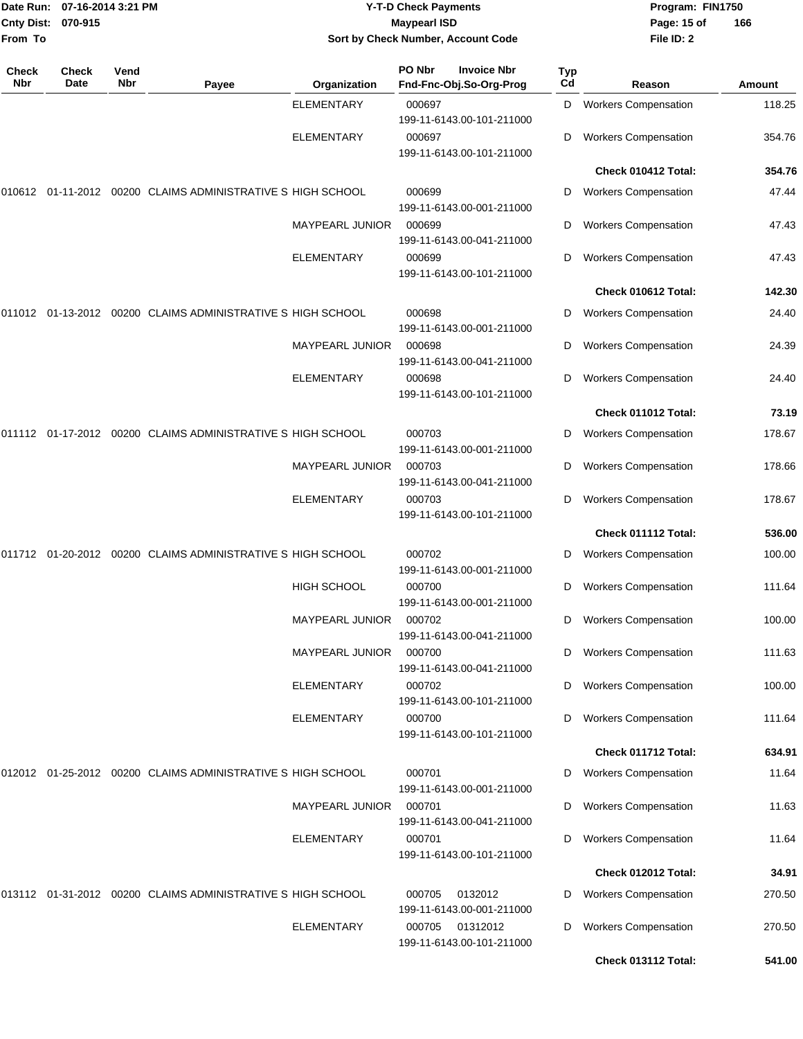| Date Run:<br><b>Cnty Dist:</b><br>From To | 07-16-2014 3:21 PM<br>070-915 |             |                                                             |                        | <b>Y-T-D Check Payments</b><br><b>Maypearl ISD</b><br>Sort by Check Number, Account Code |           | Program: FIN1750<br>Page: 15 of<br>File ID: 2 | 166    |
|-------------------------------------------|-------------------------------|-------------|-------------------------------------------------------------|------------------------|------------------------------------------------------------------------------------------|-----------|-----------------------------------------------|--------|
| <b>Check</b><br>Nbr                       | Check<br>Date                 | Vend<br>Nbr | Payee                                                       | Organization           | PO Nbr<br><b>Invoice Nbr</b><br>Fnd-Fnc-Obj.So-Org-Prog                                  | Typ<br>Cd | Reason                                        | Amount |
|                                           |                               |             |                                                             | <b>ELEMENTARY</b>      | 000697<br>199-11-6143.00-101-211000                                                      | D         | <b>Workers Compensation</b>                   | 118.25 |
|                                           |                               |             |                                                             | <b>ELEMENTARY</b>      | 000697<br>199-11-6143.00-101-211000                                                      | D         | <b>Workers Compensation</b>                   | 354.76 |
|                                           |                               |             |                                                             |                        |                                                                                          |           | Check 010412 Total:                           | 354.76 |
|                                           |                               |             | 010612 01-11-2012 00200 CLAIMS ADMINISTRATIVE S HIGH SCHOOL |                        | 000699<br>199-11-6143.00-001-211000                                                      | D         | <b>Workers Compensation</b>                   | 47.44  |
|                                           |                               |             |                                                             | MAYPEARL JUNIOR        | 000699<br>199-11-6143.00-041-211000                                                      | D         | <b>Workers Compensation</b>                   | 47.43  |
|                                           |                               |             |                                                             | <b>ELEMENTARY</b>      | 000699<br>199-11-6143.00-101-211000                                                      | D         | <b>Workers Compensation</b>                   | 47.43  |
|                                           |                               |             |                                                             |                        |                                                                                          |           | Check 010612 Total:                           | 142.30 |
|                                           |                               |             | 011012 01-13-2012 00200 CLAIMS ADMINISTRATIVE S HIGH SCHOOL |                        | 000698<br>199-11-6143.00-001-211000                                                      | D         | <b>Workers Compensation</b>                   | 24.40  |
|                                           |                               |             |                                                             | <b>MAYPEARL JUNIOR</b> | 000698<br>199-11-6143.00-041-211000                                                      | D         | <b>Workers Compensation</b>                   | 24.39  |
|                                           |                               |             |                                                             | ELEMENTARY             | 000698<br>199-11-6143.00-101-211000                                                      | D         | <b>Workers Compensation</b>                   | 24.40  |
|                                           |                               |             |                                                             |                        |                                                                                          |           | Check 011012 Total:                           | 73.19  |
|                                           |                               |             | 011112 01-17-2012 00200 CLAIMS ADMINISTRATIVE S HIGH SCHOOL |                        | 000703<br>199-11-6143.00-001-211000                                                      | D         | <b>Workers Compensation</b>                   | 178.67 |
|                                           |                               |             |                                                             | MAYPEARL JUNIOR        | 000703<br>199-11-6143.00-041-211000                                                      | D         | <b>Workers Compensation</b>                   | 178.66 |
|                                           |                               |             |                                                             | <b>ELEMENTARY</b>      | 000703<br>199-11-6143.00-101-211000                                                      | D         | <b>Workers Compensation</b>                   | 178.67 |
|                                           |                               |             |                                                             |                        |                                                                                          |           | Check 011112 Total:                           | 536.00 |
|                                           |                               |             | 011712 01-20-2012 00200 CLAIMS ADMINISTRATIVE S HIGH SCHOOL |                        | 000702<br>199-11-6143.00-001-211000                                                      | D         | <b>Workers Compensation</b>                   | 100.00 |
|                                           |                               |             |                                                             | HIGH SCHOOL            | 000700<br>199-11-6143.00-001-211000                                                      | D         | <b>Workers Compensation</b>                   | 111.64 |
|                                           |                               |             |                                                             | MAYPEARL JUNIOR        | 000702<br>199-11-6143.00-041-211000                                                      | D         | <b>Workers Compensation</b>                   | 100.00 |
|                                           |                               |             |                                                             | MAYPEARL JUNIOR        | 000700<br>199-11-6143.00-041-211000                                                      | D         | <b>Workers Compensation</b>                   | 111.63 |
|                                           |                               |             |                                                             | <b>ELEMENTARY</b>      | 000702<br>199-11-6143.00-101-211000                                                      | D         | <b>Workers Compensation</b>                   | 100.00 |
|                                           |                               |             |                                                             | <b>ELEMENTARY</b>      | 000700<br>199-11-6143.00-101-211000                                                      | D         | <b>Workers Compensation</b>                   | 111.64 |
|                                           |                               |             |                                                             |                        |                                                                                          |           | Check 011712 Total:                           | 634.91 |
|                                           |                               |             | 012012 01-25-2012 00200 CLAIMS ADMINISTRATIVE S HIGH SCHOOL |                        | 000701<br>199-11-6143.00-001-211000                                                      | D         | <b>Workers Compensation</b>                   | 11.64  |
|                                           |                               |             |                                                             | MAYPEARL JUNIOR        | 000701<br>199-11-6143.00-041-211000                                                      | D         | <b>Workers Compensation</b>                   | 11.63  |
|                                           |                               |             |                                                             | <b>ELEMENTARY</b>      | 000701<br>199-11-6143.00-101-211000                                                      | D         | <b>Workers Compensation</b>                   | 11.64  |
|                                           |                               |             |                                                             |                        |                                                                                          |           | Check 012012 Total:                           | 34.91  |
|                                           |                               |             | 013112 01-31-2012 00200 CLAIMS ADMINISTRATIVE S HIGH SCHOOL |                        | 000705<br>0132012<br>199-11-6143.00-001-211000                                           | D         | <b>Workers Compensation</b>                   | 270.50 |
|                                           |                               |             |                                                             | <b>ELEMENTARY</b>      | 000705<br>01312012<br>199-11-6143.00-101-211000                                          | D         | <b>Workers Compensation</b>                   | 270.50 |
|                                           |                               |             |                                                             |                        |                                                                                          |           | Check 013112 Total:                           | 541.00 |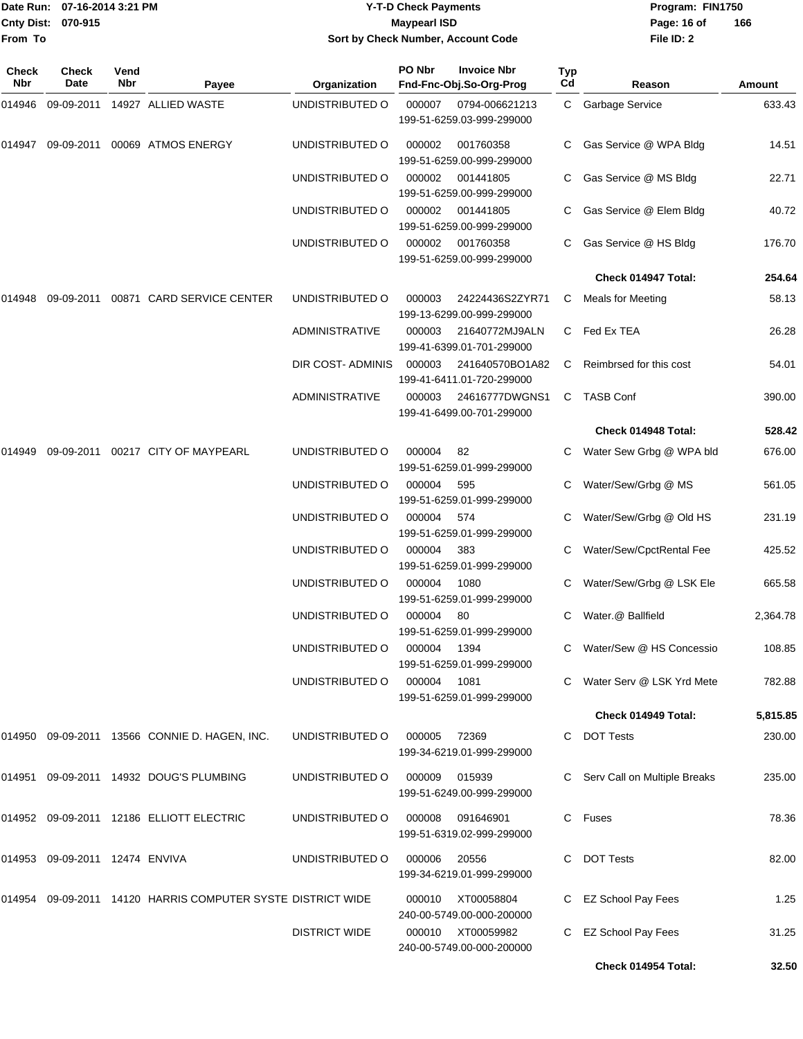|              | Date Run: 07-16-2014 3:21 PM   |             |                                                             |                       | <b>Y-T-D Check Payments</b> |                                                |                  | Program: FIN1750               |          |
|--------------|--------------------------------|-------------|-------------------------------------------------------------|-----------------------|-----------------------------|------------------------------------------------|------------------|--------------------------------|----------|
|              | Cnty Dist: 070-915             |             |                                                             |                       | <b>Maypearl ISD</b>         |                                                |                  | Page: 16 of                    | 166      |
| From To      |                                |             |                                                             |                       |                             | Sort by Check Number, Account Code             |                  | File ID: 2                     |          |
| Check<br>Nbr | Check<br>Date                  | Vend<br>Nbr | Payee                                                       | Organization          | PO Nbr                      | <b>Invoice Nbr</b><br>Fnd-Fnc-Obj.So-Org-Prog  | <b>Typ</b><br>Cd | Reason                         | Amount   |
| 014946       | 09-09-2011                     |             | 14927 ALLIED WASTE                                          | UNDISTRIBUTED O       | 000007                      | 0794-006621213<br>199-51-6259.03-999-299000    | C.               | <b>Garbage Service</b>         | 633.43   |
| 014947       |                                |             | 09-09-2011 00069 ATMOS ENERGY                               | UNDISTRIBUTED O       | 000002                      | 001760358<br>199-51-6259.00-999-299000         | C                | Gas Service @ WPA Bldg         | 14.51    |
|              |                                |             |                                                             | UNDISTRIBUTED O       | 000002                      | 001441805<br>199-51-6259.00-999-299000         |                  | Gas Service @ MS Bldg          | 22.71    |
|              |                                |             |                                                             | UNDISTRIBUTED O       | 000002                      | 001441805<br>199-51-6259.00-999-299000         |                  | Gas Service @ Elem Bldg        | 40.72    |
|              |                                |             |                                                             | UNDISTRIBUTED O       | 000002                      | 001760358<br>199-51-6259.00-999-299000         | C.               | Gas Service @ HS Bldg          | 176.70   |
|              |                                |             |                                                             |                       |                             |                                                |                  | Check 014947 Total:            | 254.64   |
| 014948       |                                |             | 09-09-2011  00871  CARD SERVICE CENTER                      | UNDISTRIBUTED O       | 000003                      | 24224436S2ZYR71<br>199-13-6299.00-999-299000   | C                | <b>Meals for Meeting</b>       | 58.13    |
|              |                                |             |                                                             | <b>ADMINISTRATIVE</b> | 000003                      | 21640772MJ9ALN<br>199-41-6399.01-701-299000    |                  | C Fed Ex TEA                   | 26.28    |
|              |                                |             |                                                             | DIR COST- ADMINIS     | 000003                      | 241640570BO1A82<br>199-41-6411.01-720-299000   | C                | Reimbrsed for this cost        | 54.01    |
|              |                                |             |                                                             | ADMINISTRATIVE        | 000003                      | 24616777DWGNS1<br>199-41-6499.00-701-299000    | C                | <b>TASB Conf</b>               | 390.00   |
|              |                                |             |                                                             |                       |                             |                                                |                  | Check 014948 Total:            | 528.42   |
| 014949       |                                |             | 09-09-2011  00217  CITY OF MAYPEARL                         | UNDISTRIBUTED O       | 000004                      | 82<br>199-51-6259.01-999-299000                | C.               | Water Sew Grbg @ WPA bld       | 676.00   |
|              |                                |             |                                                             | UNDISTRIBUTED O       | 000004                      | 595<br>199-51-6259.01-999-299000               |                  | Water/Sew/Grbg @ MS            | 561.05   |
|              |                                |             |                                                             | UNDISTRIBUTED O       | 000004                      | 574<br>199-51-6259.01-999-299000               |                  | Water/Sew/Grbg @ Old HS        | 231.19   |
|              |                                |             |                                                             | UNDISTRIBUTED O       | 000004                      | 383<br>199-51-6259.01-999-299000               | C                | Water/Sew/CpctRental Fee       | 425.52   |
|              |                                |             |                                                             | UNDISTRIBUTED O       | 000004 1080                 | 199-51-6259.01-999-299000                      |                  | C Water/Sew/Grbg @ LSK Ele     | 665.58   |
|              |                                |             |                                                             | UNDISTRIBUTED O       | 000004 80                   | 199-51-6259.01-999-299000                      |                  | C Water.@ Ballfield            | 2,364.78 |
|              |                                |             |                                                             | UNDISTRIBUTED O       | 000004 1394                 | 199-51-6259.01-999-299000                      |                  | C Water/Sew @ HS Concessio     | 108.85   |
|              |                                |             |                                                             | UNDISTRIBUTED O       | 000004  1081                | 199-51-6259.01-999-299000                      |                  | C Water Serv @ LSK Yrd Mete    | 782.88   |
|              |                                |             |                                                             |                       |                             |                                                |                  | Check 014949 Total:            | 5,815.85 |
|              |                                |             | 014950 09-09-2011 13566 CONNIE D. HAGEN, INC.               | UNDISTRIBUTED O       | 000005                      | 72369<br>199-34-6219.01-999-299000             |                  | C DOT Tests                    | 230.00   |
|              |                                |             | 014951 09-09-2011 14932 DOUG'S PLUMBING                     | UNDISTRIBUTED O       | 000009                      | 015939<br>199-51-6249.00-999-299000            |                  | C Serv Call on Multiple Breaks | 235.00   |
|              |                                |             | 014952 09-09-2011 12186 ELLIOTT ELECTRIC                    | UNDISTRIBUTED O       | 000008                      | 091646901<br>199-51-6319.02-999-299000         |                  | C Fuses                        | 78.36    |
|              | 014953 09-09-2011 12474 ENVIVA |             |                                                             | UNDISTRIBUTED O       | 000006                      | 20556<br>199-34-6219.01-999-299000             |                  | C DOT Tests                    | 82.00    |
|              |                                |             | 014954 09-09-2011 14120 HARRIS COMPUTER SYSTE DISTRICT WIDE |                       | 000010                      | XT00058804<br>240-00-5749.00-000-200000        |                  | C EZ School Pay Fees           | 1.25     |
|              |                                |             |                                                             | <b>DISTRICT WIDE</b>  |                             | 000010 XT00059982<br>240-00-5749.00-000-200000 |                  | C EZ School Pay Fees           | 31.25    |

**Check 014954 Total: 32.50**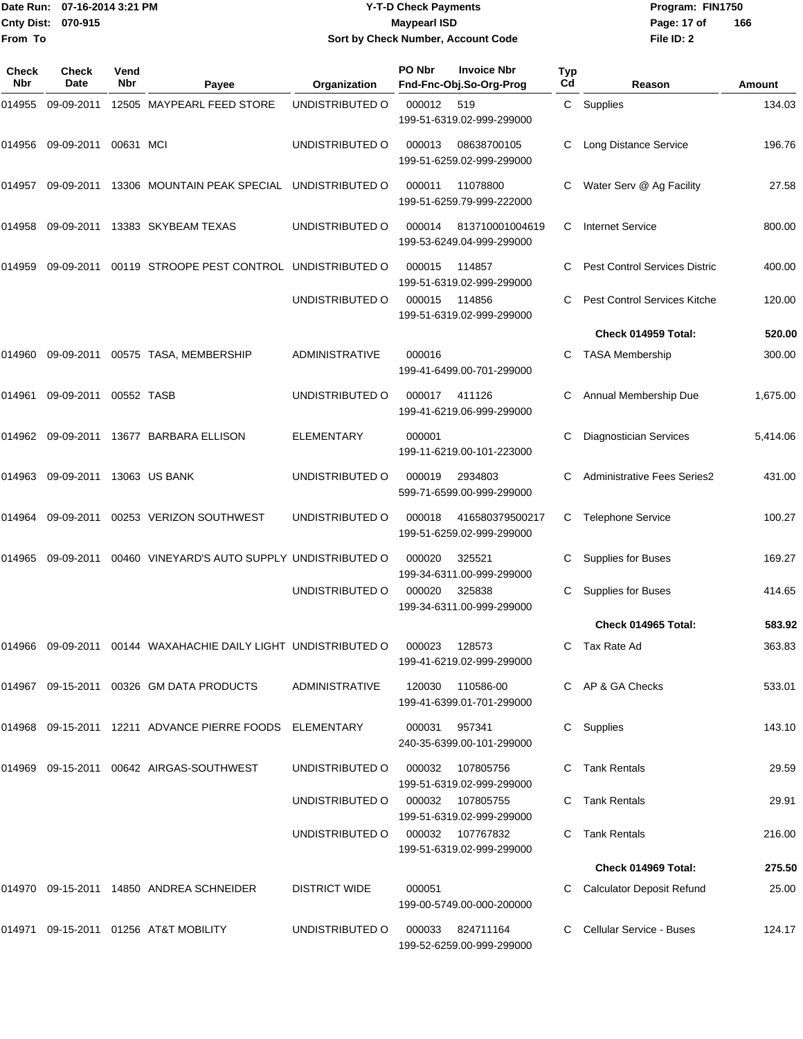|                           | Date Run: 07-16-2014 3:21 PM | <b>Y-T-D Check Payments</b>        | Program: FIN1750 |     |
|---------------------------|------------------------------|------------------------------------|------------------|-----|
| <b>Cnty Dist: 070-915</b> |                              | <b>Maypearl ISD</b>                | Page: 17 of      | 166 |
| From To                   |                              | Sort by Check Number, Account Code | File ID: 2       |     |

| <b>Check</b> | Check      | Vend       |                                                         |                       | PO Nbr | <b>Invoice Nbr</b>                            | <b>Typ</b>   |                                      |          |
|--------------|------------|------------|---------------------------------------------------------|-----------------------|--------|-----------------------------------------------|--------------|--------------------------------------|----------|
| Nbr          | Date       | Nbr        | Payee                                                   | Organization          |        | Fnd-Fnc-Obj.So-Org-Prog                       | Cd           | Reason                               | Amount   |
| 014955       | 09-09-2011 |            | 12505 MAYPEARL FEED STORE                               | UNDISTRIBUTED O       | 000012 | 519<br>199-51-6319.02-999-299000              | $\mathsf{C}$ | Supplies                             | 134.03   |
| 014956       | 09-09-2011 | 00631 MCI  |                                                         | UNDISTRIBUTED O       | 000013 | 08638700105<br>199-51-6259.02-999-299000      | С            | Long Distance Service                | 196.76   |
| 014957       | 09-09-2011 |            | 13306 MOUNTAIN PEAK SPECIAL                             | UNDISTRIBUTED O       | 000011 | 11078800<br>199-51-6259.79-999-222000         | C            | Water Serv @ Ag Facility             | 27.58    |
| 014958       | 09-09-2011 |            | 13383 SKYBEAM TEXAS                                     | UNDISTRIBUTED O       | 000014 | 813710001004619<br>199-53-6249.04-999-299000  | C            | <b>Internet Service</b>              | 800.00   |
| 014959       | 09-09-2011 |            | 00119 STROOPE PEST CONTROL UNDISTRIBUTED O              |                       | 000015 | 114857<br>199-51-6319.02-999-299000           |              | <b>Pest Control Services Distric</b> | 400.00   |
|              |            |            |                                                         | UNDISTRIBUTED O       | 000015 | 114856<br>199-51-6319.02-999-299000           | C            | Pest Control Services Kitche         | 120.00   |
|              |            |            |                                                         |                       |        |                                               |              | Check 014959 Total:                  | 520.00   |
| 014960       | 09-09-2011 |            | 00575 TASA, MEMBERSHIP                                  | <b>ADMINISTRATIVE</b> | 000016 | 199-41-6499.00-701-299000                     | C            | <b>TASA Membership</b>               | 300.00   |
| 014961       | 09-09-2011 | 00552 TASB |                                                         | UNDISTRIBUTED O       | 000017 | 411126<br>199-41-6219.06-999-299000           | C            | Annual Membership Due                | 1,675.00 |
| 014962       | 09-09-2011 |            | 13677 BARBARA ELLISON                                   | ELEMENTARY            | 000001 | 199-11-6219.00-101-223000                     |              | <b>Diagnostician Services</b>        | 5,414.06 |
| 014963       | 09-09-2011 |            | 13063 US BANK                                           | UNDISTRIBUTED O       | 000019 | 2934803<br>599-71-6599.00-999-299000          | C            | <b>Administrative Fees Series2</b>   | 431.00   |
| 014964       | 09-09-2011 |            | 00253 VERIZON SOUTHWEST                                 | UNDISTRIBUTED O       | 000018 | 416580379500217<br>199-51-6259.02-999-299000  | С            | <b>Telephone Service</b>             | 100.27   |
| 014965       | 09-09-2011 |            | 00460 VINEYARD'S AUTO SUPPLY UNDISTRIBUTED O            |                       | 000020 | 325521<br>199-34-6311.00-999-299000           | C            | Supplies for Buses                   | 169.27   |
|              |            |            |                                                         | UNDISTRIBUTED O       | 000020 | 325838<br>199-34-6311.00-999-299000           | С            | Supplies for Buses                   | 414.65   |
|              |            |            |                                                         |                       |        |                                               |              | Check 014965 Total:                  | 583.92   |
| 014966       | 09-09-2011 |            | 00144 WAXAHACHIE DAILY LIGHT UNDISTRIBUTED O            |                       | 000023 | 128573<br>199-41-6219.02-999-299000           | C            | Tax Rate Ad                          | 363.83   |
|              |            |            | 014967 09-15-2011 00326 GM DATA PRODUCTS                | <b>ADMINISTRATIVE</b> | 120030 | 110586-00<br>199-41-6399.01-701-299000        |              | C AP & GA Checks                     | 533.01   |
|              |            |            | 014968 09-15-2011 12211 ADVANCE PIERRE FOODS ELEMENTARY |                       | 000031 | 957341<br>240-35-6399.00-101-299000           |              | C Supplies                           | 143.10   |
|              |            |            | 014969  09-15-2011  00642  AIRGAS-SOUTHWEST             | UNDISTRIBUTED O       | 000032 | 107805756<br>199-51-6319.02-999-299000        |              | C Tank Rentals                       | 29.59    |
|              |            |            |                                                         | UNDISTRIBUTED O       |        | 000032 107805755<br>199-51-6319.02-999-299000 |              | C Tank Rentals                       | 29.91    |
|              |            |            |                                                         | UNDISTRIBUTED O       |        | 000032 107767832<br>199-51-6319.02-999-299000 |              | C Tank Rentals                       | 216.00   |
|              |            |            |                                                         |                       |        |                                               |              | Check 014969 Total:                  | 275.50   |
|              |            |            | 014970 09-15-2011 14850 ANDREA SCHNEIDER                | <b>DISTRICT WIDE</b>  | 000051 | 199-00-5749.00-000-200000                     |              | <b>Calculator Deposit Refund</b>     | 25.00    |
|              |            |            | 014971 09-15-2011 01256 AT&T MOBILITY                   | UNDISTRIBUTED O       | 000033 | 824711164                                     |              | C Cellular Service - Buses           | 124.17   |

199-52-6259.00-999-299000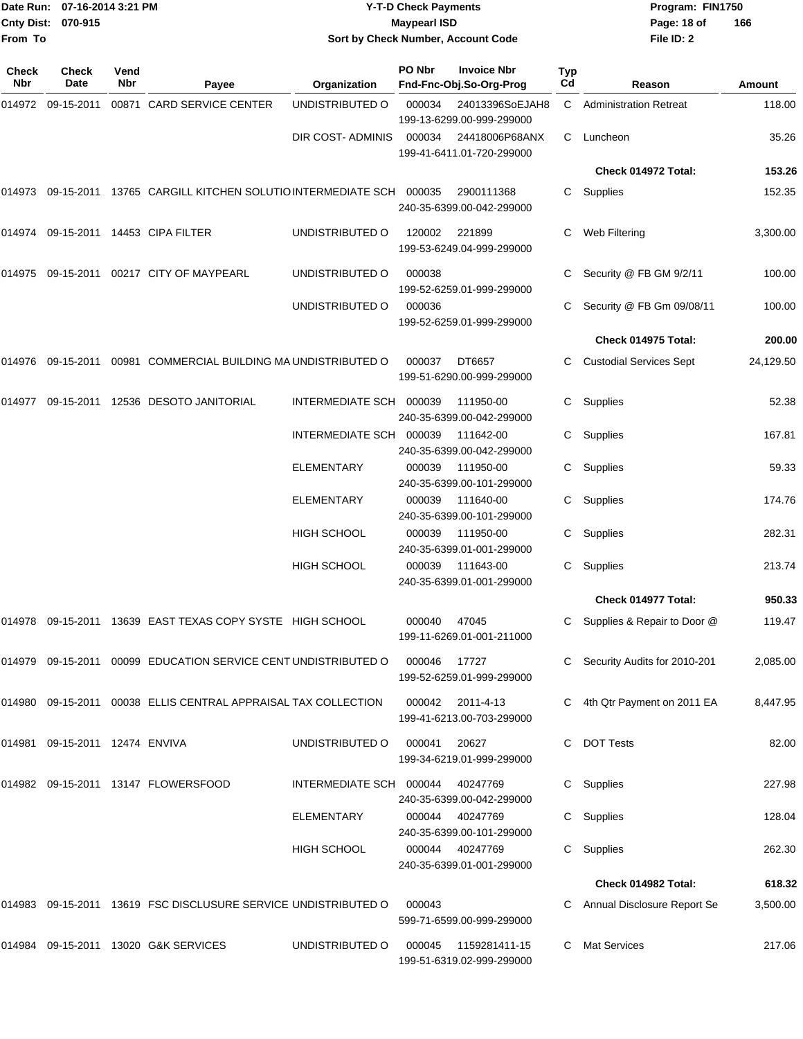| From To             | Date Run: 07-16-2014 3:21 PM<br>Cnty Dist: 070-915 |                    |                                                                  | <b>Y-T-D Check Payments</b><br><b>Maypearl ISD</b><br>Sort by Check Number, Account Code |        |                                               |           | Program: FIN1750<br>Page: 18 of<br>File ID: 2 | 166           |
|---------------------|----------------------------------------------------|--------------------|------------------------------------------------------------------|------------------------------------------------------------------------------------------|--------|-----------------------------------------------|-----------|-----------------------------------------------|---------------|
| <b>Check</b><br>Nbr | <b>Check</b><br>Date                               | Vend<br><b>Nbr</b> | Payee                                                            | Organization                                                                             | PO Nbr | <b>Invoice Nbr</b><br>Fnd-Fnc-Obj.So-Org-Prog | Typ<br>Cd | Reason                                        | <b>Amount</b> |
|                     | 014972 09-15-2011                                  |                    | 00871 CARD SERVICE CENTER                                        | UNDISTRIBUTED O                                                                          | 000034 | 24013396SoEJAH8<br>199-13-6299.00-999-299000  | C.        | <b>Administration Retreat</b>                 | 118.00        |
|                     |                                                    |                    |                                                                  | DIR COST- ADMINIS                                                                        | 000034 | 24418006P68ANX<br>199-41-6411.01-720-299000   | C         | Luncheon                                      | 35.26         |
|                     |                                                    |                    |                                                                  |                                                                                          |        |                                               |           | Check 014972 Total:                           | 153.26        |
|                     |                                                    |                    | 014973 09-15-2011 13765 CARGILL KITCHEN SOLUTIO INTERMEDIATE SCH |                                                                                          | 000035 | 2900111368<br>240-35-6399.00-042-299000       | C         | Supplies                                      | 152.35        |
|                     |                                                    |                    | 014974 09-15-2011 14453 CIPA FILTER                              | UNDISTRIBUTED O                                                                          | 120002 | 221899<br>199-53-6249.04-999-299000           | С         | Web Filtering                                 | 3,300.00      |
| 014975              |                                                    |                    | 09-15-2011  00217  CITY OF MAYPEARL                              | UNDISTRIBUTED O                                                                          | 000038 | 199-52-6259.01-999-299000                     | С         | Security @ FB GM 9/2/11                       | 100.00        |
|                     |                                                    |                    |                                                                  | UNDISTRIBUTED O                                                                          | 000036 | 199-52-6259.01-999-299000                     | С         | Security @ FB Gm 09/08/11                     | 100.00        |
|                     |                                                    |                    |                                                                  |                                                                                          |        |                                               |           | Check 014975 Total:                           | 200.00        |
|                     |                                                    |                    | 014976 09-15-2011 00981 COMMERCIAL BUILDING MA UNDISTRIBUTED O   |                                                                                          | 000037 | DT6657<br>199-51-6290.00-999-299000           | C         | <b>Custodial Services Sept</b>                | 24,129.50     |
| 014977              |                                                    |                    | 09-15-2011 12536 DESOTO JANITORIAL                               | INTERMEDIATE SCH 000039                                                                  |        | 111950-00<br>240-35-6399.00-042-299000        | C         | Supplies                                      | 52.38         |
|                     |                                                    |                    |                                                                  | INTERMEDIATE SCH                                                                         | 000039 | 111642-00<br>240-35-6399.00-042-299000        | С         | Supplies                                      | 167.81        |
|                     |                                                    |                    |                                                                  | ELEMENTARY                                                                               | 000039 | 111950-00<br>240-35-6399.00-101-299000        | С         | Supplies                                      | 59.33         |
|                     |                                                    |                    |                                                                  | ELEMENTARY                                                                               | 000039 | 111640-00<br>240-35-6399.00-101-299000        | С         | Supplies                                      | 174.76        |
|                     |                                                    |                    |                                                                  | <b>HIGH SCHOOL</b>                                                                       | 000039 | 111950-00<br>240-35-6399.01-001-299000        | С         | Supplies                                      | 282.31        |
|                     |                                                    |                    |                                                                  | <b>HIGH SCHOOL</b>                                                                       | 000039 | 111643-00<br>240-35-6399.01-001-299000        | С         | Supplies                                      | 213.74        |
|                     |                                                    |                    |                                                                  |                                                                                          |        |                                               |           | Check 014977 Total:                           | 950.33        |
|                     |                                                    |                    | 014978 09-15-2011 13639 EAST TEXAS COPY SYSTE HIGH SCHOOL        |                                                                                          | 000040 | 47045<br>199-11-6269.01-001-211000            | C         | Supplies & Repair to Door @                   | 119.47        |
|                     |                                                    |                    | 014979 09-15-2011 00099 EDUCATION SERVICE CENT UNDISTRIBUTED O   |                                                                                          | 000046 | 17727<br>199-52-6259.01-999-299000            |           | Security Audits for 2010-201                  | 2,085.00      |
|                     |                                                    |                    | 014980 09-15-2011 00038 ELLIS CENTRAL APPRAISAL TAX COLLECTION   |                                                                                          | 000042 | 2011-4-13<br>199-41-6213.00-703-299000        |           | 4th Qtr Payment on 2011 EA                    | 8,447.95      |
|                     | 014981 09-15-2011 12474 ENVIVA                     |                    |                                                                  | UNDISTRIBUTED O                                                                          | 000041 | 20627<br>199-34-6219.01-999-299000            |           | <b>DOT Tests</b>                              | 82.00         |
|                     |                                                    |                    | 014982 09-15-2011 13147 FLOWERSFOOD                              | INTERMEDIATE SCH 000044                                                                  |        | 40247769<br>240-35-6399.00-042-299000         | C.        | Supplies                                      | 227.98        |
|                     |                                                    |                    |                                                                  | <b>ELEMENTARY</b>                                                                        | 000044 | 40247769<br>240-35-6399.00-101-299000         | C         | Supplies                                      | 128.04        |
|                     |                                                    |                    |                                                                  | <b>HIGH SCHOOL</b>                                                                       | 000044 | 40247769<br>240-35-6399.01-001-299000         | C.        | Supplies                                      | 262.30        |
|                     |                                                    |                    |                                                                  |                                                                                          |        |                                               |           | Check 014982 Total:                           | 618.32        |
|                     |                                                    |                    | 014983 09-15-2011 13619 FSC DISCLUSURE SERVICE UNDISTRIBUTED O   |                                                                                          | 000043 | 599-71-6599.00-999-299000                     | C         | Annual Disclosure Report Se                   | 3,500.00      |
|                     |                                                    |                    | 014984 09-15-2011 13020 G&K SERVICES                             | UNDISTRIBUTED O                                                                          | 000045 | 1159281411-15<br>199-51-6319.02-999-299000    | C         | <b>Mat Services</b>                           | 217.06        |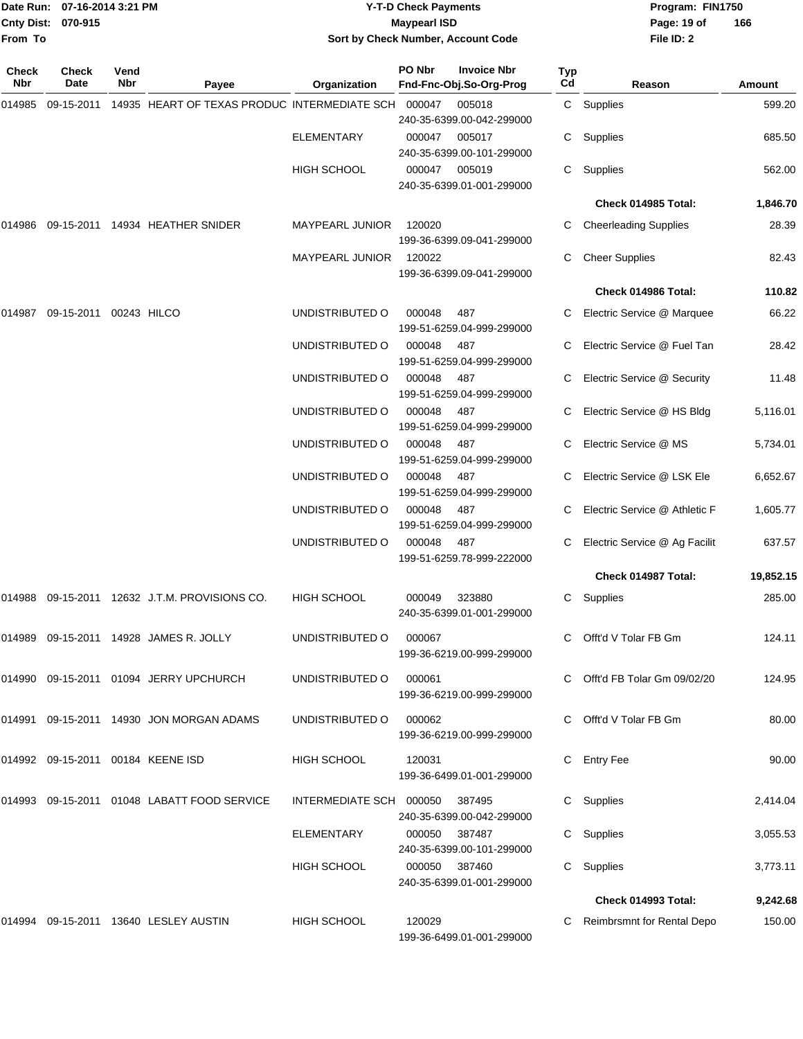|              | Date Run: 07-16-2014 3:21 PM |             |                                                                   | <b>Y-T-D Check Payments</b>        |                     |                                     | Program: FIN1750 |                               |               |
|--------------|------------------------------|-------------|-------------------------------------------------------------------|------------------------------------|---------------------|-------------------------------------|------------------|-------------------------------|---------------|
|              | Cnty Dist: 070-915           |             |                                                                   |                                    | <b>Maypearl ISD</b> |                                     |                  | Page: 19 of                   | 166           |
| From To      |                              |             |                                                                   | Sort by Check Number, Account Code |                     |                                     |                  | File ID: 2                    |               |
| Check<br>Nbr | Check<br>Date                | Vend<br>Nbr |                                                                   |                                    | PO Nbr              | <b>Invoice Nbr</b>                  | Typ<br>Cd        |                               |               |
|              |                              |             | Payee                                                             | Organization                       |                     | Fnd-Fnc-Obj.So-Org-Prog             |                  | Reason                        | <b>Amount</b> |
| 014985       |                              |             | 09-15-2011  14935  HEART OF TEXAS PRODUC INTERMEDIATE SCH  000047 |                                    |                     | 005018<br>240-35-6399.00-042-299000 |                  | C Supplies                    | 599.20        |
|              |                              |             |                                                                   | ELEMENTARY                         | 000047              | 005017                              | C                | Supplies                      | 685.50        |
|              |                              |             |                                                                   |                                    |                     | 240-35-6399.00-101-299000           |                  |                               |               |
|              |                              |             |                                                                   | HIGH SCHOOL                        | 000047              | 005019                              | C                | Supplies                      | 562.00        |
|              |                              |             |                                                                   |                                    |                     | 240-35-6399.01-001-299000           |                  |                               |               |
|              |                              |             |                                                                   |                                    |                     |                                     |                  | Check 014985 Total:           | 1,846.70      |
| 014986       |                              |             | 09-15-2011 14934 HEATHER SNIDER                                   | MAYPEARL JUNIOR                    | 120020              |                                     | C                | <b>Cheerleading Supplies</b>  | 28.39         |
|              |                              |             |                                                                   |                                    |                     | 199-36-6399.09-041-299000           |                  |                               |               |
|              |                              |             |                                                                   | <b>MAYPEARL JUNIOR</b>             | 120022              |                                     | C                | <b>Cheer Supplies</b>         | 82.43         |
|              |                              |             |                                                                   |                                    |                     | 199-36-6399.09-041-299000           |                  |                               |               |
|              |                              |             |                                                                   |                                    |                     |                                     |                  | Check 014986 Total:           | 110.82        |
| 014987       | 09-15-2011 00243 HILCO       |             |                                                                   | UNDISTRIBUTED O                    | 000048              | 487<br>199-51-6259.04-999-299000    | C                | Electric Service @ Marquee    | 66.22         |
|              |                              |             |                                                                   | UNDISTRIBUTED O                    | 000048              | 487                                 | C                | Electric Service @ Fuel Tan   | 28.42         |
|              |                              |             |                                                                   |                                    |                     | 199-51-6259.04-999-299000           |                  |                               |               |
|              |                              |             |                                                                   | UNDISTRIBUTED O                    | 000048              | 487                                 | C                | Electric Service @ Security   | 11.48         |
|              |                              |             |                                                                   |                                    |                     | 199-51-6259.04-999-299000           |                  |                               |               |
|              |                              |             |                                                                   | UNDISTRIBUTED O                    | 000048              | 487                                 | C                | Electric Service @ HS Bldg    | 5,116.01      |
|              |                              |             |                                                                   | UNDISTRIBUTED O                    | 000048              | 199-51-6259.04-999-299000           |                  | Electric Service @ MS         | 5,734.01      |
|              |                              |             |                                                                   |                                    |                     | 487<br>199-51-6259.04-999-299000    | C                |                               |               |
|              |                              |             |                                                                   | UNDISTRIBUTED O                    | 000048              | 487                                 | C.               | Electric Service @ LSK Ele    | 6,652.67      |
|              |                              |             |                                                                   |                                    |                     | 199-51-6259.04-999-299000           |                  |                               |               |
|              |                              |             |                                                                   | UNDISTRIBUTED O                    | 000048              | 487                                 | C                | Electric Service @ Athletic F | 1,605.77      |
|              |                              |             |                                                                   |                                    |                     | 199-51-6259.04-999-299000           |                  |                               |               |
|              |                              |             |                                                                   | UNDISTRIBUTED O                    | 000048              | 487<br>199-51-6259.78-999-222000    | С                | Electric Service @ Ag Facilit | 637.57        |
|              |                              |             |                                                                   |                                    |                     |                                     |                  | Check 014987 Total:           | 19,852.15     |
|              |                              |             | 014988 09-15-2011 12632 J.T.M. PROVISIONS CO.                     | HIGH SCHOOL                        | 000049              | 323880                              |                  |                               | 285.00        |
|              |                              |             |                                                                   |                                    |                     | 240-35-6399.01-001-299000           |                  | C Supplies                    |               |
|              |                              |             |                                                                   |                                    |                     |                                     |                  |                               |               |
|              |                              |             | 014989 09-15-2011 14928 JAMES R. JOLLY                            | UNDISTRIBUTED O                    | 000067              | 199-36-6219.00-999-299000           |                  | C Offt'd V Tolar FB Gm        | 124.11        |
|              |                              |             |                                                                   |                                    |                     |                                     |                  |                               |               |
|              |                              |             | 014990 09-15-2011 01094 JERRY UPCHURCH                            | UNDISTRIBUTED O                    | 000061              |                                     |                  | C Offt'd FB Tolar Gm 09/02/20 | 124.95        |
|              |                              |             |                                                                   |                                    |                     | 199-36-6219.00-999-299000           |                  |                               |               |
|              |                              |             | 014991 09-15-2011 14930 JON MORGAN ADAMS                          | UNDISTRIBUTED O                    | 000062              |                                     |                  | C Offt'd V Tolar FB Gm        | 80.00         |
|              |                              |             |                                                                   |                                    |                     | 199-36-6219.00-999-299000           |                  |                               |               |
|              |                              |             | 014992 09-15-2011 00184 KEENE ISD                                 | HIGH SCHOOL                        | 120031              |                                     |                  | C Entry Fee                   | 90.00         |
|              |                              |             |                                                                   |                                    |                     | 199-36-6499.01-001-299000           |                  |                               |               |
|              |                              |             | 014993 09-15-2011 01048 LABATT FOOD SERVICE                       | INTERMEDIATE SCH 000050            |                     | 387495                              |                  | C Supplies                    | 2,414.04      |
|              |                              |             |                                                                   |                                    |                     | 240-35-6399.00-042-299000           |                  |                               |               |
|              |                              |             |                                                                   | ELEMENTARY                         | 000050              | 387487                              |                  | C Supplies                    | 3,055.53      |
|              |                              |             |                                                                   |                                    | 000050              | 240-35-6399.00-101-299000<br>387460 |                  |                               | 3,773.11      |
|              |                              |             |                                                                   | HIGH SCHOOL                        |                     | 240-35-6399.01-001-299000           |                  | C Supplies                    |               |
|              |                              |             |                                                                   |                                    |                     |                                     |                  | Check 014993 Total:           | 9,242.68      |
|              |                              |             | 014994 09-15-2011 13640 LESLEY AUSTIN                             | <b>HIGH SCHOOL</b>                 | 120029              |                                     |                  | C Reimbrsmnt for Rental Depo  | 150.00        |

199-36-6499.01-001-299000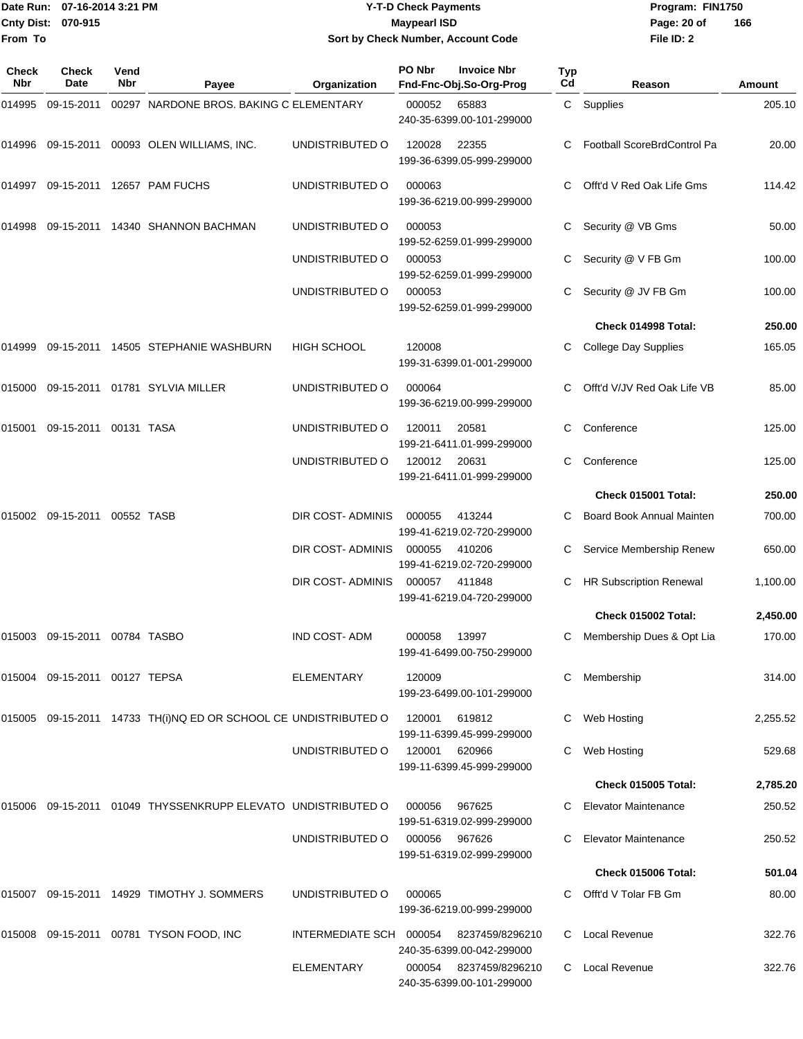|                    | Date Run: 07-16-2014 3:21 PM |
|--------------------|------------------------------|
| Cnty Dist: 070-915 |                              |
| <b>From To</b>     |                              |

## **Date Run: Program: FIN1750 07-16-2014 3:21 PM Y-T-D Check Payments Cnty Dist: Page: 20 of 070-915 Maypearl ISD Sort by Check Number, Account Code**

| <b>Check</b><br>Nbr | <b>Check</b><br>Date          | Vend<br>Nbr | Payee                                                           | Organization            | PO Nbr | <b>Invoice Nbr</b><br>Fnd-Fnc-Obj.So-Org-Prog | Typ<br>Cd | Reason                             | Amount   |
|---------------------|-------------------------------|-------------|-----------------------------------------------------------------|-------------------------|--------|-----------------------------------------------|-----------|------------------------------------|----------|
| 014995              | 09-15-2011                    |             | 00297 NARDONE BROS. BAKING C ELEMENTARY                         |                         | 000052 | 65883<br>240-35-6399.00-101-299000            |           | C Supplies                         | 205.10   |
| 014996              |                               |             | 09-15-2011  00093  OLEN WILLIAMS, INC.                          | UNDISTRIBUTED O         | 120028 | 22355<br>199-36-6399.05-999-299000            | C         | <b>Football ScoreBrdControl Pa</b> | 20.00    |
|                     |                               |             | 014997 09-15-2011 12657 PAM FUCHS                               | UNDISTRIBUTED O         | 000063 | 199-36-6219.00-999-299000                     | C.        | Offt'd V Red Oak Life Gms          | 114.42   |
| 014998              |                               |             | 09-15-2011  14340  SHANNON BACHMAN                              | UNDISTRIBUTED O         | 000053 | 199-52-6259.01-999-299000                     |           | Security @ VB Gms                  | 50.00    |
|                     |                               |             |                                                                 | UNDISTRIBUTED O         | 000053 | 199-52-6259.01-999-299000                     | С         | Security @ V FB Gm                 | 100.00   |
|                     |                               |             |                                                                 | UNDISTRIBUTED O         | 000053 | 199-52-6259.01-999-299000                     | C         | Security @ JV FB Gm                | 100.00   |
|                     |                               |             |                                                                 |                         |        |                                               |           | Check 014998 Total:                | 250.00   |
| 014999              |                               |             | 09-15-2011 14505 STEPHANIE WASHBURN                             | <b>HIGH SCHOOL</b>      | 120008 | 199-31-6399.01-001-299000                     | C         | <b>College Day Supplies</b>        | 165.05   |
| 015000              |                               |             | 09-15-2011  01781  SYLVIA MILLER                                | UNDISTRIBUTED O         | 000064 | 199-36-6219.00-999-299000                     |           | Offt'd V/JV Red Oak Life VB        | 85.00    |
| 015001              | 09-15-2011 00131 TASA         |             |                                                                 | UNDISTRIBUTED O         | 120011 | 20581<br>199-21-6411.01-999-299000            | C         | Conference                         | 125.00   |
|                     |                               |             |                                                                 | UNDISTRIBUTED O         | 120012 | 20631<br>199-21-6411.01-999-299000            | C.        | Conference                         | 125.00   |
|                     |                               |             |                                                                 |                         |        |                                               |           | Check 015001 Total:                | 250.00   |
| 015002              | 09-15-2011 00552 TASB         |             |                                                                 | DIR COST-ADMINIS        | 000055 | 413244<br>199-41-6219.02-720-299000           | C         | <b>Board Book Annual Mainten</b>   | 700.00   |
|                     |                               |             |                                                                 | DIR COST-ADMINIS        | 000055 | 410206<br>199-41-6219.02-720-299000           | С         | Service Membership Renew           | 650.00   |
|                     |                               |             |                                                                 | DIR COST- ADMINIS       | 000057 | 411848<br>199-41-6219.04-720-299000           | C         | <b>HR Subscription Renewal</b>     | 1,100.00 |
|                     |                               |             |                                                                 |                         |        |                                               |           | <b>Check 015002 Total:</b>         | 2,450.00 |
|                     | 015003 09-15-2011 00784 TASBO |             |                                                                 | <b>IND COST-ADM</b>     | 000058 | 13997<br>199-41-6499.00-750-299000            | C         | Membership Dues & Opt Lia          | 170.00   |
|                     | 015004 09-15-2011 00127 TEPSA |             |                                                                 | ELEMENTARY              | 120009 | 199-23-6499.00-101-299000                     | C         | Membership                         | 314.00   |
|                     |                               |             | 015005 09-15-2011 14733 TH(i)NQ ED OR SCHOOL CE UNDISTRIBUTED O |                         | 120001 | 619812<br>199-11-6399.45-999-299000           |           | Web Hosting                        | 2,255.52 |
|                     |                               |             |                                                                 | UNDISTRIBUTED O         | 120001 | 620966<br>199-11-6399.45-999-299000           |           | Web Hosting                        | 529.68   |
|                     |                               |             |                                                                 |                         |        |                                               |           | <b>Check 015005 Total:</b>         | 2,785.20 |
|                     |                               |             | 015006  09-15-2011  01049 THYSSENKRUPP ELEVATO UNDISTRIBUTED O  |                         | 000056 | 967625<br>199-51-6319.02-999-299000           | C.        | <b>Elevator Maintenance</b>        | 250.52   |
|                     |                               |             |                                                                 | UNDISTRIBUTED O         | 000056 | 967626<br>199-51-6319.02-999-299000           |           | <b>Elevator Maintenance</b>        | 250.52   |
|                     |                               |             |                                                                 |                         |        |                                               |           | Check 015006 Total:                | 501.04   |
|                     |                               |             | 015007 09-15-2011 14929 TIMOTHY J. SOMMERS                      | UNDISTRIBUTED O         | 000065 | 199-36-6219.00-999-299000                     |           | Offt'd V Tolar FB Gm               | 80.00    |
|                     |                               |             | 015008 09-15-2011 00781 TYSON FOOD, INC                         | INTERMEDIATE SCH 000054 |        | 8237459/8296210<br>240-35-6399.00-042-299000  | C.        | Local Revenue                      | 322.76   |
|                     |                               |             |                                                                 | <b>ELEMENTARY</b>       | 000054 | 8237459/8296210<br>240-35-6399.00-101-299000  | C         | Local Revenue                      | 322.76   |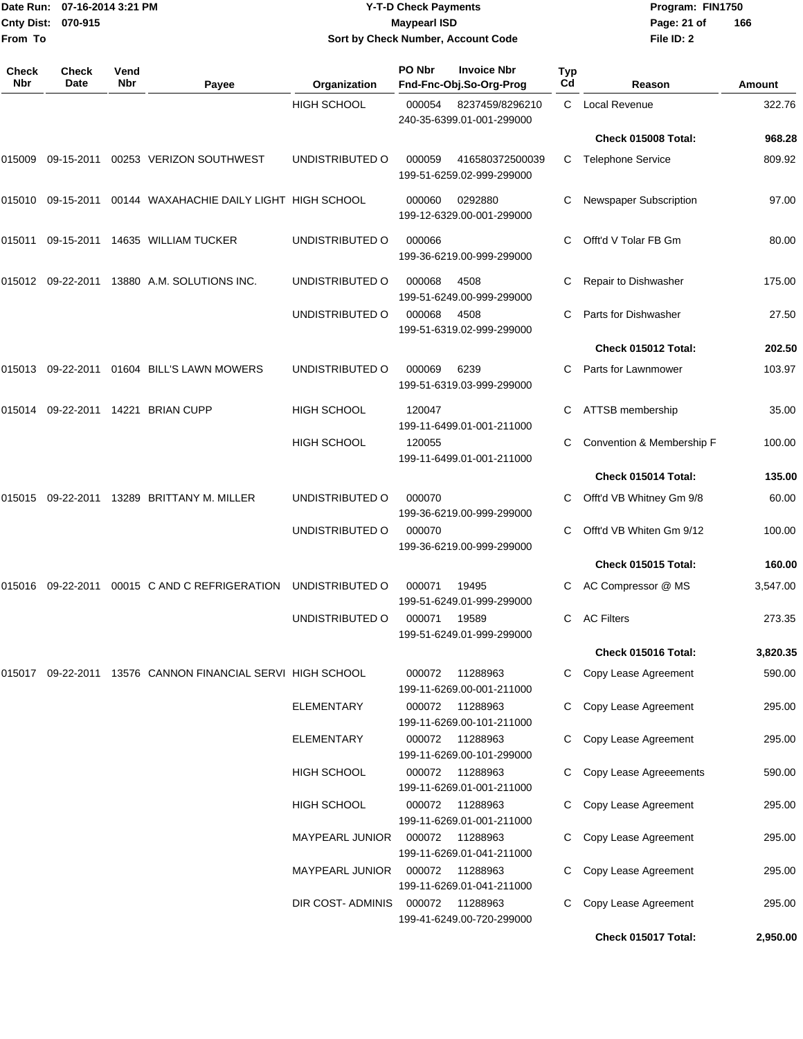|                    | Date Run: 07-16-2014 3:21 PM |
|--------------------|------------------------------|
| Cnty Dist: 070-915 |                              |
| <b>From To</b>     |                              |

## **Date Run: Program: FIN1750 07-16-2014 3:21 PM Y-T-D Check Payments Cnty Dist: Page: 21 of 070-915 Maypearl ISD Sort by Check Number, Account Code**

| Check<br>Nbr | <b>Check</b><br>Date | Vend<br><b>Nbr</b> | Payee                                                      | Organization           | PO Nbr | <b>Invoice Nbr</b><br>Fnd-Fnc-Obj.So-Org-Prog | Typ<br>Cd | Reason                    | Amount   |
|--------------|----------------------|--------------------|------------------------------------------------------------|------------------------|--------|-----------------------------------------------|-----------|---------------------------|----------|
|              |                      |                    |                                                            | <b>HIGH SCHOOL</b>     | 000054 | 8237459/8296210<br>240-35-6399.01-001-299000  | C.        | Local Revenue             | 322.76   |
|              |                      |                    |                                                            |                        |        |                                               |           | Check 015008 Total:       | 968.28   |
| 015009       | 09-15-2011           |                    | 00253 VERIZON SOUTHWEST                                    | UNDISTRIBUTED O        | 000059 | 416580372500039<br>199-51-6259.02-999-299000  | C.        | <b>Telephone Service</b>  | 809.92   |
| 015010       | 09-15-2011           |                    | 00144 WAXAHACHIE DAILY LIGHT HIGH SCHOOL                   |                        | 000060 | 0292880<br>199-12-6329.00-001-299000          | С         | Newspaper Subscription    | 97.00    |
| 015011       |                      |                    | 09-15-2011  14635  WILLIAM TUCKER                          | UNDISTRIBUTED O        | 000066 | 199-36-6219.00-999-299000                     | C         | Offt'd V Tolar FB Gm      | 80.00    |
| 015012       | 09-22-2011           |                    | 13880 A.M. SOLUTIONS INC.                                  | UNDISTRIBUTED O        | 000068 | 4508<br>199-51-6249.00-999-299000             | С         | Repair to Dishwasher      | 175.00   |
|              |                      |                    |                                                            | UNDISTRIBUTED O        | 000068 | 4508<br>199-51-6319.02-999-299000             | C         | Parts for Dishwasher      | 27.50    |
|              |                      |                    |                                                            |                        |        |                                               |           | Check 015012 Total:       | 202.50   |
| 015013       |                      |                    | 09-22-2011  01604  BILL'S LAWN MOWERS                      | UNDISTRIBUTED O        | 000069 | 6239<br>199-51-6319.03-999-299000             | C.        | Parts for Lawnmower       | 103.97   |
| 015014       |                      |                    | 09-22-2011 14221 BRIAN CUPP                                | <b>HIGH SCHOOL</b>     | 120047 | 199-11-6499.01-001-211000                     | C         | ATTSB membership          | 35.00    |
|              |                      |                    |                                                            | <b>HIGH SCHOOL</b>     | 120055 | 199-11-6499.01-001-211000                     | C         | Convention & Membership F | 100.00   |
|              |                      |                    |                                                            |                        |        |                                               |           | Check 015014 Total:       | 135.00   |
| 015015       | 09-22-2011           |                    | 13289 BRITTANY M. MILLER                                   | UNDISTRIBUTED O        | 000070 | 199-36-6219.00-999-299000                     | C         | Offt'd VB Whitney Gm 9/8  | 60.00    |
|              |                      |                    |                                                            | UNDISTRIBUTED O        | 000070 | 199-36-6219.00-999-299000                     | C         | Offt'd VB Whiten Gm 9/12  | 100.00   |
|              |                      |                    |                                                            |                        |        |                                               |           | Check 015015 Total:       | 160.00   |
| 015016       | 09-22-2011           |                    | 00015 C AND C REFRIGERATION                                | UNDISTRIBUTED O        | 000071 | 19495<br>199-51-6249.01-999-299000            |           | AC Compressor @ MS        | 3,547.00 |
|              |                      |                    |                                                            | UNDISTRIBUTED O        | 000071 | 19589<br>199-51-6249.01-999-299000            | C         | <b>AC Filters</b>         | 273.35   |
|              |                      |                    |                                                            |                        |        |                                               |           | Check 015016 Total:       | 3,820.35 |
|              |                      |                    | 015017 09-22-2011 13576 CANNON FINANCIAL SERVI HIGH SCHOOL |                        | 000072 | 11288963<br>199-11-6269.00-001-211000         |           | Copy Lease Agreement      | 590.00   |
|              |                      |                    |                                                            | <b>ELEMENTARY</b>      | 000072 | 11288963<br>199-11-6269.00-101-211000         | C         | Copy Lease Agreement      | 295.00   |
|              |                      |                    |                                                            | ELEMENTARY             | 000072 | 11288963<br>199-11-6269.00-101-299000         | C         | Copy Lease Agreement      | 295.00   |
|              |                      |                    |                                                            | <b>HIGH SCHOOL</b>     |        | 000072 11288963<br>199-11-6269.01-001-211000  |           | Copy Lease Agreeements    | 590.00   |
|              |                      |                    |                                                            | <b>HIGH SCHOOL</b>     | 000072 | 11288963<br>199-11-6269.01-001-211000         | C.        | Copy Lease Agreement      | 295.00   |
|              |                      |                    |                                                            | <b>MAYPEARL JUNIOR</b> | 000072 | 11288963<br>199-11-6269.01-041-211000         | C         | Copy Lease Agreement      | 295.00   |
|              |                      |                    |                                                            | <b>MAYPEARL JUNIOR</b> | 000072 | 11288963<br>199-11-6269.01-041-211000         | C         | Copy Lease Agreement      | 295.00   |
|              |                      |                    |                                                            | DIR COST-ADMINIS       | 000072 | 11288963<br>199-41-6249.00-720-299000         | C         | Copy Lease Agreement      | 295.00   |
|              |                      |                    |                                                            |                        |        |                                               |           | Check 015017 Total:       | 2,950.00 |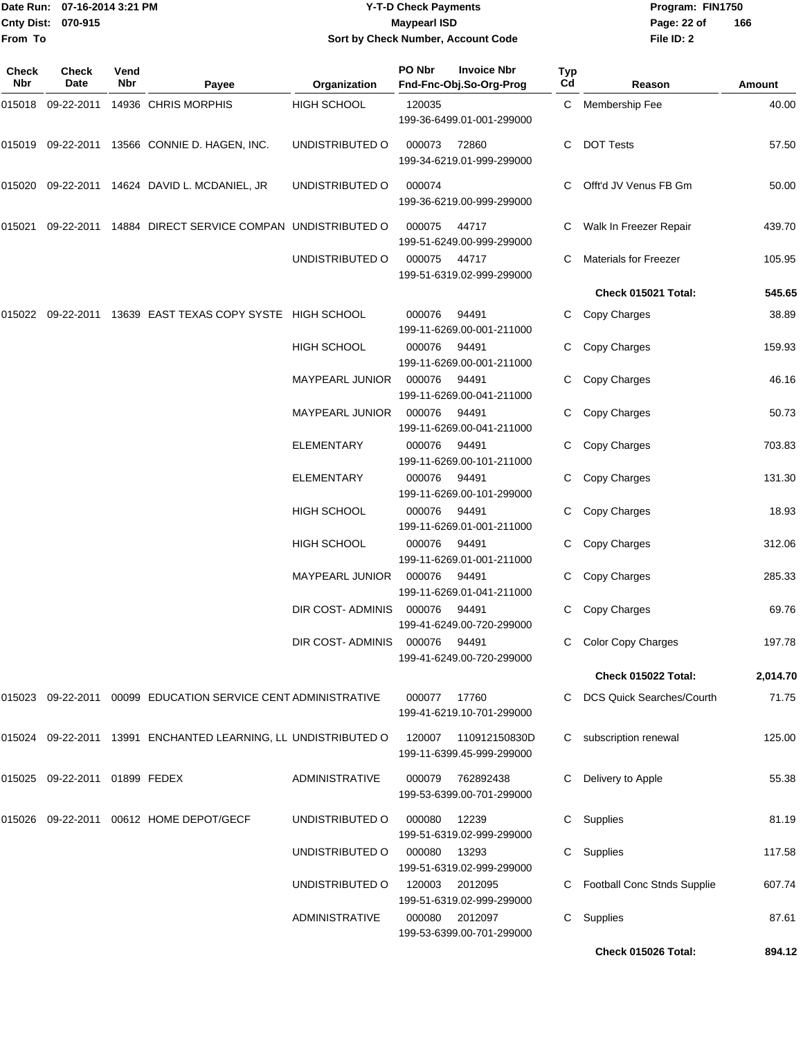|                    | Date Run: 07-16-2014 3:21 PM |
|--------------------|------------------------------|
| Cnty Dist: 070-915 |                              |
| From To            |                              |

## **Date Run: Program: FIN1750 07-16-2014 3:21 PM Y-T-D Check Payments Cnty Dist: Page: 22 of 070-915 Maypearl ISD Sort by Check Number, Account Code**

| <b>Check</b><br>Nbr | <b>Check</b><br>Date          | Vend<br>Nbr | Payee                                                          | Organization           | PO Nbr       | <b>Invoice Nbr</b><br>Fnd-Fnc-Obj.So-Org-Prog | Typ<br>Cd | Reason                       | Amount   |
|---------------------|-------------------------------|-------------|----------------------------------------------------------------|------------------------|--------------|-----------------------------------------------|-----------|------------------------------|----------|
| 015018              | 09-22-2011                    |             | 14936 CHRIS MORPHIS                                            | HIGH SCHOOL            | 120035       | 199-36-6499.01-001-299000                     | C         | Membership Fee               | 40.00    |
| 015019              |                               |             | 09-22-2011 13566 CONNIE D. HAGEN, INC.                         | UNDISTRIBUTED O        | 000073       | 72860<br>199-34-6219.01-999-299000            | C.        | <b>DOT Tests</b>             | 57.50    |
| 015020              |                               |             | 09-22-2011  14624  DAVID L. MCDANIEL, JR                       | UNDISTRIBUTED O        | 000074       | 199-36-6219.00-999-299000                     |           | Offt'd JV Venus FB Gm        | 50.00    |
| 015021              | 09-22-2011                    |             | 14884 DIRECT SERVICE COMPAN UNDISTRIBUTED O                    |                        | 000075       | 44717<br>199-51-6249.00-999-299000            | C         | Walk In Freezer Repair       | 439.70   |
|                     |                               |             |                                                                | UNDISTRIBUTED O        | 000075       | 44717<br>199-51-6319.02-999-299000            | C         | <b>Materials for Freezer</b> | 105.95   |
|                     |                               |             |                                                                |                        |              |                                               |           | Check 015021 Total:          | 545.65   |
| 015022              |                               |             | 09-22-2011 13639 EAST TEXAS COPY SYSTE HIGH SCHOOL             |                        | 000076       | 94491<br>199-11-6269.00-001-211000            | C.        | Copy Charges                 | 38.89    |
|                     |                               |             |                                                                | <b>HIGH SCHOOL</b>     | 000076       | 94491<br>199-11-6269.00-001-211000            |           | Copy Charges                 | 159.93   |
|                     |                               |             |                                                                | MAYPEARL JUNIOR        | 000076       | 94491<br>199-11-6269.00-041-211000            | C         | Copy Charges                 | 46.16    |
|                     |                               |             |                                                                | <b>MAYPEARL JUNIOR</b> | 000076       | 94491<br>199-11-6269.00-041-211000            | C         | Copy Charges                 | 50.73    |
|                     |                               |             |                                                                | <b>ELEMENTARY</b>      | 000076       | 94491<br>199-11-6269.00-101-211000            |           | Copy Charges                 | 703.83   |
|                     |                               |             |                                                                | ELEMENTARY             | 000076       | 94491<br>199-11-6269.00-101-299000            |           | Copy Charges                 | 131.30   |
|                     |                               |             |                                                                | <b>HIGH SCHOOL</b>     | 000076       | 94491<br>199-11-6269.01-001-211000            | C.        | Copy Charges                 | 18.93    |
|                     |                               |             |                                                                | HIGH SCHOOL            | 000076       | 94491<br>199-11-6269.01-001-211000            |           | Copy Charges                 | 312.06   |
|                     |                               |             |                                                                | <b>MAYPEARL JUNIOR</b> | 000076       | 94491<br>199-11-6269.01-041-211000            |           | Copy Charges                 | 285.33   |
|                     |                               |             |                                                                | DIR COST- ADMINIS      | 000076       | 94491<br>199-41-6249.00-720-299000            | C         | Copy Charges                 | 69.76    |
|                     |                               |             |                                                                | DIR COST- ADMINIS      | 000076       | 94491<br>199-41-6249.00-720-299000            |           | C Color Copy Charges         | 197.78   |
|                     |                               |             |                                                                |                        |              |                                               |           | Check 015022 Total:          | 2,014.70 |
|                     |                               |             | 015023 09-22-2011 00099 EDUCATION SERVICE CENT ADMINISTRATIVE  |                        | 000077 17760 | 199-41-6219.10-701-299000                     |           | C DCS Quick Searches/Courth  | 71.75    |
|                     |                               |             | 015024 09-22-2011 13991 ENCHANTED LEARNING, LL UNDISTRIBUTED O |                        | 120007       | 110912150830D<br>199-11-6399.45-999-299000    | C.        | subscription renewal         | 125.00   |
|                     | 015025 09-22-2011 01899 FEDEX |             |                                                                | <b>ADMINISTRATIVE</b>  | 000079       | 762892438<br>199-53-6399.00-701-299000        | C.        | Delivery to Apple            | 55.38    |
|                     |                               |             | 015026 09-22-2011 00612 HOME DEPOT/GECF                        | UNDISTRIBUTED O        | 000080       | 12239<br>199-51-6319.02-999-299000            |           | C Supplies                   | 81.19    |
|                     |                               |             |                                                                | UNDISTRIBUTED O        | 000080       | 13293<br>199-51-6319.02-999-299000            | C         | Supplies                     | 117.58   |
|                     |                               |             |                                                                | UNDISTRIBUTED O        | 120003       | 2012095<br>199-51-6319.02-999-299000          | C         | Football Conc Stnds Supplie  | 607.74   |
|                     |                               |             |                                                                | <b>ADMINISTRATIVE</b>  | 000080       | 2012097<br>199-53-6399.00-701-299000          | C.        | Supplies                     | 87.61    |
|                     |                               |             |                                                                |                        |              |                                               |           | Check 015026 Total:          | 894.12   |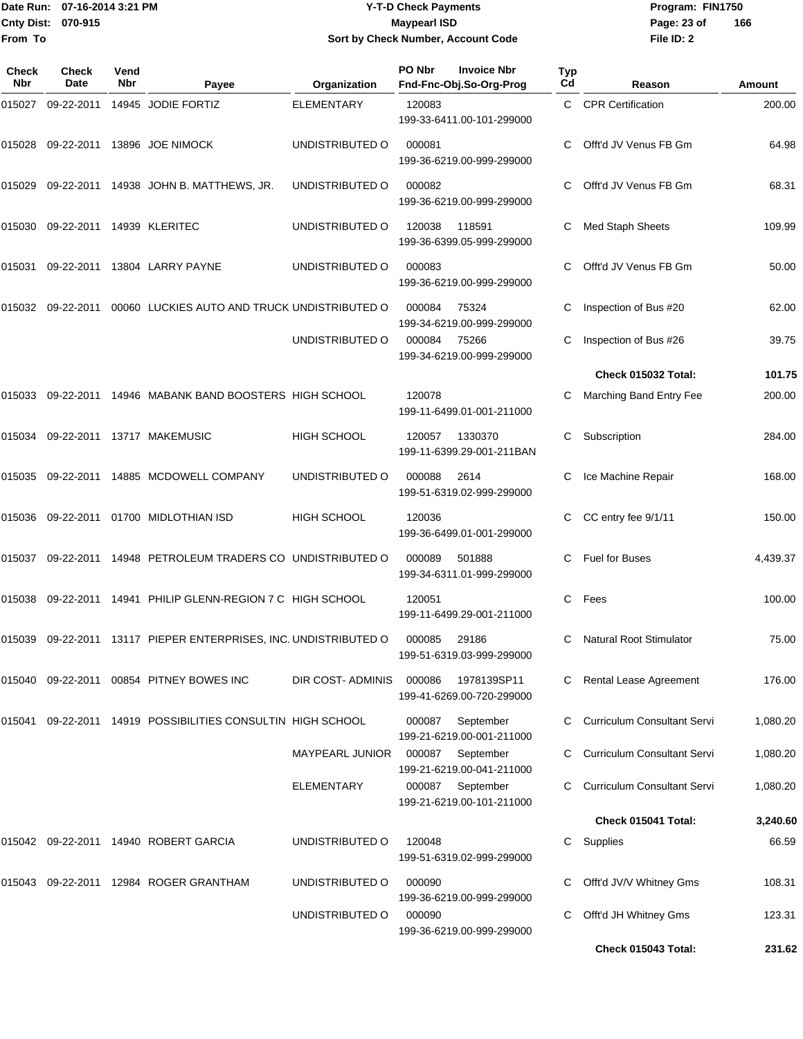Date Run: 07-16-2014 3:21 PM **Program:** FIN1750 **Cnty Dist:** 070-915 **Page: 23 of Page: 23 of From To Y-T-D Check Payments 070-915 Maypearl ISD Sort by Check Number, Account Code**

| Check<br><b>Nbr</b> | <b>Check</b><br>Date      | Vend<br>Nbr | Payee                                                     | Organization           | PO Nbr | <b>Invoice Nbr</b><br>Fnd-Fnc-Obj.So-Org-Prog                       | Typ<br>Cd    | Reason                             | Amount   |
|---------------------|---------------------------|-------------|-----------------------------------------------------------|------------------------|--------|---------------------------------------------------------------------|--------------|------------------------------------|----------|
| 015027              | 09-22-2011                |             | 14945 JODIE FORTIZ                                        | <b>ELEMENTARY</b>      | 120083 | 199-33-6411.00-101-299000                                           | $\mathbf{C}$ | <b>CPR Certification</b>           | 200.00   |
| 015028              | 09-22-2011                |             | 13896 JOE NIMOCK                                          | UNDISTRIBUTED O        | 000081 | 199-36-6219.00-999-299000                                           | C.           | Offt'd JV Venus FB Gm              | 64.98    |
| 015029              |                           |             | 09-22-2011  14938  JOHN B. MATTHEWS, JR.                  | UNDISTRIBUTED O        | 000082 | 199-36-6219.00-999-299000                                           | C.           | Offt'd JV Venus FB Gm              | 68.31    |
| 015030              | 09-22-2011 14939 KLERITEC |             |                                                           | UNDISTRIBUTED O        | 120038 | 118591<br>199-36-6399.05-999-299000                                 | C            | Med Staph Sheets                   | 109.99   |
| 015031              | 09-22-2011                |             | 13804 LARRY PAYNE                                         | UNDISTRIBUTED O        | 000083 | 199-36-6219.00-999-299000                                           | C            | Offt'd JV Venus FB Gm              | 50.00    |
| 015032              | 09-22-2011                |             | 00060 LUCKIES AUTO AND TRUCK UNDISTRIBUTED O              |                        | 000084 | 75324<br>199-34-6219.00-999-299000                                  | С            | Inspection of Bus #20              | 62.00    |
|                     |                           |             |                                                           | UNDISTRIBUTED O        | 000084 | 75266<br>199-34-6219.00-999-299000                                  |              | Inspection of Bus #26              | 39.75    |
|                     |                           |             |                                                           |                        |        |                                                                     |              | Check 015032 Total:                | 101.75   |
| 015033              | 09-22-2011                |             | 14946 MABANK BAND BOOSTERS HIGH SCHOOL                    |                        | 120078 | 199-11-6499.01-001-211000                                           |              | Marching Band Entry Fee            | 200.00   |
| 015034              |                           |             | 09-22-2011 13717 MAKEMUSIC                                | HIGH SCHOOL            | 120057 | 1330370<br>199-11-6399.29-001-211BAN                                | C            | Subscription                       | 284.00   |
| 015035              |                           |             | 09-22-2011 14885 MCDOWELL COMPANY                         | UNDISTRIBUTED O        | 000088 | 2614<br>199-51-6319.02-999-299000                                   | C            | Ice Machine Repair                 | 168.00   |
| 015036              | 09-22-2011                |             | 01700 MIDLOTHIAN ISD                                      | HIGH SCHOOL            | 120036 | 199-36-6499.01-001-299000                                           | C            | CC entry fee 9/1/11                | 150.00   |
| 015037              | 09-22-2011                |             | 14948 PETROLEUM TRADERS CO UNDISTRIBUTED O                |                        | 000089 | 501888<br>199-34-6311.01-999-299000                                 | C            | <b>Fuel for Buses</b>              | 4,439.37 |
| 015038              |                           |             | 09-22-2011 14941 PHILIP GLENN-REGION 7 C HIGH SCHOOL      |                        | 120051 | 199-11-6499.29-001-211000                                           | C            | Fees                               | 100.00   |
| 015039              |                           |             | 09-22-2011 13117 PIEPER ENTERPRISES, INC. UNDISTRIBUTED O |                        | 000085 | 29186<br>199-51-6319.03-999-299000                                  | C            | <b>Natural Root Stimulator</b>     | 75.00    |
| 015040              |                           |             | 09-22-2011  00854  PITNEY BOWES INC                       | DIR COST-ADMINIS       | 000086 | 1978139SP11<br>199-41-6269.00-720-299000                            | C.           | Rental Lease Agreement             | 176.00   |
| 015041              |                           |             | 09-22-2011 14919 POSSIBILITIES CONSULTIN HIGH SCHOOL      |                        | 000087 | September<br>199-21-6219.00-001-211000                              | C            | <b>Curriculum Consultant Servi</b> | 1,080.20 |
|                     |                           |             |                                                           | <b>MAYPEARL JUNIOR</b> | 000087 | September                                                           |              | <b>Curriculum Consultant Servi</b> | 1,080.20 |
|                     |                           |             |                                                           | ELEMENTARY             | 000087 | 199-21-6219.00-041-211000<br>September<br>199-21-6219.00-101-211000 | C            | <b>Curriculum Consultant Servi</b> | 1,080.20 |
|                     |                           |             |                                                           |                        |        |                                                                     |              | Check 015041 Total:                | 3,240.60 |
| 015042              |                           |             | 09-22-2011  14940  ROBERT GARCIA                          | UNDISTRIBUTED O        | 120048 | 199-51-6319.02-999-299000                                           | C            | Supplies                           | 66.59    |
| 015043              |                           |             | 09-22-2011 12984 ROGER GRANTHAM                           | UNDISTRIBUTED O        | 000090 | 199-36-6219.00-999-299000                                           | С            | Offt'd JV/V Whitney Gms            | 108.31   |
|                     |                           |             |                                                           | UNDISTRIBUTED O        | 000090 | 199-36-6219.00-999-299000                                           | C            | Offt'd JH Whitney Gms              | 123.31   |
|                     |                           |             |                                                           |                        |        |                                                                     |              | Check 015043 Total:                | 231.62   |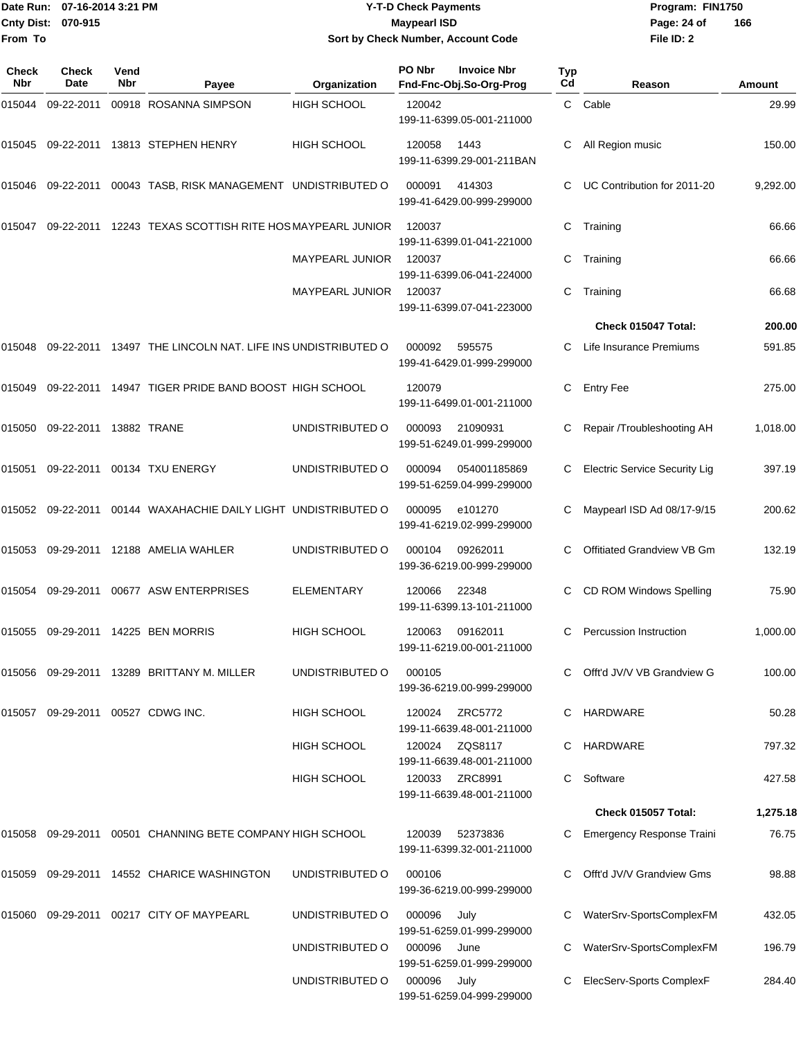|                    | Date Run: 07-16-2014 3:21 PM |
|--------------------|------------------------------|
| Cnty Dist: 070-915 |                              |
| From To            |                              |

## **Date Run: Program: FIN1750 07-16-2014 3:21 PM Y-T-D Check Payments Cnty Dist: Page: 24 of 070-915 Maypearl ISD Sort by Check Number, Account Code**

| Check<br>Nbr | <b>Check</b><br>Date              | Vend<br>Nbr | Payee                                                      | Organization           | PO Nbr | <b>Invoice Nbr</b><br>Fnd-Fnc-Obj.So-Org-Prog | Typ<br>Cd | Reason                               | Amount   |
|--------------|-----------------------------------|-------------|------------------------------------------------------------|------------------------|--------|-----------------------------------------------|-----------|--------------------------------------|----------|
| 015044       | 09-22-2011                        |             | 00918 ROSANNA SIMPSON                                      | <b>HIGH SCHOOL</b>     | 120042 | 199-11-6399.05-001-211000                     | C         | Cable                                | 29.99    |
| 015045       |                                   |             | 09-22-2011 13813 STEPHEN HENRY                             | <b>HIGH SCHOOL</b>     | 120058 | 1443<br>199-11-6399.29-001-211BAN             | С         | All Region music                     | 150.00   |
| 015046       | 09-22-2011                        |             | 00043 TASB, RISK MANAGEMENT UNDISTRIBUTED O                |                        | 000091 | 414303<br>199-41-6429.00-999-299000           |           | UC Contribution for 2011-20          | 9,292.00 |
| 015047       | 09-22-2011                        |             | 12243 TEXAS SCOTTISH RITE HOS MAYPEARL JUNIOR              |                        | 120037 | 199-11-6399.01-041-221000                     | С         | Training                             | 66.66    |
|              |                                   |             |                                                            | <b>MAYPEARL JUNIOR</b> | 120037 | 199-11-6399.06-041-224000                     | С         | Training                             | 66.66    |
|              |                                   |             |                                                            | <b>MAYPEARL JUNIOR</b> | 120037 | 199-11-6399.07-041-223000                     | С         | Training                             | 66.68    |
|              |                                   |             |                                                            |                        |        |                                               |           | Check 015047 Total:                  | 200.00   |
| 015048       |                                   |             | 09-22-2011 13497 THE LINCOLN NAT. LIFE INS UNDISTRIBUTED O |                        | 000092 | 595575<br>199-41-6429.01-999-299000           |           | Life Insurance Premiums              | 591.85   |
| 015049       | 09-22-2011                        |             | 14947 TIGER PRIDE BAND BOOST HIGH SCHOOL                   |                        | 120079 | 199-11-6499.01-001-211000                     | С         | <b>Entry Fee</b>                     | 275.00   |
| 015050       | 09-22-2011 13882 TRANE            |             |                                                            | UNDISTRIBUTED O        | 000093 | 21090931<br>199-51-6249.01-999-299000         | С         | Repair /Troubleshooting AH           | 1,018.00 |
| 015051       | 09-22-2011                        |             | 00134 TXU ENERGY                                           | UNDISTRIBUTED O        | 000094 | 054001185869<br>199-51-6259.04-999-299000     |           | <b>Electric Service Security Lig</b> | 397.19   |
| 015052       | 09-22-2011                        |             | 00144 WAXAHACHIE DAILY LIGHT UNDISTRIBUTED O               |                        | 000095 | e101270<br>199-41-6219.02-999-299000          |           | Maypearl ISD Ad 08/17-9/15           | 200.62   |
| 015053       |                                   |             | 09-29-2011 12188 AMELIA WAHLER                             | UNDISTRIBUTED O        | 000104 | 09262011<br>199-36-6219.00-999-299000         | С         | Offitiated Grandview VB Gm           | 132.19   |
| 015054       | 09-29-2011                        |             | 00677 ASW ENTERPRISES                                      | <b>ELEMENTARY</b>      | 120066 | 22348<br>199-11-6399.13-101-211000            | С         | CD ROM Windows Spelling              | 75.90    |
| 015055       |                                   |             | 09-29-2011 14225 BEN MORRIS                                | <b>HIGH SCHOOL</b>     | 120063 | 09162011<br>199-11-6219.00-001-211000         | С         | Percussion Instruction               | 1,000.00 |
| 015056       |                                   |             | 09-29-2011  13289  BRITTANY M. MILLER                      | UNDISTRIBUTED O        | 000105 | 199-36-6219.00-999-299000                     | C.        | Offt'd JV/V VB Grandview G           | 100.00   |
|              | 015057 09-29-2011 00527 CDWG INC. |             |                                                            | <b>HIGH SCHOOL</b>     | 120024 | ZRC5772<br>199-11-6639.48-001-211000          | C         | HARDWARE                             | 50.28    |
|              |                                   |             |                                                            | <b>HIGH SCHOOL</b>     | 120024 | ZQS8117<br>199-11-6639.48-001-211000          | C         | HARDWARE                             | 797.32   |
|              |                                   |             |                                                            | <b>HIGH SCHOOL</b>     | 120033 | ZRC8991<br>199-11-6639.48-001-211000          | C         | Software                             | 427.58   |
|              |                                   |             |                                                            |                        |        |                                               |           | Check 015057 Total:                  | 1,275.18 |
| 015058       |                                   |             | 09-29-2011 00501 CHANNING BETE COMPANY HIGH SCHOOL         |                        | 120039 | 52373836<br>199-11-6399.32-001-211000         |           | <b>Emergency Response Traini</b>     | 76.75    |
| 015059       |                                   |             | 09-29-2011 14552 CHARICE WASHINGTON                        | UNDISTRIBUTED O        | 000106 | 199-36-6219.00-999-299000                     |           | Offt'd JV/V Grandview Gms            | 98.88    |
|              |                                   |             | 015060   09-29-2011   00217   CITY OF MAYPEARL             | UNDISTRIBUTED O        | 000096 | July<br>199-51-6259.01-999-299000             |           | WaterSrv-SportsComplexFM             | 432.05   |
|              |                                   |             |                                                            | UNDISTRIBUTED O        | 000096 | June<br>199-51-6259.01-999-299000             |           | WaterSrv-SportsComplexFM             | 196.79   |
|              |                                   |             |                                                            | UNDISTRIBUTED O        | 000096 | July<br>199-51-6259.04-999-299000             |           | ElecServ-Sports ComplexF             | 284.40   |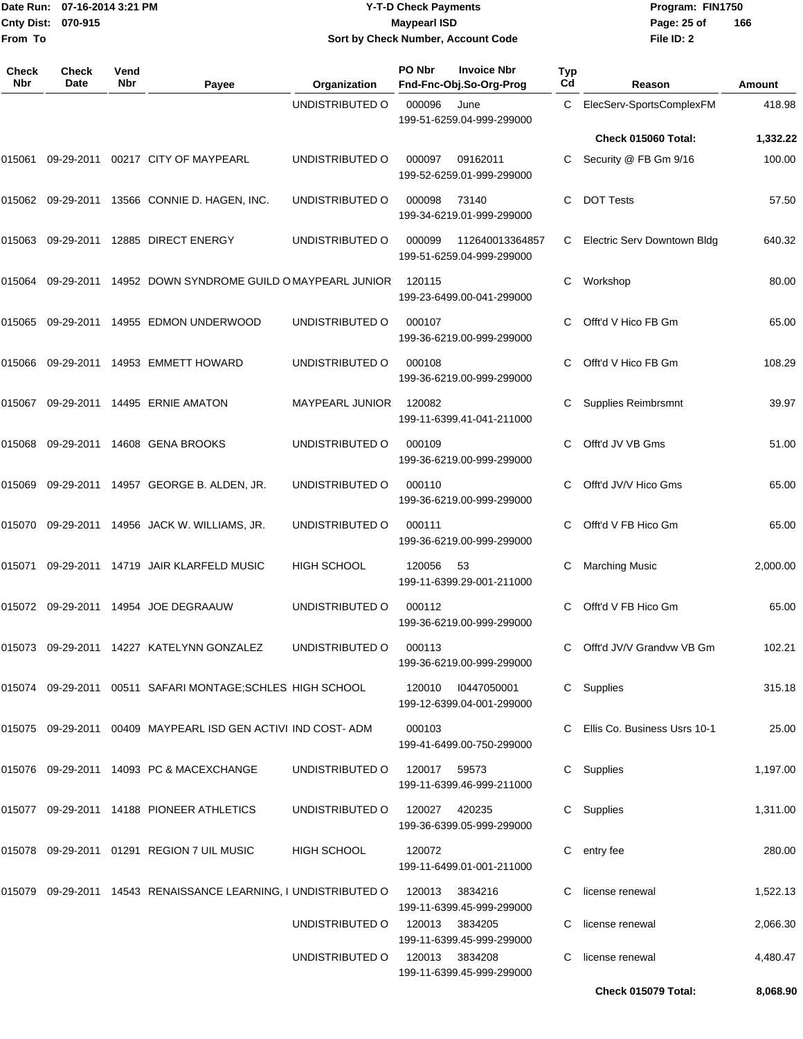#### Date Run: 07-16-2014 3:21 PM **Program:** FIN1750 **Cnty Dist:** 070-915 **Page: 25 of Page:** 25 of **Y-T-D Check Payments 070-915 Maypearl ISD Sort by Check Number, Account Code**

| Check<br>Nbr | <b>Check</b><br>Date | Vend<br><b>Nbr</b> | Payee                                                           | Organization           | PO Nbr         | <b>Invoice Nbr</b><br>Fnd-Fnc-Obj.So-Org-Prog | <b>Typ</b><br>Cd | Reason                         | Amount   |
|--------------|----------------------|--------------------|-----------------------------------------------------------------|------------------------|----------------|-----------------------------------------------|------------------|--------------------------------|----------|
|              |                      |                    |                                                                 | UNDISTRIBUTED O        | 000096         | June<br>199-51-6259.04-999-299000             | C                | ElecServ-SportsComplexFM       | 418.98   |
|              |                      |                    |                                                                 |                        |                |                                               |                  | <b>Check 015060 Total:</b>     | 1,332.22 |
| 015061       |                      |                    | 09-29-2011  00217  CITY OF MAYPEARL                             | UNDISTRIBUTED O        | 000097         | 09162011<br>199-52-6259.01-999-299000         | C                | Security @ FB Gm 9/16          | 100.00   |
|              |                      |                    | 015062 09-29-2011 13566 CONNIE D. HAGEN, INC.                   | UNDISTRIBUTED O        | 000098         | 73140<br>199-34-6219.01-999-299000            | C                | <b>DOT Tests</b>               | 57.50    |
|              |                      |                    | 015063 09-29-2011 12885 DIRECT ENERGY                           | UNDISTRIBUTED O        | 000099         | 112640013364857<br>199-51-6259.04-999-299000  | C.               | Electric Serv Downtown Bldg    | 640.32   |
| 015064       |                      |                    | 09-29-2011 14952 DOWN SYNDROME GUILD OMAYPEARL JUNIOR           |                        | 120115         | 199-23-6499.00-041-299000                     | C                | Workshop                       | 80.00    |
| 015065       |                      |                    | 09-29-2011  14955  EDMON UNDERWOOD                              | UNDISTRIBUTED O        | 000107         | 199-36-6219.00-999-299000                     | C                | Offt'd V Hico FB Gm            | 65.00    |
| 015066       |                      |                    | 09-29-2011  14953  EMMETT HOWARD                                | UNDISTRIBUTED O        | 000108         | 199-36-6219.00-999-299000                     | C.               | Offt'd V Hico FB Gm            | 108.29   |
| 015067       |                      |                    | 09-29-2011 14495 ERNIE AMATON                                   | <b>MAYPEARL JUNIOR</b> | 120082         | 199-11-6399.41-041-211000                     | С                | Supplies Reimbrsmnt            | 39.97    |
| 015068       |                      |                    | 09-29-2011 14608 GENA BROOKS                                    | UNDISTRIBUTED O        | 000109         | 199-36-6219.00-999-299000                     | C                | Offt'd JV VB Gms               | 51.00    |
| 015069       |                      |                    | 09-29-2011 14957 GEORGE B. ALDEN, JR.                           | UNDISTRIBUTED O        | 000110         | 199-36-6219.00-999-299000                     | C                | Offt'd JV/V Hico Gms           | 65.00    |
| 015070       |                      |                    | 09-29-2011  14956  JACK W. WILLIAMS, JR.                        | UNDISTRIBUTED O        | 000111         | 199-36-6219.00-999-299000                     | C                | Offt'd V FB Hico Gm            | 65.00    |
| 015071       |                      |                    | 09-29-2011 14719 JAIR KLARFELD MUSIC                            | <b>HIGH SCHOOL</b>     | 120056         | -53<br>199-11-6399.29-001-211000              | С                | <b>Marching Music</b>          | 2,000.00 |
| 015072       |                      |                    | 09-29-2011  14954  JOE DEGRAAUW                                 | UNDISTRIBUTED O        | 000112         | 199-36-6219.00-999-299000                     | C.               | Offt'd V FB Hico Gm            | 65.00    |
|              |                      |                    |                                                                 |                        | 000113         | 199-36-6219.00-999-299000                     |                  | C Offt'd JV/V Grandvw VB Gm    | 102.21   |
|              |                      |                    | 015074 09-29-2011 00511 SAFARI MONTAGE;SCHLES HIGH SCHOOL       |                        | 120010         | 10447050001<br>199-12-6399.04-001-299000      |                  | C Supplies                     | 315.18   |
|              |                      |                    | 015075 09-29-2011 00409 MAYPEARL ISD GEN ACTIVI IND COST-ADM    |                        | 000103         | 199-41-6499.00-750-299000                     |                  | C Ellis Co. Business Usrs 10-1 | 25.00    |
|              |                      |                    | 015076 09-29-2011 14093 PC & MACEXCHANGE                        | UNDISTRIBUTED O        | 120017 59573   | 199-11-6399.46-999-211000                     |                  | C Supplies                     | 1,197.00 |
|              |                      |                    | 015077 09-29-2011 14188 PIONEER ATHLETICS                       | UNDISTRIBUTED O        | 120027 420235  | 199-36-6399.05-999-299000                     |                  | C Supplies                     | 1,311.00 |
|              |                      |                    | 015078 09-29-2011 01291 REGION 7 UIL MUSIC                      | HIGH SCHOOL            | 120072         | 199-11-6499.01-001-211000                     |                  | C entry fee                    | 280.00   |
|              |                      |                    | 015079 09-29-2011 14543 RENAISSANCE LEARNING, I UNDISTRIBUTED O |                        | 120013         | 3834216<br>199-11-6399.45-999-299000          |                  | license renewal                | 1,522.13 |
|              |                      |                    |                                                                 | UNDISTRIBUTED O        | 120013         | 3834205<br>199-11-6399.45-999-299000          |                  | license renewal                | 2,066.30 |
|              |                      |                    |                                                                 | UNDISTRIBUTED O        | 120013 3834208 | 199-11-6399.45-999-299000                     | C.               | license renewal                | 4,480.47 |
|              |                      |                    |                                                                 |                        |                |                                               |                  | Check 015079 Total:            | 8,068.90 |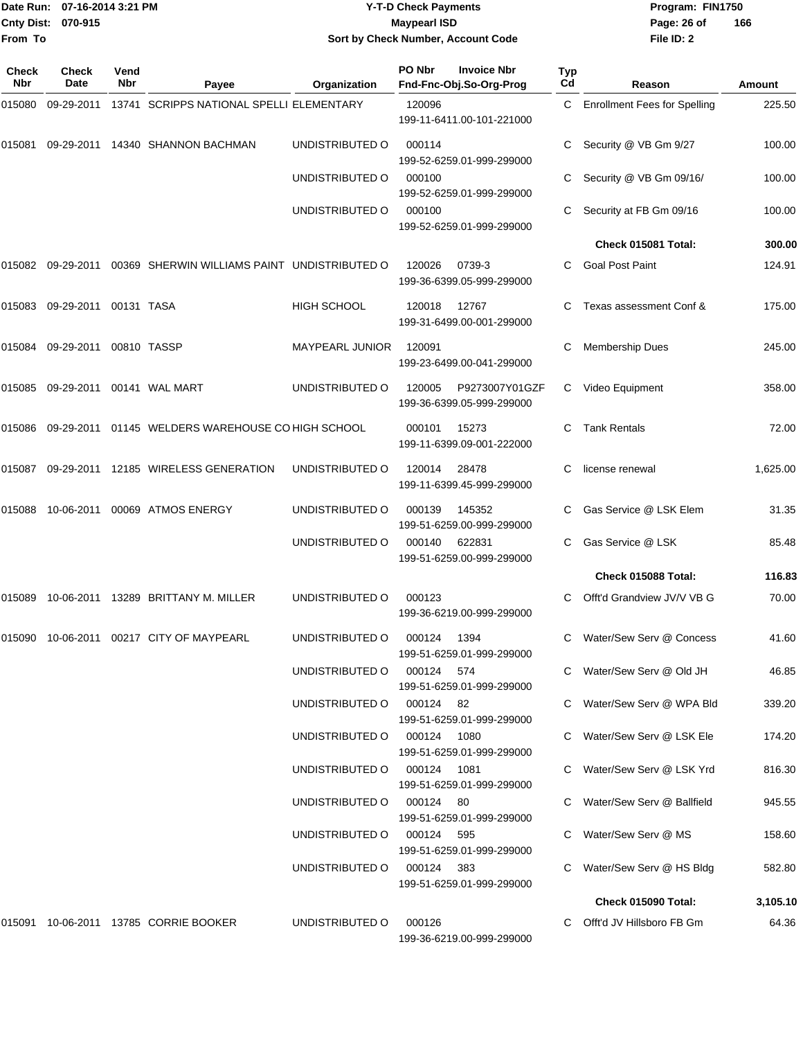|              | Date Run: 07-16-2014 3:21 PM |             |                                                   |                                    | <b>Y-T-D Check Payments</b>                             |                       | Program: FIN1750                                         |                  |  |
|--------------|------------------------------|-------------|---------------------------------------------------|------------------------------------|---------------------------------------------------------|-----------------------|----------------------------------------------------------|------------------|--|
|              | Cnty Dist: 070-915           |             |                                                   |                                    | <b>Maypearl ISD</b>                                     |                       | Page: 26 of                                              | 166              |  |
| From To      |                              |             |                                                   |                                    | Sort by Check Number, Account Code                      |                       | File ID: 2                                               |                  |  |
| Check<br>Nbr | <b>Check</b><br>Date         | Vend<br>Nbr | Payee                                             | Organization                       | PO Nbr<br><b>Invoice Nbr</b><br>Fnd-Fnc-Obj.So-Org-Prog | Typ<br>C <sub>d</sub> | Reason                                                   | Amount           |  |
| 015080       | 09-29-2011                   |             | 13741 SCRIPPS NATIONAL SPELLI ELEMENTARY          |                                    | 120096<br>199-11-6411.00-101-221000                     | C                     | <b>Enrollment Fees for Spelling</b>                      | 225.50           |  |
| 015081       |                              |             | 09-29-2011 14340 SHANNON BACHMAN                  | UNDISTRIBUTED O                    | 000114<br>199-52-6259.01-999-299000                     |                       | Security @ VB Gm 9/27                                    | 100.00           |  |
|              |                              |             |                                                   | UNDISTRIBUTED O                    | 000100<br>199-52-6259.01-999-299000                     |                       | Security @ VB Gm 09/16/                                  | 100.00           |  |
|              |                              |             |                                                   | UNDISTRIBUTED O                    | 000100<br>199-52-6259.01-999-299000                     |                       | Security at FB Gm 09/16                                  | 100.00           |  |
|              |                              |             |                                                   |                                    |                                                         |                       | Check 015081 Total:                                      | 300.00           |  |
| 015082       | 09-29-2011                   |             | 00369 SHERWIN WILLIAMS PAINT UNDISTRIBUTED O      |                                    | 120026<br>0739-3<br>199-36-6399.05-999-299000           | C                     | <b>Goal Post Paint</b>                                   | 124.91           |  |
| 015083       | 09-29-2011 00131 TASA        |             |                                                   | <b>HIGH SCHOOL</b>                 | 12767<br>120018<br>199-31-6499.00-001-299000            | С                     | Texas assessment Conf &                                  | 175.00           |  |
| 015084       | 09-29-2011                   |             | 00810 TASSP                                       | <b>MAYPEARL JUNIOR</b>             | 120091<br>199-23-6499.00-041-299000                     | С                     | <b>Membership Dues</b>                                   | 245.00           |  |
| 015085       | 09-29-2011                   |             | 00141 WAL MART                                    | UNDISTRIBUTED O                    | P9273007Y01GZF<br>120005<br>199-36-6399.05-999-299000   | C                     | Video Equipment                                          | 358.00           |  |
| 015086       |                              |             | 09-29-2011 01145 WELDERS WAREHOUSE CO HIGH SCHOOL |                                    | 15273<br>000101<br>199-11-6399.09-001-222000            | C                     | <b>Tank Rentals</b>                                      | 72.00            |  |
| 015087       |                              |             | 09-29-2011 12185 WIRELESS GENERATION              | UNDISTRIBUTED O                    | 120014<br>28478<br>199-11-6399.45-999-299000            | C                     | license renewal                                          | 1,625.00         |  |
| 015088       | 10-06-2011                   |             | 00069 ATMOS ENERGY                                | UNDISTRIBUTED O                    | 000139<br>145352<br>199-51-6259.00-999-299000           |                       | Gas Service @ LSK Elem                                   | 31.35            |  |
|              |                              |             |                                                   | UNDISTRIBUTED O                    | 622831<br>000140<br>199-51-6259.00-999-299000           | С                     | Gas Service @ LSK                                        | 85.48            |  |
|              |                              |             |                                                   |                                    |                                                         |                       | Check 015088 Total:                                      | 116.83           |  |
|              |                              |             | 015089 10-06-2011 13289 BRITTANY M. MILLER        | UNDISTRIBUTED O                    | 000123<br>199-36-6219.00-999-299000                     |                       | C Offt'd Grandview JV/V VB G                             | 70.00            |  |
|              |                              |             | 015090 10-06-2011 00217 CITY OF MAYPEARL          | UNDISTRIBUTED O                    | 000124 1394<br>199-51-6259.01-999-299000                |                       | C Water/Sew Serv @ Concess                               | 41.60            |  |
|              |                              |             |                                                   | UNDISTRIBUTED O                    | 000124 574<br>199-51-6259.01-999-299000                 |                       | C Water/Sew Serv @ Old JH                                | 46.85            |  |
|              |                              |             |                                                   | UNDISTRIBUTED O                    | 000124 82<br>199-51-6259.01-999-299000                  |                       | C Water/Sew Serv @ WPA Bld                               | 339.20           |  |
|              |                              |             |                                                   | UNDISTRIBUTED O<br>UNDISTRIBUTED O | 000124 1080<br>199-51-6259.01-999-299000<br>000124 1081 |                       | C Water/Sew Serv @ LSK Ele<br>C Water/Sew Serv @ LSK Yrd | 174.20<br>816.30 |  |
|              |                              |             |                                                   | UNDISTRIBUTED O                    | 199-51-6259.01-999-299000<br>000124 80                  |                       | C Water/Sew Serv @ Ballfield                             | 945.55           |  |
|              |                              |             |                                                   | UNDISTRIBUTED O                    | 199-51-6259.01-999-299000<br>000124 595                 |                       | C Water/Sew Serv @ MS                                    | 158.60           |  |
|              |                              |             |                                                   | UNDISTRIBUTED O                    | 199-51-6259.01-999-299000<br>000124 383                 |                       | C Water/Sew Serv @ HS Bldg                               | 582.80           |  |
|              |                              |             |                                                   |                                    | 199-51-6259.01-999-299000                               |                       | Check 015090 Total:                                      | 3,105.10         |  |

015091 10-06-2011 13785 CORRIE BOOKER UNDISTRIBUTED O 000126 C Offt'd JV Hillsboro FB Gm 64.36

199-36-6219.00-999-299000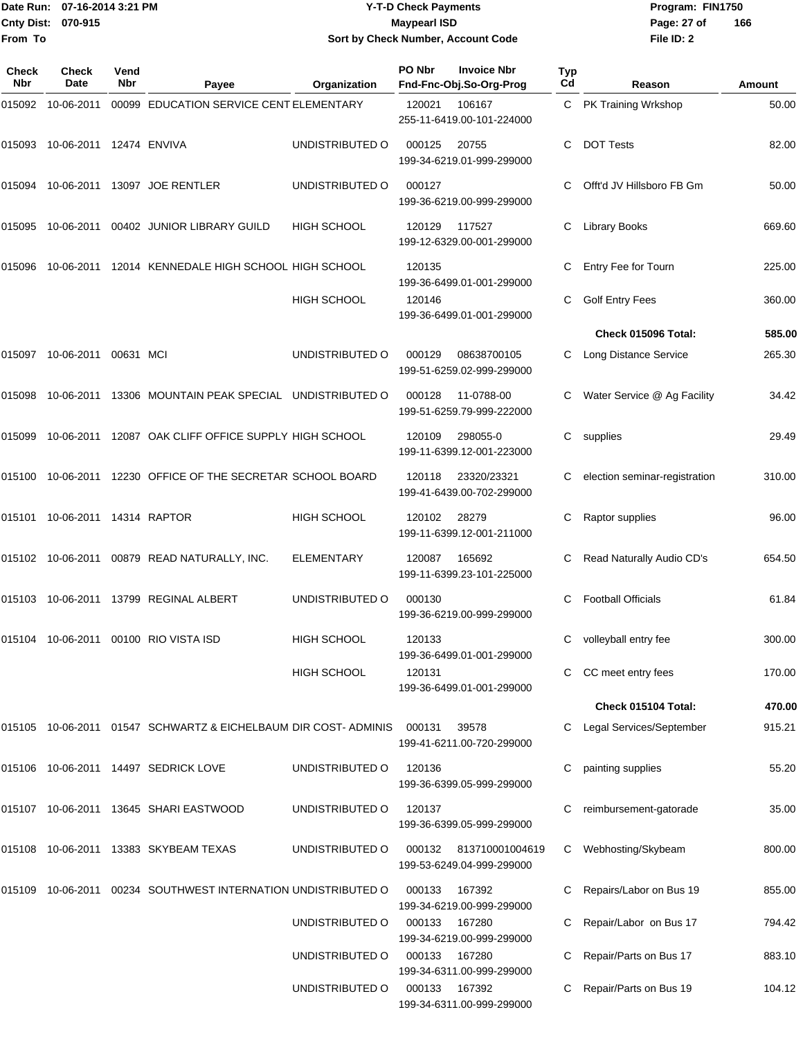|                           | Date Run: 07-16-2014 3:21 PM | <b>Y-T-D Check Payments</b>        | Program: FIN1750 |                |
|---------------------------|------------------------------|------------------------------------|------------------|----------------|
| <b>Cnty Dist: 070-915</b> |                              | <b>Mavpearl ISD</b>                | Page: 27 of      | $\overline{1}$ |
| <b>IFrom To</b>           |                              | Sort by Check Number, Account Code | File ID: 2       |                |

# **Sort by Check Number, Account Code**

| Check<br>Nbr | Check<br>Date           | Vend<br>Nbr | Payee                                                           | Organization       | PO Nbr | <b>Invoice Nbr</b><br>Fnd-Fnc-Obj.So-Org-Prog       | Typ<br>Cd | Reason                        | Amount |
|--------------|-------------------------|-------------|-----------------------------------------------------------------|--------------------|--------|-----------------------------------------------------|-----------|-------------------------------|--------|
| 015092       | 10-06-2011              |             | 00099 EDUCATION SERVICE CENT ELEMENTARY                         |                    | 120021 | 106167<br>255-11-6419.00-101-224000                 | C.        | PK Training Wrkshop           | 50.00  |
| 015093       | 10-06-2011 12474 ENVIVA |             |                                                                 | UNDISTRIBUTED O    | 000125 | 20755<br>199-34-6219.01-999-299000                  | C         | <b>DOT Tests</b>              | 82.00  |
| 015094       |                         |             | 10-06-2011 13097 JOE RENTLER                                    | UNDISTRIBUTED O    | 000127 | 199-36-6219.00-999-299000                           | С         | Offt'd JV Hillsboro FB Gm     | 50.00  |
| 015095       |                         |             | 10-06-2011 00402 JUNIOR LIBRARY GUILD                           | <b>HIGH SCHOOL</b> | 120129 | 117527<br>199-12-6329.00-001-299000                 | C         | <b>Library Books</b>          | 669.60 |
| 015096       |                         |             | 10-06-2011 12014 KENNEDALE HIGH SCHOOL HIGH SCHOOL              |                    | 120135 | 199-36-6499.01-001-299000                           | C         | Entry Fee for Tourn           | 225.00 |
|              |                         |             |                                                                 | HIGH SCHOOL        | 120146 | 199-36-6499.01-001-299000                           | С         | <b>Golf Entry Fees</b>        | 360.00 |
|              |                         |             |                                                                 |                    |        |                                                     |           | Check 015096 Total:           | 585.00 |
| 015097       | 10-06-2011 00631 MCI    |             |                                                                 | UNDISTRIBUTED O    | 000129 | 08638700105<br>199-51-6259.02-999-299000            | C.        | <b>Long Distance Service</b>  | 265.30 |
| 015098       |                         |             | 10-06-2011 13306 MOUNTAIN PEAK SPECIAL UNDISTRIBUTED O          |                    | 000128 | 11-0788-00<br>199-51-6259.79-999-222000             |           | Water Service @ Ag Facility   | 34.42  |
| 015099       |                         |             | 10-06-2011 12087 OAK CLIFF OFFICE SUPPLY HIGH SCHOOL            |                    | 120109 | 298055-0<br>199-11-6399.12-001-223000               | С         | supplies                      | 29.49  |
|              |                         |             | 015100 10-06-2011 12230 OFFICE OF THE SECRETAR SCHOOL BOARD     |                    | 120118 | 23320/23321<br>199-41-6439.00-702-299000            |           | election seminar-registration | 310.00 |
| 015101       |                         |             |                                                                 | <b>HIGH SCHOOL</b> | 120102 | 28279<br>199-11-6399.12-001-211000                  | С         | Raptor supplies               | 96.00  |
|              |                         |             | 015102 10-06-2011 00879 READ NATURALLY, INC.                    | <b>ELEMENTARY</b>  | 120087 | 165692<br>199-11-6399.23-101-225000                 | С         | Read Naturally Audio CD's     | 654.50 |
|              |                         |             | 015103 10-06-2011 13799 REGINAL ALBERT                          | UNDISTRIBUTED O    | 000130 | 199-36-6219.00-999-299000                           |           | <b>Football Officials</b>     | 61.84  |
|              |                         |             | 015104 10-06-2011 00100 RIO VISTA ISD                           | HIGH SCHOOL        | 120133 | 199-36-6499.01-001-299000                           | C         | volleyball entry fee          | 300.00 |
|              |                         |             |                                                                 | <b>HIGH SCHOOL</b> | 120131 | 199-36-6499.01-001-299000                           |           | C CC meet entry fees          | 170.00 |
|              |                         |             |                                                                 |                    |        |                                                     |           | Check 015104 Total:           | 470.00 |
|              |                         |             | 015105 10-06-2011 01547 SCHWARTZ & EICHELBAUM DIR COST- ADMINIS |                    | 000131 | 39578<br>199-41-6211.00-720-299000                  | C.        | Legal Services/September      | 915.21 |
|              |                         |             | 015106 10-06-2011 14497 SEDRICK LOVE                            | UNDISTRIBUTED O    | 120136 | 199-36-6399.05-999-299000                           |           | painting supplies             | 55.20  |
|              |                         |             | 015107 10-06-2011 13645 SHARI EASTWOOD                          | UNDISTRIBUTED O    | 120137 | 199-36-6399.05-999-299000                           | С         | reimbursement-gatorade        | 35.00  |
|              |                         |             | 015108 10-06-2011 13383 SKYBEAM TEXAS                           | UNDISTRIBUTED O    |        | 000132 813710001004619<br>199-53-6249.04-999-299000 | C         | Webhosting/Skybeam            | 800.00 |
| 015109       |                         |             | 10-06-2011 00234 SOUTHWEST INTERNATION UNDISTRIBUTED O          |                    | 000133 | 167392<br>199-34-6219.00-999-299000                 |           | Repairs/Labor on Bus 19       | 855.00 |
|              |                         |             |                                                                 | UNDISTRIBUTED O    | 000133 | 167280<br>199-34-6219.00-999-299000                 |           | Repair/Labor on Bus 17        | 794.42 |
|              |                         |             |                                                                 | UNDISTRIBUTED O    | 000133 | 167280<br>199-34-6311.00-999-299000                 |           | Repair/Parts on Bus 17        | 883.10 |
|              |                         |             |                                                                 | UNDISTRIBUTED O    | 000133 | 167392<br>199-34-6311.00-999-299000                 |           | Repair/Parts on Bus 19        | 104.12 |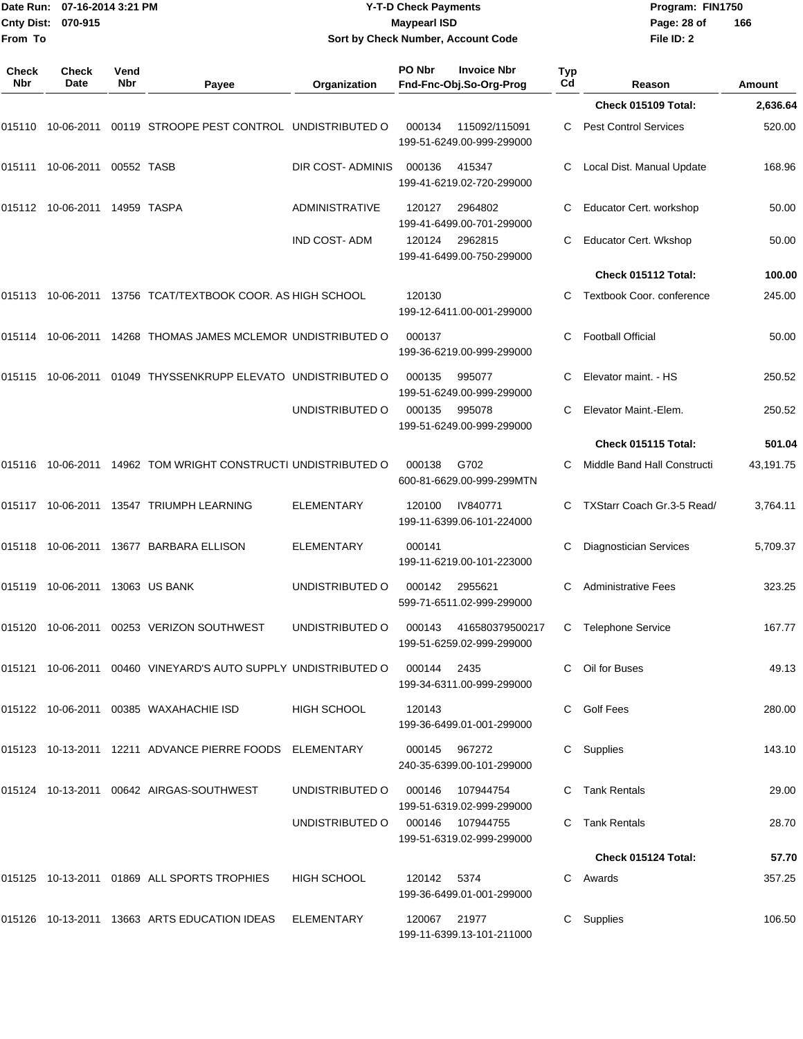| From To                    | Date Run: 07-16-2014 3:21 PM<br>Cnty Dist: 070-915 |             |                                                                                 | <b>Maypearl ISD</b><br>Page: 28 of<br>Sort by Check Number, Account Code<br>File ID: 2 |               |                                                     | <b>Y-T-D Check Payments</b><br>Program: FIN1750<br>166 |                               |               |  |
|----------------------------|----------------------------------------------------|-------------|---------------------------------------------------------------------------------|----------------------------------------------------------------------------------------|---------------|-----------------------------------------------------|--------------------------------------------------------|-------------------------------|---------------|--|
| <b>Check</b><br><b>Nbr</b> | <b>Check</b><br>Date                               | Vend<br>Nbr | Payee                                                                           | Organization                                                                           | PO Nbr        | <b>Invoice Nbr</b><br>Fnd-Fnc-Obj.So-Org-Prog       | Typ<br>Cd                                              | Reason                        | <b>Amount</b> |  |
|                            |                                                    |             |                                                                                 |                                                                                        |               |                                                     |                                                        | Check 015109 Total:           | 2,636.64      |  |
| 015110                     |                                                    |             | 10-06-2011  00119  STROOPE PEST CONTROL  UNDISTRIBUTED O                        |                                                                                        | 000134        | 115092/115091<br>199-51-6249.00-999-299000          | C.                                                     | <b>Pest Control Services</b>  | 520.00        |  |
| 015111                     | 10-06-2011                                         | 00552 TASB  |                                                                                 | DIR COST- ADMINIS                                                                      | 000136        | 415347<br>199-41-6219.02-720-299000                 |                                                        | Local Dist. Manual Update     | 168.96        |  |
|                            | 015112 10-06-2011 14959 TASPA                      |             |                                                                                 | ADMINISTRATIVE                                                                         | 120127        | 2964802<br>199-41-6499.00-701-299000                |                                                        | Educator Cert. workshop       | 50.00         |  |
|                            |                                                    |             |                                                                                 | IND COST-ADM                                                                           | 120124        | 2962815<br>199-41-6499.00-750-299000                | C                                                      | Educator Cert. Wkshop         | 50.00         |  |
|                            |                                                    |             |                                                                                 |                                                                                        |               |                                                     |                                                        | Check 015112 Total:           | 100.00        |  |
|                            |                                                    |             | 015113  10-06-2011  13756  TCAT/TEXTBOOK COOR. AS HIGH SCHOOL                   |                                                                                        | 120130        | 199-12-6411.00-001-299000                           |                                                        | Textbook Coor. conference     | 245.00        |  |
|                            |                                                    |             | 015114  10-06-2011  14268  THOMAS JAMES MCLEMOR UNDISTRIBUTED O                 |                                                                                        | 000137        | 199-36-6219.00-999-299000                           | С                                                      | <b>Football Official</b>      | 50.00         |  |
|                            |                                                    |             | 015115  10-06-2011  01049  THYSSENKRUPP ELEVATO  UNDISTRIBUTED  O               |                                                                                        | 000135        | 995077<br>199-51-6249.00-999-299000                 |                                                        | Elevator maint. - HS          | 250.52        |  |
|                            |                                                    |             |                                                                                 | UNDISTRIBUTED O                                                                        | 000135        | 995078<br>199-51-6249.00-999-299000                 | С                                                      | Elevator Maint.-Elem.         | 250.52        |  |
|                            |                                                    |             |                                                                                 |                                                                                        |               |                                                     |                                                        | Check 015115 Total:           | 501.04        |  |
|                            |                                                    |             | 015116  10-06-2011  14962  TOM WRIGHT CONSTRUCTI UNDISTRIBUTED O                |                                                                                        | 000138        | G702<br>600-81-6629.00-999-299MTN                   | C                                                      | Middle Band Hall Constructi   | 43,191.75     |  |
|                            |                                                    |             |                                                                                 | <b>ELEMENTARY</b>                                                                      | 120100        | IV840771<br>199-11-6399.06-101-224000               | C.                                                     | TXStarr Coach Gr.3-5 Read/    | 3,764.11      |  |
|                            |                                                    |             | 015118 10-06-2011 13677  BARBARA ELLISON                                        | ELEMENTARY                                                                             | 000141        | 199-11-6219.00-101-223000                           |                                                        | <b>Diagnostician Services</b> | 5,709.37      |  |
| 015119                     | 10-06-2011                                         |             | 13063 US BANK                                                                   | UNDISTRIBUTED O                                                                        | 000142        | 2955621<br>599-71-6511.02-999-299000                | C                                                      | <b>Administrative Fees</b>    | 323.25        |  |
|                            |                                                    |             | 015120  10-06-2011  00253  VERIZON SOUTHWEST                                    | UNDISTRIBUTED O                                                                        |               | 000143 416580379500217<br>199-51-6259.02-999-299000 |                                                        | C Telephone Service           | 167.77        |  |
|                            |                                                    |             | 015121 10-06-2011 00460   VINEYARD'S AUTO SUPPLY  UNDISTRIBUTED O  000144  2435 |                                                                                        |               | 199-34-6311.00-999-299000                           |                                                        | C Oil for Buses               | 49.13         |  |
|                            |                                                    |             | 015122    10-06-2011    00385    WAXAHACHIE    ISD                              | HIGH SCHOOL                                                                            | 120143        | 199-36-6499.01-001-299000                           |                                                        | C Golf Fees                   | 280.00        |  |
|                            |                                                    |             | 015123  10-13-2011  12211  ADVANCE PIERRE FOODS  ELEMENTARY                     |                                                                                        | 000145 967272 | 240-35-6399.00-101-299000                           |                                                        | C Supplies                    | 143.10        |  |
|                            |                                                    |             |                                                                                 | UNDISTRIBUTED O                                                                        |               | 000146 107944754<br>199-51-6319.02-999-299000       |                                                        | C Tank Rentals                | 29.00         |  |
|                            |                                                    |             |                                                                                 | UNDISTRIBUTED O                                                                        |               | 000146 107944755<br>199-51-6319.02-999-299000       |                                                        | C Tank Rentals                | 28.70         |  |
|                            |                                                    |             |                                                                                 |                                                                                        |               |                                                     |                                                        | Check 015124 Total:           | 57.70         |  |
|                            |                                                    |             | 015125  10-13-2011  01869  ALL SPORTS TROPHIES                                  | HIGH SCHOOL                                                                            | 120142 5374   | 199-36-6499.01-001-299000                           |                                                        | C Awards                      | 357.25        |  |
|                            |                                                    |             | 015126  10-13-2011  13663  ARTS EDUCATION IDEAS  ELEMENTARY                     |                                                                                        | 120067 21977  | 199-11-6399.13-101-211000                           |                                                        | C Supplies                    | 106.50        |  |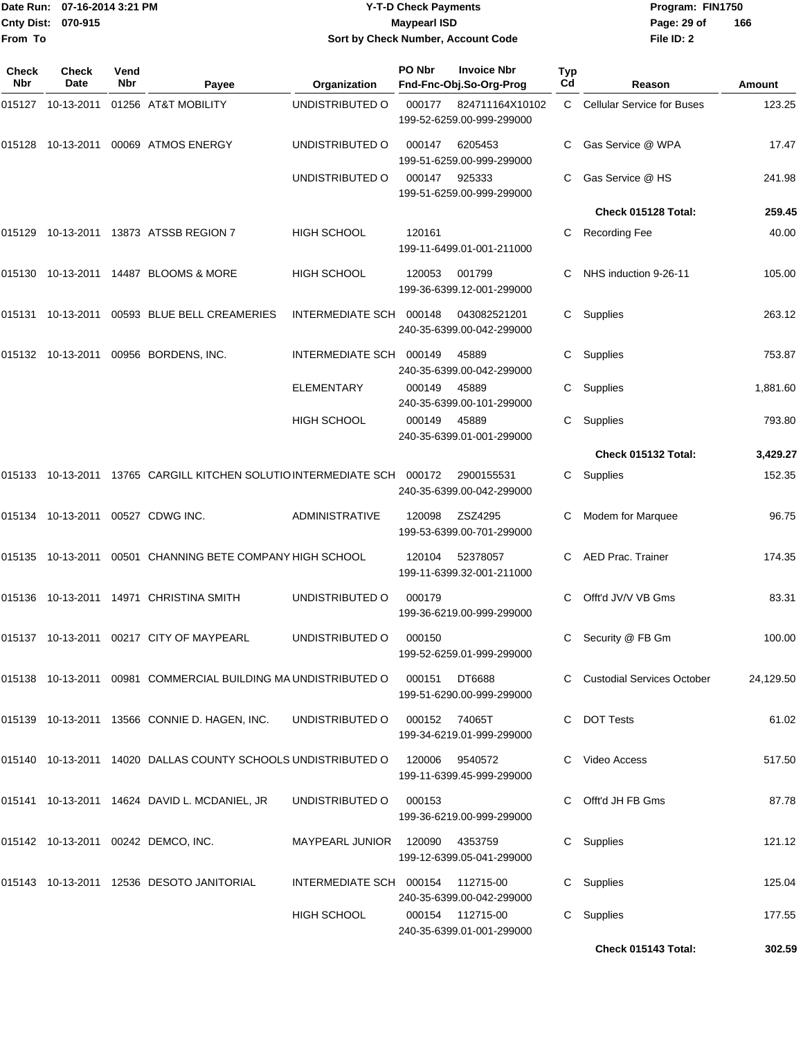|              | Date Run: 07-16-2014 3:21 PM |             |                                                                         |                                    | <b>Y-T-D Check Payments</b> |                                               |                  | Program: FIN1750                  |           |
|--------------|------------------------------|-------------|-------------------------------------------------------------------------|------------------------------------|-----------------------------|-----------------------------------------------|------------------|-----------------------------------|-----------|
| From To      | Cnty Dist: 070-915           |             |                                                                         | Sort by Check Number, Account Code | <b>Maypearl ISD</b>         |                                               |                  | Page: 29 of<br>File ID: 2         | 166       |
| Check<br>Nbr | Check<br>Date                | Vend<br>Nbr | Payee                                                                   | Organization                       | PO Nbr                      | <b>Invoice Nbr</b><br>Fnd-Fnc-Obj.So-Org-Prog | <b>Typ</b><br>Cd | Reason                            | Amount    |
|              | 015127 10-13-2011            |             | 01256 AT&T MOBILITY                                                     | UNDISTRIBUTED O                    | 000177                      | 824711164X10102<br>199-52-6259.00-999-299000  | C.               | <b>Cellular Service for Buses</b> | 123.25    |
| 015128       | 10-13-2011                   |             | 00069 ATMOS ENERGY                                                      | UNDISTRIBUTED O                    | 000147                      | 6205453<br>199-51-6259.00-999-299000          | C                | Gas Service @ WPA                 | 17.47     |
|              |                              |             |                                                                         | UNDISTRIBUTED O                    | 000147                      | 925333<br>199-51-6259.00-999-299000           |                  | Gas Service @ HS                  | 241.98    |
|              |                              |             |                                                                         |                                    |                             |                                               |                  | Check 015128 Total:               | 259.45    |
|              |                              |             | 015129 10-13-2011 13873 ATSSB REGION 7                                  | HIGH SCHOOL                        | 120161                      | 199-11-6499.01-001-211000                     | С                | <b>Recording Fee</b>              | 40.00     |
|              |                              |             | 015130 10-13-2011 14487 BLOOMS & MORE                                   | <b>HIGH SCHOOL</b>                 | 120053                      | 001799<br>199-36-6399.12-001-299000           |                  | NHS induction 9-26-11             | 105.00    |
|              |                              |             | 015131 10-13-2011 00593 BLUE BELL CREAMERIES                            | INTERMEDIATE SCH 000148            |                             | 043082521201<br>240-35-6399.00-042-299000     | C                | Supplies                          | 263.12    |
|              |                              |             | 015132 10-13-2011 00956 BORDENS, INC.                                   | INTERMEDIATE SCH 000149            |                             | 45889<br>240-35-6399.00-042-299000            | C.               | Supplies                          | 753.87    |
|              |                              |             |                                                                         | <b>ELEMENTARY</b>                  | 000149                      | 45889<br>240-35-6399.00-101-299000            |                  | Supplies                          | 1,881.60  |
|              |                              |             |                                                                         | <b>HIGH SCHOOL</b>                 | 000149                      | 45889<br>240-35-6399.01-001-299000            | C                | Supplies                          | 793.80    |
|              |                              |             |                                                                         |                                    |                             |                                               |                  | Check 015132 Total:               | 3,429.27  |
|              |                              |             | 015133 10-13-2011 13765 CARGILL KITCHEN SOLUTIO INTERMEDIATE SCH 000172 |                                    |                             | 2900155531<br>240-35-6399.00-042-299000       |                  | C Supplies                        | 152.35    |
|              |                              |             | 015134 10-13-2011 00527 CDWG INC.                                       | <b>ADMINISTRATIVE</b>              | 120098                      | ZSZ4295<br>199-53-6399.00-701-299000          | С                | Modem for Marquee                 | 96.75     |
| 015135       | 10-13-2011                   |             | 00501 CHANNING BETE COMPANY HIGH SCHOOL                                 |                                    | 120104                      | 52378057<br>199-11-6399.32-001-211000         |                  | <b>AED Prac. Trainer</b>          | 174.35    |
|              |                              |             | 015136 10-13-2011 14971 CHRISTINA SMITH                                 | UNDISTRIBUTED O                    | 000179                      | 199-36-6219.00-999-299000                     |                  | C Offt'd JV/V VB Gms              | 83.31     |
|              |                              |             | 015137 10-13-2011 00217 CITY OF MAYPEARL                                | UNDISTRIBUTED O                    | 000150                      | 199-52-6259.01-999-299000                     |                  | C Security @ FB Gm                | 100.00    |
|              |                              |             | 015138 10-13-2011 00981 COMMERCIAL BUILDING MA UNDISTRIBUTED O          |                                    | 000151                      | DT6688<br>199-51-6290.00-999-299000           |                  | C Custodial Services October      | 24,129.50 |
|              |                              |             | 015139 10-13-2011 13566 CONNIE D. HAGEN, INC. UNDISTRIBUTED O           |                                    | 000152 74065T               | 199-34-6219.01-999-299000                     |                  | C DOT Tests                       | 61.02     |
|              |                              |             | 015140 10-13-2011 14020 DALLAS COUNTY SCHOOLS UNDISTRIBUTED O           |                                    | 120006 9540572              | 199-11-6399.45-999-299000                     |                  | C Video Access                    | 517.50    |
|              |                              |             | 015141 10-13-2011 14624 DAVID L. MCDANIEL, JR                           | UNDISTRIBUTED O                    | 000153                      | 199-36-6219.00-999-299000                     |                  | C Offt'd JH FB Gms                | 87.78     |
|              |                              |             | 015142  10-13-2011  00242  DEMCO, INC.                                  | MAYPEARL JUNIOR 120090 4353759     |                             | 199-12-6399.05-041-299000                     |                  | C Supplies                        | 121.12    |
|              |                              |             | 015143 10-13-2011 12536 DESOTO JANITORIAL                               | INTERMEDIATE SCH 000154 112715-00  |                             | 240-35-6399.00-042-299000                     |                  | C Supplies                        | 125.04    |
|              |                              |             |                                                                         | HIGH SCHOOL                        |                             | 000154 112715-00<br>240-35-6399.01-001-299000 |                  | C Supplies                        | 177.55    |

**Check 015143 Total: 302.59**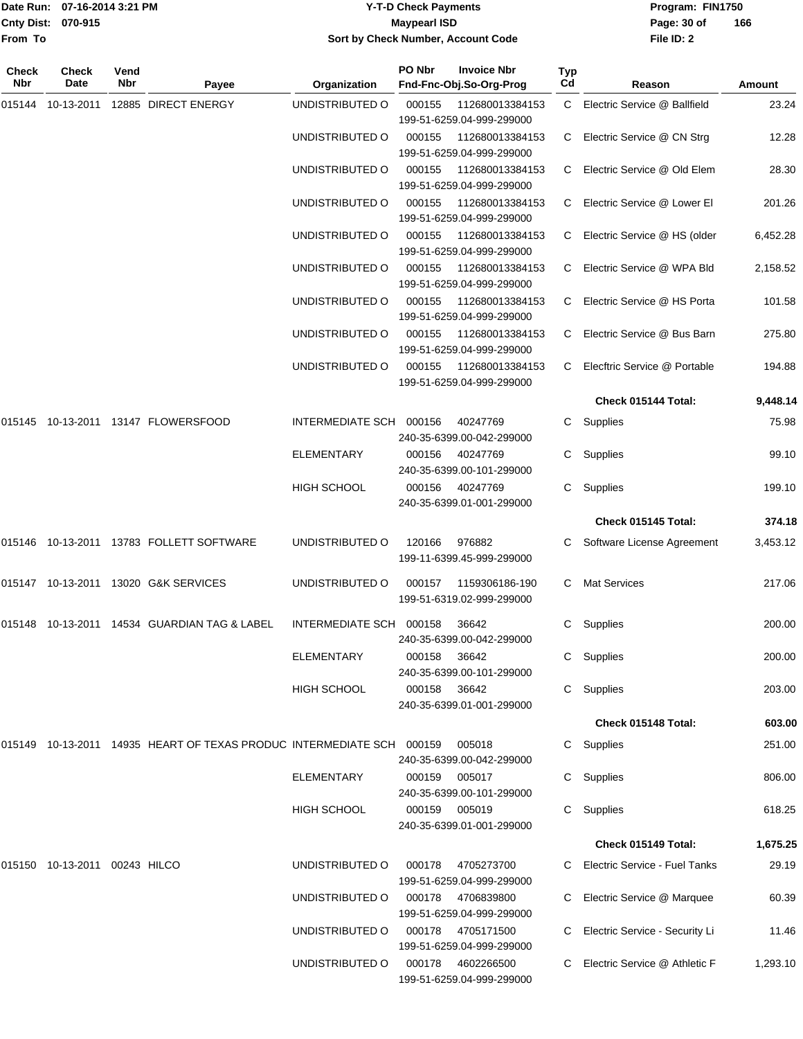| Date Run:           |                             | 07-16-2014 3:21 PM<br><b>Y-T-D Check Payments</b> |                     |                                    |        | Program: FIN1750                              |           |                              |        |
|---------------------|-----------------------------|---------------------------------------------------|---------------------|------------------------------------|--------|-----------------------------------------------|-----------|------------------------------|--------|
|                     | Cnty Dist: 070-915          |                                                   |                     | <b>Maypearl ISD</b>                |        |                                               |           | Page: 30 of                  | 166    |
| From To             |                             |                                                   |                     | Sort by Check Number, Account Code |        | File ID: 2                                    |           |                              |        |
| <b>Check</b><br>Nbr | <b>Check</b><br><b>Date</b> | Vend<br>Nbr                                       | Payee               | Organization                       | PO Nbr | <b>Invoice Nbr</b><br>Fnd-Fnc-Obj.So-Org-Prog | Typ<br>Cd | Reason                       | Amount |
| 015144              | 10-13-2011                  |                                                   | 12885 DIRECT ENERGY | UNDISTRIBUTED O                    | 000155 | 112680013384153                               | C.        | Electric Service @ Ballfield | 23.24  |
|                     |                             |                                                   |                     |                                    |        | 199-51-6259.04-999-299000                     |           |                              |        |
|                     |                             |                                                   |                     | UNDISTRIBUTED O                    | 000155 | 112680013384153                               | C.        | Electric Service @ CN Strg   | 12.28  |
|                     |                             |                                                   |                     |                                    |        | 199-51-6259.04-999-299000                     |           |                              |        |
|                     |                             |                                                   |                     | UNDISTRIBUTED O                    | 000155 | 112680013384153                               | C.        | Electric Service @ Old Elem  | 28.30  |
|                     |                             |                                                   |                     |                                    |        | 199-51-6259.04-999-299000                     |           |                              |        |
|                     |                             |                                                   |                     | UNDISTRIBUTED O                    | 000155 | 112680013384153                               | C.        | Electric Service @ Lower El  | 201.26 |

|        |                    |                                                 | UNDISTRIBUTED O         | 000155 | 112680013384153           |              | C Electric Service @ HS Porta  | 101.58   |
|--------|--------------------|-------------------------------------------------|-------------------------|--------|---------------------------|--------------|--------------------------------|----------|
|        |                    |                                                 |                         |        | 199-51-6259.04-999-299000 |              |                                |          |
|        |                    |                                                 | UNDISTRIBUTED O         | 000155 | 112680013384153           |              | C Electric Service @ Bus Barn  | 275.80   |
|        |                    |                                                 |                         |        | 199-51-6259.04-999-299000 |              |                                |          |
|        |                    |                                                 | UNDISTRIBUTED O         | 000155 | 112680013384153           |              | C Elecftric Service @ Portable | 194.88   |
|        |                    |                                                 |                         |        | 199-51-6259.04-999-299000 |              |                                |          |
|        |                    |                                                 |                         |        |                           |              | Check 015144 Total:            | 9,448.14 |
| 015145 |                    | 10-13-2011  13147  FLOWERSFOOD                  | INTERMEDIATE SCH 000156 |        | 40247769                  |              | C Supplies                     | 75.98    |
|        |                    |                                                 |                         |        | 240-35-6399.00-042-299000 |              |                                |          |
|        |                    |                                                 | <b>ELEMENTARY</b>       | 000156 | 40247769                  |              | C Supplies                     | 99.10    |
|        |                    |                                                 |                         |        | 240-35-6399.00-101-299000 |              |                                |          |
|        |                    |                                                 | <b>HIGH SCHOOL</b>      | 000156 | 40247769                  |              | C Supplies                     | 199.10   |
|        |                    |                                                 |                         |        | 240-35-6399.01-001-299000 |              |                                |          |
|        |                    |                                                 |                         |        |                           |              | Check 015145 Total:            | 374.18   |
|        |                    |                                                 | UNDISTRIBUTED O         | 120166 | 976882                    |              | C Software License Agreement   | 3,453.12 |
|        |                    |                                                 |                         |        | 199-11-6399.45-999-299000 |              |                                |          |
|        | 015147  10-13-2011 | 13020 G&K SERVICES                              | UNDISTRIBUTED O         | 000157 | 1159306186-190            | $\mathbf{C}$ | <b>Mat Services</b>            | 217.06   |
|        |                    |                                                 |                         |        | 199-51-6319.02-999-299000 |              |                                |          |
|        |                    | 015148  10-13-2011  14534  GUARDIAN TAG & LABEL | INTERMEDIATE SCH 000158 |        | 36642                     |              | C Supplies                     | 200.00   |
|        |                    |                                                 |                         |        | 240-35-6399.00-042-299000 |              |                                |          |
|        |                    |                                                 | <b>ELEMENTARY</b>       | 000158 | 36642                     |              | C Supplies                     | 200.00   |
|        |                    |                                                 |                         |        | 240-35-6399.00-101-299000 |              |                                |          |
|        |                    |                                                 | <b>HIGH SCHOOL</b>      | 000158 | 36642                     | C.           | Supplies                       | 203.00   |
|        |                    |                                                 |                         |        | 240-35-6399.01-001-299000 |              |                                |          |
|        |                    |                                                 |                         |        |                           |              | Check 015148 Total:            | 603.00   |
|        |                    |                                                 |                         |        |                           |              |                                |          |

199-51-6259.04-999-299000

199-51-6259.04-999-299000

199-51-6259.04-999-299000

UNDISTRIBUTED O 000155 112680013384153 C Electric Service @ HS (older 6,452.28

UNDISTRIBUTED O 000155 112680013384153 C Electric Service @ WPA Bld 2,158.52

| 015149 | 10-13-2011 | 14935 HEART OF TEXAS PRODUC INTERMEDIATE SCH |                    | 000159 | 005018                    | C. | Supplies                       | 251.00   |
|--------|------------|----------------------------------------------|--------------------|--------|---------------------------|----|--------------------------------|----------|
|        |            |                                              |                    |        | 240-35-6399.00-042-299000 |    |                                |          |
|        |            |                                              | <b>ELEMENTARY</b>  | 000159 | 005017                    | C. | Supplies                       | 806.00   |
|        |            |                                              |                    |        | 240-35-6399.00-101-299000 |    |                                |          |
|        |            |                                              | <b>HIGH SCHOOL</b> | 000159 | 005019                    | C. | Supplies                       | 618.25   |
|        |            |                                              |                    |        | 240-35-6399.01-001-299000 |    |                                |          |
|        |            |                                              |                    |        |                           |    | Check 015149 Total:            | 1,675.25 |
| 015150 | 10-13-2011 | 00243 HILCO                                  | UNDISTRIBUTED O    | 000178 | 4705273700                | C. | Electric Service - Fuel Tanks  | 29.19    |
|        |            |                                              |                    |        | 199-51-6259.04-999-299000 |    |                                |          |
|        |            |                                              | UNDISTRIBUTED O    | 000178 | 4706839800                | C. | Electric Service @ Marquee     | 60.39    |
|        |            |                                              |                    |        | 199-51-6259.04-999-299000 |    |                                |          |
|        |            |                                              | UNDISTRIBUTED O    | 000178 | 4705171500                | C. | Electric Service - Security Li | 11.46    |
|        |            |                                              |                    |        | 199-51-6259.04-999-299000 |    |                                |          |
|        |            |                                              | UNDISTRIBUTED O    | 000178 | 4602266500                |    | Electric Service @ Athletic F  | 1,293.10 |
|        |            |                                              |                    |        | 199-51-6259.04-999-299000 |    |                                |          |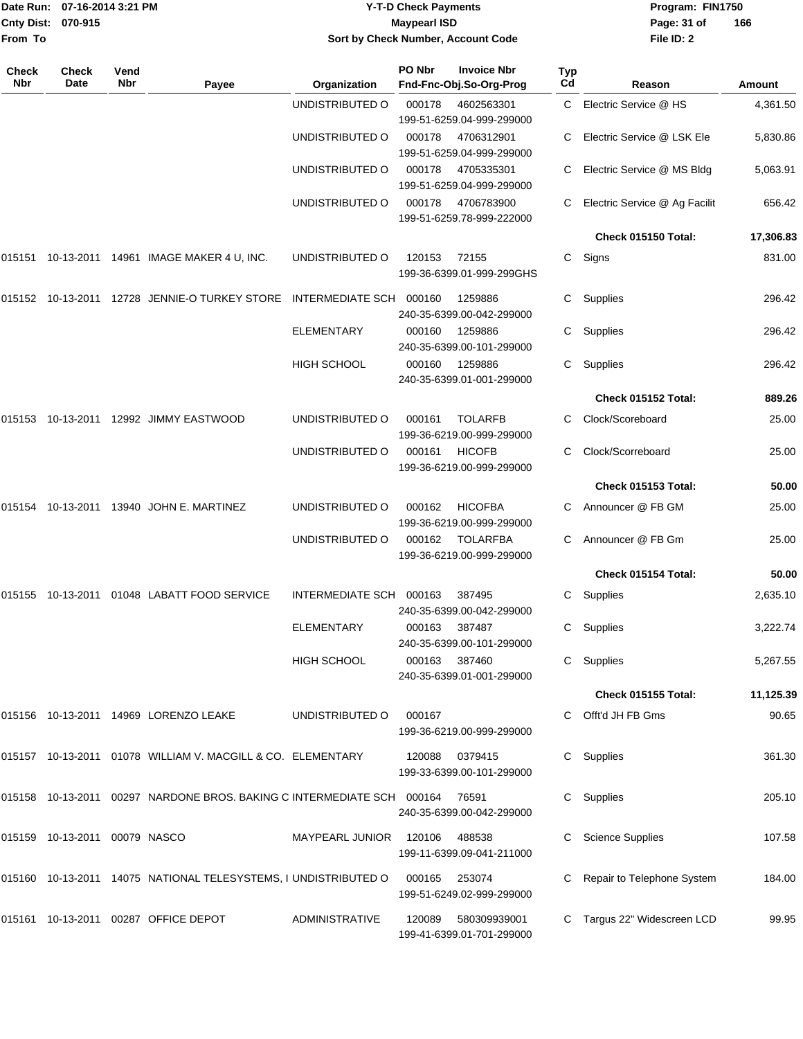|                     | Date Run: 07-16-2014 3:21 PM     |             |                                                                               |                                                           | <b>Y-T-D Check Payments</b> | Program: FIN1750                                 |           |                               |               |
|---------------------|----------------------------------|-------------|-------------------------------------------------------------------------------|-----------------------------------------------------------|-----------------------------|--------------------------------------------------|-----------|-------------------------------|---------------|
| From To             | Cnty Dist: 070-915               |             |                                                                               | <b>Maypearl ISD</b><br>Sort by Check Number, Account Code |                             |                                                  |           | Page: 31 of<br>File ID: 2     | 166           |
|                     |                                  |             |                                                                               |                                                           |                             |                                                  |           |                               |               |
| <b>Check</b><br>Nbr | <b>Check</b><br>Date             | Vend<br>Nbr | Payee                                                                         | Organization                                              | PO Nbr                      | <b>Invoice Nbr</b><br>Fnd-Fnc-Obj.So-Org-Prog    | Typ<br>Cd | Reason                        | <b>Amount</b> |
|                     |                                  |             |                                                                               | UNDISTRIBUTED O                                           | 000178                      | 4602563301<br>199-51-6259.04-999-299000          | C.        | Electric Service @ HS         | 4,361.50      |
|                     |                                  |             |                                                                               | UNDISTRIBUTED O                                           | 000178                      | 4706312901<br>199-51-6259.04-999-299000          |           | Electric Service @ LSK Ele    | 5,830.86      |
|                     |                                  |             |                                                                               | UNDISTRIBUTED O                                           | 000178                      | 4705335301<br>199-51-6259.04-999-299000          | C         | Electric Service @ MS Bldg    | 5,063.91      |
|                     |                                  |             |                                                                               | UNDISTRIBUTED O                                           | 000178                      | 4706783900<br>199-51-6259.78-999-222000          |           | Electric Service @ Ag Facilit | 656.42        |
|                     |                                  |             |                                                                               |                                                           |                             |                                                  |           | Check 015150 Total:           | 17,306.83     |
|                     |                                  |             | 015151  10-13-2011  14961  IMAGE MAKER 4 U, INC.                              | UNDISTRIBUTED O                                           | 120153                      | 72155<br>199-36-6399.01-999-299GHS               | C.        | Signs                         | 831.00        |
|                     |                                  |             | 015152  10-13-2011  12728  JENNIE-O TURKEY STORE INTERMEDIATE SCH             |                                                           | 000160                      | 1259886<br>240-35-6399.00-042-299000             | C.        | Supplies                      | 296.42        |
|                     |                                  |             |                                                                               | <b>ELEMENTARY</b>                                         | 000160                      | 1259886<br>240-35-6399.00-101-299000             | C         | Supplies                      | 296.42        |
|                     |                                  |             |                                                                               | HIGH SCHOOL                                               | 000160                      | 1259886<br>240-35-6399.01-001-299000             | C         | Supplies                      | 296.42        |
|                     |                                  |             |                                                                               |                                                           |                             |                                                  |           | Check 015152 Total:           | 889.26        |
|                     |                                  |             | 015153  10-13-2011  12992  JIMMY EASTWOOD                                     | UNDISTRIBUTED O                                           | 000161                      | <b>TOLARFB</b><br>199-36-6219.00-999-299000      |           | Clock/Scoreboard              | 25.00         |
|                     |                                  |             |                                                                               | UNDISTRIBUTED O                                           | 000161                      | <b>HICOFB</b><br>199-36-6219.00-999-299000       | C         | Clock/Scorreboard             | 25.00         |
|                     |                                  |             |                                                                               |                                                           |                             |                                                  |           | Check 015153 Total:           | 50.00         |
|                     |                                  |             | 015154  10-13-2011  13940  JOHN E. MARTINEZ                                   | UNDISTRIBUTED O                                           | 000162                      | <b>HICOFBA</b><br>199-36-6219.00-999-299000      | C.        | Announcer @ FB GM             | 25.00         |
|                     |                                  |             |                                                                               | UNDISTRIBUTED O                                           | 000162                      | <b>TOLARFBA</b><br>199-36-6219.00-999-299000     | C         | Announcer @ FB Gm             | 25.00         |
|                     |                                  |             |                                                                               |                                                           |                             |                                                  |           | Check 015154 Total:           | 50.00         |
|                     |                                  |             | 015155  10-13-2011  01048  LABATT FOOD SERVICE                                | INTERMEDIATE SCH 000163                                   |                             | 387495<br>240-35-6399.00-042-299000              |           | C Supplies                    | 2,635.10      |
|                     |                                  |             |                                                                               | ELEMENTARY                                                | 000163                      | 387487<br>240-35-6399.00-101-299000              |           | C Supplies                    | 3,222.74      |
|                     |                                  |             |                                                                               | <b>HIGH SCHOOL</b>                                        | 000163                      | 387460<br>240-35-6399.01-001-299000              |           | C Supplies                    | 5,267.55      |
|                     |                                  |             |                                                                               |                                                           |                             |                                                  |           | <b>Check 015155 Total:</b>    | 11,125.39     |
|                     |                                  |             | 015156  10-13-2011  14969  LORENZO LEAKE                                      | UNDISTRIBUTED O                                           | 000167                      | 199-36-6219.00-999-299000                        |           | C Offt'd JH FB Gms            | 90.65         |
|                     |                                  |             |                                                                               |                                                           | 120088                      | 0379415<br>199-33-6399.00-101-299000             |           | C Supplies                    | 361.30        |
|                     |                                  |             | 015158  10-13-2011  00297  NARDONE BROS. BAKING C INTERMEDIATE SCH  000164    |                                                           |                             | 76591<br>240-35-6399.00-042-299000               |           | C Supplies                    | 205.10        |
|                     | 015159  10-13-2011  00079  NASCO |             |                                                                               | MAYPEARL JUNIOR                                           | 120106                      | 488538<br>199-11-6399.09-041-211000              |           | C Science Supplies            | 107.58        |
|                     |                                  |             | 015160    10-13-2011    14075         NATIONAL TELESYSTEMS, I UNDISTRIBUTED O |                                                           | 000165                      | 253074<br>199-51-6249.02-999-299000              |           | C Repair to Telephone System  | 184.00        |
|                     |                                  |             | 015161  10-13-2011  00287  OFFICE DEPOT                                       | ADMINISTRATIVE                                            |                             | 120089 580309939001<br>199-41-6399.01-701-299000 |           | C Targus 22" Widescreen LCD   | 99.95         |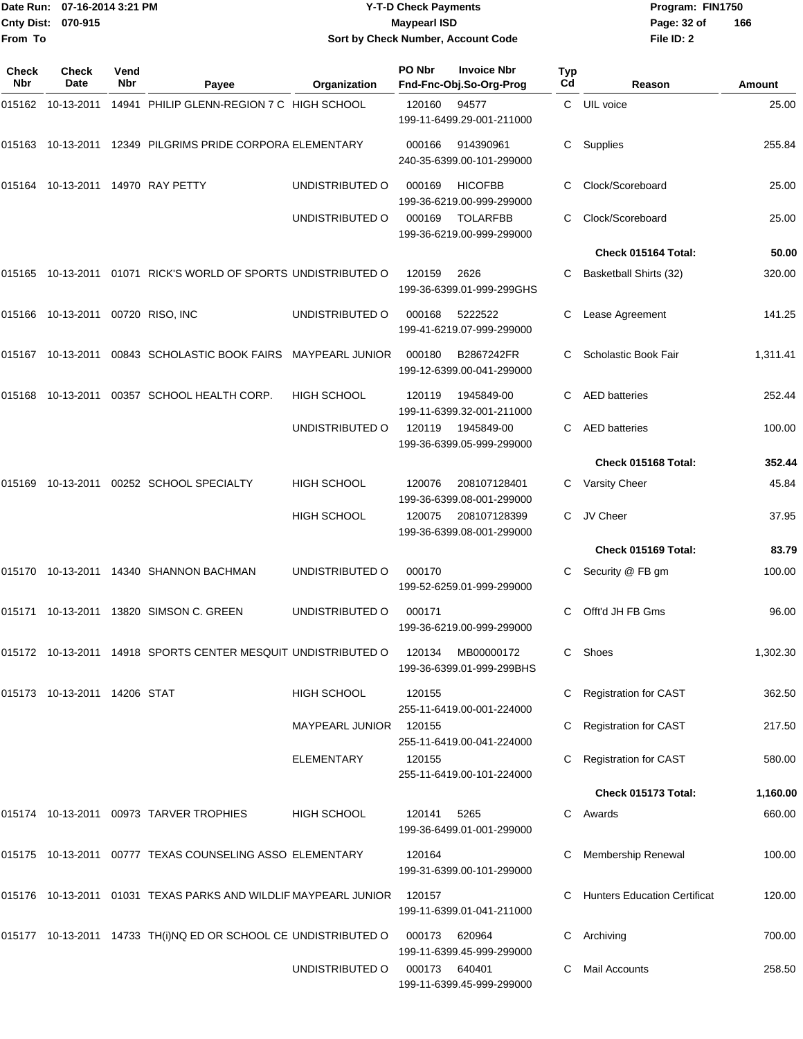|              | Date Run: 07-16-2014 3:21 PM      |             |                                                                 |                                    | <b>Y-T-D Check Payments</b> |                                               | Program: FIN1750 |                                                     |                    |
|--------------|-----------------------------------|-------------|-----------------------------------------------------------------|------------------------------------|-----------------------------|-----------------------------------------------|------------------|-----------------------------------------------------|--------------------|
|              | Cnty Dist: 070-915                |             |                                                                 |                                    | <b>Maypearl ISD</b>         |                                               |                  | Page: 32 of                                         | 166                |
| From To      |                                   |             |                                                                 | Sort by Check Number, Account Code |                             |                                               |                  | File ID: 2                                          |                    |
| Check<br>Nbr | Check<br>Date                     | Vend<br>Nbr | Payee                                                           | Organization                       | PO Nbr                      | <b>Invoice Nbr</b><br>Fnd-Fnc-Obj.So-Org-Prog | Typ<br>Cd        | Reason                                              | <b>Amount</b>      |
|              | 015162 10-13-2011                 |             | 14941 PHILIP GLENN-REGION 7 C HIGH SCHOOL                       |                                    | 120160                      | 94577<br>199-11-6499.29-001-211000            | C.               | UIL voice                                           | 25.00              |
|              |                                   |             | 015163 10-13-2011 12349 PILGRIMS PRIDE CORPORA ELEMENTARY       |                                    | 000166                      | 914390961<br>240-35-6399.00-101-299000        | С                | Supplies                                            | 255.84             |
|              |                                   |             | 015164 10-13-2011 14970 RAY PETTY                               | UNDISTRIBUTED O                    | 000169                      | <b>HICOFBB</b><br>199-36-6219.00-999-299000   |                  | Clock/Scoreboard                                    | 25.00              |
|              |                                   |             |                                                                 | UNDISTRIBUTED O                    | 000169                      | <b>TOLARFBB</b><br>199-36-6219.00-999-299000  | С                | Clock/Scoreboard                                    | 25.00              |
|              |                                   |             |                                                                 |                                    |                             |                                               |                  | Check 015164 Total:                                 | 50.00              |
|              |                                   |             | 015165 10-13-2011 01071 RICK'S WORLD OF SPORTS UNDISTRIBUTED O  |                                    | 120159                      | 2626<br>199-36-6399.01-999-299GHS             | С                | Basketball Shirts (32)                              | 320.00             |
|              | 015166 10-13-2011 00720 RISO, INC |             |                                                                 | UNDISTRIBUTED O                    | 000168                      | 5222522<br>199-41-6219.07-999-299000          | С                | Lease Agreement                                     | 141.25             |
|              |                                   |             | 015167 10-13-2011 00843 SCHOLASTIC BOOK FAIRS MAYPEARL JUNIOR   |                                    | 000180                      | B2867242FR<br>199-12-6399.00-041-299000       |                  | Scholastic Book Fair                                | 1,311.41           |
|              |                                   |             | 015168 10-13-2011 00357 SCHOOL HEALTH CORP.                     | <b>HIGH SCHOOL</b>                 | 120119                      | 1945849-00<br>199-11-6399.32-001-211000       | C                | <b>AED</b> batteries                                | 252.44             |
|              |                                   |             |                                                                 | UNDISTRIBUTED O                    | 120119                      | 1945849-00<br>199-36-6399.05-999-299000       | С                | <b>AED</b> batteries                                | 100.00             |
|              |                                   |             |                                                                 |                                    |                             |                                               |                  | Check 015168 Total:                                 | 352.44             |
|              |                                   |             | 015169 10-13-2011 00252 SCHOOL SPECIALTY                        | <b>HIGH SCHOOL</b>                 | 120076                      | 208107128401<br>199-36-6399.08-001-299000     | С                | Varsity Cheer                                       | 45.84              |
|              |                                   |             |                                                                 | <b>HIGH SCHOOL</b>                 | 120075                      | 208107128399<br>199-36-6399.08-001-299000     | C                | JV Cheer                                            | 37.95              |
|              |                                   |             |                                                                 |                                    |                             |                                               |                  | Check 015169 Total:                                 | 83.79              |
|              |                                   |             | 015170 10-13-2011 14340 SHANNON BACHMAN                         | UNDISTRIBUTED O                    | 000170                      | 199-52-6259.01-999-299000                     |                  | C Security @ FB gm                                  | 100.00             |
|              |                                   |             | 015171 10-13-2011 13820 SIMSON C. GREEN                         | UNDISTRIBUTED O                    | 000171                      | 199-36-6219.00-999-299000                     |                  | C Offt'd JH FB Gms                                  | 96.00              |
|              |                                   |             | 015172 10-13-2011 14918 SPORTS CENTER MESQUIT UNDISTRIBUTED O   |                                    | 120134                      | MB00000172<br>199-36-6399.01-999-299BHS       |                  | C Shoes                                             | 1,302.30           |
|              | 015173 10-13-2011 14206 STAT      |             |                                                                 | <b>HIGH SCHOOL</b>                 | 120155                      | 255-11-6419.00-001-224000                     |                  | C Registration for CAST                             | 362.50             |
|              |                                   |             |                                                                 | MAYPEARL JUNIOR                    | 120155                      | 255-11-6419.00-041-224000                     |                  | <b>Registration for CAST</b>                        | 217.50             |
|              |                                   |             |                                                                 | ELEMENTARY                         | 120155                      | 255-11-6419.00-101-224000                     |                  | <b>Registration for CAST</b><br>Check 015173 Total: | 580.00<br>1,160.00 |
|              |                                   |             |                                                                 |                                    |                             |                                               |                  |                                                     |                    |
|              |                                   |             | 015174 10-13-2011 00973 TARVER TROPHIES                         | HIGH SCHOOL                        | 120141                      | 5265<br>199-36-6499.01-001-299000             |                  | C Awards                                            | 660.00             |
|              |                                   |             | 015175 10-13-2011 00777 TEXAS COUNSELING ASSO ELEMENTARY        |                                    | 120164                      | 199-31-6399.00-101-299000                     |                  | C Membership Renewal                                | 100.00             |
|              |                                   |             | 015176 10-13-2011 01031 TEXAS PARKS AND WILDLIF MAYPEARL JUNIOR |                                    | 120157                      | 199-11-6399.01-041-211000                     |                  | C Hunters Education Certificat                      | 120.00             |
|              |                                   |             | 015177 10-13-2011 14733 TH(i)NQ ED OR SCHOOL CE UNDISTRIBUTED O |                                    | 000173                      | 620964<br>199-11-6399.45-999-299000           |                  | C Archiving                                         | 700.00             |
|              |                                   |             |                                                                 | UNDISTRIBUTED O                    | 000173                      | 640401<br>199-11-6399.45-999-299000           |                  | C Mail Accounts                                     | 258.50             |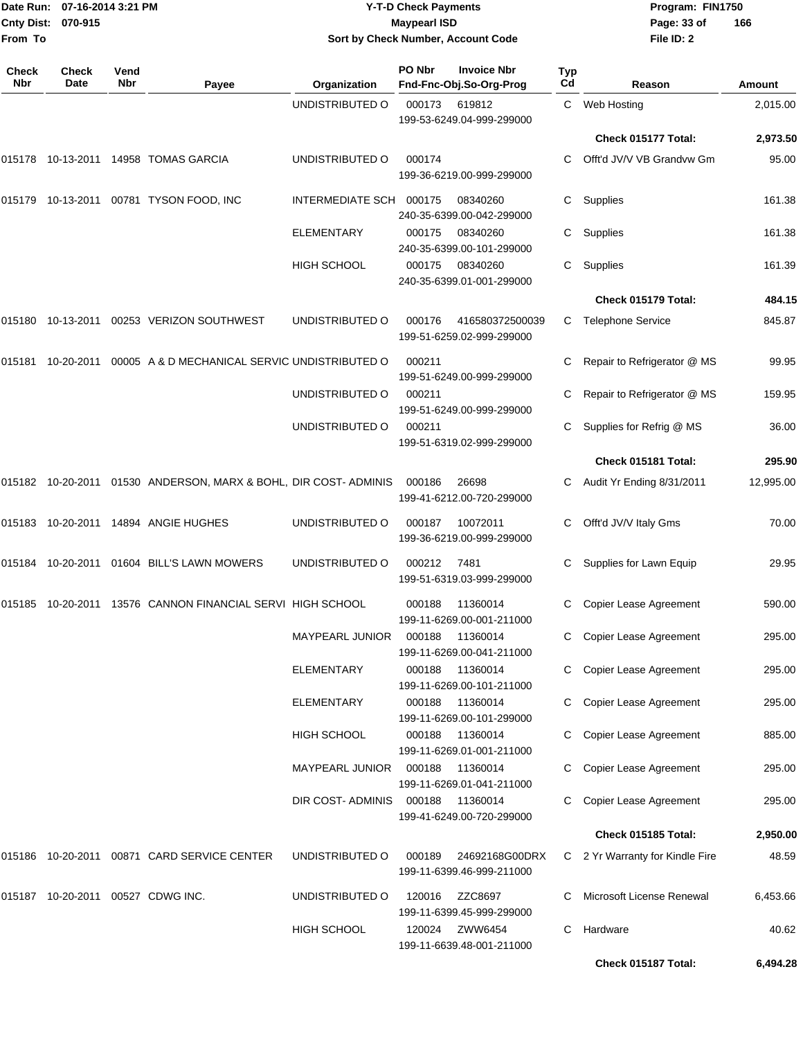| From To             | Date Run: 07-16-2014 3:21 PM<br><b>Cnty Dist:</b><br>070-915 |             |                                                                  |                                              | <b>Y-T-D Check Payments</b><br><b>Maypearl ISD</b> | Sort by Check Number, Account Code                |           | Program: FIN1750<br>Page: 33 of<br>File ID: 2           | 166              |
|---------------------|--------------------------------------------------------------|-------------|------------------------------------------------------------------|----------------------------------------------|----------------------------------------------------|---------------------------------------------------|-----------|---------------------------------------------------------|------------------|
| <b>Check</b><br>Nbr | Check<br>Date                                                | Vend<br>Nbr | Payee                                                            | Organization                                 | PO Nbr                                             | <b>Invoice Nbr</b><br>Fnd-Fnc-Obj.So-Org-Prog     | Typ<br>Cd | Reason                                                  | <b>Amount</b>    |
|                     |                                                              |             |                                                                  | UNDISTRIBUTED O                              | 000173                                             | 619812<br>199-53-6249.04-999-299000               | C.        | Web Hosting                                             | 2,015.00         |
|                     |                                                              |             |                                                                  |                                              |                                                    |                                                   |           | Check 015177 Total:                                     | 2,973.50         |
|                     |                                                              |             | 015178  10-13-2011  14958  TOMAS GARCIA                          | UNDISTRIBUTED O                              | 000174                                             | 199-36-6219.00-999-299000                         | С         | Offt'd JV/V VB Grandvw Gm                               | 95.00            |
|                     | 015179 10-13-2011                                            |             | 00781 TYSON FOOD, INC                                            | INTERMEDIATE SCH                             | 000175                                             | 08340260<br>240-35-6399.00-042-299000             | С         | Supplies                                                | 161.38           |
|                     |                                                              |             |                                                                  | ELEMENTARY                                   | 000175                                             | 08340260<br>240-35-6399.00-101-299000             | С         | Supplies                                                | 161.38           |
|                     |                                                              |             |                                                                  | <b>HIGH SCHOOL</b>                           | 000175                                             | 08340260<br>240-35-6399.01-001-299000             | С         | Supplies                                                | 161.39           |
|                     |                                                              |             |                                                                  |                                              |                                                    |                                                   |           | Check 015179 Total:                                     | 484.15           |
|                     | 015180 10-13-2011                                            |             | 00253 VERIZON SOUTHWEST                                          | UNDISTRIBUTED O                              | 000176                                             | 416580372500039<br>199-51-6259.02-999-299000      |           | C Telephone Service                                     | 845.87           |
|                     | 015181 10-20-2011                                            |             | 00005 A & D MECHANICAL SERVIC UNDISTRIBUTED O                    |                                              | 000211                                             | 199-51-6249.00-999-299000                         |           | Repair to Refrigerator @ MS                             | 99.95            |
|                     |                                                              |             |                                                                  | UNDISTRIBUTED O                              | 000211                                             | 199-51-6249.00-999-299000                         | С         | Repair to Refrigerator @ MS                             | 159.95           |
|                     |                                                              |             |                                                                  | UNDISTRIBUTED O                              | 000211                                             | 199-51-6319.02-999-299000                         | С         | Supplies for Refrig @ MS                                | 36.00            |
|                     |                                                              |             |                                                                  |                                              |                                                    |                                                   |           | Check 015181 Total:                                     | 295.90           |
|                     |                                                              |             | 015182 10-20-2011 01530 ANDERSON, MARX & BOHL, DIR COST- ADMINIS |                                              | 000186                                             | 26698<br>199-41-6212.00-720-299000                |           | Audit Yr Ending 8/31/2011                               | 12,995.00        |
|                     |                                                              |             | 015183 10-20-2011 14894 ANGIE HUGHES                             | UNDISTRIBUTED O                              | 000187                                             | 10072011<br>199-36-6219.00-999-299000             | С         | Offt'd JV/V Italy Gms                                   | 70.00            |
| 015184              | 10-20-2011                                                   |             | 01604 BILL'S LAWN MOWERS                                         | UNDISTRIBUTED O                              | 000212                                             | 7481<br>199-51-6319.03-999-299000                 |           | Supplies for Lawn Equip                                 | 29.95            |
|                     |                                                              |             | 015185 10-20-2011 13576 CANNON FINANCIAL SERVI HIGH SCHOOL       |                                              | 000188                                             | 11360014<br>199-11-6269.00-001-211000             |           | <b>Copier Lease Agreement</b>                           | 590.00           |
|                     |                                                              |             |                                                                  | <b>MAYPEARL JUNIOR</b>                       | 000188                                             | 11360014<br>199-11-6269.00-041-211000             |           | Copier Lease Agreement                                  | 295.00           |
|                     |                                                              |             |                                                                  | <b>ELEMENTARY</b>                            | 000188                                             | 11360014<br>199-11-6269.00-101-211000             |           | Copier Lease Agreement                                  | 295.00           |
|                     |                                                              |             |                                                                  | <b>ELEMENTARY</b>                            | 000188                                             | 11360014<br>199-11-6269.00-101-299000             |           | Copier Lease Agreement                                  | 295.00           |
|                     |                                                              |             |                                                                  | <b>HIGH SCHOOL</b><br><b>MAYPEARL JUNIOR</b> | 000188<br>000188                                   | 11360014<br>199-11-6269.01-001-211000<br>11360014 |           | Copier Lease Agreement<br><b>Copier Lease Agreement</b> | 885.00<br>295.00 |
|                     |                                                              |             |                                                                  | DIR COST- ADMINIS                            | 000188                                             | 199-11-6269.01-041-211000<br>11360014             |           | Copier Lease Agreement                                  | 295.00           |
|                     |                                                              |             |                                                                  |                                              |                                                    | 199-41-6249.00-720-299000                         |           | Check 015185 Total:                                     | 2,950.00         |
|                     |                                                              |             | 015186 10-20-2011 00871 CARD SERVICE CENTER                      | UNDISTRIBUTED O                              | 000189                                             | 24692168G00DRX                                    |           | C 2 Yr Warranty for Kindle Fire                         | 48.59            |
|                     |                                                              |             |                                                                  |                                              |                                                    | 199-11-6399.46-999-211000                         |           |                                                         |                  |
|                     |                                                              |             | 015187 10-20-2011 00527 CDWG INC.                                | UNDISTRIBUTED O                              | 120016                                             | ZZC8697<br>199-11-6399.45-999-299000              |           | Microsoft License Renewal                               | 6,453.66         |
|                     |                                                              |             |                                                                  | HIGH SCHOOL                                  | 120024                                             | ZWW6454<br>199-11-6639.48-001-211000              | С         | Hardware                                                | 40.62            |

**Check 015187 Total: 6,494.28**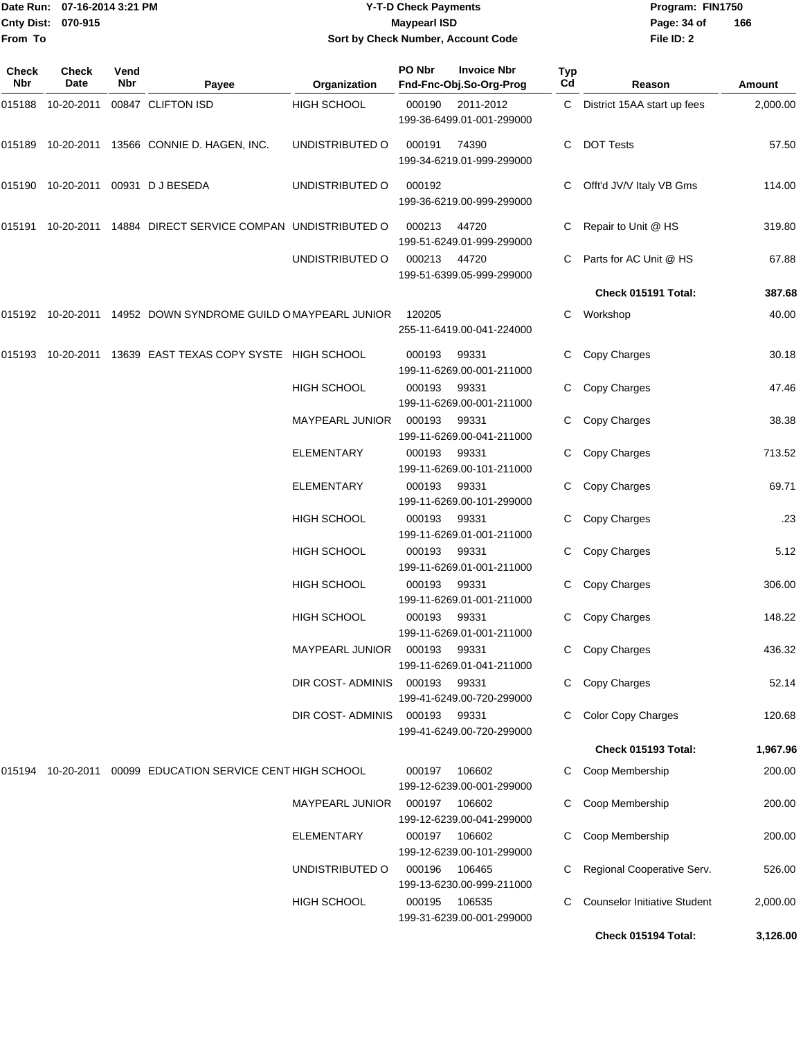|                     | Date Run: 07-16-2014 3:21 PM |             |                                                               |                    | <b>Y-T-D Check Payments</b>                             |           |                                     | Program: FIN1750 |  |
|---------------------|------------------------------|-------------|---------------------------------------------------------------|--------------------|---------------------------------------------------------|-----------|-------------------------------------|------------------|--|
|                     | Cnty Dist: 070-915           |             |                                                               |                    | <b>Maypearl ISD</b>                                     |           | Page: 34 of                         | 166              |  |
| From To             |                              |             |                                                               |                    | Sort by Check Number, Account Code                      |           |                                     |                  |  |
| <b>Check</b><br>Nbr | <b>Check</b><br>Date         | Vend<br>Nbr | Payee                                                         | Organization       | PO Nbr<br><b>Invoice Nbr</b><br>Fnd-Fnc-Obj.So-Org-Prog | Typ<br>Cd | Reason                              | Amount           |  |
|                     |                              |             | 015188 10-20-2011 00847 CLIFTON ISD                           | <b>HIGH SCHOOL</b> | 000190<br>2011-2012<br>199-36-6499.01-001-299000        |           | C District 15AA start up fees       | 2,000.00         |  |
|                     |                              |             | 015189 10-20-2011 13566 CONNIE D. HAGEN, INC.                 | UNDISTRIBUTED O    | 000191<br>74390<br>199-34-6219.01-999-299000            | C.        | <b>DOT Tests</b>                    | 57.50            |  |
|                     |                              |             | 015190 10-20-2011 00931 DJBESEDA                              | UNDISTRIBUTED O    | 000192<br>199-36-6219.00-999-299000                     | C.        | Offt'd JV/V Italy VB Gms            | 114.00           |  |
|                     |                              |             | 015191 10-20-2011 14884 DIRECT SERVICE COMPAN UNDISTRIBUTED O |                    | 44720<br>000213<br>199-51-6249.01-999-299000            |           | Repair to Unit @ HS                 | 319.80           |  |
|                     |                              |             |                                                               | UNDISTRIBUTED O    | 000213<br>44720<br>199-51-6399.05-999-299000            | C.        | Parts for AC Unit @ HS              | 67.88            |  |
|                     |                              |             |                                                               |                    |                                                         |           | Check 015191 Total:                 | 387.68           |  |
|                     |                              |             | 015192 10-20-2011 14952 DOWN SYNDROME GUILD OMAYPEARL JUNIOR  |                    | 120205<br>255-11-6419.00-041-224000                     | C         | Workshop                            | 40.00            |  |
|                     |                              |             | 015193 10-20-2011 13639 EAST TEXAS COPY SYSTE HIGH SCHOOL     |                    | 000193<br>99331<br>199-11-6269.00-001-211000            |           | Copy Charges                        | 30.18            |  |
|                     |                              |             |                                                               | HIGH SCHOOL        | 000193<br>99331<br>199-11-6269.00-001-211000            | C         | Copy Charges                        | 47.46            |  |
|                     |                              |             |                                                               | MAYPEARL JUNIOR    | 000193<br>99331<br>199-11-6269.00-041-211000            | C.        | Copy Charges                        | 38.38            |  |
|                     |                              |             |                                                               | <b>ELEMENTARY</b>  | 000193<br>99331<br>199-11-6269.00-101-211000            | C         | Copy Charges                        | 713.52           |  |
|                     |                              |             |                                                               | <b>ELEMENTARY</b>  | 000193<br>99331<br>199-11-6269.00-101-299000            | C         | Copy Charges                        | 69.71            |  |
|                     |                              |             |                                                               | <b>HIGH SCHOOL</b> | 000193<br>99331<br>199-11-6269.01-001-211000            | C.        | Copy Charges                        | .23              |  |
|                     |                              |             |                                                               | <b>HIGH SCHOOL</b> | 000193<br>99331<br>199-11-6269.01-001-211000            | C.        | Copy Charges                        | 5.12             |  |
|                     |                              |             |                                                               | HIGH SCHOOL        | 000193<br>99331<br>199-11-6269.01-001-211000            |           | C Copy Charges                      | 306.00           |  |
|                     |                              |             |                                                               | <b>HIGH SCHOOL</b> | 000193<br>99331<br>199-11-6269.01-001-211000            |           | C Copy Charges                      | 148.22           |  |
|                     |                              |             |                                                               | MAYPEARL JUNIOR    | 000193<br>99331<br>199-11-6269.01-041-211000            |           | C Copy Charges                      | 436.32           |  |
|                     |                              |             |                                                               | DIR COST- ADMINIS  | 000193<br>99331<br>199-41-6249.00-720-299000            |           | C Copy Charges                      | 52.14            |  |
|                     |                              |             |                                                               | DIR COST- ADMINIS  | 000193<br>99331<br>199-41-6249.00-720-299000            |           | <b>Color Copy Charges</b>           | 120.68           |  |
|                     |                              |             |                                                               |                    |                                                         |           | Check 015193 Total:                 | 1,967.96         |  |
|                     |                              |             | 015194 10-20-2011 00099 EDUCATION SERVICE CENT HIGH SCHOOL    |                    | 000197 106602<br>199-12-6239.00-001-299000              |           | Coop Membership                     | 200.00           |  |
|                     |                              |             |                                                               | MAYPEARL JUNIOR    | 000197 106602<br>199-12-6239.00-041-299000              |           | Coop Membership                     | 200.00           |  |
|                     |                              |             |                                                               | ELEMENTARY         | 000197 106602<br>199-12-6239.00-101-299000              | C.        | Coop Membership                     | 200.00           |  |
|                     |                              |             |                                                               | UNDISTRIBUTED O    | 000196<br>106465<br>199-13-6230.00-999-211000           |           | C Regional Cooperative Serv.        | 526.00           |  |
|                     |                              |             |                                                               | <b>HIGH SCHOOL</b> | 106535<br>000195<br>199-31-6239.00-001-299000           |           | <b>Counselor Initiative Student</b> | 2,000.00         |  |

**Check 015194 Total: 3,126.00**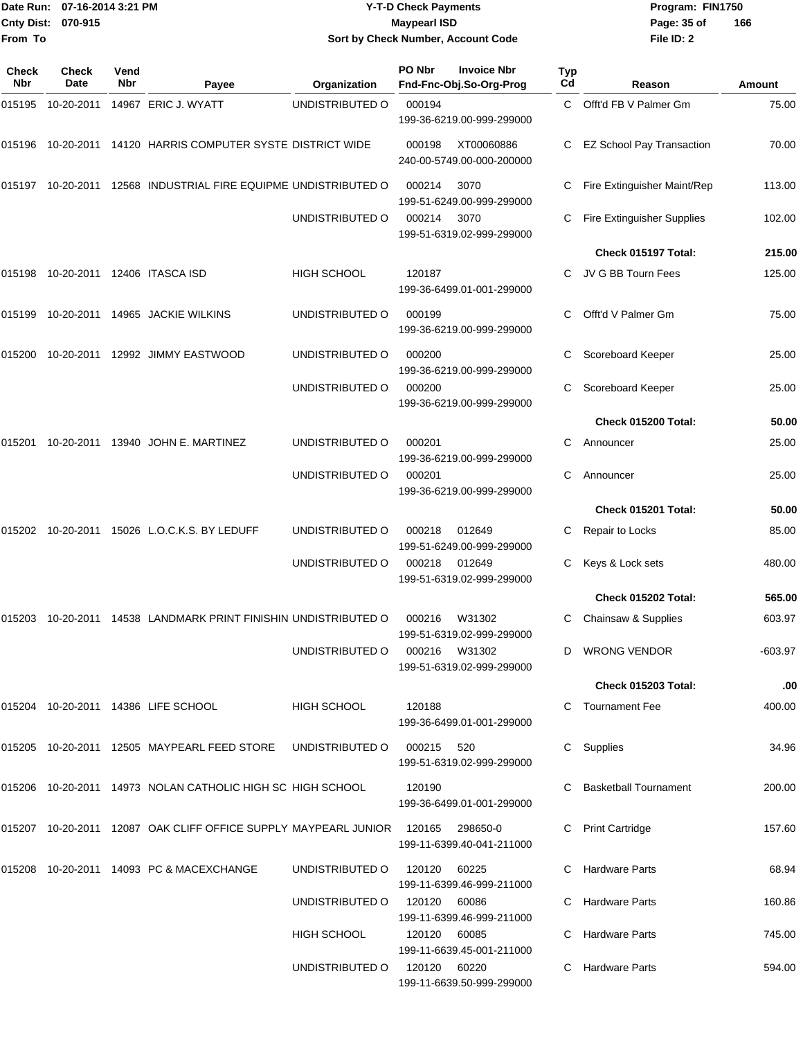| 07-16-2014 3:21 PM<br>Date Run: |                      |             | <b>Y-T-D Check Payments</b>                                                | Program: FIN1750                                          |        |                                               |           |                                  |           |
|---------------------------------|----------------------|-------------|----------------------------------------------------------------------------|-----------------------------------------------------------|--------|-----------------------------------------------|-----------|----------------------------------|-----------|
| <b>Cnty Dist:</b>               | 070-915              |             |                                                                            | <b>Maypearl ISD</b><br>Sort by Check Number, Account Code |        |                                               |           | Page: 35 of                      | 166       |
| From To                         |                      |             |                                                                            |                                                           |        |                                               |           | File ID: 2                       |           |
| <b>Check</b><br>Nbr             | <b>Check</b><br>Date | Vend<br>Nbr | Payee                                                                      | Organization                                              | PO Nbr | <b>Invoice Nbr</b><br>Fnd-Fnc-Obj.So-Org-Prog | Typ<br>Cd | Reason                           | Amount    |
| 015195                          |                      |             | 10-20-2011  14967  ERIC J. WYATT                                           | UNDISTRIBUTED O                                           | 000194 | 199-36-6219.00-999-299000                     | C.        | Offt'd FB V Palmer Gm            | 75.00     |
|                                 |                      |             | 015196  10-20-2011  14120  HARRIS COMPUTER SYSTE DISTRICT WIDE             |                                                           | 000198 | XT00060886<br>240-00-5749.00-000-200000       |           | <b>EZ School Pay Transaction</b> | 70.00     |
|                                 |                      |             | 015197    10-20-2011    12568    INDUSTRIAL FIRE EQUIPME UNDISTRIBUTED O   |                                                           | 000214 | 3070<br>199-51-6249.00-999-299000             | С         | Fire Extinguisher Maint/Rep      | 113.00    |
|                                 |                      |             |                                                                            | UNDISTRIBUTED O                                           | 000214 | 3070<br>199-51-6319.02-999-299000             | С         | Fire Extinguisher Supplies       | 102.00    |
|                                 |                      |             |                                                                            |                                                           |        |                                               |           | Check 015197 Total:              | 215.00    |
|                                 |                      |             | 015198 10-20-2011 12406  ITASCA ISD                                        | <b>HIGH SCHOOL</b>                                        | 120187 | 199-36-6499.01-001-299000                     |           | JV G BB Tourn Fees               | 125.00    |
| 015199                          |                      |             | 10-20-2011  14965  JACKIE WILKINS                                          | UNDISTRIBUTED O                                           | 000199 | 199-36-6219.00-999-299000                     | С         | Offt'd V Palmer Gm               | 75.00     |
|                                 |                      |             |                                                                            | UNDISTRIBUTED O                                           | 000200 | 199-36-6219.00-999-299000                     | С         | Scoreboard Keeper                | 25.00     |
|                                 |                      |             |                                                                            | UNDISTRIBUTED O                                           | 000200 | 199-36-6219.00-999-299000                     | С         | Scoreboard Keeper                | 25.00     |
|                                 |                      |             |                                                                            |                                                           |        |                                               |           | Check 015200 Total:              | 50.00     |
| 015201                          |                      |             | 10-20-2011  13940  JOHN E. MARTINEZ                                        | UNDISTRIBUTED O                                           | 000201 | 199-36-6219.00-999-299000                     | С         | Announcer                        | 25.00     |
|                                 |                      |             |                                                                            | UNDISTRIBUTED O                                           | 000201 | 199-36-6219.00-999-299000                     | C         | Announcer                        | 25.00     |
|                                 |                      |             |                                                                            |                                                           |        |                                               |           | Check 015201 Total:              | 50.00     |
|                                 |                      |             | 015202  10-20-2011  15026  L.O.C.K.S. BY LEDUFF                            | UNDISTRIBUTED O                                           | 000218 | 012649<br>199-51-6249.00-999-299000           | С         | Repair to Locks                  | 85.00     |
|                                 |                      |             |                                                                            | UNDISTRIBUTED O                                           | 000218 | 012649<br>199-51-6319.02-999-299000           | С         | Keys & Lock sets                 | 480.00    |
|                                 |                      |             |                                                                            |                                                           |        |                                               |           | Check 015202 Total:              | 565.00    |
|                                 |                      |             | 015203 10-20-2011 14538 LANDMARK PRINT FINISHIN UNDISTRIBUTED O            |                                                           | 000216 | W31302<br>199-51-6319.02-999-299000           |           | C Chainsaw & Supplies            | 603.97    |
|                                 |                      |             |                                                                            | UNDISTRIBUTED O                                           | 000216 | W31302<br>199-51-6319.02-999-299000           |           | D WRONG VENDOR                   | $-603.97$ |
|                                 |                      |             |                                                                            |                                                           |        |                                               |           | Check 015203 Total:              | .00       |
|                                 |                      |             | 015204 10-20-2011 14386  LIFE SCHOOL                                       | HIGH SCHOOL                                               | 120188 | 199-36-6499.01-001-299000                     |           | C Tournament Fee                 | 400.00    |
|                                 |                      |             |                                                                            | UNDISTRIBUTED O                                           | 000215 | 520<br>199-51-6319.02-999-299000              |           | C Supplies                       | 34.96     |
|                                 |                      |             | 015206 10-20-2011 14973  NOLAN CATHOLIC HIGH SC_HIGH SCHOOL                |                                                           | 120190 | 199-36-6499.01-001-299000                     |           | C Basketball Tournament          | 200.00    |
|                                 |                      |             | 015207  10-20-2011  12087  OAK CLIFF OFFICE SUPPLY MAYPEARL JUNIOR  120165 |                                                           |        | 298650-0<br>199-11-6399.40-041-211000         |           | C Print Cartridge                | 157.60    |
|                                 |                      |             | 015208 10-20-2011 14093  PC & MACEXCHANGE                                  | UNDISTRIBUTED O                                           | 120120 | 60225<br>199-11-6399.46-999-211000            |           | C Hardware Parts                 | 68.94     |
|                                 |                      |             |                                                                            | UNDISTRIBUTED O                                           | 120120 | 60086<br>199-11-6399.46-999-211000            |           | C Hardware Parts                 | 160.86    |
|                                 |                      |             |                                                                            | <b>HIGH SCHOOL</b>                                        | 120120 | 60085<br>199-11-6639.45-001-211000            |           | C Hardware Parts                 | 745.00    |

UNDISTRIBUTED O 120120 60220 C Hardware Parts 594.00

199-11-6639.50-999-299000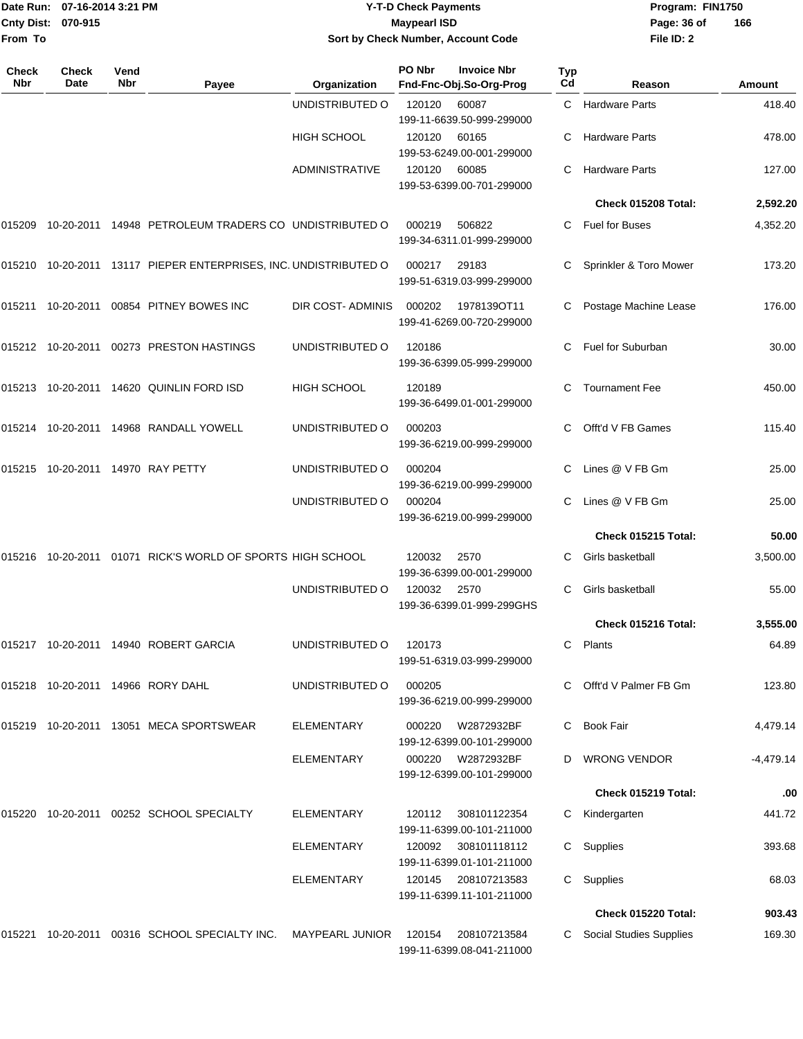|                    | Date Run: 07-16-2014 3:21 PM |
|--------------------|------------------------------|
| Cnty Dist: 070-915 |                              |
| lFrom To           |                              |

## **Date Run: Program: FIN1750 07-16-2014 3:21 PM Y-T-D Check Payments Cnty Dist: Page: 36 of 070-915 Maypearl ISD Sort by Check Number, Account Code**

| <b>Check</b><br>Nbr | <b>Check</b><br>Date | Vend<br><b>Nbr</b> | Payee                                                                                  | Organization           | PO Nbr      | <b>Invoice Nbr</b><br>Fnd-Fnc-Obj.So-Org-Prog    | Typ<br>Cd | Reason                    | Amount      |
|---------------------|----------------------|--------------------|----------------------------------------------------------------------------------------|------------------------|-------------|--------------------------------------------------|-----------|---------------------------|-------------|
|                     |                      |                    |                                                                                        | UNDISTRIBUTED O        | 120120      | 60087<br>199-11-6639.50-999-299000               |           | C Hardware Parts          | 418.40      |
|                     |                      |                    |                                                                                        | <b>HIGH SCHOOL</b>     | 120120      | 60165<br>199-53-6249.00-001-299000               | C         | <b>Hardware Parts</b>     | 478.00      |
|                     |                      |                    |                                                                                        | <b>ADMINISTRATIVE</b>  | 120120      | 60085<br>199-53-6399.00-701-299000               | C         | <b>Hardware Parts</b>     | 127.00      |
|                     |                      |                    |                                                                                        |                        |             |                                                  |           | Check 015208 Total:       | 2,592.20    |
| 015209              |                      |                    | 10-20-2011 14948 PETROLEUM TRADERS CO UNDISTRIBUTED O                                  |                        | 000219      | 506822<br>199-34-6311.01-999-299000              |           | C Fuel for Buses          | 4,352.20    |
| 015210              |                      |                    | 10-20-2011 13117 PIEPER ENTERPRISES, INC. UNDISTRIBUTED O                              |                        | 000217      | 29183<br>199-51-6319.03-999-299000               | C         | Sprinkler & Toro Mower    | 173.20      |
|                     |                      |                    | 015211 10-20-2011 00854 PITNEY BOWES INC                                               | DIR COST-ADMINIS       | 000202      | 1978139OT11<br>199-41-6269.00-720-299000         |           | Postage Machine Lease     | 176.00      |
|                     |                      |                    | 015212 10-20-2011 00273 PRESTON HASTINGS                                               | UNDISTRIBUTED O        | 120186      | 199-36-6399.05-999-299000                        |           | Fuel for Suburban         | 30.00       |
|                     |                      |                    | 015213 10-20-2011 14620 QUINLIN FORD ISD                                               | <b>HIGH SCHOOL</b>     | 120189      | 199-36-6499.01-001-299000                        | C         | <b>Tournament Fee</b>     | 450.00      |
|                     |                      |                    | 015214  10-20-2011  14968  RANDALL YOWELL                                              | UNDISTRIBUTED O        | 000203      | 199-36-6219.00-999-299000                        |           | Offt'd V FB Games         | 115.40      |
| 015215              |                      |                    | 10-20-2011  14970  RAY PETTY<br>UNDISTRIBUTED O<br>000204<br>199-36-6219.00-999-299000 |                        | C.          | Lines @ V FB Gm                                  | 25.00     |                           |             |
|                     |                      |                    |                                                                                        | UNDISTRIBUTED O        | 000204      | 199-36-6219.00-999-299000                        | C.        | Lines @ V FB Gm           | 25.00       |
|                     |                      |                    |                                                                                        |                        |             |                                                  |           | Check 015215 Total:       | 50.00       |
| 015216              |                      |                    | 10-20-2011  01071  RICK'S WORLD OF SPORTS HIGH SCHOOL                                  |                        | 120032      | 2570<br>199-36-6399.00-001-299000                | С         | Girls basketball          | 3,500.00    |
|                     |                      |                    |                                                                                        | UNDISTRIBUTED O        | 120032 2570 | 199-36-6399.01-999-299GHS                        | С         | Girls basketball          | 55.00       |
|                     |                      |                    |                                                                                        |                        |             |                                                  |           | Check 015216 Total:       | 3,555.00    |
|                     |                      |                    | 015217 10-20-2011 14940 ROBERT GARCIA                                                  | UNDISTRIBUTED O        | 120173      | 199-51-6319.03-999-299000                        |           | C Plants                  | 64.89       |
|                     |                      |                    | 015218 10-20-2011 14966 RORY DAHL                                                      | UNDISTRIBUTED O        | 000205      | 199-36-6219.00-999-299000                        |           | C Offt'd V Palmer FB Gm   | 123.80      |
|                     |                      |                    | 015219 10-20-2011 13051 MECA SPORTSWEAR                                                | ELEMENTARY             | 000220      | W2872932BF<br>199-12-6399.00-101-299000          | C.        | <b>Book Fair</b>          | 4,479.14    |
|                     |                      |                    |                                                                                        | <b>ELEMENTARY</b>      | 000220      | W2872932BF<br>199-12-6399.00-101-299000          |           | D WRONG VENDOR            | $-4,479.14$ |
|                     |                      |                    |                                                                                        |                        |             |                                                  |           | Check 015219 Total:       | .00         |
|                     |                      |                    | 015220 10-20-2011 00252 SCHOOL SPECIALTY                                               | ELEMENTARY             | 120112      | 308101122354<br>199-11-6399.00-101-211000        |           | C Kindergarten            | 441.72      |
|                     |                      |                    |                                                                                        | ELEMENTARY             | 120092      | 308101118112<br>199-11-6399.01-101-211000        |           | C Supplies                | 393.68      |
|                     |                      |                    |                                                                                        | ELEMENTARY             |             | 120145 208107213583<br>199-11-6399.11-101-211000 |           | C Supplies                | 68.03       |
|                     |                      |                    |                                                                                        |                        |             |                                                  |           | Check 015220 Total:       | 903.43      |
| 015221              |                      |                    | 10-20-2011 00316 SCHOOL SPECIALTY INC.                                                 | <b>MAYPEARL JUNIOR</b> | 120154      | 208107213584<br>199-11-6399.08-041-211000        |           | C Social Studies Supplies | 169.30      |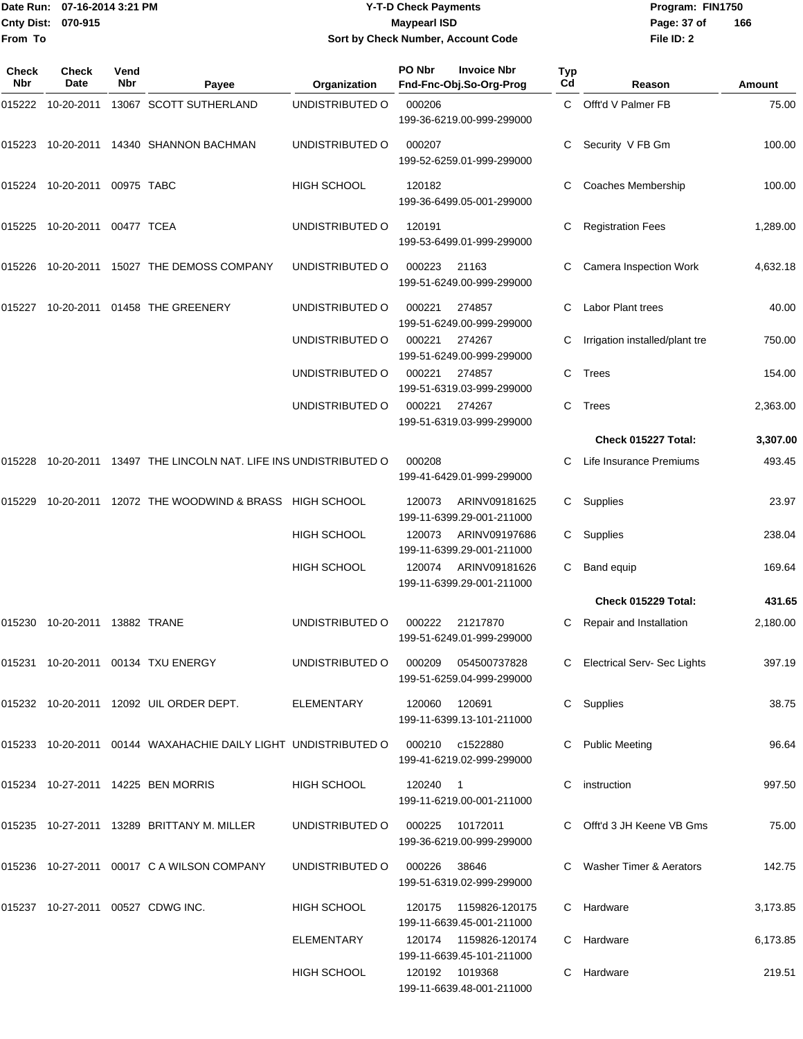## Date Run: 07-16-2014 3:21 PM **Program:** FIN1750 **Cnty Dist:** 070-915 **Page: 37 of** Maypearl ISD **CONTEX 150 Page: 37 of Y-T-D Check Payments 070-915 Maypearl ISD Sort by Check Number, Account Code**

| Check<br><b>Nbr</b> | Check<br>Date     | Vend<br><b>Nbr</b> | Payee                                                             | Organization       | PO Nbr        | <b>Invoice Nbr</b><br>Fnd-Fnc-Obj.So-Org-Prog        | Typ<br>Cd | Reason                         | Amount   |
|---------------------|-------------------|--------------------|-------------------------------------------------------------------|--------------------|---------------|------------------------------------------------------|-----------|--------------------------------|----------|
| 015222              | 10-20-2011        |                    | 13067 SCOTT SUTHERLAND                                            | UNDISTRIBUTED O    | 000206        | 199-36-6219.00-999-299000                            |           | C Offt'd V Palmer FB           | 75.00    |
| 015223              | 10-20-2011        |                    | 14340 SHANNON BACHMAN                                             | UNDISTRIBUTED O    | 000207        | 199-52-6259.01-999-299000                            | C         | Security V FB Gm               | 100.00   |
|                     | 015224 10-20-2011 | 00975 TABC         |                                                                   | HIGH SCHOOL        | 120182        | 199-36-6499.05-001-299000                            |           | Coaches Membership             | 100.00   |
| 015225              | 10-20-2011        | 00477 TCEA         |                                                                   | UNDISTRIBUTED O    | 120191        | 199-53-6499.01-999-299000                            | С         | <b>Registration Fees</b>       | 1,289.00 |
| 015226              | 10-20-2011        |                    | 15027 THE DEMOSS COMPANY                                          | UNDISTRIBUTED O    | 000223        | 21163<br>199-51-6249.00-999-299000                   | C         | Camera Inspection Work         | 4,632.18 |
| 015227              |                   |                    | 10-20-2011 01458 THE GREENERY                                     | UNDISTRIBUTED O    | 000221        | 274857<br>199-51-6249.00-999-299000                  |           | <b>Labor Plant trees</b>       | 40.00    |
|                     |                   |                    |                                                                   | UNDISTRIBUTED O    | 000221        | 274267<br>199-51-6249.00-999-299000                  | С         | Irrigation installed/plant tre | 750.00   |
|                     |                   |                    |                                                                   | UNDISTRIBUTED O    | 000221        | 274857<br>199-51-6319.03-999-299000                  | C         | <b>Trees</b>                   | 154.00   |
|                     |                   |                    |                                                                   | UNDISTRIBUTED O    | 000221        | 274267<br>199-51-6319.03-999-299000                  | C         | <b>Trees</b>                   | 2,363.00 |
|                     |                   |                    |                                                                   |                    |               |                                                      |           | Check 015227 Total:            | 3,307.00 |
| 015228              | 10-20-2011        |                    | 13497 THE LINCOLN NAT. LIFE INS UNDISTRIBUTED O                   |                    | 000208        | 199-41-6429.01-999-299000                            |           | Life Insurance Premiums        | 493.45   |
| 015229              | 10-20-2011        |                    | 12072 THE WOODWIND & BRASS HIGH SCHOOL                            |                    | 120073        | ARINV09181625<br>199-11-6399.29-001-211000           | C         | Supplies                       | 23.97    |
|                     |                   |                    |                                                                   | <b>HIGH SCHOOL</b> | 120073        | ARINV09197686<br>199-11-6399.29-001-211000           | C         | Supplies                       | 238.04   |
|                     |                   |                    |                                                                   | HIGH SCHOOL        | 120074        | ARINV09181626<br>199-11-6399.29-001-211000           | C         | Band equip                     | 169.64   |
|                     |                   |                    |                                                                   |                    |               |                                                      |           | Check 015229 Total:            | 431.65   |
| 015230              | 10-20-2011        |                    | 13882 TRANE                                                       | UNDISTRIBUTED O    | 000222        | 21217870<br>199-51-6249.01-999-299000                |           | Repair and Installation        | 2,180.00 |
|                     |                   |                    | 015231  10-20-2011  00134  TXU ENERGY                             | UNDISTRIBUTED O    |               | 199-51-6259.04-999-299000                            |           | C Electrical Serv-Sec Lights   | 397.19   |
|                     |                   |                    | 015232 10-20-2011 12092 UIL ORDER DEPT.                           | ELEMENTARY         | 120060 120691 | 199-11-6399.13-101-211000                            |           | C Supplies                     | 38.75    |
|                     |                   |                    | 015233  10-20-2011  00144  WAXAHACHIE DAILY LIGHT UNDISTRIBUTED O |                    |               | 000210 c1522880<br>199-41-6219.02-999-299000         |           | C Public Meeting               | 96.64    |
|                     |                   |                    | 015234 10-27-2011 14225 BEN MORRIS                                | HIGH SCHOOL        | 120240 1      | 199-11-6219.00-001-211000                            | C         | instruction                    | 997.50   |
|                     |                   |                    | 015235 10-27-2011 13289 BRITTANY M. MILLER                        | UNDISTRIBUTED O    | 000225        | 10172011<br>199-36-6219.00-999-299000                |           | C Offt'd 3 JH Keene VB Gms     | 75.00    |
|                     |                   |                    | 015236 10-27-2011 00017 C A WILSON COMPANY                        | UNDISTRIBUTED O    | 000226 38646  | 199-51-6319.02-999-299000                            |           | C Washer Timer & Aerators      | 142.75   |
|                     |                   |                    | 015237 10-27-2011 00527 CDWG INC.                                 | HIGH SCHOOL        |               | 120175   1159826-120175<br>199-11-6639.45-001-211000 |           | C Hardware                     | 3,173.85 |
|                     |                   |                    |                                                                   | ELEMENTARY         |               | 199-11-6639.45-101-211000                            |           | C Hardware                     | 6,173.85 |
|                     |                   |                    |                                                                   | HIGH SCHOOL        |               | 120192 1019368<br>199-11-6639.48-001-211000          |           | C Hardware                     | 219.51   |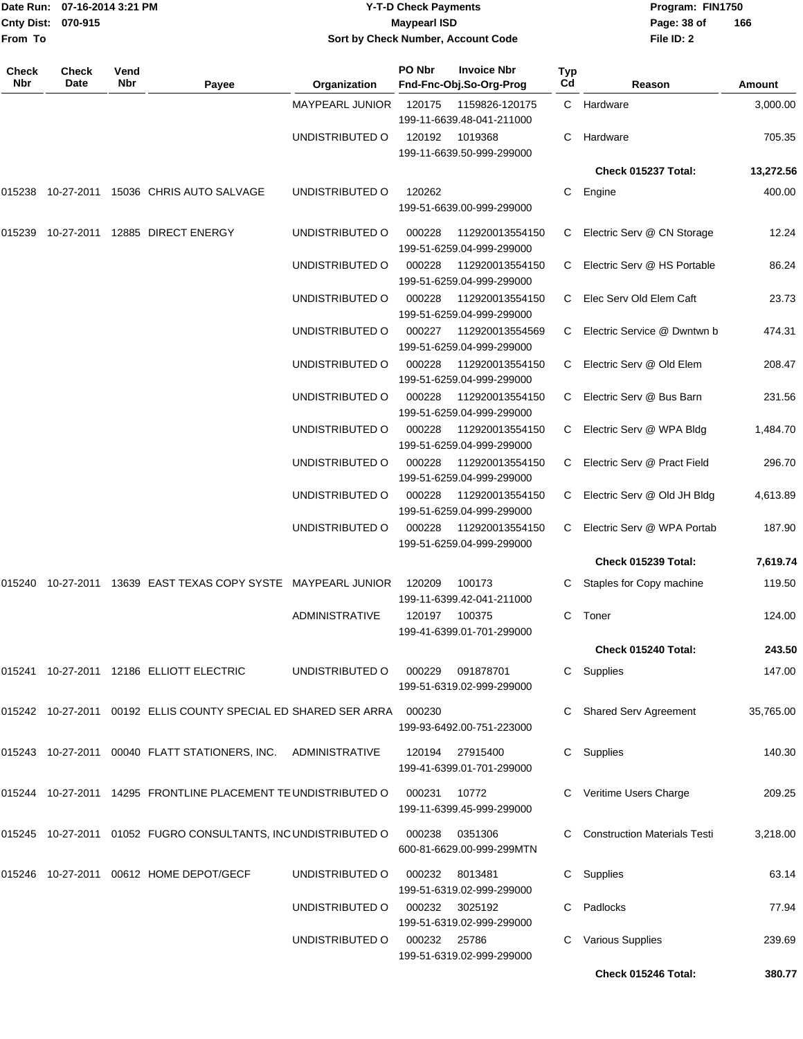| From To      | Date Run: 07-16-2014 3:21 PM<br>Cnty Dist:<br>070-915 |             |                                                                           |                        | <b>Y-T-D Check Payments</b><br><b>Maypearl ISD</b> | Sort by Check Number, Account Code            |                | Program: FIN1750<br>Page: 38 of<br>File ID: 2 | 166           |  |
|--------------|-------------------------------------------------------|-------------|---------------------------------------------------------------------------|------------------------|----------------------------------------------------|-----------------------------------------------|----------------|-----------------------------------------------|---------------|--|
| Check<br>Nbr | <b>Check</b><br>Date                                  | Vend<br>Nbr | Payee                                                                     | Organization           | PO Nbr                                             | <b>Invoice Nbr</b><br>Fnd-Fnc-Obj.So-Org-Prog | Typ<br>Cd      | Reason                                        | <b>Amount</b> |  |
|              |                                                       |             |                                                                           | <b>MAYPEARL JUNIOR</b> | 120175                                             | 1159826-120175<br>199-11-6639.48-041-211000   | $\mathsf{C}^-$ | Hardware                                      | 3,000.00      |  |
|              |                                                       |             |                                                                           | UNDISTRIBUTED O        | 120192                                             | 1019368<br>199-11-6639.50-999-299000          | C.             | Hardware                                      | 705.35        |  |
|              |                                                       |             |                                                                           |                        |                                                    |                                               |                | Check 015237 Total:                           | 13,272.56     |  |
|              |                                                       |             | 015238 10-27-2011 15036  CHRIS AUTO SALVAGE                               | UNDISTRIBUTED O        | 120262                                             | 199-51-6639.00-999-299000                     | C              | Engine                                        | 400.00        |  |
| 015239       |                                                       |             | 10-27-2011  12885  DIRECT ENERGY                                          | UNDISTRIBUTED O        | 000228                                             | 112920013554150<br>199-51-6259.04-999-299000  | C.             | Electric Serv @ CN Storage                    | 12.24         |  |
|              |                                                       |             |                                                                           | UNDISTRIBUTED O        | 000228                                             | 112920013554150<br>199-51-6259.04-999-299000  | C.             | Electric Serv @ HS Portable                   | 86.24         |  |
|              |                                                       |             |                                                                           | UNDISTRIBUTED O        | 000228                                             | 112920013554150<br>199-51-6259.04-999-299000  | C.             | Elec Serv Old Elem Caft                       | 23.73         |  |
|              |                                                       |             |                                                                           | UNDISTRIBUTED O        | 000227                                             | 112920013554569<br>199-51-6259.04-999-299000  | C.             | Electric Service @ Dwntwn b                   | 474.31        |  |
|              |                                                       |             |                                                                           | UNDISTRIBUTED O        | 000228                                             | 112920013554150<br>199-51-6259.04-999-299000  | C.             | Electric Serv @ Old Elem                      | 208.47        |  |
|              |                                                       |             |                                                                           | UNDISTRIBUTED O        | 000228                                             | 112920013554150<br>199-51-6259.04-999-299000  | C.             | Electric Serv @ Bus Barn                      | 231.56        |  |
|              |                                                       |             |                                                                           | UNDISTRIBUTED O        | 000228                                             | 112920013554150<br>199-51-6259.04-999-299000  | C              | Electric Serv @ WPA Bldg                      | 1,484.70      |  |
|              |                                                       |             |                                                                           | UNDISTRIBUTED O        | 000228                                             | 112920013554150<br>199-51-6259.04-999-299000  | C.             | Electric Serv @ Pract Field                   | 296.70        |  |
|              |                                                       |             |                                                                           | UNDISTRIBUTED O        | 000228                                             | 112920013554150<br>199-51-6259.04-999-299000  | C.             | Electric Serv @ Old JH Bldg                   | 4,613.89      |  |
|              |                                                       |             |                                                                           | UNDISTRIBUTED O        | 000228                                             | 112920013554150<br>199-51-6259.04-999-299000  | C.             | Electric Serv @ WPA Portab                    | 187.90        |  |
|              |                                                       |             |                                                                           |                        |                                                    |                                               |                | Check 015239 Total:                           | 7,619.74      |  |
|              |                                                       |             | 015240 10-27-2011 13639   EAST TEXAS COPY SYSTE   MAYPEARL JUNIOR         |                        | 120209                                             | 100173<br>199-11-6399.42-041-211000           | C.             | Staples for Copy machine                      | 119.50        |  |
|              |                                                       |             |                                                                           | <b>ADMINISTRATIVE</b>  |                                                    | 120197 100375<br>199-41-6399.01-701-299000    |                | C Toner                                       | 124.00        |  |
|              |                                                       |             |                                                                           |                        |                                                    |                                               |                | Check 015240 Total:                           | 243.50        |  |
|              |                                                       |             | 015241  10-27-2011  12186  ELLIOTT ELECTRIC                               | UNDISTRIBUTED O        |                                                    | 000229 091878701<br>199-51-6319.02-999-299000 |                | C Supplies                                    | 147.00        |  |
|              |                                                       |             | 015242  10-27-2011  00192  ELLIS  COUNTY SPECIAL ED SHARED SER ARRA       |                        | 000230                                             | 199-93-6492.00-751-223000                     |                | Shared Serv Agreement                         | 35,765.00     |  |
|              |                                                       |             | 015243    10-27-2011    00040    FLATT STATIONERS, INC.    ADMINISTRATIVE |                        | 120194                                             | 27915400<br>199-41-6399.01-701-299000         |                | C Supplies                                    | 140.30        |  |
|              |                                                       |             | 015244  10-27-2011  14295  FRONTLINE PLACEMENT TE UNDISTRIBUTED O         |                        | 000231                                             | 10772<br>199-11-6399.45-999-299000            |                | C Veritime Users Charge                       | 209.25        |  |
|              |                                                       |             | 015245    10-27-2011    01052    FUGRO CONSULTANTS, INC UNDISTRIBUTED O   |                        | 000238                                             | 0351306<br>600-81-6629.00-999-299MTN          |                | C Construction Materials Testi                | 3,218.00      |  |
|              |                                                       |             | 015246 10-27-2011 00612 HOME DEPOT/GECF                                   | UNDISTRIBUTED O        | 000232                                             | 8013481<br>199-51-6319.02-999-299000          |                | C Supplies                                    | 63.14         |  |
|              |                                                       |             |                                                                           | UNDISTRIBUTED O        |                                                    | 000232 3025192<br>199-51-6319.02-999-299000   |                | C Padlocks                                    | 77.94         |  |
|              |                                                       |             |                                                                           | UNDISTRIBUTED O        | 000232 25786                                       | 199-51-6319.02-999-299000                     |                | <b>Various Supplies</b>                       | 239.69        |  |
|              |                                                       |             |                                                                           |                        |                                                    |                                               |                | Check 015246 Total:                           | 380.77        |  |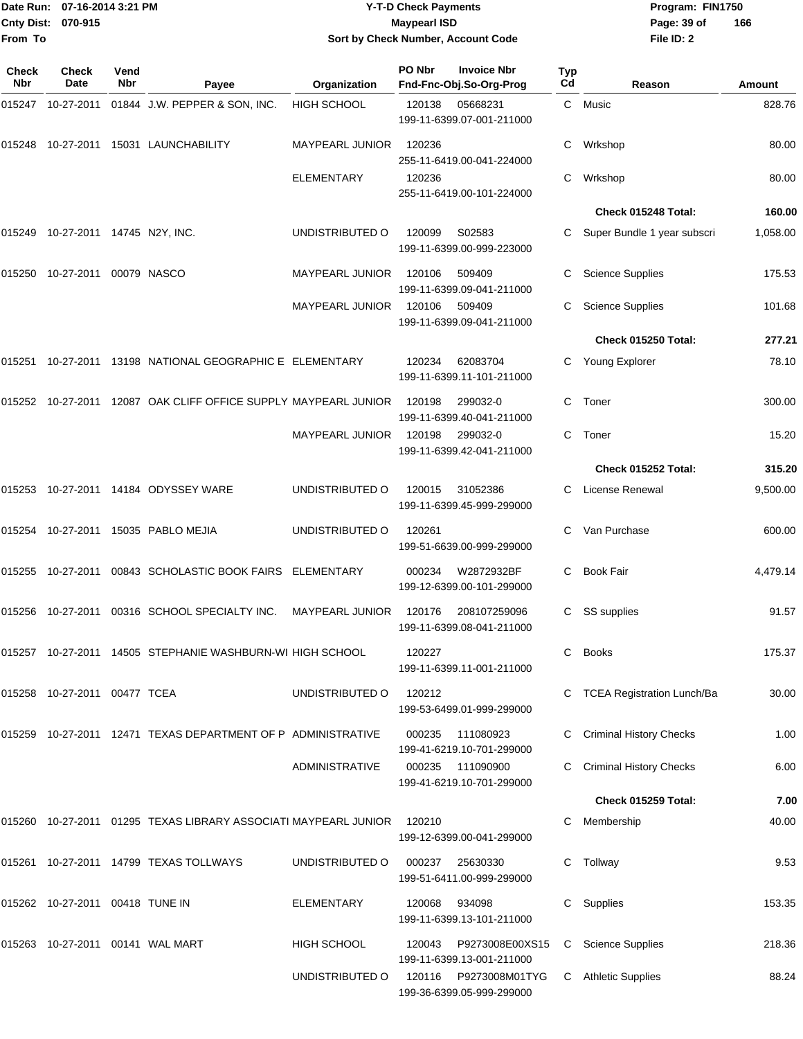| <b>Cnty Dist:</b><br>From To | Date Run: 07-16-2014 3:21 PM<br>070-915 |             | <b>Y-T-D Check Payments</b><br><b>Maypearl ISD</b><br>Sort by Check Number, Account Code |                        |        |                                               | Program: FIN1750<br>Page: 39 of<br>File ID: 2 | 166                            |          |
|------------------------------|-----------------------------------------|-------------|------------------------------------------------------------------------------------------|------------------------|--------|-----------------------------------------------|-----------------------------------------------|--------------------------------|----------|
| <b>Check</b><br>Nbr          | <b>Check</b><br>Date                    | Vend<br>Nbr | Payee                                                                                    | Organization           | PO Nbr | <b>Invoice Nbr</b><br>Fnd-Fnc-Obj.So-Org-Prog | <b>Typ</b><br>Cd                              | Reason                         | Amount   |
|                              |                                         |             | 015247  10-27-2011  01844  J.W. PEPPER & SON, INC.                                       | <b>HIGH SCHOOL</b>     | 120138 | 05668231<br>199-11-6399.07-001-211000         |                                               | C Music                        | 828.76   |
|                              |                                         |             | 015248 10-27-2011 15031 LAUNCHABILITY                                                    | <b>MAYPEARL JUNIOR</b> | 120236 | 255-11-6419.00-041-224000                     | С                                             | Wrkshop                        | 80.00    |
|                              |                                         |             |                                                                                          | <b>ELEMENTARY</b>      | 120236 | 255-11-6419.00-101-224000                     | С                                             | Wrkshop                        | 80.00    |
|                              |                                         |             |                                                                                          |                        |        |                                               |                                               | Check 015248 Total:            | 160.00   |
|                              | 015249 10-27-2011 14745 N2Y, INC.       |             |                                                                                          | UNDISTRIBUTED O        | 120099 | S02583<br>199-11-6399.00-999-223000           |                                               | Super Bundle 1 year subscri    | 1,058.00 |
|                              | 015250 10-27-2011 00079 NASCO           |             |                                                                                          | <b>MAYPEARL JUNIOR</b> | 120106 | 509409<br>199-11-6399.09-041-211000           |                                               | <b>Science Supplies</b>        | 175.53   |
|                              |                                         |             |                                                                                          | <b>MAYPEARL JUNIOR</b> | 120106 | 509409<br>199-11-6399.09-041-211000           |                                               | <b>Science Supplies</b>        | 101.68   |
|                              |                                         |             |                                                                                          |                        |        |                                               |                                               | Check 015250 Total:            | 277.21   |
|                              |                                         |             | 015251 10-27-2011 13198  NATIONAL GEOGRAPHIC E ELEMENTARY                                |                        | 120234 | 62083704<br>199-11-6399.11-101-211000         | C.                                            | Young Explorer                 | 78.10    |
|                              |                                         |             | 015252  10-27-2011  12087  OAK CLIFF OFFICE SUPPLY MAYPEARL JUNIOR                       |                        | 120198 | 299032-0<br>199-11-6399.40-041-211000         | C                                             | Toner                          | 300.00   |
|                              |                                         |             |                                                                                          | <b>MAYPEARL JUNIOR</b> | 120198 | 299032-0<br>199-11-6399.42-041-211000         | С                                             | Toner                          | 15.20    |
|                              |                                         |             |                                                                                          |                        |        |                                               |                                               | Check 015252 Total:            | 315.20   |
|                              |                                         |             |                                                                                          | UNDISTRIBUTED O        | 120015 | 31052386<br>199-11-6399.45-999-299000         | C.                                            | License Renewal                | 9,500.00 |
|                              |                                         |             | 015254 10-27-2011 15035   PABLO MEJIA                                                    | UNDISTRIBUTED O        | 120261 | 199-51-6639.00-999-299000                     |                                               | Van Purchase                   | 600.00   |
|                              |                                         |             | 015255  10-27-2011  00843  SCHOLASTIC BOOK FAIRS  ELEMENTARY                             |                        | 000234 | W2872932BF<br>199-12-6399.00-101-299000       | С                                             | <b>Book Fair</b>               | 4,479.14 |
|                              |                                         |             | 015256    10-27-2011    00316    SCHOOL SPECIALTY INC.    MAYPEARL JUNIOR                |                        | 120176 | 208107259096<br>199-11-6399.08-041-211000     |                                               | C SS supplies                  | 91.57    |
|                              |                                         |             | 015257  10-27-2011  14505  STEPHANIE WASHBURN-WI HIGH SCHOOL                             |                        | 120227 | 199-11-6399.11-001-211000                     | C.                                            | <b>Books</b>                   | 175.37   |
|                              | 015258  10-27-2011  00477  TCEA         |             |                                                                                          | UNDISTRIBUTED O        | 120212 | 199-53-6499.01-999-299000                     |                                               | C TCEA Registration Lunch/Ba   | 30.00    |
|                              |                                         |             | 015259 10-27-2011 12471 TEXAS DEPARTMENT OF P ADMINISTRATIVE                             |                        | 000235 | 111080923<br>199-41-6219.10-701-299000        |                                               | <b>Criminal History Checks</b> | 1.00     |
|                              |                                         |             |                                                                                          | <b>ADMINISTRATIVE</b>  |        | 000235 111090900<br>199-41-6219.10-701-299000 |                                               | C Criminal History Checks      | 6.00     |
|                              |                                         |             |                                                                                          |                        |        |                                               |                                               | Check 015259 Total:            | 7.00     |
|                              |                                         |             | 015260    10-27-2011    01295    TEXAS LIBRARY ASSOCIATI MAYPEARL JUNIOR                 |                        | 120210 | 199-12-6399.00-041-299000                     |                                               | Membership                     | 40.00    |
|                              |                                         |             | 015261  10-27-2011  14799  TEXAS TOLLWAYS                                                | UNDISTRIBUTED O        | 000237 | 25630330<br>199-51-6411.00-999-299000         |                                               | C Tollway                      | 9.53     |
|                              | 015262  10-27-2011  00418  TUNE IN      |             |                                                                                          | ELEMENTARY             | 120068 | 934098<br>199-11-6399.13-101-211000           |                                               | C Supplies                     | 153.35   |
|                              |                                         |             |                                                                                          | <b>HIGH SCHOOL</b>     | 120043 | P9273008E00XS15<br>199-11-6399.13-001-211000  |                                               | C Science Supplies             | 218.36   |
|                              |                                         |             |                                                                                          | UNDISTRIBUTED O        | 120116 | P9273008M01TYG<br>199-36-6399.05-999-299000   |                                               | C Athletic Supplies            | 88.24    |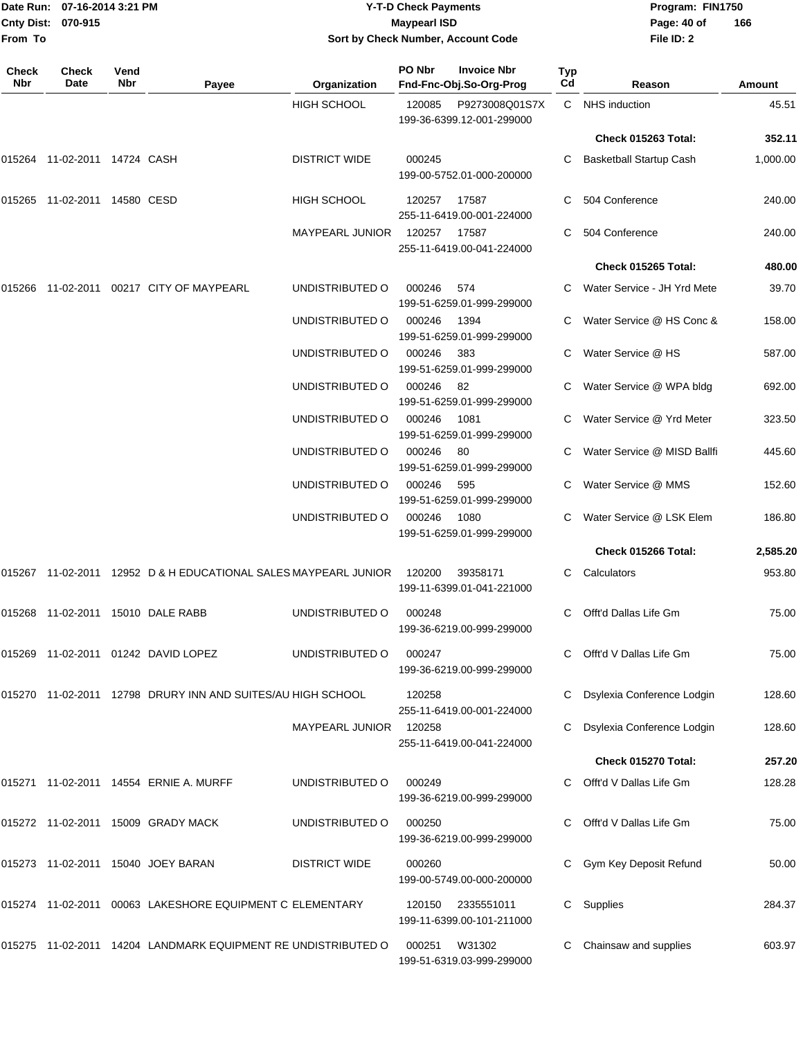| Date Run: 07-16-2014 3:21 PM<br>Cnty Dist: 070-915 |                              |             | <b>Y-T-D Check Payments</b><br><b>Maypearl ISD</b>              | Program: FIN1750<br>Page: 40 of<br>166 |        |                                               |           |                                |          |
|----------------------------------------------------|------------------------------|-------------|-----------------------------------------------------------------|----------------------------------------|--------|-----------------------------------------------|-----------|--------------------------------|----------|
| From To                                            |                              |             |                                                                 | Sort by Check Number, Account Code     |        |                                               |           | File ID: 2                     |          |
| Check<br><b>Nbr</b>                                | Check<br>Date                | Vend<br>Nbr | Payee                                                           | Organization                           | PO Nbr | <b>Invoice Nbr</b><br>Fnd-Fnc-Obj.So-Org-Prog | Typ<br>Cd | Reason                         | Amount   |
|                                                    |                              |             |                                                                 | <b>HIGH SCHOOL</b>                     | 120085 | P9273008Q01S7X<br>199-36-6399.12-001-299000   | C         | <b>NHS</b> induction           | 45.51    |
|                                                    |                              |             |                                                                 |                                        |        |                                               |           | Check 015263 Total:            | 352.11   |
|                                                    | 015264 11-02-2011 14724 CASH |             |                                                                 | <b>DISTRICT WIDE</b>                   | 000245 | 199-00-5752.01-000-200000                     |           | <b>Basketball Startup Cash</b> | 1,000.00 |
|                                                    |                              |             |                                                                 | HIGH SCHOOL                            | 120257 | 17587<br>255-11-6419.00-001-224000            |           | 504 Conference                 | 240.00   |
|                                                    |                              |             |                                                                 | MAYPEARL JUNIOR                        | 120257 | 17587<br>255-11-6419.00-041-224000            |           | 504 Conference                 | 240.00   |
|                                                    |                              |             |                                                                 |                                        |        |                                               |           | Check 015265 Total:            | 480.00   |
| 015266                                             |                              |             | 11-02-2011  00217  CITY OF MAYPEARL                             | UNDISTRIBUTED O                        | 000246 | 574<br>199-51-6259.01-999-299000              | C         | Water Service - JH Yrd Mete    | 39.70    |
|                                                    |                              |             |                                                                 | UNDISTRIBUTED O                        | 000246 | 1394<br>199-51-6259.01-999-299000             |           | Water Service @ HS Conc &      | 158.00   |
|                                                    |                              |             |                                                                 | UNDISTRIBUTED O                        | 000246 | 383<br>199-51-6259.01-999-299000              |           | Water Service @ HS             | 587.00   |
|                                                    |                              |             |                                                                 | UNDISTRIBUTED O                        | 000246 | 82<br>199-51-6259.01-999-299000               |           | Water Service @ WPA bldg       | 692.00   |
|                                                    |                              |             |                                                                 | UNDISTRIBUTED O                        | 000246 | 1081<br>199-51-6259.01-999-299000             |           | Water Service @ Yrd Meter      | 323.50   |
|                                                    |                              |             |                                                                 | UNDISTRIBUTED O                        | 000246 | 80<br>199-51-6259.01-999-299000               |           | Water Service @ MISD Ballfi    | 445.60   |
|                                                    |                              |             |                                                                 | UNDISTRIBUTED O                        | 000246 | 595<br>199-51-6259.01-999-299000              |           | Water Service @ MMS            | 152.60   |
|                                                    |                              |             |                                                                 | UNDISTRIBUTED O                        | 000246 | 1080<br>199-51-6259.01-999-299000             |           | Water Service @ LSK Elem       | 186.80   |
|                                                    |                              |             |                                                                 |                                        |        |                                               |           | Check 015266 Total:            | 2,585.20 |
|                                                    |                              |             | 015267 11-02-2011 12952 D & H EDUCATIONAL SALES MAYPEARL JUNIOR |                                        | 120200 | 39358171<br>199-11-6399.01-041-221000         | C         | Calculators                    | 953.80   |
|                                                    |                              |             |                                                                 | UNDISTRIBUTED O                        | 000248 | 199-36-6219.00-999-299000                     |           | Offt'd Dallas Life Gm          | 75.00    |
|                                                    |                              |             | 015269 11-02-2011 01242 DAVID LOPEZ                             | UNDISTRIBUTED O                        | 000247 | 199-36-6219.00-999-299000                     |           | Offt'd V Dallas Life Gm        | 75.00    |
|                                                    |                              |             | 015270 11-02-2011 12798 DRURY INN AND SUITES/AU HIGH SCHOOL     |                                        | 120258 | 255-11-6419.00-001-224000                     |           | Dsylexia Conference Lodgin     | 128.60   |
|                                                    |                              |             |                                                                 | <b>MAYPEARL JUNIOR</b>                 | 120258 | 255-11-6419.00-041-224000                     |           | Dsylexia Conference Lodgin     | 128.60   |
|                                                    |                              |             |                                                                 |                                        |        |                                               |           | Check 015270 Total:            | 257.20   |
|                                                    |                              |             | 015271 11-02-2011 14554 ERNIE A. MURFF                          | UNDISTRIBUTED O                        | 000249 | 199-36-6219.00-999-299000                     |           | Offt'd V Dallas Life Gm        | 128.28   |
|                                                    |                              |             | 015272 11-02-2011 15009 GRADY MACK                              | UNDISTRIBUTED O                        | 000250 | 199-36-6219.00-999-299000                     |           | Offt'd V Dallas Life Gm        | 75.00    |
|                                                    |                              |             | 015273 11-02-2011 15040 JOEY BARAN                              | <b>DISTRICT WIDE</b>                   | 000260 | 199-00-5749.00-000-200000                     |           | Gym Key Deposit Refund         | 50.00    |
|                                                    |                              |             | 015274 11-02-2011 00063 LAKESHORE EQUIPMENT C ELEMENTARY        |                                        | 120150 | 2335551011<br>199-11-6399.00-101-211000       | C         | Supplies                       | 284.37   |
|                                                    |                              |             | 015275 11-02-2011 14204 LANDMARK EQUIPMENT RE UNDISTRIBUTED O   |                                        | 000251 | W31302                                        |           | Chainsaw and supplies          | 603.97   |

199-51-6319.03-999-299000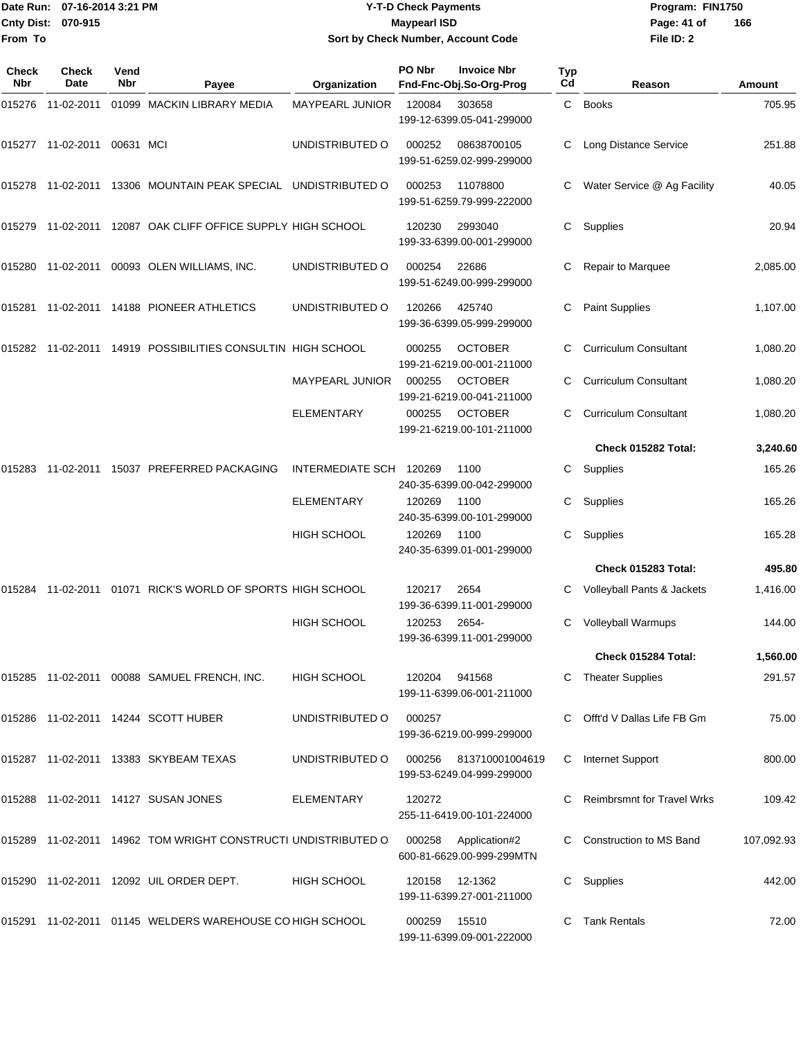|                           | Date Run: 07-16-2014 3:21 PM | <b>Y-T-D Check Payments</b>        | Program: FIN1750 |                |
|---------------------------|------------------------------|------------------------------------|------------------|----------------|
| <b>Cnty Dist: 070-915</b> |                              | <b>Maypearl ISD</b>                | Page: 41 of      | $\overline{1}$ |
| lFrom To                  |                              | Sort by Check Number, Account Code | File ID: 2       |                |

## **Sort by Check Number, Account Code**

| Check<br>Nbr | <b>Check</b><br><b>Date</b> | Vend<br>Nbr | Payee                                                         | Organization            | PO Nbr        | <b>Invoice Nbr</b><br>Fnd-Fnc-Obj.So-Org-Prog | Typ<br>Cd | Reason                            | Amount     |
|--------------|-----------------------------|-------------|---------------------------------------------------------------|-------------------------|---------------|-----------------------------------------------|-----------|-----------------------------------|------------|
| 015276       | 11-02-2011                  |             | 01099 MACKIN LIBRARY MEDIA                                    | <b>MAYPEARL JUNIOR</b>  | 120084        | 303658<br>199-12-6399.05-041-299000           |           | C Books                           | 705.95     |
|              | 015277 11-02-2011           | 00631 MCI   |                                                               | UNDISTRIBUTED O         | 000252        | 08638700105<br>199-51-6259.02-999-299000      |           | <b>Long Distance Service</b>      | 251.88     |
|              |                             |             | 015278 11-02-2011 13306 MOUNTAIN PEAK SPECIAL UNDISTRIBUTED O |                         | 000253        | 11078800<br>199-51-6259.79-999-222000         | C         | Water Service @ Ag Facility       | 40.05      |
|              |                             |             | 015279 11-02-2011 12087 OAK CLIFF OFFICE SUPPLY HIGH SCHOOL   |                         | 120230        | 2993040<br>199-33-6399.00-001-299000          | C         | Supplies                          | 20.94      |
| 015280       | 11-02-2011                  |             | 00093 OLEN WILLIAMS, INC.                                     | UNDISTRIBUTED O         | 000254        | 22686<br>199-51-6249.00-999-299000            | С         | Repair to Marquee                 | 2,085.00   |
|              |                             |             | 015281  11-02-2011  14188  PIONEER ATHLETICS                  | UNDISTRIBUTED O         | 120266        | 425740<br>199-36-6399.05-999-299000           | С         | Paint Supplies                    | 1,107.00   |
|              |                             |             | 015282 11-02-2011 14919 POSSIBILITIES CONSULTIN HIGH SCHOOL   |                         | 000255        | <b>OCTOBER</b><br>199-21-6219.00-001-211000   | C         | <b>Curriculum Consultant</b>      | 1,080.20   |
|              |                             |             |                                                               | <b>MAYPEARL JUNIOR</b>  | 000255        | <b>OCTOBER</b><br>199-21-6219.00-041-211000   |           | <b>Curriculum Consultant</b>      | 1,080.20   |
|              |                             |             |                                                               | ELEMENTARY              | 000255        | <b>OCTOBER</b><br>199-21-6219.00-101-211000   | C         | <b>Curriculum Consultant</b>      | 1,080.20   |
|              |                             |             |                                                               |                         |               |                                               |           | Check 015282 Total:               | 3,240.60   |
| 015283       |                             |             | 11-02-2011 15037 PREFERRED PACKAGING                          | INTERMEDIATE SCH 120269 |               | 1100<br>240-35-6399.00-042-299000             | С         | Supplies                          | 165.26     |
|              |                             |             |                                                               | <b>ELEMENTARY</b>       | 120269        | 1100<br>240-35-6399.00-101-299000             | C         | Supplies                          | 165.26     |
|              |                             |             |                                                               | <b>HIGH SCHOOL</b>      | 120269        | 1100<br>240-35-6399.01-001-299000             | С         | Supplies                          | 165.28     |
|              |                             |             |                                                               |                         |               |                                               |           | Check 015283 Total:               | 495.80     |
| 015284       | 11-02-2011                  |             | 01071 RICK'S WORLD OF SPORTS HIGH SCHOOL                      |                         | 120217        | 2654<br>199-36-6399.11-001-299000             |           | Volleyball Pants & Jackets        | 1,416.00   |
|              |                             |             |                                                               | <b>HIGH SCHOOL</b>      | 120253        | 2654-<br>199-36-6399.11-001-299000            | С         | <b>Volleyball Warmups</b>         | 144.00     |
|              |                             |             |                                                               |                         |               |                                               |           | Check 015284 Total:               | 1,560.00   |
|              |                             |             | 015285 11-02-2011 00088 SAMUEL FRENCH, INC.                   | HIGH SCHOOL             | 120204 941568 | 199-11-6399.06-001-211000                     |           | <b>Theater Supplies</b>           | 291.57     |
|              |                             |             | 015286 11-02-2011 14244 SCOTT HUBER                           | UNDISTRIBUTED O         | 000257        | 199-36-6219.00-999-299000                     |           | Offt'd V Dallas Life FB Gm        | 75.00      |
|              |                             |             | 015287 11-02-2011 13383 SKYBEAM TEXAS                         | UNDISTRIBUTED O         | 000256        | 813710001004619<br>199-53-6249.04-999-299000  | C.        | Internet Support                  | 800.00     |
|              |                             |             | 015288 11-02-2011 14127 SUSAN JONES                           | ELEMENTARY              | 120272        | 255-11-6419.00-101-224000                     |           | <b>Reimbrsmnt for Travel Wrks</b> | 109.42     |
|              |                             |             | 015289 11-02-2011 14962 TOM WRIGHT CONSTRUCTI UNDISTRIBUTED O |                         | 000258        | Application#2<br>600-81-6629.00-999-299MTN    |           | <b>Construction to MS Band</b>    | 107,092.93 |
|              |                             |             | 015290 11-02-2011 12092 UIL ORDER DEPT.                       | <b>HIGH SCHOOL</b>      |               | 120158 12-1362<br>199-11-6399.27-001-211000   | C.        | Supplies                          | 442.00     |
|              |                             |             | 015291 11-02-2011 01145 WELDERS WAREHOUSE CO HIGH SCHOOL      |                         | 000259 15510  | 199-11-6399.09-001-222000                     |           | <b>Tank Rentals</b>               | 72.00      |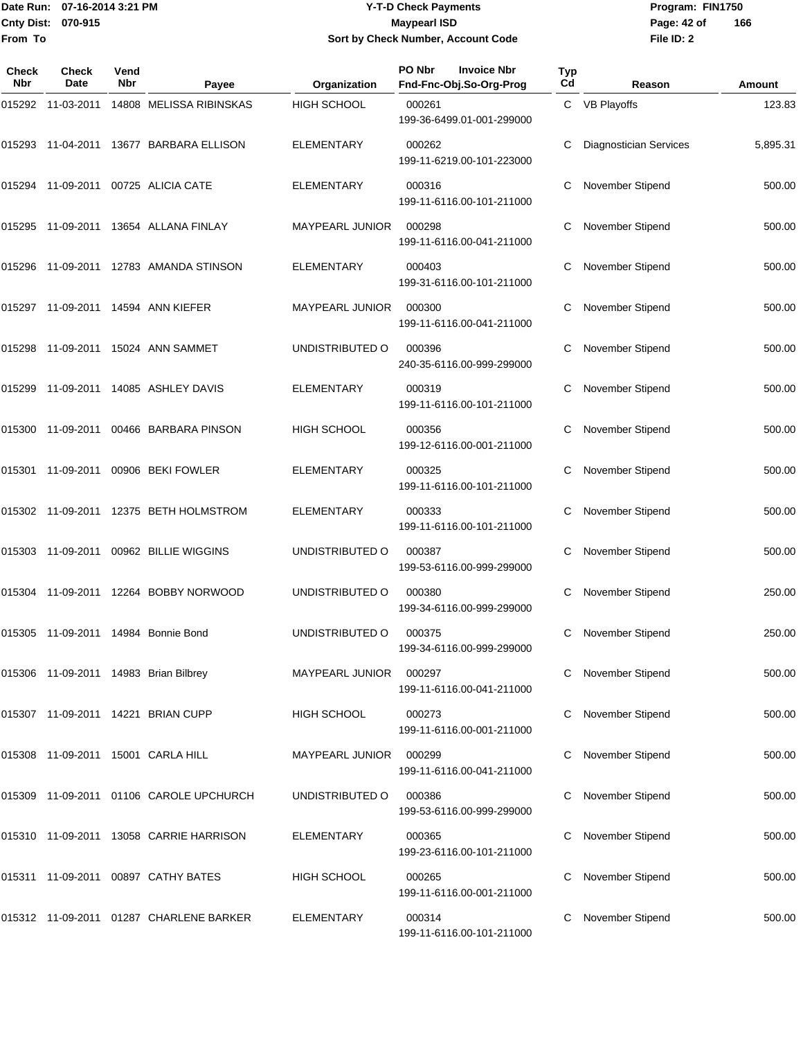## Date Run: 07-16-2014 3:21 PM **Program:** FIN1750 **Cnty Dist:** 070-915 **Page: 42 of MaypearI ISD Page: 42 of Y-T-D Check Payments 070-915 Maypearl ISD Sort by Check Number, Account Code**

| Check<br>Nbr | <b>Check</b><br>Date | Vend<br><b>Nbr</b> | Payee                                   | Organization           | PO Nbr<br><b>Invoice Nbr</b><br>Fnd-Fnc-Obj.So-Org-Prog | Typ<br>Cd | Reason                        | Amount   |
|--------------|----------------------|--------------------|-----------------------------------------|------------------------|---------------------------------------------------------|-----------|-------------------------------|----------|
| 015292       | 11-03-2011           |                    | 14808 MELISSA RIBINSKAS                 | <b>HIGH SCHOOL</b>     | 000261<br>199-36-6499.01-001-299000                     |           | C VB Playoffs                 | 123.83   |
|              |                      |                    | 015293 11-04-2011 13677 BARBARA ELLISON | <b>ELEMENTARY</b>      | 000262<br>199-11-6219.00-101-223000                     |           | <b>Diagnostician Services</b> | 5,895.31 |
|              |                      |                    | 015294 11-09-2011 00725 ALICIA CATE     | <b>ELEMENTARY</b>      | 000316<br>199-11-6116.00-101-211000                     | С         | November Stipend              | 500.00   |
| 015295       |                      |                    | 11-09-2011 13654 ALLANA FINLAY          | MAYPEARL JUNIOR        | 000298<br>199-11-6116.00-041-211000                     | С         | November Stipend              | 500.00   |
| 015296       |                      |                    | 11-09-2011  12783  AMANDA STINSON       | <b>ELEMENTARY</b>      | 000403<br>199-31-6116.00-101-211000                     | С         | November Stipend              | 500.00   |
|              |                      |                    | 015297 11-09-2011 14594 ANN KIEFER      | <b>MAYPEARL JUNIOR</b> | 000300<br>199-11-6116.00-041-211000                     |           | November Stipend              | 500.00   |
| 015298       |                      |                    | 11-09-2011  15024  ANN SAMMET           | UNDISTRIBUTED O        | 000396<br>240-35-6116.00-999-299000                     | С         | November Stipend              | 500.00   |
| 015299       |                      |                    | 11-09-2011  14085  ASHLEY DAVIS         | <b>ELEMENTARY</b>      | 000319<br>199-11-6116.00-101-211000                     | С         | <b>November Stipend</b>       | 500.00   |
|              |                      |                    | 015300 11-09-2011 00466 BARBARA PINSON  | <b>HIGH SCHOOL</b>     | 000356<br>199-12-6116.00-001-211000                     |           | November Stipend              | 500.00   |
| 015301       |                      |                    | 11-09-2011 00906 BEKI FOWLER            | <b>ELEMENTARY</b>      | 000325<br>199-11-6116.00-101-211000                     | С         | November Stipend              | 500.00   |
|              |                      |                    | 015302 11-09-2011 12375 BETH HOLMSTROM  | <b>ELEMENTARY</b>      | 000333<br>199-11-6116.00-101-211000                     | С         | November Stipend              | 500.00   |
| 015303       |                      |                    | 11-09-2011  00962  BILLIE WIGGINS       | UNDISTRIBUTED O        | 000387<br>199-53-6116.00-999-299000                     |           | November Stipend              | 500.00   |
| 015304       |                      |                    | 11-09-2011  12264  BOBBY NORWOOD        | UNDISTRIBUTED O        | 000380<br>199-34-6116.00-999-299000                     | С         | November Stipend              | 250.00   |
|              |                      |                    | 015305 11-09-2011 14984 Bonnie Bond     | UNDISTRIBUTED O        | 000375<br>199-34-6116.00-999-299000                     | С         | November Stipend              | 250.00   |
|              |                      |                    | 015306 11-09-2011 14983 Brian Bilbrey   | <b>MAYPEARL JUNIOR</b> | 000297<br>199-11-6116.00-041-211000                     |           | November Stipend              | 500.00   |
|              |                      |                    | 015307 11-09-2011 14221 BRIAN CUPP      | HIGH SCHOOL            | 000273<br>199-11-6116.00-001-211000                     |           | November Stipend              | 500.00   |
|              |                      |                    | 015308 11-09-2011 15001 CARLA HILL      | <b>MAYPEARL JUNIOR</b> | 000299<br>199-11-6116.00-041-211000                     |           | November Stipend              | 500.00   |
|              |                      |                    | 015309 11-09-2011 01106 CAROLE UPCHURCH | UNDISTRIBUTED O        | 000386<br>199-53-6116.00-999-299000                     |           | November Stipend              | 500.00   |
|              |                      |                    | 015310 11-09-2011 13058 CARRIE HARRISON | <b>ELEMENTARY</b>      | 000365<br>199-23-6116.00-101-211000                     |           | November Stipend              | 500.00   |
|              |                      |                    | 015311 11-09-2011 00897 CATHY BATES     | HIGH SCHOOL            | 000265<br>199-11-6116.00-001-211000                     |           | November Stipend              | 500.00   |
|              |                      |                    | 015312 11-09-2011 01287 CHARLENE BARKER | <b>ELEMENTARY</b>      | 000314<br>199-11-6116.00-101-211000                     |           | November Stipend              | 500.00   |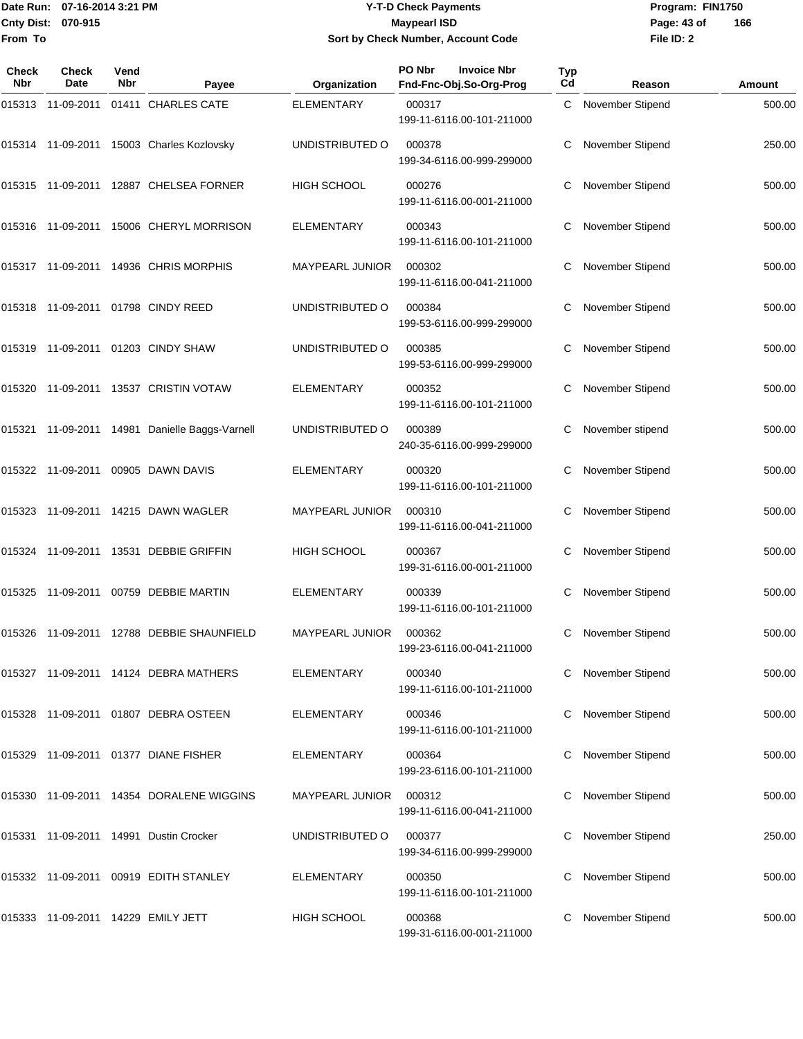Date Run: 07-16-2014 3:21 PM **Program:** FIN1750 **Cnty Dist:** 070-915 **Page: 43 of MaypearI ISD Page: 43 of From To**

## **Y-T-D Check Payments 070-915 Maypearl ISD Sort by Check Number, Account Code**

| Check<br><b>Nbr</b> | <b>Check</b><br>Date | Vend<br><b>Nbr</b> | Payee                                     | Organization           | PO Nbr<br><b>Invoice Nbr</b><br>Fnd-Fnc-Obj.So-Org-Prog | <b>Typ</b><br>Cd | Reason                  | Amount |
|---------------------|----------------------|--------------------|-------------------------------------------|------------------------|---------------------------------------------------------|------------------|-------------------------|--------|
|                     |                      |                    | 015313 11-09-2011 01411 CHARLES CATE      | <b>ELEMENTARY</b>      | 000317<br>199-11-6116.00-101-211000                     | C.               | November Stipend        | 500.00 |
|                     |                      |                    | 015314 11-09-2011 15003 Charles Kozlovsky | UNDISTRIBUTED O        | 000378<br>199-34-6116.00-999-299000                     |                  | November Stipend        | 250.00 |
|                     |                      |                    | 015315 11-09-2011 12887 CHELSEA FORNER    | <b>HIGH SCHOOL</b>     | 000276<br>199-11-6116.00-001-211000                     | С                | November Stipend        | 500.00 |
|                     |                      |                    | 015316 11-09-2011 15006 CHERYL MORRISON   | <b>ELEMENTARY</b>      | 000343<br>199-11-6116.00-101-211000                     |                  | <b>November Stipend</b> | 500.00 |
|                     |                      |                    | 015317 11-09-2011 14936 CHRIS MORPHIS     | MAYPEARL JUNIOR        | 000302<br>199-11-6116.00-041-211000                     |                  | November Stipend        | 500.00 |
|                     |                      |                    | 015318 11-09-2011 01798 CINDY REED        | UNDISTRIBUTED O        | 000384<br>199-53-6116.00-999-299000                     | С                | November Stipend        | 500.00 |
|                     |                      |                    | 015319 11-09-2011 01203 CINDY SHAW        | UNDISTRIBUTED O        | 000385<br>199-53-6116.00-999-299000                     | С                | November Stipend        | 500.00 |
|                     |                      |                    | 015320 11-09-2011 13537 CRISTIN VOTAW     | <b>ELEMENTARY</b>      | 000352<br>199-11-6116.00-101-211000                     |                  | <b>November Stipend</b> | 500.00 |
| 015321              |                      |                    | 11-09-2011 14981 Danielle Baggs-Varnell   | UNDISTRIBUTED O        | 000389<br>240-35-6116.00-999-299000                     |                  | November stipend        | 500.00 |
|                     |                      |                    | 015322 11-09-2011 00905 DAWN DAVIS        | <b>ELEMENTARY</b>      | 000320<br>199-11-6116.00-101-211000                     | С                | November Stipend        | 500.00 |
|                     |                      |                    | 015323 11-09-2011 14215 DAWN WAGLER       | MAYPEARL JUNIOR        | 000310<br>199-11-6116.00-041-211000                     |                  | November Stipend        | 500.00 |
|                     |                      |                    | 015324 11-09-2011 13531 DEBBIE GRIFFIN    | <b>HIGH SCHOOL</b>     | 000367<br>199-31-6116.00-001-211000                     | С                | November Stipend        | 500.00 |
|                     |                      |                    | 015325 11-09-2011 00759 DEBBIE MARTIN     | <b>ELEMENTARY</b>      | 000339<br>199-11-6116.00-101-211000                     | С                | November Stipend        | 500.00 |
|                     |                      |                    | 015326 11-09-2011 12788 DEBBIE SHAUNFIELD | <b>MAYPEARL JUNIOR</b> | 000362<br>199-23-6116.00-041-211000                     | С                | November Stipend        | 500.00 |
|                     |                      |                    | 015327 11-09-2011 14124 DEBRA MATHERS     | <b>ELEMENTARY</b>      | 000340<br>199-11-6116.00-101-211000                     |                  | November Stipend        | 500.00 |
|                     |                      |                    | 015328 11-09-2011 01807 DEBRA OSTEEN      | <b>ELEMENTARY</b>      | 000346<br>199-11-6116.00-101-211000                     |                  | November Stipend        | 500.00 |
|                     |                      |                    | 015329 11-09-2011 01377 DIANE FISHER      | ELEMENTARY             | 000364<br>199-23-6116.00-101-211000                     |                  | November Stipend        | 500.00 |
|                     |                      |                    | 015330 11-09-2011 14354 DORALENE WIGGINS  | MAYPEARL JUNIOR        | 000312<br>199-11-6116.00-041-211000                     |                  | <b>November Stipend</b> | 500.00 |
|                     |                      |                    | 015331 11-09-2011 14991 Dustin Crocker    | UNDISTRIBUTED O        | 000377<br>199-34-6116.00-999-299000                     |                  | November Stipend        | 250.00 |
|                     |                      |                    | 015332 11-09-2011 00919 EDITH STANLEY     | ELEMENTARY             | 000350<br>199-11-6116.00-101-211000                     |                  | November Stipend        | 500.00 |
|                     |                      |                    | 015333 11-09-2011 14229 EMILY JETT        | <b>HIGH SCHOOL</b>     | 000368<br>199-31-6116.00-001-211000                     | С                | November Stipend        | 500.00 |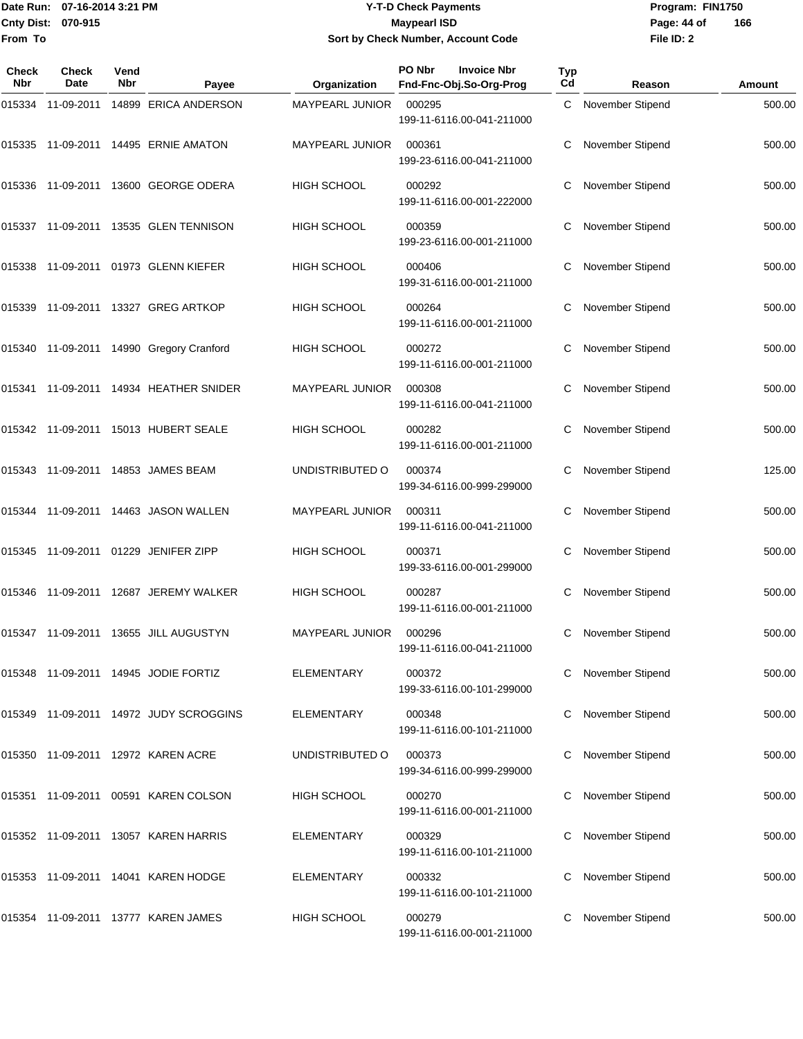## Date Run: 07-16-2014 3:21 PM **Program:** FIN1750 **Cnty Dist:** 070-915 **Page: 44 of MaypearI ISD Page: 44 of Y-T-D Check Payments 070-915 Maypearl ISD Sort by Check Number, Account Code**

| Check<br>Nbr | <b>Check</b><br>Date | Vend<br>Nbr | Payee                                    | Organization           | PO Nbr<br><b>Invoice Nbr</b><br>Fnd-Fnc-Obj.So-Org-Prog | Typ<br>Cd | Reason             | Amount |
|--------------|----------------------|-------------|------------------------------------------|------------------------|---------------------------------------------------------|-----------|--------------------|--------|
| 015334       | 11-09-2011           |             | 14899 ERICA ANDERSON                     | MAYPEARL JUNIOR        | 000295<br>199-11-6116.00-041-211000                     |           | C November Stipend | 500.00 |
|              |                      |             | 015335 11-09-2011 14495 ERNIE AMATON     | <b>MAYPEARL JUNIOR</b> | 000361<br>199-23-6116.00-041-211000                     | C         | November Stipend   | 500.00 |
|              |                      |             | 015336 11-09-2011 13600 GEORGE ODERA     | <b>HIGH SCHOOL</b>     | 000292<br>199-11-6116.00-001-222000                     | С         | November Stipend   | 500.00 |
|              |                      |             | 015337 11-09-2011 13535 GLEN TENNISON    | <b>HIGH SCHOOL</b>     | 000359<br>199-23-6116.00-001-211000                     | С         | November Stipend   | 500.00 |
|              |                      |             | 015338 11-09-2011 01973 GLENN KIEFER     | <b>HIGH SCHOOL</b>     | 000406<br>199-31-6116.00-001-211000                     | С         | November Stipend   | 500.00 |
|              |                      |             | 015339 11-09-2011 13327 GREG ARTKOP      | <b>HIGH SCHOOL</b>     | 000264<br>199-11-6116.00-001-211000                     | С         | November Stipend   | 500.00 |
|              |                      |             | 015340 11-09-2011 14990 Gregory Cranford | HIGH SCHOOL            | 000272<br>199-11-6116.00-001-211000                     | С         | November Stipend   | 500.00 |
| 015341       |                      |             | 11-09-2011  14934  HEATHER SNIDER        | <b>MAYPEARL JUNIOR</b> | 000308<br>199-11-6116.00-041-211000                     | С         | November Stipend   | 500.00 |
|              |                      |             | 015342 11-09-2011 15013 HUBERT SEALE     | <b>HIGH SCHOOL</b>     | 000282<br>199-11-6116.00-001-211000                     |           | November Stipend   | 500.00 |
|              |                      |             | 015343 11-09-2011 14853 JAMES BEAM       | UNDISTRIBUTED O        | 000374<br>199-34-6116.00-999-299000                     | С         | November Stipend   | 125.00 |
|              |                      |             | 015344 11-09-2011 14463 JASON WALLEN     | <b>MAYPEARL JUNIOR</b> | 000311<br>199-11-6116.00-041-211000                     | C         | November Stipend   | 500.00 |
|              |                      |             | 015345 11-09-2011 01229 JENIFER ZIPP     | <b>HIGH SCHOOL</b>     | 000371<br>199-33-6116.00-001-299000                     |           | November Stipend   | 500.00 |
| 015346       |                      |             | 11-09-2011  12687  JEREMY WALKER         | <b>HIGH SCHOOL</b>     | 000287<br>199-11-6116.00-001-211000                     | С         | November Stipend   | 500.00 |
|              |                      |             | 015347 11-09-2011 13655 JILL AUGUSTYN    | <b>MAYPEARL JUNIOR</b> | 000296<br>199-11-6116.00-041-211000                     | C         | November Stipend   | 500.00 |
|              |                      |             | 015348 11-09-2011 14945 JODIE FORTIZ     | <b>ELEMENTARY</b>      | 000372<br>199-33-6116.00-101-299000                     |           | November Stipend   | 500.00 |
|              |                      |             | 015349 11-09-2011 14972 JUDY SCROGGINS   | <b>ELEMENTARY</b>      | 000348<br>199-11-6116.00-101-211000                     |           | November Stipend   | 500.00 |
|              |                      |             | 015350 11-09-2011 12972 KAREN ACRE       | UNDISTRIBUTED O        | 000373<br>199-34-6116.00-999-299000                     |           | November Stipend   | 500.00 |
|              |                      |             | 015351 11-09-2011 00591 KAREN COLSON     | HIGH SCHOOL            | 000270<br>199-11-6116.00-001-211000                     |           | November Stipend   | 500.00 |
|              |                      |             | 015352 11-09-2011 13057 KAREN HARRIS     | <b>ELEMENTARY</b>      | 000329<br>199-11-6116.00-101-211000                     |           | November Stipend   | 500.00 |
|              |                      |             | 015353 11-09-2011 14041 KAREN HODGE      | ELEMENTARY             | 000332<br>199-11-6116.00-101-211000                     |           | November Stipend   | 500.00 |
|              |                      |             | 015354 11-09-2011 13777 KAREN JAMES      | <b>HIGH SCHOOL</b>     | 000279<br>199-11-6116.00-001-211000                     |           | November Stipend   | 500.00 |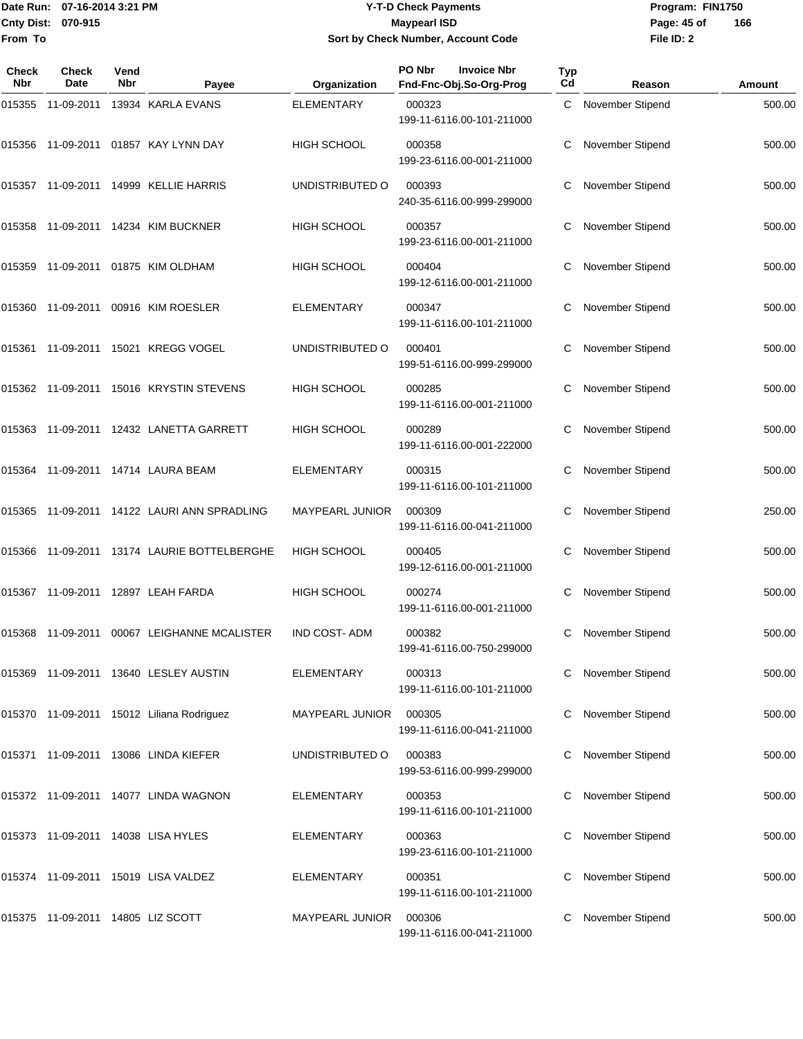## Date Run: 07-16-2014 3:21 PM **Program:** FIN1750 **Cnty Dist:** 070-915 **Page: 45 of MaypearI ISD Page: 45 of Y-T-D Check Payments 070-915 Maypearl ISD Sort by Check Number, Account Code**

| Check<br>Nbr | Check<br>Date                     | Vend<br>Nbr | Payee                                       | Organization           | PO Nbr<br><b>Invoice Nbr</b><br>Fnd-Fnc-Obj.So-Org-Prog | Typ<br>Cd | Reason           | Amount |
|--------------|-----------------------------------|-------------|---------------------------------------------|------------------------|---------------------------------------------------------|-----------|------------------|--------|
| 015355       | 11-09-2011                        |             | 13934 KARLA EVANS                           | <b>ELEMENTARY</b>      | 000323<br>199-11-6116.00-101-211000                     | C         | November Stipend | 500.00 |
|              |                                   |             | 015356 11-09-2011 01857 KAY LYNN DAY        | <b>HIGH SCHOOL</b>     | 000358<br>199-23-6116.00-001-211000                     | C         | November Stipend | 500.00 |
|              |                                   |             | 015357 11-09-2011 14999 KELLIE HARRIS       | UNDISTRIBUTED O        | 000393<br>240-35-6116.00-999-299000                     | С         | November Stipend | 500.00 |
|              |                                   |             | 015358 11-09-2011 14234 KIM BUCKNER         | <b>HIGH SCHOOL</b>     | 000357<br>199-23-6116.00-001-211000                     |           | November Stipend | 500.00 |
|              |                                   |             | 015359 11-09-2011 01875 KIM OLDHAM          | <b>HIGH SCHOOL</b>     | 000404<br>199-12-6116.00-001-211000                     | С         | November Stipend | 500.00 |
|              |                                   |             | 015360 11-09-2011 00916 KIM ROESLER         | <b>ELEMENTARY</b>      | 000347<br>199-11-6116.00-101-211000                     | С         | November Stipend | 500.00 |
|              |                                   |             | 015361 11-09-2011 15021 KREGG VOGEL         | UNDISTRIBUTED O        | 000401<br>199-51-6116.00-999-299000                     | C         | November Stipend | 500.00 |
|              |                                   |             | 015362 11-09-2011 15016 KRYSTIN STEVENS     | HIGH SCHOOL            | 000285<br>199-11-6116.00-001-211000                     | С         | November Stipend | 500.00 |
|              |                                   |             | 015363 11-09-2011 12432 LANETTA GARRETT     | <b>HIGH SCHOOL</b>     | 000289<br>199-11-6116.00-001-222000                     | С         | November Stipend | 500.00 |
| 015364       |                                   |             | 11-09-2011  14714  LAURA BEAM               | ELEMENTARY             | 000315<br>199-11-6116.00-101-211000                     | С         | November Stipend | 500.00 |
|              |                                   |             | 015365 11-09-2011 14122 LAURI ANN SPRADLING | <b>MAYPEARL JUNIOR</b> | 000309<br>199-11-6116.00-041-211000                     | С         | November Stipend | 250.00 |
| 015366       |                                   |             | 11-09-2011 13174 LAURIE BOTTELBERGHE        | HIGH SCHOOL            | 000405<br>199-12-6116.00-001-211000                     | C         | November Stipend | 500.00 |
|              |                                   |             | 015367 11-09-2011 12897 LEAH FARDA          | <b>HIGH SCHOOL</b>     | 000274<br>199-11-6116.00-001-211000                     | С         | November Stipend | 500.00 |
|              | 015368 11-09-2011                 |             | 00067 LEIGHANNE MCALISTER                   | <b>IND COST-ADM</b>    | 000382<br>199-41-6116.00-750-299000                     | C         | November Stipend | 500.00 |
|              |                                   |             | 015369 11-09-2011 13640 LESLEY AUSTIN       | <b>ELEMENTARY</b>      | 000313<br>199-11-6116.00-101-211000                     | C         | November Stipend | 500.00 |
|              |                                   |             | 015370 11-09-2011 15012 Liliana Rodriguez   | <b>MAYPEARL JUNIOR</b> | 000305<br>199-11-6116.00-041-211000                     |           | November Stipend | 500.00 |
|              |                                   |             | 015371 11-09-2011 13086 LINDA KIEFER        | UNDISTRIBUTED O        | 000383<br>199-53-6116.00-999-299000                     |           | November Stipend | 500.00 |
|              |                                   |             | 015372 11-09-2011 14077 LINDA WAGNON        | ELEMENTARY             | 000353<br>199-11-6116.00-101-211000                     |           | November Stipend | 500.00 |
|              |                                   |             | 015373 11-09-2011 14038 LISA HYLES          | <b>ELEMENTARY</b>      | 000363<br>199-23-6116.00-101-211000                     |           | November Stipend | 500.00 |
|              |                                   |             | 015374 11-09-2011 15019 LISA VALDEZ         | ELEMENTARY             | 000351<br>199-11-6116.00-101-211000                     |           | November Stipend | 500.00 |
|              | 015375 11-09-2011 14805 LIZ SCOTT |             |                                             | MAYPEARL JUNIOR        | 000306<br>199-11-6116.00-041-211000                     | C         | November Stipend | 500.00 |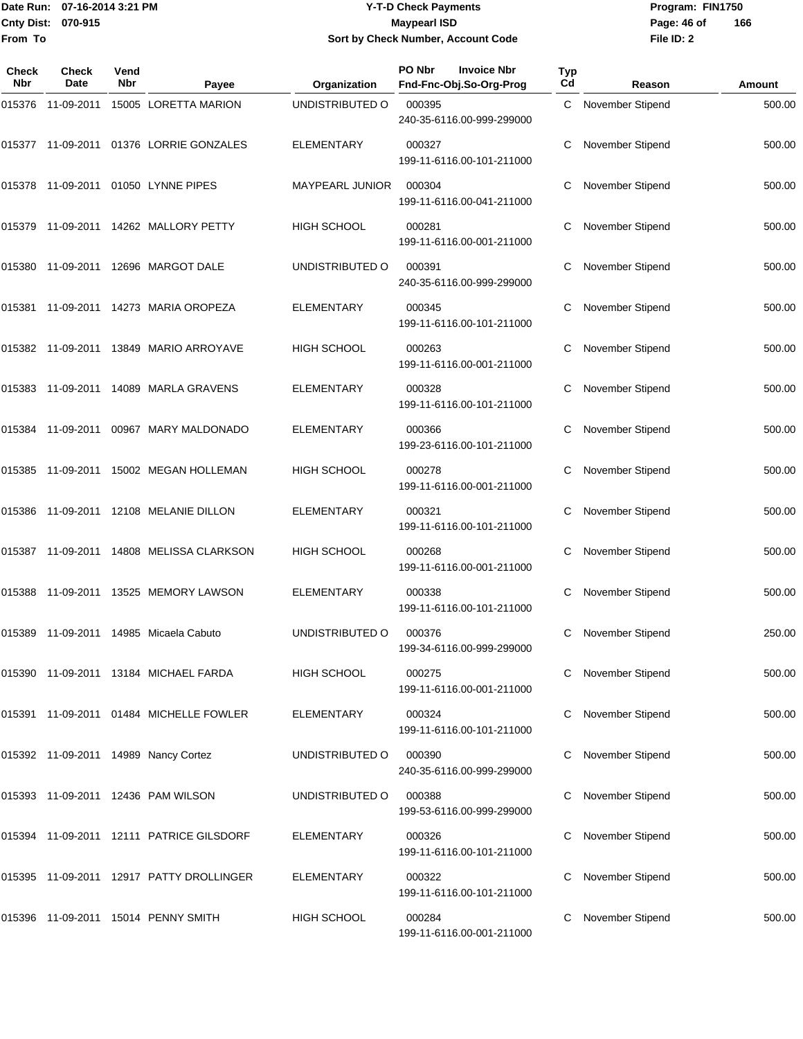## Date Run: 07-16-2014 3:21 PM **Program:** FIN1750 **Cnty Dist:** 070-915 **Page: 46 of MaypearI ISD Page: 46 of Y-T-D Check Payments 070-915 Maypearl ISD Sort by Check Number, Account Code**

| <b>Check</b><br>Nbr | <b>Check</b><br>Date | Vend<br><b>Nbr</b> | Payee                                              | Organization       | PO Nbr<br><b>Invoice Nbr</b><br>Fnd-Fnc-Obj.So-Org-Prog | Typ<br>Cd | Reason                  | Amount |
|---------------------|----------------------|--------------------|----------------------------------------------------|--------------------|---------------------------------------------------------|-----------|-------------------------|--------|
|                     | 015376 11-09-2011    |                    | 15005 LORETTA MARION                               | UNDISTRIBUTED O    | 000395<br>240-35-6116.00-999-299000                     |           | C November Stipend      | 500.00 |
|                     |                      |                    |                                                    | <b>ELEMENTARY</b>  | 000327<br>199-11-6116.00-101-211000                     | С         | November Stipend        | 500.00 |
|                     |                      |                    | 015378 11-09-2011 01050 LYNNE PIPES                | MAYPEARL JUNIOR    | 000304<br>199-11-6116.00-041-211000                     |           | November Stipend        | 500.00 |
|                     |                      |                    | 015379    11-09-2011    14262    MALLORY PETTY     | <b>HIGH SCHOOL</b> | 000281<br>199-11-6116.00-001-211000                     | С         | November Stipend        | 500.00 |
|                     |                      |                    |                                                    | UNDISTRIBUTED O    | 000391<br>240-35-6116.00-999-299000                     | С         | November Stipend        | 500.00 |
|                     |                      |                    | 015381  11-09-2011  14273  MARIA OROPEZA           | <b>ELEMENTARY</b>  | 000345<br>199-11-6116.00-101-211000                     |           | November Stipend        | 500.00 |
|                     |                      |                    | 015382 11-09-2011 13849 MARIO ARROYAVE             | <b>HIGH SCHOOL</b> | 000263<br>199-11-6116.00-001-211000                     | С         | November Stipend        | 500.00 |
|                     |                      |                    | 015383 11-09-2011 14089 MARLA GRAVENS              | <b>ELEMENTARY</b>  | 000328<br>199-11-6116.00-101-211000                     | С         | November Stipend        | 500.00 |
|                     |                      |                    | 015384    11-09-2011    00967    MARY    MALDONADO | <b>ELEMENTARY</b>  | 000366<br>199-23-6116.00-101-211000                     |           | November Stipend        | 500.00 |
|                     | 015385  11-09-2011   |                    | 15002 MEGAN HOLLEMAN                               | HIGH SCHOOL        | 000278<br>199-11-6116.00-001-211000                     | С         | November Stipend        | 500.00 |
|                     |                      |                    | 015386  11-09-2011  12108  MELANIE DILLON          | <b>ELEMENTARY</b>  | 000321<br>199-11-6116.00-101-211000                     | С         | November Stipend        | 500.00 |
|                     |                      |                    |                                                    | <b>HIGH SCHOOL</b> | 000268<br>199-11-6116.00-001-211000                     |           | November Stipend        | 500.00 |
|                     | 015388 11-09-2011    |                    | 13525 MEMORY LAWSON                                | <b>ELEMENTARY</b>  | 000338<br>199-11-6116.00-101-211000                     | С         | November Stipend        | 500.00 |
|                     |                      |                    | 015389 11-09-2011 14985 Micaela Cabuto             | UNDISTRIBUTED O    | 000376<br>199-34-6116.00-999-299000                     | С         | November Stipend        | 250.00 |
|                     |                      |                    | 015390 11-09-2011 13184 MICHAEL FARDA              | HIGH SCHOOL        | 000275<br>199-11-6116.00-001-211000                     |           | November Stipend        | 500.00 |
|                     |                      |                    | 015391 11-09-2011 01484 MICHELLE FOWLER            | <b>ELEMENTARY</b>  | 000324<br>199-11-6116.00-101-211000                     |           | November Stipend        | 500.00 |
|                     |                      |                    | 015392 11-09-2011 14989 Nancy Cortez               | UNDISTRIBUTED O    | 000390<br>240-35-6116.00-999-299000                     |           | <b>November Stipend</b> | 500.00 |
|                     |                      |                    | 015393 11-09-2011 12436 PAM WILSON                 | UNDISTRIBUTED O    | 000388<br>199-53-6116.00-999-299000                     |           | November Stipend        | 500.00 |
|                     |                      |                    | 015394 11-09-2011 12111 PATRICE GILSDORF           | <b>ELEMENTARY</b>  | 000326<br>199-11-6116.00-101-211000                     |           | November Stipend        | 500.00 |
|                     |                      |                    | 015395 11-09-2011 12917 PATTY DROLLINGER           | <b>ELEMENTARY</b>  | 000322<br>199-11-6116.00-101-211000                     |           | November Stipend        | 500.00 |
|                     |                      |                    | 015396 11-09-2011 15014 PENNY SMITH                | <b>HIGH SCHOOL</b> | 000284<br>199-11-6116.00-001-211000                     |           | November Stipend        | 500.00 |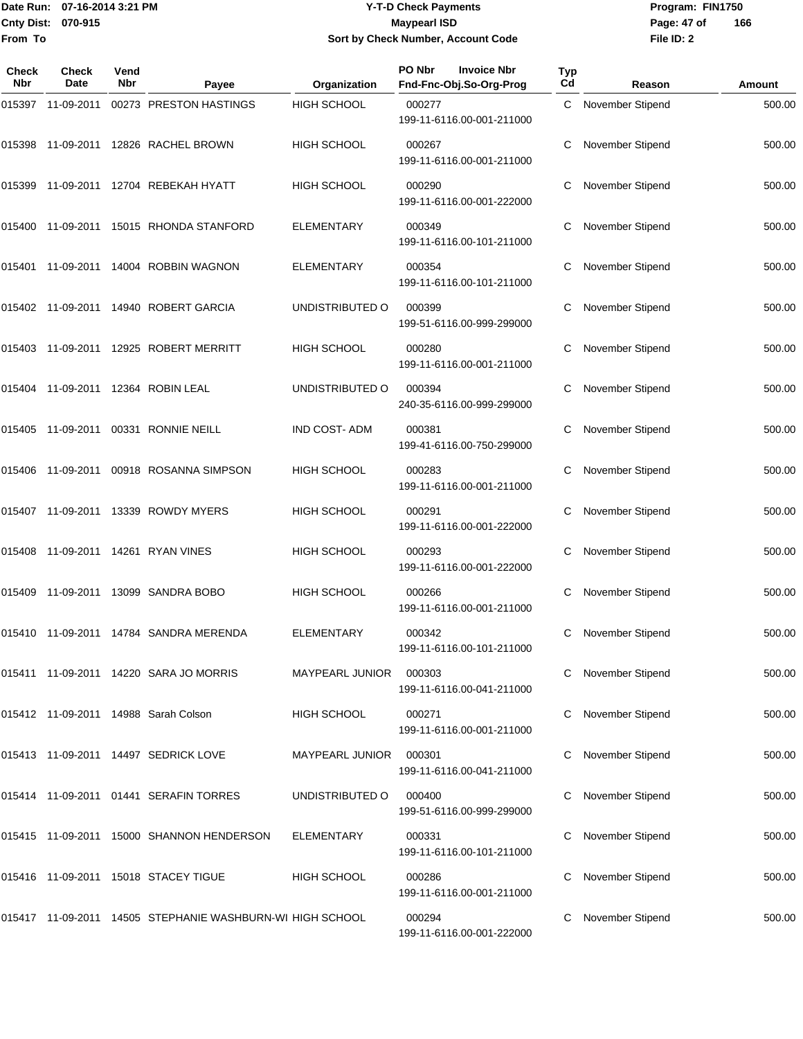## Date Run: 07-16-2014 3:21 PM **Program:** FIN1750 **Cnty Dist:** 070-915 **Page: 47 of MaypearI ISD Page: 47 of Y-T-D Check Payments 070-915 Maypearl ISD Sort by Check Number, Account Code**

| Check<br><b>Nbr</b> | Check<br>Date     | Vend<br><b>Nbr</b> | Payee                                                     | Organization           | PO Nbr<br><b>Invoice Nbr</b><br>Fnd-Fnc-Obj.So-Org-Prog | Typ<br>C <sub>d</sub> | Reason                  | Amount |
|---------------------|-------------------|--------------------|-----------------------------------------------------------|------------------------|---------------------------------------------------------|-----------------------|-------------------------|--------|
| 015397              | 11-09-2011        |                    | 00273 PRESTON HASTINGS                                    | <b>HIGH SCHOOL</b>     | 000277<br>199-11-6116.00-001-211000                     | C                     | November Stipend        | 500.00 |
|                     |                   |                    | 015398 11-09-2011 12826 RACHEL BROWN                      | <b>HIGH SCHOOL</b>     | 000267<br>199-11-6116.00-001-211000                     | C                     | <b>November Stipend</b> | 500.00 |
| 015399              | 11-09-2011        |                    | 12704 REBEKAH HYATT                                       | HIGH SCHOOL            | 000290<br>199-11-6116.00-001-222000                     |                       | November Stipend        | 500.00 |
| 015400              | 11-09-2011        |                    | 15015 RHONDA STANFORD                                     | <b>ELEMENTARY</b>      | 000349<br>199-11-6116.00-101-211000                     | C                     | November Stipend        | 500.00 |
| 015401              | 11-09-2011        |                    | 14004 ROBBIN WAGNON                                       | <b>ELEMENTARY</b>      | 000354<br>199-11-6116.00-101-211000                     | С                     | November Stipend        | 500.00 |
|                     | 015402 11-09-2011 |                    | 14940 ROBERT GARCIA                                       | UNDISTRIBUTED O        | 000399<br>199-51-6116.00-999-299000                     |                       | <b>November Stipend</b> | 500.00 |
| 015403              | 11-09-2011        |                    | 12925 ROBERT MERRITT                                      | HIGH SCHOOL            | 000280<br>199-11-6116.00-001-211000                     | C                     | November Stipend        | 500.00 |
|                     |                   |                    | 015404 11-09-2011 12364 ROBIN LEAL                        | UNDISTRIBUTED O        | 000394<br>240-35-6116.00-999-299000                     | С                     | <b>November Stipend</b> | 500.00 |
|                     | 015405 11-09-2011 |                    | 00331 RONNIE NEILL                                        | <b>IND COST-ADM</b>    | 000381<br>199-41-6116.00-750-299000                     |                       | <b>November Stipend</b> | 500.00 |
| 015406              | 11-09-2011        |                    | 00918 ROSANNA SIMPSON                                     | HIGH SCHOOL            | 000283<br>199-11-6116.00-001-211000                     | C                     | November Stipend        | 500.00 |
|                     |                   |                    | 015407 11-09-2011 13339 ROWDY MYERS                       | <b>HIGH SCHOOL</b>     | 000291<br>199-11-6116.00-001-222000                     | С                     | November Stipend        | 500.00 |
|                     | 015408 11-09-2011 |                    | 14261 RYAN VINES                                          | HIGH SCHOOL            | 000293<br>199-11-6116.00-001-222000                     |                       | November Stipend        | 500.00 |
| 015409              | 11-09-2011        |                    | 13099 SANDRA BOBO                                         | HIGH SCHOOL            | 000266<br>199-11-6116.00-001-211000                     | С                     | November Stipend        | 500.00 |
|                     |                   |                    | 015410 11-09-2011 14784 SANDRA MERENDA                    | <b>ELEMENTARY</b>      | 000342<br>199-11-6116.00-101-211000                     | C                     | November Stipend        | 500.00 |
|                     |                   |                    | 015411 11-09-2011 14220 SARA JO MORRIS                    | <b>MAYPEARL JUNIOR</b> | 000303<br>199-11-6116.00-041-211000                     |                       | November Stipend        | 500.00 |
|                     |                   |                    | 015412 11-09-2011 14988 Sarah Colson                      | HIGH SCHOOL            | 000271<br>199-11-6116.00-001-211000                     |                       | November Stipend        | 500.00 |
|                     |                   |                    | 015413 11-09-2011 14497 SEDRICK LOVE                      | MAYPEARL JUNIOR 000301 | 199-11-6116.00-041-211000                               |                       | November Stipend        | 500.00 |
|                     |                   |                    | 015414 11-09-2011 01441 SERAFIN TORRES                    | UNDISTRIBUTED O        | 000400<br>199-51-6116.00-999-299000                     |                       | November Stipend        | 500.00 |
|                     |                   |                    | 015415 11-09-2011 15000 SHANNON HENDERSON                 | ELEMENTARY             | 000331<br>199-11-6116.00-101-211000                     |                       | November Stipend        | 500.00 |
|                     |                   |                    | 015416 11-09-2011 15018 STACEY TIGUE                      | <b>HIGH SCHOOL</b>     | 000286<br>199-11-6116.00-001-211000                     |                       | November Stipend        | 500.00 |
|                     |                   |                    | 015417 11-09-2011 14505 STEPHANIE WASHBURN-WI HIGH SCHOOL |                        | 000294<br>199-11-6116.00-001-222000                     |                       | November Stipend        | 500.00 |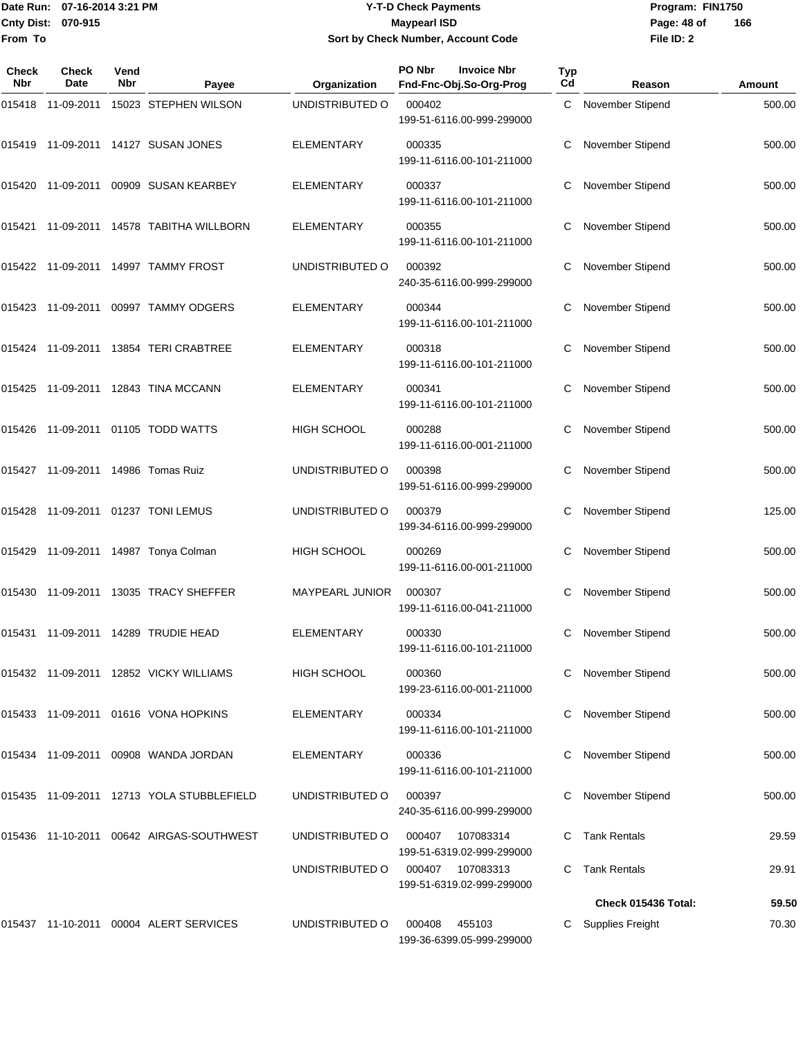## Date Run: 07-16-2014 3:21 PM **Program:** FIN1750 **Cnty Dist:** 070-915 **Page: 48 of MaypearI ISD Page: 48 of Y-T-D Check Payments 070-915 Maypearl ISD Sort by Check Number, Account Code**

| Check<br><b>Nbr</b> | <b>Check</b><br>Date               | Vend<br>Nbr | Payee                                         | Organization      | PO Nbr<br><b>Invoice Nbr</b><br>Fnd-Fnc-Obj.So-Org-Prog | Typ<br>Cd | Reason                  | Amount |
|---------------------|------------------------------------|-------------|-----------------------------------------------|-------------------|---------------------------------------------------------|-----------|-------------------------|--------|
|                     |                                    |             | 015418 11-09-2011 15023 STEPHEN WILSON        | UNDISTRIBUTED O   | 000402<br>199-51-6116.00-999-299000                     |           | C November Stipend      | 500.00 |
|                     |                                    |             | 015419 11-09-2011 14127 SUSAN JONES           | ELEMENTARY        | 000335<br>199-11-6116.00-101-211000                     |           | November Stipend        | 500.00 |
|                     |                                    |             | 015420 11-09-2011 00909 SUSAN KEARBEY         | <b>ELEMENTARY</b> | 000337<br>199-11-6116.00-101-211000                     | С         | November Stipend        | 500.00 |
|                     |                                    |             | 015421 11-09-2011 14578 TABITHA WILLBORN      | <b>ELEMENTARY</b> | 000355<br>199-11-6116.00-101-211000                     |           | November Stipend        | 500.00 |
|                     |                                    |             | 015422 11-09-2011 14997 TAMMY FROST           | UNDISTRIBUTED O   | 000392<br>240-35-6116.00-999-299000                     |           | November Stipend        | 500.00 |
|                     |                                    |             | 015423 11-09-2011 00997 TAMMY ODGERS          | <b>ELEMENTARY</b> | 000344<br>199-11-6116.00-101-211000                     |           | November Stipend        | 500.00 |
|                     |                                    |             | 015424 11-09-2011 13854 TERI CRABTREE         | <b>ELEMENTARY</b> | 000318<br>199-11-6116.00-101-211000                     |           | November Stipend        | 500.00 |
|                     |                                    |             | 015425 11-09-2011 12843 TINA MCCANN           | <b>ELEMENTARY</b> | 000341<br>199-11-6116.00-101-211000                     |           | <b>November Stipend</b> | 500.00 |
|                     |                                    |             | 015426 11-09-2011 01105 TODD WATTS            | HIGH SCHOOL       | 000288<br>199-11-6116.00-001-211000                     |           | November Stipend        | 500.00 |
|                     | 015427 11-09-2011 14986 Tomas Ruiz |             |                                               | UNDISTRIBUTED O   | 000398<br>199-51-6116.00-999-299000                     | С         | November Stipend        | 500.00 |
|                     |                                    |             | 015428 11-09-2011 01237 TONI LEMUS            | UNDISTRIBUTED O   | 000379<br>199-34-6116.00-999-299000                     |           | November Stipend        | 125.00 |
|                     |                                    |             | 015429 11-09-2011 14987 Tonya Colman          | HIGH SCHOOL       | 000269<br>199-11-6116.00-001-211000                     |           | November Stipend        | 500.00 |
|                     |                                    |             | 015430 11-09-2011 13035 TRACY SHEFFER         | MAYPEARL JUNIOR   | 000307<br>199-11-6116.00-041-211000                     | С         | November Stipend        | 500.00 |
|                     |                                    |             | 015431 11-09-2011 14289 TRUDIE HEAD           | ELEMENTARY        | 000330<br>199-11-6116.00-101-211000                     |           | C November Stipend      | 500.00 |
|                     |                                    |             | 015432  11-09-2011  12852  VICKY WILLIAMS     | HIGH SCHOOL       | 000360<br>199-23-6116.00-001-211000                     |           | C November Stipend      | 500.00 |
|                     |                                    |             | 015433 11-09-2011 01616 VONA HOPKINS          | <b>ELEMENTARY</b> | 000334<br>199-11-6116.00-101-211000                     |           | November Stipend        | 500.00 |
|                     |                                    |             | 015434    11-09-2011    00908    WANDA JORDAN | <b>ELEMENTARY</b> | 000336<br>199-11-6116.00-101-211000                     |           | November Stipend        | 500.00 |
|                     |                                    |             | 015435 11-09-2011 12713 YOLA STUBBLEFIELD     | UNDISTRIBUTED O   | 000397<br>240-35-6116.00-999-299000                     |           | November Stipend        | 500.00 |
|                     |                                    |             | 015436  11-10-2011  00642  AIRGAS-SOUTHWEST   | UNDISTRIBUTED O   | 000407<br>107083314<br>199-51-6319.02-999-299000        |           | Tank Rentals            | 29.59  |
|                     |                                    |             |                                               | UNDISTRIBUTED O   | 000407 107083313<br>199-51-6319.02-999-299000           |           | Tank Rentals            | 29.91  |
|                     |                                    |             |                                               |                   |                                                         |           | Check 015436 Total:     | 59.50  |
|                     |                                    |             |                                               |                   | 000408                                                  |           |                         |        |
|                     |                                    |             | 015437 11-10-2011 00004 ALERT SERVICES        | UNDISTRIBUTED O   | 455103<br>199-36-6399.05-999-299000                     |           | C Supplies Freight      | 70.30  |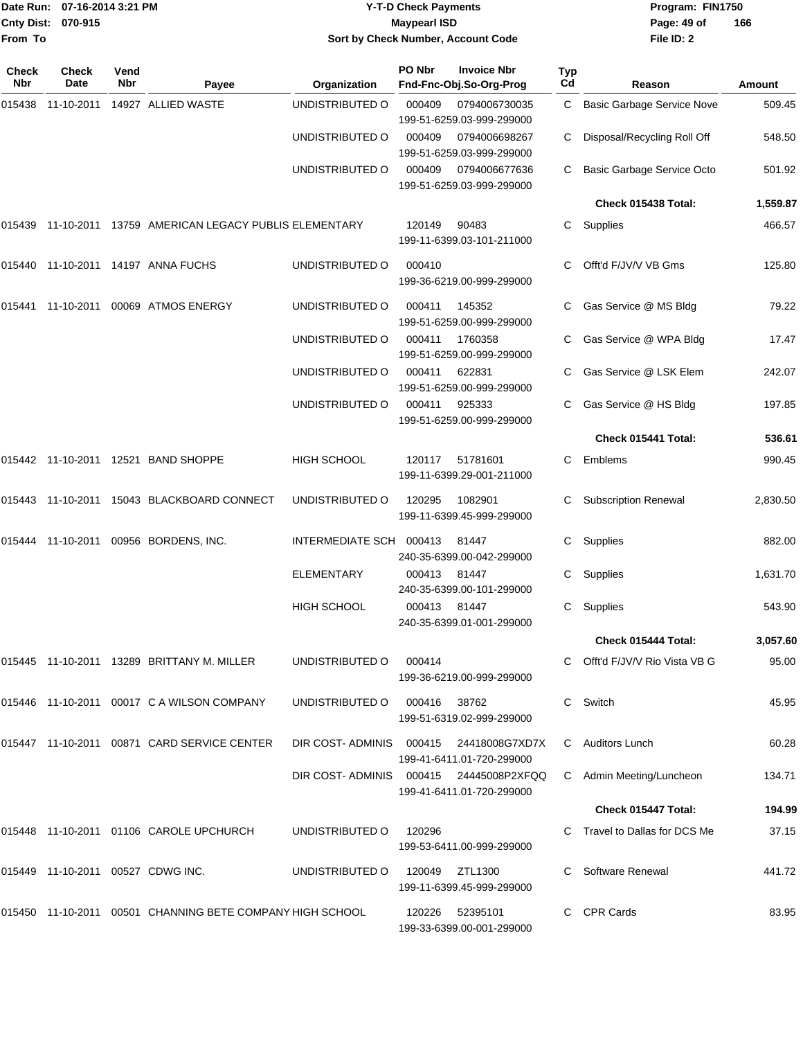| From To             | Cnty Dist: 070-915 | Date Run: 07-16-2014 3:21 PM |                                                           |                         | <b>Y-T-D Check Payments</b><br><b>Maypearl ISD</b><br>Sort by Check Number, Account Code |                                                    |                  | Program: FIN1750<br>Page: 49 of<br>File ID: 2 | 166      |
|---------------------|--------------------|------------------------------|-----------------------------------------------------------|-------------------------|------------------------------------------------------------------------------------------|----------------------------------------------------|------------------|-----------------------------------------------|----------|
| <b>Check</b><br>Nbr | Check<br>Date      | Vend<br>Nbr                  | Payee                                                     | Organization            | PO Nbr                                                                                   | <b>Invoice Nbr</b><br>Fnd-Fnc-Obj.So-Org-Prog      | <b>Typ</b><br>Cd | Reason                                        | Amount   |
| 015438              | 11-10-2011         |                              | 14927 ALLIED WASTE                                        | UNDISTRIBUTED O         | 000409                                                                                   | 0794006730035<br>199-51-6259.03-999-299000         | C.               | <b>Basic Garbage Service Nove</b>             | 509.45   |
|                     |                    |                              |                                                           | UNDISTRIBUTED O         | 000409                                                                                   | 0794006698267<br>199-51-6259.03-999-299000         | С                | Disposal/Recycling Roll Off                   | 548.50   |
|                     |                    |                              |                                                           | UNDISTRIBUTED O         | 000409                                                                                   | 0794006677636<br>199-51-6259.03-999-299000         |                  | Basic Garbage Service Octo                    | 501.92   |
|                     |                    |                              |                                                           |                         |                                                                                          |                                                    |                  | Check 015438 Total:                           | 1,559.87 |
|                     |                    |                              | 015439 11-10-2011 13759 AMERICAN LEGACY PUBLIS ELEMENTARY |                         | 120149                                                                                   | 90483<br>199-11-6399.03-101-211000                 | С                | Supplies                                      | 466.57   |
| 015440              |                    |                              | 11-10-2011  14197  ANNA FUCHS                             | UNDISTRIBUTED O         | 000410                                                                                   | 199-36-6219.00-999-299000                          | С                | Offt'd F/JV/V VB Gms                          | 125.80   |
|                     | 015441 11-10-2011  |                              | 00069 ATMOS ENERGY                                        | UNDISTRIBUTED O         | 000411                                                                                   | 145352<br>199-51-6259.00-999-299000                | С                | Gas Service @ MS Bldg                         | 79.22    |
|                     |                    |                              |                                                           | UNDISTRIBUTED O         | 000411                                                                                   | 1760358<br>199-51-6259.00-999-299000               |                  | Gas Service @ WPA Bldg                        | 17.47    |
|                     |                    |                              |                                                           | UNDISTRIBUTED O         | 000411                                                                                   | 622831<br>199-51-6259.00-999-299000                |                  | Gas Service @ LSK Elem                        | 242.07   |
|                     |                    |                              |                                                           | UNDISTRIBUTED O         | 000411                                                                                   | 925333<br>199-51-6259.00-999-299000                | С                | Gas Service @ HS Bldg                         | 197.85   |
|                     |                    |                              |                                                           |                         |                                                                                          |                                                    |                  | Check 015441 Total:                           | 536.61   |
|                     |                    |                              | 015442 11-10-2011 12521 BAND SHOPPE                       | <b>HIGH SCHOOL</b>      | 120117                                                                                   | 51781601<br>199-11-6399.29-001-211000              | С                | Emblems                                       | 990.45   |
|                     |                    |                              | 015443 11-10-2011 15043 BLACKBOARD CONNECT                | UNDISTRIBUTED O         | 120295                                                                                   | 1082901<br>199-11-6399.45-999-299000               |                  | <b>Subscription Renewal</b>                   | 2,830.50 |
|                     | 015444 11-10-2011  |                              | 00956 BORDENS, INC.                                       | <b>INTERMEDIATE SCH</b> | 000413                                                                                   | 81447<br>240-35-6399.00-042-299000                 | С                | Supplies                                      | 882.00   |
|                     |                    |                              |                                                           | <b>ELEMENTARY</b>       | 000413                                                                                   | 81447<br>240-35-6399.00-101-299000                 | С                | Supplies                                      | 1,631.70 |
|                     |                    |                              |                                                           | HIGH SCHOOL             | 000413 81447                                                                             | 240-35-6399.01-001-299000                          |                  | C Supplies                                    | 543.90   |
|                     |                    |                              |                                                           |                         |                                                                                          |                                                    |                  | Check 015444 Total:                           | 3,057.60 |
|                     |                    |                              | 015445 11-10-2011 13289 BRITTANY M. MILLER                | UNDISTRIBUTED O         | 000414                                                                                   | 199-36-6219.00-999-299000                          |                  | C Offt'd F/JV/V Rio Vista VB G                | 95.00    |
|                     |                    |                              | 015446 11-10-2011 00017 C A WILSON COMPANY                | UNDISTRIBUTED O         | 000416 38762                                                                             | 199-51-6319.02-999-299000                          |                  | C Switch                                      | 45.95    |
|                     |                    |                              | 015447 11-10-2011 00871 CARD SERVICE CENTER               | DIR COST-ADMINIS        | 000415                                                                                   | 24418008G7XD7X<br>199-41-6411.01-720-299000        |                  | C Auditors Lunch                              | 60.28    |
|                     |                    |                              |                                                           | DIR COST-ADMINIS        |                                                                                          | 000415 24445008P2XFQQ<br>199-41-6411.01-720-299000 |                  | C Admin Meeting/Luncheon                      | 134.71   |
|                     |                    |                              |                                                           |                         |                                                                                          |                                                    |                  | Check 015447 Total:                           | 194.99   |
|                     |                    |                              | 015448 11-10-2011 01106 CAROLE UPCHURCH                   | UNDISTRIBUTED O         | 120296                                                                                   | 199-53-6411.00-999-299000                          |                  | C Travel to Dallas for DCS Me                 | 37.15    |
|                     |                    |                              | 015449 11-10-2011 00527 CDWG INC.                         | UNDISTRIBUTED O         | 120049                                                                                   | ZTL1300<br>199-11-6399.45-999-299000               |                  | C Software Renewal                            | 441.72   |
|                     |                    |                              | 015450 11-10-2011 00501 CHANNING BETE COMPANY HIGH SCHOOL |                         | 120226                                                                                   | 52395101<br>199-33-6399.00-001-299000              |                  | C CPR Cards                                   | 83.95    |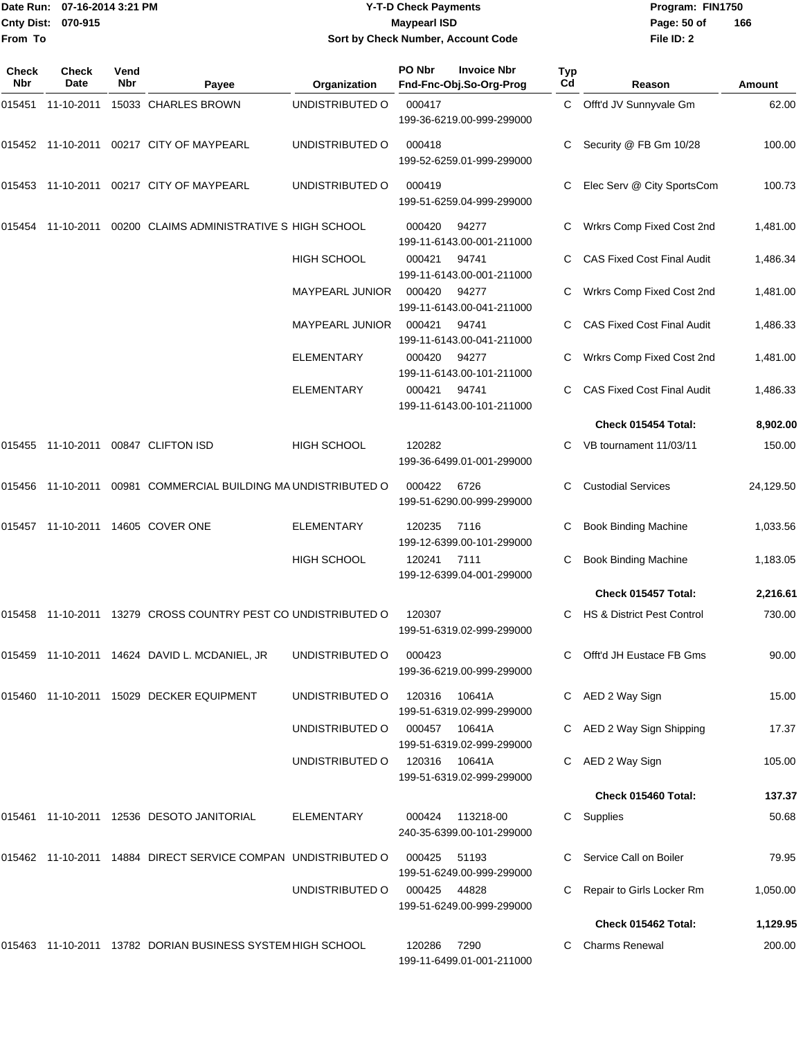|                    | Date Run: 07-16-2014 3:21 PM |
|--------------------|------------------------------|
| Cnty Dist: 070-915 |                              |
| <b>From To</b>     |                              |

## **Date Run: Program: FIN1750 07-16-2014 3:21 PM Y-T-D Check Payments Cnty Dist: Page: 50 of 070-915 Maypearl ISD Sort by Check Number, Account Code**

| Check<br>Nbr | <b>Check</b><br>Date | Vend<br>Nbr | Payee                                                         | Organization       | PO Nbr       | <b>Invoice Nbr</b><br>Fnd-Fnc-Obj.So-Org-Prog | <b>Typ</b><br>Cd | Reason                            | Amount    |
|--------------|----------------------|-------------|---------------------------------------------------------------|--------------------|--------------|-----------------------------------------------|------------------|-----------------------------------|-----------|
|              |                      |             | 015451 11-10-2011 15033 CHARLES BROWN                         | UNDISTRIBUTED O    | 000417       | 199-36-6219.00-999-299000                     | C                | Offt'd JV Sunnyvale Gm            | 62.00     |
|              |                      |             | 00217 CITY OF MAYPEARL                                        | UNDISTRIBUTED O    | 000418       | 199-52-6259.01-999-299000                     |                  | Security @ FB Gm 10/28            | 100.00    |
|              |                      |             | 015453 11-10-2011 00217 CITY OF MAYPEARL                      | UNDISTRIBUTED O    | 000419       | 199-51-6259.04-999-299000                     |                  | Elec Serv @ City SportsCom        | 100.73    |
| 015454       |                      |             | 11-10-2011  00200  CLAIMS ADMINISTRATIVE S HIGH SCHOOL        |                    | 000420       | 94277<br>199-11-6143.00-001-211000            |                  | Wrkrs Comp Fixed Cost 2nd         | 1,481.00  |
|              |                      |             |                                                               | <b>HIGH SCHOOL</b> | 000421       | 94741<br>199-11-6143.00-001-211000            |                  | <b>CAS Fixed Cost Final Audit</b> | 1,486.34  |
|              |                      |             |                                                               | MAYPEARL JUNIOR    | 000420       | 94277<br>199-11-6143.00-041-211000            | С                | Wrkrs Comp Fixed Cost 2nd         | 1,481.00  |
|              |                      |             |                                                               | MAYPEARL JUNIOR    | 000421       | 94741<br>199-11-6143.00-041-211000            | C                | <b>CAS Fixed Cost Final Audit</b> | 1,486.33  |
|              |                      |             |                                                               | <b>ELEMENTARY</b>  | 000420       | 94277<br>199-11-6143.00-101-211000            |                  | Wrkrs Comp Fixed Cost 2nd         | 1,481.00  |
|              |                      |             |                                                               | <b>ELEMENTARY</b>  | 000421       | 94741<br>199-11-6143.00-101-211000            |                  | <b>CAS Fixed Cost Final Audit</b> | 1,486.33  |
|              |                      |             |                                                               |                    |              |                                               |                  | Check 015454 Total:               | 8,902.00  |
| 015455       |                      |             | 11-10-2011  00847  CLIFTON ISD                                | HIGH SCHOOL        | 120282       | 199-36-6499.01-001-299000                     |                  | VB tournament 11/03/11            | 150.00    |
|              |                      |             | 00981 COMMERCIAL BUILDING MA UNDISTRIBUTED O                  |                    | 000422       | 6726<br>199-51-6290.00-999-299000             | С                | <b>Custodial Services</b>         | 24,129.50 |
|              |                      |             | 015457  11-10-2011  14605  COVER ONE                          | <b>ELEMENTARY</b>  | 120235       | 7116<br>199-12-6399.00-101-299000             | С                | <b>Book Binding Machine</b>       | 1,033.56  |
|              |                      |             |                                                               | <b>HIGH SCHOOL</b> | 120241       | 7111<br>199-12-6399.04-001-299000             | С                | <b>Book Binding Machine</b>       | 1,183.05  |
|              |                      |             |                                                               |                    |              |                                               |                  | Check 015457 Total:               | 2,216.61  |
| 015458       |                      |             | 11-10-2011 13279 CROSS COUNTRY PEST CO UNDISTRIBUTED O        |                    | 120307       | 199-51-6319.02-999-299000                     | C                | HS & District Pest Control        | 730.00    |
|              |                      |             | 015459 11-10-2011 14624 DAVID L. MCDANIEL, JR                 | UNDISTRIBUTED O    | 000423       | 199-36-6219.00-999-299000                     |                  | C Offt'd JH Eustace FB Gms        | 90.00     |
|              |                      |             | 015460 11-10-2011 15029 DECKER EQUIPMENT                      | UNDISTRIBUTED O    | 120316       | 10641A<br>199-51-6319.02-999-299000           |                  | C AED 2 Way Sign                  | 15.00     |
|              |                      |             |                                                               | UNDISTRIBUTED O    |              | 000457 10641A<br>199-51-6319.02-999-299000    |                  | C AED 2 Way Sign Shipping         | 17.37     |
|              |                      |             |                                                               | UNDISTRIBUTED O    | 120316       | 10641A<br>199-51-6319.02-999-299000           |                  | C AED 2 Way Sign                  | 105.00    |
|              |                      |             |                                                               |                    |              |                                               |                  | Check 015460 Total:               | 137.37    |
|              |                      |             | 015461  11-10-2011  12536  DESOTO JANITORIAL                  | ELEMENTARY         | 000424       | 113218-00<br>240-35-6399.00-101-299000        | C                | Supplies                          | 50.68     |
|              |                      |             | 015462 11-10-2011 14884 DIRECT SERVICE COMPAN UNDISTRIBUTED O |                    | 000425       | 51193<br>199-51-6249.00-999-299000            |                  | C Service Call on Boiler          | 79.95     |
|              |                      |             |                                                               | UNDISTRIBUTED O    | 000425 44828 | 199-51-6249.00-999-299000                     |                  | Repair to Girls Locker Rm         | 1,050.00  |
|              |                      |             |                                                               |                    |              |                                               |                  | Check 015462 Total:               | 1,129.95  |
|              |                      |             | 015463 11-10-2011 13782 DORIAN BUSINESS SYSTEM HIGH SCHOOL    |                    | 120286 7290  | 199-11-6499.01-001-211000                     |                  | <b>Charms Renewal</b>             | 200.00    |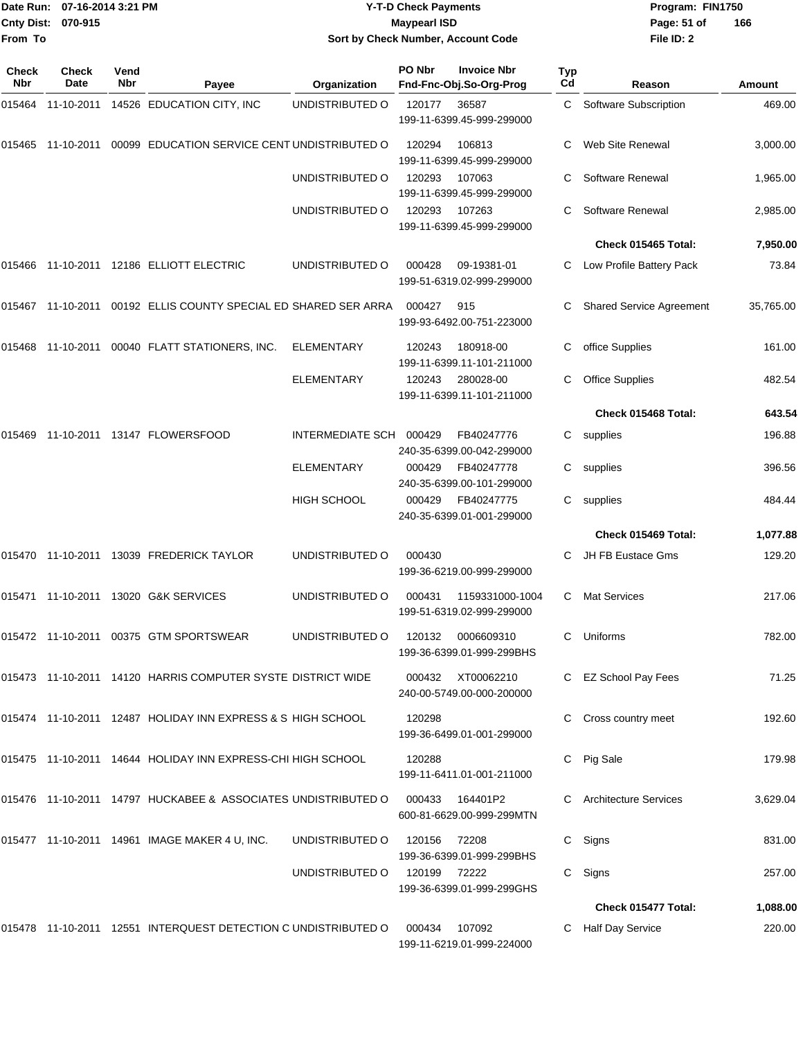|                    | Date Run: 07-16-2014 3:21 PM |
|--------------------|------------------------------|
| Cnty Dist: 070-915 |                              |
| From To            |                              |

## **Date Run: Program: FIN1750 07-16-2014 3:21 PM Y-T-D Check Payments Cnty Dist: Page: 51 of 070-915 Maypearl ISD Sort by Check Number, Account Code**

| Check<br>Nbr | <b>Check</b><br>Date | Vend<br>Nbr | Payee                                                           | Organization      | PO Nbr | <b>Invoice Nbr</b><br>Fnd-Fnc-Obj.So-Org-Prog  | Typ<br>Cd | Reason                          | Amount    |
|--------------|----------------------|-------------|-----------------------------------------------------------------|-------------------|--------|------------------------------------------------|-----------|---------------------------------|-----------|
| 015464       | 11-10-2011           |             | 14526 EDUCATION CITY, INC                                       | UNDISTRIBUTED O   | 120177 | 36587<br>199-11-6399.45-999-299000             | C         | Software Subscription           | 469.00    |
| 015465       | 11-10-2011           |             | 00099 EDUCATION SERVICE CENT UNDISTRIBUTED O                    |                   | 120294 | 106813<br>199-11-6399.45-999-299000            | C         | Web Site Renewal                | 3,000.00  |
|              |                      |             |                                                                 | UNDISTRIBUTED O   | 120293 | 107063<br>199-11-6399.45-999-299000            |           | Software Renewal                | 1,965.00  |
|              |                      |             |                                                                 | UNDISTRIBUTED O   | 120293 | 107263<br>199-11-6399.45-999-299000            | С         | Software Renewal                | 2,985.00  |
|              |                      |             |                                                                 |                   |        |                                                |           | Check 015465 Total:             | 7,950.00  |
| 015466       | 11-10-2011           |             | 12186 ELLIOTT ELECTRIC                                          | UNDISTRIBUTED O   | 000428 | 09-19381-01<br>199-51-6319.02-999-299000       | C         | Low Profile Battery Pack        | 73.84     |
|              |                      |             | 015467 11-10-2011 00192 ELLIS COUNTY SPECIAL ED SHARED SER ARRA |                   | 000427 | 915<br>199-93-6492.00-751-223000               |           | <b>Shared Service Agreement</b> | 35,765.00 |
| 015468       |                      |             | 11-10-2011 00040 FLATT STATIONERS, INC.                         | <b>ELEMENTARY</b> | 120243 | 180918-00<br>199-11-6399.11-101-211000         | С         | office Supplies                 | 161.00    |
|              |                      |             |                                                                 | <b>ELEMENTARY</b> | 120243 | 280028-00<br>199-11-6399.11-101-211000         | С         | <b>Office Supplies</b>          | 482.54    |
|              |                      |             |                                                                 |                   |        |                                                |           | Check 015468 Total:             | 643.54    |
| 015469       |                      |             | 11-10-2011  13147  FLOWERSFOOD                                  | INTERMEDIATE SCH  | 000429 | FB40247776<br>240-35-6399.00-042-299000        | С         | supplies                        | 196.88    |
|              |                      |             |                                                                 | <b>ELEMENTARY</b> | 000429 | FB40247778<br>240-35-6399.00-101-299000        | С         | supplies                        | 396.56    |
|              |                      |             |                                                                 | HIGH SCHOOL       | 000429 | FB40247775<br>240-35-6399.01-001-299000        | С         | supplies                        | 484.44    |
|              |                      |             |                                                                 |                   |        |                                                |           | Check 015469 Total:             | 1,077.88  |
| 015470       | 11-10-2011           |             | 13039 FREDERICK TAYLOR                                          | UNDISTRIBUTED O   | 000430 | 199-36-6219.00-999-299000                      |           | JH FB Eustace Gms               | 129.20    |
| 015471       | 11-10-2011           |             | 13020 G&K SERVICES                                              | UNDISTRIBUTED O   | 000431 | 1159331000-1004<br>199-51-6319.02-999-299000   | C         | <b>Mat Services</b>             | 217.06    |
|              |                      |             | 015472 11-10-2011 00375 GTM SPORTSWEAR                          | UNDISTRIBUTED O   | 120132 | 0006609310<br>199-36-6399.01-999-299BHS        | С         | Uniforms                        | 782.00    |
|              |                      |             | 015473 11-10-2011 14120 HARRIS COMPUTER SYSTE DISTRICT WIDE     |                   |        | 000432 XT00062210<br>240-00-5749.00-000-200000 |           | C EZ School Pay Fees            | 71.25     |
|              |                      |             | 015474 11-10-2011 12487 HOLIDAY INN EXPRESS & S HIGH SCHOOL     |                   | 120298 | 199-36-6499.01-001-299000                      | C         | Cross country meet              | 192.60    |
|              |                      |             | 015475 11-10-2011 14644 HOLIDAY INN EXPRESS-CHI HIGH SCHOOL     |                   | 120288 | 199-11-6411.01-001-211000                      | C         | Pig Sale                        | 179.98    |
|              |                      |             | 015476 11-10-2011 14797 HUCKABEE & ASSOCIATES UNDISTRIBUTED O   |                   | 000433 | 164401P2<br>600-81-6629.00-999-299MTN          |           | <b>Architecture Services</b>    | 3,629.04  |
|              |                      |             | 015477 11-10-2011 14961 IMAGE MAKER 4 U, INC.                   | UNDISTRIBUTED O   | 120156 | 72208<br>199-36-6399.01-999-299BHS             | C         | Signs                           | 831.00    |
|              |                      |             |                                                                 | UNDISTRIBUTED O   | 120199 | 72222<br>199-36-6399.01-999-299GHS             |           | C Signs                         | 257.00    |
|              |                      |             |                                                                 |                   |        |                                                |           | Check 015477 Total:             | 1,088.00  |
|              |                      |             | 015478 11-10-2011 12551 INTERQUEST DETECTION C UNDISTRIBUTED O  |                   | 000434 | 107092<br>199-11-6219.01-999-224000            |           | Half Day Service                | 220.00    |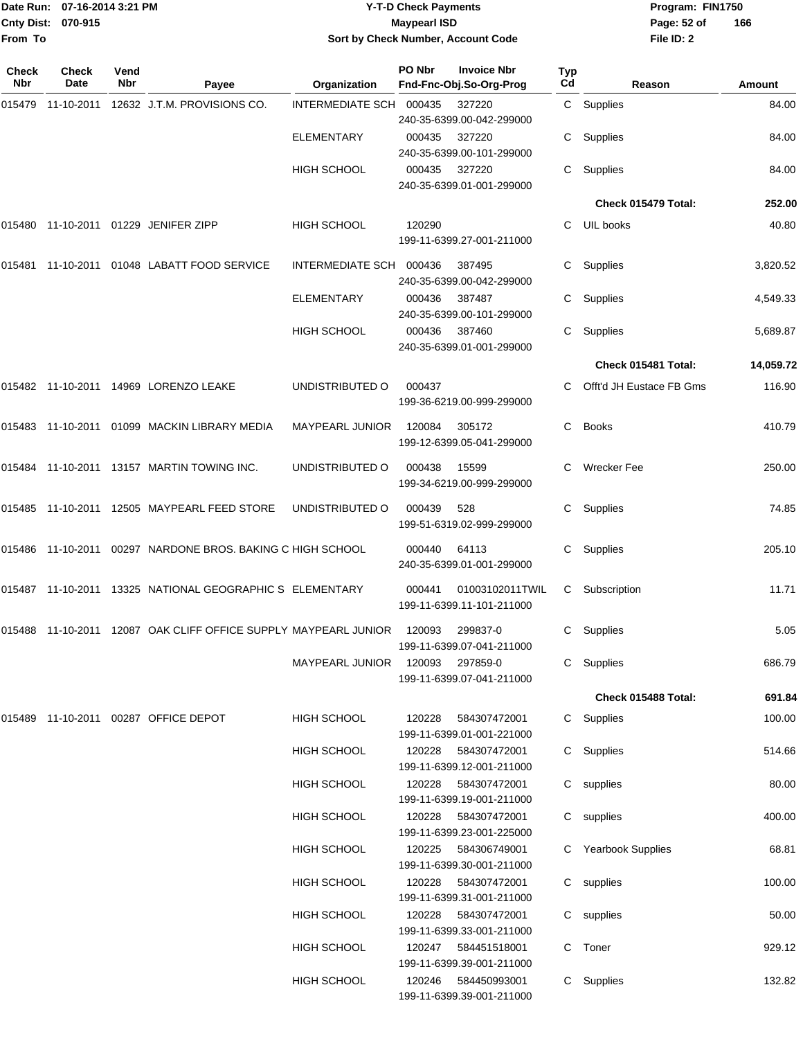|                    | Date Run: 07-16-2014 3:21 PM |
|--------------------|------------------------------|
| Cnty Dist: 070-915 |                              |
| From To            |                              |

## **Date Run: Program: FIN1750 07-16-2014 3:21 PM Y-T-D Check Payments Cnty Dist: Page: 52 of 070-915 Maypearl ISD Sort by Check Number, Account Code**

| Check<br><b>Nbr</b> | <b>Check</b><br>Date | Vend<br>Nbr | Payee                                                       | Organization                    | PO Nbr | <b>Invoice Nbr</b><br>Fnd-Fnc-Obj.So-Org-Prog     | <b>Typ</b><br>Cd | Reason                   | Amount    |
|---------------------|----------------------|-------------|-------------------------------------------------------------|---------------------------------|--------|---------------------------------------------------|------------------|--------------------------|-----------|
|                     |                      |             | 015479 11-10-2011 12632 J.T.M. PROVISIONS CO.               | INTERMEDIATE SCH 000435         |        | 327220<br>240-35-6399.00-042-299000               |                  | C Supplies               | 84.00     |
|                     |                      |             |                                                             | <b>ELEMENTARY</b>               | 000435 | 327220<br>240-35-6399.00-101-299000               |                  | Supplies                 | 84.00     |
|                     |                      |             |                                                             | <b>HIGH SCHOOL</b>              | 000435 | 327220<br>240-35-6399.01-001-299000               | C.               | Supplies                 | 84.00     |
|                     |                      |             |                                                             |                                 |        |                                                   |                  | Check 015479 Total:      | 252.00    |
| 015480              |                      |             | 11-10-2011 01229 JENIFER ZIPP                               | <b>HIGH SCHOOL</b>              | 120290 | 199-11-6399.27-001-211000                         |                  | C UIL books              | 40.80     |
| 015481              |                      |             | 11-10-2011 01048 LABATT FOOD SERVICE                        | INTERMEDIATE SCH                | 000436 | 387495<br>240-35-6399.00-042-299000               | C.               | Supplies                 | 3,820.52  |
|                     |                      |             |                                                             | <b>ELEMENTARY</b>               | 000436 | 387487<br>240-35-6399.00-101-299000               | C.               | Supplies                 | 4,549.33  |
|                     |                      |             |                                                             | HIGH SCHOOL                     | 000436 | 387460<br>240-35-6399.01-001-299000               | C.               | Supplies                 | 5,689.87  |
|                     |                      |             |                                                             |                                 |        |                                                   |                  | Check 015481 Total:      | 14,059.72 |
|                     |                      |             | 015482 11-10-2011 14969 LORENZO LEAKE                       | UNDISTRIBUTED O                 | 000437 | 199-36-6219.00-999-299000                         | C.               | Offt'd JH Eustace FB Gms | 116.90    |
|                     |                      |             | 015483 11-10-2011 01099 MACKIN LIBRARY MEDIA                | MAYPEARL JUNIOR                 | 120084 | 305172<br>199-12-6399.05-041-299000               | C.               | <b>Books</b>             | 410.79    |
|                     |                      |             | 015484 11-10-2011 13157 MARTIN TOWING INC.                  | UNDISTRIBUTED O                 | 000438 | 15599<br>199-34-6219.00-999-299000                |                  | Wrecker Fee              | 250.00    |
|                     |                      |             | 015485 11-10-2011 12505 MAYPEARL FEED STORE                 | UNDISTRIBUTED O                 | 000439 | 528<br>199-51-6319.02-999-299000                  | C.               | Supplies                 | 74.85     |
|                     |                      |             | 015486 11-10-2011 00297 NARDONE BROS. BAKING C HIGH SCHOOL  |                                 | 000440 | 64113<br>240-35-6399.01-001-299000                | C.               | Supplies                 | 205.10    |
|                     |                      |             | 015487  11-10-2011  13325  NATIONAL GEOGRAPHIC S ELEMENTARY |                                 | 000441 | 01003102011TWIL<br>199-11-6399.11-101-211000      | C.               | Subscription             | 11.71     |
| 015488              |                      |             | 11-10-2011 12087 OAK CLIFF OFFICE SUPPLY MAYPEARL JUNIOR    |                                 | 120093 | 299837-0<br>199-11-6399.07-041-211000             | C.               | Supplies                 | 5.05      |
|                     |                      |             |                                                             | MAYPEARL JUNIOR 120093 297859-0 |        | 199-11-6399.07-041-211000                         |                  | C Supplies               | 686.79    |
|                     |                      |             |                                                             |                                 |        |                                                   |                  | Check 015488 Total:      | 691.84    |
|                     |                      |             | 015489  11-10-2011  00287  OFFICE DEPOT                     | HIGH SCHOOL                     | 120228 | 584307472001<br>199-11-6399.01-001-221000         |                  | C Supplies               | 100.00    |
|                     |                      |             |                                                             | <b>HIGH SCHOOL</b>              | 120228 | 584307472001<br>199-11-6399.12-001-211000         |                  | C Supplies               | 514.66    |
|                     |                      |             |                                                             | HIGH SCHOOL                     | 120228 | 584307472001<br>199-11-6399.19-001-211000         |                  | C supplies               | 80.00     |
|                     |                      |             |                                                             | <b>HIGH SCHOOL</b>              | 120228 | 584307472001<br>199-11-6399.23-001-225000         |                  | C supplies               | 400.00    |
|                     |                      |             |                                                             | <b>HIGH SCHOOL</b>              | 120225 | 584306749001<br>199-11-6399.30-001-211000         |                  | C Yearbook Supplies      | 68.81     |
|                     |                      |             |                                                             | <b>HIGH SCHOOL</b>              | 120228 | 584307472001<br>199-11-6399.31-001-211000         |                  | C supplies               | 100.00    |
|                     |                      |             |                                                             | <b>HIGH SCHOOL</b>              | 120228 | 584307472001<br>199-11-6399.33-001-211000         |                  | C supplies               | 50.00     |
|                     |                      |             |                                                             | <b>HIGH SCHOOL</b>              |        | 120247  584451518001<br>199-11-6399.39-001-211000 |                  | C Toner                  | 929.12    |
|                     |                      |             |                                                             | <b>HIGH SCHOOL</b>              | 120246 | 584450993001<br>199-11-6399.39-001-211000         |                  | C Supplies               | 132.82    |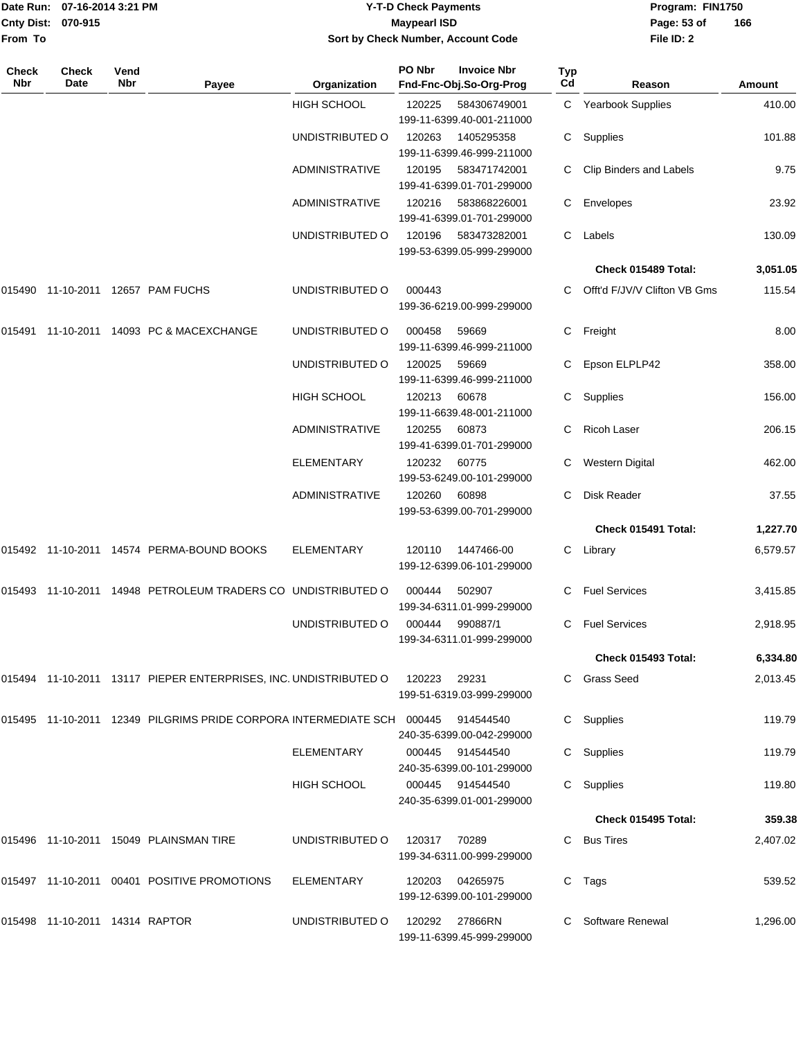|                              | Date Run: 07-16-2014 3:21 PM |             |                                                                                  |                                 | <b>Y-T-D Check Payments</b> |                                               |           | Program: FIN1750               |          |  |
|------------------------------|------------------------------|-------------|----------------------------------------------------------------------------------|---------------------------------|-----------------------------|-----------------------------------------------|-----------|--------------------------------|----------|--|
| <b>Cnty Dist:</b><br>From To | 070-915                      |             |                                                                                  |                                 | <b>Maypearl ISD</b>         | Sort by Check Number, Account Code            |           | Page: 53 of<br>File ID: 2      | 166      |  |
| Check<br>Nbr                 | <b>Check</b><br>Date         | Vend<br>Nbr | Payee                                                                            | Organization                    | PO Nbr                      | <b>Invoice Nbr</b><br>Fnd-Fnc-Obj.So-Org-Prog | Typ<br>Cd | Reason                         | Amount   |  |
|                              |                              |             |                                                                                  | <b>HIGH SCHOOL</b>              | 120225                      | 584306749001<br>199-11-6399.40-001-211000     |           | C Yearbook Supplies            | 410.00   |  |
|                              |                              |             |                                                                                  | UNDISTRIBUTED O                 | 120263                      | 1405295358<br>199-11-6399.46-999-211000       | C.        | Supplies                       | 101.88   |  |
|                              |                              |             |                                                                                  | ADMINISTRATIVE                  | 120195                      | 583471742001<br>199-41-6399.01-701-299000     | С         | <b>Clip Binders and Labels</b> | 9.75     |  |
|                              |                              |             |                                                                                  | ADMINISTRATIVE                  | 120216                      | 583868226001<br>199-41-6399.01-701-299000     | С         | Envelopes                      | 23.92    |  |
|                              |                              |             |                                                                                  | UNDISTRIBUTED O                 | 120196                      | 583473282001<br>199-53-6399.05-999-299000     | С         | Labels                         | 130.09   |  |
|                              |                              |             |                                                                                  |                                 |                             |                                               |           | Check 015489 Total:            | 3,051.05 |  |
|                              |                              |             |                                                                                  | UNDISTRIBUTED O                 | 000443                      | 199-36-6219.00-999-299000                     | С         | Offt'd F/JV/V Clifton VB Gms   | 115.54   |  |
|                              |                              |             | 015491 11-10-2011 14093   PC & MACEXCHANGE                                       | UNDISTRIBUTED O                 | 000458                      | 59669<br>199-11-6399.46-999-211000            | С         | Freight                        | 8.00     |  |
|                              |                              |             |                                                                                  | UNDISTRIBUTED O                 | 120025                      | 59669<br>199-11-6399.46-999-211000            |           | Epson ELPLP42                  | 358.00   |  |
|                              |                              |             |                                                                                  | HIGH SCHOOL                     | 120213                      | 60678<br>199-11-6639.48-001-211000            | С         | Supplies                       | 156.00   |  |
|                              |                              |             |                                                                                  | <b>ADMINISTRATIVE</b>           | 120255                      | 60873<br>199-41-6399.01-701-299000            | С         | <b>Ricoh Laser</b>             | 206.15   |  |
|                              |                              |             |                                                                                  | <b>ELEMENTARY</b>               | 120232                      | 60775<br>199-53-6249.00-101-299000            |           | Western Digital                | 462.00   |  |
|                              |                              |             |                                                                                  | <b>ADMINISTRATIVE</b>           | 120260                      | 60898<br>199-53-6399.00-701-299000            | С         | Disk Reader                    | 37.55    |  |
|                              |                              |             |                                                                                  |                                 |                             |                                               |           | Check 015491 Total:            | 1,227.70 |  |
|                              |                              |             |                                                                                  | ELEMENTARY                      | 120110                      | 1447466-00<br>199-12-6399.06-101-299000       | С         | Library                        | 6,579.57 |  |
|                              |                              |             | 015493  11-10-2011  14948  PETROLEUM TRADERS CO    UNDISTRIBUTED   000444        |                                 |                             | 502907<br>199-34-6311.01-999-299000           |           | C Fuel Services                | 3,415.85 |  |
|                              |                              |             |                                                                                  | UNDISTRIBUTED O 000444 990887/1 |                             | 199-34-6311.01-999-299000                     |           | C Fuel Services                | 2,918.95 |  |
|                              |                              |             |                                                                                  |                                 |                             |                                               |           | Check 015493 Total:            | 6,334.80 |  |
|                              |                              |             | 015494 11-10-2011 13117 PIEPER ENTERPRISES, INC. UNDISTRIBUTED O 120223 29231    |                                 |                             | 199-51-6319.03-999-299000                     |           | C Grass Seed                   | 2,013.45 |  |
|                              |                              |             | 015495 11-10-2011 12349 PILGRIMS PRIDE CORPORA INTERMEDIATE SCH 000445 914544540 |                                 |                             | 240-35-6399.00-042-299000                     |           | C Supplies                     | 119.79   |  |
|                              |                              |             |                                                                                  | ELEMENTARY                      |                             | 000445 914544540<br>240-35-6399.00-101-299000 |           | C Supplies                     | 119.79   |  |
|                              |                              |             |                                                                                  | HIGH SCHOOL                     |                             | 000445 914544540<br>240-35-6399.01-001-299000 |           | C Supplies                     | 119.80   |  |
|                              |                              |             |                                                                                  |                                 |                             |                                               |           | Check 015495 Total:            | 359.38   |  |
|                              |                              |             | 015496  11-10-2011  15049  PLAINSMAN TIRE                                        | UNDISTRIBUTED 0 120317 70289    |                             | 199-34-6311.00-999-299000                     |           | C Bus Tires                    | 2,407.02 |  |
|                              |                              |             | 015497  11-10-2011  00401  POSITIVE PROMOTIONS                                   | ELEMENTARY                      | 120203                      | 04265975<br>199-12-6399.00-101-299000         |           | C Tags                         | 539.52   |  |

199-11-6399.45-999-299000

015498 11-10-2011 14314 RAPTOR UNDISTRIBUTED O 120292 27866RN C Software Renewal 1,296.00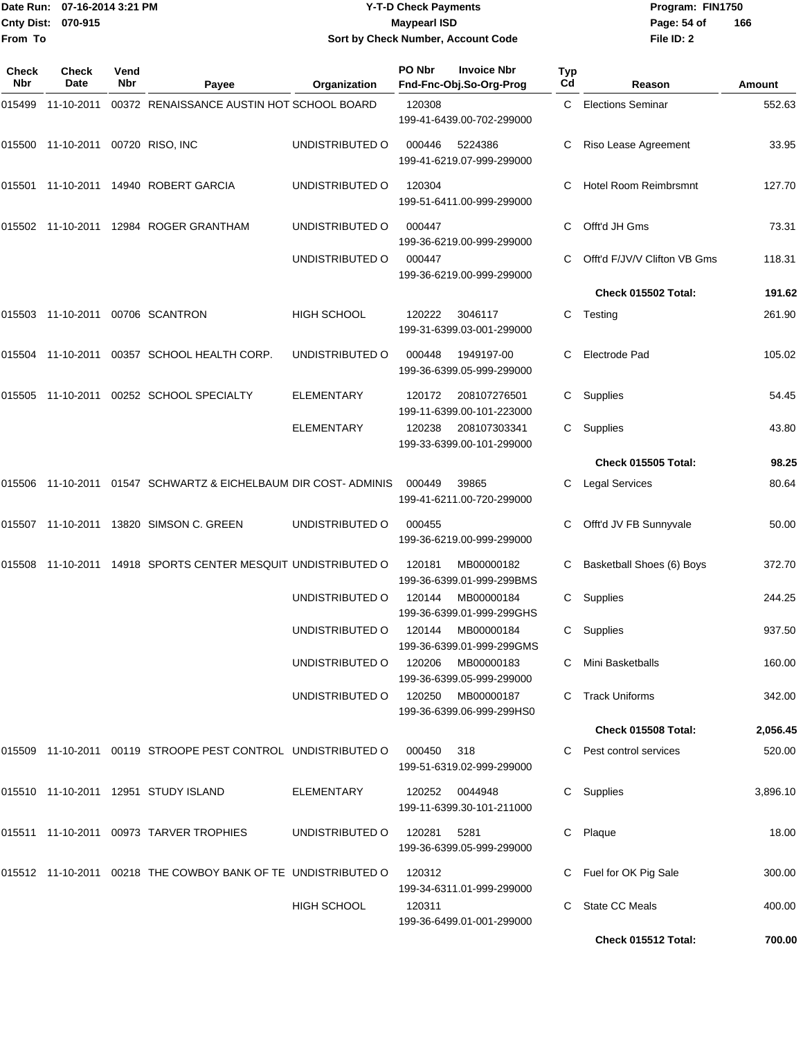|              | Date Run: 07-16-2014 3:21 PM      |             |                                                                 |                 | <b>Y-T-D Check Payments</b>                                    |                       | Program: FIN1750             |          |  |
|--------------|-----------------------------------|-------------|-----------------------------------------------------------------|-----------------|----------------------------------------------------------------|-----------------------|------------------------------|----------|--|
|              | Cnty Dist: 070-915                |             |                                                                 |                 | <b>Maypearl ISD</b>                                            |                       | Page: 54 of                  | 166      |  |
| From To      |                                   |             |                                                                 |                 | Sort by Check Number, Account Code                             |                       | File ID: 2                   |          |  |
| Check<br>Nbr | <b>Check</b><br>Date              | Vend<br>Nbr | Payee                                                           | Organization    | PO Nbr<br><b>Invoice Nbr</b><br>Fnd-Fnc-Obj.So-Org-Prog        | Typ<br>C <sub>d</sub> | Reason                       | Amount   |  |
| 015499       | 11-10-2011                        |             | 00372 RENAISSANCE AUSTIN HOT SCHOOL BOARD                       |                 | 120308                                                         | C.                    | <b>Elections Seminar</b>     | 552.63   |  |
|              |                                   |             |                                                                 |                 | 199-41-6439.00-702-299000                                      |                       |                              |          |  |
|              | 015500 11-10-2011 00720 RISO, INC |             |                                                                 | UNDISTRIBUTED O | 5224386<br>000446<br>199-41-6219.07-999-299000                 | C                     | Riso Lease Agreement         | 33.95    |  |
|              |                                   |             | 015501 11-10-2011 14940 ROBERT GARCIA                           | UNDISTRIBUTED O | 120304<br>199-51-6411.00-999-299000                            | C                     | <b>Hotel Room Reimbrsmnt</b> | 127.70   |  |
|              |                                   |             | 015502 11-10-2011 12984 ROGER GRANTHAM                          | UNDISTRIBUTED O | 000447<br>199-36-6219.00-999-299000                            | С                     | Offt'd JH Gms                | 73.31    |  |
|              |                                   |             |                                                                 | UNDISTRIBUTED O | 000447<br>199-36-6219.00-999-299000                            | C                     | Offt'd F/JV/V Clifton VB Gms | 118.31   |  |
|              |                                   |             |                                                                 |                 |                                                                |                       | Check 015502 Total:          | 191.62   |  |
|              |                                   |             | 015503 11-10-2011 00706 SCANTRON                                | HIGH SCHOOL     | 120222<br>3046117<br>199-31-6399.03-001-299000                 | C                     | Testing                      | 261.90   |  |
|              |                                   |             | 015504 11-10-2011 00357 SCHOOL HEALTH CORP.                     | UNDISTRIBUTED O | 000448<br>1949197-00<br>199-36-6399.05-999-299000              | C                     | Electrode Pad                | 105.02   |  |
|              |                                   |             | 015505 11-10-2011 00252 SCHOOL SPECIALTY                        | ELEMENTARY      | 120172<br>208107276501<br>199-11-6399.00-101-223000            | C                     | Supplies                     | 54.45    |  |
|              |                                   |             |                                                                 | ELEMENTARY      | 208107303341<br>120238<br>199-33-6399.00-101-299000            | C                     | Supplies                     | 43.80    |  |
|              |                                   |             |                                                                 |                 |                                                                |                       | Check 015505 Total:          | 98.25    |  |
|              |                                   |             | 015506 11-10-2011 01547 SCHWARTZ & EICHELBAUM DIR COST- ADMINIS |                 | 39865<br>000449<br>199-41-6211.00-720-299000                   | С                     | <b>Legal Services</b>        | 80.64    |  |
|              |                                   |             | 015507 11-10-2011 13820 SIMSON C. GREEN                         | UNDISTRIBUTED O | 000455<br>199-36-6219.00-999-299000                            | С                     | Offt'd JV FB Sunnyvale       | 50.00    |  |
|              |                                   |             | 015508 11-10-2011 14918 SPORTS CENTER MESQUIT UNDISTRIBUTED O   |                 | 120181<br>MB00000182<br>199-36-6399.01-999-299BMS              | C                     | Basketball Shoes (6) Boys    | 372.70   |  |
|              |                                   |             |                                                                 |                 | UNDISTRIBUTED O 120144 MB00000184<br>199-36-6399.01-999-299GHS |                       | C Supplies                   | 244.25   |  |
|              |                                   |             |                                                                 |                 | UNDISTRIBUTED O 120144 MB00000184<br>199-36-6399.01-999-299GMS |                       | C Supplies                   | 937.50   |  |
|              |                                   |             |                                                                 | UNDISTRIBUTED O | 120206<br>MB00000183<br>199-36-6399.05-999-299000              |                       | C Mini Basketballs           | 160.00   |  |
|              |                                   |             |                                                                 | UNDISTRIBUTED O | 120250 MB00000187<br>199-36-6399.06-999-299HS0                 |                       | C Track Uniforms             | 342.00   |  |
|              |                                   |             |                                                                 |                 |                                                                |                       | Check 015508 Total:          | 2,056.45 |  |
|              |                                   |             | 015509 11-10-2011 00119 STROOPE PEST CONTROL UNDISTRIBUTED O    |                 | 000450<br>318<br>199-51-6319.02-999-299000                     |                       | C Pest control services      | 520.00   |  |
|              |                                   |             | 015510 11-10-2011 12951 STUDY ISLAND                            | ELEMENTARY      | 120252<br>0044948<br>199-11-6399.30-101-211000                 |                       | C Supplies                   | 3,896.10 |  |
|              |                                   |             | 015511 11-10-2011 00973 TARVER TROPHIES                         | UNDISTRIBUTED O | 120281 5281<br>199-36-6399.05-999-299000                       |                       | C Plaque                     | 18.00    |  |
|              |                                   |             | 015512 11-10-2011 00218 THE COWBOY BANK OF TE UNDISTRIBUTED O   |                 | 120312<br>199-34-6311.01-999-299000                            |                       | C Fuel for OK Pig Sale       | 300.00   |  |
|              |                                   |             |                                                                 | HIGH SCHOOL     | 120311<br>199-36-6499.01-001-299000                            |                       | C State CC Meals             | 400.00   |  |

**Check 015512 Total: 700.00**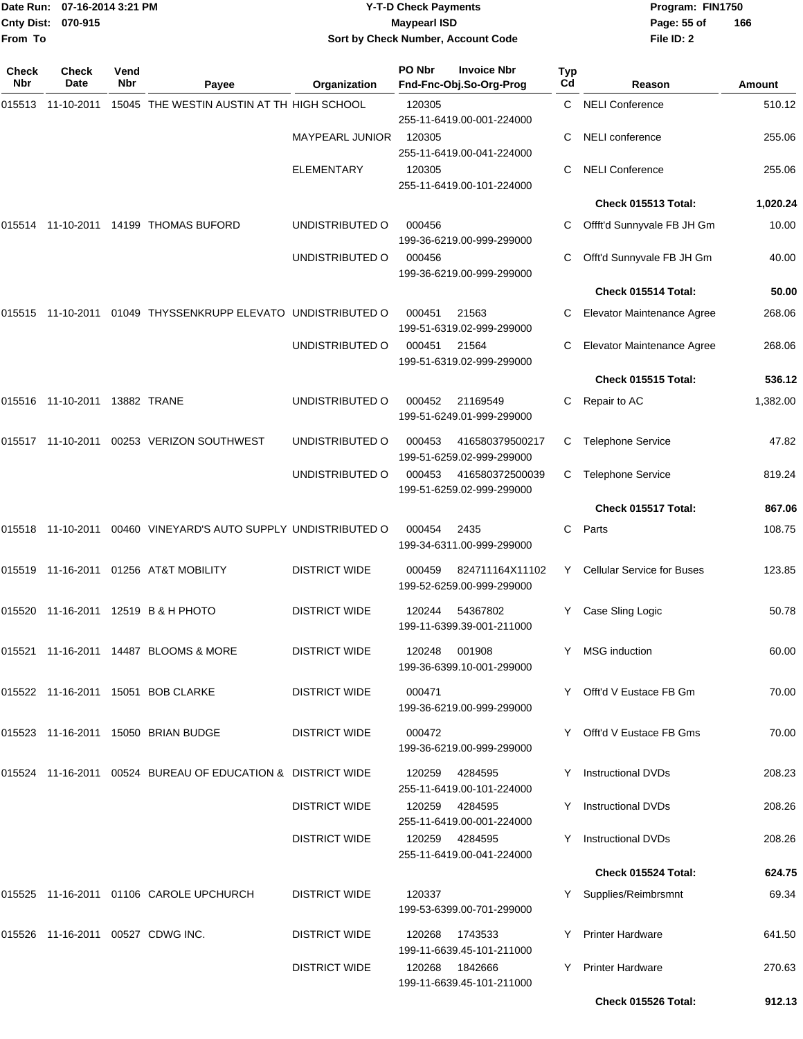|              | Date Run: 07-16-2014 3:21 PM<br>Cnty Dist: 070-915 |                    |                                                                | <b>Y-T-D Check Payments</b><br><b>Maypearl ISD</b> |        |                                               |                  | Program: FIN1750<br>Page: 55 of<br>166 |               |  |
|--------------|----------------------------------------------------|--------------------|----------------------------------------------------------------|----------------------------------------------------|--------|-----------------------------------------------|------------------|----------------------------------------|---------------|--|
| From To      |                                                    |                    |                                                                |                                                    |        | Sort by Check Number, Account Code            |                  | File ID: 2                             |               |  |
| Check<br>Nbr | Check<br>Date                                      | Vend<br><b>Nbr</b> | Payee                                                          | Organization                                       | PO Nbr | <b>Invoice Nbr</b><br>Fnd-Fnc-Obj.So-Org-Prog | <b>Typ</b><br>Cd | Reason                                 | <b>Amount</b> |  |
|              |                                                    |                    | 15045 THE WESTIN AUSTIN AT TH HIGH SCHOOL                      |                                                    | 120305 | 255-11-6419.00-001-224000                     | C.               | <b>NELI Conference</b>                 | 510.12        |  |
|              |                                                    |                    |                                                                | <b>MAYPEARL JUNIOR</b>                             | 120305 | 255-11-6419.00-041-224000                     | С                | <b>NELI</b> conference                 | 255.06        |  |
|              |                                                    |                    |                                                                | <b>ELEMENTARY</b>                                  | 120305 | 255-11-6419.00-101-224000                     | С                | <b>NELI Conference</b>                 | 255.06        |  |
|              |                                                    |                    |                                                                |                                                    |        |                                               |                  | Check 015513 Total:                    | 1,020.24      |  |
|              |                                                    |                    | 015514 11-10-2011 14199 THOMAS BUFORD                          | UNDISTRIBUTED O                                    | 000456 | 199-36-6219.00-999-299000                     | С                | Offft'd Sunnyvale FB JH Gm             | 10.00         |  |
|              |                                                    |                    |                                                                | UNDISTRIBUTED O                                    | 000456 | 199-36-6219.00-999-299000                     | С                | Offt'd Sunnyvale FB JH Gm              | 40.00         |  |
|              |                                                    |                    |                                                                |                                                    |        |                                               |                  | Check 015514 Total:                    | 50.00         |  |
|              |                                                    |                    | 015515 11-10-2011 01049 THYSSENKRUPP ELEVATO UNDISTRIBUTED O   |                                                    | 000451 | 21563<br>199-51-6319.02-999-299000            | С                | Elevator Maintenance Agree             | 268.06        |  |
|              |                                                    |                    |                                                                | UNDISTRIBUTED O                                    | 000451 | 21564<br>199-51-6319.02-999-299000            | С                | Elevator Maintenance Agree             | 268.06        |  |
|              |                                                    |                    |                                                                |                                                    |        |                                               |                  | Check 015515 Total:                    | 536.12        |  |
|              | 015516  11-10-2011  13882  TRANE                   |                    |                                                                | UNDISTRIBUTED O                                    | 000452 | 21169549<br>199-51-6249.01-999-299000         | С                | Repair to AC                           | 1,382.00      |  |
|              |                                                    |                    | 015517 11-10-2011 00253 VERIZON SOUTHWEST                      | UNDISTRIBUTED O                                    | 000453 | 416580379500217<br>199-51-6259.02-999-299000  | C.               | <b>Telephone Service</b>               | 47.82         |  |
|              |                                                    |                    |                                                                | UNDISTRIBUTED O                                    | 000453 | 416580372500039<br>199-51-6259.02-999-299000  | C.               | <b>Telephone Service</b>               | 819.24        |  |
|              |                                                    |                    |                                                                |                                                    |        |                                               |                  | Check 015517 Total:                    | 867.06        |  |
|              |                                                    |                    | 015518 11-10-2011 00460 VINEYARD'S AUTO SUPPLY UNDISTRIBUTED O |                                                    | 000454 | 2435<br>199-34-6311.00-999-299000             | C                | Parts                                  | 108.75        |  |
|              |                                                    |                    | 015519  11-16-2011  01256  AT&T MOBILITY                       | <b>DISTRICT WIDE</b>                               | 000459 | 824711164X11102<br>199-52-6259.00-999-299000  | Y.               | <b>Cellular Service for Buses</b>      | 123.85        |  |
|              |                                                    |                    | 015520 11-16-2011 12519 B & H PHOTO                            | <b>DISTRICT WIDE</b>                               | 120244 | 54367802<br>199-11-6399.39-001-211000         |                  | Case Sling Logic                       | 50.78         |  |
|              |                                                    |                    | 015521 11-16-2011 14487 BLOOMS & MORE                          | <b>DISTRICT WIDE</b>                               | 120248 | 001908<br>199-36-6399.10-001-299000           | Y.               | <b>MSG</b> induction                   | 60.00         |  |
|              |                                                    |                    | 015522 11-16-2011 15051 BOB CLARKE                             | <b>DISTRICT WIDE</b>                               | 000471 | 199-36-6219.00-999-299000                     |                  | Y Offt'd V Eustace FB Gm               | 70.00         |  |
|              |                                                    |                    | 015523 11-16-2011 15050 BRIAN BUDGE                            | <b>DISTRICT WIDE</b>                               | 000472 | 199-36-6219.00-999-299000                     |                  | Y Offt'd V Eustace FB Gms              | 70.00         |  |
|              |                                                    |                    | 015524  11-16-2011  00524  BUREAU OF EDUCATION & DISTRICT WIDE |                                                    | 120259 | 4284595<br>255-11-6419.00-101-224000          |                  | <b>Instructional DVDs</b>              | 208.23        |  |
|              |                                                    |                    |                                                                | <b>DISTRICT WIDE</b>                               | 120259 | 4284595<br>255-11-6419.00-001-224000          |                  | <b>Instructional DVDs</b>              | 208.26        |  |
|              |                                                    |                    |                                                                | <b>DISTRICT WIDE</b>                               | 120259 | 4284595<br>255-11-6419.00-041-224000          |                  | <b>Instructional DVDs</b>              | 208.26        |  |
|              |                                                    |                    |                                                                |                                                    |        |                                               |                  | <b>Check 015524 Total:</b>             | 624.75        |  |
|              |                                                    |                    | 015525 11-16-2011 01106 CAROLE UPCHURCH                        | <b>DISTRICT WIDE</b>                               | 120337 | 199-53-6399.00-701-299000                     |                  | Supplies/Reimbrsmnt                    | 69.34         |  |
|              |                                                    |                    | 015526 11-16-2011 00527 CDWG INC.                              | <b>DISTRICT WIDE</b>                               | 120268 | 1743533<br>199-11-6639.45-101-211000          |                  | <b>Printer Hardware</b>                | 641.50        |  |
|              |                                                    |                    |                                                                | <b>DISTRICT WIDE</b>                               | 120268 | 1842666<br>199-11-6639.45-101-211000          | Y                | <b>Printer Hardware</b>                | 270.63        |  |
|              |                                                    |                    |                                                                |                                                    |        |                                               |                  | Check 015526 Total:                    | 912.13        |  |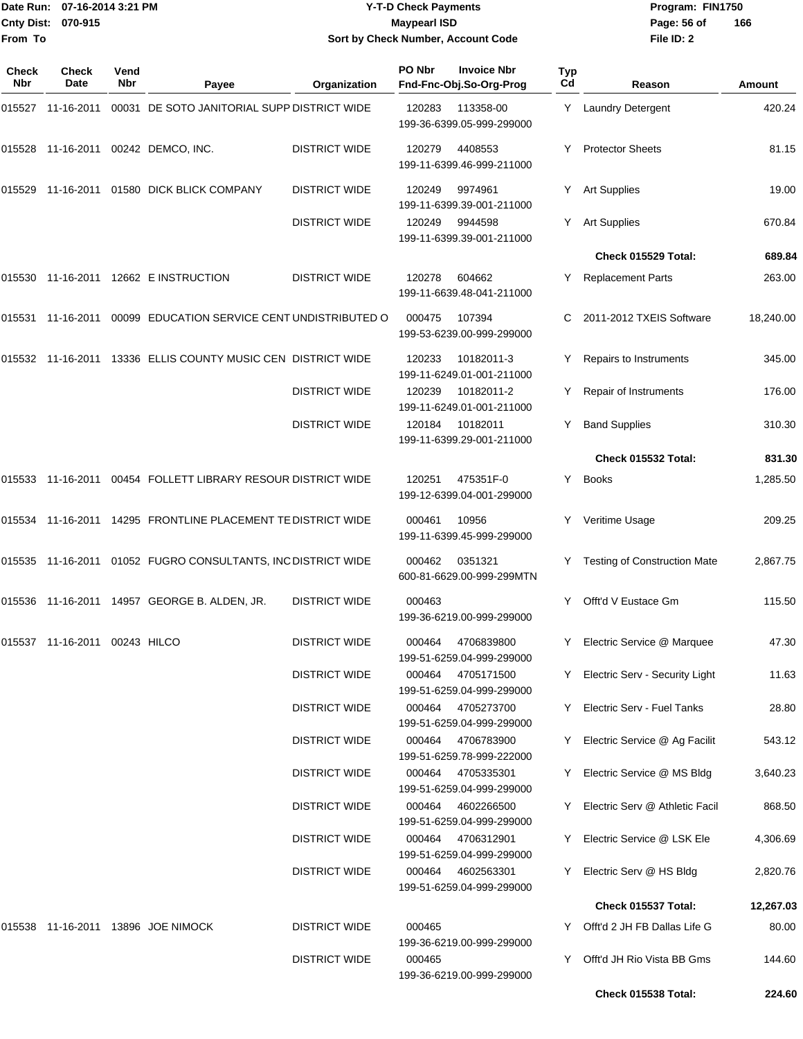## Date Run: 07-16-2014 3:21 PM **Program:** FIN1750 **Cnty Dist:** 070-915 **Page: 56 of MaypearI ISD Page: 56 of Y-T-D Check Payments 070-915 Maypearl ISD Sort by Check Number, Account Code**

| Check<br><b>Nbr</b> | Check<br>Date                    | Vend<br>Nbr | Payee                                                        | Organization         | PO Nbr | <b>Invoice Nbr</b><br>Fnd-Fnc-Obj.So-Org-Prog  | Typ<br>Cd | Reason                                            | Amount           |
|---------------------|----------------------------------|-------------|--------------------------------------------------------------|----------------------|--------|------------------------------------------------|-----------|---------------------------------------------------|------------------|
| 015527              | 11-16-2011                       |             | 00031 DE SOTO JANITORIAL SUPP DISTRICT WIDE                  |                      | 120283 | 113358-00<br>199-36-6399.05-999-299000         | Y         | Laundry Detergent                                 | 420.24           |
| 015528              |                                  |             | 11-16-2011  00242  DEMCO, INC.                               | <b>DISTRICT WIDE</b> | 120279 | 4408553<br>199-11-6399.46-999-211000           | Y         | <b>Protector Sheets</b>                           | 81.15            |
| 015529              |                                  |             | 11-16-2011 01580 DICK BLICK COMPANY                          | <b>DISTRICT WIDE</b> | 120249 | 9974961<br>199-11-6399.39-001-211000           | Y.        | <b>Art Supplies</b>                               | 19.00            |
|                     |                                  |             |                                                              | <b>DISTRICT WIDE</b> | 120249 | 9944598<br>199-11-6399.39-001-211000           | Y.        | <b>Art Supplies</b>                               | 670.84           |
|                     |                                  |             |                                                              |                      |        |                                                |           | Check 015529 Total:                               | 689.84           |
| 015530              |                                  |             | 11-16-2011  12662  E INSTRUCTION                             | <b>DISTRICT WIDE</b> | 120278 | 604662<br>199-11-6639.48-041-211000            | Y         | <b>Replacement Parts</b>                          | 263.00           |
| 015531              | 11-16-2011                       |             | 00099 EDUCATION SERVICE CENT UNDISTRIBUTED O                 |                      | 000475 | 107394<br>199-53-6239.00-999-299000            | С         | 2011-2012 TXEIS Software                          | 18,240.00        |
| 015532              | 11-16-2011                       |             | 13336 ELLIS COUNTY MUSIC CEN DISTRICT WIDE                   |                      | 120233 | 10182011-3<br>199-11-6249.01-001-211000        |           | Repairs to Instruments                            | 345.00           |
|                     |                                  |             |                                                              | <b>DISTRICT WIDE</b> | 120239 | 10182011-2<br>199-11-6249.01-001-211000        | Y         | Repair of Instruments                             | 176.00           |
|                     |                                  |             |                                                              | <b>DISTRICT WIDE</b> | 120184 | 10182011<br>199-11-6399.29-001-211000          | Y         | <b>Band Supplies</b>                              | 310.30           |
|                     |                                  |             |                                                              |                      |        |                                                |           | Check 015532 Total:                               | 831.30           |
| 015533              |                                  |             | 11-16-2011  00454  FOLLETT LIBRARY RESOUR DISTRICT WIDE      |                      | 120251 | 475351F-0<br>199-12-6399.04-001-299000         | Y         | <b>Books</b>                                      | 1,285.50         |
|                     |                                  |             | 015534 11-16-2011 14295 FRONTLINE PLACEMENT TE DISTRICT WIDE |                      | 000461 | 10956<br>199-11-6399.45-999-299000             | Y         | Veritime Usage                                    | 209.25           |
| 015535              |                                  |             | 11-16-2011 01052 FUGRO CONSULTANTS, INC DISTRICT WIDE        |                      | 000462 | 0351321<br>600-81-6629.00-999-299MTN           |           | <b>Testing of Construction Mate</b>               | 2,867.75         |
|                     |                                  |             | 015536 11-16-2011 14957 GEORGE B. ALDEN, JR.                 | <b>DISTRICT WIDE</b> | 000463 | 199-36-6219.00-999-299000                      | Y         | Offt'd V Eustace Gm                               | 115.50           |
|                     | 015537  11-16-2011  00243  HILCO |             |                                                              | <b>DISTRICT WIDE</b> | 000464 | 4706839800<br>199-51-6259.04-999-299000        | Y.        | Electric Service @ Marquee                        | 47.30            |
|                     |                                  |             |                                                              | <b>DISTRICT WIDE</b> | 000464 | 4705171500<br>199-51-6259.04-999-299000        | Y         | Electric Serv - Security Light                    | 11.63            |
|                     |                                  |             |                                                              | <b>DISTRICT WIDE</b> | 000464 | 4705273700<br>199-51-6259.04-999-299000        | Y.        | Electric Serv - Fuel Tanks                        | 28.80            |
|                     |                                  |             |                                                              | <b>DISTRICT WIDE</b> |        | 000464 4706783900<br>199-51-6259.78-999-222000 | Y         | Electric Service @ Ag Facilit                     | 543.12           |
|                     |                                  |             |                                                              | <b>DISTRICT WIDE</b> | 000464 | 4705335301<br>199-51-6259.04-999-299000        | Y.        | Electric Service @ MS Bldg                        | 3,640.23         |
|                     |                                  |             |                                                              | <b>DISTRICT WIDE</b> | 000464 | 4602266500<br>199-51-6259.04-999-299000        | Y.        | Electric Serv @ Athletic Facil                    | 868.50           |
|                     |                                  |             |                                                              | <b>DISTRICT WIDE</b> | 000464 | 4706312901<br>199-51-6259.04-999-299000        | Y         | Electric Service @ LSK Ele                        | 4,306.69         |
|                     |                                  |             |                                                              | <b>DISTRICT WIDE</b> | 000464 | 4602563301<br>199-51-6259.04-999-299000        | Y.        | Electric Serv @ HS Bldg                           | 2,820.76         |
|                     |                                  |             |                                                              |                      |        |                                                |           | Check 015537 Total:                               | 12,267.03        |
| 015538              |                                  |             | 11-16-2011 13896 JOE NIMOCK                                  | <b>DISTRICT WIDE</b> | 000465 | 199-36-6219.00-999-299000                      |           | Y Offt'd 2 JH FB Dallas Life G                    | 80.00            |
|                     |                                  |             |                                                              | <b>DISTRICT WIDE</b> | 000465 | 199-36-6219.00-999-299000                      | Y.        | Offt'd JH Rio Vista BB Gms<br>Check 015538 Total: | 144.60<br>224.60 |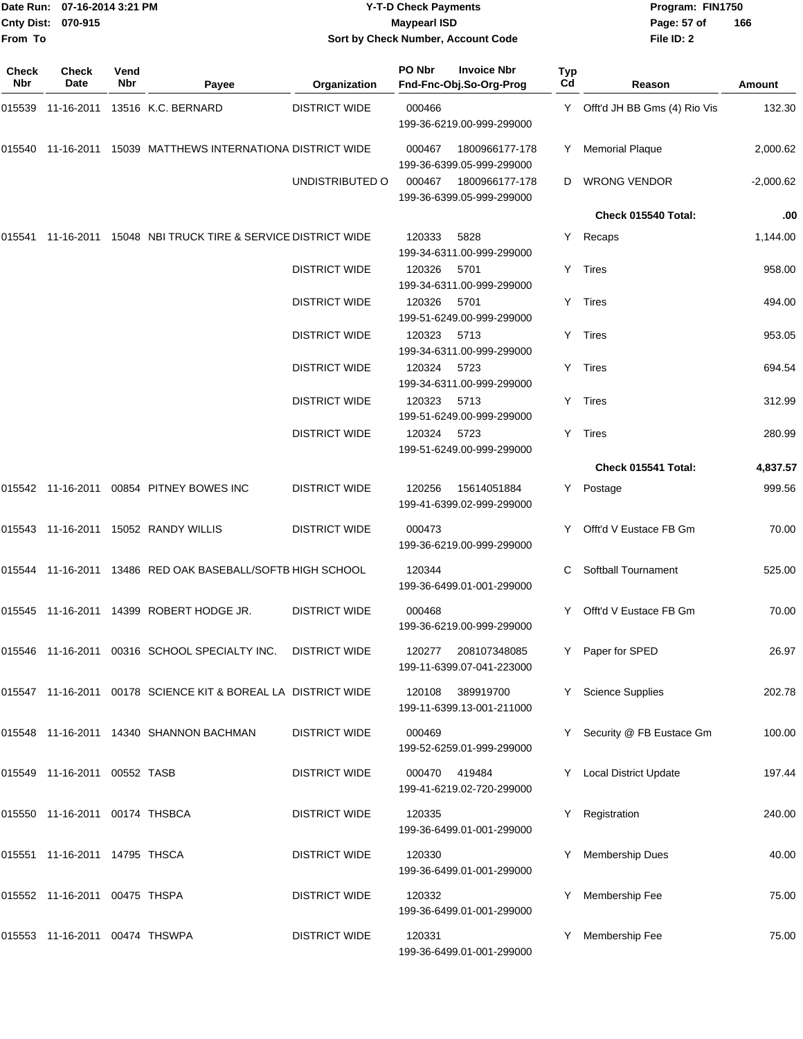| From To      | Date Run: 07-16-2014 3:21 PM<br>Cnty Dist: 070-915 |      |                                                                |                      | <b>Y-T-D Check Payments</b><br><b>Maypearl ISD</b> | Sort by Check Number, Account Code                     |     | Program: FIN1750<br>Page: 57 of<br>File ID: 2 | 166           |
|--------------|----------------------------------------------------|------|----------------------------------------------------------------|----------------------|----------------------------------------------------|--------------------------------------------------------|-----|-----------------------------------------------|---------------|
| <b>Check</b> | Check                                              | Vend |                                                                |                      | PO Nbr                                             | <b>Invoice Nbr</b>                                     | Typ |                                               |               |
| Nbr          | Date                                               | Nbr  | Payee                                                          | Organization         |                                                    | Fnd-Fnc-Obj.So-Org-Prog                                | Cd  | Reason                                        | <b>Amount</b> |
| 015539       | 11-16-2011                                         |      | 13516 K.C. BERNARD                                             | <b>DISTRICT WIDE</b> | 000466                                             | 199-36-6219.00-999-299000                              | Y.  | Offt'd JH BB Gms (4) Rio Vis                  | 132.30        |
| 015540       |                                                    |      | 11-16-2011 15039 MATTHEWS INTERNATIONA DISTRICT WIDE           |                      | 000467                                             | 1800966177-178<br>199-36-6399.05-999-299000            | Y.  | <b>Memorial Plaque</b>                        | 2,000.62      |
|              |                                                    |      |                                                                | UNDISTRIBUTED O      | 000467                                             | 1800966177-178<br>199-36-6399.05-999-299000            | D   | <b>WRONG VENDOR</b>                           | $-2,000.62$   |
|              |                                                    |      |                                                                |                      |                                                    |                                                        |     | Check 015540 Total:                           | .00           |
|              |                                                    |      | 015541 11-16-2011 15048 NBI TRUCK TIRE & SERVICE DISTRICT WIDE |                      | 120333                                             | 5828<br>199-34-6311.00-999-299000                      | Y.  | Recaps                                        | 1,144.00      |
|              |                                                    |      |                                                                | <b>DISTRICT WIDE</b> | 120326                                             | 5701<br>199-34-6311.00-999-299000                      | Y.  | Tires                                         | 958.00        |
|              |                                                    |      |                                                                | <b>DISTRICT WIDE</b> | 120326                                             | 5701<br>199-51-6249.00-999-299000                      | Y.  | Tires                                         | 494.00        |
|              |                                                    |      |                                                                | <b>DISTRICT WIDE</b> | 120323                                             | 5713<br>199-34-6311.00-999-299000                      | Y   | Tires                                         | 953.05        |
|              |                                                    |      |                                                                | <b>DISTRICT WIDE</b> | 120324                                             | 5723<br>199-34-6311.00-999-299000                      | Y.  | Tires                                         | 694.54        |
|              |                                                    |      |                                                                | <b>DISTRICT WIDE</b> | 120323                                             | 5713<br>199-51-6249.00-999-299000                      | Y.  | Tires                                         | 312.99        |
|              |                                                    |      |                                                                | <b>DISTRICT WIDE</b> | 120324                                             | 5723<br>199-51-6249.00-999-299000                      | Y.  | Tires                                         | 280.99        |
|              |                                                    |      |                                                                |                      |                                                    |                                                        |     | Check 015541 Total:                           | 4,837.57      |
|              |                                                    |      | 015542 11-16-2011 00854 PITNEY BOWES INC                       | <b>DISTRICT WIDE</b> | 120256                                             | 15614051884<br>199-41-6399.02-999-299000               | Y.  | Postage                                       | 999.56        |
|              |                                                    |      | 015543 11-16-2011 15052 RANDY WILLIS                           | <b>DISTRICT WIDE</b> | 000473                                             | 199-36-6219.00-999-299000                              |     | Offt'd V Eustace FB Gm                        | 70.00         |
|              |                                                    |      | 015544 11-16-2011 13486 RED OAK BASEBALL/SOFTB HIGH SCHOOL     |                      | 120344                                             | 199-36-6499.01-001-299000                              | С   | Softball Tournament                           | 525.00        |
|              |                                                    |      | 015545 11-16-2011 14399 ROBERT HODGE JR.                       | <b>DISTRICT WIDE</b> | 000468                                             | 199-36-6219.00-999-299000                              |     | Y Offt'd V Eustace FB Gm                      | 70.00         |
|              |                                                    |      | 015546 11-16-2011 00316 SCHOOL SPECIALTY INC. DISTRICT WIDE    |                      | 120277                                             | 208107348085<br>199-11-6399.07-041-223000              |     | Y Paper for SPED                              | 26.97         |
|              |                                                    |      | 015547 11-16-2011 00178 SCIENCE KIT & BOREAL LA DISTRICT WIDE  |                      | 120108                                             | 389919700<br>199-11-6399.13-001-211000                 |     | Y Science Supplies                            | 202.78        |
|              |                                                    |      | 015548 11-16-2011 14340 SHANNON BACHMAN                        | <b>DISTRICT WIDE</b> | 000469                                             | 199-52-6259.01-999-299000                              |     | Y Security @ FB Eustace Gm                    | 100.00        |
|              | 015549  11-16-2011  00552  TASB                    |      |                                                                | <b>DISTRICT WIDE</b> | 000470                                             | 419484<br>199-41-6219.02-720-299000                    |     | Y Local District Update                       | 197.44        |
|              | 015550 11-16-2011 00174 THSBCA                     |      |                                                                | <b>DISTRICT WIDE</b> | 120335                                             | 199-36-6499.01-001-299000                              | Y   | Registration                                  | 240.00        |
|              | 015551 11-16-2011 14795 THSCA                      |      |                                                                | <b>DISTRICT WIDE</b> | 120330                                             | 199-36-6499.01-001-299000                              |     | Membership Dues                               | 40.00         |
|              | 015552 11-16-2011 00475 THSPA                      |      |                                                                | <b>DISTRICT WIDE</b> | 120332                                             |                                                        |     | Y Membership Fee                              | 75.00         |
|              | 015553 11-16-2011 00474 THSWPA                     |      |                                                                | <b>DISTRICT WIDE</b> | 120331                                             | 199-36-6499.01-001-299000<br>199-36-6499.01-001-299000 |     | Y Membership Fee                              | 75.00         |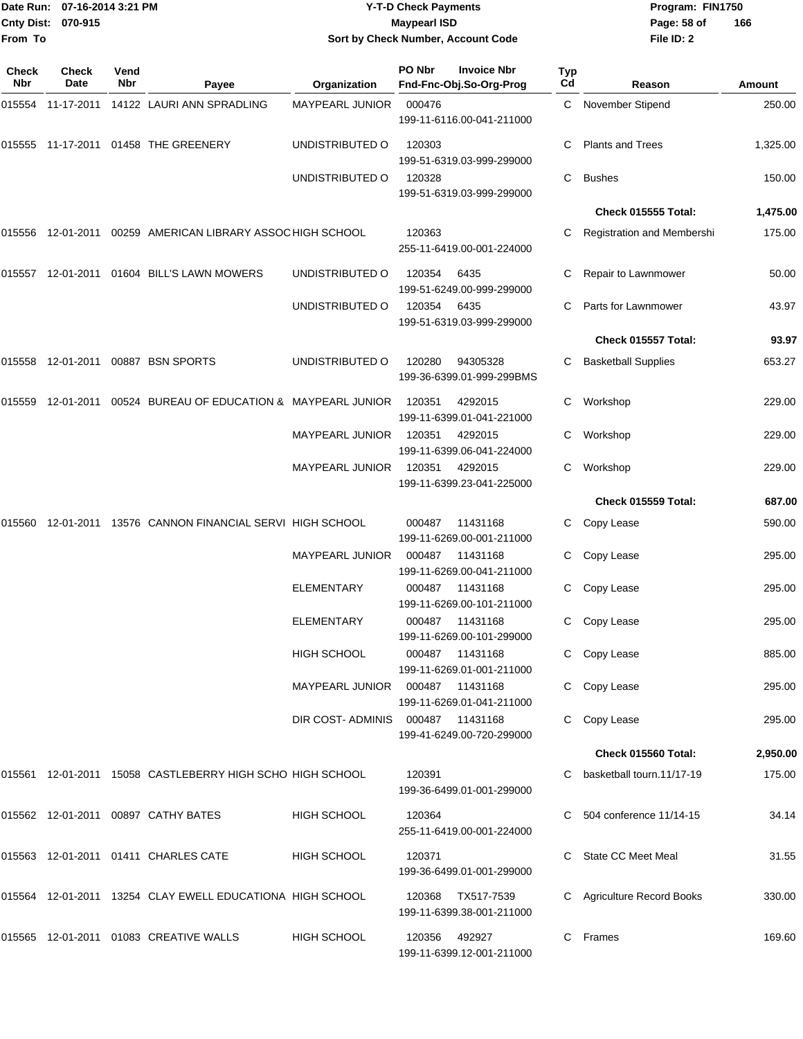| From To             | Date Run: 07-16-2014 3:21 PM<br>Cnty Dist: 070-915 |             |                                                              |                                              | <b>Y-T-D Check Payments</b><br><b>Maypearl ISD</b> | Sort by Check Number, Account Code                       |                       | Program: FIN1750<br>Page: 58 of<br>File ID: 2 | 166              |
|---------------------|----------------------------------------------------|-------------|--------------------------------------------------------------|----------------------------------------------|----------------------------------------------------|----------------------------------------------------------|-----------------------|-----------------------------------------------|------------------|
| <b>Check</b><br>Nbr | Check<br>Date                                      | Vend<br>Nbr | Payee                                                        | Organization                                 | PO Nbr                                             | <b>Invoice Nbr</b><br>Fnd-Fnc-Obj.So-Org-Prog            | Typ<br>C <sub>d</sub> | Reason                                        | Amount           |
|                     |                                                    |             | 015554    11-17-2011    14122    LAURI ANN SPRADLING         | <b>MAYPEARL JUNIOR</b>                       | 000476                                             | 199-11-6116.00-041-211000                                | C.                    | <b>November Stipend</b>                       | 250.00           |
|                     |                                                    |             | 015555 11-17-2011 01458 THE GREENERY                         | UNDISTRIBUTED O                              | 120303                                             | 199-51-6319.03-999-299000                                |                       | <b>Plants and Trees</b>                       | 1,325.00         |
|                     |                                                    |             |                                                              | UNDISTRIBUTED O                              | 120328                                             | 199-51-6319.03-999-299000                                | C                     | <b>Bushes</b>                                 | 150.00           |
|                     |                                                    |             |                                                              |                                              |                                                    |                                                          |                       | Check 015555 Total:                           | 1,475.00         |
|                     |                                                    |             | 015556 12-01-2011 00259 AMERICAN LIBRARY ASSOC HIGH SCHOOL   |                                              | 120363                                             | 255-11-6419.00-001-224000                                |                       | Registration and Membershi                    | 175.00           |
|                     |                                                    |             | 01604 BILL'S LAWN MOWERS                                     | UNDISTRIBUTED O                              | 120354                                             | 6435<br>199-51-6249.00-999-299000                        |                       | Repair to Lawnmower                           | 50.00            |
|                     |                                                    |             |                                                              | UNDISTRIBUTED O                              | 120354                                             | 6435<br>199-51-6319.03-999-299000                        |                       | Parts for Lawnmower                           | 43.97            |
|                     |                                                    |             |                                                              |                                              |                                                    |                                                          |                       | Check 015557 Total:                           | 93.97            |
|                     |                                                    |             | 015558 12-01-2011 00887 BSN SPORTS                           | UNDISTRIBUTED O                              | 120280                                             | 94305328<br>199-36-6399.01-999-299BMS                    | С                     | <b>Basketball Supplies</b>                    | 653.27           |
| 015559              | 12-01-2011                                         |             | 00524 BUREAU OF EDUCATION & MAYPEARL JUNIOR                  |                                              | 120351                                             | 4292015<br>199-11-6399.01-041-221000                     | С                     | Workshop                                      | 229.00           |
|                     |                                                    |             |                                                              | <b>MAYPEARL JUNIOR</b>                       | 120351                                             | 4292015<br>199-11-6399.06-041-224000                     | C                     | Workshop                                      | 229.00           |
|                     |                                                    |             |                                                              | <b>MAYPEARL JUNIOR</b>                       | 120351                                             | 4292015<br>199-11-6399.23-041-225000                     | С                     | Workshop                                      | 229.00           |
|                     |                                                    |             |                                                              |                                              |                                                    |                                                          |                       | Check 015559 Total:                           | 687.00           |
| 015560              |                                                    |             | 12-01-2011 13576 CANNON FINANCIAL SERVI HIGH SCHOOL          |                                              | 000487                                             | 11431168<br>199-11-6269.00-001-211000                    | С                     | Copy Lease                                    | 590.00           |
|                     |                                                    |             |                                                              | <b>MAYPEARL JUNIOR</b><br><b>FI FMFNTARY</b> | 000487                                             | 11431168<br>199-11-6269.00-041-211000<br>000487 11431168 |                       | Copy Lease                                    | 295.00<br>295.00 |
|                     |                                                    |             |                                                              | ELEMENTARY                                   |                                                    | 199-11-6269.00-101-211000<br>000487 11431168             |                       | C Copy Lease<br>C Copy Lease                  | 295.00           |
|                     |                                                    |             |                                                              |                                              |                                                    | 199-11-6269.00-101-299000                                |                       |                                               |                  |
|                     |                                                    |             |                                                              | HIGH SCHOOL                                  |                                                    | 000487 11431168<br>199-11-6269.01-001-211000             |                       | C Copy Lease                                  | 885.00           |
|                     |                                                    |             |                                                              | MAYPEARL JUNIOR  000487  11431168            |                                                    | 199-11-6269.01-041-211000                                |                       | C Copy Lease                                  | 295.00           |
|                     |                                                    |             |                                                              | DIR COST-ADMINIS 000487 11431168             |                                                    | 199-41-6249.00-720-299000                                |                       | C Copy Lease                                  | 295.00           |
|                     |                                                    |             |                                                              |                                              |                                                    |                                                          |                       | Check 015560 Total:                           | 2,950.00         |
|                     |                                                    |             | 015561  12-01-2011  15058  CASTLEBERRY HIGH SCHO HIGH SCHOOL |                                              | 120391                                             | 199-36-6499.01-001-299000                                |                       | C basketball tourn.11/17-19                   | 175.00           |
|                     |                                                    |             | 015562 12-01-2011 00897 CATHY BATES                          | HIGH SCHOOL                                  | 120364                                             | 255-11-6419.00-001-224000                                |                       | C 504 conference 11/14-15                     | 34.14            |
|                     |                                                    |             | 015563 12-01-2011 01411 CHARLES CATE                         | HIGH SCHOOL                                  | 120371                                             | 199-36-6499.01-001-299000                                |                       | C State CC Meet Meal                          | 31.55            |
|                     |                                                    |             | 015564 12-01-2011 13254 CLAY EWELL EDUCATIONA HIGH SCHOOL    |                                              |                                                    | 120368 TX517-7539<br>199-11-6399.38-001-211000           |                       | C Agriculture Record Books                    | 330.00           |
|                     |                                                    |             | 015565  12-01-2011  01083  CREATIVE WALLS                    | HIGH SCHOOL                                  |                                                    | 120356 492927<br>199-11-6399.12-001-211000               |                       | C Frames                                      | 169.60           |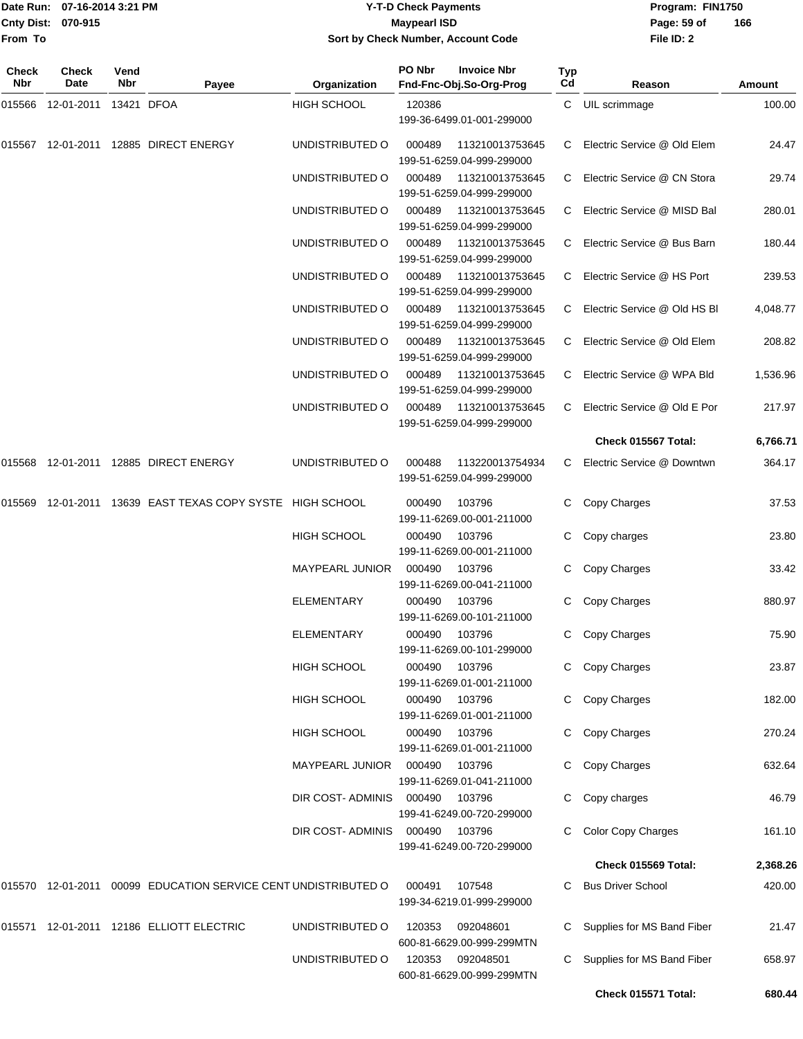|                           | Date Run: 07-16-2014 3:21 PM | Y-T-D Check Payments               | Program: I  |
|---------------------------|------------------------------|------------------------------------|-------------|
| <b>Cnty Dist: 070-915</b> |                              | <b>Maypearl ISD</b>                | Page: 59 of |
| From To                   |                              | Sort by Check Number, Account Code | File ID: 2  |

**Date Run: Program: FIN1750 File ID: 2 166**

| Check<br>Nbr | Check<br>Date | Vend<br>Nbr | Payee                                                          | Organization            | PO Nbr | <b>Invoice Nbr</b><br>Fnd-Fnc-Obj.So-Org-Prog | Typ<br>Cd | Reason                       | Amount   |
|--------------|---------------|-------------|----------------------------------------------------------------|-------------------------|--------|-----------------------------------------------|-----------|------------------------------|----------|
| 015566       | 12-01-2011    |             | 13421 DFOA                                                     | <b>HIGH SCHOOL</b>      | 120386 | 199-36-6499.01-001-299000                     | C         | UIL scrimmage                | 100.00   |
| 015567       | 12-01-2011    |             | 12885 DIRECT ENERGY                                            | UNDISTRIBUTED O         | 000489 | 113210013753645<br>199-51-6259.04-999-299000  | C         | Electric Service @ Old Elem  | 24.47    |
|              |               |             |                                                                | UNDISTRIBUTED O         | 000489 | 113210013753645<br>199-51-6259.04-999-299000  | C         | Electric Service @ CN Stora  | 29.74    |
|              |               |             |                                                                | UNDISTRIBUTED O         | 000489 | 113210013753645<br>199-51-6259.04-999-299000  | C         | Electric Service @ MISD Bal  | 280.01   |
|              |               |             |                                                                | UNDISTRIBUTED O         | 000489 | 113210013753645<br>199-51-6259.04-999-299000  | C         | Electric Service @ Bus Barn  | 180.44   |
|              |               |             |                                                                | UNDISTRIBUTED O         | 000489 | 113210013753645<br>199-51-6259.04-999-299000  | C         | Electric Service @ HS Port   | 239.53   |
|              |               |             |                                                                | UNDISTRIBUTED O         | 000489 | 113210013753645<br>199-51-6259.04-999-299000  | C         | Electric Service @ Old HS BI | 4,048.77 |
|              |               |             |                                                                | UNDISTRIBUTED O         | 000489 | 113210013753645<br>199-51-6259.04-999-299000  | C         | Electric Service @ Old Elem  | 208.82   |
|              |               |             |                                                                | UNDISTRIBUTED O         | 000489 | 113210013753645<br>199-51-6259.04-999-299000  | C         | Electric Service @ WPA Bld   | 1,536.96 |
|              |               |             |                                                                | UNDISTRIBUTED O         | 000489 | 113210013753645<br>199-51-6259.04-999-299000  | C.        | Electric Service @ Old E Por | 217.97   |
|              |               |             |                                                                |                         |        |                                               |           | Check 015567 Total:          | 6,766.71 |
| 015568       |               |             | 12-01-2011  12885  DIRECT ENERGY                               | UNDISTRIBUTED O         | 000488 | 113220013754934<br>199-51-6259.04-999-299000  | C.        | Electric Service @ Downtwn   | 364.17   |
| 015569       |               |             | 12-01-2011 13639 EAST TEXAS COPY SYSTE HIGH SCHOOL             |                         | 000490 | 103796<br>199-11-6269.00-001-211000           | C         | Copy Charges                 | 37.53    |
|              |               |             |                                                                | <b>HIGH SCHOOL</b>      | 000490 | 103796<br>199-11-6269.00-001-211000           | C         | Copy charges                 | 23.80    |
|              |               |             |                                                                | MAYPEARL JUNIOR         | 000490 | 103796<br>199-11-6269.00-041-211000           | С         | Copy Charges                 | 33.42    |
|              |               |             |                                                                | <b>ELEMENTARY</b>       | 000490 | 103796<br>199-11-6269.00-101-211000           | С         | Copy Charges                 | 880.97   |
|              |               |             |                                                                | <b>ELEMENTARY</b>       | 000490 | 103796<br>199-11-6269.00-101-299000           | C         | Copy Charges                 | 75.90    |
|              |               |             |                                                                | <b>HIGH SCHOOL</b>      | 000490 | 103796<br>199-11-6269.01-001-211000           |           | C Copy Charges               | 23.87    |
|              |               |             |                                                                | <b>HIGH SCHOOL</b>      | 000490 | 103796<br>199-11-6269.01-001-211000           | C         | Copy Charges                 | 182.00   |
|              |               |             |                                                                | <b>HIGH SCHOOL</b>      | 000490 | 103796<br>199-11-6269.01-001-211000           | C         | Copy Charges                 | 270.24   |
|              |               |             |                                                                | MAYPEARL JUNIOR         | 000490 | 103796<br>199-11-6269.01-041-211000           | C         | Copy Charges                 | 632.64   |
|              |               |             |                                                                | DIR COST-ADMINIS 000490 |        | 103796<br>199-41-6249.00-720-299000           | С         | Copy charges                 | 46.79    |
|              |               |             |                                                                | DIR COST-ADMINIS        | 000490 | 103796<br>199-41-6249.00-720-299000           |           | <b>Color Copy Charges</b>    | 161.10   |
|              |               |             |                                                                |                         |        |                                               |           | Check 015569 Total:          | 2,368.26 |
|              |               |             | 015570 12-01-2011 00099 EDUCATION SERVICE CENT UNDISTRIBUTED O |                         | 000491 | 107548<br>199-34-6219.01-999-299000           | C.        | <b>Bus Driver School</b>     | 420.00   |
|              |               |             | 015571 12-01-2011 12186 ELLIOTT ELECTRIC                       | UNDISTRIBUTED O         | 120353 | 092048601<br>600-81-6629.00-999-299MTN        | C         | Supplies for MS Band Fiber   | 21.47    |
|              |               |             |                                                                | UNDISTRIBUTED O         | 120353 | 092048501<br>600-81-6629.00-999-299MTN        | С         | Supplies for MS Band Fiber   | 658.97   |
|              |               |             |                                                                |                         |        |                                               |           | Check 015571 Total:          | 680.44   |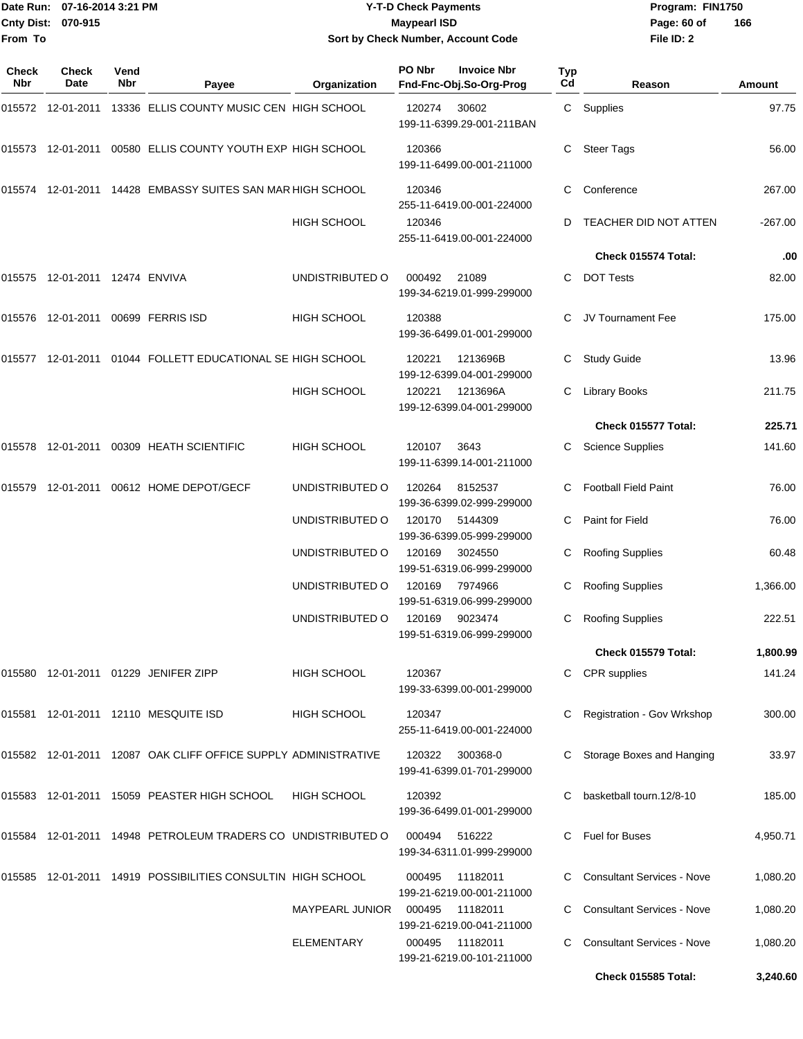## Date Run: 07-16-2014 3:21 PM **Program:** FIN1750 **Cnty Dist:** 070-915 **Page: 60 of MaypearI ISD Page: 60 of Y-T-D Check Payments 070-915 Maypearl ISD Sort by Check Number, Account Code**

| Check<br><b>Nbr</b> | Check<br>Date                  | Vend<br>Nbr | Payee                                                             | Organization           | PO Nbr | <b>Invoice Nbr</b><br>Fnd-Fnc-Obj.So-Org-Prog | Typ<br>Cd | Reason                            | Amount    |
|---------------------|--------------------------------|-------------|-------------------------------------------------------------------|------------------------|--------|-----------------------------------------------|-----------|-----------------------------------|-----------|
|                     |                                |             | 13336 ELLIS COUNTY MUSIC CEN HIGH SCHOOL                          |                        | 120274 | 30602<br>199-11-6399.29-001-211BAN            |           | C Supplies                        | 97.75     |
|                     |                                |             | 015573 12-01-2011 00580 ELLIS COUNTY YOUTH EXP HIGH SCHOOL        |                        | 120366 | 199-11-6499.00-001-211000                     | C         | <b>Steer Tags</b>                 | 56.00     |
|                     |                                |             | 015574 12-01-2011 14428 EMBASSY SUITES SAN MAR HIGH SCHOOL        |                        | 120346 | 255-11-6419.00-001-224000                     | C         | Conference                        | 267.00    |
|                     |                                |             |                                                                   | HIGH SCHOOL            | 120346 | 255-11-6419.00-001-224000                     |           | TEACHER DID NOT ATTEN             | $-267.00$ |
|                     |                                |             |                                                                   |                        |        |                                               |           | Check 015574 Total:               | .00       |
|                     | 015575 12-01-2011 12474 ENVIVA |             |                                                                   | UNDISTRIBUTED O        | 000492 | 21089<br>199-34-6219.01-999-299000            | C         | <b>DOT Tests</b>                  | 82.00     |
|                     |                                |             | 015576 12-01-2011 00699 FERRIS ISD                                | <b>HIGH SCHOOL</b>     | 120388 | 199-36-6499.01-001-299000                     |           | JV Tournament Fee                 | 175.00    |
|                     |                                |             | 015577 12-01-2011 01044 FOLLETT EDUCATIONAL SE HIGH SCHOOL        |                        | 120221 | 1213696B<br>199-12-6399.04-001-299000         | C.        | <b>Study Guide</b>                | 13.96     |
|                     |                                |             |                                                                   | HIGH SCHOOL            | 120221 | 1213696A<br>199-12-6399.04-001-299000         | C         | <b>Library Books</b>              | 211.75    |
|                     |                                |             |                                                                   |                        |        |                                               |           | Check 015577 Total:               | 225.71    |
|                     |                                |             | 015578 12-01-2011 00309 HEATH SCIENTIFIC                          | <b>HIGH SCHOOL</b>     | 120107 | 3643<br>199-11-6399.14-001-211000             |           | <b>Science Supplies</b>           | 141.60    |
| 015579              |                                |             | 12-01-2011  00612  HOME DEPOT/GECF                                | UNDISTRIBUTED O        | 120264 | 8152537<br>199-36-6399.02-999-299000          | C         | <b>Football Field Paint</b>       | 76.00     |
|                     |                                |             |                                                                   | UNDISTRIBUTED O        | 120170 | 5144309<br>199-36-6399.05-999-299000          |           | Paint for Field                   | 76.00     |
|                     |                                |             |                                                                   | UNDISTRIBUTED O        | 120169 | 3024550<br>199-51-6319.06-999-299000          |           | <b>Roofing Supplies</b>           | 60.48     |
|                     |                                |             |                                                                   | UNDISTRIBUTED O        | 120169 | 7974966<br>199-51-6319.06-999-299000          | C         | <b>Roofing Supplies</b>           | 1,366.00  |
|                     |                                |             |                                                                   | UNDISTRIBUTED O        | 120169 | 9023474<br>199-51-6319.06-999-299000          |           | <b>Roofing Supplies</b>           | 222.51    |
|                     |                                |             |                                                                   |                        |        |                                               |           | Check 015579 Total:               | 1,800.99  |
|                     |                                |             | 015580 12-01-2011 01229 JENIFER ZIPP                              | <b>HIGH SCHOOL</b>     | 120367 | 199-33-6399.00-001-299000                     |           | <b>CPR</b> supplies               | 141.24    |
|                     |                                |             | 015581 12-01-2011 12110 MESQUITE ISD                              | HIGH SCHOOL            | 120347 | 255-11-6419.00-001-224000                     |           | <b>Registration - Gov Wrkshop</b> | 300.00    |
|                     |                                |             | 015582  12-01-2011  12087  OAK CLIFF OFFICE SUPPLY ADMINISTRATIVE |                        | 120322 | 300368-0<br>199-41-6399.01-701-299000         |           | Storage Boxes and Hanging         | 33.97     |
|                     |                                |             | 015583 12-01-2011 15059 PEASTER HIGH SCHOOL                       | <b>HIGH SCHOOL</b>     | 120392 | 199-36-6499.01-001-299000                     |           | basketball tourn.12/8-10          | 185.00    |
|                     |                                |             | 015584 12-01-2011 14948 PETROLEUM TRADERS CO UNDISTRIBUTED O      |                        | 000494 | 516222<br>199-34-6311.01-999-299000           | C.        | <b>Fuel for Buses</b>             | 4,950.71  |
|                     |                                |             | 015585 12-01-2011 14919 POSSIBILITIES CONSULTIN HIGH SCHOOL       |                        | 000495 | 11182011<br>199-21-6219.00-001-211000         |           | <b>Consultant Services - Nove</b> | 1,080.20  |
|                     |                                |             |                                                                   | <b>MAYPEARL JUNIOR</b> | 000495 | 11182011<br>199-21-6219.00-041-211000         |           | <b>Consultant Services - Nove</b> | 1,080.20  |
|                     |                                |             |                                                                   | <b>ELEMENTARY</b>      | 000495 | 11182011<br>199-21-6219.00-101-211000         |           | <b>Consultant Services - Nove</b> | 1,080.20  |
|                     |                                |             |                                                                   |                        |        |                                               |           | Check 015585 Total:               | 3,240.60  |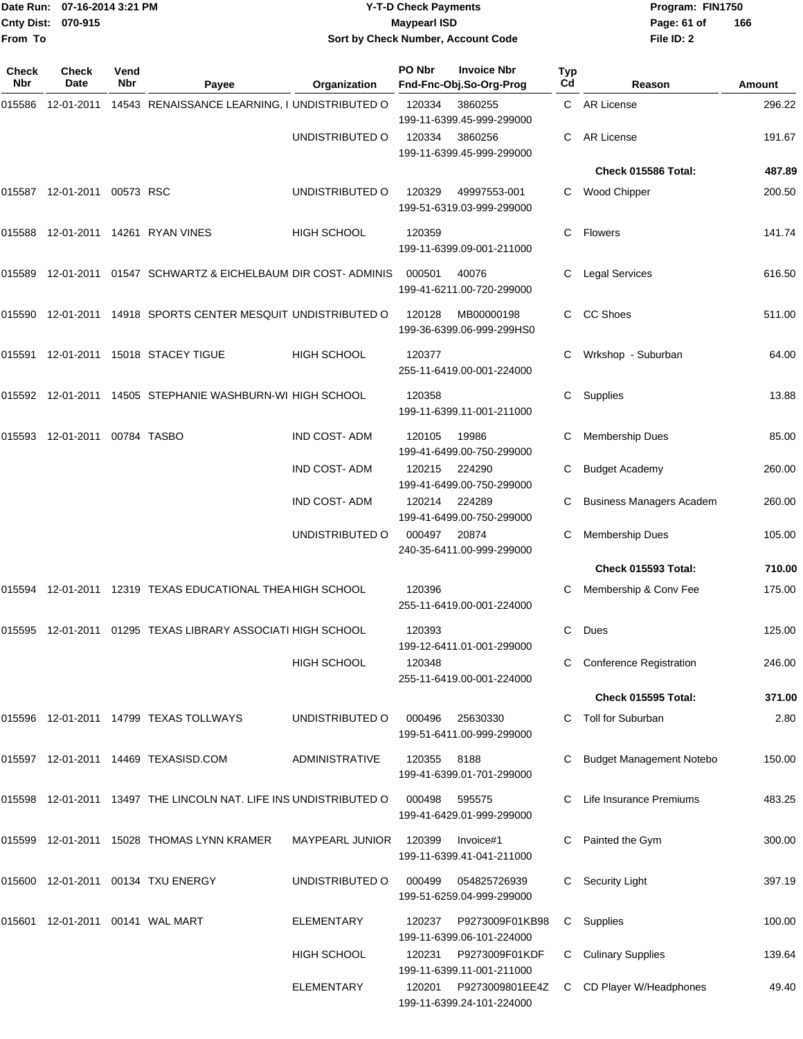| Date Run: 07-16-2014 3:21 PM<br>Cnty Dist: 070-915<br>From To |                                     |             |                                                                   |                     | <b>Y-T-D Check Payments</b><br><b>Maypearl ISD</b><br>Sort by Check Number, Account Code |                                               |                  | Program: FIN1750<br>Page: 61 of<br>166<br>File ID: 2 |        |  |
|---------------------------------------------------------------|-------------------------------------|-------------|-------------------------------------------------------------------|---------------------|------------------------------------------------------------------------------------------|-----------------------------------------------|------------------|------------------------------------------------------|--------|--|
| Check<br>Nbr                                                  | Check<br>Date                       | Vend<br>Nbr | Payee                                                             | Organization        | PO Nbr                                                                                   | <b>Invoice Nbr</b><br>Fnd-Fnc-Obj.So-Org-Prog | <b>Typ</b><br>Cd | Reason                                               | Amount |  |
|                                                               |                                     |             | 015586 12-01-2011 14543 RENAISSANCE LEARNING, I UNDISTRIBUTED O   |                     | 120334                                                                                   | 3860255<br>199-11-6399.45-999-299000          |                  | C AR License                                         | 296.22 |  |
|                                                               |                                     |             |                                                                   | UNDISTRIBUTED O     | 120334                                                                                   | 3860256<br>199-11-6399.45-999-299000          |                  | AR License                                           | 191.67 |  |
|                                                               |                                     |             |                                                                   |                     |                                                                                          |                                               |                  | Check 015586 Total:                                  | 487.89 |  |
|                                                               | 015587  12-01-2011  00573  RSC      |             |                                                                   | UNDISTRIBUTED O     | 120329                                                                                   | 49997553-001<br>199-51-6319.03-999-299000     | C.               | <b>Wood Chipper</b>                                  | 200.50 |  |
|                                                               |                                     |             | 015588 12-01-2011 14261 RYAN VINES                                | HIGH SCHOOL         | 120359                                                                                   | 199-11-6399.09-001-211000                     | C.               | <b>Flowers</b>                                       | 141.74 |  |
|                                                               |                                     |             | 015589 12-01-2011 01547 SCHWARTZ & EICHELBAUM DIR COST- ADMINIS   |                     | 000501                                                                                   | 40076<br>199-41-6211.00-720-299000            |                  | <b>Legal Services</b>                                | 616.50 |  |
|                                                               |                                     |             | 015590 12-01-2011 14918 SPORTS CENTER MESQUIT UNDISTRIBUTED O     |                     | 120128                                                                                   | MB00000198<br>199-36-6399.06-999-299HS0       |                  | <b>CC Shoes</b>                                      | 511.00 |  |
|                                                               |                                     |             | 015591 12-01-2011 15018 STACEY TIGUE                              | HIGH SCHOOL         | 120377                                                                                   | 255-11-6419.00-001-224000                     |                  | Wrkshop - Suburban                                   | 64.00  |  |
|                                                               |                                     |             | 015592 12-01-2011 14505 STEPHANIE WASHBURN-WI HIGH SCHOOL         |                     | 120358                                                                                   | 199-11-6399.11-001-211000                     | C                | Supplies                                             | 13.88  |  |
|                                                               | 015593  12-01-2011  00784  TASBO    |             |                                                                   | IND COST-ADM        | 120105                                                                                   | 19986<br>199-41-6499.00-750-299000            |                  | <b>Membership Dues</b>                               | 85.00  |  |
|                                                               |                                     |             |                                                                   | IND COST-ADM        | 120215                                                                                   | 224290<br>199-41-6499.00-750-299000           | C                | <b>Budget Academy</b>                                | 260.00 |  |
|                                                               |                                     |             |                                                                   | <b>IND COST-ADM</b> | 120214                                                                                   | 224289<br>199-41-6499.00-750-299000           |                  | <b>Business Managers Academ</b>                      | 260.00 |  |
|                                                               |                                     |             |                                                                   | UNDISTRIBUTED O     | 000497                                                                                   | 20874<br>240-35-6411.00-999-299000            | C                | <b>Membership Dues</b>                               | 105.00 |  |
|                                                               |                                     |             |                                                                   |                     |                                                                                          |                                               |                  | Check 015593 Total:                                  | 710.00 |  |
|                                                               |                                     |             |                                                                   |                     | 120396                                                                                   | 255-11-6419.00-001-224000                     |                  | C Membership & Conv Fee                              | 175.00 |  |
|                                                               |                                     |             | 015595 12-01-2011 01295 TEXAS LIBRARY ASSOCIATI HIGH SCHOOL       |                     | 120393                                                                                   | 199-12-6411.01-001-299000                     | C                | Dues                                                 | 125.00 |  |
|                                                               |                                     |             |                                                                   | <b>HIGH SCHOOL</b>  | 120348                                                                                   | 255-11-6419.00-001-224000                     |                  | <b>Conference Registration</b>                       | 246.00 |  |
|                                                               |                                     |             |                                                                   |                     |                                                                                          |                                               |                  | Check 015595 Total:                                  | 371.00 |  |
|                                                               |                                     |             | 015596 12-01-2011 14799 TEXAS TOLLWAYS                            | UNDISTRIBUTED O     | 000496                                                                                   | 25630330<br>199-51-6411.00-999-299000         |                  | C Toll for Suburban                                  | 2.80   |  |
|                                                               |                                     |             | 015597 12-01-2011 14469 TEXASISD.COM                              | ADMINISTRATIVE      | 120355                                                                                   | 8188<br>199-41-6399.01-701-299000             |                  | C Budget Management Notebo                           | 150.00 |  |
|                                                               |                                     |             | 015598 12-01-2011 13497 THE LINCOLN NAT. LIFE INS UNDISTRIBUTED O |                     | 000498                                                                                   | 595575<br>199-41-6429.01-999-299000           |                  | C Life Insurance Premiums                            | 483.25 |  |
|                                                               |                                     |             | 015599 12-01-2011 15028 THOMAS LYNN KRAMER                        | MAYPEARL JUNIOR     | 120399                                                                                   | Invoice#1<br>199-11-6399.41-041-211000        |                  | C Painted the Gym                                    | 300.00 |  |
|                                                               |                                     |             | 015600 12-01-2011 00134 TXU ENERGY                                | UNDISTRIBUTED O     | 000499                                                                                   | 054825726939<br>199-51-6259.04-999-299000     |                  | C Security Light                                     | 397.19 |  |
|                                                               | 015601  12-01-2011  00141  WAL MART |             |                                                                   | <b>ELEMENTARY</b>   | 120237                                                                                   | P9273009F01KB98<br>199-11-6399.06-101-224000  |                  | C Supplies                                           | 100.00 |  |
|                                                               |                                     |             |                                                                   | <b>HIGH SCHOOL</b>  | 120231                                                                                   | P9273009F01KDF<br>199-11-6399.11-001-211000   |                  | C Culinary Supplies                                  | 139.64 |  |
|                                                               |                                     |             |                                                                   | <b>ELEMENTARY</b>   | 120201                                                                                   | P9273009801EE4Z<br>199-11-6399.24-101-224000  |                  | C CD Player W/Headphones                             | 49.40  |  |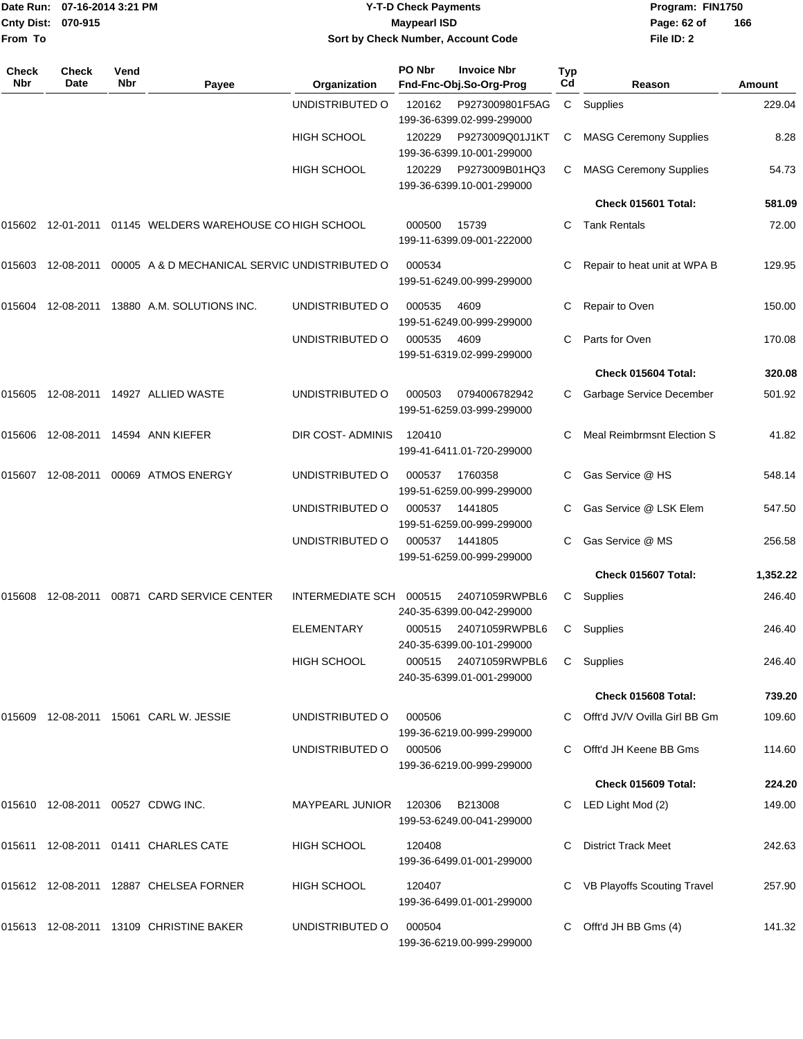|                    | Date Run: 07-16-2014 3:21 PM | <b>Y-T-D Check Payments</b>        | Program: FIN1750 |                |
|--------------------|------------------------------|------------------------------------|------------------|----------------|
| Cnty Dist: 070-915 |                              | <b>Maypearl ISD</b>                | Page: 62 of      | $\overline{1}$ |
| From To            |                              | Sort by Check Number, Account Code | File ID: 2       |                |

# **Sort by Check Number, Account Code**

| Check<br>Nbr | <b>Check</b><br>Date | Vend<br>Nbr | Payee                                                           | Organization       | PO Nbr         | <b>Invoice Nbr</b><br>Fnd-Fnc-Obj.So-Org-Prog      | <b>Typ</b><br>Cd | Reason                            | Amount   |
|--------------|----------------------|-------------|-----------------------------------------------------------------|--------------------|----------------|----------------------------------------------------|------------------|-----------------------------------|----------|
|              |                      |             |                                                                 | UNDISTRIBUTED O    | 120162         | P9273009801F5AG<br>199-36-6399.02-999-299000       | C                | Supplies                          | 229.04   |
|              |                      |             |                                                                 | <b>HIGH SCHOOL</b> | 120229         | P9273009Q01J1KT<br>199-36-6399.10-001-299000       | C                | <b>MASG Ceremony Supplies</b>     | 8.28     |
|              |                      |             |                                                                 | <b>HIGH SCHOOL</b> | 120229         | P9273009B01HQ3<br>199-36-6399.10-001-299000        | C                | <b>MASG Ceremony Supplies</b>     | 54.73    |
|              |                      |             |                                                                 |                    |                |                                                    |                  | Check 015601 Total:               | 581.09   |
| 015602       |                      |             | 12-01-2011 01145 WELDERS WAREHOUSE CO HIGH SCHOOL               |                    | 000500         | 15739<br>199-11-6399.09-001-222000                 | C                | <b>Tank Rentals</b>               | 72.00    |
|              |                      |             | 015603 12-08-2011 00005 A & D MECHANICAL SERVIC UNDISTRIBUTED O |                    | 000534         | 199-51-6249.00-999-299000                          | С                | Repair to heat unit at WPA B      | 129.95   |
|              |                      |             | 015604 12-08-2011 13880 A.M. SOLUTIONS INC.                     | UNDISTRIBUTED O    | 000535         | 4609<br>199-51-6249.00-999-299000                  |                  | Repair to Oven                    | 150.00   |
|              |                      |             |                                                                 | UNDISTRIBUTED O    | 000535         | 4609<br>199-51-6319.02-999-299000                  | С                | Parts for Oven                    | 170.08   |
|              |                      |             |                                                                 |                    |                |                                                    |                  | Check 015604 Total:               | 320.08   |
| 015605       |                      |             | 12-08-2011  14927  ALLIED WASTE                                 | UNDISTRIBUTED O    | 000503         | 0794006782942<br>199-51-6259.03-999-299000         |                  | Garbage Service December          | 501.92   |
|              |                      |             | 015606 12-08-2011 14594 ANN KIEFER                              | DIR COST- ADMINIS  | 120410         | 199-41-6411.01-720-299000                          | C.               | <b>Meal Reimbrmsnt Election S</b> | 41.82    |
| 015607       | 12-08-2011           |             | 00069 ATMOS ENERGY                                              | UNDISTRIBUTED O    | 000537         | 1760358<br>199-51-6259.00-999-299000               |                  | Gas Service @ HS                  | 548.14   |
|              |                      |             |                                                                 | UNDISTRIBUTED O    | 000537         | 1441805<br>199-51-6259.00-999-299000               |                  | Gas Service @ LSK Elem            | 547.50   |
|              |                      |             |                                                                 | UNDISTRIBUTED O    | 000537         | 1441805<br>199-51-6259.00-999-299000               | C                | Gas Service @ MS                  | 256.58   |
|              |                      |             |                                                                 |                    |                |                                                    |                  | Check 015607 Total:               | 1,352.22 |
| 015608       |                      |             | 12-08-2011  00871  CARD SERVICE CENTER                          | INTERMEDIATE SCH   | 000515         | 24071059RWPBL6<br>240-35-6399.00-042-299000        | С                | Supplies                          | 246.40   |
|              |                      |             |                                                                 | <b>ELEMENTARY</b>  | 000515         | 24071059RWPBL6<br>240-35-6399.00-101-299000        | C                | Supplies                          | 246.40   |
|              |                      |             |                                                                 | <b>HIGH SCHOOL</b> |                | 000515 24071059RWPBL6<br>240-35-6399.01-001-299000 |                  | C Supplies                        | 246.40   |
|              |                      |             |                                                                 |                    |                |                                                    |                  | Check 015608 Total:               | 739.20   |
|              |                      |             | 015609  12-08-2011  15061  CARL W. JESSIE                       | UNDISTRIBUTED O    | 000506         | 199-36-6219.00-999-299000                          |                  | C Offt'd JV/V Ovilla Girl BB Gm   | 109.60   |
|              |                      |             |                                                                 | UNDISTRIBUTED O    | 000506         | 199-36-6219.00-999-299000                          | C.               | Offt'd JH Keene BB Gms            | 114.60   |
|              |                      |             |                                                                 |                    |                |                                                    |                  | Check 015609 Total:               | 224.20   |
|              |                      |             | 015610  12-08-2011  00527  CDWG INC.                            | MAYPEARL JUNIOR    | 120306 B213008 | 199-53-6249.00-041-299000                          |                  | C LED Light Mod (2)               | 149.00   |
|              |                      |             | 015611  12-08-2011  01411  CHARLES CATE                         | HIGH SCHOOL        | 120408         | 199-36-6499.01-001-299000                          |                  | <b>District Track Meet</b>        | 242.63   |
|              |                      |             | 015612 12-08-2011 12887 CHELSEA FORNER                          | HIGH SCHOOL        | 120407         | 199-36-6499.01-001-299000                          |                  | VB Playoffs Scouting Travel       | 257.90   |
|              |                      |             | 015613 12-08-2011 13109 CHRISTINE BAKER                         | UNDISTRIBUTED O    | 000504         | 199-36-6219.00-999-299000                          | C                | Offt'd JH BB Gms (4)              | 141.32   |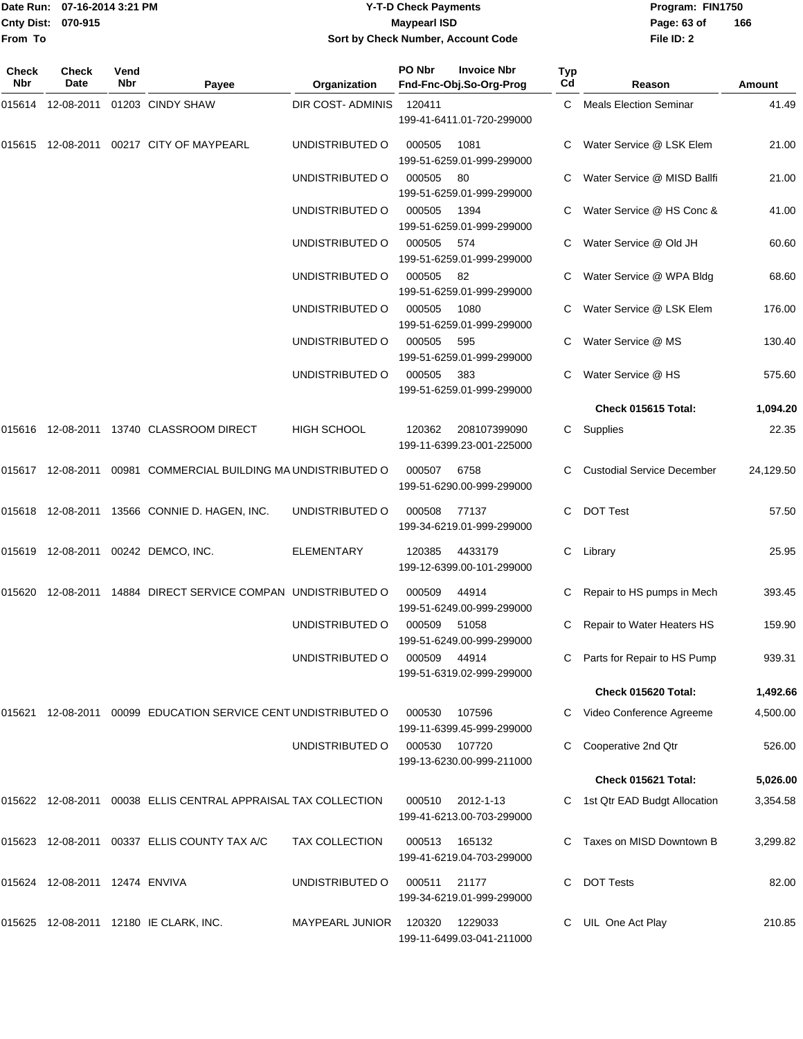## Date Run: 07-16-2014 3:21 PM **Program:** FIN1750 **Cnty Dist:** 070-915 **Page: 63 of MaypearI ISD Page: 63 of Y-T-D Check Payments 070-915 Maypearl ISD Sort by Check Number, Account Code**

| Check<br>Nbr | <b>Check</b><br>Date           | Vend<br><b>Nbr</b> | Payee                                                          | Organization           | PO Nbr | <b>Invoice Nbr</b><br>Fnd-Fnc-Obj.So-Org-Prog | Typ<br>Cd | Reason                            | Amount    |
|--------------|--------------------------------|--------------------|----------------------------------------------------------------|------------------------|--------|-----------------------------------------------|-----------|-----------------------------------|-----------|
|              | 015614 12-08-2011              |                    | 01203 CINDY SHAW                                               | DIR COST-ADMINIS       | 120411 | 199-41-6411.01-720-299000                     |           | C Meals Election Seminar          | 41.49     |
|              |                                |                    | 015615 12-08-2011 00217 CITY OF MAYPEARL                       | UNDISTRIBUTED O        | 000505 | 1081<br>199-51-6259.01-999-299000             |           | Water Service @ LSK Elem          | 21.00     |
|              |                                |                    |                                                                | UNDISTRIBUTED O        | 000505 | 80<br>199-51-6259.01-999-299000               |           | Water Service @ MISD Ballfi       | 21.00     |
|              |                                |                    |                                                                | UNDISTRIBUTED O        | 000505 | 1394<br>199-51-6259.01-999-299000             |           | Water Service @ HS Conc &         | 41.00     |
|              |                                |                    |                                                                | UNDISTRIBUTED O        | 000505 | 574<br>199-51-6259.01-999-299000              |           | Water Service @ Old JH            | 60.60     |
|              |                                |                    |                                                                | UNDISTRIBUTED O        | 000505 | 82<br>199-51-6259.01-999-299000               |           | Water Service @ WPA Bldg          | 68.60     |
|              |                                |                    |                                                                | UNDISTRIBUTED O        | 000505 | 1080<br>199-51-6259.01-999-299000             |           | Water Service @ LSK Elem          | 176.00    |
|              |                                |                    |                                                                | UNDISTRIBUTED O        | 000505 | 595<br>199-51-6259.01-999-299000              |           | Water Service @ MS                | 130.40    |
|              |                                |                    |                                                                | UNDISTRIBUTED O        | 000505 | 383<br>199-51-6259.01-999-299000              |           | Water Service @ HS                | 575.60    |
|              |                                |                    |                                                                |                        |        |                                               |           | Check 015615 Total:               | 1,094.20  |
|              |                                |                    |                                                                | <b>HIGH SCHOOL</b>     | 120362 | 208107399090<br>199-11-6399.23-001-225000     | C         | Supplies                          | 22.35     |
|              |                                |                    | 015617 12-08-2011 00981 COMMERCIAL BUILDING MA UNDISTRIBUTED O |                        | 000507 | 6758<br>199-51-6290.00-999-299000             |           | <b>Custodial Service December</b> | 24,129.50 |
|              |                                |                    | 015618 12-08-2011 13566 CONNIE D. HAGEN, INC.                  | UNDISTRIBUTED O        | 000508 | 77137<br>199-34-6219.01-999-299000            | C         | <b>DOT Test</b>                   | 57.50     |
|              |                                |                    | 015619  12-08-2011  00242  DEMCO, INC.                         | ELEMENTARY             | 120385 | 4433179<br>199-12-6399.00-101-299000          | C         | Library                           | 25.95     |
|              |                                |                    | 015620 12-08-2011 14884 DIRECT SERVICE COMPAN UNDISTRIBUTED O  |                        | 000509 | 44914<br>199-51-6249.00-999-299000            |           | Repair to HS pumps in Mech        | 393.45    |
|              |                                |                    |                                                                | UNDISTRIBUTED O        | 000509 | 51058<br>199-51-6249.00-999-299000            | C         | Repair to Water Heaters HS        | 159.90    |
|              |                                |                    |                                                                | UNDISTRIBUTED O        | 000509 | 44914<br>199-51-6319.02-999-299000            |           | Parts for Repair to HS Pump       | 939.31    |
|              |                                |                    |                                                                |                        |        |                                               |           | Check 015620 Total:               | 1,492.66  |
| 015621       |                                |                    | 12-08-2011 00099 EDUCATION SERVICE CENT UNDISTRIBUTED O        |                        | 000530 | 107596<br>199-11-6399.45-999-299000           | C         | Video Conference Agreeme          | 4,500.00  |
|              |                                |                    |                                                                | UNDISTRIBUTED O        | 000530 | 107720<br>199-13-6230.00-999-211000           | С         | Cooperative 2nd Qtr               | 526.00    |
|              |                                |                    |                                                                |                        |        |                                               |           | Check 015621 Total:               | 5,026.00  |
|              |                                |                    | 015622 12-08-2011 00038 ELLIS CENTRAL APPRAISAL TAX COLLECTION |                        | 000510 | 2012-1-13<br>199-41-6213.00-703-299000        | C         | 1st Qtr EAD Budgt Allocation      | 3,354.58  |
|              |                                |                    | 015623 12-08-2011 00337 ELLIS COUNTY TAX A/C                   | <b>TAX COLLECTION</b>  | 000513 | 165132<br>199-41-6219.04-703-299000           | C         | Taxes on MISD Downtown B          | 3,299.82  |
|              | 015624 12-08-2011 12474 ENVIVA |                    |                                                                | UNDISTRIBUTED O        | 000511 | 21177<br>199-34-6219.01-999-299000            | C.        | <b>DOT Tests</b>                  | 82.00     |
| 015625       |                                |                    | 12-08-2011  12180 IE CLARK, INC.                               | <b>MAYPEARL JUNIOR</b> | 120320 | 1229033<br>199-11-6499.03-041-211000          |           | UIL One Act Play                  | 210.85    |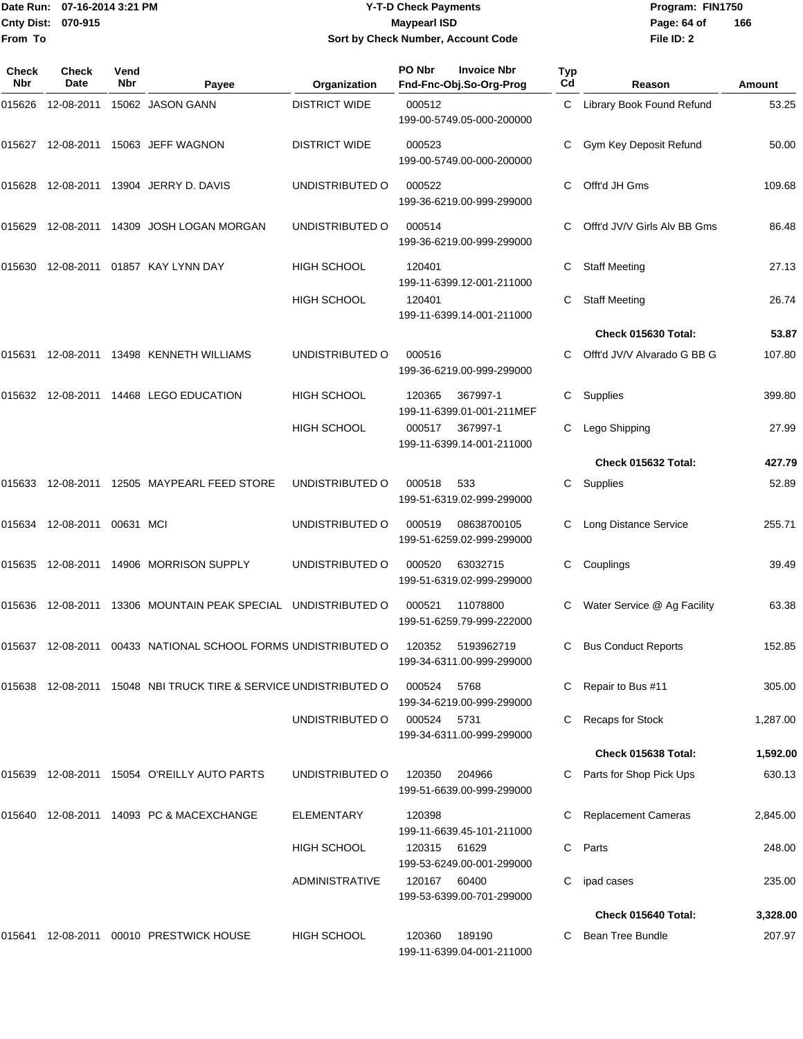## Date Run: 07-16-2014 3:21 PM **Program:** FIN1750 **Cnty Dist:** 070-915 **Page: 64 of MaypearI ISD Page: 64 of 07-16-2014 3:21 PM Y-T-D Check Payments 070-915 Maypearl ISD Sort by Check Number, Account Code**

| Check<br><b>Nbr</b> | Check<br>Date               | Vend<br><b>Nbr</b> | Payee                                                         | Organization          | PO Nbr | <b>Invoice Nbr</b><br>Fnd-Fnc-Obj.So-Org-Prog  | Typ<br>Cd | Reason                       | Amount   |
|---------------------|-----------------------------|--------------------|---------------------------------------------------------------|-----------------------|--------|------------------------------------------------|-----------|------------------------------|----------|
| 015626              |                             |                    | 12-08-2011  15062  JASON GANN                                 | <b>DISTRICT WIDE</b>  | 000512 | 199-00-5749.05-000-200000                      |           | C Library Book Found Refund  | 53.25    |
|                     |                             |                    | 015627 12-08-2011 15063 JEFF WAGNON                           | <b>DISTRICT WIDE</b>  | 000523 | 199-00-5749.00-000-200000                      |           | Gym Key Deposit Refund       | 50.00    |
| 015628              |                             |                    | 12-08-2011  13904  JERRY D. DAVIS                             | UNDISTRIBUTED O       | 000522 | 199-36-6219.00-999-299000                      | C         | Offt'd JH Gms                | 109.68   |
| 015629              |                             |                    | 12-08-2011  14309  JOSH LOGAN MORGAN                          | UNDISTRIBUTED O       | 000514 | 199-36-6219.00-999-299000                      | C.        | Offt'd JV/V Girls Alv BB Gms | 86.48    |
| 015630              |                             |                    | 12-08-2011  01857  KAY LYNN DAY                               | HIGH SCHOOL           | 120401 | 199-11-6399.12-001-211000                      | С         | <b>Staff Meeting</b>         | 27.13    |
|                     |                             |                    |                                                               | <b>HIGH SCHOOL</b>    | 120401 | 199-11-6399.14-001-211000                      | С         | <b>Staff Meeting</b>         | 26.74    |
|                     |                             |                    |                                                               |                       |        |                                                |           | Check 015630 Total:          | 53.87    |
|                     |                             |                    | 015631 12-08-2011 13498 KENNETH WILLIAMS                      | UNDISTRIBUTED O       | 000516 | 199-36-6219.00-999-299000                      | C         | Offt'd JV/V Alvarado G BB G  | 107.80   |
|                     |                             |                    | 015632 12-08-2011 14468 LEGO EDUCATION                        | <b>HIGH SCHOOL</b>    | 120365 | 367997-1<br>199-11-6399.01-001-211MEF          | С         | Supplies                     | 399.80   |
|                     |                             |                    |                                                               | <b>HIGH SCHOOL</b>    | 000517 | 367997-1<br>199-11-6399.14-001-211000          |           | Lego Shipping                | 27.99    |
|                     |                             |                    |                                                               |                       |        |                                                |           | Check 015632 Total:          | 427.79   |
|                     |                             |                    | 015633 12-08-2011 12505 MAYPEARL FEED STORE                   | UNDISTRIBUTED O       | 000518 | 533<br>199-51-6319.02-999-299000               | C.        | Supplies                     | 52.89    |
|                     | 015634 12-08-2011 00631 MCI |                    |                                                               | UNDISTRIBUTED O       | 000519 | 08638700105<br>199-51-6259.02-999-299000       |           | <b>Long Distance Service</b> | 255.71   |
| 015635              |                             |                    | 12-08-2011  14906  MORRISON SUPPLY                            | UNDISTRIBUTED O       | 000520 | 63032715<br>199-51-6319.02-999-299000          | С         | Couplings                    | 39.49    |
| 015636              |                             |                    | 12-08-2011 13306 MOUNTAIN PEAK SPECIAL UNDISTRIBUTED O        |                       | 000521 | 11078800<br>199-51-6259.79-999-222000          | С         | Water Service @ Ag Facility  | 63.38    |
|                     |                             |                    | 015637 12-08-2011 00433 NATIONAL SCHOOL FORMS UNDISTRIBUTED O |                       |        | 120352 5193962719<br>199-34-6311.00-999-299000 |           | C Bus Conduct Reports        | 152.85   |
| 015638              |                             |                    | 12-08-2011 15048 NBI TRUCK TIRE & SERVICE UNDISTRIBUTED O     |                       | 000524 | 5768<br>199-34-6219.00-999-299000              | C         | Repair to Bus #11            | 305.00   |
|                     |                             |                    |                                                               | UNDISTRIBUTED O       | 000524 | 5731<br>199-34-6311.00-999-299000              |           | <b>Recaps for Stock</b>      | 1,287.00 |
|                     |                             |                    |                                                               |                       |        |                                                |           | Check 015638 Total:          | 1,592.00 |
|                     |                             |                    | 015639 12-08-2011 15054 O'REILLY AUTO PARTS                   | UNDISTRIBUTED O       | 120350 | 204966<br>199-51-6639.00-999-299000            |           | Parts for Shop Pick Ups      | 630.13   |
|                     |                             |                    | 015640 12-08-2011 14093 PC & MACEXCHANGE                      | <b>ELEMENTARY</b>     | 120398 | 199-11-6639.45-101-211000                      |           | <b>Replacement Cameras</b>   | 2,845.00 |
|                     |                             |                    |                                                               | <b>HIGH SCHOOL</b>    | 120315 | 61629<br>199-53-6249.00-001-299000             | С         | Parts                        | 248.00   |
|                     |                             |                    |                                                               | <b>ADMINISTRATIVE</b> | 120167 | 60400<br>199-53-6399.00-701-299000             | С         | ipad cases                   | 235.00   |
|                     |                             |                    |                                                               |                       |        |                                                |           | Check 015640 Total:          | 3,328.00 |
| 015641              |                             |                    | 12-08-2011 00010 PRESTWICK HOUSE                              | HIGH SCHOOL           | 120360 | 189190<br>199-11-6399.04-001-211000            | C         | Bean Tree Bundle             | 207.97   |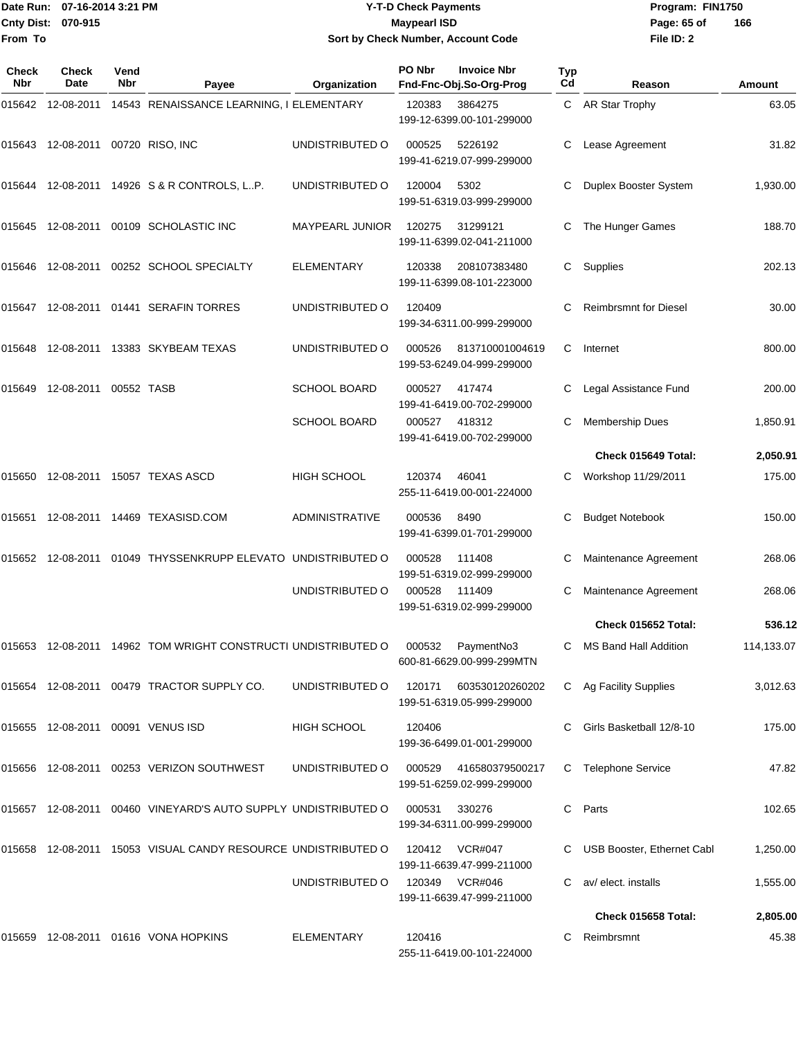## Date Run: 07-16-2014 3:21 PM **Program:** FIN1750 **Cnty Dist:** 070-915 **Page: 65 of MaypearI ISD Page: 65 of Y-T-D Check Payments 070-915 Maypearl ISD Sort by Check Number, Account Code**

| Check<br><b>Nbr</b> | Check<br><b>Date</b>              | Vend<br><b>Nbr</b> | Payee                                                                           | Organization          | PO Nbr | <b>Invoice Nbr</b><br>Fnd-Fnc-Obj.So-Org-Prog       | Typ<br>Cd | Reason                       | Amount     |
|---------------------|-----------------------------------|--------------------|---------------------------------------------------------------------------------|-----------------------|--------|-----------------------------------------------------|-----------|------------------------------|------------|
| 015642              | 12-08-2011                        |                    | 14543 RENAISSANCE LEARNING, I ELEMENTARY                                        |                       | 120383 | 3864275<br>199-12-6399.00-101-299000                |           | C AR Star Trophy             | 63.05      |
|                     | 015643 12-08-2011 00720 RISO, INC |                    |                                                                                 | UNDISTRIBUTED O       | 000525 | 5226192<br>199-41-6219.07-999-299000                | C         | Lease Agreement              | 31.82      |
| 015644              |                                   |                    | 12-08-2011  14926  S & R CONTROLS, LP.                                          | UNDISTRIBUTED O       | 120004 | 5302<br>199-51-6319.03-999-299000                   | C         | Duplex Booster System        | 1,930.00   |
| 015645              |                                   |                    | 12-08-2011  00109  SCHOLASTIC INC                                               | MAYPEARL JUNIOR       | 120275 | 31299121<br>199-11-6399.02-041-211000               | C         | The Hunger Games             | 188.70     |
| 015646              |                                   |                    | 12-08-2011  00252  SCHOOL SPECIALTY                                             | <b>ELEMENTARY</b>     | 120338 | 208107383480<br>199-11-6399.08-101-223000           | C.        | Supplies                     | 202.13     |
| 015647              |                                   |                    | 12-08-2011  01441  SERAFIN TORRES                                               | UNDISTRIBUTED O       | 120409 | 199-34-6311.00-999-299000                           | C         | <b>Reimbrsmnt for Diesel</b> | 30.00      |
| 015648              | 12-08-2011                        |                    | 13383 SKYBEAM TEXAS                                                             | UNDISTRIBUTED O       | 000526 | 813710001004619<br>199-53-6249.04-999-299000        | C         | Internet                     | 800.00     |
| 015649              | 12-08-2011                        | 00552 TASB         |                                                                                 | <b>SCHOOL BOARD</b>   | 000527 | 417474<br>199-41-6419.00-702-299000                 | C         | Legal Assistance Fund        | 200.00     |
|                     |                                   |                    |                                                                                 | <b>SCHOOL BOARD</b>   | 000527 | 418312<br>199-41-6419.00-702-299000                 | C         | <b>Membership Dues</b>       | 1,850.91   |
|                     |                                   |                    |                                                                                 |                       |        |                                                     |           | Check 015649 Total:          | 2,050.91   |
|                     |                                   |                    | 015650 12-08-2011 15057 TEXAS ASCD                                              | HIGH SCHOOL           | 120374 | 46041<br>255-11-6419.00-001-224000                  | C         | Workshop 11/29/2011          | 175.00     |
| 015651              | 12-08-2011                        |                    | 14469 TEXASISD.COM                                                              | <b>ADMINISTRATIVE</b> | 000536 | 8490<br>199-41-6399.01-701-299000                   | С         | <b>Budget Notebook</b>       | 150.00     |
| 015652              | 12-08-2011                        |                    | 01049 THYSSENKRUPP ELEVATO UNDISTRIBUTED O                                      |                       | 000528 | 111408<br>199-51-6319.02-999-299000                 | С         | Maintenance Agreement        | 268.06     |
|                     |                                   |                    |                                                                                 | UNDISTRIBUTED O       | 000528 | 111409<br>199-51-6319.02-999-299000                 | С         | Maintenance Agreement        | 268.06     |
|                     |                                   |                    |                                                                                 |                       |        |                                                     |           | Check 015652 Total:          | 536.12     |
|                     |                                   |                    | 015653 12-08-2011 14962 TOM WRIGHT CONSTRUCTI UNDISTRIBUTED O 000532 PaymentNo3 |                       |        | 600-81-6629.00-999-299MTN                           |           | C MS Band Hall Addition      | 114,133.07 |
|                     |                                   |                    | 015654 12-08-2011 00479 TRACTOR SUPPLY CO.                                      | UNDISTRIBUTED O       | 120171 | 603530120260202<br>199-51-6319.05-999-299000        |           | C Ag Facility Supplies       | 3,012.63   |
|                     |                                   |                    | 015655 12-08-2011 00091 VENUS ISD                                               | HIGH SCHOOL           | 120406 | 199-36-6499.01-001-299000                           |           | Girls Basketball 12/8-10     | 175.00     |
|                     |                                   |                    | 015656  12-08-2011  00253  VERIZON SOUTHWEST                                    | UNDISTRIBUTED O       |        | 000529 416580379500217<br>199-51-6259.02-999-299000 | C         | <b>Telephone Service</b>     | 47.82      |
|                     |                                   |                    | 015657 12-08-2011 00460 VINEYARD'S AUTO SUPPLY UNDISTRIBUTED O                  |                       | 000531 | 330276<br>199-34-6311.00-999-299000                 | C         | Parts                        | 102.65     |
|                     |                                   |                    | 015658  12-08-2011  15053  VISUAL CANDY RESOURCE UNDISTRIBUTED O                |                       |        | 120412 VCR#047<br>199-11-6639.47-999-211000         |           | C USB Booster, Ethernet Cabl | 1,250.00   |
|                     |                                   |                    |                                                                                 | UNDISTRIBUTED O       |        | 120349 VCR#046<br>199-11-6639.47-999-211000         | C         | av/ elect. installs          | 1,555.00   |
|                     |                                   |                    |                                                                                 |                       |        |                                                     |           | Check 015658 Total:          | 2,805.00   |
|                     |                                   |                    | 015659 12-08-2011 01616 VONA HOPKINS                                            | ELEMENTARY            | 120416 | 255-11-6419.00-101-224000                           | C.        | Reimbrsmnt                   | 45.38      |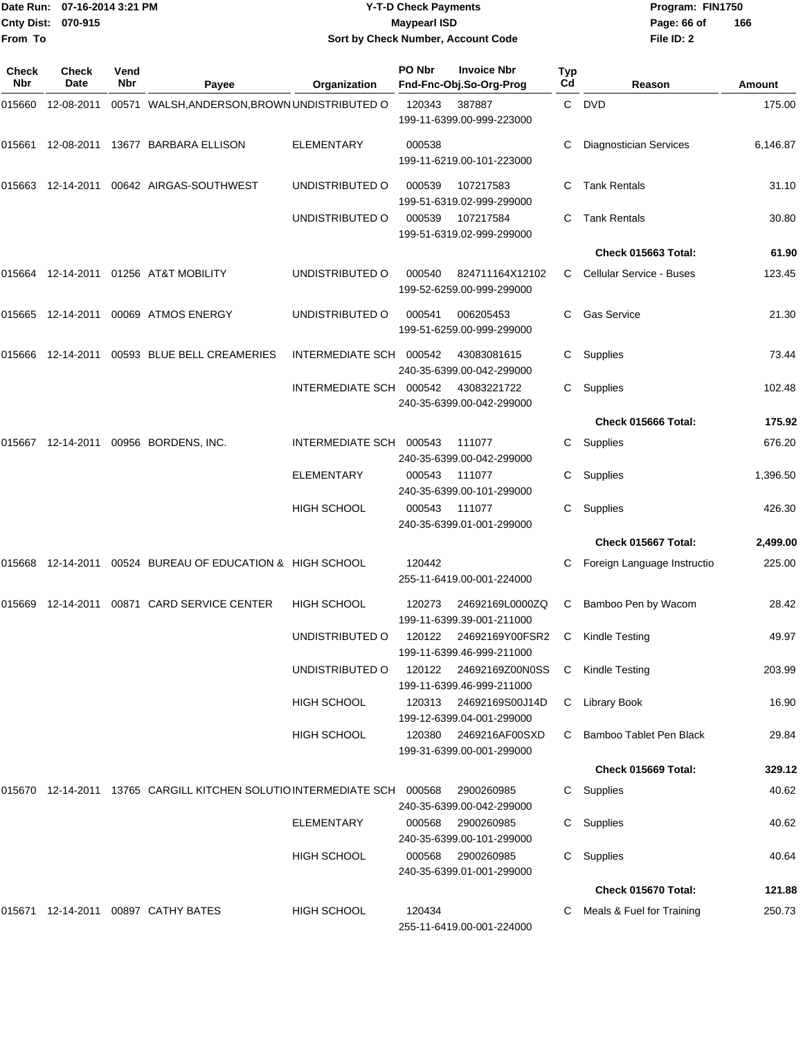|                     | Date Run: 07-16-2014 3:21 PM |             |                                                                             | <b>Y-T-D Check Payments</b> |                     |                                                     |           | Program: FIN1750              |          |
|---------------------|------------------------------|-------------|-----------------------------------------------------------------------------|-----------------------------|---------------------|-----------------------------------------------------|-----------|-------------------------------|----------|
| From To             | Cnty Dist: 070-915           |             |                                                                             |                             | <b>Maypearl ISD</b> | Sort by Check Number, Account Code                  |           | Page: 66 of<br>File ID: 2     | 166      |
| <b>Check</b><br>Nbr | Check<br>Date                | Vend<br>Nbr | Payee                                                                       | Organization                | PO Nbr              | <b>Invoice Nbr</b><br>Fnd-Fnc-Obj.So-Org-Prog       | Typ<br>Cd | Reason                        | Amount   |
| 015660              | 12-08-2011                   |             | 00571 WALSH, ANDERSON, BROWN UNDISTRIBUTED O                                |                             | 120343              | 387887<br>199-11-6399.00-999-223000                 | C.        | <b>DVD</b>                    | 175.00   |
|                     |                              |             | 015661 12-08-2011 13677 BARBARA ELLISON                                     | <b>ELEMENTARY</b>           | 000538              | 199-11-6219.00-101-223000                           | C         | <b>Diagnostician Services</b> | 6,146.87 |
|                     |                              |             | 00642 AIRGAS-SOUTHWEST                                                      | UNDISTRIBUTED O             | 000539              | 107217583<br>199-51-6319.02-999-299000              | C         | <b>Tank Rentals</b>           | 31.10    |
|                     |                              |             |                                                                             | UNDISTRIBUTED O             | 000539              | 107217584<br>199-51-6319.02-999-299000              | C         | <b>Tank Rentals</b>           | 30.80    |
|                     |                              |             |                                                                             |                             |                     |                                                     |           | Check 015663 Total:           | 61.90    |
|                     |                              |             | 015664    12-14-2011    01256    AT&T MOBILITY                              | UNDISTRIBUTED O             | 000540              | 824711164X12102<br>199-52-6259.00-999-299000        | C.        | Cellular Service - Buses      | 123.45   |
|                     |                              |             | 015665  12-14-2011  00069  ATMOS ENERGY                                     | UNDISTRIBUTED O             | 000541              | 006205453<br>199-51-6259.00-999-299000              | C.        | <b>Gas Service</b>            | 21.30    |
|                     |                              |             | 00593 BLUE BELL CREAMERIES                                                  | INTERMEDIATE SCH            | 000542              | 43083081615<br>240-35-6399.00-042-299000            | C         | Supplies                      | 73.44    |
|                     |                              |             |                                                                             | <b>INTERMEDIATE SCH</b>     | 000542              | 43083221722<br>240-35-6399.00-042-299000            | C         | Supplies                      | 102.48   |
|                     |                              |             |                                                                             |                             |                     |                                                     |           | Check 015666 Total:           | 175.92   |
|                     |                              |             | 015667 12-14-2011 00956 BORDENS, INC.                                       | INTERMEDIATE SCH            | 000543              | 111077<br>240-35-6399.00-042-299000                 | C         | Supplies                      | 676.20   |
|                     |                              |             |                                                                             | <b>ELEMENTARY</b>           | 000543              | 111077<br>240-35-6399.00-101-299000                 | C         | Supplies                      | 1,396.50 |
|                     |                              |             |                                                                             | <b>HIGH SCHOOL</b>          | 000543              | 111077<br>240-35-6399.01-001-299000                 | C         | Supplies                      | 426.30   |
|                     |                              |             |                                                                             |                             |                     |                                                     |           | Check 015667 Total:           | 2,499.00 |
| 015668              | 12-14-2011                   |             | 00524 BUREAU OF EDUCATION & HIGH SCHOOL                                     |                             | 120442              | 255-11-6419.00-001-224000                           | C.        | Foreign Language Instructio   | 225.00   |
|                     |                              |             | 015669 12-14-2011 00871 CARD SERVICE CENTER                                 | HIGH SCHOOL                 | 120273              | 24692169L0000ZQ<br>199-11-6399.39-001-211000        | C.        | Bamboo Pen by Wacom           | 28.42    |
|                     |                              |             |                                                                             | UNDISTRIBUTED O             | 120122              | 24692169Y00FSR2<br>199-11-6399.46-999-211000        | С         | Kindle Testing                | 49.97    |
|                     |                              |             |                                                                             | UNDISTRIBUTED O             |                     | 120122 24692169Z00N0SS<br>199-11-6399.46-999-211000 | C         | Kindle Testing                | 203.99   |
|                     |                              |             |                                                                             | <b>HIGH SCHOOL</b>          | 120313              | 24692169S00J14D<br>199-12-6399.04-001-299000        |           | C Library Book                | 16.90    |
|                     |                              |             |                                                                             | <b>HIGH SCHOOL</b>          | 120380              | 2469216AF00SXD<br>199-31-6399.00-001-299000         | C         | Bamboo Tablet Pen Black       | 29.84    |
|                     |                              |             |                                                                             |                             |                     |                                                     |           | Check 015669 Total:           | 329.12   |
|                     |                              |             | 015670  12-14-2011  13765  CARGILL KITCHEN SOLUTIO INTERMEDIATE SCH  000568 |                             |                     | 2900260985<br>240-35-6399.00-042-299000             |           | C Supplies                    | 40.62    |
|                     |                              |             |                                                                             | ELEMENTARY                  | 000568              | 2900260985<br>240-35-6399.00-101-299000             |           | C Supplies                    | 40.62    |
|                     |                              |             |                                                                             | HIGH SCHOOL                 | 000568              | 2900260985<br>240-35-6399.01-001-299000             |           | C Supplies                    | 40.64    |
|                     |                              |             |                                                                             |                             |                     |                                                     |           | Check 015670 Total:           | 121.88   |
|                     |                              |             | 015671  12-14-2011  00897  CATHY BATES                                      | HIGH SCHOOL                 | 120434              | 255-11-6419.00-001-224000                           | C         | Meals & Fuel for Training     | 250.73   |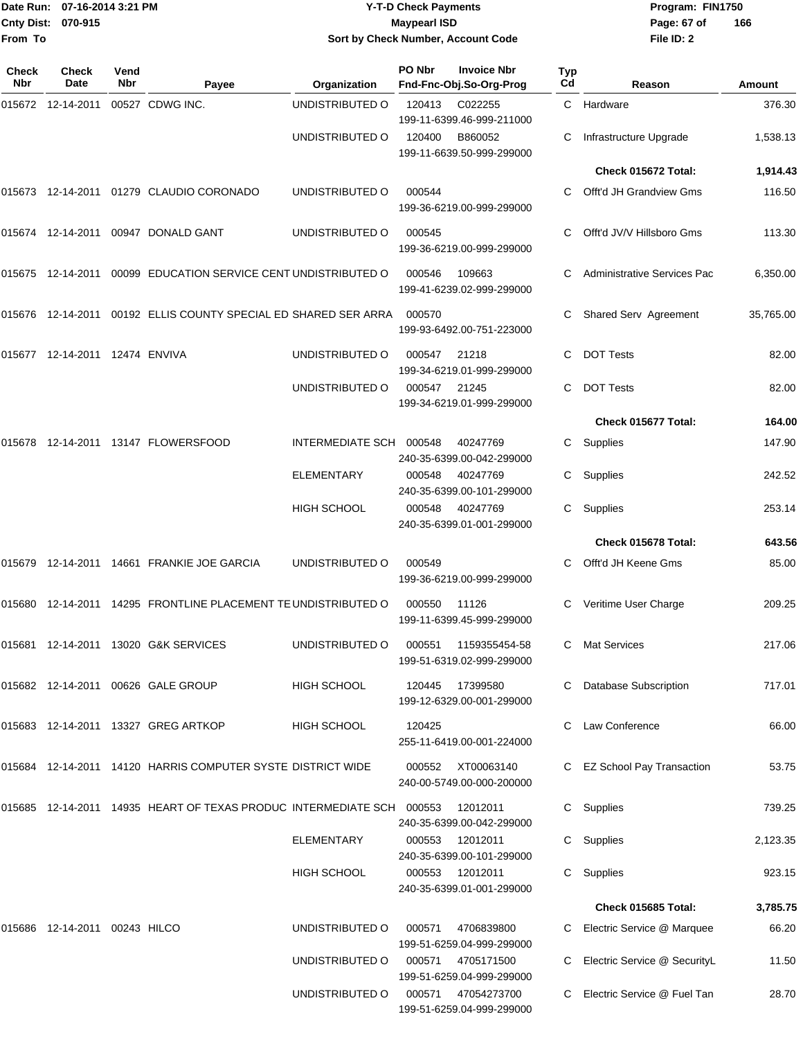| From To                    | Date Run: 07-16-2014 3:21 PM<br>Cnty Dist: 070-915 |             |                                                                           | <b>Y-T-D Check Payments</b><br><b>Maypearl ISD</b><br>Sort by Check Number, Account Code |        |                                                                   |           | Program: FIN1750<br>Page: 67 of<br>File ID: 2 | 166       |
|----------------------------|----------------------------------------------------|-------------|---------------------------------------------------------------------------|------------------------------------------------------------------------------------------|--------|-------------------------------------------------------------------|-----------|-----------------------------------------------|-----------|
| <b>Check</b><br><b>Nbr</b> | Check<br>Date                                      | Vend<br>Nbr | Payee                                                                     | Organization                                                                             | PO Nbr | <b>Invoice Nbr</b><br>Fnd-Fnc-Obj.So-Org-Prog                     | Typ<br>Cd | Reason                                        | Amount    |
|                            |                                                    |             | 00527 CDWG INC.                                                           | UNDISTRIBUTED O                                                                          | 120413 | C022255                                                           | C.        | Hardware                                      | 376.30    |
|                            |                                                    |             |                                                                           | UNDISTRIBUTED O                                                                          | 120400 | 199-11-6399.46-999-211000<br>B860052<br>199-11-6639.50-999-299000 |           | Infrastructure Upgrade                        | 1,538.13  |
|                            |                                                    |             |                                                                           |                                                                                          |        |                                                                   |           | Check 015672 Total:                           | 1,914.43  |
|                            |                                                    |             | 015673  12-14-2011  01279  CLAUDIO CORONADO                               | UNDISTRIBUTED O                                                                          | 000544 | 199-36-6219.00-999-299000                                         | C         | Offt'd JH Grandview Gms                       | 116.50    |
|                            |                                                    |             | 015674 12-14-2011 00947 DONALD GANT                                       | UNDISTRIBUTED O                                                                          | 000545 | 199-36-6219.00-999-299000                                         |           | Offt'd JV/V Hillsboro Gms                     | 113.30    |
|                            |                                                    |             | 015675  12-14-2011  00099  EDUCATION SERVICE CENT UNDISTRIBUTED O         |                                                                                          | 000546 | 109663<br>199-41-6239.02-999-299000                               |           | Administrative Services Pac                   | 6,350.00  |
|                            |                                                    |             | 015676 12-14-2011 00192   ELLIS COUNTY SPECIAL ED SHARED SER ARRA         |                                                                                          | 000570 | 199-93-6492.00-751-223000                                         | C         | Shared Serv Agreement                         | 35,765.00 |
|                            |                                                    |             |                                                                           | UNDISTRIBUTED O                                                                          | 000547 | 21218<br>199-34-6219.01-999-299000                                | С         | <b>DOT Tests</b>                              | 82.00     |
|                            |                                                    |             |                                                                           | UNDISTRIBUTED O                                                                          | 000547 | 21245<br>199-34-6219.01-999-299000                                | С         | <b>DOT Tests</b>                              | 82.00     |
|                            |                                                    |             |                                                                           |                                                                                          |        |                                                                   |           | Check 015677 Total:                           | 164.00    |
|                            |                                                    |             |                                                                           | INTERMEDIATE SCH                                                                         | 000548 | 40247769<br>240-35-6399.00-042-299000                             | C         | Supplies                                      | 147.90    |
|                            |                                                    |             |                                                                           | ELEMENTARY                                                                               | 000548 | 40247769<br>240-35-6399.00-101-299000                             | С         | Supplies                                      | 242.52    |
|                            |                                                    |             |                                                                           | <b>HIGH SCHOOL</b>                                                                       | 000548 | 40247769<br>240-35-6399.01-001-299000                             | С         | Supplies                                      | 253.14    |
|                            |                                                    |             |                                                                           |                                                                                          |        |                                                                   |           | Check 015678 Total:                           | 643.56    |
| 015679                     |                                                    |             | 12-14-2011  14661  FRANKIE JOE GARCIA                                     | UNDISTRIBUTED O                                                                          | 000549 | 199-36-6219.00-999-299000                                         | С         | Offt'd JH Keene Gms                           | 85.00     |
|                            |                                                    |             | 015680 12-14-2011 14295 FRONTLINE PLACEMENT TE UNDISTRIBUTED O            |                                                                                          | 000550 | 11126<br>199-11-6399.45-999-299000                                |           | C Veritime User Charge                        | 209.25    |
|                            |                                                    |             | 015681  12-14-2011  13020  G&K SERVICES                                   | UNDISTRIBUTED O                                                                          | 000551 | 1159355454-58<br>199-51-6319.02-999-299000                        | C.        | <b>Mat Services</b>                           | 217.06    |
|                            |                                                    |             | 015682 12-14-2011 00626 GALE GROUP                                        | <b>HIGH SCHOOL</b>                                                                       | 120445 | 17399580<br>199-12-6329.00-001-299000                             | C.        | <b>Database Subscription</b>                  | 717.01    |
|                            |                                                    |             | 015683  12-14-2011  13327  GREG ARTKOP                                    | <b>HIGH SCHOOL</b>                                                                       | 120425 | 255-11-6419.00-001-224000                                         |           | Law Conference                                | 66.00     |
|                            |                                                    |             | 015684  12-14-2011  14120  HARRIS COMPUTER SYSTE DISTRICT WIDE            |                                                                                          |        | 000552 XT00063140<br>240-00-5749.00-000-200000                    |           | C EZ School Pay Transaction                   | 53.75     |
|                            |                                                    |             | 015685  12-14-2011  14935  HEART OF TEXAS PRODUC INTERMEDIATE SCH  000553 |                                                                                          |        | 12012011<br>240-35-6399.00-042-299000                             |           | C Supplies                                    | 739.25    |
|                            |                                                    |             |                                                                           | <b>ELEMENTARY</b>                                                                        | 000553 | 12012011<br>240-35-6399.00-101-299000                             |           | C Supplies                                    | 2,123.35  |
|                            |                                                    |             |                                                                           | HIGH SCHOOL                                                                              | 000553 | 12012011<br>240-35-6399.01-001-299000                             |           | C Supplies                                    | 923.15    |
|                            |                                                    |             |                                                                           |                                                                                          |        |                                                                   |           | Check 015685 Total:                           | 3,785.75  |
|                            | 015686  12-14-2011  00243  HILCO                   |             |                                                                           | UNDISTRIBUTED O                                                                          | 000571 | 4706839800<br>199-51-6259.04-999-299000                           |           | C Electric Service @ Marquee                  | 66.20     |
|                            |                                                    |             |                                                                           | UNDISTRIBUTED O                                                                          | 000571 | 4705171500<br>199-51-6259.04-999-299000                           |           | C Electric Service @ SecurityL                | 11.50     |
|                            |                                                    |             |                                                                           | UNDISTRIBUTED O                                                                          | 000571 | 47054273700<br>199-51-6259.04-999-299000                          |           | C Electric Service @ Fuel Tan                 | 28.70     |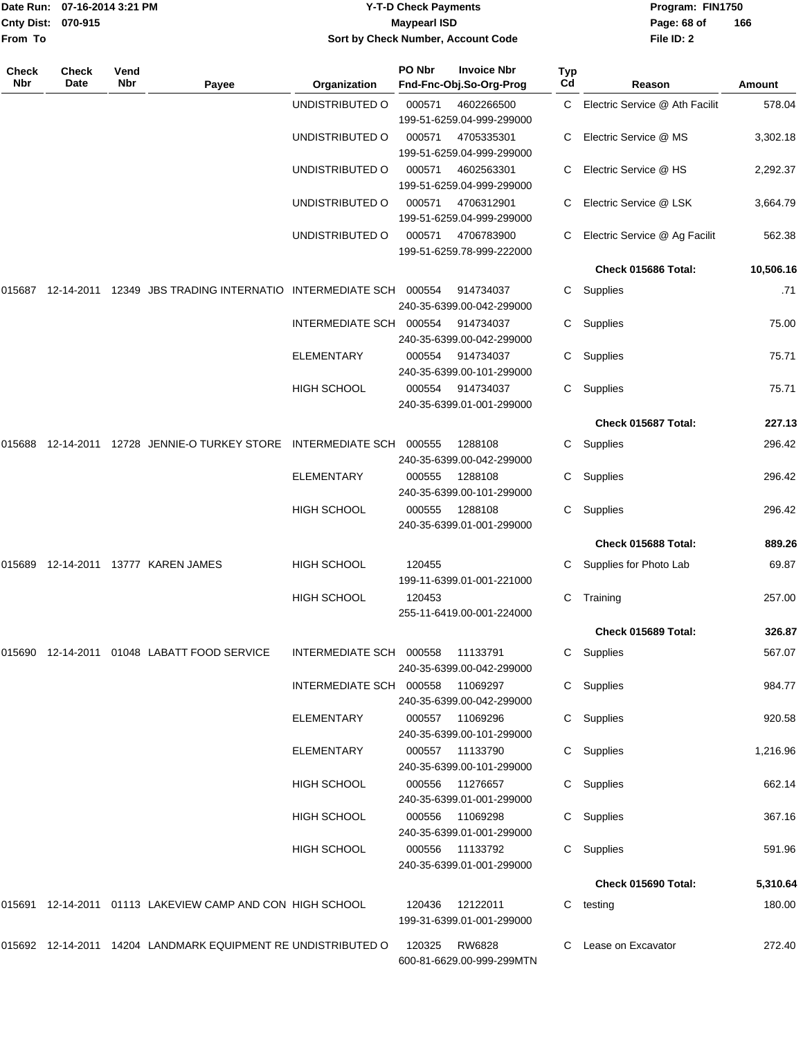| From To      | Date Run: 07-16-2014 3:21 PM<br><b>Cnty Dist:</b><br>070-915 |             |                                                               | <b>Y-T-D Check Payments</b><br><b>Maypearl ISD</b><br>Sort by Check Number, Account Code |               |                                               |           | Program: FIN1750<br>Page: 68 of<br>File ID: 2 | 166       |  |
|--------------|--------------------------------------------------------------|-------------|---------------------------------------------------------------|------------------------------------------------------------------------------------------|---------------|-----------------------------------------------|-----------|-----------------------------------------------|-----------|--|
| Check<br>Nbr | <b>Check</b><br>Date                                         | Vend<br>Nbr | Payee                                                         | Organization                                                                             | PO Nbr        | <b>Invoice Nbr</b><br>Fnd-Fnc-Obj.So-Org-Prog | Typ<br>Cd | Reason                                        | Amount    |  |
|              |                                                              |             |                                                               | UNDISTRIBUTED O                                                                          | 000571        | 4602266500<br>199-51-6259.04-999-299000       | C.        | Electric Service @ Ath Facilit                | 578.04    |  |
|              |                                                              |             |                                                               | UNDISTRIBUTED O                                                                          | 000571        | 4705335301<br>199-51-6259.04-999-299000       | C         | Electric Service @ MS                         | 3,302.18  |  |
|              |                                                              |             |                                                               | UNDISTRIBUTED O                                                                          | 000571        | 4602563301<br>199-51-6259.04-999-299000       | C         | Electric Service @ HS                         | 2,292.37  |  |
|              |                                                              |             |                                                               | UNDISTRIBUTED O                                                                          | 000571        | 4706312901<br>199-51-6259.04-999-299000       | C         | Electric Service @ LSK                        | 3,664.79  |  |
|              |                                                              |             |                                                               | UNDISTRIBUTED O                                                                          | 000571        | 4706783900<br>199-51-6259.78-999-222000       | C         | Electric Service @ Ag Facilit                 | 562.38    |  |
|              |                                                              |             |                                                               |                                                                                          |               |                                               |           | Check 015686 Total:                           | 10,506.16 |  |
| 015687       |                                                              |             | 12-14-2011  12349  JBS TRADING INTERNATIO INTERMEDIATE SCH    |                                                                                          | 000554        | 914734037<br>240-35-6399.00-042-299000        | C.        | Supplies                                      | .71       |  |
|              |                                                              |             |                                                               | INTERMEDIATE SCH 000554                                                                  |               | 914734037<br>240-35-6399.00-042-299000        | C.        | Supplies                                      | 75.00     |  |
|              |                                                              |             |                                                               | <b>ELEMENTARY</b>                                                                        | 000554        | 914734037<br>240-35-6399.00-101-299000        | C.        | Supplies                                      | 75.71     |  |
|              |                                                              |             |                                                               | HIGH SCHOOL                                                                              | 000554        | 914734037<br>240-35-6399.01-001-299000        | C.        | Supplies                                      | 75.71     |  |
|              |                                                              |             |                                                               |                                                                                          |               |                                               |           | Check 015687 Total:                           | 227.13    |  |
| 015688       | 12-14-2011                                                   |             | 12728 JENNIE-O TURKEY STORE INTERMEDIATE SCH                  |                                                                                          | 000555        | 1288108<br>240-35-6399.00-042-299000          | C         | Supplies                                      | 296.42    |  |
|              |                                                              |             |                                                               | ELEMENTARY                                                                               | 000555        | 1288108<br>240-35-6399.00-101-299000          | C.        | Supplies                                      | 296.42    |  |
|              |                                                              |             |                                                               | <b>HIGH SCHOOL</b>                                                                       | 000555        | 1288108<br>240-35-6399.01-001-299000          | C         | Supplies                                      | 296.42    |  |
|              |                                                              |             |                                                               |                                                                                          |               |                                               |           | Check 015688 Total:                           | 889.26    |  |
|              |                                                              |             | 015689 12-14-2011 13777 KAREN JAMES                           | HIGH SCHOOL                                                                              | 120455        | 199-11-6399.01-001-221000                     | C         | Supplies for Photo Lab                        | 69.87     |  |
|              |                                                              |             |                                                               | HIGH SCHOOL                                                                              | 120453        | 255-11-6419.00-001-224000                     |           | C Training                                    | 257.00    |  |
|              |                                                              |             |                                                               |                                                                                          |               |                                               |           | Check 015689 Total:                           | 326.87    |  |
|              |                                                              |             | 015690  12-14-2011  01048  LABATT FOOD SERVICE                | INTERMEDIATE SCH 000558 11133791                                                         |               | 240-35-6399.00-042-299000                     |           | C Supplies                                    | 567.07    |  |
|              |                                                              |             |                                                               | INTERMEDIATE SCH 000558 11069297                                                         |               | 240-35-6399.00-042-299000                     |           | C Supplies                                    | 984.77    |  |
|              |                                                              |             |                                                               | ELEMENTARY                                                                               |               | 000557 11069296<br>240-35-6399.00-101-299000  |           | C Supplies                                    | 920.58    |  |
|              |                                                              |             |                                                               | ELEMENTARY                                                                               |               | 240-35-6399.00-101-299000                     |           | C Supplies                                    | 1,216.96  |  |
|              |                                                              |             |                                                               | HIGH SCHOOL                                                                              |               | 000556 11276657<br>240-35-6399.01-001-299000  |           | C Supplies                                    | 662.14    |  |
|              |                                                              |             |                                                               | HIGH SCHOOL                                                                              |               | 000556 11069298<br>240-35-6399.01-001-299000  |           | C Supplies                                    | 367.16    |  |
|              |                                                              |             |                                                               | HIGH SCHOOL                                                                              |               | 000556 11133792<br>240-35-6399.01-001-299000  |           | C Supplies                                    | 591.96    |  |
|              |                                                              |             |                                                               |                                                                                          |               |                                               |           | Check 015690 Total:                           | 5,310.64  |  |
|              |                                                              |             | 015691 12-14-2011 01113 LAKEVIEW CAMP AND CON HIGH SCHOOL     |                                                                                          |               | 120436  12122011<br>199-31-6399.01-001-299000 |           | C testing                                     | 180.00    |  |
|              |                                                              |             | 015692 12-14-2011 14204 LANDMARK EQUIPMENT RE UNDISTRIBUTED O |                                                                                          | 120325 RW6828 | 600-81-6629.00-999-299MTN                     |           | C Lease on Excavator                          | 272.40    |  |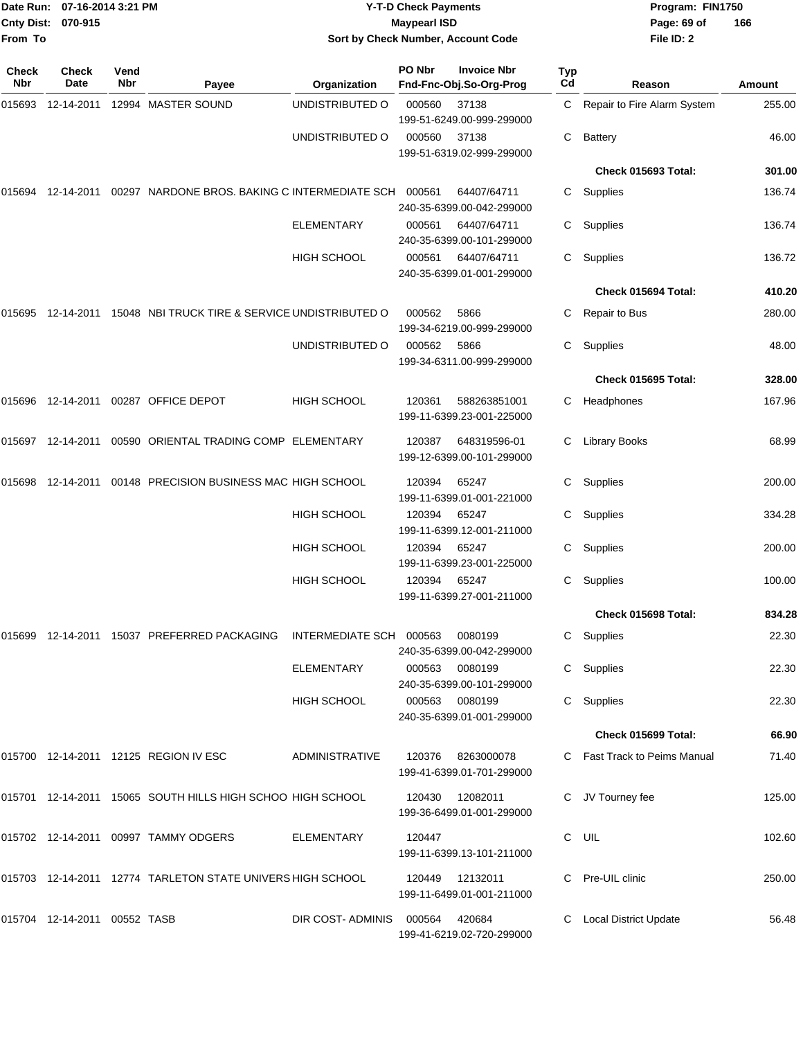| Date Run: 07-16-2014 3:21 PM<br>Cnty Dist: 070-915<br>From To |               |             |                                                                     | <b>Y-T-D Check Payments</b><br><b>Maypearl ISD</b><br>Sort by Check Number, Account Code |        |                                               |                       | Program: FIN1750<br>Page: 69 of<br>File ID: 2 | 166    |
|---------------------------------------------------------------|---------------|-------------|---------------------------------------------------------------------|------------------------------------------------------------------------------------------|--------|-----------------------------------------------|-----------------------|-----------------------------------------------|--------|
| <b>Check</b><br>Nbr                                           | Check<br>Date | Vend<br>Nbr | Payee                                                               | Organization                                                                             | PO Nbr | <b>Invoice Nbr</b><br>Fnd-Fnc-Obj.So-Org-Prog | Typ<br>C <sub>d</sub> | Reason                                        | Amount |
| 015693                                                        |               |             | 12-14-2011  12994  MASTER SOUND                                     | UNDISTRIBUTED O                                                                          | 000560 | 37138<br>199-51-6249.00-999-299000            | C                     | Repair to Fire Alarm System                   | 255.00 |
|                                                               |               |             |                                                                     | UNDISTRIBUTED O                                                                          | 000560 | 37138<br>199-51-6319.02-999-299000            | С                     | <b>Battery</b>                                | 46.00  |
|                                                               |               |             |                                                                     |                                                                                          |        |                                               |                       | Check 015693 Total:                           | 301.00 |
| 015694                                                        |               |             | 12-14-2011  00297  NARDONE BROS. BAKING C INTERMEDIATE SCH          |                                                                                          | 000561 | 64407/64711<br>240-35-6399.00-042-299000      | C.                    | Supplies                                      | 136.74 |
|                                                               |               |             |                                                                     | ELEMENTARY                                                                               | 000561 | 64407/64711<br>240-35-6399.00-101-299000      | C                     | Supplies                                      | 136.74 |
|                                                               |               |             |                                                                     | HIGH SCHOOL                                                                              | 000561 | 64407/64711<br>240-35-6399.01-001-299000      | C                     | Supplies                                      | 136.72 |
|                                                               |               |             |                                                                     |                                                                                          |        |                                               |                       | Check 015694 Total:                           | 410.20 |
|                                                               |               |             | 015695  12-14-2011  15048  NBI TRUCK TIRE & SERVICE UNDISTRIBUTED O |                                                                                          | 000562 | 5866<br>199-34-6219.00-999-299000             |                       | Repair to Bus                                 | 280.00 |
|                                                               |               |             |                                                                     | UNDISTRIBUTED O                                                                          | 000562 | 5866<br>199-34-6311.00-999-299000             | С                     | Supplies                                      | 48.00  |
|                                                               |               |             |                                                                     |                                                                                          |        |                                               |                       | Check 015695 Total:                           | 328.00 |
|                                                               |               |             | 015696  12-14-2011  00287  OFFICE DEPOT                             | <b>HIGH SCHOOL</b>                                                                       | 120361 | 588263851001<br>199-11-6399.23-001-225000     | C                     | Headphones                                    | 167.96 |
|                                                               |               |             | 015697  12-14-2011  00590  ORIENTAL TRADING COMP  ELEMENTARY        |                                                                                          | 120387 | 648319596-01<br>199-12-6399.00-101-299000     | С                     | <b>Library Books</b>                          | 68.99  |
| 015698                                                        | 12-14-2011    |             | 00148 PRECISION BUSINESS MAC HIGH SCHOOL                            |                                                                                          | 120394 | 65247<br>199-11-6399.01-001-221000            | C                     | Supplies                                      | 200.00 |
|                                                               |               |             |                                                                     | HIGH SCHOOL                                                                              | 120394 | 65247<br>199-11-6399.12-001-211000            | C.                    | Supplies                                      | 334.28 |
|                                                               |               |             |                                                                     | <b>HIGH SCHOOL</b>                                                                       | 120394 | 65247<br>199-11-6399.23-001-225000            | C                     | Supplies                                      | 200.00 |
|                                                               |               |             |                                                                     | <b>HIGH SCHOOL</b>                                                                       | 120394 | 65247<br>199-11-6399.27-001-211000            | C                     | Supplies                                      | 100.00 |
|                                                               |               |             |                                                                     |                                                                                          |        |                                               |                       | Check 015698 Total:                           | 834.28 |
|                                                               |               |             | 015699  12-14-2011  15037  PREFERRED PACKAGING                      | INTERMEDIATE SCH 000563                                                                  |        | 0080199<br>240-35-6399.00-042-299000          |                       | C Supplies                                    | 22.30  |
|                                                               |               |             |                                                                     | <b>ELEMENTARY</b>                                                                        | 000563 | 0080199<br>240-35-6399.00-101-299000          |                       | C Supplies                                    | 22.30  |
|                                                               |               |             |                                                                     | HIGH SCHOOL                                                                              |        | 000563 0080199<br>240-35-6399.01-001-299000   |                       | C Supplies                                    | 22.30  |
|                                                               |               |             |                                                                     |                                                                                          |        |                                               |                       | Check 015699 Total:                           | 66.90  |
|                                                               |               |             | 015700 12-14-2011 12125 REGION IV ESC                               | ADMINISTRATIVE                                                                           | 120376 | 8263000078<br>199-41-6399.01-701-299000       |                       | C Fast Track to Peims Manual                  | 71.40  |
|                                                               |               |             | 015701 12-14-2011 15065 SOUTH HILLS HIGH SCHOO HIGH SCHOOL          |                                                                                          |        | 120430  12082011<br>199-36-6499.01-001-299000 |                       | C JV Tourney fee                              | 125.00 |
|                                                               |               |             | 015702 12-14-2011 00997 TAMMY ODGERS                                | ELEMENTARY                                                                               | 120447 | 199-11-6399.13-101-211000                     |                       | C UIL                                         | 102.60 |
|                                                               |               |             | 015703 12-14-2011 12774 TARLETON STATE UNIVERS HIGH SCHOOL          |                                                                                          | 120449 | 12132011<br>199-11-6499.01-001-211000         |                       | C Pre-UIL clinic                              | 250.00 |
|                                                               |               |             |                                                                     | DIR COST-ADMINIS                                                                         | 000564 | 420684<br>199-41-6219.02-720-299000           |                       | C Local District Update                       | 56.48  |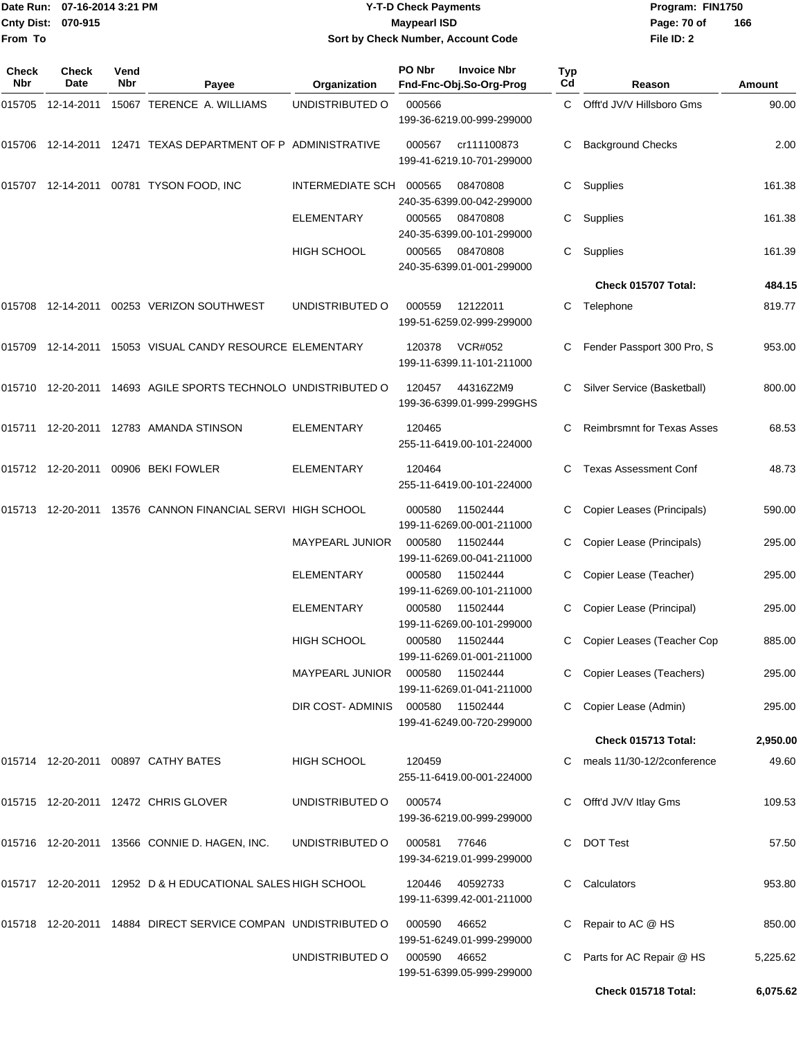## Date Run: 07-16-2014 3:21 PM **Program:** FIN1750 **Cnty Dist:** 070-915 **Page: 70 of** Maypearl ISD Maypearl ISD **Y-T-D Check Payments 070-915 Maypearl ISD Sort by Check Number, Account Code**

| Check<br><b>Nbr</b> | <b>Check</b><br>Date | Vend<br>Nbr | Payee                                                          | Organization           | PO Nbr | <b>Invoice Nbr</b><br>Fnd-Fnc-Obj.So-Org-Prog | Typ<br>Cd | Reason                            | Amount   |
|---------------------|----------------------|-------------|----------------------------------------------------------------|------------------------|--------|-----------------------------------------------|-----------|-----------------------------------|----------|
| 015705              | 12-14-2011           |             | 15067 TERENCE A. WILLIAMS                                      | UNDISTRIBUTED O        | 000566 | 199-36-6219.00-999-299000                     |           | C Offt'd JV/V Hillsboro Gms       | 90.00    |
| 015706              |                      |             | 12-14-2011 12471 TEXAS DEPARTMENT OF P ADMINISTRATIVE          |                        | 000567 | cr111100873<br>199-41-6219.10-701-299000      | C         | <b>Background Checks</b>          | 2.00     |
|                     |                      |             | 015707 12-14-2011 00781 TYSON FOOD, INC                        | INTERMEDIATE SCH       | 000565 | 08470808<br>240-35-6399.00-042-299000         | C         | Supplies                          | 161.38   |
|                     |                      |             |                                                                | ELEMENTARY             | 000565 | 08470808<br>240-35-6399.00-101-299000         | C         | Supplies                          | 161.38   |
|                     |                      |             |                                                                | <b>HIGH SCHOOL</b>     | 000565 | 08470808<br>240-35-6399.01-001-299000         | C         | Supplies                          | 161.39   |
|                     |                      |             |                                                                |                        |        |                                               |           | Check 015707 Total:               | 484.15   |
|                     |                      |             | 015708  12-14-2011  00253  VERIZON SOUTHWEST                   | UNDISTRIBUTED O        | 000559 | 12122011<br>199-51-6259.02-999-299000         |           | C Telephone                       | 819.77   |
| 015709              |                      |             | 12-14-2011 15053 VISUAL CANDY RESOURCE ELEMENTARY              |                        | 120378 | <b>VCR#052</b><br>199-11-6399.11-101-211000   | C         | Fender Passport 300 Pro, S        | 953.00   |
|                     |                      |             | 015710 12-20-2011 14693 AGILE SPORTS TECHNOLO UNDISTRIBUTED O  |                        | 120457 | 44316Z2M9<br>199-36-6399.01-999-299GHS        |           | Silver Service (Basketball)       | 800.00   |
| 015711              |                      |             | 12-20-2011  12783  AMANDA STINSON                              | ELEMENTARY             | 120465 | 255-11-6419.00-101-224000                     | C.        | <b>Reimbrsmnt for Texas Asses</b> | 68.53    |
|                     |                      |             | 015712 12-20-2011 00906 BEKI FOWLER                            | ELEMENTARY             | 120464 | 255-11-6419.00-101-224000                     | C         | <b>Texas Assessment Conf</b>      | 48.73    |
|                     | 015713 12-20-2011    |             | 13576 CANNON FINANCIAL SERVI HIGH SCHOOL                       |                        | 000580 | 11502444<br>199-11-6269.00-001-211000         | C         | Copier Leases (Principals)        | 590.00   |
|                     |                      |             |                                                                | <b>MAYPEARL JUNIOR</b> | 000580 | 11502444<br>199-11-6269.00-041-211000         | C.        | Copier Lease (Principals)         | 295.00   |
|                     |                      |             |                                                                | ELEMENTARY             | 000580 | 11502444<br>199-11-6269.00-101-211000         | C         | Copier Lease (Teacher)            | 295.00   |
|                     |                      |             |                                                                | ELEMENTARY             | 000580 | 11502444<br>199-11-6269.00-101-299000         | C         | Copier Lease (Principal)          | 295.00   |
|                     |                      |             |                                                                | <b>HIGH SCHOOL</b>     | 000580 | 11502444<br>199-11-6269.01-001-211000         | C         | Copier Leases (Teacher Cop        | 885.00   |
|                     |                      |             |                                                                | <b>MAYPEARL JUNIOR</b> | 000580 | 11502444<br>199-11-6269.01-041-211000         |           | C Copier Leases (Teachers)        | 295.00   |
|                     |                      |             |                                                                | DIR COST-ADMINIS       | 000580 | 11502444<br>199-41-6249.00-720-299000         |           | Copier Lease (Admin)              | 295.00   |
|                     |                      |             |                                                                |                        |        |                                               |           | Check 015713 Total:               | 2,950.00 |
|                     |                      |             | 015714 12-20-2011 00897 CATHY BATES                            | <b>HIGH SCHOOL</b>     | 120459 | 255-11-6419.00-001-224000                     |           | C meals 11/30-12/2conference      | 49.60    |
|                     |                      |             | 015715 12-20-2011 12472 CHRIS GLOVER                           | UNDISTRIBUTED O        | 000574 | 199-36-6219.00-999-299000                     | C         | Offt'd JV/V Itlay Gms             | 109.53   |
|                     |                      |             | 015716 12-20-2011 13566 CONNIE D. HAGEN, INC.                  | UNDISTRIBUTED O        | 000581 | 77646<br>199-34-6219.01-999-299000            | C.        | <b>DOT Test</b>                   | 57.50    |
|                     |                      |             | 015717  12-20-2011  12952  D & H EDUCATIONAL SALES HIGH SCHOOL |                        | 120446 | 40592733<br>199-11-6399.42-001-211000         | C.        | Calculators                       | 953.80   |
|                     |                      |             | 015718 12-20-2011 14884 DIRECT SERVICE COMPAN UNDISTRIBUTED O  |                        | 000590 | 46652<br>199-51-6249.01-999-299000            | C.        | Repair to AC @ HS                 | 850.00   |
|                     |                      |             |                                                                | UNDISTRIBUTED O        | 000590 | 46652<br>199-51-6399.05-999-299000            | C         | Parts for AC Repair @ HS          | 5,225.62 |
|                     |                      |             |                                                                |                        |        |                                               |           | Check 015718 Total:               | 6,075.62 |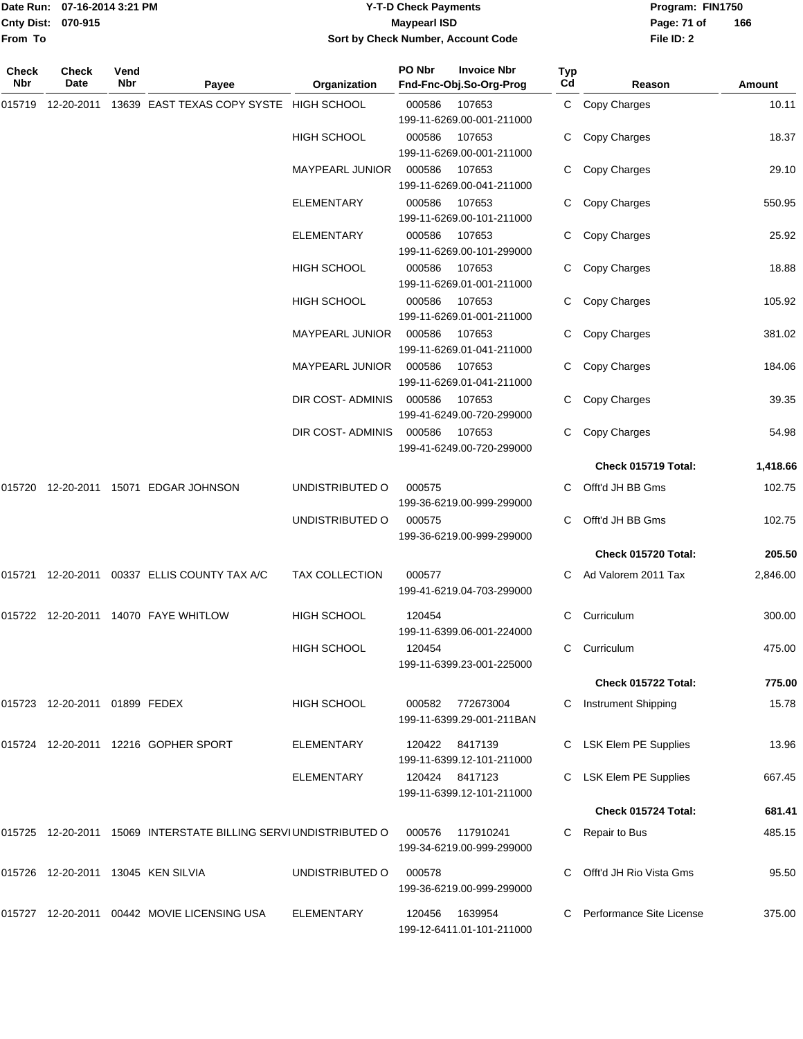|                    | Date Run: 07-16-2014 3:21 PM |
|--------------------|------------------------------|
| Cnty Dist: 070-915 |                              |
| <b>From To</b>     |                              |

## **Date Run: Program: FIN1750 07-16-2014 3:21 PM Y-T-D Check Payments Cnty Dist: Page: 71 of 070-915 Maypearl ISD Sort by Check Number, Account Code**

| Check<br>Nbr | <b>Check</b><br>Date          | Vend<br>Nbr | Payee                                                           | Organization           | PO Nbr | <b>Invoice Nbr</b><br>Fnd-Fnc-Obj.So-Org-Prog          | Typ<br>$_{\rm Cd}$ | Reason                               | Amount           |
|--------------|-------------------------------|-------------|-----------------------------------------------------------------|------------------------|--------|--------------------------------------------------------|--------------------|--------------------------------------|------------------|
| 015719       | 12-20-2011                    |             | 13639 EAST TEXAS COPY SYSTE HIGH SCHOOL                         |                        | 000586 | 107653<br>199-11-6269.00-001-211000                    |                    | C Copy Charges                       | 10.11            |
|              |                               |             |                                                                 | <b>HIGH SCHOOL</b>     | 000586 | 107653<br>199-11-6269.00-001-211000                    | C                  | Copy Charges                         | 18.37            |
|              |                               |             |                                                                 | MAYPEARL JUNIOR        | 000586 | 107653<br>199-11-6269.00-041-211000                    |                    | Copy Charges                         | 29.10            |
|              |                               |             |                                                                 | <b>ELEMENTARY</b>      | 000586 | 107653<br>199-11-6269.00-101-211000                    | C                  | Copy Charges                         | 550.95           |
|              |                               |             |                                                                 | <b>ELEMENTARY</b>      | 000586 | 107653<br>199-11-6269.00-101-299000                    | C                  | Copy Charges                         | 25.92            |
|              |                               |             |                                                                 | <b>HIGH SCHOOL</b>     | 000586 | 107653<br>199-11-6269.01-001-211000                    | C                  | Copy Charges                         | 18.88            |
|              |                               |             |                                                                 | HIGH SCHOOL            | 000586 | 107653<br>199-11-6269.01-001-211000                    | C                  | Copy Charges                         | 105.92           |
|              |                               |             |                                                                 | MAYPEARL JUNIOR        | 000586 | 107653<br>199-11-6269.01-041-211000                    | C                  | Copy Charges                         | 381.02           |
|              |                               |             |                                                                 | <b>MAYPEARL JUNIOR</b> | 000586 | 107653<br>199-11-6269.01-041-211000                    |                    | Copy Charges                         | 184.06           |
|              |                               |             |                                                                 | DIR COST-ADMINIS       | 000586 | 107653<br>199-41-6249.00-720-299000                    |                    | Copy Charges                         | 39.35            |
|              |                               |             |                                                                 | DIR COST-ADMINIS       | 000586 | 107653<br>199-41-6249.00-720-299000                    | C                  | Copy Charges                         | 54.98            |
|              |                               |             |                                                                 |                        |        |                                                        |                    | Check 015719 Total:                  | 1,418.66         |
|              |                               |             | 015720 12-20-2011 15071 EDGAR JOHNSON                           | UNDISTRIBUTED O        | 000575 | 199-36-6219.00-999-299000                              | C.                 | Offt'd JH BB Gms                     | 102.75           |
|              |                               |             |                                                                 | UNDISTRIBUTED O        | 000575 | 199-36-6219.00-999-299000                              |                    | Offt'd JH BB Gms                     | 102.75           |
|              |                               |             |                                                                 |                        |        |                                                        |                    | Check 015720 Total:                  | 205.50           |
|              |                               |             | 015721 12-20-2011 00337 ELLIS COUNTY TAX A/C                    | <b>TAX COLLECTION</b>  | 000577 | 199-41-6219.04-703-299000                              |                    | Ad Valorem 2011 Tax                  | 2,846.00         |
|              |                               |             | 015722 12-20-2011 14070 FAYE WHITLOW                            | <b>HIGH SCHOOL</b>     | 120454 |                                                        | C                  | Curriculum                           | 300.00           |
|              |                               |             |                                                                 | HIGH SCHOOL            | 120454 | 199-11-6399.06-001-224000<br>199-11-6399.23-001-225000 |                    | C Curriculum                         | 475.00           |
|              |                               |             |                                                                 |                        |        |                                                        |                    | Check 015722 Total:                  | 775.00           |
|              | 015723 12-20-2011 01899 FEDEX |             |                                                                 | <b>HIGH SCHOOL</b>     |        | 000582 772673004<br>199-11-6399.29-001-211BAN          | C                  | <b>Instrument Shipping</b>           | 15.78            |
|              |                               |             | 015724 12-20-2011 12216 GOPHER SPORT                            | ELEMENTARY             |        | 120422 8417139                                         |                    | C LSK Elem PE Supplies               | 13.96            |
|              |                               |             |                                                                 | <b>ELEMENTARY</b>      |        | 199-11-6399.12-101-211000<br>120424 8417123            |                    | <b>LSK Elem PE Supplies</b>          | 667.45           |
|              |                               |             |                                                                 |                        |        | 199-11-6399.12-101-211000                              |                    |                                      |                  |
|              |                               |             | 015725 12-20-2011 15069 INTERSTATE BILLING SERVIUNDISTRIBUTED O |                        | 000576 | 117910241<br>199-34-6219.00-999-299000                 |                    | Check 015724 Total:<br>Repair to Bus | 681.41<br>485.15 |
|              |                               |             | 015726 12-20-2011 13045 KEN SILVIA                              | UNDISTRIBUTED O        | 000578 | 199-36-6219.00-999-299000                              | C.                 | Offt'd JH Rio Vista Gms              | 95.50            |
|              |                               |             | 015727 12-20-2011 00442 MOVIE LICENSING USA                     | ELEMENTARY             | 120456 | 1639954<br>199-12-6411.01-101-211000                   |                    | Performance Site License             | 375.00           |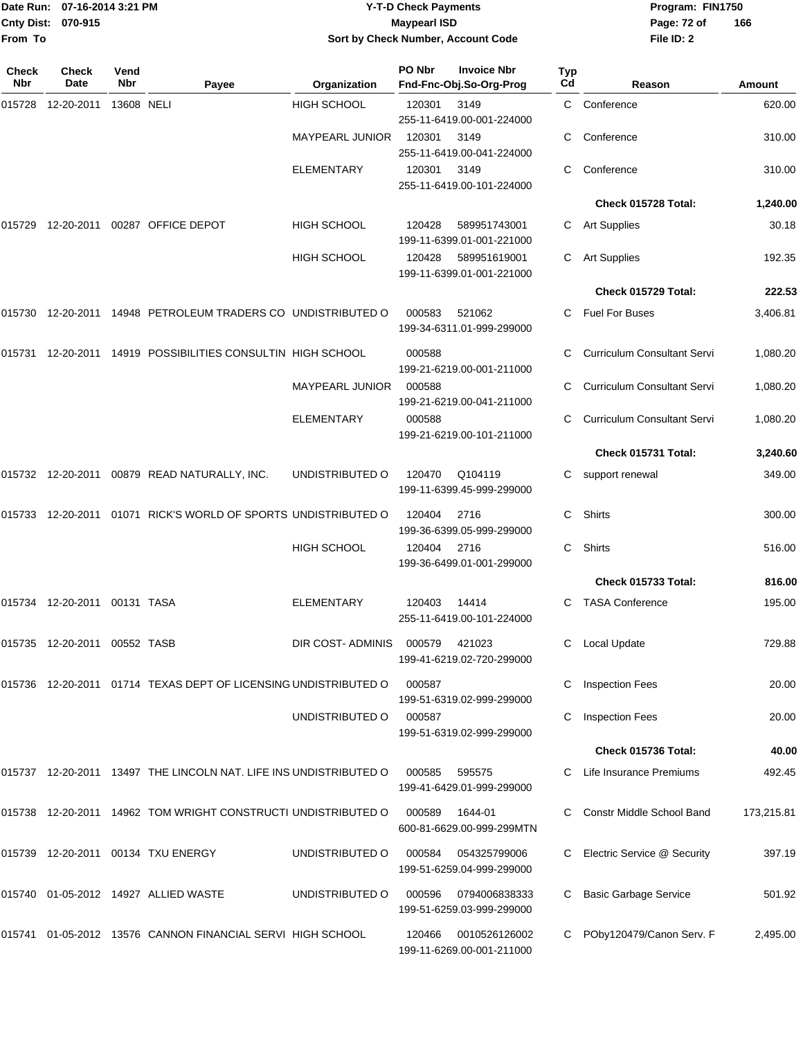|                    | Date Run: 07-16-2014 3:21 PM |
|--------------------|------------------------------|
| Cnty Dist: 070-915 |                              |
| From To            |                              |

## **Date Run: Program: FIN1750 07-16-2014 3:21 PM Y-T-D Check Payments Cnty Dist: Page: 72 of 070-915 Maypearl ISD Sort by Check Number, Account Code**

| Check<br><b>Nbr</b> | Check<br>Date | Vend<br>Nbr | Payee                                                              | Organization           | PO Nbr | <b>Invoice Nbr</b><br>Fnd-Fnc-Obj.So-Org-Prog | <b>Typ</b><br>Cd | Reason                             | Amount     |
|---------------------|---------------|-------------|--------------------------------------------------------------------|------------------------|--------|-----------------------------------------------|------------------|------------------------------------|------------|
| 015728              | 12-20-2011    | 13608 NELI  |                                                                    | <b>HIGH SCHOOL</b>     | 120301 | 3149<br>255-11-6419.00-001-224000             | C.               | Conference                         | 620.00     |
|                     |               |             |                                                                    | <b>MAYPEARL JUNIOR</b> | 120301 | 3149<br>255-11-6419.00-041-224000             |                  | Conference                         | 310.00     |
|                     |               |             |                                                                    | <b>ELEMENTARY</b>      | 120301 | 3149<br>255-11-6419.00-101-224000             | С                | Conference                         | 310.00     |
|                     |               |             |                                                                    |                        |        |                                               |                  | Check 015728 Total:                | 1,240.00   |
| 015729              | 12-20-2011    |             | 00287 OFFICE DEPOT                                                 | <b>HIGH SCHOOL</b>     | 120428 | 589951743001<br>199-11-6399.01-001-221000     | C.               | <b>Art Supplies</b>                | 30.18      |
|                     |               |             |                                                                    | <b>HIGH SCHOOL</b>     | 120428 | 589951619001<br>199-11-6399.01-001-221000     | С                | <b>Art Supplies</b>                | 192.35     |
|                     |               |             |                                                                    |                        |        |                                               |                  | Check 015729 Total:                | 222.53     |
| 015730              |               |             | 12-20-2011 14948 PETROLEUM TRADERS CO UNDISTRIBUTED O              |                        | 000583 | 521062<br>199-34-6311.01-999-299000           | C.               | <b>Fuel For Buses</b>              | 3,406.81   |
| 015731              |               |             | 12-20-2011 14919 POSSIBILITIES CONSULTIN HIGH SCHOOL               |                        | 000588 | 199-21-6219.00-001-211000                     |                  | Curriculum Consultant Servi        | 1,080.20   |
|                     |               |             |                                                                    | MAYPEARL JUNIOR        | 000588 | 199-21-6219.00-041-211000                     |                  | <b>Curriculum Consultant Servi</b> | 1,080.20   |
|                     |               |             |                                                                    | ELEMENTARY             | 000588 | 199-21-6219.00-101-211000                     | С                | <b>Curriculum Consultant Servi</b> | 1,080.20   |
|                     |               |             |                                                                    |                        |        |                                               |                  | Check 015731 Total:                | 3,240.60   |
|                     |               |             | 015732 12-20-2011 00879 READ NATURALLY, INC.                       | UNDISTRIBUTED O        | 120470 | Q104119<br>199-11-6399.45-999-299000          | С                | support renewal                    | 349.00     |
| 015733              | 12-20-2011    |             | 01071 RICK'S WORLD OF SPORTS UNDISTRIBUTED O                       |                        | 120404 | 2716<br>199-36-6399.05-999-299000             | C                | Shirts                             | 300.00     |
|                     |               |             |                                                                    | HIGH SCHOOL            | 120404 | 2716<br>199-36-6499.01-001-299000             | С                | Shirts                             | 516.00     |
|                     |               |             |                                                                    |                        |        |                                               |                  | Check 015733 Total:                | 816.00     |
| 015734              | 12-20-2011    | 00131 TASA  |                                                                    | <b>ELEMENTARY</b>      | 120403 | 14414<br>255-11-6419.00-101-224000            | С                | <b>TASA Conference</b>             | 195.00     |
| 015735              | 12-20-2011    | 00552 TASB  |                                                                    | DIR COST- ADMINIS      | 000579 | 421023<br>199-41-6219.02-720-299000           | С                | Local Update                       | 729.88     |
|                     |               |             | 015736  12-20-2011  01714  TEXAS DEPT OF LICENSING UNDISTRIBUTED O |                        | 000587 | 199-51-6319.02-999-299000                     |                  | <b>Inspection Fees</b>             | 20.00      |
|                     |               |             |                                                                    | UNDISTRIBUTED O        | 000587 | 199-51-6319.02-999-299000                     | С                | <b>Inspection Fees</b>             | 20.00      |
|                     |               |             |                                                                    |                        |        |                                               |                  | Check 015736 Total:                | 40.00      |
|                     |               |             | 015737 12-20-2011 13497 THE LINCOLN NAT. LIFE INS UNDISTRIBUTED O  |                        | 000585 | 595575<br>199-41-6429.01-999-299000           | C                | Life Insurance Premiums            | 492.45     |
|                     |               |             | 015738 12-20-2011 14962 TOM WRIGHT CONSTRUCTI UNDISTRIBUTED O      |                        | 000589 | 1644-01<br>600-81-6629.00-999-299MTN          |                  | Constr Middle School Band          | 173,215.81 |
|                     |               |             | 015739  12-20-2011  00134  TXU ENERGY                              | UNDISTRIBUTED O        | 000584 | 054325799006<br>199-51-6259.04-999-299000     |                  | Electric Service @ Security        | 397.19     |
| 015740              |               |             | 01-05-2012 14927 ALLIED WASTE                                      | UNDISTRIBUTED O        | 000596 | 0794006838333<br>199-51-6259.03-999-299000    | С                | <b>Basic Garbage Service</b>       | 501.92     |
| 015741              |               |             | 01-05-2012 13576 CANNON FINANCIAL SERVI HIGH SCHOOL                |                        | 120466 | 0010526126002<br>199-11-6269.00-001-211000    |                  | POby120479/Canon Serv. F           | 2,495.00   |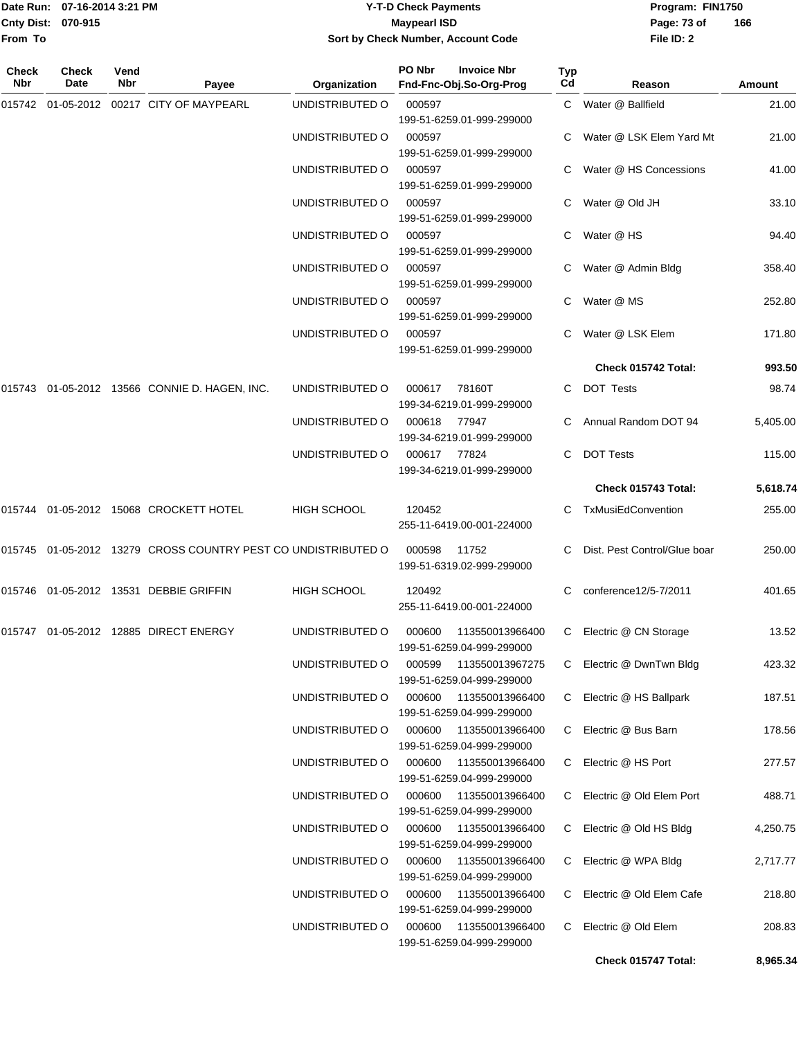|                    | Date Run: 07-16-2014 3:21 PM |
|--------------------|------------------------------|
| Cnty Dist: 070-915 |                              |
| <b>From To</b>     |                              |

## **Date Run: Program: FIN1750 07-16-2014 3:21 PM Y-T-D Check Payments Cnty Dist: Page: 73 of 070-915 Maypearl ISD Sort by Check Number, Account Code**

| <b>Check</b><br><b>Nbr</b> | Check<br><b>Date</b> | Vend<br><b>Nbr</b> | Payee                                                         | Organization       | PO Nbr                                       | <b>Invoice Nbr</b><br>Fnd-Fnc-Obj.So-Org-Prog       | <b>Typ</b><br>Cd | Reason                       | Amount   |
|----------------------------|----------------------|--------------------|---------------------------------------------------------------|--------------------|----------------------------------------------|-----------------------------------------------------|------------------|------------------------------|----------|
|                            |                      |                    | 015742 01-05-2012 00217 CITY OF MAYPEARL                      | UNDISTRIBUTED O    | 000597                                       | 199-51-6259.01-999-299000                           |                  | C Water @ Ballfield          | 21.00    |
|                            |                      |                    |                                                               | UNDISTRIBUTED O    | 000597                                       | 199-51-6259.01-999-299000                           |                  | C Water @ LSK Elem Yard Mt   | 21.00    |
|                            |                      |                    |                                                               | UNDISTRIBUTED O    | 000597                                       | 199-51-6259.01-999-299000                           |                  | C Water @ HS Concessions     | 41.00    |
|                            |                      |                    |                                                               | UNDISTRIBUTED O    | 000597                                       | 199-51-6259.01-999-299000                           |                  | C Water @ Old JH             | 33.10    |
|                            |                      |                    |                                                               | UNDISTRIBUTED O    | 000597                                       | 199-51-6259.01-999-299000                           | C.               | Water @ HS                   | 94.40    |
|                            |                      |                    |                                                               | UNDISTRIBUTED O    | 000597                                       | 199-51-6259.01-999-299000                           |                  | C Water @ Admin Bldg         | 358.40   |
|                            |                      |                    |                                                               | UNDISTRIBUTED O    | 000597                                       | 199-51-6259.01-999-299000                           |                  | Water @ MS                   | 252.80   |
|                            |                      |                    |                                                               | UNDISTRIBUTED O    | 000597                                       | 199-51-6259.01-999-299000                           |                  | C Water @ LSK Elem           | 171.80   |
|                            |                      |                    |                                                               |                    |                                              |                                                     |                  | Check 015742 Total:          | 993.50   |
|                            |                      |                    | 015743 01-05-2012 13566 CONNIE D. HAGEN, INC.                 | UNDISTRIBUTED O    | 000617                                       | 78160T<br>199-34-6219.01-999-299000                 | C.               | <b>DOT Tests</b>             | 98.74    |
|                            |                      |                    |                                                               | UNDISTRIBUTED O    | 000618                                       | 77947<br>199-34-6219.01-999-299000                  |                  | C Annual Random DOT 94       | 5,405.00 |
|                            |                      |                    |                                                               | UNDISTRIBUTED O    | 000617<br>77824<br>199-34-6219.01-999-299000 |                                                     | C.               | <b>DOT Tests</b>             | 115.00   |
|                            |                      |                    |                                                               |                    |                                              |                                                     |                  | Check 015743 Total:          | 5,618.74 |
|                            |                      |                    | 015744   01-05-2012   15068   CROCKETT HOTEL                  | <b>HIGH SCHOOL</b> | 120452                                       | 255-11-6419.00-001-224000                           |                  | C TxMusiEdConvention         | 255.00   |
|                            |                      |                    | 015745 01-05-2012 13279 CROSS COUNTRY PEST CO UNDISTRIBUTED O |                    | 000598                                       | 11752<br>199-51-6319.02-999-299000                  | C.               | Dist. Pest Control/Glue boar | 250.00   |
|                            |                      |                    | 015746 01-05-2012 13531 DEBBIE GRIFFIN                        | <b>HIGH SCHOOL</b> | 120492                                       | 255-11-6419.00-001-224000                           | C.               | conference12/5-7/2011        | 401.65   |
|                            |                      |                    | 015747  01-05-2012  12885  DIRECT ENERGY                      | UNDISTRIBUTED O    |                                              | 000600 113550013966400<br>199-51-6259.04-999-299000 |                  | C Electric @ CN Storage      | 13.52    |
|                            |                      |                    |                                                               | UNDISTRIBUTED O    | 000599                                       | 113550013967275<br>199-51-6259.04-999-299000        |                  | C Electric @ DwnTwn Bldg     | 423.32   |
|                            |                      |                    |                                                               | UNDISTRIBUTED O    | 000600                                       | 113550013966400<br>199-51-6259.04-999-299000        |                  | C Electric @ HS Ballpark     | 187.51   |
|                            |                      |                    |                                                               | UNDISTRIBUTED O    | 000600                                       | 113550013966400<br>199-51-6259.04-999-299000        |                  | C Electric @ Bus Barn        | 178.56   |
|                            |                      |                    |                                                               | UNDISTRIBUTED O    | 000600                                       | 113550013966400<br>199-51-6259.04-999-299000        | C.               | Electric @ HS Port           | 277.57   |
|                            |                      |                    |                                                               | UNDISTRIBUTED O    | 000600                                       | 113550013966400<br>199-51-6259.04-999-299000        | C.               | Electric @ Old Elem Port     | 488.71   |
|                            |                      |                    |                                                               | UNDISTRIBUTED O    | 000600                                       | 113550013966400<br>199-51-6259.04-999-299000        |                  | C Electric @ Old HS Bldg     | 4,250.75 |
|                            |                      |                    |                                                               | UNDISTRIBUTED O    | 000600                                       | 113550013966400<br>199-51-6259.04-999-299000        |                  | C Electric @ WPA Bldg        | 2,717.77 |
|                            |                      |                    |                                                               | UNDISTRIBUTED O    | 000600                                       | 113550013966400<br>199-51-6259.04-999-299000        | C.               | Electric @ Old Elem Cafe     | 218.80   |
|                            |                      |                    |                                                               | UNDISTRIBUTED O    | 000600                                       | 113550013966400<br>199-51-6259.04-999-299000        | C.               | Electric @ Old Elem          | 208.83   |
|                            |                      |                    |                                                               |                    |                                              |                                                     |                  | Check 015747 Total:          | 8,965.34 |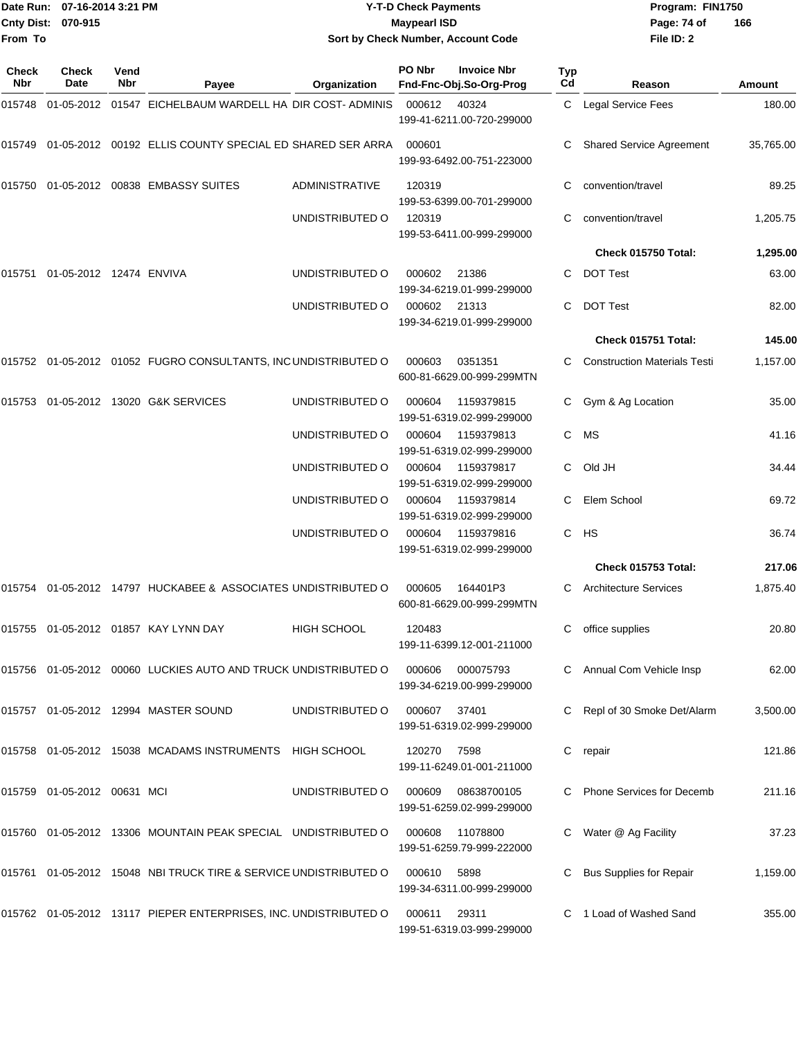|              |                                | Date Run: 07-16-2014 3:21 PM<br><b>Y-T-D Check Payments</b> |                                                                     | Program: FIN1750                   |                     |                                                 |                  |                                     |               |
|--------------|--------------------------------|-------------------------------------------------------------|---------------------------------------------------------------------|------------------------------------|---------------------|-------------------------------------------------|------------------|-------------------------------------|---------------|
| From To      | Cnty Dist: 070-915             |                                                             |                                                                     | Sort by Check Number, Account Code | <b>Maypearl ISD</b> |                                                 |                  | Page: 74 of<br>File ID: 2           | 166           |
| Check<br>Nbr | Check<br>Date                  | Vend<br>Nbr                                                 | Payee                                                               | Organization                       | PO Nbr              | <b>Invoice Nbr</b><br>Fnd-Fnc-Obj.So-Org-Prog   | <b>Typ</b><br>Cd | Reason                              | <b>Amount</b> |
| 015748       |                                |                                                             | 01-05-2012 01547 EICHELBAUM WARDELL HA DIR COST- ADMINIS            |                                    | 000612              | 40324<br>199-41-6211.00-720-299000              | C                | Legal Service Fees                  | 180.00        |
|              |                                |                                                             | 015749  01-05-2012  00192  ELLIS COUNTY SPECIAL ED SHARED SER ARRA  |                                    | 000601              | 199-93-6492.00-751-223000                       | C                | <b>Shared Service Agreement</b>     | 35,765.00     |
|              |                                |                                                             | 015750 01-05-2012 00838 EMBASSY SUITES                              | ADMINISTRATIVE                     | 120319              | 199-53-6399.00-701-299000                       |                  | convention/travel                   | 89.25         |
|              |                                |                                                             |                                                                     | UNDISTRIBUTED O                    | 120319              | 199-53-6411.00-999-299000                       | С                | convention/travel                   | 1,205.75      |
|              |                                |                                                             |                                                                     |                                    |                     |                                                 |                  | Check 015750 Total:                 | 1,295.00      |
|              | 015751 01-05-2012 12474 ENVIVA |                                                             |                                                                     | UNDISTRIBUTED O                    | 000602              | 21386<br>199-34-6219.01-999-299000              |                  | C DOT Test                          | 63.00         |
|              |                                |                                                             |                                                                     | UNDISTRIBUTED O                    | 000602              | 21313<br>199-34-6219.01-999-299000              | C.               | <b>DOT Test</b>                     | 82.00         |
|              |                                |                                                             |                                                                     |                                    |                     |                                                 |                  | Check 015751 Total:                 | 145.00        |
|              |                                |                                                             | 015752 01-05-2012 01052 FUGRO CONSULTANTS, INC UNDISTRIBUTED O      |                                    | 000603              | 0351351<br>600-81-6629.00-999-299MTN            |                  | <b>Construction Materials Testi</b> | 1,157.00      |
|              |                                |                                                             | 015753  01-05-2012  13020  G&K SERVICES                             | UNDISTRIBUTED O                    | 000604              | 1159379815<br>199-51-6319.02-999-299000         |                  | Gym & Ag Location                   | 35.00         |
|              |                                |                                                             |                                                                     | UNDISTRIBUTED O                    | 000604              | 1159379813<br>199-51-6319.02-999-299000         | C                | MS                                  | 41.16         |
|              |                                |                                                             |                                                                     | UNDISTRIBUTED O                    | 000604              | 1159379817<br>199-51-6319.02-999-299000         | C                | Old JH                              | 34.44         |
|              |                                |                                                             |                                                                     | UNDISTRIBUTED O                    | 000604              | 1159379814<br>199-51-6319.02-999-299000         | C                | Elem School                         | 69.72         |
|              |                                |                                                             |                                                                     | UNDISTRIBUTED O                    | 000604              | 1159379816<br>199-51-6319.02-999-299000         | C                | HS                                  | 36.74         |
|              |                                |                                                             |                                                                     |                                    |                     |                                                 |                  | Check 015753 Total:                 | 217.06        |
|              |                                |                                                             | 015754 01-05-2012 14797 HUCKABEE & ASSOCIATES UNDISTRIBUTED O       |                                    | 000605              | 164401P3<br>600-81-6629.00-999-299MTN           |                  | C Architecture Services             | 1,875.40      |
|              |                                |                                                             | 015755 01-05-2012 01857 KAY LYNN DAY                                | <b>HIGH SCHOOL</b>                 | 120483              | 199-11-6399.12-001-211000                       |                  | office supplies                     | 20.80         |
|              |                                |                                                             | 015756  01-05-2012  00060  LUCKIES AUTO AND TRUCK UNDISTRIBUTED O   |                                    | 000606              | 000075793<br>199-34-6219.00-999-299000          |                  | C Annual Com Vehicle Insp           | 62.00         |
|              |                                |                                                             | 015757 01-05-2012 12994 MASTER SOUND                                | UNDISTRIBUTED O                    | 000607              | 37401<br>199-51-6319.02-999-299000              |                  | Repl of 30 Smoke Det/Alarm          | 3,500.00      |
|              |                                |                                                             | 015758  01-05-2012  15038  MCADAMS INSTRUMENTS  HIGH SCHOOL         |                                    | 120270              | 7598<br>199-11-6249.01-001-211000               |                  | C repair                            | 121.86        |
|              | 015759 01-05-2012 00631 MCI    |                                                             |                                                                     | UNDISTRIBUTED O                    |                     | 000609 08638700105<br>199-51-6259.02-999-299000 |                  | C Phone Services for Decemb         | 211.16        |
|              |                                |                                                             | 015760  01-05-2012  13306  MOUNTAIN PEAK SPECIAL  UNDISTRIBUTED O   |                                    | 000608              | 11078800<br>199-51-6259.79-999-222000           |                  | C Water @ Ag Facility               | 37.23         |
|              |                                |                                                             | 015761  01-05-2012  15048  NBI TRUCK TIRE & SERVICE UNDISTRIBUTED O |                                    | 000610              | 5898<br>199-34-6311.00-999-299000               |                  | C Bus Supplies for Repair           | 1,159.00      |
|              |                                |                                                             | 015762  01-05-2012  13117  PIEPER ENTERPRISES, INC. UNDISTRIBUTED O |                                    | 000611              | 29311<br>199-51-6319.03-999-299000              |                  | C 1 Load of Washed Sand             | 355.00        |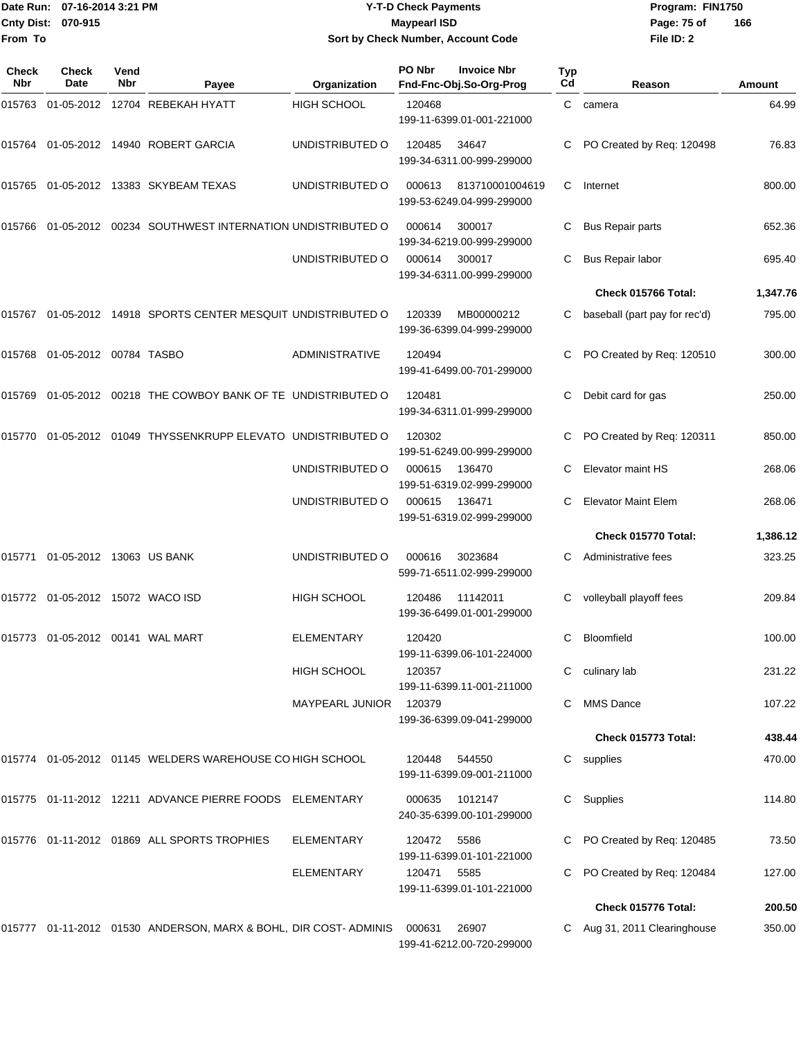|                     |               | Date Run: 07-16-2014 3:21 PM<br><b>Y-T-D Check Payments</b> |                     |                     |                                    |                    |           |        | Program: I |  |
|---------------------|---------------|-------------------------------------------------------------|---------------------|---------------------|------------------------------------|--------------------|-----------|--------|------------|--|
| <b>Cnty Dist:</b>   | 070-915       |                                                             |                     | <b>Maypearl ISD</b> |                                    |                    |           |        |            |  |
| <b>From To</b>      |               |                                                             |                     |                     | Sort by Check Number, Account Code |                    |           |        | File ID: 2 |  |
| <b>Check</b><br>Nbr | Check<br>Date | Vend<br>Nbr                                                 | Pavee               | Organization        | PO Nbr<br>Fnd-Fnc-Obj.So-Org-Prog  | <b>Invoice Nbr</b> | Typ<br>Cd |        | Reason     |  |
| 015763              | 01-05-2012    |                                                             | 12704 REBEKAH HYATT | HIGH SCHOOL         | 120468                             |                    |           | camera |            |  |

**Date Run: Program: FIN1750 File ID: 2 166**

| Check<br>Nbr | <b>Check</b><br><b>Date</b>         | Vend<br>Nbr | Payee                                                            | Organization           | PO Nbr | <b>Invoice Nbr</b><br>Fnd-Fnc-Obj.So-Org-Prog | Typ<br>Cd | Reason                        | Amount   |
|--------------|-------------------------------------|-------------|------------------------------------------------------------------|------------------------|--------|-----------------------------------------------|-----------|-------------------------------|----------|
| 015763       |                                     |             | 01-05-2012 12704 REBEKAH HYATT                                   | <b>HIGH SCHOOL</b>     | 120468 | 199-11-6399.01-001-221000                     | C         | camera                        | 64.99    |
| 015764       |                                     |             | 01-05-2012 14940 ROBERT GARCIA                                   | UNDISTRIBUTED O        | 120485 | 34647<br>199-34-6311.00-999-299000            |           | PO Created by Req: 120498     | 76.83    |
| 015765       |                                     |             | 01-05-2012 13383 SKYBEAM TEXAS                                   | UNDISTRIBUTED O        | 000613 | 813710001004619<br>199-53-6249.04-999-299000  | С         | Internet                      | 800.00   |
| 015766       |                                     |             | 01-05-2012  00234  SOUTHWEST INTERNATION UNDISTRIBUTED O         |                        | 000614 | 300017<br>199-34-6219.00-999-299000           |           | <b>Bus Repair parts</b>       | 652.36   |
|              |                                     |             |                                                                  | UNDISTRIBUTED O        | 000614 | 300017<br>199-34-6311.00-999-299000           | С         | Bus Repair labor              | 695.40   |
|              |                                     |             |                                                                  |                        |        |                                               |           | Check 015766 Total:           | 1,347.76 |
| 015767       |                                     |             | 01-05-2012 14918 SPORTS CENTER MESQUIT UNDISTRIBUTED O           |                        | 120339 | MB00000212<br>199-36-6399.04-999-299000       | С         | baseball (part pay for rec'd) | 795.00   |
| 015768       | 01-05-2012 00784 TASBO              |             |                                                                  | <b>ADMINISTRATIVE</b>  | 120494 | 199-41-6499.00-701-299000                     | С         | PO Created by Req: 120510     | 300.00   |
| 015769       |                                     |             | 01-05-2012 00218 THE COWBOY BANK OF TE UNDISTRIBUTED O           |                        | 120481 | 199-34-6311.01-999-299000                     | С         | Debit card for gas            | 250.00   |
| 015770       |                                     |             | 01-05-2012 01049 THYSSENKRUPP ELEVATO UNDISTRIBUTED O            |                        | 120302 | 199-51-6249.00-999-299000                     | С         | PO Created by Req: 120311     | 850.00   |
|              |                                     |             |                                                                  | UNDISTRIBUTED O        | 000615 | 136470<br>199-51-6319.02-999-299000           | С         | Elevator maint HS             | 268.06   |
|              |                                     |             |                                                                  | UNDISTRIBUTED O        | 000615 | 136471<br>199-51-6319.02-999-299000           | С         | <b>Elevator Maint Elem</b>    | 268.06   |
|              |                                     |             |                                                                  |                        |        |                                               |           | Check 015770 Total:           | 1,386.12 |
| 015771       | 01-05-2012 13063 US BANK            |             |                                                                  | UNDISTRIBUTED O        | 000616 | 3023684<br>599-71-6511.02-999-299000          |           | Administrative fees           | 323.25   |
|              | 015772 01-05-2012 15072 WACO ISD    |             |                                                                  | <b>HIGH SCHOOL</b>     | 120486 | 11142011<br>199-36-6499.01-001-299000         | С         | volleyball playoff fees       | 209.84   |
|              | 015773  01-05-2012  00141  WAL MART |             |                                                                  | <b>ELEMENTARY</b>      | 120420 | 199-11-6399.06-101-224000                     | С         | <b>Bloomfield</b>             | 100.00   |
|              |                                     |             |                                                                  | <b>HIGH SCHOOL</b>     | 120357 | 199-11-6399.11-001-211000                     |           | C culinary lab                | 231.22   |
|              |                                     |             |                                                                  | <b>MAYPEARL JUNIOR</b> | 120379 | 199-36-6399.09-041-299000                     | C         | <b>MMS Dance</b>              | 107.22   |
|              |                                     |             |                                                                  |                        |        |                                               |           | Check 015773 Total:           | 438.44   |
|              |                                     |             | 015774 01-05-2012 01145 WELDERS WAREHOUSE CO HIGH SCHOOL         |                        | 120448 | 544550<br>199-11-6399.09-001-211000           |           | C supplies                    | 470.00   |
|              |                                     |             | 015775  01-11-2012  12211  ADVANCE PIERRE FOODS  ELEMENTARY      |                        | 000635 | 1012147<br>240-35-6399.00-101-299000          |           | C Supplies                    | 114.80   |
|              |                                     |             | 015776 01-11-2012 01869 ALL SPORTS TROPHIES                      | ELEMENTARY             | 120472 | 5586<br>199-11-6399.01-101-221000             |           | PO Created by Req: 120485     | 73.50    |
|              |                                     |             |                                                                  | ELEMENTARY             | 120471 | 5585<br>199-11-6399.01-101-221000             |           | PO Created by Req: 120484     | 127.00   |
|              |                                     |             |                                                                  |                        |        |                                               |           | Check 015776 Total:           | 200.50   |
|              |                                     |             | 015777 01-11-2012 01530 ANDERSON, MARX & BOHL, DIR COST- ADMINIS |                        | 000631 | 26907<br>199-41-6212.00-720-299000            |           | C Aug 31, 2011 Clearinghouse  | 350.00   |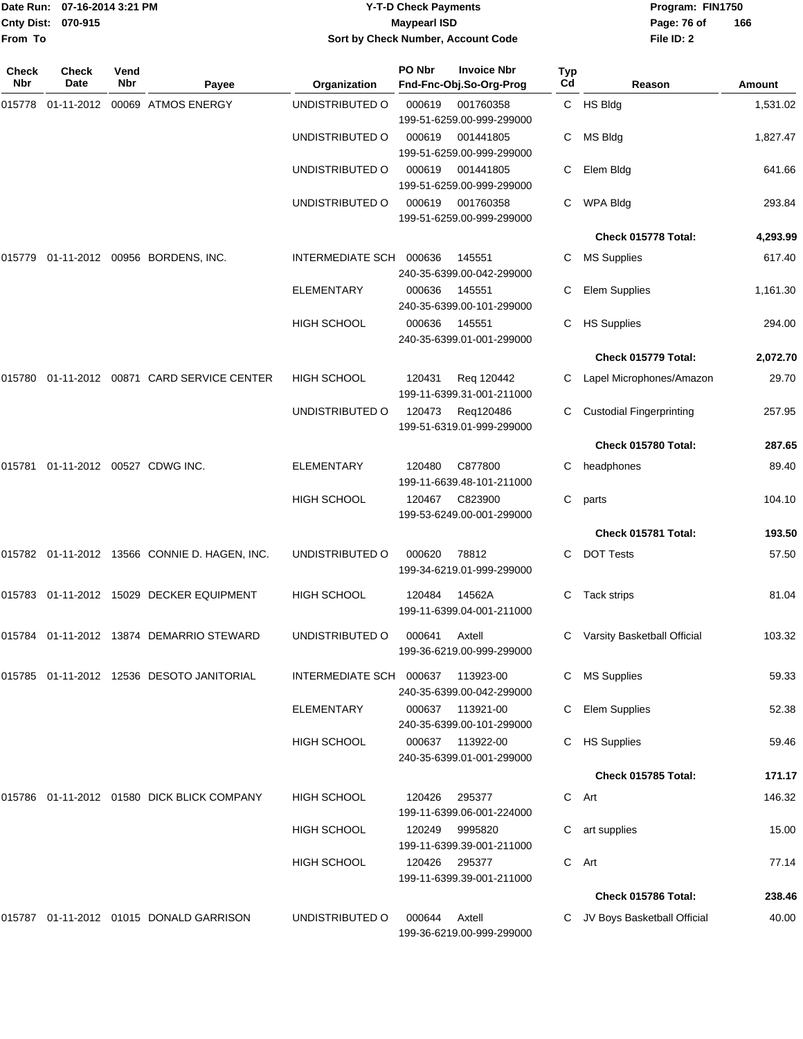| From To             | Date Run: 07-16-2014 3:21 PM<br><b>Cnty Dist:</b><br>070-915 |             |                                               | Sort by Check Number, Account Code | <b>Y-T-D Check Payments</b><br><b>Maypearl ISD</b> | Program: FIN1750<br>Page: 76 of<br>File ID: 2                       | 166       |                                 |          |
|---------------------|--------------------------------------------------------------|-------------|-----------------------------------------------|------------------------------------|----------------------------------------------------|---------------------------------------------------------------------|-----------|---------------------------------|----------|
| <b>Check</b><br>Nbr | <b>Check</b><br>Date                                         | Vend<br>Nbr | Payee                                         | Organization                       | PO Nbr                                             | <b>Invoice Nbr</b><br>Fnd-Fnc-Obj.So-Org-Prog                       | Typ<br>Cd | Reason                          | Amount   |
| 015778              | 01-11-2012                                                   |             | 00069 ATMOS ENERGY                            | UNDISTRIBUTED O                    | 000619                                             | 001760358                                                           |           | C HS Bldg                       | 1,531.02 |
|                     |                                                              |             |                                               | UNDISTRIBUTED O                    | 000619                                             | 199-51-6259.00-999-299000<br>001441805<br>199-51-6259.00-999-299000 | С         | MS Bldg                         | 1,827.47 |
|                     |                                                              |             |                                               | UNDISTRIBUTED O                    | 000619                                             | 001441805<br>199-51-6259.00-999-299000                              | С         | Elem Bldg                       | 641.66   |
|                     |                                                              |             |                                               | UNDISTRIBUTED O                    | 000619                                             | 001760358<br>199-51-6259.00-999-299000                              | С         | <b>WPA Bldg</b>                 | 293.84   |
|                     |                                                              |             |                                               |                                    |                                                    |                                                                     |           | Check 015778 Total:             | 4,293.99 |
| 015779              |                                                              |             | 01-11-2012 00956 BORDENS, INC.                | <b>INTERMEDIATE SCH</b>            | 000636                                             | 145551<br>240-35-6399.00-042-299000                                 | С         | <b>MS Supplies</b>              | 617.40   |
|                     |                                                              |             |                                               | <b>ELEMENTARY</b>                  | 000636                                             | 145551<br>240-35-6399.00-101-299000                                 | С         | Elem Supplies                   | 1,161.30 |
|                     |                                                              |             |                                               | <b>HIGH SCHOOL</b>                 | 000636                                             | 145551<br>240-35-6399.01-001-299000                                 | С         | <b>HS Supplies</b>              | 294.00   |
|                     |                                                              |             |                                               |                                    |                                                    |                                                                     |           | Check 015779 Total:             | 2,072.70 |
| 015780              |                                                              |             | 01-11-2012 00871 CARD SERVICE CENTER          | <b>HIGH SCHOOL</b>                 | 120431                                             | Reg 120442<br>199-11-6399.31-001-211000                             |           | Lapel Microphones/Amazon        | 29.70    |
|                     |                                                              |             |                                               | UNDISTRIBUTED O                    | 120473                                             | Reg120486<br>199-51-6319.01-999-299000                              | С         | <b>Custodial Fingerprinting</b> | 257.95   |
|                     |                                                              |             |                                               |                                    |                                                    |                                                                     |           | Check 015780 Total:             | 287.65   |
| 015781              | 01-11-2012 00527 CDWG INC.                                   |             |                                               | <b>ELEMENTARY</b>                  | 120480                                             | C877800<br>199-11-6639.48-101-211000                                | С         | headphones                      | 89.40    |
|                     |                                                              |             |                                               | <b>HIGH SCHOOL</b>                 | 120467                                             | C823900<br>199-53-6249.00-001-299000                                | С         | parts                           | 104.10   |
|                     |                                                              |             |                                               |                                    |                                                    |                                                                     |           | Check 015781 Total:             | 193.50   |
|                     |                                                              |             | 015782 01-11-2012 13566 CONNIE D. HAGEN, INC. | UNDISTRIBUTED O                    | 000620                                             | 78812<br>199-34-6219.01-999-299000                                  | С         | <b>DOT Tests</b>                | 57.50    |
|                     |                                                              |             | 015783 01-11-2012 15029 DECKER EQUIPMENT      | HIGH SCHOOL                        | 120484                                             | 14562A<br>199-11-6399.04-001-211000                                 |           | C Tack strips                   | 81.04    |
|                     |                                                              |             | 015784 01-11-2012 13874 DEMARRIO STEWARD      | UNDISTRIBUTED O                    | 000641                                             | Axtell<br>199-36-6219.00-999-299000                                 |           | Varsity Basketball Official     | 103.32   |
|                     |                                                              |             | 015785 01-11-2012 12536 DESOTO JANITORIAL     | INTERMEDIATE SCH 000637            |                                                    | 113923-00<br>240-35-6399.00-042-299000                              | C         | <b>MS Supplies</b>              | 59.33    |
|                     |                                                              |             |                                               | ELEMENTARY                         |                                                    | 000637 113921-00<br>240-35-6399.00-101-299000                       |           | <b>Elem Supplies</b>            | 52.38    |
|                     |                                                              |             |                                               | <b>HIGH SCHOOL</b>                 | 000637                                             | 113922-00<br>240-35-6399.01-001-299000                              |           | <b>HS Supplies</b>              | 59.46    |
|                     |                                                              |             |                                               |                                    |                                                    |                                                                     |           | Check 015785 Total:             | 171.17   |
|                     |                                                              |             | 015786 01-11-2012 01580 DICK BLICK COMPANY    | HIGH SCHOOL                        | 120426                                             | 295377<br>199-11-6399.06-001-224000                                 |           | C Art                           | 146.32   |
|                     |                                                              |             |                                               | <b>HIGH SCHOOL</b>                 | 120249                                             | 9995820<br>199-11-6399.39-001-211000                                |           | C art supplies                  | 15.00    |
|                     |                                                              |             |                                               | <b>HIGH SCHOOL</b>                 | 120426                                             | 295377<br>199-11-6399.39-001-211000                                 |           | C Art                           | 77.14    |
|                     |                                                              |             |                                               |                                    |                                                    |                                                                     |           | Check 015786 Total:             | 238.46   |
|                     |                                                              |             | 015787 01-11-2012 01015 DONALD GARRISON       | UNDISTRIBUTED O                    | 000644                                             | Axtell<br>199-36-6219.00-999-299000                                 |           | C JV Boys Basketball Official   | 40.00    |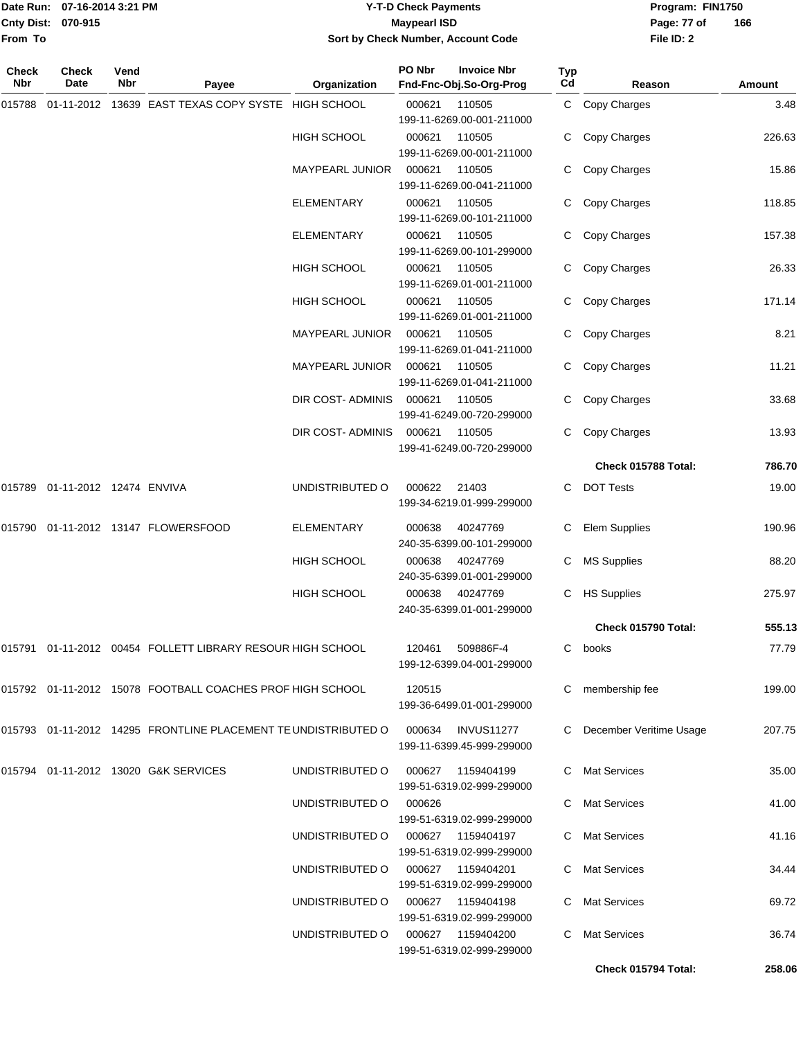|                    | Date Run: 07-16-2014 3:21 PM |
|--------------------|------------------------------|
| Cnty Dist: 070-915 |                              |
| <b>From To</b>     |                              |

#### **Date Run: Program: FIN1750 07-16-2014 3:21 PM Y-T-D Check Payments Cnty Dist: Page: 77 of 070-915 Maypearl ISD Sort by Check Number, Account Code**

| Check<br>Nbr | <b>Check</b><br>Date           | Vend<br>Nbr | Payee                                                                            | Organization                         | PO Nbr | <b>Invoice Nbr</b><br>Fnd-Fnc-Obj.So-Org-Prog  | Typ<br>Cd | Reason                    | <b>Amount</b> |
|--------------|--------------------------------|-------------|----------------------------------------------------------------------------------|--------------------------------------|--------|------------------------------------------------|-----------|---------------------------|---------------|
| 015788       | 01-11-2012                     |             | 13639 EAST TEXAS COPY SYSTE HIGH SCHOOL                                          |                                      | 000621 | 110505<br>199-11-6269.00-001-211000            |           | C Copy Charges            | 3.48          |
|              |                                |             |                                                                                  | <b>HIGH SCHOOL</b>                   | 000621 | 110505<br>199-11-6269.00-001-211000            | C         | Copy Charges              | 226.63        |
|              |                                |             |                                                                                  | <b>MAYPEARL JUNIOR</b>               | 000621 | 110505<br>199-11-6269.00-041-211000            |           | Copy Charges              | 15.86         |
|              |                                |             |                                                                                  | ELEMENTARY                           | 000621 | 110505<br>199-11-6269.00-101-211000            | C         | Copy Charges              | 118.85        |
|              |                                |             |                                                                                  | ELEMENTARY                           | 000621 | 110505<br>199-11-6269.00-101-299000            |           | C Copy Charges            | 157.38        |
|              |                                |             |                                                                                  | <b>HIGH SCHOOL</b>                   | 000621 | 110505<br>199-11-6269.01-001-211000            | C         | Copy Charges              | 26.33         |
|              |                                |             |                                                                                  | HIGH SCHOOL                          | 000621 | 110505<br>199-11-6269.01-001-211000            | C         | Copy Charges              | 171.14        |
|              |                                |             |                                                                                  | <b>MAYPEARL JUNIOR</b>               | 000621 | 110505<br>199-11-6269.01-041-211000            |           | C Copy Charges            | 8.21          |
|              |                                |             |                                                                                  | MAYPEARL JUNIOR                      | 000621 | 110505<br>199-11-6269.01-041-211000            |           | Copy Charges              | 11.21         |
|              |                                |             |                                                                                  | DIR COST- ADMINIS                    | 000621 | 110505<br>199-41-6249.00-720-299000            |           | Copy Charges              | 33.68         |
|              |                                |             |                                                                                  | DIR COST-ADMINIS                     | 000621 | 110505<br>199-41-6249.00-720-299000            | C.        | Copy Charges              | 13.93         |
|              |                                |             |                                                                                  |                                      |        |                                                |           | Check 015788 Total:       | 786.70        |
|              | 015789 01-11-2012 12474 ENVIVA |             |                                                                                  | UNDISTRIBUTED O                      | 000622 | 21403<br>199-34-6219.01-999-299000             | C.        | <b>DOT Tests</b>          | 19.00         |
|              |                                |             | 015790  01-11-2012  13147  FLOWERSFOOD                                           | ELEMENTARY                           | 000638 | 40247769<br>240-35-6399.00-101-299000          | C.        | <b>Elem Supplies</b>      | 190.96        |
|              |                                |             |                                                                                  | <b>HIGH SCHOOL</b>                   | 000638 | 40247769<br>240-35-6399.01-001-299000          | C         | <b>MS Supplies</b>        | 88.20         |
|              |                                |             |                                                                                  | HIGH SCHOOL                          | 000638 | 40247769<br>240-35-6399.01-001-299000          |           | C HS Supplies             | 275.97        |
|              |                                |             |                                                                                  |                                      |        |                                                |           | Check 015790 Total:       | 555.13        |
|              |                                |             | 015791 01-11-2012 00454 FOLLETT LIBRARY RESOUR HIGH SCHOOL                       |                                      |        | 120461 509886F-4<br>199-12-6399.04-001-299000  |           | C books                   | 77.79         |
|              |                                |             | 015792 01-11-2012 15078 FOOTBALL COACHES PROF HIGH SCHOOL                        |                                      | 120515 | 199-36-6499.01-001-299000                      |           | C membership fee          | 199.00        |
|              |                                |             | 015793 01-11-2012 14295 FRONTLINE PLACEMENT TE UNDISTRIBUTED O 000634 INVUS11277 |                                      |        | 199-11-6399.45-999-299000                      |           | C December Veritime Usage | 207.75        |
|              |                                |             | 015794 01-11-2012 13020 G&K SERVICES                                             | UNDISTRIBUTED O                      |        | 000627 1159404199<br>199-51-6319.02-999-299000 |           | C Mat Services            | 35.00         |
|              |                                |             |                                                                                  | UNDISTRIBUTED O                      | 000626 | 199-51-6319.02-999-299000                      |           | C Mat Services            | 41.00         |
|              |                                |             |                                                                                  | UNDISTRIBUTED O 000627 1159404197    |        | 199-51-6319.02-999-299000                      |           | C Mat Services            | 41.16         |
|              |                                |             |                                                                                  | UNDISTRIBUTED 0 000627 1159404201    |        | 199-51-6319.02-999-299000                      |           | C Mat Services            | 34.44         |
|              |                                |             |                                                                                  | UNDISTRIBUTED O 000627 1159404198    |        | 199-51-6319.02-999-299000                      |           | C Mat Services            | 69.72         |
|              |                                |             |                                                                                  | UNDISTRIBUTED O   000627  1159404200 |        | 199-51-6319.02-999-299000                      | C.        | <b>Mat Services</b>       | 36.74         |
|              |                                |             |                                                                                  |                                      |        |                                                |           | Check 015794 Total:       | 258.06        |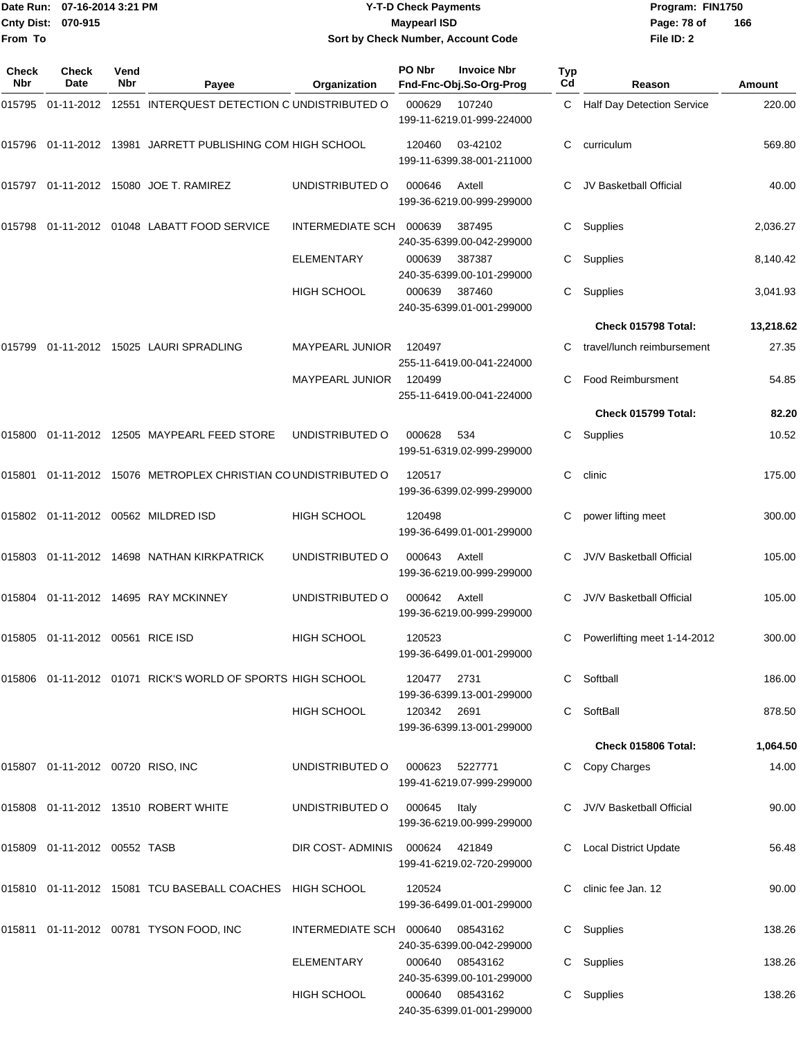|                     | Date Run: 07-16-2014 3:21 PM         |             |                                                                | <b>Y-T-D Check Payments</b>        |                     |                                               | Program: FIN1750 |                                   |           |
|---------------------|--------------------------------------|-------------|----------------------------------------------------------------|------------------------------------|---------------------|-----------------------------------------------|------------------|-----------------------------------|-----------|
| From To             | Cnty Dist: 070-915                   |             |                                                                | Sort by Check Number, Account Code | <b>Maypearl ISD</b> |                                               |                  | Page: 78 of<br>File ID: 2         | 166       |
| <b>Check</b><br>Nbr | Check<br>Date                        | Vend<br>Nbr | Payee                                                          | Organization                       | PO Nbr              | <b>Invoice Nbr</b><br>Fnd-Fnc-Obj.So-Org-Prog | Typ<br>Cd        | Reason                            | Amount    |
|                     |                                      |             | 015795 01-11-2012 12551 INTERQUEST DETECTION C UNDISTRIBUTED O |                                    | 000629              | 107240<br>199-11-6219.01-999-224000           | C                | <b>Half Day Detection Service</b> | 220.00    |
|                     |                                      |             | 015796 01-11-2012 13981 JARRETT PUBLISHING COM HIGH SCHOOL     |                                    | 120460              | 03-42102<br>199-11-6399.38-001-211000         | С                | curriculum                        | 569.80    |
|                     |                                      |             | 015797  01-11-2012  15080  JOE T. RAMIREZ                      | UNDISTRIBUTED O                    | 000646              | Axtell<br>199-36-6219.00-999-299000           |                  | JV Basketball Official            | 40.00     |
| 015798              |                                      |             | 01-11-2012 01048 LABATT FOOD SERVICE                           | INTERMEDIATE SCH                   | 000639              | 387495<br>240-35-6399.00-042-299000           | С                | Supplies                          | 2,036.27  |
|                     |                                      |             |                                                                | <b>ELEMENTARY</b>                  | 000639              | 387387<br>240-35-6399.00-101-299000           | С                | Supplies                          | 8,140.42  |
|                     |                                      |             |                                                                | HIGH SCHOOL                        | 000639              | 387460<br>240-35-6399.01-001-299000           | С                | Supplies                          | 3,041.93  |
|                     |                                      |             |                                                                |                                    |                     |                                               |                  | Check 015798 Total:               | 13,218.62 |
| 015799              |                                      |             | 01-11-2012    15025    LAURI SPRADLING                         | <b>MAYPEARL JUNIOR</b>             | 120497              | 255-11-6419.00-041-224000                     |                  | travel/lunch reimbursement        | 27.35     |
|                     |                                      |             |                                                                | MAYPEARL JUNIOR                    | 120499              | 255-11-6419.00-041-224000                     | С                | <b>Food Reimbursment</b>          | 54.85     |
|                     |                                      |             |                                                                |                                    |                     |                                               |                  | Check 015799 Total:               | 82.20     |
|                     |                                      |             | 015800  01-11-2012  12505  MAYPEARL FEED STORE                 | UNDISTRIBUTED O                    | 000628              | 534<br>199-51-6319.02-999-299000              | С                | Supplies                          | 10.52     |
| 015801              |                                      |             | 01-11-2012 15076 METROPLEX CHRISTIAN COUNDISTRIBUTED O         |                                    | 120517              | 199-36-6399.02-999-299000                     | C                | clinic                            | 175.00    |
|                     |                                      |             | 015802  01-11-2012  00562  MILDRED ISD                         | <b>HIGH SCHOOL</b>                 | 120498              | 199-36-6499.01-001-299000                     |                  | power lifting meet                | 300.00    |
| 015803              |                                      |             | 01-11-2012 14698 NATHAN KIRKPATRICK                            | UNDISTRIBUTED O                    | 000643              | Axtell<br>199-36-6219.00-999-299000           | С                | <b>JV/V Basketball Official</b>   | 105.00    |
|                     |                                      |             | 015804 01-11-2012 14695 RAY MCKINNEY                           | UNDISTRIBUTED O                    | 000642              | Axtell<br>199-36-6219.00-999-299000           |                  | C JV/V Basketball Official        | 105.00    |
|                     | 015805 01-11-2012 00561 RICE ISD     |             |                                                                | <b>HIGH SCHOOL</b>                 | 120523              | 199-36-6499.01-001-299000                     |                  | Powerlifting meet 1-14-2012       | 300.00    |
|                     |                                      |             | 015806 01-11-2012 01071 RICK'S WORLD OF SPORTS HIGH SCHOOL     |                                    | 120477              | 2731<br>199-36-6399.13-001-299000             |                  | C Softball                        | 186.00    |
|                     |                                      |             |                                                                | <b>HIGH SCHOOL</b>                 | 120342 2691         | 199-36-6399.13-001-299000                     |                  | C SoftBall                        | 878.50    |
|                     |                                      |             |                                                                |                                    |                     |                                               |                  | Check 015806 Total:               | 1,064.50  |
|                     | 015807  01-11-2012  00720  RISO, INC |             |                                                                | UNDISTRIBUTED O                    | 000623 5227771      | 199-41-6219.07-999-299000                     |                  | C Copy Charges                    | 14.00     |
|                     |                                      |             | 015808  01-11-2012  13510  ROBERT WHITE                        | UNDISTRIBUTED O                    | 000645              | Italy<br>199-36-6219.00-999-299000            |                  | C JV/V Basketball Official        | 90.00     |
|                     | 015809  01-11-2012  00552  TASB      |             |                                                                | DIR COST-ADMINIS 000624            |                     | 421849<br>199-41-6219.02-720-299000           |                  | C Local District Update           | 56.48     |
|                     |                                      |             | 015810  01-11-2012  15081  TCU BASEBALL COACHES  HIGH SCHOOL   |                                    | 120524              | 199-36-6499.01-001-299000                     |                  | C clinic fee Jan. 12              | 90.00     |
|                     |                                      |             | 015811 01-11-2012 00781 TYSON FOOD, INC                        | INTERMEDIATE SCH 000640            |                     | 08543162<br>240-35-6399.00-042-299000         |                  | C Supplies                        | 138.26    |
|                     |                                      |             |                                                                | <b>ELEMENTARY</b>                  |                     | 000640 08543162                               |                  | C Supplies                        | 138.26    |

240-35-6399.00-101-299000

240-35-6399.01-001-299000

HIGH SCHOOL 000640 08543162 C Supplies 138.26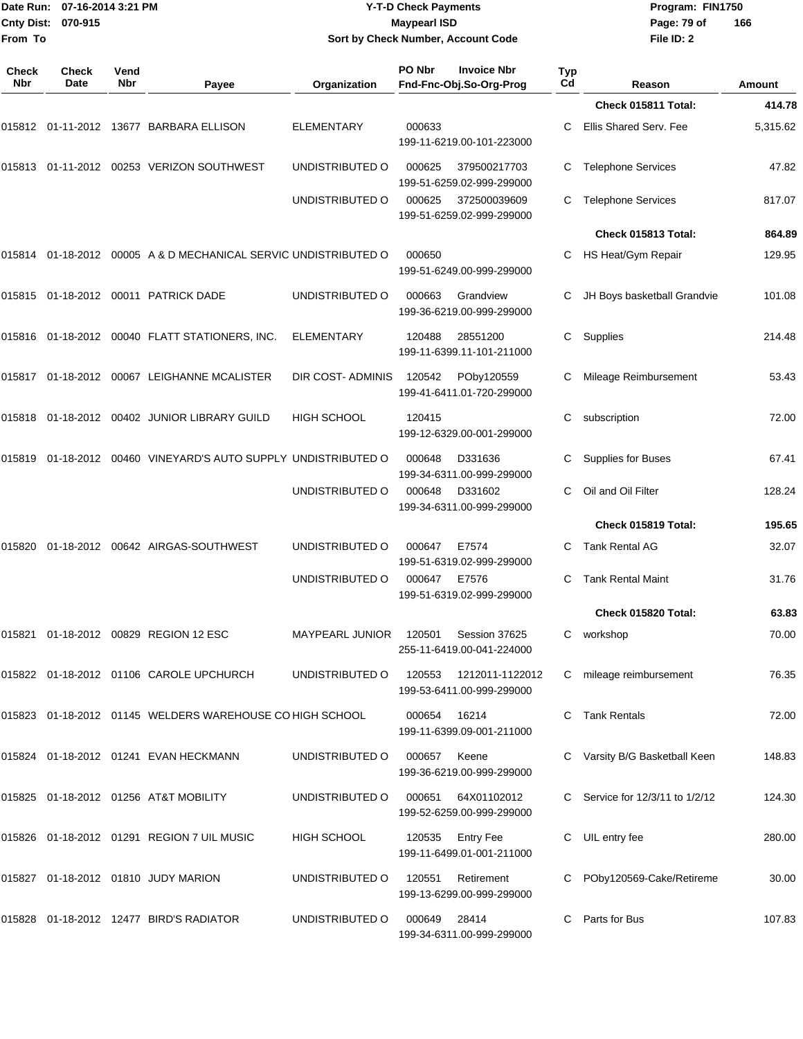|              | Date Run: 07-16-2014 3:21 PM |                    |                                                                 | <b>Y-T-D Check Payments</b>                               | Program: FIN1750 |                                               |           |                                 |               |
|--------------|------------------------------|--------------------|-----------------------------------------------------------------|-----------------------------------------------------------|------------------|-----------------------------------------------|-----------|---------------------------------|---------------|
| From To      | Cnty Dist: 070-915           |                    |                                                                 | <b>Maypearl ISD</b><br>Sort by Check Number, Account Code |                  |                                               |           | Page: 79 of<br>File ID: 2       | 166           |
| Check<br>Nbr | Check<br>Date                | Vend<br><b>Nbr</b> | Payee                                                           | Organization                                              | PO Nbr           | <b>Invoice Nbr</b><br>Fnd-Fnc-Obj.So-Org-Prog | Typ<br>Cd | Reason                          | <b>Amount</b> |
|              |                              |                    |                                                                 |                                                           |                  |                                               |           | Check 015811 Total:             | 414.78        |
|              |                              |                    | 015812 01-11-2012 13677 BARBARA ELLISON                         | ELEMENTARY                                                | 000633           | 199-11-6219.00-101-223000                     | С         | Ellis Shared Serv. Fee          | 5,315.62      |
|              |                              |                    | 015813  01-11-2012  00253  VERIZON SOUTHWEST                    | UNDISTRIBUTED O                                           | 000625           | 379500217703<br>199-51-6259.02-999-299000     | С         | <b>Telephone Services</b>       | 47.82         |
|              |                              |                    |                                                                 | UNDISTRIBUTED O                                           | 000625           | 372500039609<br>199-51-6259.02-999-299000     | С         | <b>Telephone Services</b>       | 817.07        |
|              |                              |                    |                                                                 |                                                           |                  |                                               |           | Check 015813 Total:             | 864.89        |
|              |                              |                    | 015814 01-18-2012 00005 A & D MECHANICAL SERVIC UNDISTRIBUTED O |                                                           | 000650           | 199-51-6249.00-999-299000                     | C         | HS Heat/Gym Repair              | 129.95        |
|              |                              |                    | 015815 01-18-2012 00011 PATRICK DADE                            | UNDISTRIBUTED O                                           | 000663           | Grandview<br>199-36-6219.00-999-299000        |           | JH Boys basketball Grandvie     | 101.08        |
|              |                              |                    | 015816  01-18-2012  00040  FLATT STATIONERS, INC.               | ELEMENTARY                                                | 120488           | 28551200<br>199-11-6399.11-101-211000         | C         | Supplies                        | 214.48        |
|              |                              |                    | 015817 01-18-2012 00067 LEIGHANNE MCALISTER                     | DIR COST- ADMINIS                                         | 120542           | POby120559<br>199-41-6411.01-720-299000       | С         | Mileage Reimbursement           | 53.43         |
|              |                              |                    | 015818  01-18-2012  00402  JUNIOR LIBRARY GUILD                 | <b>HIGH SCHOOL</b>                                        | 120415           | 199-12-6329.00-001-299000                     | С         | subscription                    | 72.00         |
| 015819       |                              |                    | 01-18-2012 00460 VINEYARD'S AUTO SUPPLY UNDISTRIBUTED O         |                                                           | 000648           | D331636<br>199-34-6311.00-999-299000          | С         | Supplies for Buses              | 67.41         |
|              |                              |                    |                                                                 | UNDISTRIBUTED O                                           | 000648           | D331602<br>199-34-6311.00-999-299000          | С         | Oil and Oil Filter              | 128.24        |
|              |                              |                    |                                                                 |                                                           |                  |                                               |           | Check 015819 Total:             | 195.65        |
| 015820       |                              |                    | 01-18-2012 00642 AIRGAS-SOUTHWEST                               | UNDISTRIBUTED O                                           | 000647           | E7574<br>199-51-6319.02-999-299000            | C         | <b>Tank Rental AG</b>           | 32.07         |
|              |                              |                    |                                                                 | UNDISTRIBUTED O                                           | 000647           | E7576<br>199-51-6319.02-999-299000            | C         | <b>Tank Rental Maint</b>        | 31.76         |
|              |                              |                    |                                                                 |                                                           |                  |                                               |           | Check 015820 Total:             | 63.83         |
|              |                              |                    | 015821 01-18-2012 00829 REGION 12 ESC                           | MAYPEARL JUNIOR                                           | 120501           | Session 37625<br>255-11-6419.00-041-224000    |           | C workshop                      | 70.00         |
|              |                              |                    | 015822 01-18-2012 01106 CAROLE UPCHURCH                         | UNDISTRIBUTED O                                           | 120553           | 1212011-1122012<br>199-53-6411.00-999-299000  |           | mileage reimbursement           | 76.35         |
|              |                              |                    | 015823 01-18-2012 01145 WELDERS WAREHOUSE CO HIGH SCHOOL        |                                                           | 000654           | 16214<br>199-11-6399.09-001-211000            |           | C Tank Rentals                  | 72.00         |
|              |                              |                    | 015824 01-18-2012 01241 EVAN HECKMANN                           | UNDISTRIBUTED O                                           | 000657           | Keene<br>199-36-6219.00-999-299000            |           | C Varsity B/G Basketball Keen   | 148.83        |
|              |                              |                    | 015825 01-18-2012 01256 AT&T MOBILITY                           | UNDISTRIBUTED O                                           | 000651           | 64X01102012<br>199-52-6259.00-999-299000      |           | C Service for 12/3/11 to 1/2/12 | 124.30        |
|              |                              |                    | 015826 01-18-2012 01291 REGION 7 UIL MUSIC                      | HIGH SCHOOL                                               |                  | 120535 Entry Fee<br>199-11-6499.01-001-211000 | C         | UIL entry fee                   | 280.00        |
|              |                              |                    | 015827 01-18-2012 01810 JUDY MARION                             | UNDISTRIBUTED O                                           | 120551           | Retirement<br>199-13-6299.00-999-299000       |           | C POby120569-Cake/Retireme      | 30.00         |
|              |                              |                    | 015828 01-18-2012 12477 BIRD'S RADIATOR                         | UNDISTRIBUTED O                                           | 000649           | 28414<br>199-34-6311.00-999-299000            | C         | Parts for Bus                   | 107.83        |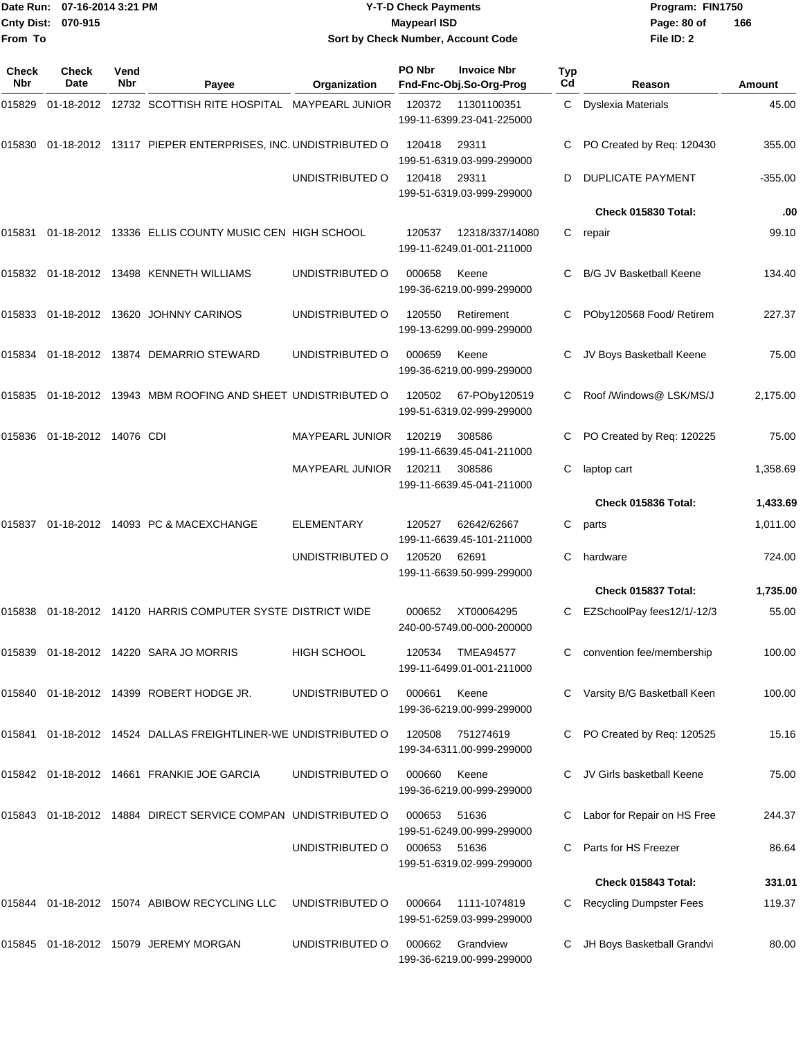|                    | Date Run: 07-16-2014 3:21 PM |
|--------------------|------------------------------|
| Cnty Dist: 070-915 |                              |
| From To            |                              |

## **Date Run: Program: FIN1750 07-16-2014 3:21 PM Y-T-D Check Payments Cnty Dist: Page: 80 of 070-915 Maypearl ISD Sort by Check Number, Account Code**

| Check<br><b>Nbr</b> | <b>Check</b><br>Date | Vend<br><b>Nbr</b> | Payee                                                         | Organization           | PO Nbr | <b>Invoice Nbr</b><br>Fnd-Fnc-Obj.So-Org-Prog | Typ<br>Cd | Reason                         | Amount    |
|---------------------|----------------------|--------------------|---------------------------------------------------------------|------------------------|--------|-----------------------------------------------|-----------|--------------------------------|-----------|
| 015829              |                      |                    | 01-18-2012 12732 SCOTTISH RITE HOSPITAL MAYPEARL JUNIOR       |                        | 120372 | 11301100351<br>199-11-6399.23-041-225000      |           | C Dyslexia Materials           | 45.00     |
| 015830              |                      |                    | 01-18-2012 13117 PIEPER ENTERPRISES, INC. UNDISTRIBUTED O     |                        | 120418 | 29311<br>199-51-6319.03-999-299000            |           | PO Created by Req: 120430      | 355.00    |
|                     |                      |                    |                                                               | UNDISTRIBUTED O        | 120418 | 29311<br>199-51-6319.03-999-299000            | D         | <b>DUPLICATE PAYMENT</b>       | $-355.00$ |
|                     |                      |                    |                                                               |                        |        |                                               |           | Check 015830 Total:            | .00       |
|                     |                      |                    | 015831  01-18-2012  13336  ELLIS COUNTY MUSIC CEN HIGH SCHOOL |                        | 120537 | 12318/337/14080<br>199-11-6249.01-001-211000  | С         | repair                         | 99.10     |
|                     |                      |                    | 015832  01-18-2012  13498  KENNETH WILLIAMS                   | UNDISTRIBUTED O        | 000658 | Keene<br>199-36-6219.00-999-299000            | C         | <b>B/G JV Basketball Keene</b> | 134.40    |
| 015833              |                      |                    | 01-18-2012 13620 JOHNNY CARINOS                               | UNDISTRIBUTED O        | 120550 | Retirement<br>199-13-6299.00-999-299000       | C         | POby120568 Food/ Retirem       | 227.37    |
|                     |                      |                    | 015834   01-18-2012   13874   DEMARRIO   STEWARD              | UNDISTRIBUTED O        | 000659 | Keene<br>199-36-6219.00-999-299000            |           | JV Boys Basketball Keene       | 75.00     |
| 015835              |                      |                    | 01-18-2012 13943 MBM ROOFING AND SHEET UNDISTRIBUTED O        |                        | 120502 | 67-POby120519<br>199-51-6319.02-999-299000    |           | Roof /Windows@ LSK/MS/J        | 2,175.00  |
| 015836              | 01-18-2012 14076 CDI |                    |                                                               | <b>MAYPEARL JUNIOR</b> | 120219 | 308586<br>199-11-6639.45-041-211000           | C         | PO Created by Req: 120225      | 75.00     |
|                     |                      |                    |                                                               | <b>MAYPEARL JUNIOR</b> | 120211 | 308586<br>199-11-6639.45-041-211000           | C         | laptop cart                    | 1,358.69  |
|                     |                      |                    |                                                               |                        |        |                                               |           | Check 015836 Total:            | 1,433.69  |
| 015837              |                      |                    | 01-18-2012 14093 PC & MACEXCHANGE                             | <b>ELEMENTARY</b>      | 120527 | 62642/62667<br>199-11-6639.45-101-211000      | С         | parts                          | 1,011.00  |
|                     |                      |                    |                                                               | UNDISTRIBUTED O        | 120520 | 62691<br>199-11-6639.50-999-299000            | C         | hardware                       | 724.00    |
|                     |                      |                    |                                                               |                        |        |                                               |           | Check 015837 Total:            | 1,735.00  |
| 015838              |                      |                    | 01-18-2012 14120 HARRIS COMPUTER SYSTE DISTRICT WIDE          |                        | 000652 | XT00064295<br>240-00-5749.00-000-200000       | С         | EZSchoolPay fees12/1/-12/3     | 55.00     |
|                     |                      |                    | 015839 01-18-2012 14220 SARA JO MORRIS                        | <b>HIGH SCHOOL</b>     | 120534 | <b>TMEA94577</b><br>199-11-6499.01-001-211000 | C         | convention fee/membership      | 100.00    |
|                     |                      |                    | 015840 01-18-2012 14399 ROBERT HODGE JR.                      | UNDISTRIBUTED O        | 000661 | Keene<br>199-36-6219.00-999-299000            |           | Varsity B/G Basketball Keen    | 100.00    |
| 015841              |                      |                    | 01-18-2012  14524  DALLAS FREIGHTLINER-WE UNDISTRIBUTED O     |                        | 120508 | 751274619<br>199-34-6311.00-999-299000        |           | PO Created by Req: 120525      | 15.16     |
|                     |                      |                    | 015842 01-18-2012 14661 FRANKIE JOE GARCIA                    | UNDISTRIBUTED O        | 000660 | Keene<br>199-36-6219.00-999-299000            |           | JV Girls basketball Keene      | 75.00     |
|                     |                      |                    | 015843 01-18-2012 14884 DIRECT SERVICE COMPAN UNDISTRIBUTED O |                        | 000653 | 51636<br>199-51-6249.00-999-299000            |           | Labor for Repair on HS Free    | 244.37    |
|                     |                      |                    |                                                               | UNDISTRIBUTED O        | 000653 | 51636<br>199-51-6319.02-999-299000            | С         | Parts for HS Freezer           | 86.64     |
|                     |                      |                    |                                                               |                        |        |                                               |           | Check 015843 Total:            | 331.01    |
| 015844              |                      |                    | 01-18-2012 15074 ABIBOW RECYCLING LLC                         | UNDISTRIBUTED O        | 000664 | 1111-1074819<br>199-51-6259.03-999-299000     |           | <b>Recycling Dumpster Fees</b> | 119.37    |
|                     |                      |                    | 015845   01-18-2012   15079   JEREMY   MORGAN                 | UNDISTRIBUTED O        | 000662 | Grandview<br>199-36-6219.00-999-299000        | C         | JH Boys Basketball Grandvi     | 80.00     |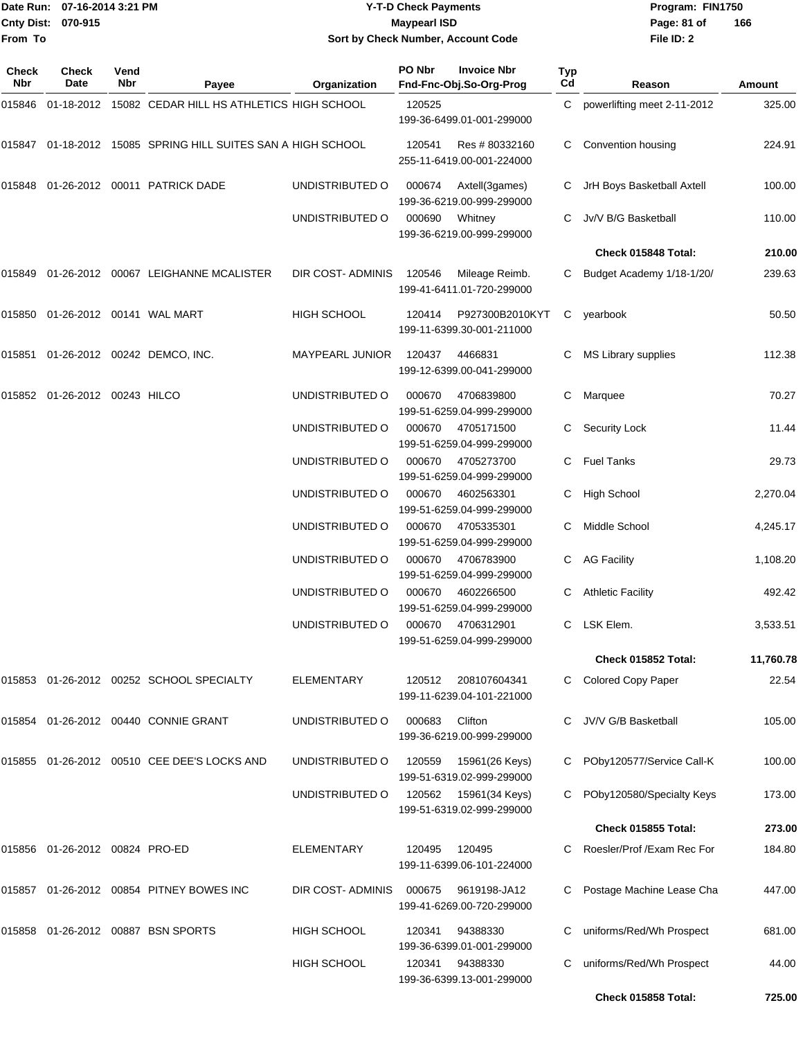|                    | Date Run: 07-16-2014 3:21 PM | <b>Y-T-D Check Payments</b>        | Program: FIN1750 |                |
|--------------------|------------------------------|------------------------------------|------------------|----------------|
| Cnty Dist: 070-915 |                              | <b>Mavpearl ISD</b>                | Page: 81 of      | $\overline{1}$ |
| From To            |                              | Sort by Check Number, Account Code | File ID: 2       |                |

# **Sort by Check Number, Account Code**

| Check<br><b>Nbr</b> | Check<br>Date                 | Vend<br>Nbr | Payee                                                 | Organization       | PO Nbr | <b>Invoice Nbr</b><br>Fnd-Fnc-Obj.So-Org-Prog | Typ<br>C <sub>d</sub> | Reason                        | Amount    |
|---------------------|-------------------------------|-------------|-------------------------------------------------------|--------------------|--------|-----------------------------------------------|-----------------------|-------------------------------|-----------|
| 015846              |                               |             | 01-18-2012 15082 CEDAR HILL HS ATHLETICS HIGH SCHOOL  |                    | 120525 | 199-36-6499.01-001-299000                     |                       | C powerlifting meet 2-11-2012 | 325.00    |
| 015847              |                               |             | 01-18-2012 15085 SPRING HILL SUITES SAN A HIGH SCHOOL |                    | 120541 | Res # 80332160<br>255-11-6419.00-001-224000   | C.                    | Convention housing            | 224.91    |
| 015848              |                               |             | 01-26-2012 00011 PATRICK DADE                         | UNDISTRIBUTED O    | 000674 | Axtell(3games)<br>199-36-6219.00-999-299000   |                       | JrH Boys Basketball Axtell    | 100.00    |
|                     |                               |             |                                                       | UNDISTRIBUTED O    | 000690 | Whitney<br>199-36-6219.00-999-299000          | C.                    | Jv/V B/G Basketball           | 110.00    |
|                     |                               |             |                                                       |                    |        |                                               |                       | Check 015848 Total:           | 210.00    |
| 015849              |                               |             | 01-26-2012 00067 LEIGHANNE MCALISTER                  | DIR COST- ADMINIS  | 120546 | Mileage Reimb.<br>199-41-6411.01-720-299000   | C                     | Budget Academy 1/18-1/20/     | 239.63    |
| 015850              |                               |             |                                                       | <b>HIGH SCHOOL</b> | 120414 | P927300B2010KYT<br>199-11-6399.30-001-211000  | $\mathsf{C}^-$        | yearbook                      | 50.50     |
| 015851              |                               |             | 01-26-2012 00242 DEMCO, INC.                          | MAYPEARL JUNIOR    | 120437 | 4466831<br>199-12-6399.00-041-299000          | С                     | MS Library supplies           | 112.38    |
|                     | 015852 01-26-2012 00243 HILCO |             |                                                       | UNDISTRIBUTED O    | 000670 | 4706839800<br>199-51-6259.04-999-299000       | С                     | Marquee                       | 70.27     |
|                     |                               |             |                                                       | UNDISTRIBUTED O    | 000670 | 4705171500<br>199-51-6259.04-999-299000       |                       | <b>Security Lock</b>          | 11.44     |
|                     |                               |             |                                                       | UNDISTRIBUTED O    | 000670 | 4705273700<br>199-51-6259.04-999-299000       | C.                    | <b>Fuel Tanks</b>             | 29.73     |
|                     |                               |             |                                                       | UNDISTRIBUTED O    | 000670 | 4602563301<br>199-51-6259.04-999-299000       | C                     | <b>High School</b>            | 2,270.04  |
|                     |                               |             |                                                       | UNDISTRIBUTED O    | 000670 | 4705335301<br>199-51-6259.04-999-299000       |                       | Middle School                 | 4,245.17  |
|                     |                               |             |                                                       | UNDISTRIBUTED O    | 000670 | 4706783900<br>199-51-6259.04-999-299000       | С                     | <b>AG Facility</b>            | 1,108.20  |
|                     |                               |             |                                                       | UNDISTRIBUTED O    | 000670 | 4602266500<br>199-51-6259.04-999-299000       |                       | <b>Athletic Facility</b>      | 492.42    |
|                     |                               |             |                                                       | UNDISTRIBUTED O    | 000670 | 4706312901<br>199-51-6259.04-999-299000       | C                     | LSK Elem.                     | 3,533.51  |
|                     |                               |             |                                                       |                    |        |                                               |                       | Check 015852 Total:           | 11,760.78 |
|                     |                               |             | 015853 01-26-2012 00252 SCHOOL SPECIALTY              | <b>ELEMENTARY</b>  | 120512 | 208107604341<br>199-11-6239.04-101-221000     |                       | C Colored Copy Paper          | 22.54     |
| 015854              |                               |             | 01-26-2012 00440 CONNIE GRANT                         | UNDISTRIBUTED O    | 000683 | Clifton<br>199-36-6219.00-999-299000          |                       | JV/V G/B Basketball           | 105.00    |
| 015855              |                               |             | 01-26-2012 00510 CEE DEE'S LOCKS AND                  | UNDISTRIBUTED O    | 120559 | 15961(26 Keys)<br>199-51-6319.02-999-299000   | C                     | POby120577/Service Call-K     | 100.00    |
|                     |                               |             |                                                       | UNDISTRIBUTED O    | 120562 | 15961(34 Keys)<br>199-51-6319.02-999-299000   | С                     | POby120580/Specialty Keys     | 173.00    |
|                     |                               |             |                                                       |                    |        |                                               |                       | Check 015855 Total:           | 273.00    |
|                     |                               |             |                                                       | <b>ELEMENTARY</b>  | 120495 | 120495<br>199-11-6399.06-101-224000           |                       | Roesler/Prof /Exam Rec For    | 184.80    |
| 015857              |                               |             | 01-26-2012 00854 PITNEY BOWES INC                     | DIR COST- ADMINIS  | 000675 | 9619198-JA12<br>199-41-6269.00-720-299000     | C                     | Postage Machine Lease Cha     | 447.00    |
| 015858              |                               |             | 01-26-2012 00887 BSN SPORTS                           | <b>HIGH SCHOOL</b> | 120341 | 94388330<br>199-36-6399.01-001-299000         |                       | uniforms/Red/Wh Prospect      | 681.00    |
|                     |                               |             |                                                       | <b>HIGH SCHOOL</b> | 120341 | 94388330<br>199-36-6399.13-001-299000         | С                     | uniforms/Red/Wh Prospect      | 44.00     |
|                     |                               |             |                                                       |                    |        |                                               |                       | Check 015858 Total:           | 725.00    |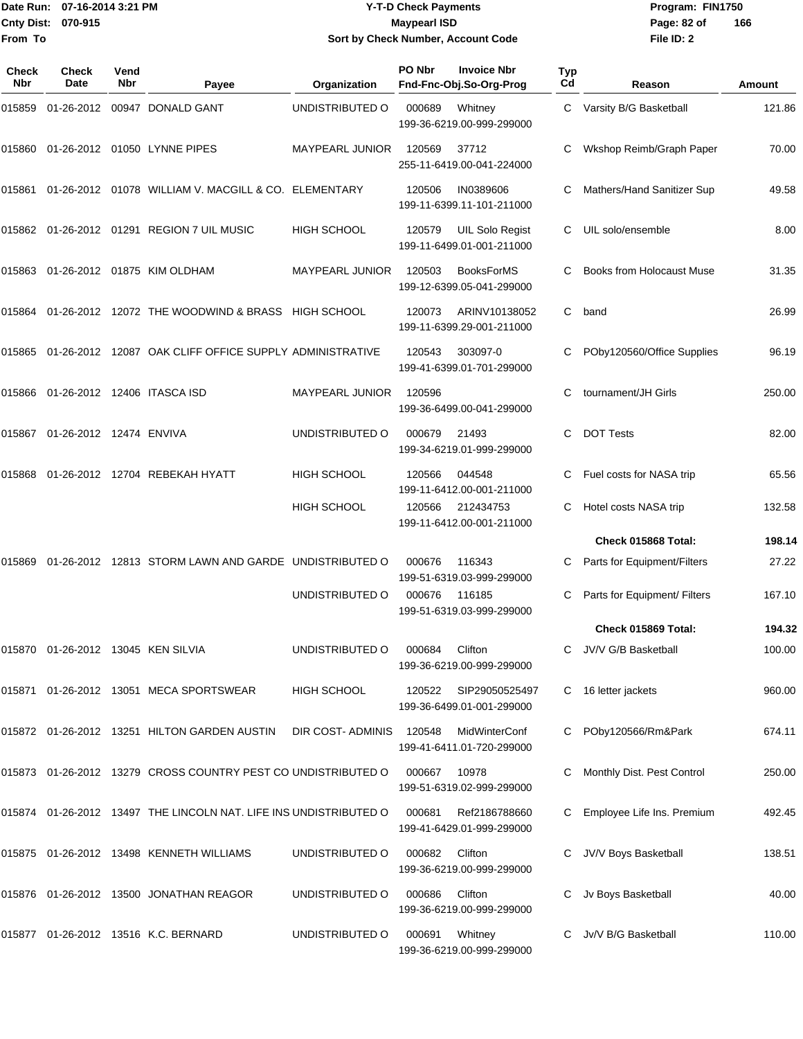#### Date Run: 07-16-2014 3:21 PM **Program:** FIN1750 **Cnty Dist:** 070-915 **Page: 82 of MaypearI ISD Page: 82 of Y-T-D Check Payments 070-915 Maypearl ISD Sort by Check Number, Account Code**

| Check<br>Nbr | <b>Check</b><br><b>Date</b>        | Vend<br>Nbr | Payee                                                             | Organization           | PO Nbr | <b>Invoice Nbr</b><br>Fnd-Fnc-Obj.So-Org-Prog  | Typ<br>Cd | Reason                           | Amount |
|--------------|------------------------------------|-------------|-------------------------------------------------------------------|------------------------|--------|------------------------------------------------|-----------|----------------------------------|--------|
| 015859       |                                    |             | 01-26-2012 00947 DONALD GANT                                      | UNDISTRIBUTED O        | 000689 | Whitney<br>199-36-6219.00-999-299000           | C         | Varsity B/G Basketball           | 121.86 |
| 015860       |                                    |             | 01-26-2012 01050 LYNNE PIPES                                      | <b>MAYPEARL JUNIOR</b> | 120569 | 37712<br>255-11-6419.00-041-224000             | C         | Wkshop Reimb/Graph Paper         | 70.00  |
| 015861       |                                    |             | 01-26-2012 01078 WILLIAM V. MACGILL & CO. ELEMENTARY              |                        | 120506 | IN0389606<br>199-11-6399.11-101-211000         |           | Mathers/Hand Sanitizer Sup       | 49.58  |
|              |                                    |             | 015862 01-26-2012 01291 REGION 7 UIL MUSIC                        | HIGH SCHOOL            | 120579 | UIL Solo Regist<br>199-11-6499.01-001-211000   | C.        | UIL solo/ensemble                | 8.00   |
| 015863       |                                    |             | 01-26-2012 01875 KIM OLDHAM                                       | <b>MAYPEARL JUNIOR</b> | 120503 | <b>BooksForMS</b><br>199-12-6399.05-041-299000 |           | <b>Books from Holocaust Muse</b> | 31.35  |
|              |                                    |             | 015864 01-26-2012 12072 THE WOODWIND & BRASS HIGH SCHOOL          |                        | 120073 | ARINV10138052<br>199-11-6399.29-001-211000     | C         | band                             | 26.99  |
| 015865       |                                    |             | 01-26-2012 12087 OAK CLIFF OFFICE SUPPLY ADMINISTRATIVE           |                        | 120543 | 303097-0<br>199-41-6399.01-701-299000          | С         | POby120560/Office Supplies       | 96.19  |
| 015866       |                                    |             | 01-26-2012 12406 ITASCA ISD                                       | <b>MAYPEARL JUNIOR</b> | 120596 | 199-36-6499.00-041-299000                      | С         | tournament/JH Girls              | 250.00 |
| 015867       | 01-26-2012 12474 ENVIVA            |             |                                                                   | UNDISTRIBUTED O        | 000679 | 21493<br>199-34-6219.01-999-299000             | С         | <b>DOT Tests</b>                 | 82.00  |
| 015868       |                                    |             | 01-26-2012 12704 REBEKAH HYATT                                    | <b>HIGH SCHOOL</b>     | 120566 | 044548<br>199-11-6412.00-001-211000            | C         | Fuel costs for NASA trip         | 65.56  |
|              |                                    |             |                                                                   | <b>HIGH SCHOOL</b>     | 120566 | 212434753<br>199-11-6412.00-001-211000         | C         | Hotel costs NASA trip            | 132.58 |
|              |                                    |             |                                                                   |                        |        |                                                |           | Check 015868 Total:              | 198.14 |
| 015869       |                                    |             | 01-26-2012 12813 STORM LAWN AND GARDE UNDISTRIBUTED O             |                        | 000676 | 116343<br>199-51-6319.03-999-299000            | С         | Parts for Equipment/Filters      | 27.22  |
|              |                                    |             |                                                                   | UNDISTRIBUTED O        | 000676 | 116185<br>199-51-6319.03-999-299000            |           | Parts for Equipment/ Filters     | 167.10 |
|              |                                    |             |                                                                   |                        |        |                                                |           | Check 015869 Total:              | 194.32 |
|              | 015870 01-26-2012 13045 KEN SILVIA |             |                                                                   | UNDISTRIBUTED O        | 000684 | Clifton<br>199-36-6219.00-999-299000           |           | JV/V G/B Basketball              | 100.00 |
|              |                                    |             | 015871 01-26-2012 13051 MECA SPORTSWEAR                           | HIGH SCHOOL            | 120522 | SIP29050525497<br>199-36-6499.01-001-299000    | C         | 16 letter jackets                | 960.00 |
|              |                                    |             | 015872 01-26-2012 13251 HILTON GARDEN AUSTIN                      | DIR COST-ADMINIS       | 120548 | MidWinterConf<br>199-41-6411.01-720-299000     |           | POby120566/Rm&Park               | 674.11 |
|              |                                    |             | 015873 01-26-2012 13279 CROSS COUNTRY PEST CO UNDISTRIBUTED O     |                        | 000667 | 10978<br>199-51-6319.02-999-299000             |           | Monthly Dist. Pest Control       | 250.00 |
|              |                                    |             | 015874 01-26-2012 13497 THE LINCOLN NAT. LIFE INS UNDISTRIBUTED O |                        | 000681 | Ref2186788660<br>199-41-6429.01-999-299000     |           | Employee Life Ins. Premium       | 492.45 |
|              |                                    |             | 015875 01-26-2012 13498 KENNETH WILLIAMS                          | UNDISTRIBUTED O        | 000682 | Clifton<br>199-36-6219.00-999-299000           | C         | JV/V Boys Basketball             | 138.51 |
|              |                                    |             | 015876  01-26-2012  13500  JONATHAN REAGOR                        | UNDISTRIBUTED O        | 000686 | Clifton<br>199-36-6219.00-999-299000           |           | Jv Boys Basketball               | 40.00  |
|              |                                    |             | 015877 01-26-2012 13516 K.C. BERNARD                              | UNDISTRIBUTED O        | 000691 | Whitney<br>199-36-6219.00-999-299000           | C         | Jv/V B/G Basketball              | 110.00 |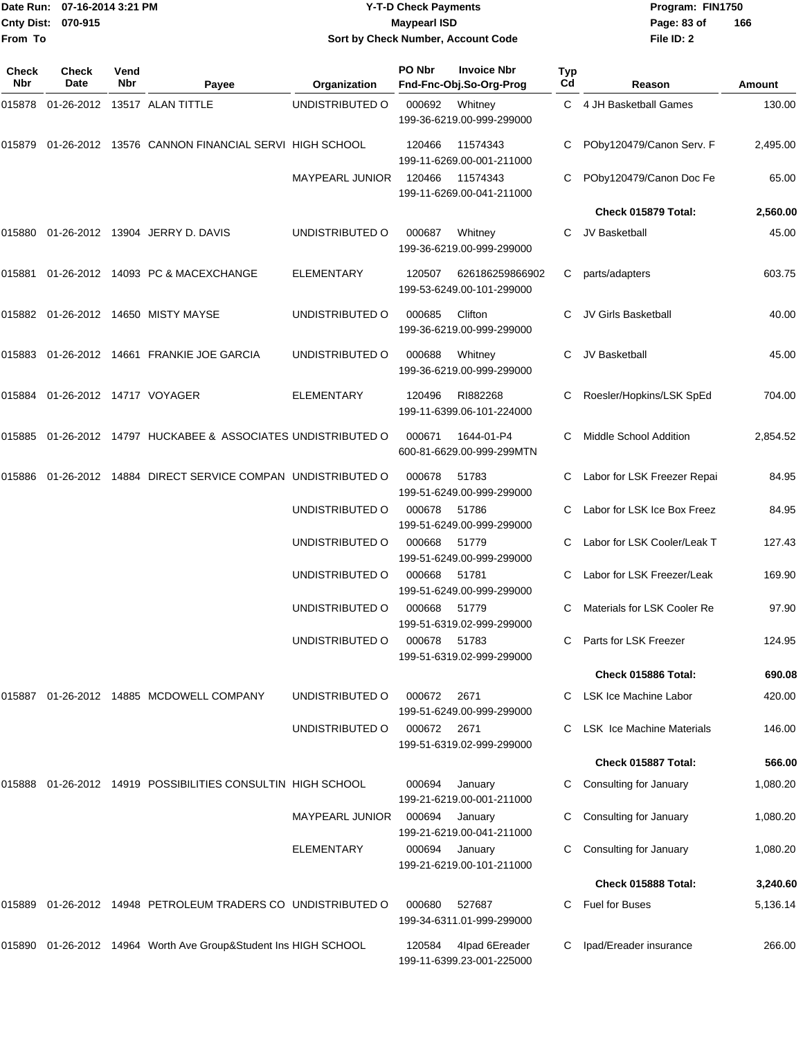|                    | Date Run: 07-16-2014 3:21 PM |
|--------------------|------------------------------|
| Cnty Dist: 070-915 |                              |
| From To            |                              |

## **Date Run: Program: FIN1750 07-16-2014 3:21 PM Y-T-D Check Payments Cnty Dist: Page: 83 of 070-915 Maypearl ISD Sort by Check Number, Account Code**

| Check<br><b>Nbr</b> | <b>Check</b><br>Date     | Vend<br>Nbr | Payee                                                    | Organization           | PO Nbr | <b>Invoice Nbr</b><br>Fnd-Fnc-Obj.So-Org-Prog | <b>Typ</b><br>Cd | Reason                           | Amount   |
|---------------------|--------------------------|-------------|----------------------------------------------------------|------------------------|--------|-----------------------------------------------|------------------|----------------------------------|----------|
| 015878              |                          |             | 01-26-2012 13517 ALAN TITTLE                             | UNDISTRIBUTED O        | 000692 | Whitney<br>199-36-6219.00-999-299000          |                  | C 4 JH Basketball Games          | 130.00   |
| 015879              |                          |             | 01-26-2012 13576 CANNON FINANCIAL SERVI HIGH SCHOOL      |                        | 120466 | 11574343<br>199-11-6269.00-001-211000         | C.               | POby120479/Canon Serv. F         | 2,495.00 |
|                     |                          |             |                                                          | MAYPEARL JUNIOR        | 120466 | 11574343<br>199-11-6269.00-041-211000         |                  | POby120479/Canon Doc Fe          | 65.00    |
|                     |                          |             |                                                          |                        |        |                                               |                  | Check 015879 Total:              | 2,560.00 |
| 015880              |                          |             | 01-26-2012 13904 JERRY D. DAVIS                          | UNDISTRIBUTED O        | 000687 | Whitney<br>199-36-6219.00-999-299000          | C.               | JV Basketball                    | 45.00    |
| 015881              |                          |             | 01-26-2012 14093 PC & MACEXCHANGE                        | <b>ELEMENTARY</b>      | 120507 | 626186259866902<br>199-53-6249.00-101-299000  | С                | parts/adapters                   | 603.75   |
|                     |                          |             | 015882 01-26-2012 14650 MISTY MAYSE                      | UNDISTRIBUTED O        | 000685 | Clifton<br>199-36-6219.00-999-299000          |                  | JV Girls Basketball              | 40.00    |
|                     |                          |             | 015883 01-26-2012 14661 FRANKIE JOE GARCIA               | UNDISTRIBUTED O        | 000688 | Whitney<br>199-36-6219.00-999-299000          | С                | JV Basketball                    | 45.00    |
| 015884              | 01-26-2012 14717 VOYAGER |             |                                                          | <b>ELEMENTARY</b>      | 120496 | RI882268<br>199-11-6399.06-101-224000         | C                | Roesler/Hopkins/LSK SpEd         | 704.00   |
| 015885              |                          |             | 01-26-2012 14797 HUCKABEE & ASSOCIATES UNDISTRIBUTED O   |                        | 000671 | 1644-01-P4<br>600-81-6629.00-999-299MTN       |                  | Middle School Addition           | 2,854.52 |
| 015886              |                          |             | 01-26-2012 14884 DIRECT SERVICE COMPAN UNDISTRIBUTED O   |                        | 000678 | 51783<br>199-51-6249.00-999-299000            |                  | Labor for LSK Freezer Repai      | 84.95    |
|                     |                          |             |                                                          | UNDISTRIBUTED O        | 000678 | 51786<br>199-51-6249.00-999-299000            |                  | Labor for LSK Ice Box Freez      | 84.95    |
|                     |                          |             |                                                          | UNDISTRIBUTED O        | 000668 | 51779<br>199-51-6249.00-999-299000            |                  | Labor for LSK Cooler/Leak T      | 127.43   |
|                     |                          |             |                                                          | UNDISTRIBUTED O        | 000668 | 51781<br>199-51-6249.00-999-299000            |                  | Labor for LSK Freezer/Leak       | 169.90   |
|                     |                          |             |                                                          | UNDISTRIBUTED O        | 000668 | 51779<br>199-51-6319.02-999-299000            | С                | Materials for LSK Cooler Re      | 97.90    |
|                     |                          |             |                                                          | UNDISTRIBUTED O        | 000678 | 51783<br>199-51-6319.02-999-299000            | C.               | Parts for LSK Freezer            | 124.95   |
|                     |                          |             |                                                          |                        |        |                                               |                  | Check 015886 Total:              | 690.08   |
| 015887              |                          |             | 01-26-2012 14885 MCDOWELL COMPANY                        | UNDISTRIBUTED O        | 000672 | 2671<br>199-51-6249.00-999-299000             | C                | LSK Ice Machine Labor            | 420.00   |
|                     |                          |             |                                                          | UNDISTRIBUTED O        | 000672 | 2671<br>199-51-6319.02-999-299000             | C                | <b>LSK Ice Machine Materials</b> | 146.00   |
|                     |                          |             |                                                          |                        |        |                                               |                  | Check 015887 Total:              | 566.00   |
| 015888              |                          |             | 01-26-2012 14919 POSSIBILITIES CONSULTIN HIGH SCHOOL     |                        | 000694 | January<br>199-21-6219.00-001-211000          | С                | Consulting for January           | 1,080.20 |
|                     |                          |             |                                                          | <b>MAYPEARL JUNIOR</b> | 000694 | January<br>199-21-6219.00-041-211000          | С                | Consulting for January           | 1,080.20 |
|                     |                          |             |                                                          | ELEMENTARY             | 000694 | January<br>199-21-6219.00-101-211000          | С                | Consulting for January           | 1,080.20 |
|                     |                          |             |                                                          |                        |        |                                               |                  | Check 015888 Total:              | 3,240.60 |
| 015889              |                          |             | 01-26-2012 14948 PETROLEUM TRADERS CO UNDISTRIBUTED O    |                        | 000680 | 527687<br>199-34-6311.01-999-299000           | C                | Fuel for Buses                   | 5,136.14 |
| 015890              |                          |             | 01-26-2012 14964 Worth Ave Group&Student Ins HIGH SCHOOL |                        | 120584 | 4lpad 6Ereader<br>199-11-6399.23-001-225000   | С                | Ipad/Ereader insurance           | 266.00   |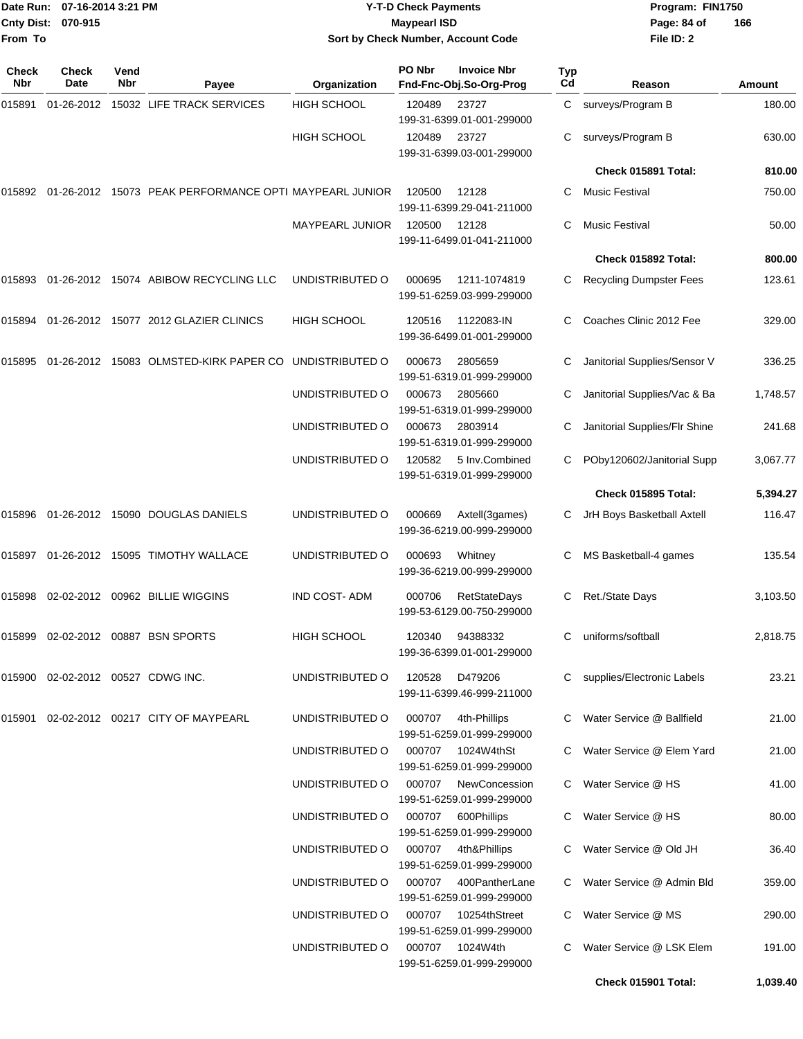|                    | Date Run: 07-16-2014 3:21 PM |
|--------------------|------------------------------|
| Cnty Dist: 070-915 |                              |
| From To            |                              |

## **Date Run: Program: FIN1750 07-16-2014 3:21 PM Y-T-D Check Payments Cnty Dist: Page: 84 of 070-915 Maypearl ISD Sort by Check Number, Account Code**

| Check<br>Nbr | Check<br>Date                           | Vend<br>Nbr | Payee                                                  | Organization           | PO Nbr | <b>Invoice Nbr</b><br>Fnd-Fnc-Obj.So-Org-Prog    | <b>Typ</b><br>C <sub>d</sub> | Reason                         | <b>Amount</b> |
|--------------|-----------------------------------------|-------------|--------------------------------------------------------|------------------------|--------|--------------------------------------------------|------------------------------|--------------------------------|---------------|
| 015891       | 01-26-2012                              |             | 15032 LIFE TRACK SERVICES                              | <b>HIGH SCHOOL</b>     | 120489 | 23727<br>199-31-6399.01-001-299000               | C.                           | surveys/Program B              | 180.00        |
|              |                                         |             |                                                        | <b>HIGH SCHOOL</b>     | 120489 | 23727<br>199-31-6399.03-001-299000               | C                            | surveys/Program B              | 630.00        |
|              |                                         |             |                                                        |                        |        |                                                  |                              | Check 015891 Total:            | 810.00        |
| 015892       |                                         |             | 01-26-2012 15073 PEAK PERFORMANCE OPTI MAYPEARL JUNIOR |                        | 120500 | 12128<br>199-11-6399.29-041-211000               | С                            | Music Festival                 | 750.00        |
|              |                                         |             |                                                        | <b>MAYPEARL JUNIOR</b> | 120500 | 12128<br>199-11-6499.01-041-211000               | С                            | <b>Music Festival</b>          | 50.00         |
|              |                                         |             |                                                        |                        |        |                                                  |                              | Check 015892 Total:            | 800.00        |
| 015893       |                                         |             | 01-26-2012 15074 ABIBOW RECYCLING LLC                  | UNDISTRIBUTED O        | 000695 | 1211-1074819<br>199-51-6259.03-999-299000        |                              | <b>Recycling Dumpster Fees</b> | 123.61        |
| 015894       |                                         |             | 01-26-2012 15077 2012 GLAZIER CLINICS                  | <b>HIGH SCHOOL</b>     | 120516 | 1122083-IN<br>199-36-6499.01-001-299000          | С                            | Coaches Clinic 2012 Fee        | 329.00        |
| 015895       |                                         |             | 01-26-2012 15083 OLMSTED-KIRK PAPER CO                 | UNDISTRIBUTED O        | 000673 | 2805659<br>199-51-6319.01-999-299000             | С                            | Janitorial Supplies/Sensor V   | 336.25        |
|              |                                         |             |                                                        | UNDISTRIBUTED O        | 000673 | 2805660<br>199-51-6319.01-999-299000             |                              | Janitorial Supplies/Vac & Ba   | 1,748.57      |
|              |                                         |             |                                                        | UNDISTRIBUTED O        | 000673 | 2803914<br>199-51-6319.01-999-299000             | С                            | Janitorial Supplies/Flr Shine  | 241.68        |
|              |                                         |             |                                                        | UNDISTRIBUTED O        | 120582 | 5 Inv.Combined<br>199-51-6319.01-999-299000      | C                            | POby120602/Janitorial Supp     | 3,067.77      |
|              |                                         |             |                                                        |                        |        |                                                  |                              | Check 015895 Total:            | 5,394.27      |
| 015896       |                                         |             | 01-26-2012 15090 DOUGLAS DANIELS                       | UNDISTRIBUTED O        | 000669 | Axtell(3games)<br>199-36-6219.00-999-299000      | C                            | JrH Boys Basketball Axtell     | 116.47        |
| 015897       |                                         |             | 01-26-2012 15095 TIMOTHY WALLACE                       | UNDISTRIBUTED O        | 000693 | Whitney<br>199-36-6219.00-999-299000             |                              | MS Basketball-4 games          | 135.54        |
| 015898       |                                         |             | 02-02-2012 00962 BILLIE WIGGINS                        | <b>IND COST-ADM</b>    | 000706 | <b>RetStateDays</b><br>199-53-6129.00-750-299000 | С                            | Ret./State Days                | 3,103.50      |
| 015899       |                                         |             | 02-02-2012 00887 BSN SPORTS                            | <b>HIGH SCHOOL</b>     | 120340 | 94388332<br>199-36-6399.01-001-299000            | С                            | uniforms/softball              | 2,818.75      |
|              | 015900   02-02-2012   00527   CDWG INC. |             |                                                        | UNDISTRIBUTED O        | 120528 | D479206<br>199-11-6399.46-999-211000             |                              | C supplies/Electronic Labels   | 23.21         |
|              |                                         |             | 015901 02-02-2012 00217 CITY OF MAYPEARL               | UNDISTRIBUTED O        | 000707 | 4th-Phillips<br>199-51-6259.01-999-299000        |                              | C Water Service @ Ballfield    | 21.00         |
|              |                                         |             |                                                        | UNDISTRIBUTED O        | 000707 | 1024W4thSt<br>199-51-6259.01-999-299000          |                              | C Water Service @ Elem Yard    | 21.00         |
|              |                                         |             |                                                        | UNDISTRIBUTED O        | 000707 | NewConcession<br>199-51-6259.01-999-299000       |                              | C Water Service @ HS           | 41.00         |
|              |                                         |             |                                                        | UNDISTRIBUTED O        | 000707 | 600Phillips<br>199-51-6259.01-999-299000         | C.                           | Water Service @ HS             | 80.00         |
|              |                                         |             |                                                        | UNDISTRIBUTED O        | 000707 | 4th&Phillips<br>199-51-6259.01-999-299000        | C.                           | Water Service @ Old JH         | 36.40         |
|              |                                         |             |                                                        | UNDISTRIBUTED O        | 000707 | 400PantherLane<br>199-51-6259.01-999-299000      |                              | C Water Service @ Admin Bld    | 359.00        |
|              |                                         |             |                                                        | UNDISTRIBUTED O        | 000707 | 10254thStreet<br>199-51-6259.01-999-299000       | C.                           | Water Service @ MS             | 290.00        |
|              |                                         |             |                                                        | UNDISTRIBUTED O        | 000707 | 1024W4th<br>199-51-6259.01-999-299000            | C                            | Water Service @ LSK Elem       | 191.00        |
|              |                                         |             |                                                        |                        |        |                                                  |                              | Check 015901 Total:            | 1,039.40      |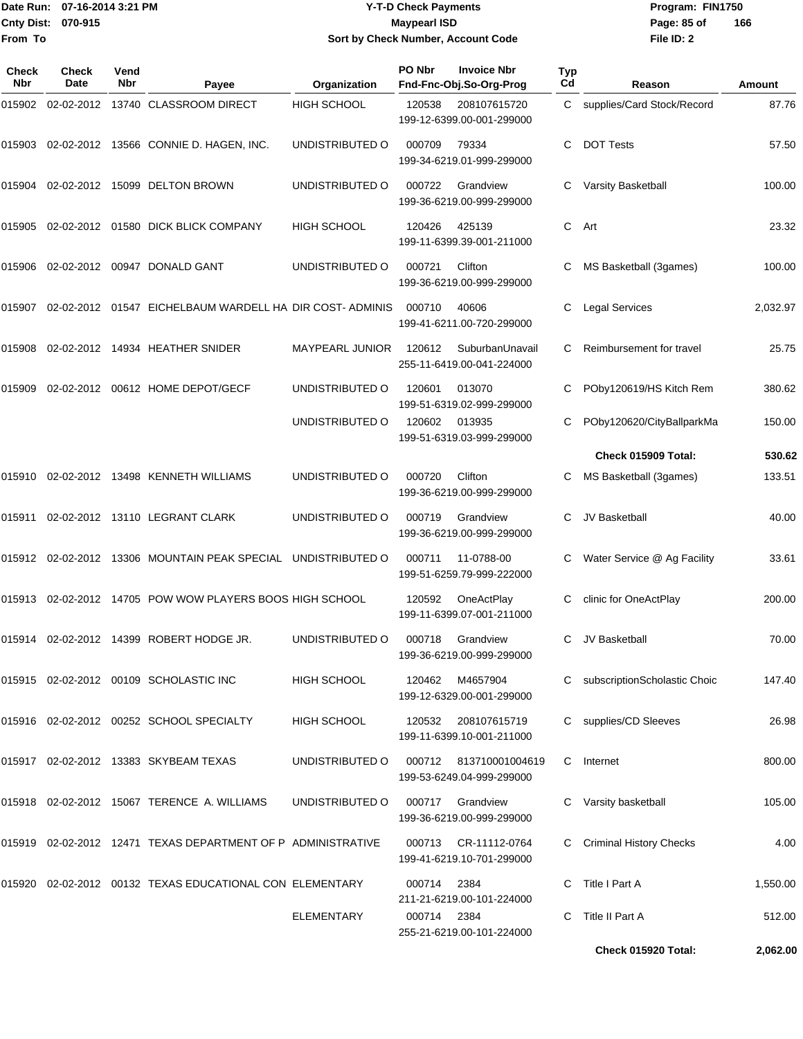#### Date Run: 07-16-2014 3:21 PM **Program:** FIN1750 **Cnty Dist:** 070-915 **Page: 85 of Y-T-D Check Payments 070-915 Maypearl ISD Sort by Check Number, Account Code**

**File ID: 2 166**

| Check<br>Nbr | Check<br>Date | Vend<br>Nbr | Payee                                                           | Organization           | PO Nbr      | <b>Invoice Nbr</b><br>Fnd-Fnc-Obj.So-Org-Prog | Typ<br>Cd | Reason                         | Amount   |
|--------------|---------------|-------------|-----------------------------------------------------------------|------------------------|-------------|-----------------------------------------------|-----------|--------------------------------|----------|
| 015902       |               |             | 02-02-2012 13740 CLASSROOM DIRECT                               | <b>HIGH SCHOOL</b>     | 120538      | 208107615720<br>199-12-6399.00-001-299000     | C         | supplies/Card Stock/Record     | 87.76    |
| 015903       |               |             | 02-02-2012 13566 CONNIE D. HAGEN, INC.                          | UNDISTRIBUTED O        | 000709      | 79334<br>199-34-6219.01-999-299000            | С         | <b>DOT Tests</b>               | 57.50    |
| 015904       |               |             | 02-02-2012 15099 DELTON BROWN                                   | UNDISTRIBUTED O        | 000722      | Grandview<br>199-36-6219.00-999-299000        | С         | Varsity Basketball             | 100.00   |
| 015905       |               |             | 02-02-2012 01580 DICK BLICK COMPANY                             | <b>HIGH SCHOOL</b>     | 120426      | 425139<br>199-11-6399.39-001-211000           | С         | Art                            | 23.32    |
| 015906       |               |             | 02-02-2012 00947 DONALD GANT                                    | UNDISTRIBUTED O        | 000721      | Clifton<br>199-36-6219.00-999-299000          | С         | MS Basketball (3games)         | 100.00   |
| 015907       |               |             | 02-02-2012 01547 EICHELBAUM WARDELL HA DIR COST-ADMINIS         |                        | 000710      | 40606<br>199-41-6211.00-720-299000            |           | <b>Legal Services</b>          | 2,032.97 |
| 015908       |               |             | 02-02-2012 14934 HEATHER SNIDER                                 | <b>MAYPEARL JUNIOR</b> | 120612      | SuburbanUnavail<br>255-11-6419.00-041-224000  | С         | Reimbursement for travel       | 25.75    |
| 015909       |               |             | 02-02-2012  00612  HOME DEPOT/GECF                              | UNDISTRIBUTED O        | 120601      | 013070<br>199-51-6319.02-999-299000           | С         | POby120619/HS Kitch Rem        | 380.62   |
|              |               |             |                                                                 | UNDISTRIBUTED O        | 120602      | 013935<br>199-51-6319.03-999-299000           |           | POby120620/CityBallparkMa      | 150.00   |
|              |               |             |                                                                 |                        |             |                                               |           | Check 015909 Total:            | 530.62   |
| 015910       |               |             | 02-02-2012 13498 KENNETH WILLIAMS                               | UNDISTRIBUTED O        | 000720      | Clifton<br>199-36-6219.00-999-299000          | С         | MS Basketball (3games)         | 133.51   |
|              |               |             | 015911 02-02-2012 13110 LEGRANT CLARK                           | UNDISTRIBUTED O        | 000719      | Grandview<br>199-36-6219.00-999-299000        | С         | JV Basketball                  | 40.00    |
|              |               |             | 015912 02-02-2012 13306 MOUNTAIN PEAK SPECIAL UNDISTRIBUTED O   |                        | 000711      | 11-0788-00<br>199-51-6259.79-999-222000       | С         | Water Service @ Ag Facility    | 33.61    |
| 015913       |               |             | 02-02-2012 14705 POW WOW PLAYERS BOOS HIGH SCHOOL               |                        | 120592      | OneActPlay<br>199-11-6399.07-001-211000       | С         | clinic for OneActPlay          | 200.00   |
| 015914       |               |             | 02-02-2012 14399 ROBERT HODGE JR.                               | UNDISTRIBUTED O        | 000718      | Grandview<br>199-36-6219.00-999-299000        | С         | JV Basketball                  | 70.00    |
|              |               |             | 015915 02-02-2012 00109 SCHOLASTIC INC                          | HIGH SCHOOL            | 120462      | M4657904<br>199-12-6329.00-001-299000         |           | C subscriptionScholastic Choic | 147.40   |
|              |               |             | 015916 02-02-2012 00252 SCHOOL SPECIALTY                        | HIGH SCHOOL            | 120532      | 208107615719<br>199-11-6399.10-001-211000     |           | C supplies/CD Sleeves          | 26.98    |
|              |               |             | 015917 02-02-2012 13383 SKYBEAM TEXAS                           | UNDISTRIBUTED O        | 000712      | 813710001004619<br>199-53-6249.04-999-299000  | C.        | Internet                       | 800.00   |
|              |               |             | 015918 02-02-2012 15067 TERENCE A. WILLIAMS                     | UNDISTRIBUTED O        |             | 000717 Grandview<br>199-36-6219.00-999-299000 |           | Varsity basketball             | 105.00   |
|              |               |             | 015919  02-02-2012  12471  TEXAS DEPARTMENT OF P ADMINISTRATIVE |                        | 000713      | CR-11112-0764<br>199-41-6219.10-701-299000    |           | <b>Criminal History Checks</b> | 4.00     |
|              |               |             | 015920 02-02-2012 00132 TEXAS EDUCATIONAL CON ELEMENTARY        |                        | 000714 2384 | 211-21-6219.00-101-224000                     |           | C Title I Part A               | 1,550.00 |
|              |               |             |                                                                 | <b>ELEMENTARY</b>      | 000714 2384 | 255-21-6219.00-101-224000                     |           | C Title II Part A              | 512.00   |

**Check 015920 Total: 2,062.00**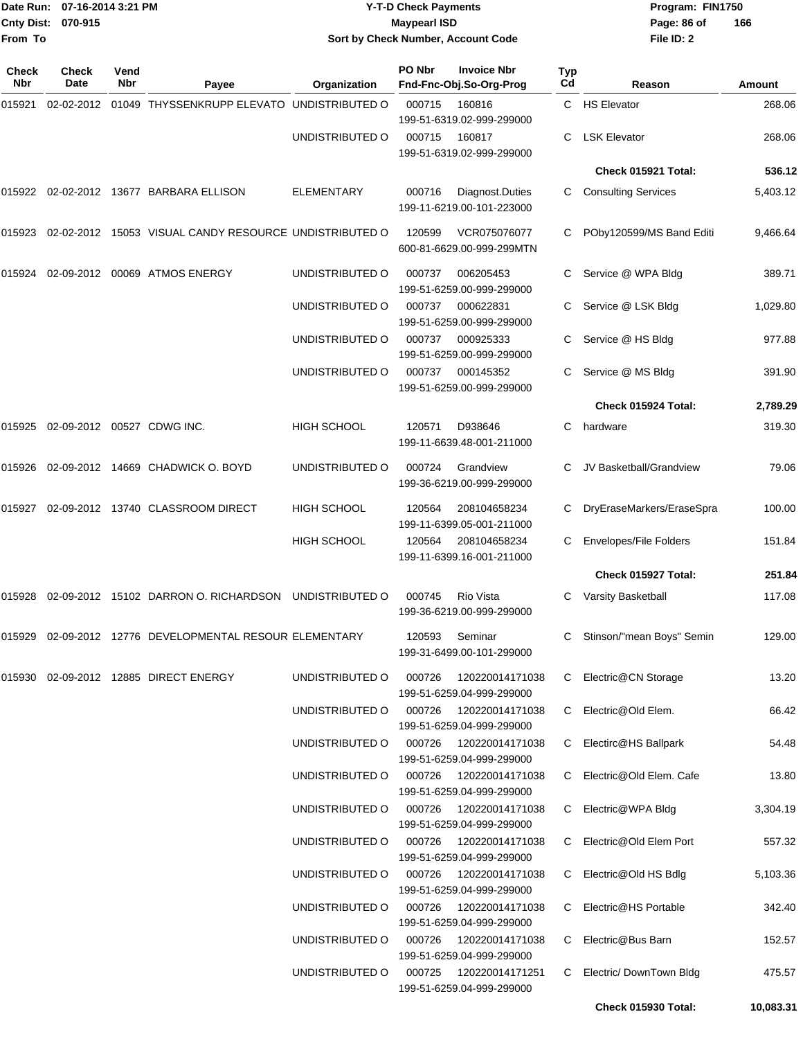|                     | Date Run: 07-16-2014 3:21 PM<br>Cnty Dist: 070-915 |             |                                                              | <b>Y-T-D Check Payments</b> |                     |                                               | Program: FIN1750 |                            |           |
|---------------------|----------------------------------------------------|-------------|--------------------------------------------------------------|-----------------------------|---------------------|-----------------------------------------------|------------------|----------------------------|-----------|
| From To             |                                                    |             |                                                              |                             | <b>Maypearl ISD</b> | Sort by Check Number, Account Code            |                  | Page: 86 of<br>File ID: 2  | 166       |
| <b>Check</b><br>Nbr | Check<br>Date                                      | Vend<br>Nbr | Payee                                                        | Organization                | PO Nbr              | <b>Invoice Nbr</b><br>Fnd-Fnc-Obj.So-Org-Prog | Typ<br>Cd        | Reason                     | Amount    |
| 015921              | 02-02-2012                                         |             | 01049 THYSSENKRUPP ELEVATO UNDISTRIBUTED O                   |                             | 000715              | 160816                                        |                  | C HS Elevator              | 268.06    |
|                     |                                                    |             |                                                              |                             |                     | 199-51-6319.02-999-299000                     |                  |                            |           |
|                     |                                                    |             |                                                              | UNDISTRIBUTED O             | 000715              | 160817<br>199-51-6319.02-999-299000           | C.               | <b>LSK Elevator</b>        | 268.06    |
|                     |                                                    |             |                                                              |                             |                     |                                               |                  | Check 015921 Total:        | 536.12    |
|                     |                                                    |             | 015922 02-02-2012 13677 BARBARA ELLISON                      | ELEMENTARY                  | 000716              | Diagnost.Duties<br>199-11-6219.00-101-223000  | C                | <b>Consulting Services</b> | 5,403.12  |
| 015923              |                                                    |             | 02-02-2012 15053 VISUAL CANDY RESOURCE UNDISTRIBUTED O       |                             | 120599              | VCR075076077<br>600-81-6629.00-999-299MTN     |                  | POby120599/MS Band Editi   | 9,466.64  |
| 015924              | 02-09-2012                                         |             | 00069 ATMOS ENERGY                                           | UNDISTRIBUTED O             | 000737              | 006205453<br>199-51-6259.00-999-299000        | С                | Service @ WPA Bldg         | 389.71    |
|                     |                                                    |             |                                                              | UNDISTRIBUTED O             | 000737              | 000622831<br>199-51-6259.00-999-299000        | С                | Service @ LSK Bldg         | 1,029.80  |
|                     |                                                    |             |                                                              | UNDISTRIBUTED O             | 000737              | 000925333<br>199-51-6259.00-999-299000        |                  | Service @ HS Bldg          | 977.88    |
|                     |                                                    |             |                                                              | UNDISTRIBUTED O             | 000737              | 000145352<br>199-51-6259.00-999-299000        | C.               | Service @ MS Bldg          | 391.90    |
|                     |                                                    |             |                                                              |                             |                     |                                               |                  | Check 015924 Total:        | 2,789.29  |
| 015925              |                                                    |             | 02-09-2012 00527 CDWG INC.                                   | HIGH SCHOOL                 | 120571              | D938646<br>199-11-6639.48-001-211000          | C                | hardware                   | 319.30    |
| 015926              |                                                    |             | 02-09-2012 14669 CHADWICK O. BOYD                            | UNDISTRIBUTED O             | 000724              | Grandview<br>199-36-6219.00-999-299000        | C                | JV Basketball/Grandview    | 79.06     |
| 015927              |                                                    |             | 02-09-2012  13740  CLASSROOM DIRECT                          | <b>HIGH SCHOOL</b>          | 120564              | 208104658234<br>199-11-6399.05-001-211000     | С                | DryEraseMarkers/EraseSpra  | 100.00    |
|                     |                                                    |             |                                                              | <b>HIGH SCHOOL</b>          | 120564              | 208104658234<br>199-11-6399.16-001-211000     | С                | Envelopes/File Folders     | 151.84    |
|                     |                                                    |             |                                                              |                             |                     |                                               |                  | Check 015927 Total:        | 251.84    |
|                     |                                                    |             | 015928 02-09-2012 15102 DARRON O. RICHARDSON UNDISTRIBUTED O |                             | 000745              | Rio Vista<br>199-36-6219.00-999-299000        |                  | C Varsity Basketball       | 117.08    |
|                     |                                                    |             | 015929 02-09-2012 12776 DEVELOPMENTAL RESOUR ELEMENTARY      |                             | 120593              | Seminar<br>199-31-6499.00-101-299000          | C                | Stinson/"mean Boys" Semin  | 129.00    |
|                     |                                                    |             | 015930 02-09-2012 12885 DIRECT ENERGY                        | UNDISTRIBUTED O             | 000726              | 120220014171038<br>199-51-6259.04-999-299000  | C.               | Electric@CN Storage        | 13.20     |
|                     |                                                    |             |                                                              | UNDISTRIBUTED O             | 000726              | 120220014171038<br>199-51-6259.04-999-299000  | C.               | Electric@Old Elem.         | 66.42     |
|                     |                                                    |             |                                                              | UNDISTRIBUTED O             | 000726              | 120220014171038<br>199-51-6259.04-999-299000  | C                | Electirc@HS Ballpark       | 54.48     |
|                     |                                                    |             |                                                              | UNDISTRIBUTED O             | 000726              | 120220014171038<br>199-51-6259.04-999-299000  | C.               | Electric@Old Elem. Cafe    | 13.80     |
|                     |                                                    |             |                                                              | UNDISTRIBUTED O             | 000726              | 120220014171038<br>199-51-6259.04-999-299000  | C                | Electric@WPA Bldg          | 3,304.19  |
|                     |                                                    |             |                                                              | UNDISTRIBUTED O             | 000726              | 120220014171038<br>199-51-6259.04-999-299000  | C.               | Electric@Old Elem Port     | 557.32    |
|                     |                                                    |             |                                                              | UNDISTRIBUTED O             | 000726              | 120220014171038<br>199-51-6259.04-999-299000  | C.               | Electric@Old HS Bdlg       | 5,103.36  |
|                     |                                                    |             |                                                              | UNDISTRIBUTED O             | 000726              | 120220014171038<br>199-51-6259.04-999-299000  | C.               | Electric@HS Portable       | 342.40    |
|                     |                                                    |             |                                                              | UNDISTRIBUTED O             | 000726              | 120220014171038<br>199-51-6259.04-999-299000  | C.               | Electric@Bus Barn          | 152.57    |
|                     |                                                    |             |                                                              | UNDISTRIBUTED O             | 000725              | 120220014171251<br>199-51-6259.04-999-299000  | C                | Electric/ DownTown Bldg    | 475.57    |
|                     |                                                    |             |                                                              |                             |                     |                                               |                  | Check 015930 Total:        | 10,083.31 |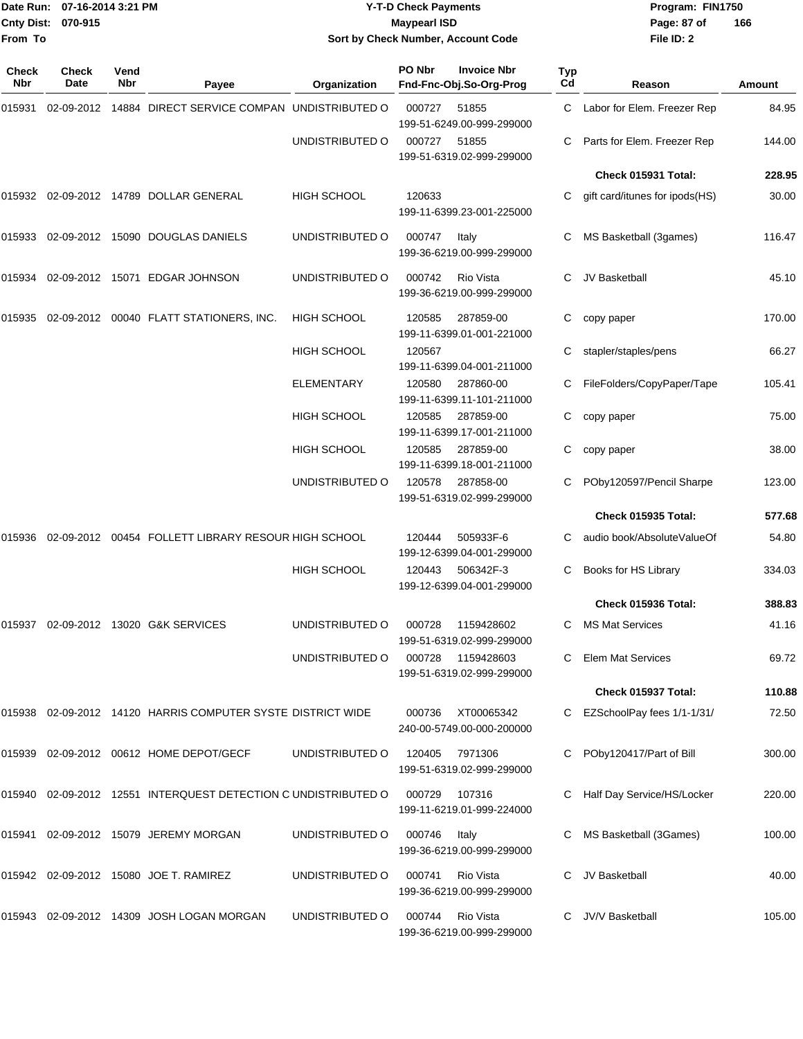#### Date Run: 07-16-2014 3:21 PM **Program:** FIN1750 **Cnty Dist:** 070-915 **Page: 87 of Maypearl ISD Cnty Dist:** 070-915 **Y-T-D Check Payments 070-915 Maypearl ISD Sort by Check Number, Account Code**

| <b>Check</b><br>Nbr | <b>Check</b><br>Date | Vend<br>Nbr | Payee                                                   | Organization       | PO Nbr | <b>Invoice Nbr</b><br>Fnd-Fnc-Obj.So-Org-Prog  | Typ<br>Cd | Reason                         | Amount |
|---------------------|----------------------|-------------|---------------------------------------------------------|--------------------|--------|------------------------------------------------|-----------|--------------------------------|--------|
| 015931              |                      |             | 02-09-2012 14884 DIRECT SERVICE COMPAN UNDISTRIBUTED O  |                    | 000727 | 51855<br>199-51-6249.00-999-299000             | C.        | Labor for Elem. Freezer Rep    | 84.95  |
|                     |                      |             |                                                         | UNDISTRIBUTED O    | 000727 | 51855<br>199-51-6319.02-999-299000             | C         | Parts for Elem. Freezer Rep    | 144.00 |
|                     |                      |             |                                                         |                    |        |                                                |           | Check 015931 Total:            | 228.95 |
| 015932              |                      |             | 02-09-2012 14789 DOLLAR GENERAL                         | <b>HIGH SCHOOL</b> | 120633 | 199-11-6399.23-001-225000                      | C.        | gift card/itunes for ipods(HS) | 30.00  |
| 015933              |                      |             | 02-09-2012 15090 DOUGLAS DANIELS                        | UNDISTRIBUTED O    | 000747 | Italy<br>199-36-6219.00-999-299000             | C         | MS Basketball (3games)         | 116.47 |
| 015934              |                      |             | 02-09-2012 15071 EDGAR JOHNSON                          | UNDISTRIBUTED O    | 000742 | <b>Rio Vista</b><br>199-36-6219.00-999-299000  | C         | JV Basketball                  | 45.10  |
| 015935              |                      |             | 02-09-2012  00040  FLATT STATIONERS, INC.               | <b>HIGH SCHOOL</b> | 120585 | 287859-00<br>199-11-6399.01-001-221000         | С         | copy paper                     | 170.00 |
|                     |                      |             |                                                         | <b>HIGH SCHOOL</b> | 120567 | 199-11-6399.04-001-211000                      | С         | stapler/staples/pens           | 66.27  |
|                     |                      |             |                                                         | <b>ELEMENTARY</b>  | 120580 | 287860-00<br>199-11-6399.11-101-211000         |           | FileFolders/CopyPaper/Tape     | 105.41 |
|                     |                      |             |                                                         | <b>HIGH SCHOOL</b> | 120585 | 287859-00<br>199-11-6399.17-001-211000         | С         | copy paper                     | 75.00  |
|                     |                      |             |                                                         | <b>HIGH SCHOOL</b> | 120585 | 287859-00<br>199-11-6399.18-001-211000         | С         | copy paper                     | 38.00  |
|                     |                      |             |                                                         | UNDISTRIBUTED O    | 120578 | 287858-00<br>199-51-6319.02-999-299000         |           | POby120597/Pencil Sharpe       | 123.00 |
|                     |                      |             |                                                         |                    |        |                                                |           | Check 015935 Total:            | 577.68 |
| 015936              |                      |             | 02-09-2012 00454 FOLLETT LIBRARY RESOUR HIGH SCHOOL     |                    | 120444 | 505933F-6<br>199-12-6399.04-001-299000         |           | audio book/AbsoluteValueOf     | 54.80  |
|                     |                      |             |                                                         | <b>HIGH SCHOOL</b> | 120443 | 506342F-3<br>199-12-6399.04-001-299000         | С         | Books for HS Library           | 334.03 |
|                     |                      |             |                                                         |                    |        |                                                |           | Check 015936 Total:            | 388.83 |
| 015937              |                      |             | 02-09-2012 13020 G&K SERVICES                           | UNDISTRIBUTED O    | 000728 | 1159428602<br>199-51-6319.02-999-299000        | C.        | <b>MS Mat Services</b>         | 41.16  |
|                     |                      |             |                                                         | UNDISTRIBUTED O    |        | 000728 1159428603<br>199-51-6319.02-999-299000 | C.        | Elem Mat Services              | 69.72  |
|                     |                      |             |                                                         |                    |        |                                                |           | Check 015937 Total:            | 110.88 |
| 015938              |                      |             | 02-09-2012 14120 HARRIS COMPUTER SYSTE DISTRICT WIDE    |                    | 000736 | XT00065342<br>240-00-5749.00-000-200000        |           | EZSchoolPay fees 1/1-1/31/     | 72.50  |
| 015939              |                      |             | 02-09-2012  00612  HOME DEPOT/GECF                      | UNDISTRIBUTED O    |        | 120405 7971306<br>199-51-6319.02-999-299000    |           | POby120417/Part of Bill        | 300.00 |
| 015940              |                      |             | 02-09-2012 12551 INTERQUEST DETECTION C UNDISTRIBUTED O |                    | 000729 | 107316<br>199-11-6219.01-999-224000            |           | Half Day Service/HS/Locker     | 220.00 |
| 015941              |                      |             | 02-09-2012 15079 JEREMY MORGAN                          | UNDISTRIBUTED O    | 000746 | Italy<br>199-36-6219.00-999-299000             | C         | MS Basketball (3Games)         | 100.00 |
|                     |                      |             | 015942 02-09-2012 15080 JOE T. RAMIREZ                  | UNDISTRIBUTED O    | 000741 | Rio Vista<br>199-36-6219.00-999-299000         |           | JV Basketball                  | 40.00  |
|                     |                      |             | 015943 02-09-2012 14309 JOSH LOGAN MORGAN               | UNDISTRIBUTED O    | 000744 | Rio Vista<br>199-36-6219.00-999-299000         | C         | JV/V Basketball                | 105.00 |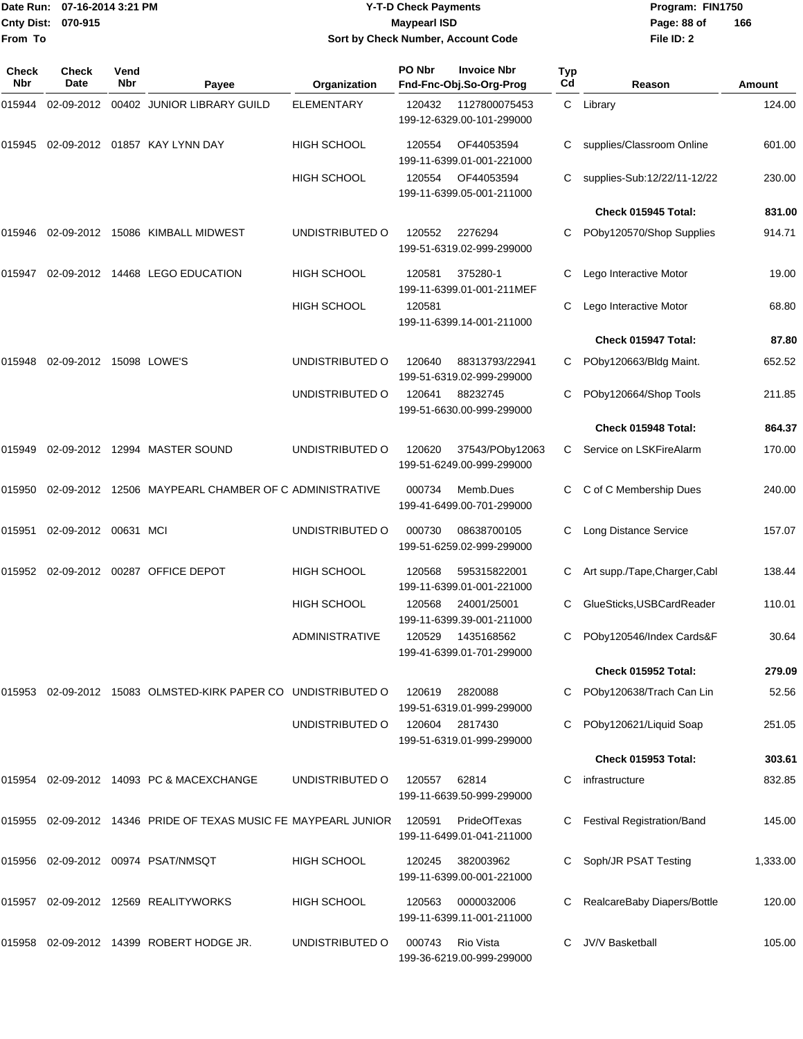|                    | Date Run: 07-16-2014 3:21 PM |
|--------------------|------------------------------|
| Cnty Dist: 070-915 |                              |
| From To            |                              |

## **Date Run: Program: FIN1750 07-16-2014 3:21 PM Y-T-D Check Payments Cnty Dist: Page: 88 of 070-915 Maypearl ISD Sort by Check Number, Account Code**

| <b>Check</b><br>Nbr | Check<br>Date           | Vend<br><b>Nbr</b> | Payee                                                    | Organization          | PO Nbr | <b>Invoice Nbr</b><br>Fnd-Fnc-Obj.So-Org-Prog | Typ<br>Cd | Reason                            | Amount   |
|---------------------|-------------------------|--------------------|----------------------------------------------------------|-----------------------|--------|-----------------------------------------------|-----------|-----------------------------------|----------|
| 015944              | 02-09-2012              |                    | 00402 JUNIOR LIBRARY GUILD                               | <b>ELEMENTARY</b>     | 120432 | 1127800075453<br>199-12-6329.00-101-299000    |           | C Library                         | 124.00   |
| 015945              |                         |                    | 02-09-2012  01857  KAY LYNN DAY                          | <b>HIGH SCHOOL</b>    | 120554 | OF44053594<br>199-11-6399.01-001-221000       | С         | supplies/Classroom Online         | 601.00   |
|                     |                         |                    |                                                          | <b>HIGH SCHOOL</b>    | 120554 | OF44053594<br>199-11-6399.05-001-211000       |           | supplies-Sub:12/22/11-12/22       | 230.00   |
|                     |                         |                    |                                                          |                       |        |                                               |           | Check 015945 Total:               | 831.00   |
| 015946              |                         |                    | 02-09-2012 15086 KIMBALL MIDWEST                         | UNDISTRIBUTED O       | 120552 | 2276294<br>199-51-6319.02-999-299000          | С         | POby120570/Shop Supplies          | 914.71   |
| 015947              |                         |                    | 02-09-2012 14468 LEGO EDUCATION                          | HIGH SCHOOL           | 120581 | 375280-1<br>199-11-6399.01-001-211MEF         | С         | Lego Interactive Motor            | 19.00    |
|                     |                         |                    |                                                          | <b>HIGH SCHOOL</b>    | 120581 | 199-11-6399.14-001-211000                     | С         | Lego Interactive Motor            | 68.80    |
|                     |                         |                    |                                                          |                       |        |                                               |           | Check 015947 Total:               | 87.80    |
| 015948              | 02-09-2012 15098 LOWE'S |                    |                                                          | UNDISTRIBUTED O       | 120640 | 88313793/22941<br>199-51-6319.02-999-299000   | С         | POby120663/Bldg Maint.            | 652.52   |
|                     |                         |                    |                                                          | UNDISTRIBUTED O       | 120641 | 88232745<br>199-51-6630.00-999-299000         | С         | POby120664/Shop Tools             | 211.85   |
|                     |                         |                    |                                                          |                       |        |                                               |           | Check 015948 Total:               | 864.37   |
| 015949              |                         |                    | 02-09-2012 12994 MASTER SOUND                            | UNDISTRIBUTED O       | 120620 | 37543/POby12063<br>199-51-6249.00-999-299000  | C         | Service on LSKFireAlarm           | 170.00   |
| 015950              |                         |                    | 02-09-2012 12506 MAYPEARL CHAMBER OF C ADMINISTRATIVE    |                       | 000734 | Memb.Dues<br>199-41-6499.00-701-299000        | С         | C of C Membership Dues            | 240.00   |
| 015951              | 02-09-2012 00631 MCI    |                    |                                                          | UNDISTRIBUTED O       | 000730 | 08638700105<br>199-51-6259.02-999-299000      | С         | Long Distance Service             | 157.07   |
| 015952              |                         |                    | 02-09-2012 00287 OFFICE DEPOT                            | <b>HIGH SCHOOL</b>    | 120568 | 595315822001<br>199-11-6399.01-001-221000     | С         | Art supp./Tape,Charger,Cabl       | 138.44   |
|                     |                         |                    |                                                          | HIGH SCHOOL           | 120568 | 24001/25001<br>199-11-6399.39-001-211000      | С         | GlueSticks, USBCardReader         | 110.01   |
|                     |                         |                    |                                                          | <b>ADMINISTRATIVE</b> | 120529 | 1435168562<br>199-41-6399.01-701-299000       | С         | POby120546/Index Cards&F          | 30.64    |
|                     |                         |                    |                                                          |                       |        |                                               |           | Check 015952 Total:               | 279.09   |
| 015953              |                         |                    | 02-09-2012 15083 OLMSTED-KIRK PAPER CO UNDISTRIBUTED O   |                       | 120619 | 2820088<br>199-51-6319.01-999-299000          |           | POby120638/Trach Can Lin          | 52.56    |
|                     |                         |                    |                                                          | UNDISTRIBUTED O       | 120604 | 2817430<br>199-51-6319.01-999-299000          | С         | POby120621/Liquid Soap            | 251.05   |
|                     |                         |                    |                                                          |                       |        |                                               |           | Check 015953 Total:               | 303.61   |
| 015954              |                         |                    | 02-09-2012 14093 PC & MACEXCHANGE                        | UNDISTRIBUTED O       | 120557 | 62814<br>199-11-6639.50-999-299000            |           | infrastructure                    | 832.85   |
| 015955              |                         |                    | 02-09-2012 14346 PRIDE OF TEXAS MUSIC FE MAYPEARL JUNIOR |                       | 120591 | PrideOfTexas<br>199-11-6499.01-041-211000     |           | <b>Festival Registration/Band</b> | 145.00   |
| 015956              |                         |                    | 02-09-2012 00974 PSAT/NMSQT                              | HIGH SCHOOL           | 120245 | 382003962<br>199-11-6399.00-001-221000        |           | Soph/JR PSAT Testing              | 1,333.00 |
| 015957              |                         |                    | 02-09-2012 12569 REALITYWORKS                            | HIGH SCHOOL           | 120563 | 0000032006<br>199-11-6399.11-001-211000       |           | RealcareBaby Diapers/Bottle       | 120.00   |
| 015958              |                         |                    | 02-09-2012 14399 ROBERT HODGE JR.                        | UNDISTRIBUTED O       | 000743 | Rio Vista<br>199-36-6219.00-999-299000        | С         | JV/V Basketball                   | 105.00   |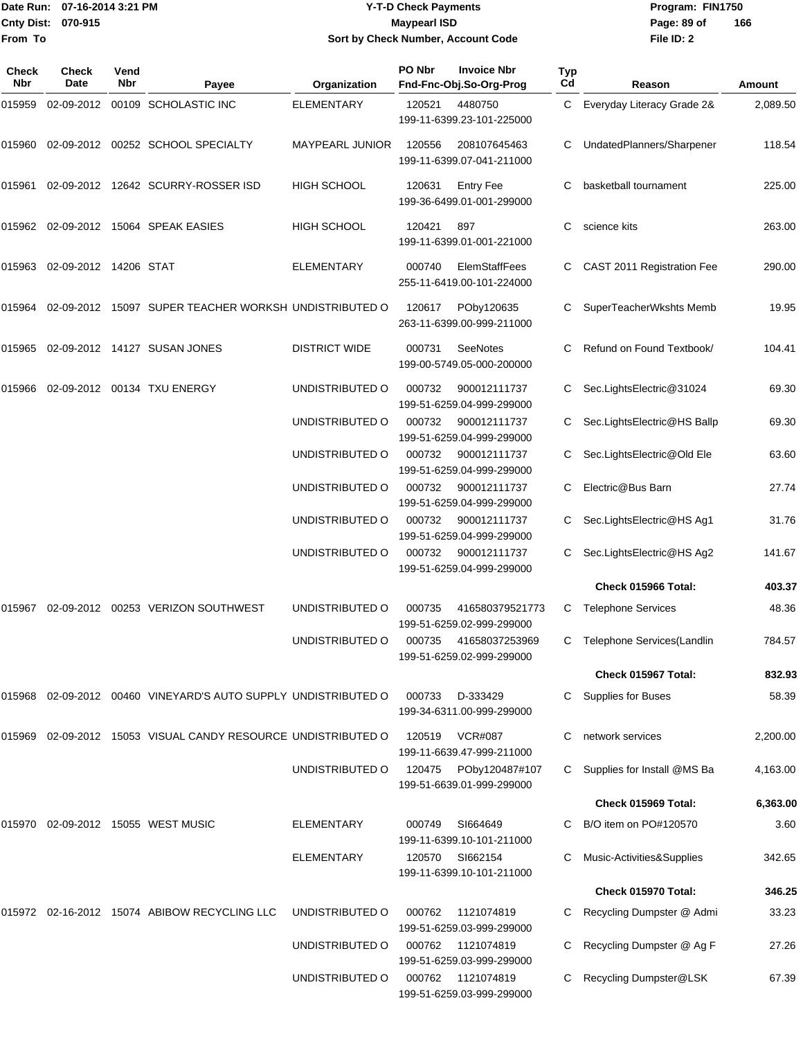#### Date Run: 07-16-2014 3:21 PM **Program:** FIN1750 **Cnty Dist:** 070-915 **Page: 89 of MaypearI ISD Page: 89 of Y-T-D Check Payments 070-915 Maypearl ISD Sort by Check Number, Account Code**

| <b>Check</b><br>Nbr | <b>Check</b><br>Date  | Vend<br>Nbr | Payee                                                   | Organization         | PO Nbr | <b>Invoice Nbr</b><br>Fnd-Fnc-Obj.So-Org-Prog      | Typ<br>Cd | Reason                       | Amount   |
|---------------------|-----------------------|-------------|---------------------------------------------------------|----------------------|--------|----------------------------------------------------|-----------|------------------------------|----------|
| 015959              |                       |             | 02-09-2012 00109 SCHOLASTIC INC                         | <b>ELEMENTARY</b>    | 120521 | 4480750<br>199-11-6399.23-101-225000               | C         | Everyday Literacy Grade 2&   | 2,089.50 |
| 015960              |                       |             | 02-09-2012 00252 SCHOOL SPECIALTY                       | MAYPEARL JUNIOR      | 120556 | 208107645463<br>199-11-6399.07-041-211000          | С         | UndatedPlanners/Sharpener    | 118.54   |
| 015961              |                       |             | 02-09-2012 12642 SCURRY-ROSSER ISD                      | <b>HIGH SCHOOL</b>   | 120631 | <b>Entry Fee</b><br>199-36-6499.01-001-299000      | С         | basketball tournament        | 225.00   |
|                     |                       |             | 015962 02-09-2012 15064 SPEAK EASIES                    | <b>HIGH SCHOOL</b>   | 120421 | 897<br>199-11-6399.01-001-221000                   | С         | science kits                 | 263.00   |
| 015963              | 02-09-2012 14206 STAT |             |                                                         | <b>ELEMENTARY</b>    | 000740 | ElemStaffFees<br>255-11-6419.00-101-224000         | С         | CAST 2011 Registration Fee   | 290.00   |
| 015964              |                       |             | 02-09-2012 15097 SUPER TEACHER WORKSH UNDISTRIBUTED O   |                      | 120617 | POby120635<br>263-11-6399.00-999-211000            |           | SuperTeacherWkshts Memb      | 19.95    |
| 015965              |                       |             | 02-09-2012 14127 SUSAN JONES                            | <b>DISTRICT WIDE</b> | 000731 | <b>SeeNotes</b><br>199-00-5749.05-000-200000       |           | Refund on Found Textbook/    | 104.41   |
| 015966              |                       |             | 02-09-2012 00134 TXU ENERGY                             | UNDISTRIBUTED O      | 000732 | 900012111737<br>199-51-6259.04-999-299000          | С         | Sec.LightsElectric@31024     | 69.30    |
|                     |                       |             |                                                         | UNDISTRIBUTED O      | 000732 | 900012111737<br>199-51-6259.04-999-299000          | С         | Sec.LightsElectric@HS Ballp  | 69.30    |
|                     |                       |             |                                                         | UNDISTRIBUTED O      | 000732 | 900012111737<br>199-51-6259.04-999-299000          | С         | Sec.LightsElectric@Old Ele   | 63.60    |
|                     |                       |             |                                                         | UNDISTRIBUTED O      | 000732 | 900012111737<br>199-51-6259.04-999-299000          | С         | Electric@Bus Barn            | 27.74    |
|                     |                       |             |                                                         | UNDISTRIBUTED O      | 000732 | 900012111737<br>199-51-6259.04-999-299000          | С         | Sec.LightsElectric@HS Ag1    | 31.76    |
|                     |                       |             |                                                         | UNDISTRIBUTED O      | 000732 | 900012111737<br>199-51-6259.04-999-299000          |           | Sec.LightsElectric@HS Ag2    | 141.67   |
|                     |                       |             |                                                         |                      |        |                                                    |           | Check 015966 Total:          | 403.37   |
| 015967              |                       |             | 02-09-2012  00253  VERIZON SOUTHWEST                    | UNDISTRIBUTED O      | 000735 | 416580379521773<br>199-51-6259.02-999-299000       | C         | <b>Telephone Services</b>    | 48.36    |
|                     |                       |             |                                                         | UNDISTRIBUTED O      |        | 000735 41658037253969<br>199-51-6259.02-999-299000 |           | C Telephone Services(Landlin | 784.57   |
|                     |                       |             |                                                         |                      |        |                                                    |           | Check 015967 Total:          | 832.93   |
| 015968              |                       |             | 02-09-2012 00460 VINEYARD'S AUTO SUPPLY UNDISTRIBUTED O |                      | 000733 | D-333429<br>199-34-6311.00-999-299000              | С         | <b>Supplies for Buses</b>    | 58.39    |
| 015969              |                       |             | 02-09-2012 15053 VISUAL CANDY RESOURCE UNDISTRIBUTED O  |                      | 120519 | <b>VCR#087</b><br>199-11-6639.47-999-211000        | С         | network services             | 2,200.00 |
|                     |                       |             |                                                         | UNDISTRIBUTED O      | 120475 | POby120487#107<br>199-51-6639.01-999-299000        | С         | Supplies for Install @MS Ba  | 4,163.00 |
|                     |                       |             |                                                         |                      |        |                                                    |           | Check 015969 Total:          | 6,363.00 |
| 015970              |                       |             | 02-09-2012 15055 WEST MUSIC                             | <b>ELEMENTARY</b>    | 000749 | SI664649<br>199-11-6399.10-101-211000              | С         | B/O item on PO#120570        | 3.60     |
|                     |                       |             |                                                         | <b>ELEMENTARY</b>    | 120570 | SI662154<br>199-11-6399.10-101-211000              | С         | Music-Activities&Supplies    | 342.65   |
|                     |                       |             |                                                         |                      |        |                                                    |           | Check 015970 Total:          | 346.25   |
|                     |                       |             | 015972 02-16-2012 15074 ABIBOW RECYCLING LLC            | UNDISTRIBUTED O      | 000762 | 1121074819<br>199-51-6259.03-999-299000            |           | Recycling Dumpster @ Admi    | 33.23    |
|                     |                       |             |                                                         | UNDISTRIBUTED O      | 000762 | 1121074819<br>199-51-6259.03-999-299000            | С         | Recycling Dumpster @ Ag F    | 27.26    |
|                     |                       |             |                                                         | UNDISTRIBUTED O      | 000762 | 1121074819<br>199-51-6259.03-999-299000            |           | Recycling Dumpster@LSK       | 67.39    |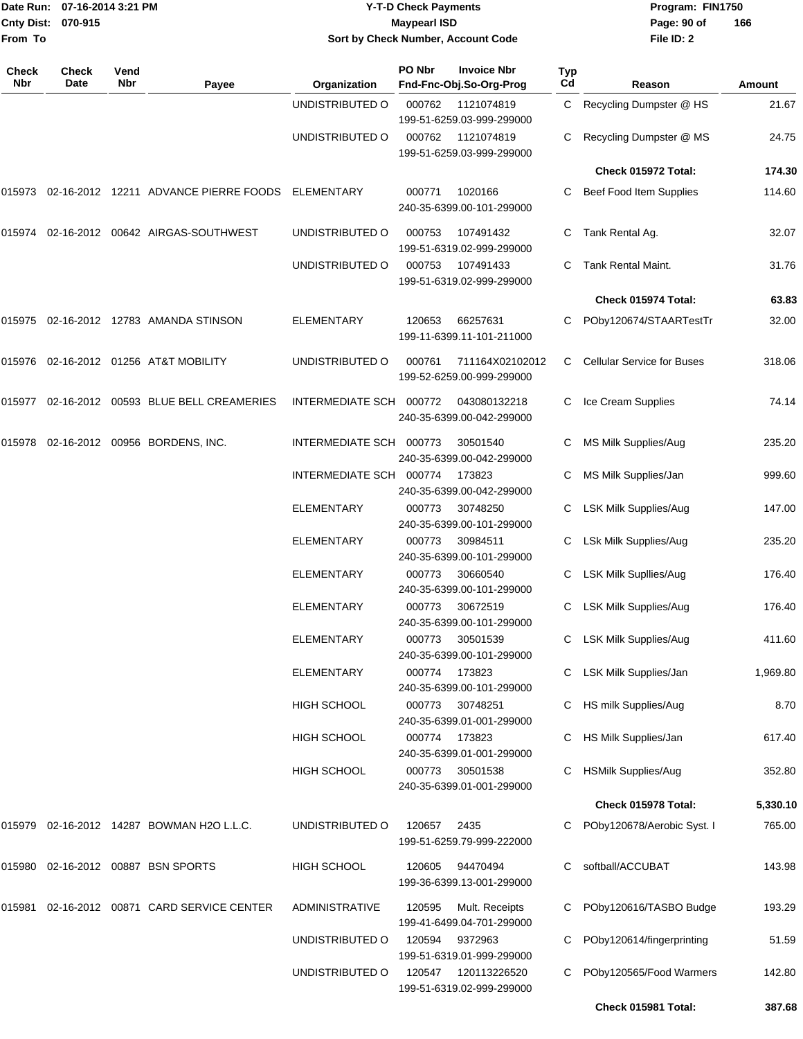|                     | Date Run: 07-16-2014 3:21 PM |             |                                              | <b>Y-T-D Check Payments</b>        |                     |                                                                      |                  | Program: FIN1750<br>Page: 90 of<br>166 |          |  |
|---------------------|------------------------------|-------------|----------------------------------------------|------------------------------------|---------------------|----------------------------------------------------------------------|------------------|----------------------------------------|----------|--|
| From To             | <b>Cnty Dist:</b><br>070-915 |             |                                              | Sort by Check Number, Account Code | <b>Maypearl ISD</b> |                                                                      |                  | File ID: 2                             |          |  |
| <b>Check</b><br>Nbr | Check<br>Date                | Vend<br>Nbr | Payee                                        | Organization                       | PO Nbr              | <b>Invoice Nbr</b><br>Fnd-Fnc-Obj.So-Org-Prog                        | <b>Typ</b><br>Cd | Reason                                 | Amount   |  |
|                     |                              |             |                                              | UNDISTRIBUTED O                    | 000762              | 1121074819                                                           | C                | Recycling Dumpster @ HS                | 21.67    |  |
|                     |                              |             |                                              | UNDISTRIBUTED O                    | 000762              | 199-51-6259.03-999-299000<br>1121074819<br>199-51-6259.03-999-299000 | C                | Recycling Dumpster @ MS                | 24.75    |  |
|                     |                              |             |                                              |                                    |                     |                                                                      |                  | Check 015972 Total:                    | 174.30   |  |
|                     |                              |             | 015973 02-16-2012 12211 ADVANCE PIERRE FOODS | ELEMENTARY                         | 000771              | 1020166<br>240-35-6399.00-101-299000                                 | C                | Beef Food Item Supplies                | 114.60   |  |
| 015974              |                              |             | 02-16-2012 00642 AIRGAS-SOUTHWEST            | UNDISTRIBUTED O                    | 000753              | 107491432<br>199-51-6319.02-999-299000                               | C                | Tank Rental Ag.                        | 32.07    |  |
|                     |                              |             |                                              | UNDISTRIBUTED O                    | 000753              | 107491433<br>199-51-6319.02-999-299000                               |                  | Tank Rental Maint.                     | 31.76    |  |
|                     |                              |             |                                              |                                    |                     |                                                                      |                  | Check 015974 Total:                    | 63.83    |  |
|                     |                              |             | 015975 02-16-2012 12783 AMANDA STINSON       | <b>ELEMENTARY</b>                  | 120653              | 66257631<br>199-11-6399.11-101-211000                                |                  | POby120674/STAARTestTr                 | 32.00    |  |
|                     |                              |             | 015976 02-16-2012 01256 AT&T MOBILITY        | UNDISTRIBUTED O                    | 000761              | 711164X02102012<br>199-52-6259.00-999-299000                         | C.               | <b>Cellular Service for Buses</b>      | 318.06   |  |
|                     |                              |             | 015977 02-16-2012 00593 BLUE BELL CREAMERIES | INTERMEDIATE SCH 000772            |                     | 043080132218<br>240-35-6399.00-042-299000                            | C                | Ice Cream Supplies                     | 74.14    |  |
|                     |                              |             | 015978 02-16-2012 00956 BORDENS, INC.        | <b>INTERMEDIATE SCH</b>            | 000773              | 30501540<br>240-35-6399.00-042-299000                                |                  | MS Milk Supplies/Aug                   | 235.20   |  |
|                     |                              |             |                                              | INTERMEDIATE SCH                   | 000774              | 173823                                                               | C                | MS Milk Supplies/Jan                   | 999.60   |  |
|                     |                              |             |                                              | <b>ELEMENTARY</b>                  | 000773              | 240-35-6399.00-042-299000<br>30748250<br>240-35-6399.00-101-299000   | C                | <b>LSK Milk Supplies/Aug</b>           | 147.00   |  |
|                     |                              |             |                                              | <b>ELEMENTARY</b>                  | 000773              | 30984511<br>240-35-6399.00-101-299000                                |                  | LSk Milk Supplies/Aug                  | 235.20   |  |
|                     |                              |             |                                              | <b>ELEMENTARY</b>                  | 000773              | 30660540<br>240-35-6399.00-101-299000                                | C                | <b>LSK Milk Supllies/Aug</b>           | 176.40   |  |
|                     |                              |             |                                              | <b>ELEMENTARY</b>                  | 000773              | 30672519<br>240-35-6399.00-101-299000                                |                  | C LSK Milk Supplies/Aug                | 176.40   |  |
|                     |                              |             |                                              | <b>ELEMENTARY</b>                  | 000773              | 30501539<br>240-35-6399.00-101-299000                                |                  | LSK Milk Supplies/Aug                  | 411.60   |  |
|                     |                              |             |                                              | <b>ELEMENTARY</b>                  | 000774 173823       | 240-35-6399.00-101-299000                                            | C.               | LSK Milk Supplies/Jan                  | 1,969.80 |  |
|                     |                              |             |                                              | HIGH SCHOOL                        | 000773              | 30748251<br>240-35-6399.01-001-299000                                |                  | C HS milk Supplies/Aug                 | 8.70     |  |
|                     |                              |             |                                              | <b>HIGH SCHOOL</b>                 | 000774              | 173823<br>240-35-6399.01-001-299000                                  |                  | C HS Milk Supplies/Jan                 | 617.40   |  |
|                     |                              |             |                                              | HIGH SCHOOL                        | 000773              | 30501538<br>240-35-6399.01-001-299000                                | C                | <b>HSMilk Supplies/Aug</b>             | 352.80   |  |
|                     |                              |             |                                              |                                    |                     |                                                                      |                  | Check 015978 Total:                    | 5,330.10 |  |
|                     |                              |             | 015979 02-16-2012 14287 BOWMAN H2O L.L.C.    | UNDISTRIBUTED O                    | 120657              | 2435<br>199-51-6259.79-999-222000                                    |                  | POby120678/Aerobic Syst. I             | 765.00   |  |
|                     |                              |             | 015980 02-16-2012 00887 BSN SPORTS           | HIGH SCHOOL                        | 120605              | 94470494<br>199-36-6399.13-001-299000                                | C                | softball/ACCUBAT                       | 143.98   |  |
|                     |                              |             | 015981 02-16-2012 00871 CARD SERVICE CENTER  | <b>ADMINISTRATIVE</b>              | 120595              | Mult. Receipts<br>199-41-6499.04-701-299000                          |                  | POby120616/TASBO Budge                 | 193.29   |  |
|                     |                              |             |                                              | UNDISTRIBUTED O                    | 120594              | 9372963<br>199-51-6319.01-999-299000                                 |                  | POby120614/fingerprinting              | 51.59    |  |
|                     |                              |             |                                              | UNDISTRIBUTED O                    | 120547              | 120113226520<br>199-51-6319.02-999-299000                            |                  | POby120565/Food Warmers                | 142.80   |  |
|                     |                              |             |                                              |                                    |                     |                                                                      |                  | Check 015981 Total:                    | 387.68   |  |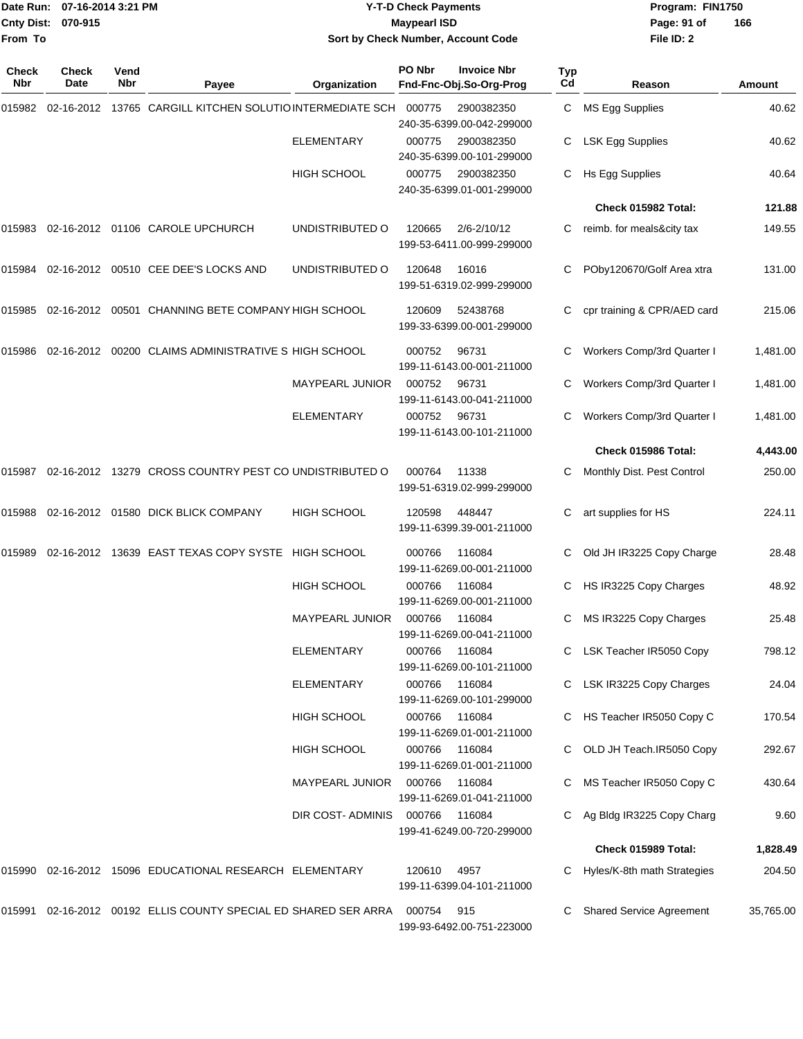|                    | Date Run: 07-16-2014 3:21 PM | <b>Y-T-D Check Payments</b>        | Program: FIN1750              |
|--------------------|------------------------------|------------------------------------|-------------------------------|
| Cnty Dist: 070-915 |                              | Maypearl ISD                       | $\overline{1}$<br>Page: 91 of |
| From To            |                              | Sort by Check Number, Account Code | File ID: 2                    |

## **Sort by Check Number, Account Code**

| <b>Check</b><br><b>Nbr</b> | Check<br>Date | Vend<br><b>Nbr</b> | Payee                                                     | Organization           | PO Nbr | <b>Invoice Nbr</b><br>Fnd-Fnc-Obj.So-Org-Prog | Typ<br>Cd | Reason                          | Amount    |
|----------------------------|---------------|--------------------|-----------------------------------------------------------|------------------------|--------|-----------------------------------------------|-----------|---------------------------------|-----------|
| 015982                     |               |                    | 02-16-2012 13765 CARGILL KITCHEN SOLUTIO INTERMEDIATE SCH |                        | 000775 | 2900382350<br>240-35-6399.00-042-299000       | C.        | MS Egg Supplies                 | 40.62     |
|                            |               |                    |                                                           | <b>ELEMENTARY</b>      | 000775 | 2900382350<br>240-35-6399.00-101-299000       | C.        | LSK Egg Supplies                | 40.62     |
|                            |               |                    |                                                           | HIGH SCHOOL            | 000775 | 2900382350<br>240-35-6399.01-001-299000       | C.        | Hs Egg Supplies                 | 40.64     |
|                            |               |                    |                                                           |                        |        |                                               |           | Check 015982 Total:             | 121.88    |
| 015983                     |               |                    | 02-16-2012 01106 CAROLE UPCHURCH                          | UNDISTRIBUTED O        | 120665 | 2/6-2/10/12<br>199-53-6411.00-999-299000      | С         | reimb. for meals&city tax       | 149.55    |
| 015984                     |               |                    | 02-16-2012 00510 CEE DEE'S LOCKS AND                      | UNDISTRIBUTED O        | 120648 | 16016<br>199-51-6319.02-999-299000            | С         | POby120670/Golf Area xtra       | 131.00    |
| 015985                     |               |                    | 02-16-2012 00501 CHANNING BETE COMPANY HIGH SCHOOL        |                        | 120609 | 52438768<br>199-33-6399.00-001-299000         | С         | cpr training & CPR/AED card     | 215.06    |
| 015986                     |               |                    | 02-16-2012 00200 CLAIMS ADMINISTRATIVE S HIGH SCHOOL      |                        | 000752 | 96731<br>199-11-6143.00-001-211000            | С         | Workers Comp/3rd Quarter I      | 1,481.00  |
|                            |               |                    |                                                           | <b>MAYPEARL JUNIOR</b> | 000752 | 96731<br>199-11-6143.00-041-211000            | С         | Workers Comp/3rd Quarter I      | 1,481.00  |
|                            |               |                    |                                                           | <b>ELEMENTARY</b>      | 000752 | 96731<br>199-11-6143.00-101-211000            | С         | Workers Comp/3rd Quarter I      | 1,481.00  |
|                            |               |                    |                                                           |                        |        |                                               |           | Check 015986 Total:             | 4,443.00  |
| 015987                     |               |                    | 02-16-2012 13279 CROSS COUNTRY PEST CO UNDISTRIBUTED O    |                        | 000764 | 11338<br>199-51-6319.02-999-299000            | С         | Monthly Dist. Pest Control      | 250.00    |
| 015988                     |               |                    | 02-16-2012 01580 DICK BLICK COMPANY                       | <b>HIGH SCHOOL</b>     | 120598 | 448447<br>199-11-6399.39-001-211000           | С         | art supplies for HS             | 224.11    |
| 015989                     |               |                    | 02-16-2012 13639 EAST TEXAS COPY SYSTE HIGH SCHOOL        |                        | 000766 | 116084<br>199-11-6269.00-001-211000           | С         | Old JH IR3225 Copy Charge       | 28.48     |
|                            |               |                    |                                                           | <b>HIGH SCHOOL</b>     | 000766 | 116084<br>199-11-6269.00-001-211000           | С         | HS IR3225 Copy Charges          | 48.92     |
|                            |               |                    |                                                           | <b>MAYPEARL JUNIOR</b> | 000766 | 116084<br>199-11-6269.00-041-211000           | С         | MS IR3225 Copy Charges          | 25.48     |
|                            |               |                    |                                                           | ELEMENTARY             | 000766 | 116084<br>199-11-6269.00-101-211000           |           | LSK Teacher IR5050 Copy         | 798.12    |
|                            |               |                    |                                                           | <b>ELEMENTARY</b>      | 000766 | 116084<br>199-11-6269.00-101-299000           |           | C LSK IR3225 Copy Charges       | 24.04     |
|                            |               |                    |                                                           | <b>HIGH SCHOOL</b>     | 000766 | 116084<br>199-11-6269.01-001-211000           |           | C HS Teacher IR5050 Copy C      | 170.54    |
|                            |               |                    |                                                           | HIGH SCHOOL            | 000766 | 116084<br>199-11-6269.01-001-211000           | С         | OLD JH Teach.IR5050 Copy        | 292.67    |
|                            |               |                    |                                                           | MAYPEARL JUNIOR        | 000766 | 116084<br>199-11-6269.01-041-211000           |           | MS Teacher IR5050 Copy C        | 430.64    |
|                            |               |                    |                                                           | DIR COST-ADMINIS       | 000766 | 116084<br>199-41-6249.00-720-299000           | С         | Ag Bldg IR3225 Copy Charg       | 9.60      |
|                            |               |                    |                                                           |                        |        |                                               |           | Check 015989 Total:             | 1,828.49  |
| 015990                     |               |                    | 02-16-2012 15096 EDUCATIONAL RESEARCH ELEMENTARY          |                        | 120610 | 4957<br>199-11-6399.04-101-211000             | С         | Hyles/K-8th math Strategies     | 204.50    |
| 015991                     |               |                    | 02-16-2012 00192 ELLIS COUNTY SPECIAL ED SHARED SER ARRA  |                        | 000754 | 915<br>199-93-6492.00-751-223000              |           | <b>Shared Service Agreement</b> | 35,765.00 |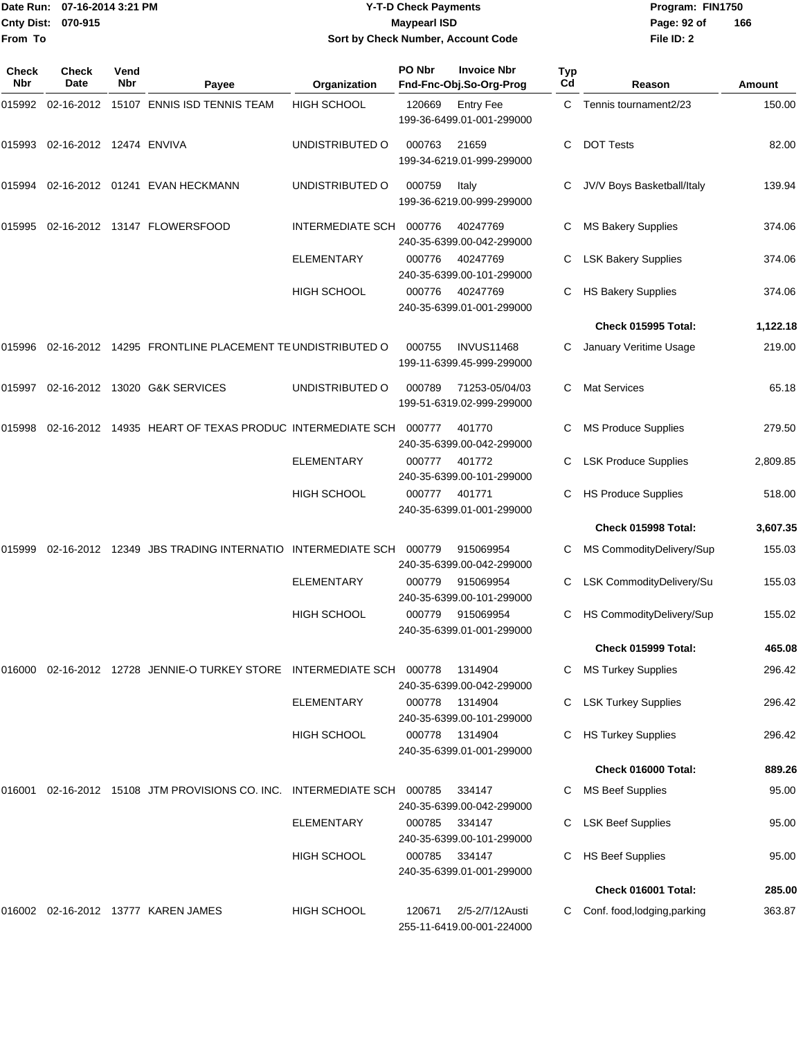|              | Date Run: 07-16-2014 3:21 PM<br>Cnty Dist: 070-915 |                    |                                                          |                         | <b>Y-T-D Check Payments</b><br><b>Maypearl ISD</b> |                                                |                  | Program: FIN1750<br>Page: 92 of<br>166 |          |
|--------------|----------------------------------------------------|--------------------|----------------------------------------------------------|-------------------------|----------------------------------------------------|------------------------------------------------|------------------|----------------------------------------|----------|
| From To      |                                                    |                    |                                                          |                         |                                                    | Sort by Check Number, Account Code             |                  | File ID: 2                             |          |
| Check<br>Nbr | Check<br>Date                                      | Vend<br><b>Nbr</b> | Payee                                                    | Organization            | PO Nbr                                             | <b>Invoice Nbr</b><br>Fnd-Fnc-Obj.So-Org-Prog  | <b>Typ</b><br>Cd | Reason                                 | Amount   |
|              |                                                    |                    | 015992 02-16-2012 15107 ENNIS ISD TENNIS TEAM            | <b>HIGH SCHOOL</b>      | 120669                                             | <b>Entry Fee</b><br>199-36-6499.01-001-299000  | C.               | Tennis tournament2/23                  | 150.00   |
| 015993       | 02-16-2012 12474 ENVIVA                            |                    |                                                          | UNDISTRIBUTED O         | 000763                                             | 21659<br>199-34-6219.01-999-299000             | C                | <b>DOT Tests</b>                       | 82.00    |
| 015994       |                                                    |                    | 02-16-2012  01241  EVAN HECKMANN                         | UNDISTRIBUTED O         | 000759                                             | Italy<br>199-36-6219.00-999-299000             | C                | JV/V Boys Basketball/Italy             | 139.94   |
| 015995       |                                                    |                    |                                                          | INTERMEDIATE SCH        | 000776                                             | 40247769<br>240-35-6399.00-042-299000          | С                | <b>MS Bakery Supplies</b>              | 374.06   |
|              |                                                    |                    |                                                          | <b>ELEMENTARY</b>       | 000776                                             | 40247769<br>240-35-6399.00-101-299000          | С                | <b>LSK Bakery Supplies</b>             | 374.06   |
|              |                                                    |                    |                                                          | <b>HIGH SCHOOL</b>      | 000776                                             | 40247769<br>240-35-6399.01-001-299000          | С                | <b>HS Bakery Supplies</b>              | 374.06   |
|              |                                                    |                    |                                                          |                         |                                                    |                                                |                  | Check 015995 Total:                    | 1,122.18 |
| 015996       |                                                    |                    | 02-16-2012 14295 FRONTLINE PLACEMENT TE UNDISTRIBUTED O  |                         | 000755                                             | <b>INVUS11468</b><br>199-11-6399.45-999-299000 | C                | January Veritime Usage                 | 219.00   |
| 015997       |                                                    |                    | 02-16-2012 13020 G&K SERVICES                            | UNDISTRIBUTED O         | 000789                                             | 71253-05/04/03<br>199-51-6319.02-999-299000    | C                | <b>Mat Services</b>                    | 65.18    |
| 015998       |                                                    |                    | 02-16-2012 14935 HEART OF TEXAS PRODUC INTERMEDIATE SCH  |                         | 000777                                             | 401770<br>240-35-6399.00-042-299000            | C                | <b>MS Produce Supplies</b>             | 279.50   |
|              |                                                    |                    |                                                          | <b>ELEMENTARY</b>       | 000777                                             | 401772<br>240-35-6399.00-101-299000            | C                | <b>LSK Produce Supplies</b>            | 2,809.85 |
|              |                                                    |                    |                                                          | HIGH SCHOOL             | 000777                                             | 401771<br>240-35-6399.01-001-299000            | C                | <b>HS Produce Supplies</b>             | 518.00   |
|              |                                                    |                    |                                                          |                         |                                                    |                                                |                  | Check 015998 Total:                    | 3,607.35 |
| 015999       |                                                    |                    | 02-16-2012 12349 JBS TRADING INTERNATIO INTERMEDIATE SCH |                         | 000779                                             | 915069954<br>240-35-6399.00-042-299000         | C.               | MS CommodityDelivery/Sup               | 155.03   |
|              |                                                    |                    |                                                          | ELEMENTARY              | 000779                                             | 915069954<br>240-35-6399.00-101-299000         |                  | LSK CommodityDelivery/Su               | 155.03   |
|              |                                                    |                    |                                                          | <b>HIGH SCHOOL</b>      | 000779                                             | 915069954<br>240-35-6399.01-001-299000         | C                | HS CommodityDelivery/Sup               | 155.02   |
|              |                                                    |                    |                                                          |                         |                                                    |                                                |                  | Check 015999 Total:                    | 465.08   |
| 016000       |                                                    |                    | 02-16-2012 12728 JENNIE-O TURKEY STORE INTERMEDIATE SCH  |                         | 000778                                             | 1314904<br>240-35-6399.00-042-299000           | C                | <b>MS Turkey Supplies</b>              | 296.42   |
|              |                                                    |                    |                                                          | ELEMENTARY              | 000778                                             | 1314904<br>240-35-6399.00-101-299000           |                  | <b>LSK Turkey Supplies</b>             | 296.42   |
|              |                                                    |                    |                                                          | <b>HIGH SCHOOL</b>      | 000778                                             | 1314904<br>240-35-6399.01-001-299000           | C                | <b>HS Turkey Supplies</b>              | 296.42   |
|              |                                                    |                    |                                                          |                         |                                                    |                                                |                  | Check 016000 Total:                    | 889.26   |
| 016001       |                                                    |                    | 02-16-2012 15108 JTM PROVISIONS CO. INC.                 | <b>INTERMEDIATE SCH</b> | 000785                                             | 334147<br>240-35-6399.00-042-299000            | C                | <b>MS Beef Supplies</b>                | 95.00    |
|              |                                                    |                    |                                                          | <b>ELEMENTARY</b>       | 000785                                             | 334147<br>240-35-6399.00-101-299000            | C                | <b>LSK Beef Supplies</b>               | 95.00    |
|              |                                                    |                    |                                                          | HIGH SCHOOL             | 000785                                             | 334147<br>240-35-6399.01-001-299000            | C.               | <b>HS Beef Supplies</b>                | 95.00    |
|              |                                                    |                    |                                                          |                         |                                                    |                                                |                  | Check 016001 Total:                    | 285.00   |
|              |                                                    |                    | 016002 02-16-2012 13777 KAREN JAMES                      | <b>HIGH SCHOOL</b>      | 120671                                             | 2/5-2/7/12Austi                                |                  | C Conf. food, lodging, parking         | 363.87   |

255-11-6419.00-001-224000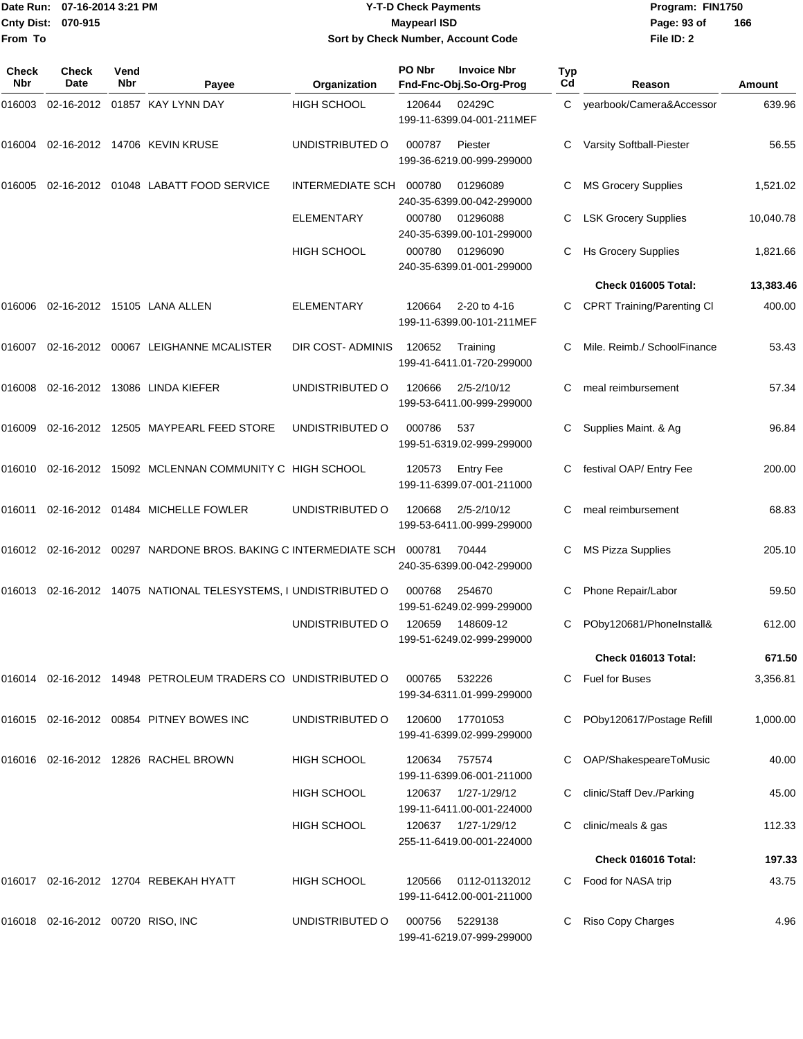|                    | Date Run: 07-16-2014 3:21 PM |
|--------------------|------------------------------|
| Cnty Dist: 070-915 |                              |
| lFrom To           |                              |

## **Date Run: Program: FIN1750 07-16-2014 3:21 PM Y-T-D Check Payments Cnty Dist: Page: 93 of 070-915 Maypearl ISD Sort by Check Number, Account Code**

| Check<br>Nbr | Check<br>Date                     | Vend<br><b>Nbr</b> | Payee                                                           | Organization      | PO Nbr | <b>Invoice Nbr</b><br>Fnd-Fnc-Obj.So-Org-Prog | Typ<br>Cd | Reason                            | Amount    |
|--------------|-----------------------------------|--------------------|-----------------------------------------------------------------|-------------------|--------|-----------------------------------------------|-----------|-----------------------------------|-----------|
| 016003       |                                   |                    | 02-16-2012 01857 KAY LYNN DAY                                   | HIGH SCHOOL       | 120644 | 02429C<br>199-11-6399.04-001-211MEF           | C.        | yearbook/Camera&Accessor          | 639.96    |
| 016004       |                                   |                    | 02-16-2012 14706 KEVIN KRUSE                                    | UNDISTRIBUTED O   | 000787 | Piester<br>199-36-6219.00-999-299000          |           | Varsity Softball-Piester          | 56.55     |
| 016005       |                                   |                    | 02-16-2012 01048 LABATT FOOD SERVICE                            | INTERMEDIATE SCH  | 000780 | 01296089<br>240-35-6399.00-042-299000         | С         | <b>MS Grocery Supplies</b>        | 1,521.02  |
|              |                                   |                    |                                                                 | <b>ELEMENTARY</b> | 000780 | 01296088<br>240-35-6399.00-101-299000         | С         | <b>LSK Grocery Supplies</b>       | 10,040.78 |
|              |                                   |                    |                                                                 | HIGH SCHOOL       | 000780 | 01296090<br>240-35-6399.01-001-299000         |           | <b>Hs Grocery Supplies</b>        | 1,821.66  |
|              |                                   |                    |                                                                 |                   |        |                                               |           | Check 016005 Total:               | 13,383.46 |
| 016006       |                                   |                    | 02-16-2012 15105 LANA ALLEN                                     | <b>ELEMENTARY</b> | 120664 | 2-20 to 4-16<br>199-11-6399.00-101-211MEF     | С         | <b>CPRT Training/Parenting CI</b> | 400.00    |
| 016007       |                                   |                    | 02-16-2012 00067 LEIGHANNE MCALISTER                            | DIR COST- ADMINIS | 120652 | Training<br>199-41-6411.01-720-299000         |           | Mile. Reimb./ SchoolFinance       | 53.43     |
| 016008       |                                   |                    | 02-16-2012 13086 LINDA KIEFER                                   | UNDISTRIBUTED O   | 120666 | $2/5 - 2/10/12$<br>199-53-6411.00-999-299000  | С         | meal reimbursement                | 57.34     |
| 016009       |                                   |                    | 02-16-2012 12505 MAYPEARL FEED STORE                            | UNDISTRIBUTED O   | 000786 | 537<br>199-51-6319.02-999-299000              |           | Supplies Maint. & Ag              | 96.84     |
| 016010       |                                   |                    | 02-16-2012 15092 MCLENNAN COMMUNITY C HIGH SCHOOL               |                   | 120573 | <b>Entry Fee</b><br>199-11-6399.07-001-211000 | С         | festival OAP/ Entry Fee           | 200.00    |
| 016011       |                                   |                    | 02-16-2012 01484 MICHELLE FOWLER                                | UNDISTRIBUTED O   | 120668 | $2/5 - 2/10/12$<br>199-53-6411.00-999-299000  | С         | meal reimbursement                | 68.83     |
|              |                                   |                    | 016012 02-16-2012 00297 NARDONE BROS. BAKING C INTERMEDIATE SCH |                   | 000781 | 70444<br>240-35-6399.00-042-299000            |           | <b>MS Pizza Supplies</b>          | 205.10    |
| 016013       |                                   |                    | 02-16-2012 14075 NATIONAL TELESYSTEMS, I UNDISTRIBUTED O        |                   | 000768 | 254670<br>199-51-6249.02-999-299000           | С         | Phone Repair/Labor                | 59.50     |
|              |                                   |                    |                                                                 | UNDISTRIBUTED O   | 120659 | 148609-12<br>199-51-6249.02-999-299000        | С         | POby120681/PhoneInstall&          | 612.00    |
|              |                                   |                    |                                                                 |                   |        |                                               |           | Check 016013 Total:               | 671.50    |
| 016014       |                                   |                    | 02-16-2012 14948 PETROLEUM TRADERS CO UNDISTRIBUTED O           |                   | 000765 | 532226<br>199-34-6311.01-999-299000           | С         | <b>Fuel for Buses</b>             | 3,356.81  |
|              |                                   |                    | 016015 02-16-2012 00854 PITNEY BOWES INC                        | UNDISTRIBUTED O   | 120600 | 17701053<br>199-41-6399.02-999-299000         |           | POby120617/Postage Refill         | 1,000.00  |
|              |                                   |                    | 016016 02-16-2012 12826 RACHEL BROWN                            | HIGH SCHOOL       | 120634 | 757574<br>199-11-6399.06-001-211000           |           | OAP/ShakespeareToMusic            | 40.00     |
|              |                                   |                    |                                                                 | HIGH SCHOOL       | 120637 | 1/27-1/29/12<br>199-11-6411.00-001-224000     |           | clinic/Staff Dev./Parking         | 45.00     |
|              |                                   |                    |                                                                 | HIGH SCHOOL       | 120637 | 1/27-1/29/12<br>255-11-6419.00-001-224000     |           | clinic/meals & gas                | 112.33    |
|              |                                   |                    |                                                                 |                   |        |                                               |           | Check 016016 Total:               | 197.33    |
|              |                                   |                    | 016017 02-16-2012 12704 REBEKAH HYATT                           | HIGH SCHOOL       | 120566 | 0112-01132012<br>199-11-6412.00-001-211000    | C         | Food for NASA trip                | 43.75     |
|              | 016018 02-16-2012 00720 RISO, INC |                    |                                                                 | UNDISTRIBUTED O   | 000756 | 5229138<br>199-41-6219.07-999-299000          |           | Riso Copy Charges                 | 4.96      |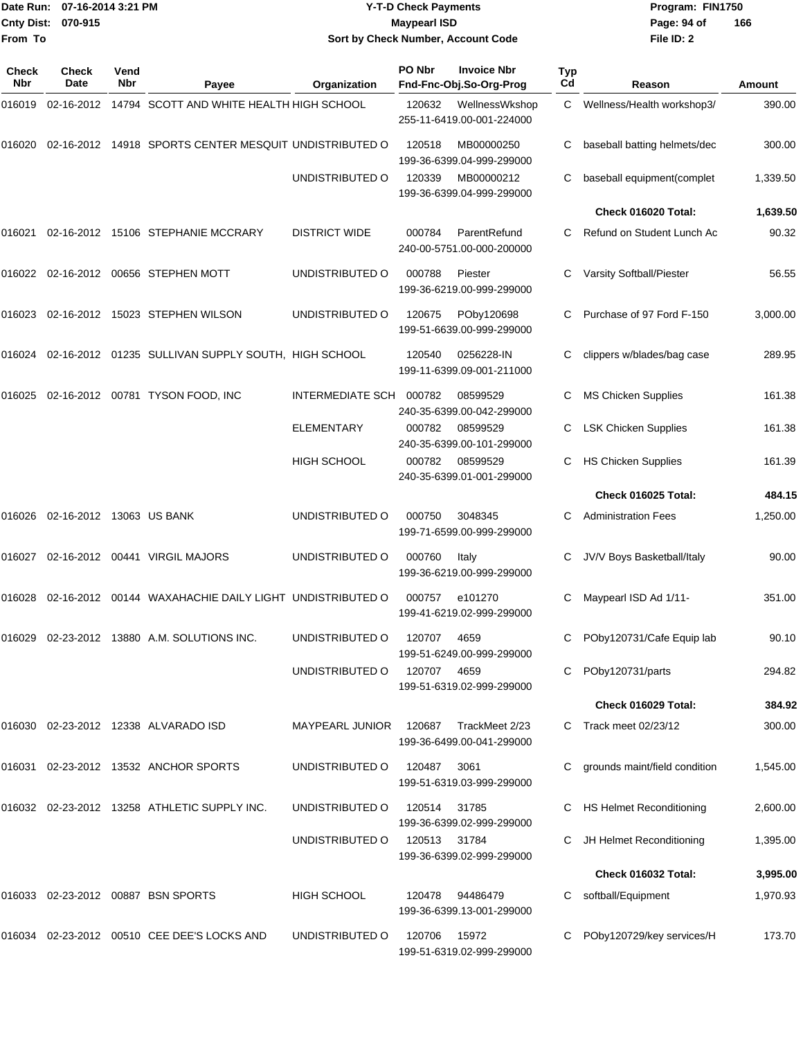| <b>Cnty Dist:</b><br>From To | Date Run: 07-16-2014 3:21 PM<br>070-915 |                    |                                                                | <b>Y-T-D Check Payments</b><br><b>Maypearl ISD</b><br>Sort by Check Number, Account Code |             |                                               |                  | Program: FIN1750<br>Page: 94 of<br>File ID: 2 | 166      |
|------------------------------|-----------------------------------------|--------------------|----------------------------------------------------------------|------------------------------------------------------------------------------------------|-------------|-----------------------------------------------|------------------|-----------------------------------------------|----------|
| <b>Check</b><br>Nbr          | Check<br>Date                           | Vend<br><b>Nbr</b> | Payee                                                          | Organization                                                                             | PO Nbr      | <b>Invoice Nbr</b><br>Fnd-Fnc-Obj.So-Org-Prog | <b>Typ</b><br>Cd | Reason                                        | Amount   |
| 016019                       |                                         |                    | 02-16-2012 14794 SCOTT AND WHITE HEALTH HIGH SCHOOL            |                                                                                          | 120632      | WellnessWkshop<br>255-11-6419.00-001-224000   | C                | Wellness/Health workshop3/                    | 390.00   |
| 016020                       |                                         |                    | 02-16-2012 14918 SPORTS CENTER MESQUIT UNDISTRIBUTED O         |                                                                                          | 120518      | MB00000250<br>199-36-6399.04-999-299000       | С                | baseball batting helmets/dec                  | 300.00   |
|                              |                                         |                    |                                                                | UNDISTRIBUTED O                                                                          | 120339      | MB00000212<br>199-36-6399.04-999-299000       | С                | baseball equipment(complet                    | 1,339.50 |
|                              |                                         |                    |                                                                |                                                                                          |             |                                               |                  | Check 016020 Total:                           | 1,639.50 |
| 016021                       |                                         |                    | 02-16-2012 15106 STEPHANIE MCCRARY                             | <b>DISTRICT WIDE</b>                                                                     | 000784      | ParentRefund<br>240-00-5751.00-000-200000     |                  | Refund on Student Lunch Ac                    | 90.32    |
| 016022                       |                                         |                    | 02-16-2012 00656 STEPHEN MOTT                                  | UNDISTRIBUTED O                                                                          | 000788      | Piester<br>199-36-6219.00-999-299000          |                  | Varsity Softball/Piester                      | 56.55    |
| 016023                       |                                         |                    | 02-16-2012 15023 STEPHEN WILSON                                | UNDISTRIBUTED O                                                                          | 120675      | POby120698<br>199-51-6639.00-999-299000       |                  | Purchase of 97 Ford F-150                     | 3,000.00 |
| 016024                       |                                         |                    | 02-16-2012 01235 SULLIVAN SUPPLY SOUTH, HIGH SCHOOL            |                                                                                          | 120540      | 0256228-IN<br>199-11-6399.09-001-211000       | С                | clippers w/blades/bag case                    | 289.95   |
| 016025                       |                                         |                    | 02-16-2012 00781 TYSON FOOD, INC                               | <b>INTERMEDIATE SCH</b>                                                                  | 000782      | 08599529<br>240-35-6399.00-042-299000         | С                | <b>MS Chicken Supplies</b>                    | 161.38   |
|                              |                                         |                    |                                                                | <b>ELEMENTARY</b>                                                                        | 000782      | 08599529<br>240-35-6399.00-101-299000         | С                | <b>LSK Chicken Supplies</b>                   | 161.38   |
|                              |                                         |                    |                                                                | <b>HIGH SCHOOL</b>                                                                       | 000782      | 08599529<br>240-35-6399.01-001-299000         | С                | <b>HS Chicken Supplies</b>                    | 161.39   |
|                              |                                         |                    |                                                                |                                                                                          |             |                                               |                  | Check 016025 Total:                           | 484.15   |
| 016026                       | 02-16-2012 13063 US BANK                |                    |                                                                | UNDISTRIBUTED O                                                                          | 000750      | 3048345<br>199-71-6599.00-999-299000          | С                | <b>Administration Fees</b>                    | 1,250.00 |
| 016027                       |                                         |                    | 02-16-2012  00441  VIRGIL MAJORS                               | UNDISTRIBUTED O                                                                          | 000760      | Italy<br>199-36-6219.00-999-299000            | С                | JV/V Boys Basketball/Italy                    | 90.00    |
|                              |                                         |                    | 016028 02-16-2012 00144 WAXAHACHIE DAILY LIGHT UNDISTRIBUTED O |                                                                                          | 000757      | e101270<br>199-41-6219.02-999-299000          |                  | C Maypearl ISD Ad 1/11-                       | 351.00   |
|                              |                                         |                    | 016029 02-23-2012 13880 A.M. SOLUTIONS INC.                    | UNDISTRIBUTED O                                                                          | 120707      | 4659<br>199-51-6249.00-999-299000             |                  | POby120731/Cafe Equip lab                     | 90.10    |
|                              |                                         |                    |                                                                | UNDISTRIBUTED O                                                                          | 120707 4659 | 199-51-6319.02-999-299000                     |                  | POby120731/parts                              | 294.82   |
|                              |                                         |                    |                                                                |                                                                                          |             |                                               |                  | Check 016029 Total:                           | 384.92   |
|                              |                                         |                    | 016030 02-23-2012 12338 ALVARADO ISD                           | <b>MAYPEARL JUNIOR</b>                                                                   | 120687      | TrackMeet 2/23<br>199-36-6499.00-041-299000   |                  | C Track meet 02/23/12                         | 300.00   |
|                              |                                         |                    | 016031 02-23-2012 13532 ANCHOR SPORTS                          | UNDISTRIBUTED O                                                                          | 120487      | 3061<br>199-51-6319.03-999-299000             |                  | grounds maint/field condition                 | 1,545.00 |
|                              |                                         |                    | 016032 02-23-2012 13258 ATHLETIC SUPPLY INC.                   | UNDISTRIBUTED O                                                                          | 120514      | 31785<br>199-36-6399.02-999-299000            |                  | C HS Helmet Reconditioning                    | 2,600.00 |
|                              |                                         |                    |                                                                | UNDISTRIBUTED O                                                                          | 120513      | 31784<br>199-36-6399.02-999-299000            |                  | JH Helmet Reconditioning                      | 1,395.00 |
|                              |                                         |                    |                                                                |                                                                                          |             |                                               |                  | Check 016032 Total:                           | 3,995.00 |
|                              |                                         |                    | 016033 02-23-2012 00887 BSN SPORTS                             | <b>HIGH SCHOOL</b>                                                                       | 120478      | 94486479<br>199-36-6399.13-001-299000         |                  | softball/Equipment                            | 1,970.93 |
|                              |                                         |                    | 016034 02-23-2012 00510 CEE DEE'S LOCKS AND                    | UNDISTRIBUTED O                                                                          | 120706      | 15972<br>199-51-6319.02-999-299000            |                  | POby120729/key services/H                     | 173.70   |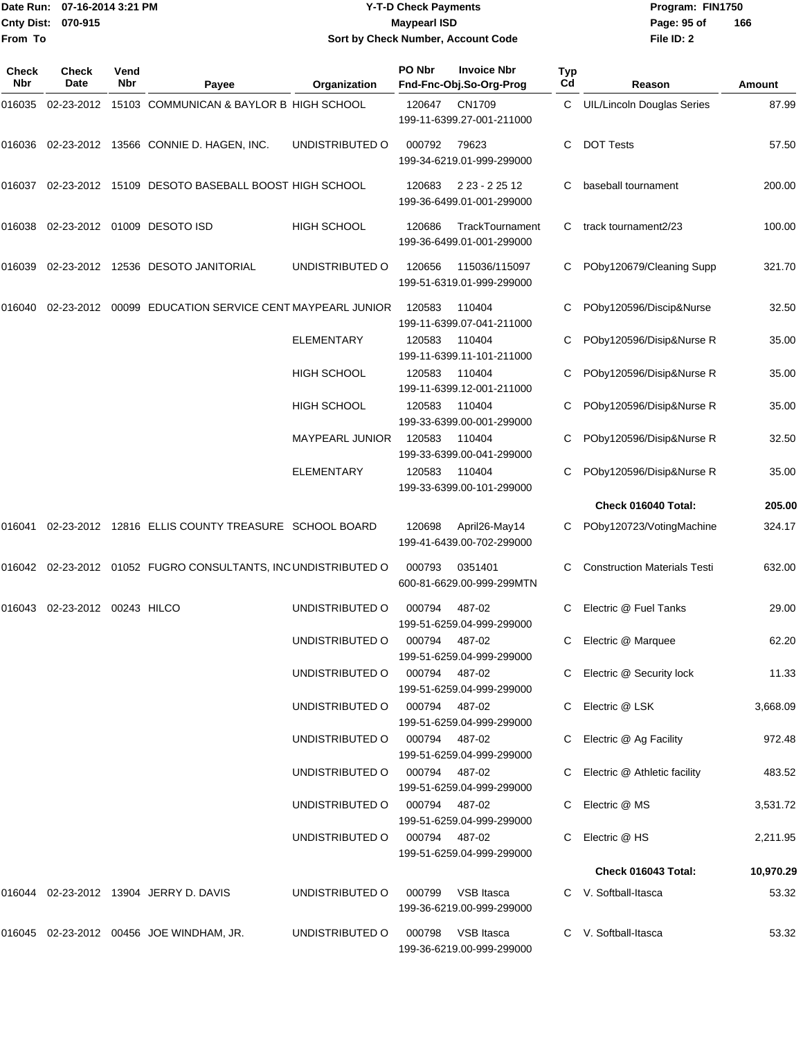#### Date Run: 07-16-2014 3:21 PM **Program:** FIN1750 **Cnty Dist:** 070-915 **Page: 95 of MaypearI ISD Page: 95 of Y-T-D Check Payments 070-915 Maypearl ISD Sort by Check Number, Account Code**

| Check<br>Nbr | Check<br>Date          | Vend<br><b>Nbr</b> | Payee                                                          | Organization                  | PO Nbr         | <b>Invoice Nbr</b><br>Fnd-Fnc-Obj.So-Org-Prog  | Typ<br>Cd | Reason                              | Amount    |
|--------------|------------------------|--------------------|----------------------------------------------------------------|-------------------------------|----------------|------------------------------------------------|-----------|-------------------------------------|-----------|
| 016035       |                        |                    | 02-23-2012 15103 COMMUNICAN & BAYLOR B HIGH SCHOOL             |                               | 120647         | CN1709<br>199-11-6399.27-001-211000            | C         | <b>UIL/Lincoln Douglas Series</b>   | 87.99     |
| 016036       |                        |                    | 02-23-2012 13566 CONNIE D. HAGEN, INC.                         | UNDISTRIBUTED O               | 000792         | 79623<br>199-34-6219.01-999-299000             | С         | <b>DOT Tests</b>                    | 57.50     |
| 016037       |                        |                    | 02-23-2012 15109 DESOTO BASEBALL BOOST HIGH SCHOOL             |                               | 120683         | 2 23 - 2 25 12<br>199-36-6499.01-001-299000    | С         | baseball tournament                 | 200.00    |
| 016038       |                        |                    | 02-23-2012 01009 DESOTO ISD                                    | <b>HIGH SCHOOL</b>            | 120686         | TrackTournament<br>199-36-6499.01-001-299000   | C         | track tournament2/23                | 100.00    |
| 016039       |                        |                    | 02-23-2012 12536 DESOTO JANITORIAL                             | UNDISTRIBUTED O               | 120656         | 115036/115097<br>199-51-6319.01-999-299000     | C         | POby120679/Cleaning Supp            | 321.70    |
| 016040       |                        |                    | 02-23-2012 00099 EDUCATION SERVICE CENT MAYPEARL JUNIOR        |                               | 120583         | 110404<br>199-11-6399.07-041-211000            | С         | POby120596/Discip&Nurse             | 32.50     |
|              |                        |                    |                                                                | <b>ELEMENTARY</b>             | 120583         | 110404<br>199-11-6399.11-101-211000            | C         | POby120596/Disip&Nurse R            | 35.00     |
|              |                        |                    |                                                                | HIGH SCHOOL                   | 120583         | 110404<br>199-11-6399.12-001-211000            | С         | POby120596/Disip&Nurse R            | 35.00     |
|              |                        |                    |                                                                | <b>HIGH SCHOOL</b>            | 120583         | 110404<br>199-33-6399.00-001-299000            | С         | POby120596/Disip&Nurse R            | 35.00     |
|              |                        |                    |                                                                | <b>MAYPEARL JUNIOR</b>        | 120583         | 110404<br>199-33-6399.00-041-299000            | С         | POby120596/Disip&Nurse R            | 32.50     |
|              |                        |                    |                                                                | <b>ELEMENTARY</b>             | 120583         | 110404<br>199-33-6399.00-101-299000            | C         | POby120596/Disip&Nurse R            | 35.00     |
|              |                        |                    |                                                                |                               |                |                                                |           | Check 016040 Total:                 | 205.00    |
| 016041       |                        |                    | 02-23-2012 12816 ELLIS COUNTY TREASURE SCHOOL BOARD            |                               | 120698         | April26-May14<br>199-41-6439.00-702-299000     |           | POby120723/VotingMachine            | 324.17    |
|              |                        |                    | 016042 02-23-2012 01052 FUGRO CONSULTANTS, INC UNDISTRIBUTED O |                               | 000793         | 0351401<br>600-81-6629.00-999-299MTN           | С         | <b>Construction Materials Testi</b> | 632.00    |
| 016043       | 02-23-2012 00243 HILCO |                    |                                                                | UNDISTRIBUTED O               | 000794         | 487-02<br>199-51-6259.04-999-299000            | С         | Electric @ Fuel Tanks               | 29.00     |
|              |                        |                    |                                                                | UNDISTRIBUTED O               | 000794         | 487-02<br>199-51-6259.04-999-299000            | C         | Electric @ Marquee                  | 62.20     |
|              |                        |                    |                                                                | UNDISTRIBUTED O               | 000794 487-02  | 199-51-6259.04-999-299000                      |           | C Electric @ Security lock          | 11.33     |
|              |                        |                    |                                                                | UNDISTRIBUTED O 000794 487-02 |                | 199-51-6259.04-999-299000                      |           | C Electric @ LSK                    | 3,668.09  |
|              |                        |                    |                                                                | UNDISTRIBUTED O 000794 487-02 |                | 199-51-6259.04-999-299000                      |           | Electric @ Ag Facility              | 972.48    |
|              |                        |                    |                                                                | UNDISTRIBUTED O 000794 487-02 |                | 199-51-6259.04-999-299000                      |           | C Electric @ Athletic facility      | 483.52    |
|              |                        |                    |                                                                | UNDISTRIBUTED O               | 000794  487-02 | 199-51-6259.04-999-299000                      |           | C Electric @ MS                     | 3,531.72  |
|              |                        |                    |                                                                | UNDISTRIBUTED O               | 000794 487-02  | 199-51-6259.04-999-299000                      |           | C Electric @ HS                     | 2,211.95  |
|              |                        |                    |                                                                |                               |                |                                                |           | Check 016043 Total:                 | 10,970.29 |
|              |                        |                    | 016044 02-23-2012 13904 JERRY D. DAVIS                         | UNDISTRIBUTED O               |                | 000799 VSB Itasca<br>199-36-6219.00-999-299000 |           | C V. Softball-Itasca                | 53.32     |
|              |                        |                    | 016045 02-23-2012 00456 JOE WINDHAM, JR.                       | UNDISTRIBUTED O               | 000798         | VSB Itasca<br>199-36-6219.00-999-299000        |           | C V. Softball-Itasca                | 53.32     |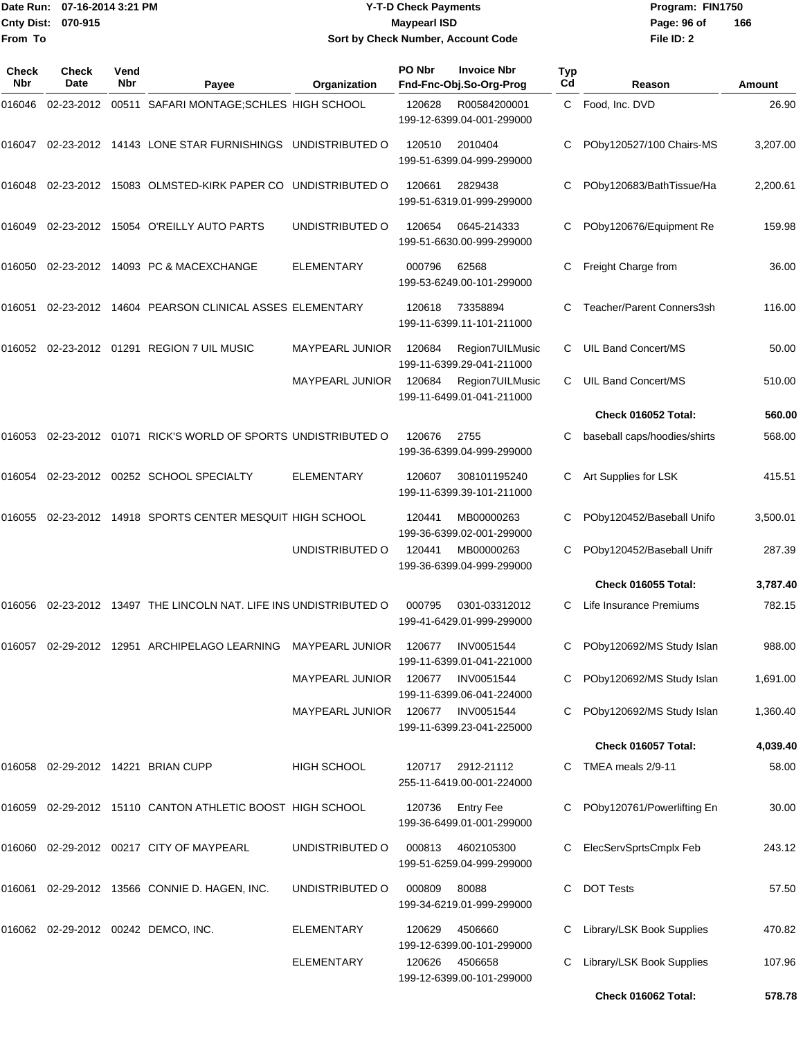|                    | Date Run: 07-16-2014 3:21 PM |
|--------------------|------------------------------|
| Cnty Dist: 070-915 |                              |
| From To            |                              |

### **Date Run: Program: FIN1750 07-16-2014 3:21 PM Y-T-D Check Payments Cnty Dist: Page: 96 of 070-915 Maypearl ISD Sort by Check Number, Account Code**

| Check<br>Nbr | Check<br>Date | Vend<br><b>Nbr</b> | Payee                                                      | Organization           | PO Nbr | <b>Invoice Nbr</b><br>Fnd-Fnc-Obj.So-Org-Prog  | Typ<br>Cd | Reason                       | Amount   |
|--------------|---------------|--------------------|------------------------------------------------------------|------------------------|--------|------------------------------------------------|-----------|------------------------------|----------|
| 016046       | 02-23-2012    |                    | 00511 SAFARI MONTAGE; SCHLES HIGH SCHOOL                   |                        | 120628 | R00584200001<br>199-12-6399.04-001-299000      | C         | Food, Inc. DVD               | 26.90    |
| 016047       |               |                    | 02-23-2012 14143 LONE STAR FURNISHINGS UNDISTRIBUTED O     |                        | 120510 | 2010404<br>199-51-6399.04-999-299000           |           | POby120527/100 Chairs-MS     | 3,207.00 |
| 016048       |               |                    | 02-23-2012 15083 OLMSTED-KIRK PAPER CO UNDISTRIBUTED O     |                        | 120661 | 2829438<br>199-51-6319.01-999-299000           | С         | POby120683/BathTissue/Ha     | 2,200.61 |
| 016049       |               |                    | 02-23-2012 15054 O'REILLY AUTO PARTS                       | UNDISTRIBUTED O        | 120654 | 0645-214333<br>199-51-6630.00-999-299000       | C         | POby120676/Equipment Re      | 159.98   |
| 016050       |               |                    | 02-23-2012 14093 PC & MACEXCHANGE                          | <b>ELEMENTARY</b>      | 000796 | 62568<br>199-53-6249.00-101-299000             | С         | Freight Charge from          | 36.00    |
| 016051       |               |                    | 02-23-2012 14604 PEARSON CLINICAL ASSES ELEMENTARY         |                        | 120618 | 73358894<br>199-11-6399.11-101-211000          |           | Teacher/Parent Conners3sh    | 116.00   |
| 016052       |               |                    | 02-23-2012  01291  REGION 7 UIL MUSIC                      | MAYPEARL JUNIOR        | 120684 | Region7UILMusic<br>199-11-6399.29-041-211000   | C         | UIL Band Concert/MS          | 50.00    |
|              |               |                    |                                                            | <b>MAYPEARL JUNIOR</b> | 120684 | Region7UILMusic<br>199-11-6499.01-041-211000   | C         | UIL Band Concert/MS          | 510.00   |
|              |               |                    |                                                            |                        |        |                                                |           | Check 016052 Total:          | 560.00   |
| 016053       |               |                    | 02-23-2012 01071 RICK'S WORLD OF SPORTS UNDISTRIBUTED O    |                        | 120676 | 2755<br>199-36-6399.04-999-299000              | С         | baseball caps/hoodies/shirts | 568.00   |
| 016054       |               |                    | 02-23-2012 00252 SCHOOL SPECIALTY                          | <b>ELEMENTARY</b>      | 120607 | 308101195240<br>199-11-6399.39-101-211000      |           | Art Supplies for LSK         | 415.51   |
| 016055       |               |                    | 02-23-2012 14918 SPORTS CENTER MESQUIT HIGH SCHOOL         |                        | 120441 | MB00000263<br>199-36-6399.02-001-299000        | С         | POby120452/Baseball Unifo    | 3,500.01 |
|              |               |                    |                                                            | UNDISTRIBUTED O        | 120441 | MB00000263<br>199-36-6399.04-999-299000        | С         | POby120452/Baseball Unifr    | 287.39   |
|              |               |                    |                                                            |                        |        |                                                |           | Check 016055 Total:          | 3,787.40 |
| 016056       |               |                    | 02-23-2012 13497 THE LINCOLN NAT. LIFE INS UNDISTRIBUTED O |                        | 000795 | 0301-03312012<br>199-41-6429.01-999-299000     | C         | Life Insurance Premiums      | 782.15   |
| 016057       |               |                    | 02-29-2012 12951 ARCHIPELAGO LEARNING MAYPEARL JUNIOR      |                        | 120677 | <b>INV0051544</b><br>199-11-6399.01-041-221000 |           | POby120692/MS Study Islan    | 988.00   |
|              |               |                    |                                                            | <b>MAYPEARL JUNIOR</b> | 120677 | INV0051544<br>199-11-6399.06-041-224000        | C.        | POby120692/MS Study Islan    | 1,691.00 |
|              |               |                    |                                                            | <b>MAYPEARL JUNIOR</b> | 120677 | INV0051544<br>199-11-6399.23-041-225000        | C.        | POby120692/MS Study Islan    | 1,360.40 |
|              |               |                    |                                                            |                        |        |                                                |           | Check 016057 Total:          | 4,039.40 |
|              |               |                    | 016058 02-29-2012 14221 BRIAN CUPP                         | <b>HIGH SCHOOL</b>     | 120717 | 2912-21112<br>255-11-6419.00-001-224000        | C.        | TMEA meals 2/9-11            | 58.00    |
|              |               |                    | 016059 02-29-2012 15110 CANTON ATHLETIC BOOST HIGH SCHOOL  |                        | 120736 | <b>Entry Fee</b><br>199-36-6499.01-001-299000  |           | POby120761/Powerlifting En   | 30.00    |
|              |               |                    | 016060 02-29-2012 00217 CITY OF MAYPEARL                   | UNDISTRIBUTED O        | 000813 | 4602105300<br>199-51-6259.04-999-299000        |           | ElecServSprtsCmplx Feb       | 243.12   |
|              |               |                    | 016061 02-29-2012 13566 CONNIE D. HAGEN, INC.              | UNDISTRIBUTED O        | 000809 | 80088<br>199-34-6219.01-999-299000             | C.        | <b>DOT Tests</b>             | 57.50    |
|              |               |                    | 016062 02-29-2012 00242 DEMCO, INC.                        | ELEMENTARY             | 120629 | 4506660<br>199-12-6399.00-101-299000           |           | Library/LSK Book Supplies    | 470.82   |
|              |               |                    |                                                            | <b>ELEMENTARY</b>      | 120626 | 4506658<br>199-12-6399.00-101-299000           | C.        | Library/LSK Book Supplies    | 107.96   |
|              |               |                    |                                                            |                        |        |                                                |           | Check 016062 Total:          | 578.78   |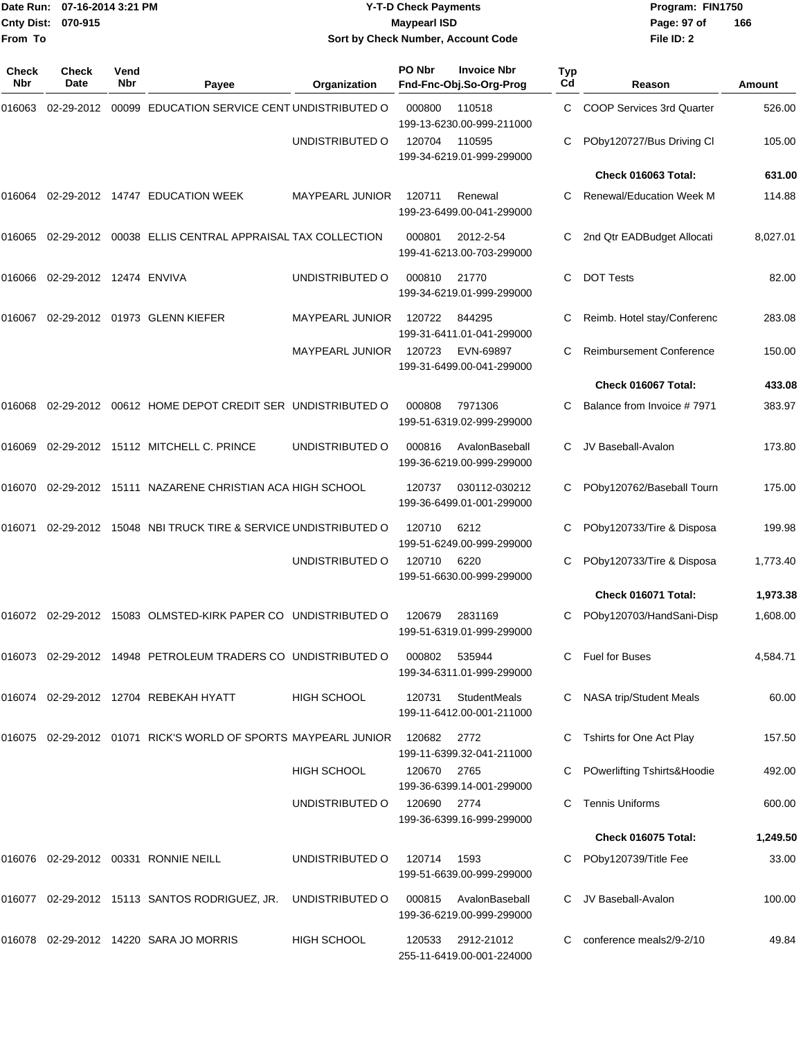|                               | Date Run: 07-16-2014 3:21 PM |             |                                                                   | <b>Y-T-D Check Payments</b> |        |                                                  | Program: FIN1750 |                                 |          |
|-------------------------------|------------------------------|-------------|-------------------------------------------------------------------|-----------------------------|--------|--------------------------------------------------|------------------|---------------------------------|----------|
| Cnty Dist: 070-915<br>From To |                              |             |                                                                   | <b>Maypearl ISD</b>         |        |                                                  | Page: 97 of      | 166                             |          |
|                               |                              |             |                                                                   |                             |        | Sort by Check Number, Account Code               |                  | File ID: 2                      |          |
| Check<br>Nbr                  | Check<br>Date                | Vend<br>Nbr | Payee                                                             | Organization                | PO Nbr | <b>Invoice Nbr</b><br>Fnd-Fnc-Obj.So-Org-Prog    | <b>Typ</b><br>Cd | Reason                          | Amount   |
| 016063                        | 02-29-2012                   |             | 00099 EDUCATION SERVICE CENT UNDISTRIBUTED O                      |                             | 000800 | 110518<br>199-13-6230.00-999-211000              | C                | COOP Services 3rd Quarter       | 526.00   |
|                               |                              |             |                                                                   | UNDISTRIBUTED O             | 120704 | 110595<br>199-34-6219.01-999-299000              | С                | POby120727/Bus Driving Cl       | 105.00   |
|                               |                              |             |                                                                   |                             |        |                                                  |                  | Check 016063 Total:             | 631.00   |
| 016064                        |                              |             | 02-29-2012 14747 EDUCATION WEEK                                   | MAYPEARL JUNIOR             | 120711 | Renewal<br>199-23-6499.00-041-299000             | C                | <b>Renewal/Education Week M</b> | 114.88   |
| 016065                        |                              |             | 02-29-2012  00038  ELLIS CENTRAL APPRAISAL TAX COLLECTION         |                             | 000801 | 2012-2-54<br>199-41-6213.00-703-299000           | C                | 2nd Qtr EADBudget Allocati      | 8,027.01 |
| 016066                        | 02-29-2012 12474 ENVIVA      |             |                                                                   | UNDISTRIBUTED O             | 000810 | 21770<br>199-34-6219.01-999-299000               | С                | <b>DOT Tests</b>                | 82.00    |
| 016067                        |                              |             | 02-29-2012 01973 GLENN KIEFER                                     | MAYPEARL JUNIOR             | 120722 | 844295<br>199-31-6411.01-041-299000              | С                | Reimb. Hotel stay/Conferenc     | 283.08   |
|                               |                              |             |                                                                   | <b>MAYPEARL JUNIOR</b>      | 120723 | EVN-69897<br>199-31-6499.00-041-299000           | С                | <b>Reimbursement Conference</b> | 150.00   |
|                               |                              |             |                                                                   |                             |        |                                                  |                  | Check 016067 Total:             | 433.08   |
| 016068                        |                              |             | 02-29-2012 00612 HOME DEPOT CREDIT SER UNDISTRIBUTED O            |                             | 000808 | 7971306<br>199-51-6319.02-999-299000             | C                | Balance from Invoice #7971      | 383.97   |
| 016069                        |                              |             | 02-29-2012 15112 MITCHELL C. PRINCE                               | UNDISTRIBUTED O             | 000816 | AvalonBaseball<br>199-36-6219.00-999-299000      |                  | JV Baseball-Avalon              | 173.80   |
| 016070                        |                              |             | 02-29-2012 15111 NAZARENE CHRISTIAN ACA HIGH SCHOOL               |                             | 120737 | 030112-030212<br>199-36-6499.01-001-299000       |                  | POby120762/Baseball Tourn       | 175.00   |
| 016071                        |                              |             | 02-29-2012 15048 NBI TRUCK TIRE & SERVICE UNDISTRIBUTED O         |                             | 120710 | 6212<br>199-51-6249.00-999-299000                |                  | POby120733/Tire & Disposa       | 199.98   |
|                               |                              |             |                                                                   | UNDISTRIBUTED O             | 120710 | 6220<br>199-51-6630.00-999-299000                |                  | POby120733/Tire & Disposa       | 1,773.40 |
|                               |                              |             |                                                                   |                             |        |                                                  |                  | Check 016071 Total:             | 1,973.38 |
|                               |                              |             | 016072  02-29-2012  15083  OLMSTED-KIRK PAPER CO  UNDISTRIBUTED O |                             | 120679 | 2831169<br>199-51-6319.01-999-299000             |                  | POby120703/HandSani-Disp        | 1,608.00 |
|                               |                              |             | 016073 02-29-2012 14948 PETROLEUM TRADERS CO UNDISTRIBUTED O      |                             | 000802 | 535944<br>199-34-6311.01-999-299000              | C.               | Fuel for Buses                  | 4,584.71 |
|                               |                              |             | 016074 02-29-2012 12704 REBEKAH HYATT                             | HIGH SCHOOL                 | 120731 | <b>StudentMeals</b><br>199-11-6412.00-001-211000 |                  | NASA trip/Student Meals         | 60.00    |
|                               |                              |             | 016075 02-29-2012 01071 RICK'S WORLD OF SPORTS MAYPEARL JUNIOR    |                             | 120682 | 2772<br>199-11-6399.32-041-211000                |                  | Tshirts for One Act Play        | 157.50   |
|                               |                              |             |                                                                   | <b>HIGH SCHOOL</b>          | 120670 | 2765<br>199-36-6399.14-001-299000                |                  | POwerlifting Tshirts&Hoodie     | 492.00   |
|                               |                              |             |                                                                   | UNDISTRIBUTED O             | 120690 | 2774<br>199-36-6399.16-999-299000                |                  | <b>Tennis Uniforms</b>          | 600.00   |
|                               |                              |             |                                                                   |                             |        |                                                  |                  | Check 016075 Total:             | 1,249.50 |
|                               |                              |             | 016076 02-29-2012 00331 RONNIE NEILL                              | UNDISTRIBUTED O             | 120714 | 1593<br>199-51-6639.00-999-299000                |                  | POby120739/Title Fee            | 33.00    |
|                               |                              |             | 016077 02-29-2012 15113 SANTOS RODRIGUEZ, JR.                     | UNDISTRIBUTED O             | 000815 | AvalonBaseball<br>199-36-6219.00-999-299000      |                  | JV Baseball-Avalon              | 100.00   |
|                               |                              |             | 016078 02-29-2012 14220 SARA JO MORRIS                            | <b>HIGH SCHOOL</b>          | 120533 | 2912-21012<br>255-11-6419.00-001-224000          |                  | conference meals2/9-2/10        | 49.84    |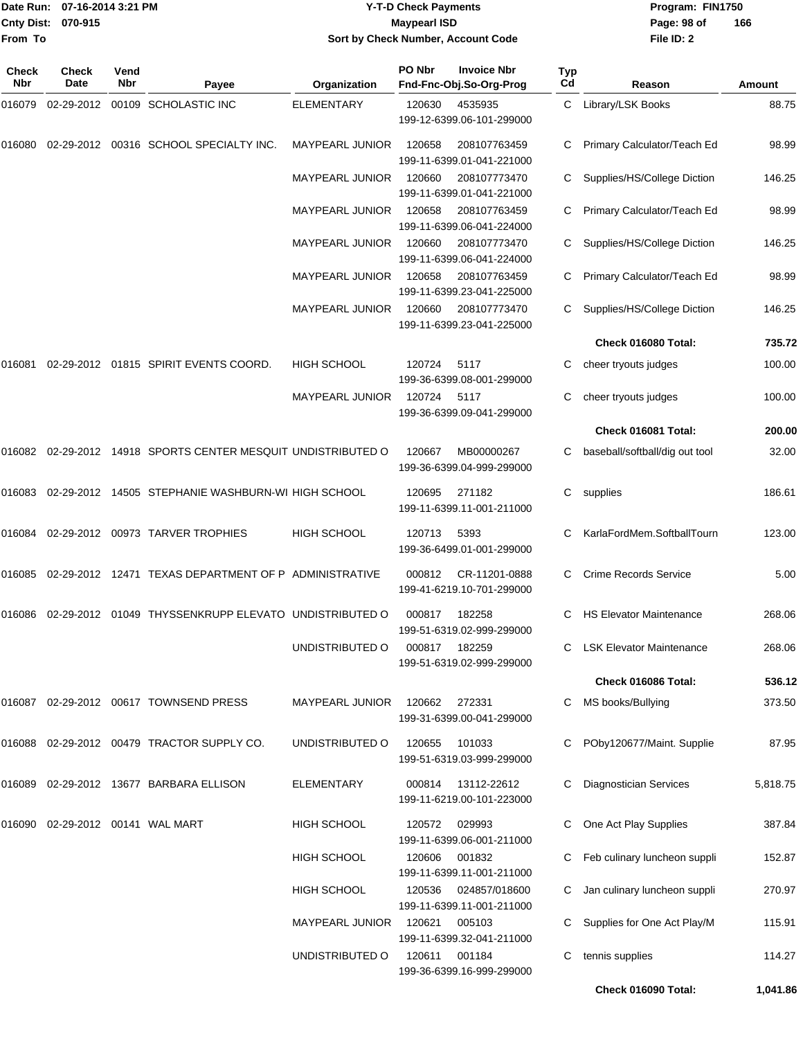#### Date Run: 07-16-2014 3:21 PM **Program:** FIN1750 **Cnty Dist:** 070-915 **Page: 98 of MaypearI ISD Page: 98 of Y-T-D Check Payments 070-915 Maypearl ISD Sort by Check Number, Account Code**

| Check<br>Nbr | <b>Check</b><br><b>Date</b> | Vend<br>Nbr | Payee                                                            | Organization           | PO Nbr | <b>Invoice Nbr</b><br>Fnd-Fnc-Obj.So-Org-Prog | <b>Typ</b><br>Cd | Reason                          | Amount   |
|--------------|-----------------------------|-------------|------------------------------------------------------------------|------------------------|--------|-----------------------------------------------|------------------|---------------------------------|----------|
| 016079       | 02-29-2012                  |             | 00109 SCHOLASTIC INC                                             | <b>ELEMENTARY</b>      | 120630 | 4535935<br>199-12-6399.06-101-299000          | C                | Library/LSK Books               | 88.75    |
| 016080       |                             |             | 02-29-2012 00316 SCHOOL SPECIALTY INC.                           | <b>MAYPEARL JUNIOR</b> | 120658 | 208107763459<br>199-11-6399.01-041-221000     | С                | Primary Calculator/Teach Ed     | 98.99    |
|              |                             |             |                                                                  | <b>MAYPEARL JUNIOR</b> | 120660 | 208107773470<br>199-11-6399.01-041-221000     | С                | Supplies/HS/College Diction     | 146.25   |
|              |                             |             |                                                                  | <b>MAYPEARL JUNIOR</b> | 120658 | 208107763459<br>199-11-6399.06-041-224000     | С                | Primary Calculator/Teach Ed     | 98.99    |
|              |                             |             |                                                                  | <b>MAYPEARL JUNIOR</b> | 120660 | 208107773470<br>199-11-6399.06-041-224000     | С                | Supplies/HS/College Diction     | 146.25   |
|              |                             |             |                                                                  | <b>MAYPEARL JUNIOR</b> | 120658 | 208107763459<br>199-11-6399.23-041-225000     | С                | Primary Calculator/Teach Ed     | 98.99    |
|              |                             |             |                                                                  | <b>MAYPEARL JUNIOR</b> | 120660 | 208107773470<br>199-11-6399.23-041-225000     |                  | Supplies/HS/College Diction     | 146.25   |
|              |                             |             |                                                                  |                        |        |                                               |                  | Check 016080 Total:             | 735.72   |
| 016081       |                             |             | 02-29-2012  01815  SPIRIT EVENTS COORD.                          | <b>HIGH SCHOOL</b>     | 120724 | 5117<br>199-36-6399.08-001-299000             |                  | cheer tryouts judges            | 100.00   |
|              |                             |             |                                                                  | <b>MAYPEARL JUNIOR</b> | 120724 | 5117<br>199-36-6399.09-041-299000             |                  | cheer tryouts judges            | 100.00   |
|              |                             |             |                                                                  |                        |        |                                               |                  | Check 016081 Total:             | 200.00   |
|              |                             |             | 016082  02-29-2012  14918  SPORTS CENTER MESQUIT UNDISTRIBUTED O |                        | 120667 | MB00000267<br>199-36-6399.04-999-299000       | С                | baseball/softball/dig out tool  | 32.00    |
| 016083       |                             |             | 02-29-2012 14505 STEPHANIE WASHBURN-WI HIGH SCHOOL               |                        | 120695 | 271182<br>199-11-6399.11-001-211000           | С                | supplies                        | 186.61   |
| 016084       |                             |             | 02-29-2012 00973 TARVER TROPHIES                                 | <b>HIGH SCHOOL</b>     | 120713 | 5393<br>199-36-6499.01-001-299000             | С                | KarlaFordMem.SoftballTourn      | 123.00   |
| 016085       |                             |             | 02-29-2012 12471 TEXAS DEPARTMENT OF P ADMINISTRATIVE            |                        | 000812 | CR-11201-0888<br>199-41-6219.10-701-299000    |                  | <b>Crime Records Service</b>    | 5.00     |
| 016086       |                             |             | 02-29-2012 01049 THYSSENKRUPP ELEVATO UNDISTRIBUTED O            |                        | 000817 | 182258<br>199-51-6319.02-999-299000           | С                | <b>HS Elevator Maintenance</b>  | 268.06   |
|              |                             |             |                                                                  | UNDISTRIBUTED O        | 000817 | 182259<br>199-51-6319.02-999-299000           | C.               | <b>LSK Elevator Maintenance</b> | 268.06   |
|              |                             |             |                                                                  |                        |        |                                               |                  | Check 016086 Total:             | 536.12   |
|              |                             |             | 016087 02-29-2012 00617 TOWNSEND PRESS                           | <b>MAYPEARL JUNIOR</b> | 120662 | 272331<br>199-31-6399.00-041-299000           | C                | MS books/Bullying               | 373.50   |
| 016088       |                             |             | 02-29-2012  00479  TRACTOR SUPPLY CO.                            | UNDISTRIBUTED O        | 120655 | 101033<br>199-51-6319.03-999-299000           |                  | POby120677/Maint. Supplie       | 87.95    |
| 016089       |                             |             | 02-29-2012 13677 BARBARA ELLISON                                 | <b>ELEMENTARY</b>      | 000814 | 13112-22612<br>199-11-6219.00-101-223000      | C                | <b>Diagnostician Services</b>   | 5,818.75 |
|              |                             |             |                                                                  | <b>HIGH SCHOOL</b>     | 120572 | 029993<br>199-11-6399.06-001-211000           |                  | One Act Play Supplies           | 387.84   |
|              |                             |             |                                                                  | <b>HIGH SCHOOL</b>     | 120606 | 001832<br>199-11-6399.11-001-211000           |                  | Feb culinary luncheon suppli    | 152.87   |
|              |                             |             |                                                                  | <b>HIGH SCHOOL</b>     | 120536 | 024857/018600<br>199-11-6399.11-001-211000    | C.               | Jan culinary luncheon suppli    | 270.97   |
|              |                             |             |                                                                  | MAYPEARL JUNIOR        | 120621 | 005103<br>199-11-6399.32-041-211000           |                  | Supplies for One Act Play/M     | 115.91   |
|              |                             |             |                                                                  | UNDISTRIBUTED O        | 120611 | 001184<br>199-36-6399.16-999-299000           | C                | tennis supplies                 | 114.27   |
|              |                             |             |                                                                  |                        |        |                                               |                  | Check 016090 Total:             | 1,041.86 |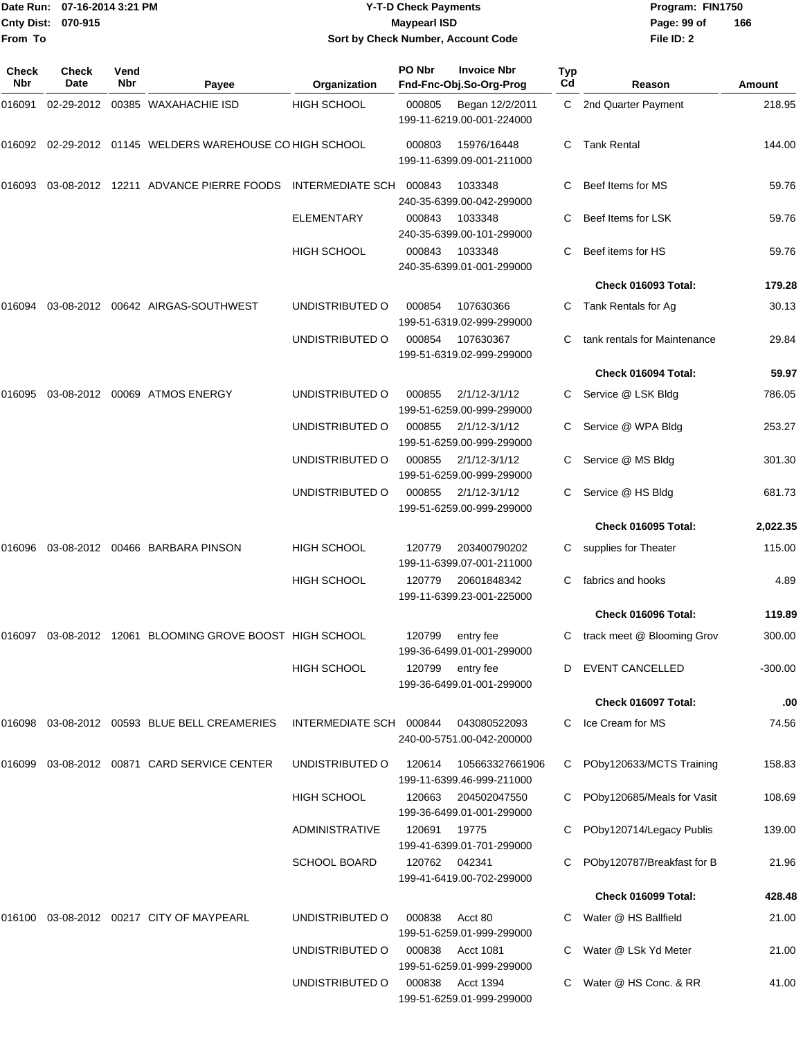|                    | Date Run: 07-16-2014 3:21 PM |
|--------------------|------------------------------|
| Cnty Dist: 070-915 |                              |
| From To            |                              |

## **Date Run: Program: FIN1750 07-16-2014 3:21 PM Y-T-D Check Payments Cnty Dist: Page: 99 of 070-915 Maypearl ISD Sort by Check Number, Account Code**

| Check<br>Nbr | Check<br>Date | Vend<br>Nbr | Payee                                                       | Organization            | PO Nbr | <b>Invoice Nbr</b><br>Fnd-Fnc-Obj.So-Org-Prog  | Typ<br>Cd | Reason                       | Amount   |
|--------------|---------------|-------------|-------------------------------------------------------------|-------------------------|--------|------------------------------------------------|-----------|------------------------------|----------|
| 016091       |               |             | 02-29-2012 00385 WAXAHACHIE ISD                             | HIGH SCHOOL             | 000805 | Began 12/2/2011<br>199-11-6219.00-001-224000   | C         | 2nd Quarter Payment          | 218.95   |
| 016092       |               |             | 02-29-2012 01145 WELDERS WAREHOUSE CO HIGH SCHOOL           |                         | 000803 | 15976/16448<br>199-11-6399.09-001-211000       | C.        | <b>Tank Rental</b>           | 144.00   |
| 016093       |               |             | 03-08-2012 12211 ADVANCE PIERRE FOODS                       | <b>INTERMEDIATE SCH</b> | 000843 | 1033348<br>240-35-6399.00-042-299000           | С         | Beef Items for MS            | 59.76    |
|              |               |             |                                                             | <b>ELEMENTARY</b>       | 000843 | 1033348<br>240-35-6399.00-101-299000           |           | Beef Items for LSK           | 59.76    |
|              |               |             |                                                             | <b>HIGH SCHOOL</b>      | 000843 | 1033348<br>240-35-6399.01-001-299000           | С         | Beef items for HS            | 59.76    |
|              |               |             |                                                             |                         |        |                                                |           | Check 016093 Total:          | 179.28   |
| 016094       |               |             | 03-08-2012    00642    AIRGAS-SOUTHWEST                     | UNDISTRIBUTED O         | 000854 | 107630366<br>199-51-6319.02-999-299000         | C         | Tank Rentals for Ag          | 30.13    |
|              |               |             |                                                             | UNDISTRIBUTED O         | 000854 | 107630367<br>199-51-6319.02-999-299000         | С         | tank rentals for Maintenance | 29.84    |
|              |               |             |                                                             |                         |        |                                                |           | Check 016094 Total:          | 59.97    |
| 016095       |               |             | 03-08-2012 00069 ATMOS ENERGY                               | UNDISTRIBUTED O         | 000855 | $2/1/12 - 3/1/12$<br>199-51-6259.00-999-299000 | C         | Service @ LSK Bldg           | 786.05   |
|              |               |             |                                                             | UNDISTRIBUTED O         | 000855 | $2/1/12 - 3/1/12$<br>199-51-6259.00-999-299000 |           | Service @ WPA Bldg           | 253.27   |
|              |               |             |                                                             | UNDISTRIBUTED O         | 000855 | $2/1/12 - 3/1/12$<br>199-51-6259.00-999-299000 | C         | Service @ MS Bldg            | 301.30   |
|              |               |             |                                                             | UNDISTRIBUTED O         | 000855 | $2/1/12 - 3/1/12$<br>199-51-6259.00-999-299000 | С         | Service @ HS Bldg            | 681.73   |
|              |               |             |                                                             |                         |        |                                                |           | Check 016095 Total:          | 2,022.35 |
| 016096       |               |             | 03-08-2012 00466 BARBARA PINSON                             | <b>HIGH SCHOOL</b>      | 120779 | 203400790202<br>199-11-6399.07-001-211000      | С         | supplies for Theater         | 115.00   |
|              |               |             |                                                             | <b>HIGH SCHOOL</b>      | 120779 | 20601848342<br>199-11-6399.23-001-225000       |           | fabrics and hooks            | 4.89     |
|              |               |             |                                                             |                         |        |                                                |           | Check 016096 Total:          | 119.89   |
|              |               |             | 016097  03-08-2012  12061  BLOOMING GROVE BOOST HIGH SCHOOL |                         | 120799 | entry fee<br>199-36-6499.01-001-299000         |           | C track meet @ Blooming Grov | 300.00   |
|              |               |             |                                                             | <b>HIGH SCHOOL</b>      | 120799 | entry fee<br>199-36-6499.01-001-299000         | D         | <b>EVENT CANCELLED</b>       | -300.00  |
|              |               |             |                                                             |                         |        |                                                |           | Check 016097 Total:          | .00      |
| 016098       |               |             | 03-08-2012 00593 BLUE BELL CREAMERIES                       | INTERMEDIATE SCH 000844 |        | 043080522093<br>240-00-5751.00-042-200000      | С         | Ice Cream for MS             | 74.56    |
| 016099       |               |             | 03-08-2012  00871  CARD SERVICE CENTER                      | UNDISTRIBUTED O         | 120614 | 105663327661906<br>199-11-6399.46-999-211000   | С         | POby120633/MCTS Training     | 158.83   |
|              |               |             |                                                             | HIGH SCHOOL             | 120663 | 204502047550<br>199-36-6499.01-001-299000      |           | POby120685/Meals for Vasit   | 108.69   |
|              |               |             |                                                             | <b>ADMINISTRATIVE</b>   | 120691 | 19775<br>199-41-6399.01-701-299000             |           | POby120714/Legacy Publis     | 139.00   |
|              |               |             |                                                             | <b>SCHOOL BOARD</b>     | 120762 | 042341<br>199-41-6419.00-702-299000            |           | POby120787/Breakfast for B   | 21.96    |
|              |               |             |                                                             |                         |        |                                                |           | Check 016099 Total:          | 428.48   |
| 016100       |               |             | 03-08-2012  00217  CITY OF MAYPEARL                         | UNDISTRIBUTED O         | 000838 | Acct 80<br>199-51-6259.01-999-299000           | С         | Water @ HS Ballfield         | 21.00    |
|              |               |             |                                                             | UNDISTRIBUTED O         | 000838 | <b>Acct 1081</b><br>199-51-6259.01-999-299000  |           | Water @ LSk Yd Meter         | 21.00    |
|              |               |             |                                                             | UNDISTRIBUTED O         | 000838 | Acct 1394<br>199-51-6259.01-999-299000         | C.        | Water @ HS Conc. & RR        | 41.00    |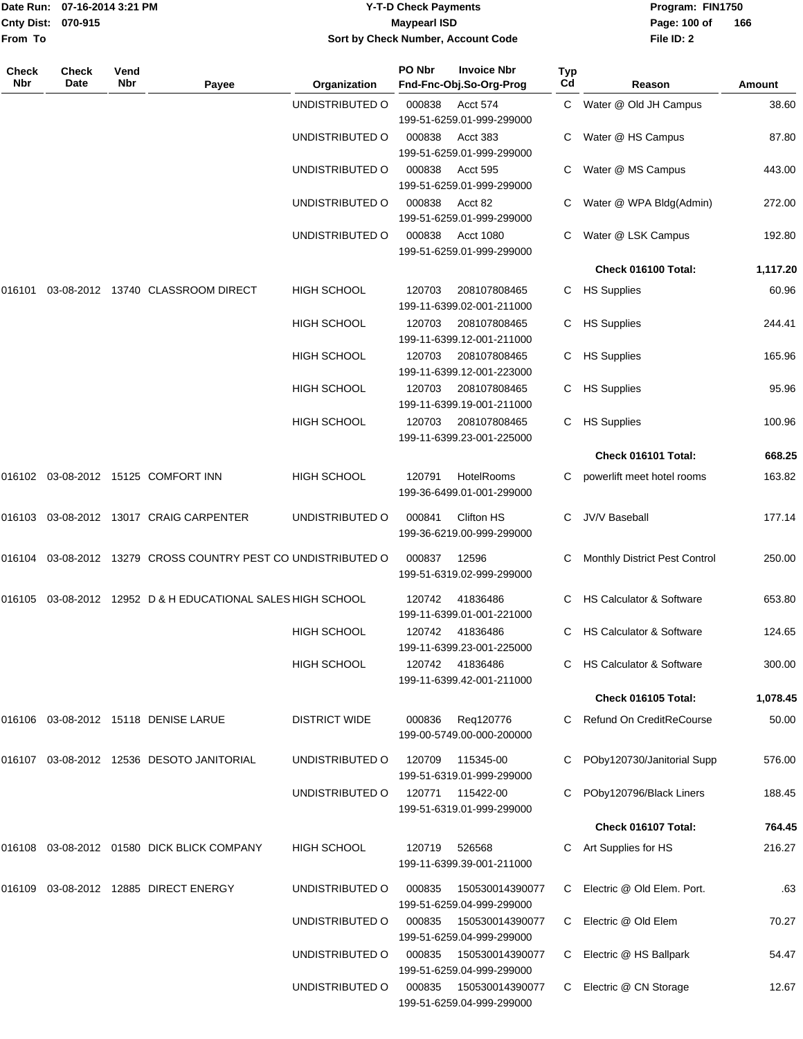| Date Run:<br><b>Cnty Dist:</b><br>From To | 07-16-2014 3:21 PM<br>070-915 |             | <b>Y-T-D Check Payments</b><br><b>Maypearl ISD</b><br>Sort by Check Number, Account Code |                      |        |                                               | Program: FIN1750<br>Page: 100 of<br>166<br>File ID: 2 |                                      |          |
|-------------------------------------------|-------------------------------|-------------|------------------------------------------------------------------------------------------|----------------------|--------|-----------------------------------------------|-------------------------------------------------------|--------------------------------------|----------|
| Check<br>Nbr                              | <b>Check</b><br>Date          | Vend<br>Nbr | Payee                                                                                    | Organization         | PO Nbr | <b>Invoice Nbr</b><br>Fnd-Fnc-Obj.So-Org-Prog | Typ<br>Cd                                             | Reason                               | Amount   |
|                                           |                               |             |                                                                                          | UNDISTRIBUTED O      | 000838 | Acct 574<br>199-51-6259.01-999-299000         | C                                                     | Water @ Old JH Campus                | 38.60    |
|                                           |                               |             |                                                                                          | UNDISTRIBUTED O      | 000838 | Acct 383<br>199-51-6259.01-999-299000         | С                                                     | Water @ HS Campus                    | 87.80    |
|                                           |                               |             |                                                                                          | UNDISTRIBUTED O      | 000838 | Acct 595<br>199-51-6259.01-999-299000         | С                                                     | Water @ MS Campus                    | 443.00   |
|                                           |                               |             |                                                                                          | UNDISTRIBUTED O      | 000838 | Acct 82<br>199-51-6259.01-999-299000          |                                                       | Water @ WPA Bldg(Admin)              | 272.00   |
|                                           |                               |             |                                                                                          | UNDISTRIBUTED O      | 000838 | Acct 1080<br>199-51-6259.01-999-299000        | С                                                     | Water @ LSK Campus                   | 192.80   |
|                                           |                               |             |                                                                                          |                      |        |                                               |                                                       | Check 016100 Total:                  | 1,117.20 |
| 016101                                    |                               |             | 03-08-2012  13740  CLASSROOM DIRECT                                                      | HIGH SCHOOL          | 120703 | 208107808465<br>199-11-6399.02-001-211000     | С                                                     | <b>HS Supplies</b>                   | 60.96    |
|                                           |                               |             |                                                                                          | HIGH SCHOOL          | 120703 | 208107808465<br>199-11-6399.12-001-211000     | С                                                     | <b>HS Supplies</b>                   | 244.41   |
|                                           |                               |             |                                                                                          | <b>HIGH SCHOOL</b>   | 120703 | 208107808465<br>199-11-6399.12-001-223000     | С                                                     | <b>HS Supplies</b>                   | 165.96   |
|                                           |                               |             |                                                                                          | HIGH SCHOOL          | 120703 | 208107808465<br>199-11-6399.19-001-211000     | С                                                     | <b>HS Supplies</b>                   | 95.96    |
|                                           |                               |             |                                                                                          | HIGH SCHOOL          | 120703 | 208107808465<br>199-11-6399.23-001-225000     | С                                                     | <b>HS Supplies</b>                   | 100.96   |
|                                           |                               |             |                                                                                          |                      |        |                                               |                                                       | Check 016101 Total:                  | 668.25   |
|                                           |                               |             | 016102 03-08-2012 15125 COMFORT INN                                                      | HIGH SCHOOL          | 120791 | HotelRooms<br>199-36-6499.01-001-299000       | С                                                     | powerlift meet hotel rooms           | 163.82   |
|                                           |                               |             |                                                                                          | UNDISTRIBUTED O      | 000841 | Clifton HS<br>199-36-6219.00-999-299000       | С                                                     | <b>JV/V Baseball</b>                 | 177.14   |
|                                           |                               |             | 016104 03-08-2012 13279 CROSS COUNTRY PEST CO UNDISTRIBUTED O                            |                      | 000837 | 12596<br>199-51-6319.02-999-299000            | С                                                     | <b>Monthly District Pest Control</b> | 250.00   |
|                                           |                               |             | 016105  03-08-2012  12952  D & H  EDUCATIONAL SALES HIGH SCHOOL                          |                      | 120742 | 41836486<br>199-11-6399.01-001-221000         |                                                       | C HS Calculator & Software           | 653.80   |
|                                           |                               |             |                                                                                          | <b>HIGH SCHOOL</b>   | 120742 | 41836486<br>199-11-6399.23-001-225000         |                                                       | C HS Calculator & Software           | 124.65   |
|                                           |                               |             |                                                                                          | <b>HIGH SCHOOL</b>   | 120742 | 41836486<br>199-11-6399.42-001-211000         | С                                                     | <b>HS Calculator &amp; Software</b>  | 300.00   |
|                                           |                               |             |                                                                                          |                      |        |                                               |                                                       | Check 016105 Total:                  | 1,078.45 |
|                                           |                               |             | 016106  03-08-2012  15118  DENISE LARUE                                                  | <b>DISTRICT WIDE</b> | 000836 | Reg120776<br>199-00-5749.00-000-200000        | С                                                     | Refund On CreditReCourse             | 50.00    |
|                                           |                               |             | 016107  03-08-2012  12536  DESOTO JANITORIAL                                             | UNDISTRIBUTED O      | 120709 | 115345-00<br>199-51-6319.01-999-299000        |                                                       | POby120730/Janitorial Supp           | 576.00   |
|                                           |                               |             |                                                                                          | UNDISTRIBUTED O      | 120771 | 115422-00<br>199-51-6319.01-999-299000        |                                                       | POby120796/Black Liners              | 188.45   |
|                                           |                               |             |                                                                                          |                      |        |                                               |                                                       | Check 016107 Total:                  | 764.45   |
|                                           |                               |             |                                                                                          | <b>HIGH SCHOOL</b>   | 120719 | 526568<br>199-11-6399.39-001-211000           | C.                                                    | Art Supplies for HS                  | 216.27   |
|                                           |                               |             | 016109  03-08-2012  12885  DIRECT ENERGY                                                 | UNDISTRIBUTED O      | 000835 | 150530014390077<br>199-51-6259.04-999-299000  | C.                                                    | Electric @ Old Elem. Port.           | .63      |
|                                           |                               |             |                                                                                          | UNDISTRIBUTED O      | 000835 | 150530014390077<br>199-51-6259.04-999-299000  | C.                                                    | Electric @ Old Elem                  | 70.27    |
|                                           |                               |             |                                                                                          | UNDISTRIBUTED O      | 000835 | 150530014390077<br>199-51-6259.04-999-299000  | C.                                                    | Electric @ HS Ballpark               | 54.47    |

UNDISTRIBUTED O 000835 150530014390077 C Electric @ CN Storage 12.67

199-51-6259.04-999-299000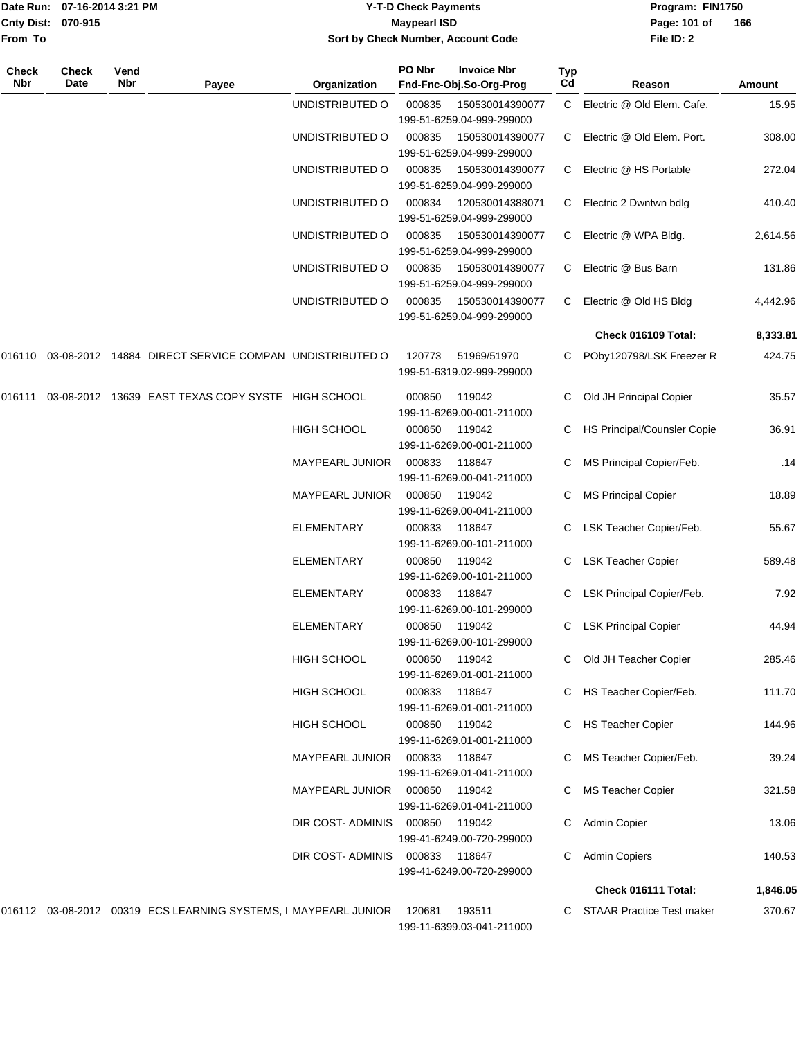|                     | Date Run: 07-16-2014 3:21 PM |                    |                                                                               |                        | <b>Y-T-D Check Payments</b> | Program: FIN1750                                                          |           |                             |               |
|---------------------|------------------------------|--------------------|-------------------------------------------------------------------------------|------------------------|-----------------------------|---------------------------------------------------------------------------|-----------|-----------------------------|---------------|
|                     | <b>Cnty Dist:</b><br>070-915 |                    |                                                                               |                        | <b>Maypearl ISD</b>         | Page: 101 of                                                              | 166       |                             |               |
| From To             |                              |                    |                                                                               | File ID: 2             |                             |                                                                           |           |                             |               |
| Check<br><b>Nbr</b> | Check<br>Date                | Vend<br><b>Nbr</b> | Payee                                                                         | Organization           | PO Nbr                      | <b>Invoice Nbr</b><br>Fnd-Fnc-Obj.So-Org-Prog                             | Typ<br>Cd | Reason                      | <b>Amount</b> |
|                     |                              |                    |                                                                               | UNDISTRIBUTED O        |                             |                                                                           |           | Electric @ Old Elem. Cafe.  |               |
|                     |                              |                    |                                                                               |                        | 000835                      | 150530014390077<br>199-51-6259.04-999-299000                              | C         |                             | 15.95         |
|                     |                              |                    |                                                                               | UNDISTRIBUTED O        | 000835                      | 150530014390077<br>199-51-6259.04-999-299000                              | C.        | Electric @ Old Elem. Port.  | 308.00        |
|                     |                              |                    |                                                                               | UNDISTRIBUTED O        | 000835                      | 150530014390077<br>199-51-6259.04-999-299000                              | C.        | Electric @ HS Portable      | 272.04        |
|                     |                              |                    |                                                                               | UNDISTRIBUTED O        | 000834                      | 120530014388071                                                           | C.        | Electric 2 Dwntwn bdlg      | 410.40        |
|                     |                              |                    |                                                                               | UNDISTRIBUTED O        | 000835                      | 199-51-6259.04-999-299000<br>150530014390077<br>199-51-6259.04-999-299000 | C         | Electric @ WPA Bldg.        | 2,614.56      |
|                     |                              |                    |                                                                               | UNDISTRIBUTED O        | 000835                      | 150530014390077<br>199-51-6259.04-999-299000                              | C         | Electric @ Bus Barn         | 131.86        |
|                     |                              |                    |                                                                               | UNDISTRIBUTED O        | 000835                      | 150530014390077<br>199-51-6259.04-999-299000                              | C.        | Electric @ Old HS Bldg      | 4,442.96      |
|                     |                              |                    |                                                                               |                        |                             |                                                                           |           | Check 016109 Total:         | 8,333.81      |
|                     |                              |                    | 016110  03-08-2012  14884  DIRECT SERVICE COMPAN  UNDISTRIBUTED O             |                        | 120773                      | 51969/51970<br>199-51-6319.02-999-299000                                  |           | POby120798/LSK Freezer R    | 424.75        |
| 016111              |                              |                    | 03-08-2012 13639 EAST TEXAS COPY SYSTE HIGH SCHOOL                            |                        | 000850                      | 119042<br>199-11-6269.00-001-211000                                       |           | Old JH Principal Copier     | 35.57         |
|                     |                              |                    |                                                                               | <b>HIGH SCHOOL</b>     | 000850                      | 119042<br>199-11-6269.00-001-211000                                       |           | HS Principal/Counsler Copie | 36.91         |
|                     |                              |                    |                                                                               | <b>MAYPEARL JUNIOR</b> | 000833                      | 118647<br>199-11-6269.00-041-211000                                       | С         | MS Principal Copier/Feb.    | .14           |
|                     |                              |                    |                                                                               | MAYPEARL JUNIOR        | 000850                      | 119042<br>199-11-6269.00-041-211000                                       | С         | <b>MS Principal Copier</b>  | 18.89         |
|                     |                              |                    |                                                                               | <b>ELEMENTARY</b>      | 000833                      | 118647<br>199-11-6269.00-101-211000                                       | С         | LSK Teacher Copier/Feb.     | 55.67         |
|                     |                              |                    |                                                                               | ELEMENTARY             | 000850                      | 119042<br>199-11-6269.00-101-211000                                       | C         | <b>LSK Teacher Copier</b>   | 589.48        |
|                     |                              |                    |                                                                               | <b>ELEMENTARY</b>      | 000833                      | 118647<br>199-11-6269.00-101-299000                                       |           | C LSK Principal Copier/Feb. | 7.92          |
|                     |                              |                    |                                                                               | <b>ELEMENTARY</b>      | 000850                      | 119042<br>199-11-6269.00-101-299000                                       |           | C LSK Principal Copier      | 44.94         |
|                     |                              |                    |                                                                               | HIGH SCHOOL            | 000850                      | 119042<br>199-11-6269.01-001-211000                                       |           | Old JH Teacher Copier       | 285.46        |
|                     |                              |                    |                                                                               | <b>HIGH SCHOOL</b>     | 000833 118647               | 199-11-6269.01-001-211000                                                 |           | HS Teacher Copier/Feb.      | 111.70        |
|                     |                              |                    |                                                                               | HIGH SCHOOL            | 000850 119042               | 199-11-6269.01-001-211000                                                 |           | C HS Teacher Copier         | 144.96        |
|                     |                              |                    |                                                                               | MAYPEARL JUNIOR        | 000833 118647               | 199-11-6269.01-041-211000                                                 |           | C MS Teacher Copier/Feb.    | 39.24         |
|                     |                              |                    |                                                                               | MAYPEARL JUNIOR        | 000850                      | 119042<br>199-11-6269.01-041-211000                                       |           | C MS Teacher Copier         | 321.58        |
|                     |                              |                    |                                                                               | DIR COST- ADMINIS      | 000850                      | 119042<br>199-41-6249.00-720-299000                                       |           | C Admin Copier              | 13.06         |
|                     |                              |                    |                                                                               | DIR COST-ADMINIS       | 000833                      | 118647<br>199-41-6249.00-720-299000                                       |           | C Admin Copiers             | 140.53        |
|                     |                              |                    |                                                                               |                        |                             |                                                                           |           | Check 016111 Total:         | 1,846.05      |
|                     |                              |                    | 016112 03-08-2012 00319 ECS LEARNING SYSTEMS, I MAYPEARL JUNIOR 120681 193511 |                        |                             |                                                                           |           | C STAAR Practice Test maker | 370.67        |

199-11-6399.03-041-211000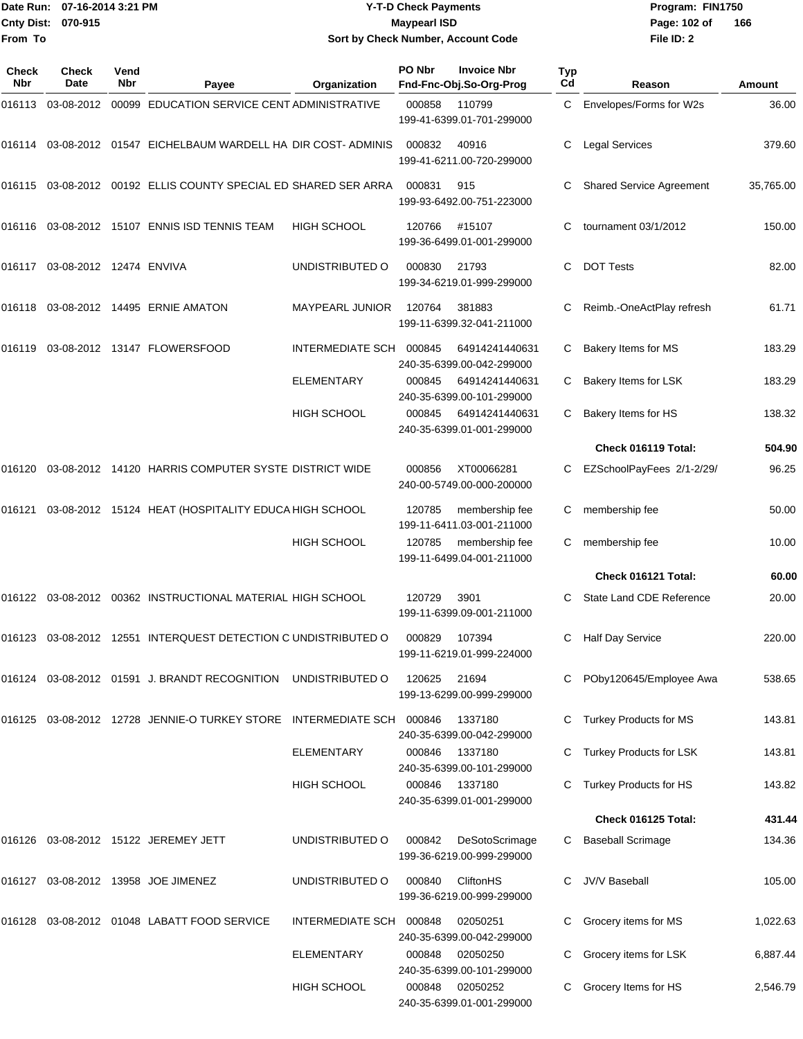|                           | Date Run: 07-16-2014 3:21 PM | Y-T-D Check Payments               | Program: Fl  |
|---------------------------|------------------------------|------------------------------------|--------------|
| <b>Cnty Dist: 070-915</b> |                              | <b>Mavpearl ISD</b>                | Page: 102 of |
| lFrom To                  |                              | Sort by Check Number, Account Code | File $ID: 2$ |

**Date Run: Program: FIN1750 File ID: 2** Page: 102 of 166

| <b>Check</b><br>Nbr | <b>Check</b><br>Date           | Vend<br>Nbr | Payee                                                            | Organization            | PO Nbr | <b>Invoice Nbr</b><br>Fnd-Fnc-Obj.So-Org-Prog | <b>Typ</b><br>Cd | Reason                          | <b>Amount</b> |
|---------------------|--------------------------------|-------------|------------------------------------------------------------------|-------------------------|--------|-----------------------------------------------|------------------|---------------------------------|---------------|
|                     |                                |             | 016113 03-08-2012 00099 EDUCATION SERVICE CENT ADMINISTRATIVE    |                         | 000858 | 110799<br>199-41-6399.01-701-299000           | C                | Envelopes/Forms for W2s         | 36.00         |
| 016114              |                                |             | 03-08-2012 01547 EICHELBAUM WARDELL HA DIR COST-ADMINIS          |                         | 000832 | 40916<br>199-41-6211.00-720-299000            | C                | <b>Legal Services</b>           | 379.60        |
|                     |                                |             | 016115 03-08-2012 00192 ELLIS COUNTY SPECIAL ED SHARED SER ARRA  |                         | 000831 | 915<br>199-93-6492.00-751-223000              | C                | <b>Shared Service Agreement</b> | 35,765.00     |
|                     |                                |             | 016116 03-08-2012 15107 ENNIS ISD TENNIS TEAM                    | <b>HIGH SCHOOL</b>      | 120766 | #15107<br>199-36-6499.01-001-299000           | C                | tournament 03/1/2012            | 150.00        |
|                     | 016117 03-08-2012 12474 ENVIVA |             |                                                                  | UNDISTRIBUTED O         | 000830 | 21793<br>199-34-6219.01-999-299000            | C                | <b>DOT Tests</b>                | 82.00         |
|                     |                                |             | 016118 03-08-2012 14495 ERNIE AMATON                             | <b>MAYPEARL JUNIOR</b>  | 120764 | 381883<br>199-11-6399.32-041-211000           | C                | Reimb.-OneActPlay refresh       | 61.71         |
|                     |                                |             | 016119  03-08-2012  13147  FLOWERSFOOD                           | <b>INTERMEDIATE SCH</b> | 000845 | 64914241440631<br>240-35-6399.00-042-299000   | C                | Bakery Items for MS             | 183.29        |
|                     |                                |             |                                                                  | <b>ELEMENTARY</b>       | 000845 | 64914241440631<br>240-35-6399.00-101-299000   | C                | Bakery Items for LSK            | 183.29        |
|                     |                                |             |                                                                  | <b>HIGH SCHOOL</b>      | 000845 | 64914241440631<br>240-35-6399.01-001-299000   | C                | Bakery Items for HS             | 138.32        |
|                     |                                |             |                                                                  |                         |        |                                               |                  | Check 016119 Total:             | 504.90        |
| 016120              |                                |             | 03-08-2012 14120 HARRIS COMPUTER SYSTE DISTRICT WIDE             |                         | 000856 | XT00066281<br>240-00-5749.00-000-200000       | C                | EZSchoolPayFees 2/1-2/29/       | 96.25         |
|                     |                                |             | 016121 03-08-2012 15124 HEAT (HOSPITALITY EDUCA HIGH SCHOOL      |                         | 120785 | membership fee<br>199-11-6411.03-001-211000   | C                | membership fee                  | 50.00         |
|                     |                                |             |                                                                  | <b>HIGH SCHOOL</b>      | 120785 | membership fee<br>199-11-6499.04-001-211000   | C                | membership fee                  | 10.00         |
|                     |                                |             |                                                                  |                         |        |                                               |                  | Check 016121 Total:             | 60.00         |
|                     |                                |             | 016122 03-08-2012 00362 INSTRUCTIONAL MATERIAL HIGH SCHOOL       |                         | 120729 | 3901<br>199-11-6399.09-001-211000             | C                | State Land CDE Reference        | 20.00         |
|                     |                                |             | 016123  03-08-2012  12551 INTERQUEST DETECTION C UNDISTRIBUTED O |                         | 000829 | 107394<br>199-11-6219.01-999-224000           | C                | <b>Half Day Service</b>         | 220.00        |
|                     |                                |             | 016124 03-08-2012 01591 J. BRANDT RECOGNITION UNDISTRIBUTED O    |                         | 120625 | 21694<br>199-13-6299.00-999-299000            |                  | POby120645/Employee Awa         | 538.65        |
| 016125              |                                |             | 03-08-2012  12728  JENNIE-O TURKEY STORE  INTERMEDIATE SCH       |                         | 000846 | 1337180<br>240-35-6399.00-042-299000          |                  | Turkey Products for MS          | 143.81        |
|                     |                                |             |                                                                  | <b>ELEMENTARY</b>       | 000846 | 1337180<br>240-35-6399.00-101-299000          |                  | Turkey Products for LSK         | 143.81        |
|                     |                                |             |                                                                  | HIGH SCHOOL             | 000846 | 1337180<br>240-35-6399.01-001-299000          |                  | Turkey Products for HS          | 143.82        |
|                     |                                |             |                                                                  |                         |        |                                               |                  | Check 016125 Total:             | 431.44        |
|                     |                                |             | 016126 03-08-2012 15122 JEREMEY JETT                             | UNDISTRIBUTED O         | 000842 | DeSotoScrimage<br>199-36-6219.00-999-299000   | C                | <b>Baseball Scrimage</b>        | 134.36        |
|                     |                                |             | 016127  03-08-2012  13958  JOE JIMENEZ                           | UNDISTRIBUTED O         | 000840 | <b>CliftonHS</b><br>199-36-6219.00-999-299000 |                  | JV/V Baseball                   | 105.00        |
|                     |                                |             | 016128 03-08-2012 01048 LABATT FOOD SERVICE                      | <b>INTERMEDIATE SCH</b> | 000848 | 02050251<br>240-35-6399.00-042-299000         | С                | Grocery items for MS            | 1,022.63      |
|                     |                                |             |                                                                  | ELEMENTARY              | 000848 | 02050250<br>240-35-6399.00-101-299000         | С                | Grocery items for LSK           | 6,887.44      |
|                     |                                |             |                                                                  | HIGH SCHOOL             | 000848 | 02050252<br>240-35-6399.01-001-299000         |                  | Grocery Items for HS            | 2,546.79      |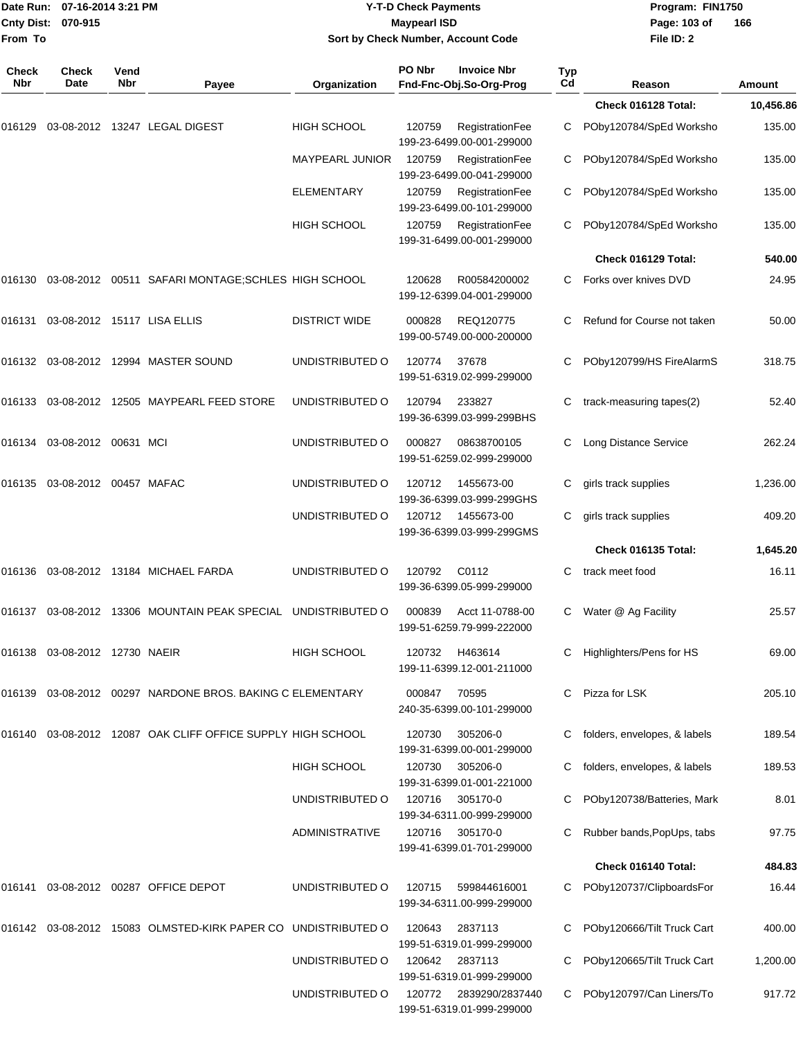| From To             | Date Run: 07-16-2014 3:21 PM<br>Cnty Dist: 070-915 |             |                                                                                  |                       | <b>Y-T-D Check Payments</b><br><b>Maypearl ISD</b><br>Sort by Check Number, Account Code | Program: FIN1750<br>Page: 103 of<br>File ID: 2 | 166                            |               |
|---------------------|----------------------------------------------------|-------------|----------------------------------------------------------------------------------|-----------------------|------------------------------------------------------------------------------------------|------------------------------------------------|--------------------------------|---------------|
| <b>Check</b><br>Nbr | <b>Check</b><br>Date                               | Vend<br>Nbr | Payee                                                                            | Organization          | PO Nbr<br><b>Invoice Nbr</b><br>Fnd-Fnc-Obj.So-Org-Prog                                  | Typ<br>Cd                                      | Reason                         | <b>Amount</b> |
|                     |                                                    |             |                                                                                  |                       |                                                                                          |                                                | Check 016128 Total:            | 10,456.86     |
| 016129              |                                                    |             | 03-08-2012 13247 LEGAL DIGEST                                                    | <b>HIGH SCHOOL</b>    | 120759<br>RegistrationFee<br>199-23-6499.00-001-299000                                   | C                                              | POby120784/SpEd Worksho        | 135.00        |
|                     |                                                    |             |                                                                                  | MAYPEARL JUNIOR       | 120759<br>RegistrationFee<br>199-23-6499.00-041-299000                                   | C                                              | POby120784/SpEd Worksho        | 135.00        |
|                     |                                                    |             |                                                                                  | <b>ELEMENTARY</b>     | 120759<br>RegistrationFee<br>199-23-6499.00-101-299000                                   | С                                              | POby120784/SpEd Worksho        | 135.00        |
|                     |                                                    |             |                                                                                  | <b>HIGH SCHOOL</b>    | 120759<br>RegistrationFee<br>199-31-6499.00-001-299000                                   | C                                              | POby120784/SpEd Worksho        | 135.00        |
|                     |                                                    |             |                                                                                  |                       |                                                                                          |                                                | Check 016129 Total:            | 540.00        |
|                     |                                                    |             |                                                                                  |                       | 120628<br>R00584200002<br>199-12-6399.04-001-299000                                      | C.                                             | Forks over knives DVD          | 24.95         |
|                     | 016131  03-08-2012  15117  LISA ELLIS              |             |                                                                                  | <b>DISTRICT WIDE</b>  | 000828<br>REQ120775<br>199-00-5749.00-000-200000                                         | C                                              | Refund for Course not taken    | 50.00         |
|                     |                                                    |             |                                                                                  | UNDISTRIBUTED O       | 37678<br>120774<br>199-51-6319.02-999-299000                                             |                                                | POby120799/HS FireAlarmS       | 318.75        |
|                     |                                                    |             |                                                                                  | UNDISTRIBUTED O       | 120794<br>233827<br>199-36-6399.03-999-299BHS                                            | C                                              | track-measuring tapes(2)       | 52.40         |
| 016134              | 03-08-2012 00631 MCI                               |             |                                                                                  | UNDISTRIBUTED O       | 000827<br>08638700105<br>199-51-6259.02-999-299000                                       | C                                              | Long Distance Service          | 262.24        |
|                     | 016135    03-08-2012    00457   MAFAC              |             |                                                                                  | UNDISTRIBUTED O       | 120712<br>1455673-00<br>199-36-6399.03-999-299GHS                                        | С                                              | girls track supplies           | 1,236.00      |
|                     |                                                    |             |                                                                                  | UNDISTRIBUTED O       | 1455673-00<br>120712<br>199-36-6399.03-999-299GMS                                        | С                                              | girls track supplies           | 409.20        |
|                     |                                                    |             |                                                                                  |                       |                                                                                          |                                                | Check 016135 Total:            | 1,645.20      |
|                     |                                                    |             | 016136 03-08-2012 13184 MICHAEL FARDA                                            | UNDISTRIBUTED O       | C0112<br>120792<br>199-36-6399.05-999-299000                                             | C                                              | track meet food                | 16.11         |
|                     |                                                    |             | 016137   03-08-2012   13306   MOUNTAIN PEAK SPECIAL   UNDISTRIBUTED   O          |                       | 000839<br>Acct 11-0788-00<br>199-51-6259.79-999-222000                                   |                                                | C Water @ Ag Facility          | 25.57         |
|                     | 016138  03-08-2012  12730  NAEIR                   |             |                                                                                  | <b>HIGH SCHOOL</b>    | 120732 H463614<br>199-11-6399.12-001-211000                                              |                                                | C Highlighters/Pens for HS     | 69.00         |
|                     |                                                    |             | 016139  03-08-2012  00297  NARDONE BROS. BAKING C ELEMENTARY                     |                       | 000847<br>70595<br>240-35-6399.00-101-299000                                             |                                                | C Pizza for LSK                | 205.10        |
|                     |                                                    |             | 016140  03-08-2012  12087  OAK CLIFF OFFICE SUPPLY HIGH SCHOOL                   |                       | 120730<br>305206-0<br>199-31-6399.00-001-299000                                          |                                                | folders, envelopes, & labels   | 189.54        |
|                     |                                                    |             |                                                                                  | <b>HIGH SCHOOL</b>    | 120730<br>305206-0<br>199-31-6399.01-001-221000                                          |                                                | C folders, envelopes, & labels | 189.53        |
|                     |                                                    |             |                                                                                  | UNDISTRIBUTED O       | 305170-0<br>120716<br>199-34-6311.00-999-299000                                          |                                                | C POby120738/Batteries, Mark   | 8.01          |
|                     |                                                    |             |                                                                                  | <b>ADMINISTRATIVE</b> | 120716<br>305170-0<br>199-41-6399.01-701-299000                                          |                                                | C Rubber bands, PopUps, tabs   | 97.75         |
|                     |                                                    |             |                                                                                  |                       |                                                                                          |                                                | Check 016140 Total:            | 484.83        |
|                     |                                                    |             | 016141  03-08-2012  00287  OFFICE DEPOT                                          | UNDISTRIBUTED O       | 120715<br>599844616001<br>199-34-6311.00-999-299000                                      |                                                | C POby120737/ClipboardsFor     | 16.44         |
|                     |                                                    |             | 016142  03-08-2012  15083  OLMSTED-KIRK PAPER CO  UNDISTRIBUTED                O |                       | 120643<br>2837113<br>199-51-6319.01-999-299000                                           |                                                | POby120666/Tilt Truck Cart     | 400.00        |
|                     |                                                    |             |                                                                                  | UNDISTRIBUTED O       | 120642<br>2837113<br>199-51-6319.01-999-299000                                           |                                                | POby120665/Tilt Truck Cart     | 1,200.00      |
|                     |                                                    |             |                                                                                  | UNDISTRIBUTED O       | 120772<br>2839290/2837440<br>199-51-6319.01-999-299000                                   |                                                | C POby120797/Can Liners/To     | 917.72        |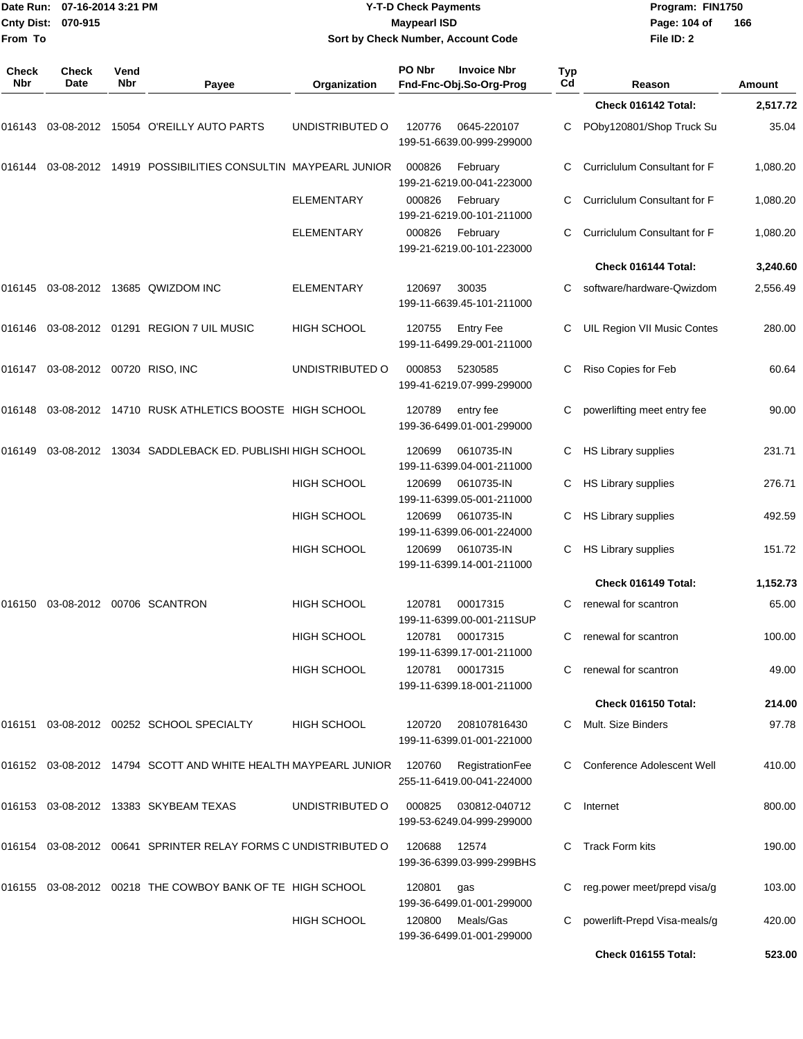| Date Run:<br><b>Cnty Dist:</b><br>From To | 07-16-2014 3:21 PM<br>070-915        |             |                                                                       | <b>Y-T-D Check Payments</b><br><b>Maypearl ISD</b><br>Sort by Check Number, Account Code |        |                                               |           | Program: FIN1750<br>Page: 104 of<br>File ID: 2 | 166      |
|-------------------------------------------|--------------------------------------|-------------|-----------------------------------------------------------------------|------------------------------------------------------------------------------------------|--------|-----------------------------------------------|-----------|------------------------------------------------|----------|
| Check<br>Nbr                              | Check<br>Date                        | Vend<br>Nbr | Payee                                                                 | Organization                                                                             | PO Nbr | <b>Invoice Nbr</b><br>Fnd-Fnc-Obj.So-Org-Prog | Typ<br>Cd | Reason                                         | Amount   |
|                                           |                                      |             |                                                                       |                                                                                          |        |                                               |           | Check 016142 Total:                            | 2,517.72 |
|                                           |                                      |             | 016143 03-08-2012 15054   O'REILLY AUTO PARTS                         | UNDISTRIBUTED O                                                                          | 120776 | 0645-220107<br>199-51-6639.00-999-299000      | С         | POby120801/Shop Truck Su                       | 35.04    |
|                                           |                                      |             | 016144  03-08-2012  14919  POSSIBILITIES CONSULTIN MAYPEARL JUNIOR    |                                                                                          | 000826 | February<br>199-21-6219.00-041-223000         | C         | Curriclulum Consultant for F                   | 1,080.20 |
|                                           |                                      |             |                                                                       | <b>ELEMENTARY</b>                                                                        | 000826 | February<br>199-21-6219.00-101-211000         | C         | Curriclulum Consultant for F                   | 1,080.20 |
|                                           |                                      |             |                                                                       | <b>ELEMENTARY</b>                                                                        | 000826 | February<br>199-21-6219.00-101-223000         | C         | Curriclulum Consultant for F                   | 1,080.20 |
|                                           |                                      |             |                                                                       |                                                                                          |        |                                               |           | Check 016144 Total:                            | 3,240.60 |
|                                           |                                      |             |                                                                       | <b>ELEMENTARY</b>                                                                        | 120697 | 30035<br>199-11-6639.45-101-211000            | C         | software/hardware-Qwizdom                      | 2,556.49 |
|                                           |                                      |             | 016146 03-08-2012 01291  REGION 7 UIL MUSIC                           | <b>HIGH SCHOOL</b>                                                                       | 120755 | <b>Entry Fee</b><br>199-11-6499.29-001-211000 | С         | UIL Region VII Music Contes                    | 280.00   |
|                                           | 016147  03-08-2012  00720  RISO, INC |             |                                                                       | UNDISTRIBUTED O                                                                          | 000853 | 5230585<br>199-41-6219.07-999-299000          | С         | Riso Copies for Feb                            | 60.64    |
|                                           |                                      |             | 016148 03-08-2012 14710   RUSK ATHLETICS BOOSTE   HIGH SCHOOL         |                                                                                          | 120789 | entry fee<br>199-36-6499.01-001-299000        | С         | powerlifting meet entry fee                    | 90.00    |
| 016149                                    |                                      |             | 03-08-2012 13034 SADDLEBACK ED. PUBLISHI HIGH SCHOOL                  |                                                                                          | 120699 | 0610735-IN<br>199-11-6399.04-001-211000       | C         | <b>HS Library supplies</b>                     | 231.71   |
|                                           |                                      |             |                                                                       | <b>HIGH SCHOOL</b>                                                                       | 120699 | 0610735-IN<br>199-11-6399.05-001-211000       | C         | HS Library supplies                            | 276.71   |
|                                           |                                      |             |                                                                       | <b>HIGH SCHOOL</b>                                                                       | 120699 | 0610735-IN<br>199-11-6399.06-001-224000       | С         | HS Library supplies                            | 492.59   |
|                                           |                                      |             |                                                                       | <b>HIGH SCHOOL</b>                                                                       | 120699 | 0610735-IN<br>199-11-6399.14-001-211000       | С         | HS Library supplies                            | 151.72   |
|                                           |                                      |             |                                                                       |                                                                                          |        |                                               |           | Check 016149 Total:                            | 1,152.73 |
|                                           |                                      |             | 016150 03-08-2012 00706  SCANTRON                                     | <b>HIGH SCHOOL</b>                                                                       | 120781 | 00017315<br>199-11-6399.00-001-211SUP         |           | renewal for scantron                           | 65.00    |
|                                           |                                      |             |                                                                       | <b>HIGH SCHOOL</b>                                                                       | 120781 | 00017315<br>199-11-6399.17-001-211000         | C         | renewal for scantron                           | 100.00   |
|                                           |                                      |             |                                                                       | <b>HIGH SCHOOL</b>                                                                       |        | 120781 00017315<br>199-11-6399.18-001-211000  | C.        | renewal for scantron                           | 49.00    |
|                                           |                                      |             |                                                                       |                                                                                          |        |                                               |           | Check 016150 Total:                            | 214.00   |
|                                           |                                      |             |                                                                       | <b>HIGH SCHOOL</b>                                                                       | 120720 | 208107816430<br>199-11-6399.01-001-221000     |           | C Mult. Size Binders                           | 97.78    |
|                                           |                                      |             | 016152 03-08-2012 14794 SCOTT AND WHITE HEALTH MAYPEARL JUNIOR 120760 |                                                                                          |        | RegistrationFee<br>255-11-6419.00-041-224000  |           | C Conference Adolescent Well                   | 410.00   |
|                                           |                                      |             |                                                                       | UNDISTRIBUTED O                                                                          | 000825 | 030812-040712<br>199-53-6249.04-999-299000    |           | C Internet                                     | 800.00   |
|                                           |                                      |             | 016154 03-08-2012 00641   SPRINTER RELAY FORMS C UNDISTRIBUTED O      |                                                                                          | 120688 | 12574<br>199-36-6399.03-999-299BHS            | C.        | Track Form kits                                | 190.00   |
|                                           |                                      |             | 016155 03-08-2012 00218   THE COWBOY BANK OF TE   HIGH SCHOOL         |                                                                                          | 120801 | gas<br>199-36-6499.01-001-299000              |           | reg.power meet/prepd visa/g                    | 103.00   |
|                                           |                                      |             |                                                                       | <b>HIGH SCHOOL</b>                                                                       | 120800 | Meals/Gas<br>199-36-6499.01-001-299000        | C         | powerlift-Prepd Visa-meals/g                   | 420.00   |
|                                           |                                      |             |                                                                       |                                                                                          |        |                                               |           | Check 016155 Total:                            | 523.00   |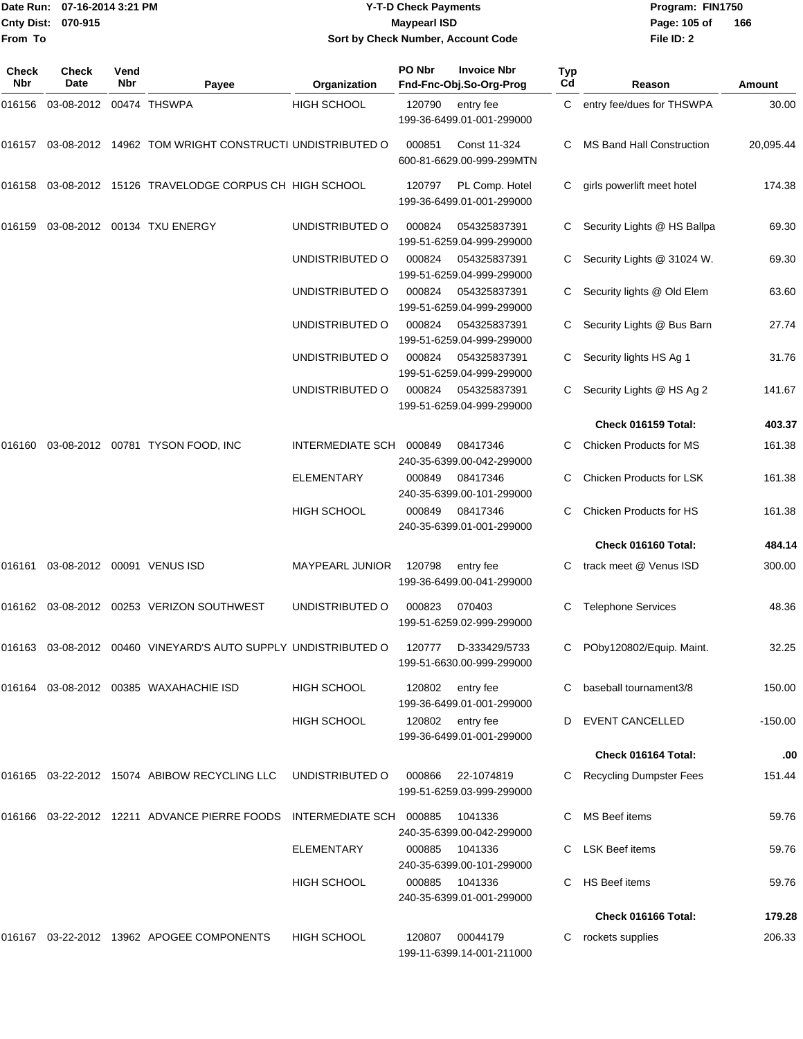|                           | Date Run: 07-16-2014 3:21 PM | <b>Y-T-D Check Payments</b>        | Program: Fl  |
|---------------------------|------------------------------|------------------------------------|--------------|
| <b>Cnty Dist: 070-915</b> |                              | <b>Mavpearl ISD</b>                | Page: 105 of |
| From To                   |                              | Sort by Check Number, Account Code | File ID: 2   |

**Date Run: Program: FIN1750 File ID: 2 166**

| Check<br>Nbr | <b>Check</b><br><b>Date</b> | Vend<br><b>Nbr</b> | Payee                                                             | Organization            | PO Nbr | <b>Invoice Nbr</b><br>Fnd-Fnc-Obj.So-Org-Prog | <b>Typ</b><br>Cd | Reason                           | Amount    |
|--------------|-----------------------------|--------------------|-------------------------------------------------------------------|-------------------------|--------|-----------------------------------------------|------------------|----------------------------------|-----------|
| 016156       | 03-08-2012 00474 THSWPA     |                    |                                                                   | <b>HIGH SCHOOL</b>      | 120790 | entry fee<br>199-36-6499.01-001-299000        | C.               | entry fee/dues for THSWPA        | 30.00     |
| 016157       |                             |                    | 03-08-2012 14962 TOM WRIGHT CONSTRUCTI UNDISTRIBUTED O            |                         | 000851 | Const 11-324<br>600-81-6629.00-999-299MTN     | C                | <b>MS Band Hall Construction</b> | 20,095.44 |
| 016158       |                             |                    | 03-08-2012 15126 TRAVELODGE CORPUS CH HIGH SCHOOL                 |                         | 120797 | PL Comp. Hotel<br>199-36-6499.01-001-299000   | C                | girls powerlift meet hotel       | 174.38    |
| 016159       |                             |                    | 03-08-2012 00134 TXU ENERGY                                       | UNDISTRIBUTED O         | 000824 | 054325837391<br>199-51-6259.04-999-299000     | C                | Security Lights @ HS Ballpa      | 69.30     |
|              |                             |                    |                                                                   | UNDISTRIBUTED O         | 000824 | 054325837391<br>199-51-6259.04-999-299000     | C                | Security Lights @ 31024 W.       | 69.30     |
|              |                             |                    |                                                                   | UNDISTRIBUTED O         | 000824 | 054325837391<br>199-51-6259.04-999-299000     | C.               | Security lights @ Old Elem       | 63.60     |
|              |                             |                    |                                                                   | UNDISTRIBUTED O         | 000824 | 054325837391<br>199-51-6259.04-999-299000     | C                | Security Lights @ Bus Barn       | 27.74     |
|              |                             |                    |                                                                   | UNDISTRIBUTED O         | 000824 | 054325837391<br>199-51-6259.04-999-299000     | C                | Security lights HS Ag 1          | 31.76     |
|              |                             |                    |                                                                   | UNDISTRIBUTED O         | 000824 | 054325837391<br>199-51-6259.04-999-299000     | C.               | Security Lights @ HS Ag 2        | 141.67    |
|              |                             |                    |                                                                   |                         |        |                                               |                  | Check 016159 Total:              | 403.37    |
| 016160       |                             |                    | 03-08-2012  00781  TYSON FOOD, INC                                | <b>INTERMEDIATE SCH</b> | 000849 | 08417346<br>240-35-6399.00-042-299000         |                  | Chicken Products for MS          | 161.38    |
|              |                             |                    |                                                                   | <b>ELEMENTARY</b>       | 000849 | 08417346<br>240-35-6399.00-101-299000         |                  | Chicken Products for LSK         | 161.38    |
|              |                             |                    |                                                                   | <b>HIGH SCHOOL</b>      | 000849 | 08417346<br>240-35-6399.01-001-299000         | C                | Chicken Products for HS          | 161.38    |
|              |                             |                    |                                                                   |                         |        |                                               |                  | Check 016160 Total:              | 484.14    |
| 016161       |                             |                    | 03-08-2012 00091 VENUS ISD                                        | <b>MAYPEARL JUNIOR</b>  | 120798 | entry fee<br>199-36-6499.00-041-299000        |                  | track meet @ Venus ISD           | 300.00    |
| 016162       |                             |                    | 03-08-2012  00253  VERIZON SOUTHWEST                              | UNDISTRIBUTED O         | 000823 | 070403<br>199-51-6259.02-999-299000           | С                | <b>Telephone Services</b>        | 48.36     |
|              |                             |                    | 016163  03-08-2012  00460  VINEYARD'S AUTO SUPPLY UNDISTRIBUTED O |                         | 120777 | D-333429/5733<br>199-51-6630.00-999-299000    |                  | POby120802/Equip. Maint.         | 32.25     |
|              |                             |                    | 016164 03-08-2012 00385 WAXAHACHIE ISD                            | <b>HIGH SCHOOL</b>      | 120802 | entry fee<br>199-36-6499.01-001-299000        |                  | baseball tournament3/8           | 150.00    |
|              |                             |                    |                                                                   | <b>HIGH SCHOOL</b>      | 120802 | entry fee<br>199-36-6499.01-001-299000        | D                | <b>EVENT CANCELLED</b>           | -150.00   |
|              |                             |                    |                                                                   |                         |        |                                               |                  | Check 016164 Total:              | .00       |
|              |                             |                    | 016165 03-22-2012 15074 ABIBOW RECYCLING LLC                      | UNDISTRIBUTED O         | 000866 | 22-1074819<br>199-51-6259.03-999-299000       |                  | C Recycling Dumpster Fees        | 151.44    |
|              |                             |                    | 016166 03-22-2012 12211 ADVANCE PIERRE FOODS                      | <b>INTERMEDIATE SCH</b> | 000885 | 1041336<br>240-35-6399.00-042-299000          |                  | MS Beef items                    | 59.76     |
|              |                             |                    |                                                                   | <b>ELEMENTARY</b>       | 000885 | 1041336<br>240-35-6399.00-101-299000          |                  | <b>LSK Beef items</b>            | 59.76     |
|              |                             |                    |                                                                   | <b>HIGH SCHOOL</b>      | 000885 | 1041336<br>240-35-6399.01-001-299000          | C.               | <b>HS Beef items</b>             | 59.76     |
|              |                             |                    |                                                                   |                         |        |                                               |                  | Check 016166 Total:              | 179.28    |
|              |                             |                    | 016167 03-22-2012 13962 APOGEE COMPONENTS                         | <b>HIGH SCHOOL</b>      | 120807 | 00044179<br>199-11-6399.14-001-211000         | C.               | rockets supplies                 | 206.33    |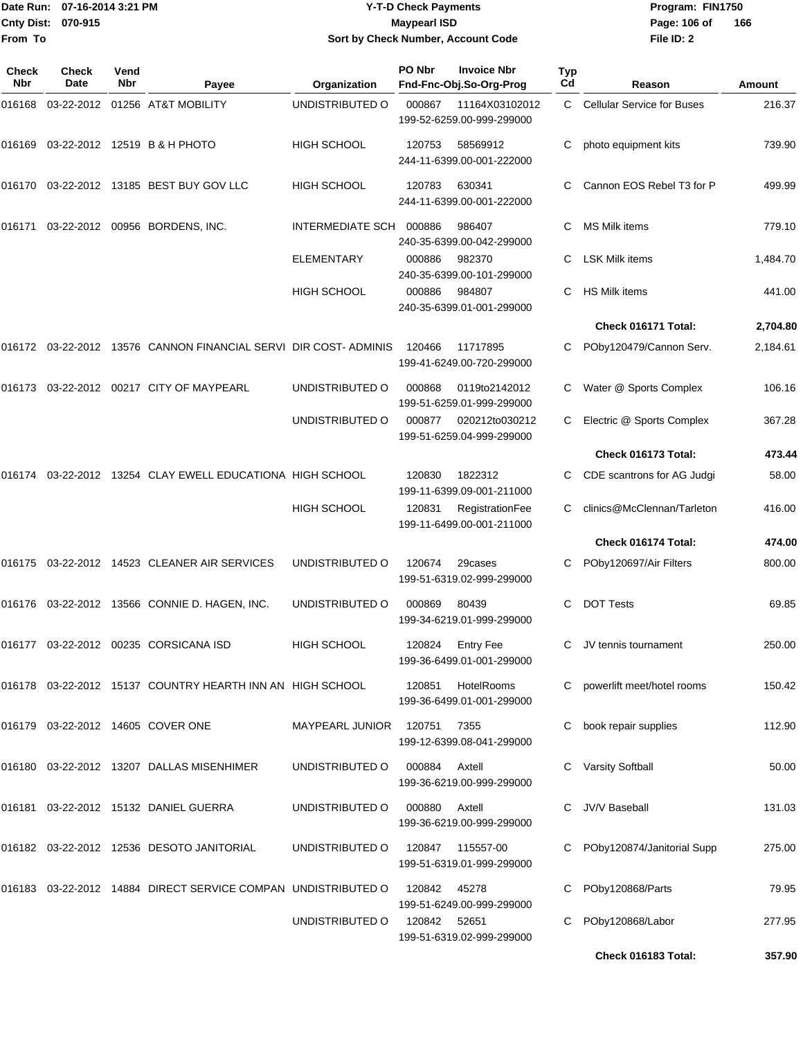|                    | Date Run: 07-16-2014 3:21 PM |
|--------------------|------------------------------|
| Cnty Dist: 070-915 |                              |
| From To            |                              |

#### **Date Run: Program: FIN1750 07-16-2014 3:21 PM Y-T-D Check Payments Cnty Dist: Page: 106 of 070-915 Maypearl ISD Sort by Check Number, Account Code**

**File ID: 2** Page: 106 of 166

| Check<br><b>Nbr</b> | <b>Check</b><br>Date | Vend<br>Nbr | Payee                                                               | Organization                | PO Nbr       | <b>Invoice Nbr</b><br>Fnd-Fnc-Obj.So-Org-Prog  | Typ<br>Cd | Reason                            | Amount   |
|---------------------|----------------------|-------------|---------------------------------------------------------------------|-----------------------------|--------------|------------------------------------------------|-----------|-----------------------------------|----------|
| 016168              |                      |             | 03-22-2012 01256 AT&T MOBILITY                                      | UNDISTRIBUTED O             | 000867       | 11164X03102012<br>199-52-6259.00-999-299000    | C         | <b>Cellular Service for Buses</b> | 216.37   |
| 016169              |                      |             | 03-22-2012 12519 B & H PHOTO                                        | <b>HIGH SCHOOL</b>          | 120753       | 58569912<br>244-11-6399.00-001-222000          | С         | photo equipment kits              | 739.90   |
| 016170              |                      |             | 03-22-2012 13185 BEST BUY GOV LLC                                   | HIGH SCHOOL                 | 120783       | 630341<br>244-11-6399.00-001-222000            |           | Cannon EOS Rebel T3 for P         | 499.99   |
| 016171              |                      |             | 03-22-2012 00956 BORDENS, INC.                                      | INTERMEDIATE SCH            | 000886       | 986407<br>240-35-6399.00-042-299000            | С         | MS Milk items                     | 779.10   |
|                     |                      |             |                                                                     | <b>ELEMENTARY</b>           | 000886       | 982370<br>240-35-6399.00-101-299000            |           | <b>LSK Milk items</b>             | 1,484.70 |
|                     |                      |             |                                                                     | <b>HIGH SCHOOL</b>          | 000886       | 984807<br>240-35-6399.01-001-299000            | С         | HS Milk items                     | 441.00   |
|                     |                      |             |                                                                     |                             |              |                                                |           | Check 016171 Total:               | 2,704.80 |
|                     |                      |             | 016172  03-22-2012  13576  CANNON FINANCIAL SERVI DIR COST- ADMINIS |                             | 120466       | 11717895<br>199-41-6249.00-720-299000          |           | POby120479/Cannon Serv.           | 2,184.61 |
| 016173              |                      |             | 03-22-2012  00217  CITY OF MAYPEARL                                 | UNDISTRIBUTED O             | 000868       | 0119to2142012<br>199-51-6259.01-999-299000     |           | Water @ Sports Complex            | 106.16   |
|                     |                      |             |                                                                     | UNDISTRIBUTED O             | 000877       | 020212to030212<br>199-51-6259.04-999-299000    | C.        | Electric @ Sports Complex         | 367.28   |
|                     |                      |             |                                                                     |                             |              |                                                |           | Check 016173 Total:               | 473.44   |
| 016174              |                      |             | 03-22-2012 13254 CLAY EWELL EDUCATIONA HIGH SCHOOL                  |                             | 120830       | 1822312<br>199-11-6399.09-001-211000           |           | C CDE scantrons for AG Judgi      | 58.00    |
|                     |                      |             |                                                                     | <b>HIGH SCHOOL</b>          | 120831       | RegistrationFee<br>199-11-6499.00-001-211000   | C         | clinics@McClennan/Tarleton        | 416.00   |
|                     |                      |             |                                                                     |                             |              |                                                |           | Check 016174 Total:               | 474.00   |
| 016175              |                      |             | 03-22-2012 14523 CLEANER AIR SERVICES                               | UNDISTRIBUTED O             | 120674       | 29cases<br>199-51-6319.02-999-299000           |           | POby120697/Air Filters            | 800.00   |
|                     |                      |             | 016176 03-22-2012 13566 CONNIE D. HAGEN, INC.                       | UNDISTRIBUTED O             | 000869       | 80439<br>199-34-6219.01-999-299000             | С         | <b>DOT Tests</b>                  | 69.85    |
|                     |                      |             | 016177 03-22-2012 00235 CORSICANA ISD                               | HIGH SCHOOL                 | 120824       | <b>Entry Fee</b><br>199-36-6499.01-001-299000  |           | C JV tennis tournament            | 250.00   |
|                     |                      |             | 016178 03-22-2012 15137 COUNTRY HEARTH INN AN HIGH SCHOOL           |                             | 120851       | HotelRooms<br>199-36-6499.01-001-299000        |           | C powerlift meet/hotel rooms      | 150.42   |
|                     |                      |             | 016179 03-22-2012 14605 COVER ONE                                   | MAYPEARL JUNIOR 120751 7355 |              | 199-12-6399.08-041-299000                      |           | C book repair supplies            | 112.90   |
|                     |                      |             | 016180 03-22-2012 13207 DALLAS MISENHIMER                           | UNDISTRIBUTED O             | 000884       | Axtell<br>199-36-6219.00-999-299000            |           | C Varsity Softball                | 50.00    |
|                     |                      |             | 016181 03-22-2012 15132 DANIEL GUERRA                               | UNDISTRIBUTED O             | 000880       | Axtell<br>199-36-6219.00-999-299000            |           | C JV/V Baseball                   | 131.03   |
|                     |                      |             | 016182 03-22-2012 12536 DESOTO JANITORIAL                           | UNDISTRIBUTED O             |              | 120847  115557-00<br>199-51-6319.01-999-299000 |           | C POby120874/Janitorial Supp      | 275.00   |
|                     |                      |             | 016183 03-22-2012 14884 DIRECT SERVICE COMPAN UNDISTRIBUTED O       |                             | 120842       | 45278<br>199-51-6249.00-999-299000             |           | C POby120868/Parts                | 79.95    |
|                     |                      |             |                                                                     | UNDISTRIBUTED O             | 120842 52651 | 199-51-6319.02-999-299000                      |           | POby120868/Labor                  | 277.95   |
|                     |                      |             |                                                                     |                             |              |                                                |           | Check 016183 Total:               | 357.90   |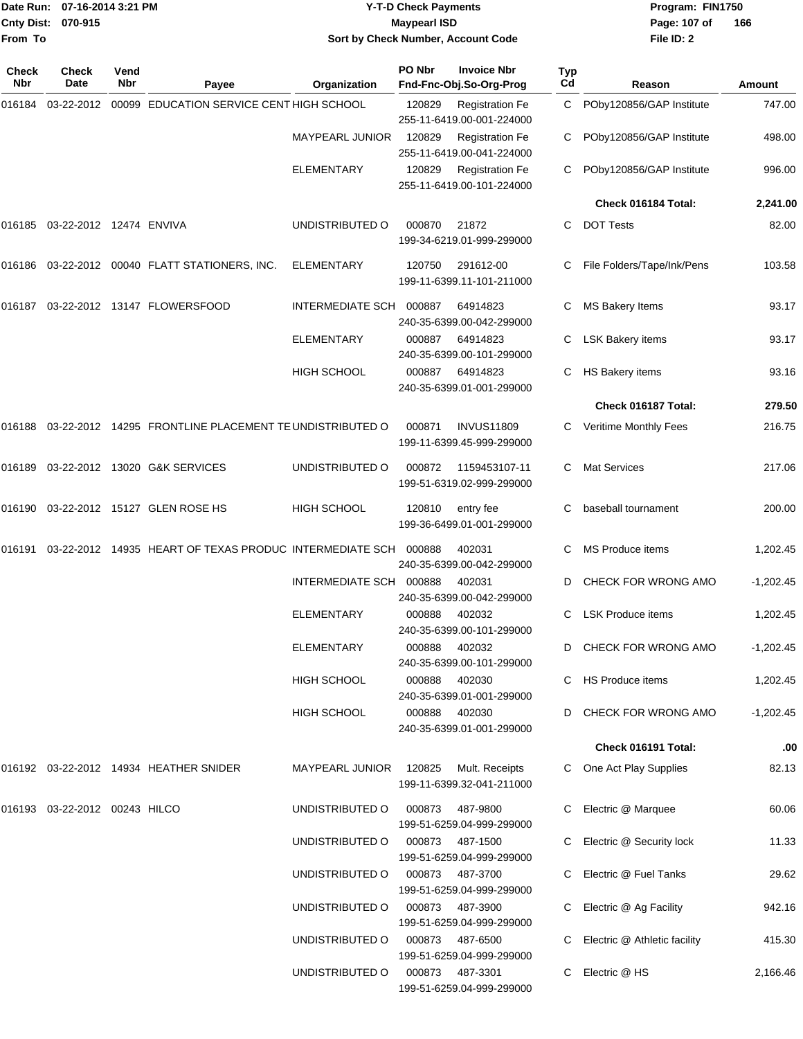| From To      | Date Run: 07-16-2014 3:21 PM<br>Cnty Dist: 070-915 |             |                                                         | <b>Y-T-D Check Payments</b><br><b>Maypearl ISD</b><br>Sort by Check Number, Account Code |        |                                                     |           | Program: FIN1750<br>Page: 107 of<br>File ID: 2 | 166         |
|--------------|----------------------------------------------------|-------------|---------------------------------------------------------|------------------------------------------------------------------------------------------|--------|-----------------------------------------------------|-----------|------------------------------------------------|-------------|
| Check<br>Nbr | Check<br>Date                                      | Vend<br>Nbr | Payee                                                   | Organization                                                                             | PO Nbr | <b>Invoice Nbr</b><br>Fnd-Fnc-Obj.So-Org-Prog       | Typ<br>Cd | Reason                                         | Amount      |
| 016184       | 03-22-2012                                         |             | 00099 EDUCATION SERVICE CENT HIGH SCHOOL                |                                                                                          | 120829 | <b>Registration Fe</b><br>255-11-6419.00-001-224000 |           | C POby120856/GAP Institute                     | 747.00      |
|              |                                                    |             |                                                         | <b>MAYPEARL JUNIOR</b>                                                                   | 120829 | <b>Registration Fe</b><br>255-11-6419.00-041-224000 |           | POby120856/GAP Institute                       | 498.00      |
|              |                                                    |             |                                                         | ELEMENTARY                                                                               | 120829 | <b>Registration Fe</b><br>255-11-6419.00-101-224000 |           | POby120856/GAP Institute                       | 996.00      |
|              |                                                    |             |                                                         |                                                                                          |        |                                                     |           | Check 016184 Total:                            | 2,241.00    |
| 016185       | 03-22-2012 12474 ENVIVA                            |             |                                                         | UNDISTRIBUTED O                                                                          | 000870 | 21872<br>199-34-6219.01-999-299000                  | C         | <b>DOT Tests</b>                               | 82.00       |
|              |                                                    |             | 016186 03-22-2012 00040 FLATT STATIONERS, INC.          | <b>ELEMENTARY</b>                                                                        | 120750 | 291612-00<br>199-11-6399.11-101-211000              | С         | File Folders/Tape/Ink/Pens                     | 103.58      |
| 016187       |                                                    |             | 03-22-2012  13147  FLOWERSFOOD                          | <b>INTERMEDIATE SCH</b>                                                                  | 000887 | 64914823<br>240-35-6399.00-042-299000               | С         | <b>MS Bakery Items</b>                         | 93.17       |
|              |                                                    |             |                                                         | <b>ELEMENTARY</b>                                                                        | 000887 | 64914823<br>240-35-6399.00-101-299000               |           | <b>LSK Bakery items</b>                        | 93.17       |
|              |                                                    |             |                                                         | <b>HIGH SCHOOL</b>                                                                       | 000887 | 64914823<br>240-35-6399.01-001-299000               | C.        | <b>HS Bakery items</b>                         | 93.16       |
|              |                                                    |             |                                                         |                                                                                          |        |                                                     |           | Check 016187 Total:                            | 279.50      |
| 016188       |                                                    |             | 03-22-2012 14295 FRONTLINE PLACEMENT TE UNDISTRIBUTED O |                                                                                          | 000871 | <b>INVUS11809</b><br>199-11-6399.45-999-299000      | C         | Veritime Monthly Fees                          | 216.75      |
| 016189       |                                                    |             | 03-22-2012 13020 G&K SERVICES                           | UNDISTRIBUTED O                                                                          | 000872 | 1159453107-11<br>199-51-6319.02-999-299000          | C         | <b>Mat Services</b>                            | 217.06      |
| 016190       |                                                    |             | 03-22-2012 15127 GLEN ROSE HS                           | <b>HIGH SCHOOL</b>                                                                       | 120810 | entry fee<br>199-36-6499.01-001-299000              | С         | baseball tournament                            | 200.00      |
| 016191       |                                                    |             | 03-22-2012 14935 HEART OF TEXAS PRODUC INTERMEDIATE SCH |                                                                                          | 000888 | 402031<br>240-35-6399.00-042-299000                 | С         | MS Produce items                               | 1,202.45    |
|              |                                                    |             |                                                         | INTERMEDIATE SCH                                                                         | 000888 | 402031<br>240-35-6399.00-042-299000                 | D         | CHECK FOR WRONG AMO                            | $-1,202.45$ |
|              |                                                    |             |                                                         | <b>ELEMENTARY</b>                                                                        | 000888 | 402032<br>240-35-6399.00-101-299000                 |           | C LSK Produce items                            | 1,202.45    |
|              |                                                    |             |                                                         | <b>ELEMENTARY</b>                                                                        | 000888 | 402032<br>240-35-6399.00-101-299000                 |           | D CHECK FOR WRONG AMO                          | $-1,202.45$ |
|              |                                                    |             |                                                         | <b>HIGH SCHOOL</b>                                                                       | 000888 | 402030<br>240-35-6399.01-001-299000                 |           | C HS Produce items                             | 1,202.45    |
|              |                                                    |             |                                                         | HIGH SCHOOL                                                                              | 000888 | 402030<br>240-35-6399.01-001-299000                 |           | D CHECK FOR WRONG AMO                          | $-1,202.45$ |
|              |                                                    |             |                                                         |                                                                                          |        |                                                     |           | Check 016191 Total:                            | .00         |
|              |                                                    |             | 016192 03-22-2012 14934 HEATHER SNIDER                  | <b>MAYPEARL JUNIOR</b>                                                                   | 120825 | Mult. Receipts<br>199-11-6399.32-041-211000         |           | C One Act Play Supplies                        | 82.13       |
|              | 016193  03-22-2012  00243  HILCO                   |             |                                                         | UNDISTRIBUTED O                                                                          | 000873 | 487-9800<br>199-51-6259.04-999-299000               |           | Electric @ Marquee                             | 60.06       |
|              |                                                    |             |                                                         | UNDISTRIBUTED O                                                                          | 000873 | 487-1500<br>199-51-6259.04-999-299000               |           | C Electric @ Security lock                     | 11.33       |
|              |                                                    |             |                                                         | UNDISTRIBUTED O                                                                          | 000873 | 487-3700<br>199-51-6259.04-999-299000               |           | C Electric @ Fuel Tanks                        | 29.62       |
|              |                                                    |             |                                                         | UNDISTRIBUTED O                                                                          | 000873 | 487-3900<br>199-51-6259.04-999-299000               |           | C Electric @ Ag Facility                       | 942.16      |
|              |                                                    |             |                                                         | UNDISTRIBUTED O                                                                          | 000873 | 487-6500<br>199-51-6259.04-999-299000               |           | C Electric @ Athletic facility                 | 415.30      |
|              |                                                    |             |                                                         | UNDISTRIBUTED O                                                                          | 000873 | 487-3301<br>199-51-6259.04-999-299000               |           | C Electric @ HS                                | 2,166.46    |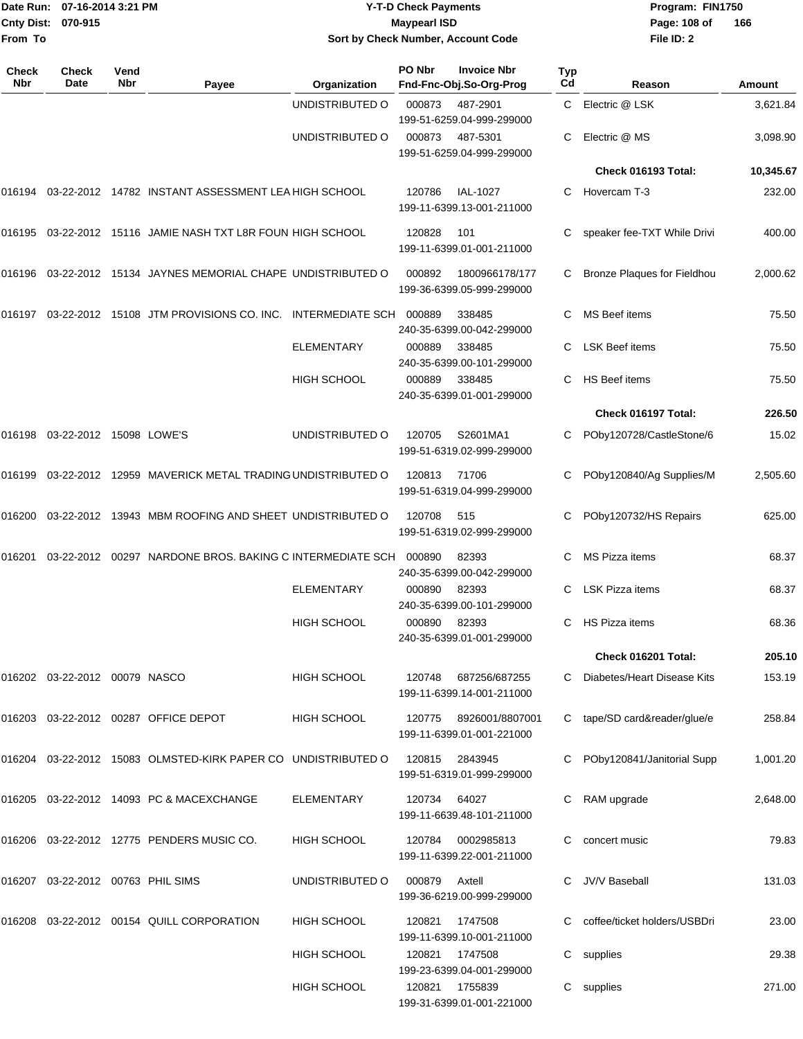| Date Run: 07-16-2014 3:21 PM<br><b>Cnty Dist:</b><br>070-915<br>From To |                                      |             | <b>Y-T-D Check Payments</b><br><b>Maypearl ISD</b><br>Sort by Check Number, Account Code |                    |              |                                                      |           | Program: FIN1750<br>Page: 108 of<br>166<br>File ID: 2 |               |  |
|-------------------------------------------------------------------------|--------------------------------------|-------------|------------------------------------------------------------------------------------------|--------------------|--------------|------------------------------------------------------|-----------|-------------------------------------------------------|---------------|--|
| Check<br>Nbr                                                            | <b>Check</b><br>Date                 | Vend<br>Nbr | Payee                                                                                    | Organization       | PO Nbr       | <b>Invoice Nbr</b><br>Fnd-Fnc-Obj.So-Org-Prog        | Typ<br>Cd | Reason                                                | <b>Amount</b> |  |
|                                                                         |                                      |             |                                                                                          | UNDISTRIBUTED O    | 000873       | 487-2901<br>199-51-6259.04-999-299000                | C.        | Electric @ LSK                                        | 3,621.84      |  |
|                                                                         |                                      |             |                                                                                          | UNDISTRIBUTED O    | 000873       | 487-5301<br>199-51-6259.04-999-299000                | С         | Electric @ MS                                         | 3,098.90      |  |
|                                                                         |                                      |             |                                                                                          |                    |              |                                                      |           | Check 016193 Total:                                   | 10,345.67     |  |
|                                                                         |                                      |             | 016194 03-22-2012 14782   INSTANT ASSESSMENT LEA HIGH SCHOOL                             |                    | 120786       | IAL-1027<br>199-11-6399.13-001-211000                | С         | Hovercam T-3                                          | 232.00        |  |
|                                                                         |                                      |             | 016195  03-22-2012  15116  JAMIE NASH TXT L8R FOUN HIGH SCHOOL                           |                    | 120828       | 101<br>199-11-6399.01-001-211000                     |           | speaker fee-TXT While Drivi                           | 400.00        |  |
|                                                                         |                                      |             | 016196  03-22-2012  15134  JAYNES MEMORIAL CHAPE UNDISTRIBUTED O                         |                    | 000892       | 1800966178/177<br>199-36-6399.05-999-299000          |           | <b>Bronze Plaques for Fieldhou</b>                    | 2,000.62      |  |
|                                                                         |                                      |             | 016197 03-22-2012 15108   JTM PROVISIONS CO. INC.    INTERMEDIATE SCH                    |                    | 000889       | 338485<br>240-35-6399.00-042-299000                  |           | MS Beef items                                         | 75.50         |  |
|                                                                         |                                      |             |                                                                                          | <b>ELEMENTARY</b>  | 000889       | 338485<br>240-35-6399.00-101-299000                  | С         | <b>LSK Beef items</b>                                 | 75.50         |  |
|                                                                         |                                      |             |                                                                                          | <b>HIGH SCHOOL</b> | 000889       | 338485<br>240-35-6399.01-001-299000                  | С         | HS Beef items                                         | 75.50         |  |
|                                                                         |                                      |             |                                                                                          |                    |              |                                                      |           | Check 016197 Total:                                   | 226.50        |  |
|                                                                         | 016198 03-22-2012 15098 LOWE'S       |             |                                                                                          | UNDISTRIBUTED O    | 120705       | S2601MA1<br>199-51-6319.02-999-299000                |           | POby120728/CastleStone/6                              | 15.02         |  |
| 016199                                                                  |                                      |             | 03-22-2012 12959 MAVERICK METAL TRADING UNDISTRIBUTED O                                  |                    | 120813       | 71706<br>199-51-6319.04-999-299000                   |           | POby120840/Ag Supplies/M                              | 2,505.60      |  |
| 016200                                                                  |                                      |             | 03-22-2012 13943 MBM ROOFING AND SHEET UNDISTRIBUTED O                                   |                    | 120708       | 515<br>199-51-6319.02-999-299000                     |           | POby120732/HS Repairs                                 | 625.00        |  |
| 016201                                                                  |                                      |             | 03-22-2012  00297  NARDONE BROS. BAKING C INTERMEDIATE SCH                               |                    | 000890       | 82393<br>240-35-6399.00-042-299000                   | С         | MS Pizza items                                        | 68.37         |  |
|                                                                         |                                      |             |                                                                                          | <b>ELEMENTARY</b>  | 000890       | 82393<br>240-35-6399.00-101-299000                   |           | C LSK Pizza items                                     | 68.37         |  |
|                                                                         |                                      |             |                                                                                          | <b>HIGH SCHOOL</b> | 000890 82393 | 240-35-6399.01-001-299000                            |           | C HS Pizza items                                      | 68.36         |  |
|                                                                         |                                      |             |                                                                                          |                    |              |                                                      |           | Check 016201 Total:                                   | 205.10        |  |
|                                                                         | 016202  03-22-2012  00079  NASCO     |             |                                                                                          | <b>HIGH SCHOOL</b> | 120748       | 687256/687255<br>199-11-6399.14-001-211000           |           | C Diabetes/Heart Disease Kits                         | 153.19        |  |
|                                                                         |                                      |             | 016203 03-22-2012 00287 OFFICE DEPOT                                                     | HIGH SCHOOL        |              | 120775  8926001/8807001<br>199-11-6399.01-001-221000 |           | C tape/SD card&reader/glue/e                          | 258.84        |  |
|                                                                         |                                      |             | 016204 03-22-2012 15083 OLMSTED-KIRK PAPER CO UNDISTRIBUTED O                            |                    | 120815       | 2843945<br>199-51-6319.01-999-299000                 |           | C POby120841/Janitorial Supp                          | 1,001.20      |  |
|                                                                         |                                      |             | 016205  03-22-2012  14093  PC & MACEXCHANGE                                              | ELEMENTARY         | 120734 64027 | 199-11-6639.48-101-211000                            |           | C RAM upgrade                                         | 2,648.00      |  |
|                                                                         |                                      |             | 016206  03-22-2012  12775  PENDERS MUSIC CO.                                             | <b>HIGH SCHOOL</b> | 120784       | 0002985813<br>199-11-6399.22-001-211000              |           | C concert music                                       | 79.83         |  |
|                                                                         | 016207  03-22-2012  00763  PHIL SIMS |             |                                                                                          | UNDISTRIBUTED O    | 000879       | Axtell<br>199-36-6219.00-999-299000                  |           | C JV/V Baseball                                       | 131.03        |  |
|                                                                         |                                      |             | 016208  03-22-2012  00154  QUILL CORPORATION                                             | <b>HIGH SCHOOL</b> | 120821       | 1747508<br>199-11-6399.10-001-211000                 |           | C coffee/ticket holders/USBDri                        | 23.00         |  |
|                                                                         |                                      |             |                                                                                          | HIGH SCHOOL        | 120821       | 1747508<br>199-23-6399.04-001-299000                 |           | C supplies                                            | 29.38         |  |
|                                                                         |                                      |             |                                                                                          | <b>HIGH SCHOOL</b> | 120821       | 1755839<br>199-31-6399.01-001-221000                 |           | C supplies                                            | 271.00        |  |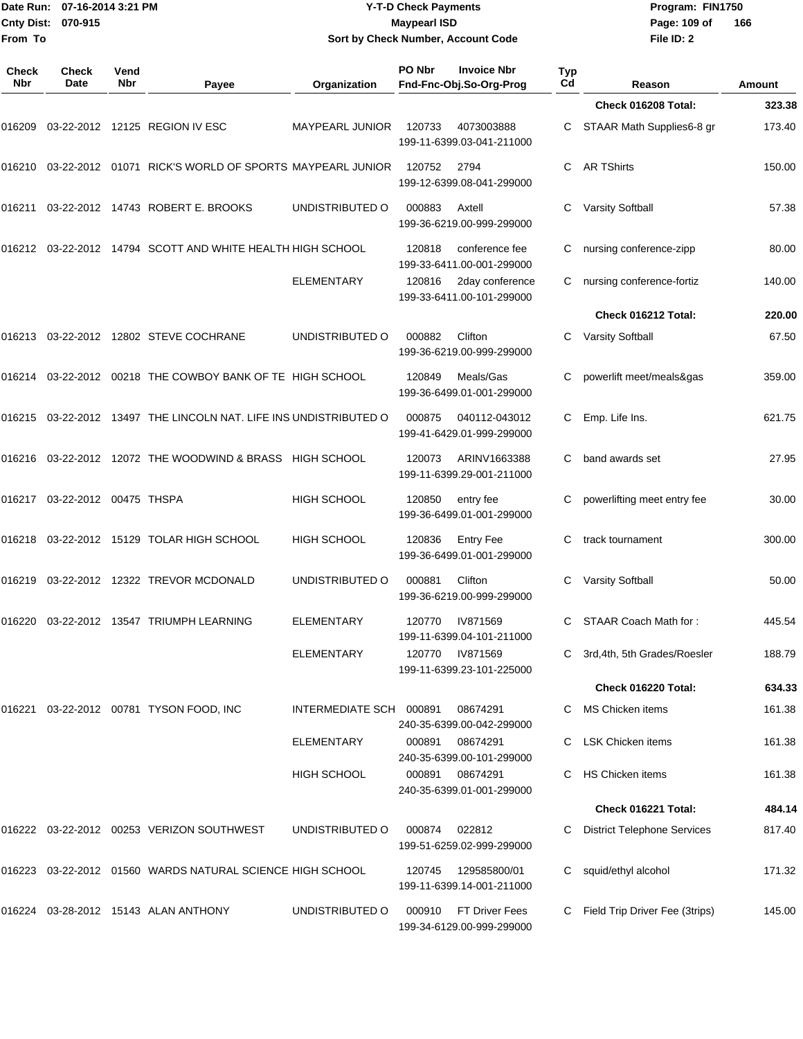|                     | Date Run: 07-16-2014 3:21 PM<br>Cnty Dist:<br>070-915 |             |                                                                      | <b>Y-T-D Check Payments</b><br><b>Maypearl ISD</b> |        |                                               | Program: FIN1750<br>Page: 109 of | 166                                |               |
|---------------------|-------------------------------------------------------|-------------|----------------------------------------------------------------------|----------------------------------------------------|--------|-----------------------------------------------|----------------------------------|------------------------------------|---------------|
| From To             |                                                       |             |                                                                      |                                                    |        | Sort by Check Number, Account Code            |                                  | File ID: 2                         |               |
| <b>Check</b><br>Nbr | <b>Check</b><br>Date                                  | Vend<br>Nbr | Payee                                                                | Organization                                       | PO Nbr | <b>Invoice Nbr</b><br>Fnd-Fnc-Obj.So-Org-Prog | Typ<br>Cd                        | Reason                             | <b>Amount</b> |
|                     |                                                       |             |                                                                      |                                                    |        |                                               |                                  | Check 016208 Total:                | 323.38        |
| 016209              |                                                       |             | 03-22-2012 12125 REGION IV ESC                                       | MAYPEARL JUNIOR                                    | 120733 | 4073003888<br>199-11-6399.03-041-211000       | C                                | STAAR Math Supplies6-8 gr          | 173.40        |
|                     |                                                       |             | 016210  03-22-2012  01071  RICK'S WORLD OF SPORTS MAYPEARL JUNIOR    |                                                    | 120752 | 2794<br>199-12-6399.08-041-299000             | С                                | <b>AR TShirts</b>                  | 150.00        |
| 016211              |                                                       |             | 03-22-2012  14743  ROBERT E. BROOKS                                  | UNDISTRIBUTED O                                    | 000883 | Axtell<br>199-36-6219.00-999-299000           | С                                | Varsity Softball                   | 57.38         |
|                     |                                                       |             | 016212 03-22-2012 14794   SCOTT AND WHITE HEALTH HIGH SCHOOL         |                                                    | 120818 | conference fee<br>199-33-6411.00-001-299000   | С                                | nursing conference-zipp            | 80.00         |
|                     |                                                       |             |                                                                      | <b>ELEMENTARY</b>                                  | 120816 | 2day conference<br>199-33-6411.00-101-299000  | С                                | nursing conference-fortiz          | 140.00        |
|                     |                                                       |             |                                                                      |                                                    |        |                                               |                                  | Check 016212 Total:                | 220.00        |
|                     |                                                       |             |                                                                      | UNDISTRIBUTED O                                    | 000882 | Clifton<br>199-36-6219.00-999-299000          | С                                | <b>Varsity Softball</b>            | 67.50         |
|                     |                                                       |             | 016214  03-22-2012  00218  THE COWBOY BANK OF TE HIGH SCHOOL         |                                                    | 120849 | Meals/Gas<br>199-36-6499.01-001-299000        |                                  | powerlift meet/meals&qas           | 359.00        |
|                     |                                                       |             | 016215  03-22-2012  13497  THE LINCOLN NAT. LIFE INS UNDISTRIBUTED O |                                                    | 000875 | 040112-043012<br>199-41-6429.01-999-299000    | С                                | Emp. Life Ins.                     | 621.75        |
|                     |                                                       |             | 016216  03-22-2012  12072  THE WOODWIND & BRASS  HIGH SCHOOL         |                                                    | 120073 | ARINV1663388<br>199-11-6399.29-001-211000     | С                                | band awards set                    | 27.95         |
|                     | 016217 03-22-2012 00475  THSPA                        |             |                                                                      | <b>HIGH SCHOOL</b>                                 | 120850 | entry fee<br>199-36-6499.01-001-299000        | С                                | powerlifting meet entry fee        | 30.00         |
|                     |                                                       |             | 016218 03-22-2012 15129  TOLAR HIGH SCHOOL                           | <b>HIGH SCHOOL</b>                                 | 120836 | <b>Entry Fee</b><br>199-36-6499.01-001-299000 | С                                | track tournament                   | 300.00        |
|                     |                                                       |             | 016219 03-22-2012 12322   TREVOR MCDONALD                            | UNDISTRIBUTED O                                    | 000881 | Clifton<br>199-36-6219.00-999-299000          | С                                | <b>Varsity Softball</b>            | 50.00         |
|                     |                                                       |             |                                                                      | <b>ELEMENTARY</b>                                  | 120770 | IV871569<br>199-11-6399.04-101-211000         |                                  | C STAAR Coach Math for:            | 445.54        |
|                     |                                                       |             |                                                                      | ELEMENTARY                                         | 120770 | IV871569<br>199-11-6399.23-101-225000         | C.                               | 3rd, 4th, 5th Grades/Roesler       | 188.79        |
|                     |                                                       |             |                                                                      |                                                    |        |                                               |                                  | Check 016220 Total:                | 634.33        |
|                     |                                                       |             |                                                                      | INTERMEDIATE SCH 000891                            |        | 08674291<br>240-35-6399.00-042-299000         |                                  | MS Chicken items                   | 161.38        |
|                     |                                                       |             |                                                                      | ELEMENTARY                                         | 000891 | 08674291<br>240-35-6399.00-101-299000         |                                  | <b>LSK Chicken items</b>           | 161.38        |
|                     |                                                       |             |                                                                      | <b>HIGH SCHOOL</b>                                 | 000891 | 08674291<br>240-35-6399.01-001-299000         |                                  | <b>HS Chicken items</b>            | 161.38        |
|                     |                                                       |             |                                                                      |                                                    |        |                                               |                                  | Check 016221 Total:                | 484.14        |
|                     |                                                       |             |                                                                      | UNDISTRIBUTED O                                    | 000874 | 022812<br>199-51-6259.02-999-299000           |                                  | <b>District Telephone Services</b> | 817.40        |
|                     |                                                       |             | 016223 03-22-2012 01560   WARDS NATURAL SCIENCE HIGH SCHOOL          |                                                    | 120745 | 129585800/01<br>199-11-6399.14-001-211000     | C                                | squid/ethyl alcohol                | 171.32        |
|                     |                                                       |             | 016224    03-28-2012    15143   ALAN ANTHONY                         | UNDISTRIBUTED O                                    | 000910 | FT Driver Fees<br>199-34-6129.00-999-299000   |                                  | C Field Trip Driver Fee (3trips)   | 145.00        |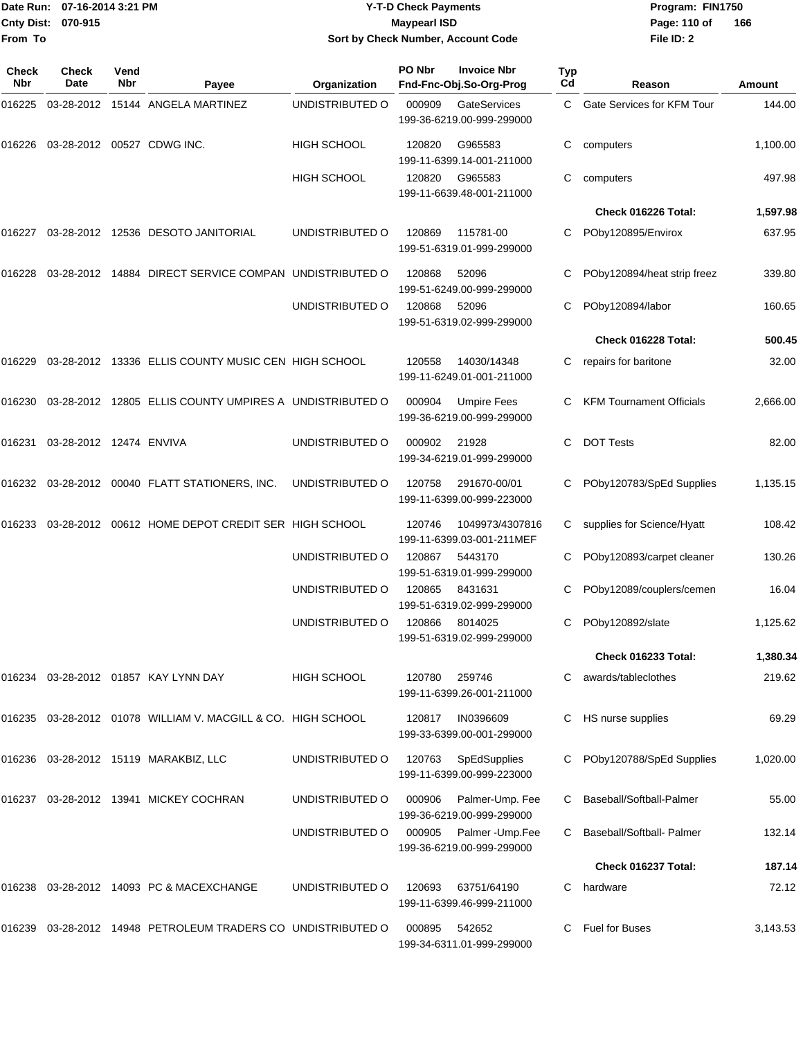| Date Run: 07-16-2014 3:21 PM |                         |             |                                                                | <b>Y-T-D Check Payments</b> | Program: FIN1750    |                                               |                  |                                 |          |
|------------------------------|-------------------------|-------------|----------------------------------------------------------------|-----------------------------|---------------------|-----------------------------------------------|------------------|---------------------------------|----------|
| <b>Cnty Dist:</b>            | 070-915                 |             |                                                                |                             | <b>Maypearl ISD</b> |                                               |                  | Page: 110 of                    | 166      |
| From To                      |                         |             |                                                                |                             |                     | Sort by Check Number, Account Code            |                  | File ID: 2                      |          |
|                              |                         |             |                                                                |                             |                     |                                               |                  |                                 |          |
| Check<br>Nbr                 | Check<br>Date           | Vend<br>Nbr | Payee                                                          | Organization                | PO Nbr              | <b>Invoice Nbr</b><br>Fnd-Fnc-Obj.So-Org-Prog | <b>Typ</b><br>Cd | Reason                          | Amount   |
| 016225                       |                         |             | 03-28-2012 15144 ANGELA MARTINEZ                               | UNDISTRIBUTED O             | 000909              | GateServices                                  | C                | Gate Services for KFM Tour      | 144.00   |
|                              |                         |             |                                                                |                             |                     | 199-36-6219.00-999-299000                     |                  |                                 |          |
| 016226                       |                         |             | 03-28-2012 00527 CDWG INC.                                     | HIGH SCHOOL                 | 120820              | G965583                                       | C                | computers                       | 1,100.00 |
|                              |                         |             |                                                                |                             |                     | 199-11-6399.14-001-211000                     |                  |                                 |          |
|                              |                         |             |                                                                | HIGH SCHOOL                 | 120820              | G965583                                       | С                | computers                       | 497.98   |
|                              |                         |             |                                                                |                             |                     | 199-11-6639.48-001-211000                     |                  |                                 |          |
|                              |                         |             |                                                                |                             |                     |                                               |                  | Check 016226 Total:             | 1,597.98 |
|                              |                         |             | 016227 03-28-2012 12536 DESOTO JANITORIAL                      | UNDISTRIBUTED O             | 120869              | 115781-00<br>199-51-6319.01-999-299000        |                  | POby120895/Envirox              | 637.95   |
|                              |                         |             |                                                                |                             |                     |                                               |                  |                                 |          |
| 016228                       |                         |             | 03-28-2012 14884 DIRECT SERVICE COMPAN UNDISTRIBUTED O         |                             | 120868              | 52096                                         | C                | POby120894/heat strip freez     | 339.80   |
|                              |                         |             |                                                                | UNDISTRIBUTED O             | 120868              | 199-51-6249.00-999-299000<br>52096            | С                | POby120894/labor                | 160.65   |
|                              |                         |             |                                                                |                             |                     | 199-51-6319.02-999-299000                     |                  |                                 |          |
|                              |                         |             |                                                                |                             |                     |                                               |                  | Check 016228 Total:             | 500.45   |
| 016229                       |                         |             | 03-28-2012 13336 ELLIS COUNTY MUSIC CEN HIGH SCHOOL            |                             | 120558              | 14030/14348                                   | C                | repairs for baritone            | 32.00    |
|                              |                         |             |                                                                |                             |                     | 199-11-6249.01-001-211000                     |                  |                                 |          |
|                              |                         |             | 016230 03-28-2012 12805 ELLIS COUNTY UMPIRES A UNDISTRIBUTED O |                             | 000904              | <b>Umpire Fees</b>                            |                  | <b>KFM Tournament Officials</b> | 2,666.00 |
|                              |                         |             |                                                                |                             |                     | 199-36-6219.00-999-299000                     |                  |                                 |          |
| 016231                       | 03-28-2012 12474 ENVIVA |             |                                                                | UNDISTRIBUTED O             | 000902              | 21928                                         | C                | <b>DOT Tests</b>                | 82.00    |
|                              |                         |             |                                                                |                             |                     | 199-34-6219.01-999-299000                     |                  |                                 |          |
|                              |                         |             | 016232 03-28-2012 00040 FLATT STATIONERS, INC.                 | UNDISTRIBUTED O             | 120758              | 291670-00/01                                  | C                | POby120783/SpEd Supplies        | 1,135.15 |
|                              |                         |             |                                                                |                             |                     | 199-11-6399.00-999-223000                     |                  |                                 |          |
|                              |                         |             | 016233 03-28-2012 00612 HOME DEPOT CREDIT SER HIGH SCHOOL      |                             | 120746              | 1049973/4307816                               | C                | supplies for Science/Hyatt      | 108.42   |
|                              |                         |             |                                                                |                             |                     | 199-11-6399.03-001-211MEF                     |                  |                                 |          |
|                              |                         |             |                                                                | UNDISTRIBUTED O             | 120867              | 5443170                                       | С                | POby120893/carpet cleaner       | 130.26   |
|                              |                         |             |                                                                |                             |                     | 199-51-6319.01-999-299000                     |                  |                                 |          |
|                              |                         |             |                                                                | UNDISTRIBUTED O             | 120865              | 8431631                                       |                  | POby12089/couplers/cemen        | 16.04    |
|                              |                         |             |                                                                | UNDISTRIBUTED O             | 120866              | 199-51-6319.02-999-299000<br>8014025          |                  | POby120892/slate                | 1,125.62 |
|                              |                         |             |                                                                |                             |                     | 199-51-6319.02-999-299000                     |                  |                                 |          |
|                              |                         |             |                                                                |                             |                     |                                               |                  | Check 016233 Total:             | 1,380.34 |
|                              |                         |             | 016234 03-28-2012 01857 KAY LYNN DAY                           | HIGH SCHOOL                 | 120780              | 259746                                        |                  | awards/tableclothes             | 219.62   |
|                              |                         |             |                                                                |                             |                     | 199-11-6399.26-001-211000                     |                  |                                 |          |
|                              |                         |             | 016235 03-28-2012 01078 WILLIAM V. MACGILL & CO. HIGH SCHOOL   |                             | 120817              | IN0396609                                     | C                | HS nurse supplies               | 69.29    |
|                              |                         |             |                                                                |                             |                     | 199-33-6399.00-001-299000                     |                  |                                 |          |
|                              |                         |             | 016236 03-28-2012 15119 MARAKBIZ, LLC                          | UNDISTRIBUTED O             | 120763              | SpEdSupplies                                  | C.               | POby120788/SpEd Supplies        | 1,020.00 |
|                              |                         |             |                                                                |                             |                     | 199-11-6399.00-999-223000                     |                  |                                 |          |
|                              |                         |             | 016237 03-28-2012 13941 MICKEY COCHRAN                         | UNDISTRIBUTED O             | 000906              | Palmer-Ump. Fee                               |                  | Baseball/Softball-Palmer        | 55.00    |
|                              |                         |             |                                                                |                             |                     | 199-36-6219.00-999-299000                     |                  |                                 |          |
|                              |                         |             |                                                                | UNDISTRIBUTED O             | 000905              | Palmer-Ump.Fee                                | C.               | Baseball/Softball- Palmer       | 132.14   |
|                              |                         |             |                                                                |                             |                     | 199-36-6219.00-999-299000                     |                  |                                 |          |
|                              |                         |             |                                                                |                             |                     |                                               |                  | Check 016237 Total:             | 187.14   |
|                              |                         |             | 016238 03-28-2012 14093 PC & MACEXCHANGE                       | UNDISTRIBUTED O             | 120693              | 63751/64190                                   | C.               | hardware                        | 72.12    |
|                              |                         |             |                                                                |                             |                     | 199-11-6399.46-999-211000                     |                  |                                 |          |
|                              |                         |             | 016239 03-28-2012 14948 PETROLEUM TRADERS CO UNDISTRIBUTED O   |                             | 000895              | 542652                                        |                  | C Fuel for Buses                | 3,143.53 |

199-34-6311.01-999-299000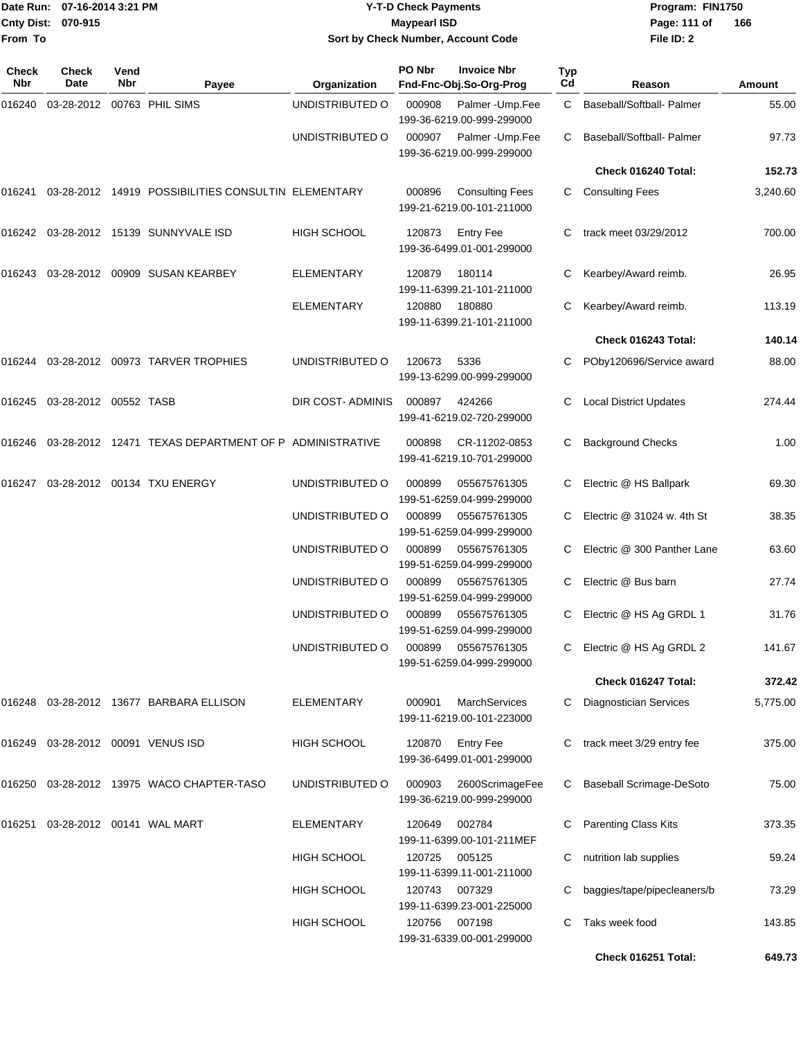| Date Run:<br>From To | 07-16-2014 3:21 PM<br><b>Cnty Dist:</b><br>070-915 |             |                                                       | <b>Y-T-D Check Payments</b><br><b>Maypearl ISD</b><br>Sort by Check Number, Account Code |               |                                                     |           | Program: FIN1750<br>Page: 111 of<br>166<br>File ID: 2 |          |  |
|----------------------|----------------------------------------------------|-------------|-------------------------------------------------------|------------------------------------------------------------------------------------------|---------------|-----------------------------------------------------|-----------|-------------------------------------------------------|----------|--|
| <b>Check</b><br>Nbr  | Check<br>Date                                      | Vend<br>Nbr | Payee                                                 | <b>Organization</b>                                                                      | PO Nbr        | <b>Invoice Nbr</b><br>Fnd-Fnc-Obj.So-Org-Prog       | Typ<br>Cd | Reason                                                | Amount   |  |
| 016240               | 03-28-2012 00763 PHIL SIMS                         |             |                                                       | UNDISTRIBUTED O                                                                          | 000908        | Palmer-Ump.Fee<br>199-36-6219.00-999-299000         | C         | Baseball/Softball- Palmer                             | 55.00    |  |
|                      |                                                    |             |                                                       | UNDISTRIBUTED O                                                                          | 000907        | Palmer-Ump.Fee<br>199-36-6219.00-999-299000         | C.        | Baseball/Softball- Palmer                             | 97.73    |  |
|                      |                                                    |             |                                                       |                                                                                          |               |                                                     |           | Check 016240 Total:                                   | 152.73   |  |
| 016241               |                                                    |             | 03-28-2012 14919 POSSIBILITIES CONSULTIN ELEMENTARY   |                                                                                          | 000896        | <b>Consulting Fees</b><br>199-21-6219.00-101-211000 | C.        | <b>Consulting Fees</b>                                | 3,240.60 |  |
| 016242               |                                                    |             | 03-28-2012 15139 SUNNYVALE ISD                        | <b>HIGH SCHOOL</b>                                                                       | 120873        | <b>Entry Fee</b><br>199-36-6499.01-001-299000       | C         | track meet 03/29/2012                                 | 700.00   |  |
| 016243               |                                                    |             | 03-28-2012 00909 SUSAN KEARBEY                        | ELEMENTARY                                                                               | 120879        | 180114<br>199-11-6399.21-101-211000                 | С         | Kearbey/Award reimb.                                  | 26.95    |  |
|                      |                                                    |             |                                                       | <b>ELEMENTARY</b>                                                                        | 120880        | 180880<br>199-11-6399.21-101-211000                 | С         | Kearbey/Award reimb.                                  | 113.19   |  |
|                      |                                                    |             |                                                       |                                                                                          |               |                                                     |           | Check 016243 Total:                                   | 140.14   |  |
|                      |                                                    |             | 016244 03-28-2012 00973 TARVER TROPHIES               | UNDISTRIBUTED O                                                                          | 120673        | 5336<br>199-13-6299.00-999-299000                   | С         | POby120696/Service award                              | 88.00    |  |
|                      | 016245  03-28-2012  00552  TASB                    |             |                                                       | DIR COST- ADMINIS                                                                        | 000897        | 424266<br>199-41-6219.02-720-299000                 | С         | <b>Local District Updates</b>                         | 274.44   |  |
| 016246               |                                                    |             | 03-28-2012 12471 TEXAS DEPARTMENT OF P ADMINISTRATIVE |                                                                                          | 000898        | CR-11202-0853<br>199-41-6219.10-701-299000          | С         | <b>Background Checks</b>                              | 1.00     |  |
| 016247               |                                                    |             | 03-28-2012 00134 TXU ENERGY                           | UNDISTRIBUTED O                                                                          | 000899        | 055675761305<br>199-51-6259.04-999-299000           | С         | Electric @ HS Ballpark                                | 69.30    |  |
|                      |                                                    |             |                                                       | UNDISTRIBUTED O                                                                          | 000899        | 055675761305<br>199-51-6259.04-999-299000           | C         | Electric @ 31024 w. 4th St                            | 38.35    |  |
|                      |                                                    |             |                                                       | UNDISTRIBUTED O                                                                          | 000899        | 055675761305<br>199-51-6259.04-999-299000           | С         | Electric @ 300 Panther Lane                           | 63.60    |  |
|                      |                                                    |             |                                                       | UNDISTRIBUTED O                                                                          | 000899        | 055675761305<br>199-51-6259.04-999-299000           | С         | Electric @ Bus barn                                   | 27.74    |  |
|                      |                                                    |             |                                                       | UNDISTRIBUTED O                                                                          | 000899        | 055675761305<br>199-51-6259.04-999-299000           |           | C Electric @ HS Ag GRDL 1                             | 31.76    |  |
|                      |                                                    |             |                                                       | UNDISTRIBUTED O                                                                          | 000899        | 055675761305<br>199-51-6259.04-999-299000           | C.        | Electric @ HS Ag GRDL 2                               | 141.67   |  |
|                      |                                                    |             |                                                       |                                                                                          |               |                                                     |           | Check 016247 Total:                                   | 372.42   |  |
|                      |                                                    |             | 016248 03-28-2012 13677 BARBARA ELLISON               | <b>ELEMENTARY</b>                                                                        | 000901        | <b>MarchServices</b><br>199-11-6219.00-101-223000   | C.        | <b>Diagnostician Services</b>                         | 5,775.00 |  |
|                      | 016249 03-28-2012 00091 VENUS ISD                  |             |                                                       | <b>HIGH SCHOOL</b>                                                                       | 120870        | <b>Entry Fee</b><br>199-36-6499.01-001-299000       | C.        | track meet 3/29 entry fee                             | 375.00   |  |
|                      |                                                    |             | 016250 03-28-2012 13975 WACO CHAPTER-TASO             | UNDISTRIBUTED O                                                                          | 000903        | 2600ScrimageFee<br>199-36-6219.00-999-299000        | C.        | <b>Baseball Scrimage-DeSoto</b>                       | 75.00    |  |
|                      | 016251  03-28-2012  00141  WAL MART                |             |                                                       | <b>ELEMENTARY</b>                                                                        | 120649        | 002784<br>199-11-6399.00-101-211MEF                 | С         | <b>Parenting Class Kits</b>                           | 373.35   |  |
|                      |                                                    |             |                                                       | HIGH SCHOOL                                                                              | 120725        | 005125<br>199-11-6399.11-001-211000                 | С         | nutrition lab supplies                                | 59.24    |  |
|                      |                                                    |             |                                                       | HIGH SCHOOL                                                                              | 120743        | 007329<br>199-11-6399.23-001-225000                 | С         | baggies/tape/pipecleaners/b                           | 73.29    |  |
|                      |                                                    |             |                                                       | HIGH SCHOOL                                                                              | 120756 007198 | 199-31-6339.00-001-299000                           | С         | Taks week food                                        | 143.85   |  |
|                      |                                                    |             |                                                       |                                                                                          |               |                                                     |           | Check 016251 Total:                                   | 649.73   |  |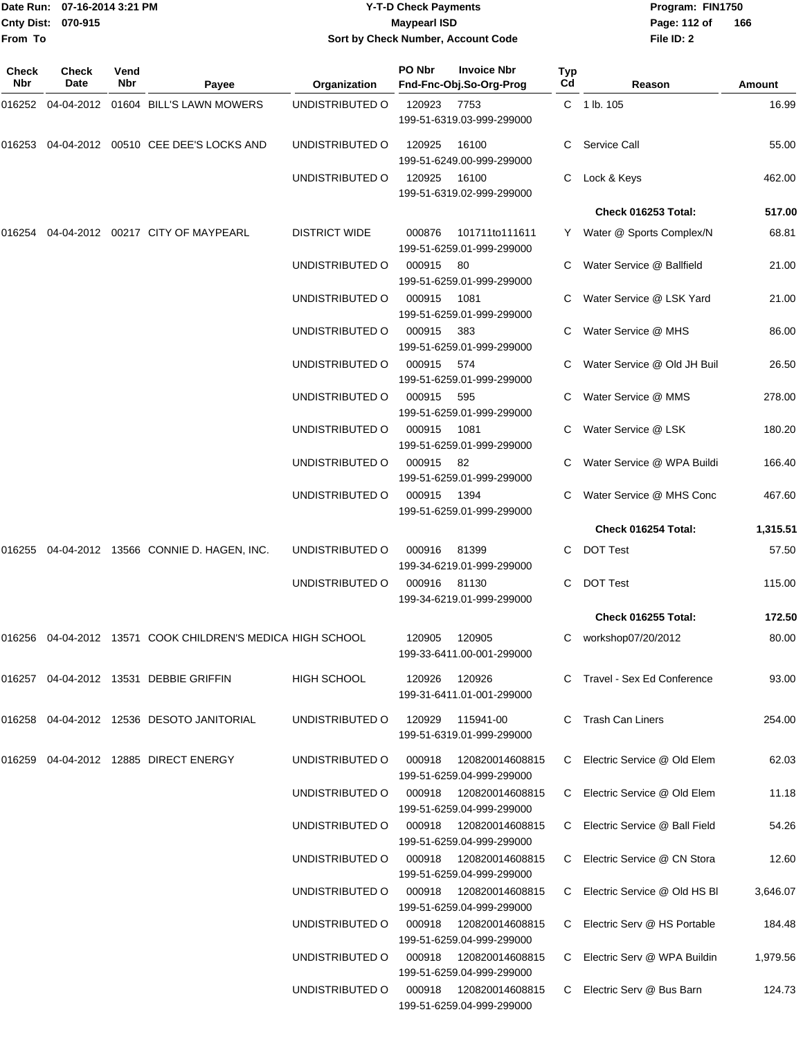|                    | Date Run: 07-16-2014 3:21 PM |
|--------------------|------------------------------|
| Cnty Dist: 070-915 |                              |
| lFrom To           |                              |

# **Date Run: Program: FIN1750 07-16-2014 3:21 PM Y-T-D Check Payments Cnty Dist: Page: 112 of 070-915 Maypearl ISD Sort by Check Number, Account Code**

| Check<br><b>Nbr</b> | <b>Check</b><br>Date | Vend<br>Nbr | Payee                                                         | Organization         | PO Nbr | <b>Invoice Nbr</b><br>Fnd-Fnc-Obj.So-Org-Prog        | <b>Typ</b><br>Cd | Reason                        | Amount   |
|---------------------|----------------------|-------------|---------------------------------------------------------------|----------------------|--------|------------------------------------------------------|------------------|-------------------------------|----------|
|                     |                      |             | 016252   04-04-2012   01604   BILL'S LAWN MOWERS              | UNDISTRIBUTED O      | 120923 | 7753<br>199-51-6319.03-999-299000                    |                  | $C = 1 lb. 105$               | 16.99    |
| 016253              |                      |             | 04-04-2012  00510  CEE DEE'S LOCKS AND                        | UNDISTRIBUTED O      | 120925 | 16100<br>199-51-6249.00-999-299000                   | C                | Service Call                  | 55.00    |
|                     |                      |             |                                                               | UNDISTRIBUTED O      | 120925 | 16100<br>199-51-6319.02-999-299000                   | C                | Lock & Keys                   | 462.00   |
|                     |                      |             |                                                               |                      |        |                                                      |                  | Check 016253 Total:           | 517.00   |
|                     |                      |             | 016254 04-04-2012 00217 CITY OF MAYPEARL                      | <b>DISTRICT WIDE</b> | 000876 | 101711to111611<br>199-51-6259.01-999-299000          |                  | Y Water @ Sports Complex/N    | 68.81    |
|                     |                      |             |                                                               | UNDISTRIBUTED O      | 000915 | -80<br>199-51-6259.01-999-299000                     |                  | C Water Service @ Ballfield   | 21.00    |
|                     |                      |             |                                                               | UNDISTRIBUTED O      | 000915 | 1081<br>199-51-6259.01-999-299000                    |                  | Water Service @ LSK Yard      | 21.00    |
|                     |                      |             |                                                               | UNDISTRIBUTED O      | 000915 | 383<br>199-51-6259.01-999-299000                     | C                | Water Service @ MHS           | 86.00    |
|                     |                      |             |                                                               | UNDISTRIBUTED O      | 000915 | 574<br>199-51-6259.01-999-299000                     |                  | Water Service @ Old JH Buil   | 26.50    |
|                     |                      |             |                                                               | UNDISTRIBUTED O      | 000915 | 595<br>199-51-6259.01-999-299000                     |                  | Water Service @ MMS           | 278.00   |
|                     |                      |             |                                                               | UNDISTRIBUTED O      | 000915 | 1081<br>199-51-6259.01-999-299000                    | C.               | Water Service @ LSK           | 180.20   |
|                     |                      |             |                                                               | UNDISTRIBUTED O      | 000915 | 82<br>199-51-6259.01-999-299000                      |                  | Water Service @ WPA Buildi    | 166.40   |
|                     |                      |             |                                                               | UNDISTRIBUTED O      | 000915 | 1394<br>199-51-6259.01-999-299000                    |                  | Water Service @ MHS Conc      | 467.60   |
|                     |                      |             |                                                               |                      |        |                                                      |                  | Check 016254 Total:           | 1,315.51 |
|                     |                      |             | 016255 04-04-2012 13566 CONNIE D. HAGEN, INC.                 | UNDISTRIBUTED O      | 000916 | 81399<br>199-34-6219.01-999-299000                   | C                | <b>DOT Test</b>               | 57.50    |
|                     |                      |             |                                                               | UNDISTRIBUTED O      | 000916 | 81130<br>199-34-6219.01-999-299000                   | C                | <b>DOT Test</b>               | 115.00   |
|                     |                      |             |                                                               |                      |        |                                                      |                  | Check 016255 Total:           | 172.50   |
|                     |                      |             | 016256  04-04-2012  13571  COOK CHILDREN'S MEDICA HIGH SCHOOL |                      | 120905 | 120905<br>199-33-6411.00-001-299000                  | C                | workshop07/20/2012            | 80.00    |
|                     |                      |             | 016257  04-04-2012  13531  DEBBIE GRIFFIN                     | <b>HIGH SCHOOL</b>   | 120926 | 120926<br>199-31-6411.01-001-299000                  |                  | C Travel - Sex Ed Conference  | 93.00    |
| 016258              |                      |             | 04-04-2012  12536  DESOTO JANITORIAL                          | UNDISTRIBUTED O      | 120929 | 115941-00<br>199-51-6319.01-999-299000               | C                | <b>Trash Can Liners</b>       | 254.00   |
|                     |                      |             | 016259 04-04-2012 12885 DIRECT ENERGY                         | UNDISTRIBUTED O      | 000918 | 120820014608815<br>199-51-6259.04-999-299000         | C.               | Electric Service @ Old Elem   | 62.03    |
|                     |                      |             |                                                               | UNDISTRIBUTED O      | 000918 | 120820014608815<br>199-51-6259.04-999-299000         |                  | C Electric Service @ Old Elem | 11.18    |
|                     |                      |             |                                                               | UNDISTRIBUTED O      | 000918 | 120820014608815<br>199-51-6259.04-999-299000         | C.               | Electric Service @ Ball Field | 54.26    |
|                     |                      |             |                                                               | UNDISTRIBUTED O      | 000918 | 120820014608815<br>199-51-6259.04-999-299000         | C                | Electric Service @ CN Stora   | 12.60    |
|                     |                      |             |                                                               | UNDISTRIBUTED O      | 000918 | 120820014608815<br>199-51-6259.04-999-299000         | C                | Electric Service @ Old HS BI  | 3,646.07 |
|                     |                      |             |                                                               | UNDISTRIBUTED O      |        | 000918  120820014608815<br>199-51-6259.04-999-299000 | C                | Electric Serv @ HS Portable   | 184.48   |
|                     |                      |             |                                                               | UNDISTRIBUTED O      | 000918 | 120820014608815<br>199-51-6259.04-999-299000         | C                | Electric Serv @ WPA Buildin   | 1,979.56 |
|                     |                      |             |                                                               | UNDISTRIBUTED O      | 000918 | 120820014608815<br>199-51-6259.04-999-299000         | C.               | Electric Serv @ Bus Barn      | 124.73   |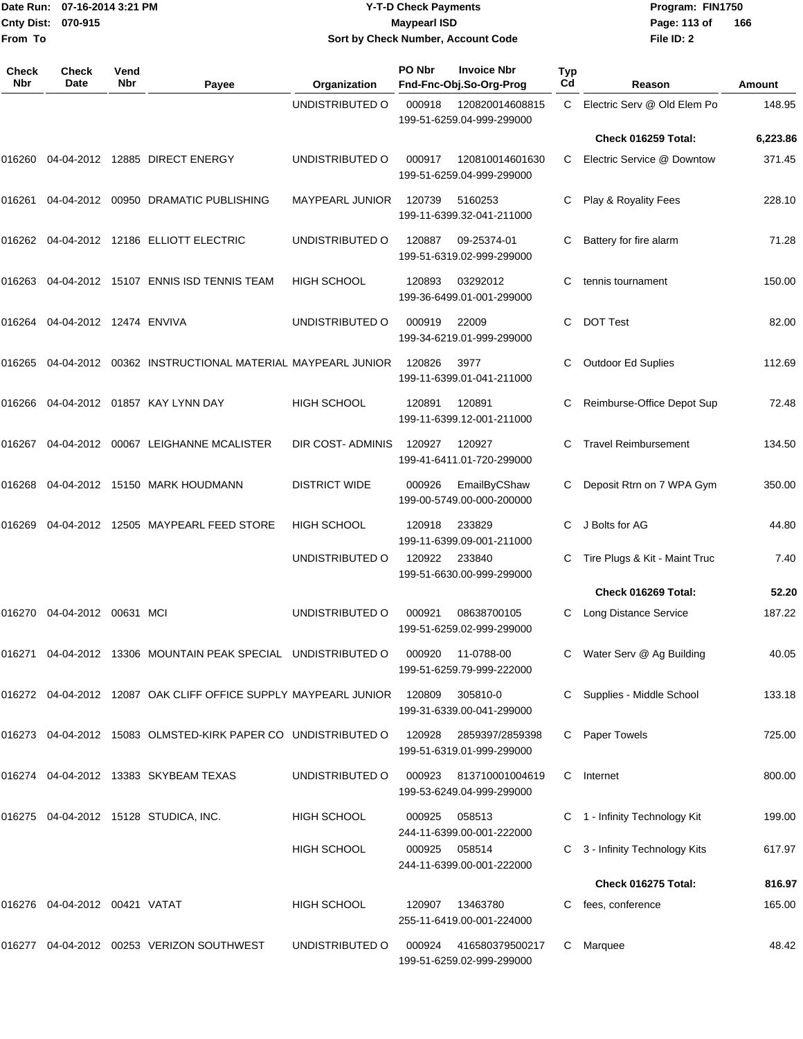|                           | Date Run: 07-16-2014 3:21 PM |
|---------------------------|------------------------------|
| <b>Cnty Dist: 070-915</b> |                              |
| lFrom To                  |                              |

#### **Date Run: Program: FIN1750 07-16-2014 3:21 PM Y-T-D Check Payments Cnty Dist: Page: 113 of 070-915 Maypearl ISD Sort by Check Number, Account Code**

| <b>Check</b><br><b>Nbr</b> | Check<br>Date                    | Vend<br><b>Nbr</b> | Payee                                                           | Organization           | PO Nbr        | <b>Invoice Nbr</b><br>Fnd-Fnc-Obj.So-Org-Prog | Typ<br>Cd    | Reason                        | <b>Amount</b> |
|----------------------------|----------------------------------|--------------------|-----------------------------------------------------------------|------------------------|---------------|-----------------------------------------------|--------------|-------------------------------|---------------|
|                            |                                  |                    |                                                                 | UNDISTRIBUTED O        | 000918        | 120820014608815<br>199-51-6259.04-999-299000  | $\mathbf{C}$ | Electric Serv @ Old Elem Po   | 148.95        |
|                            |                                  |                    |                                                                 |                        |               |                                               |              | Check 016259 Total:           | 6,223.86      |
| 016260                     |                                  |                    | 04-04-2012 12885 DIRECT ENERGY                                  | UNDISTRIBUTED O        | 000917        | 120810014601630<br>199-51-6259.04-999-299000  | C.           | Electric Service @ Downtow    | 371.45        |
| 016261                     |                                  |                    | 04-04-2012 00950 DRAMATIC PUBLISHING                            | <b>MAYPEARL JUNIOR</b> | 120739        | 5160253<br>199-11-6399.32-041-211000          | C.           | Play & Royality Fees          | 228.10        |
| 016262                     |                                  |                    | 04-04-2012  12186  ELLIOTT ELECTRIC                             | UNDISTRIBUTED O        | 120887        | 09-25374-01<br>199-51-6319.02-999-299000      |              | Battery for fire alarm        | 71.28         |
| 016263                     |                                  |                    | 04-04-2012 15107 ENNIS ISD TENNIS TEAM                          | <b>HIGH SCHOOL</b>     | 120893        | 03292012<br>199-36-6499.01-001-299000         | С            | tennis tournament             | 150.00        |
| 016264                     | 04-04-2012 12474 ENVIVA          |                    |                                                                 | UNDISTRIBUTED O        | 000919        | 22009<br>199-34-6219.01-999-299000            | C            | <b>DOT Test</b>               | 82.00         |
| 016265                     |                                  |                    | 04-04-2012  00362 INSTRUCTIONAL MATERIAL MAYPEARL JUNIOR        |                        | 120826        | 3977<br>199-11-6399.01-041-211000             |              | <b>Outdoor Ed Suplies</b>     | 112.69        |
| 016266                     |                                  |                    | 04-04-2012  01857  KAY LYNN DAY                                 | <b>HIGH SCHOOL</b>     | 120891        | 120891<br>199-11-6399.12-001-211000           | C            | Reimburse-Office Depot Sup    | 72.48         |
| 016267                     |                                  |                    | 04-04-2012 00067 LEIGHANNE MCALISTER                            | DIR COST-ADMINIS       | 120927        | 120927<br>199-41-6411.01-720-299000           | C.           | <b>Travel Reimbursement</b>   | 134.50        |
| 016268                     |                                  |                    | 04-04-2012 15150 MARK HOUDMANN                                  | <b>DISTRICT WIDE</b>   | 000926        | EmailByCShaw<br>199-00-5749.00-000-200000     | C            | Deposit Rtrn on 7 WPA Gym     | 350.00        |
| 016269                     |                                  |                    | 04-04-2012 12505 MAYPEARL FEED STORE                            | <b>HIGH SCHOOL</b>     | 120918        | 233829<br>199-11-6399.09-001-211000           | C.           | J Bolts for AG                | 44.80         |
|                            |                                  |                    |                                                                 | UNDISTRIBUTED O        | 120922        | 233840<br>199-51-6630.00-999-299000           | C            | Tire Plugs & Kit - Maint Truc | 7.40          |
|                            |                                  |                    |                                                                 |                        |               |                                               |              | Check 016269 Total:           | 52.20         |
| 016270                     | 04-04-2012 00631 MCI             |                    |                                                                 | UNDISTRIBUTED O        | 000921        | 08638700105<br>199-51-6259.02-999-299000      | C            | <b>Long Distance Service</b>  | 187.22        |
| 016271                     |                                  |                    | 04-04-2012 13306 MOUNTAIN PEAK SPECIAL UNDISTRIBUTED O          |                        | 000920        | 11-0788-00<br>199-51-6259.79-999-222000       |              | C Water Serv @ Ag Building    | 40.05         |
|                            |                                  |                    | 016272 04-04-2012 12087 OAK CLIFF OFFICE SUPPLY MAYPEARL JUNIOR |                        | 120809        | 305810-0<br>199-31-6339.00-041-299000         |              | Supplies - Middle School      | 133.18        |
|                            |                                  |                    | 016273 04-04-2012 15083 OLMSTED-KIRK PAPER CO UNDISTRIBUTED O   |                        | 120928        | 2859397/2859398<br>199-51-6319.01-999-299000  | C            | Paper Towels                  | 725.00        |
|                            |                                  |                    | 016274 04-04-2012 13383 SKYBEAM TEXAS                           | UNDISTRIBUTED O        | 000923        | 813710001004619<br>199-53-6249.04-999-299000  | C.           | Internet                      | 800.00        |
|                            |                                  |                    | 016275  04-04-2012  15128  STUDICA, INC.                        | HIGH SCHOOL            | 000925        | 058513<br>244-11-6399.00-001-222000           |              | C 1 - Infinity Technology Kit | 199.00        |
|                            |                                  |                    |                                                                 | <b>HIGH SCHOOL</b>     | 000925 058514 | 244-11-6399.00-001-222000                     | C.           | 3 - Infinity Technology Kits  | 617.97        |
|                            |                                  |                    |                                                                 |                        |               |                                               |              | Check 016275 Total:           | 816.97        |
|                            | 016276  04-04-2012  00421  VATAT |                    |                                                                 | <b>HIGH SCHOOL</b>     | 120907        | 13463780<br>255-11-6419.00-001-224000         | C            | fees, conference              | 165.00        |
| 016277                     |                                  |                    | 04-04-2012  00253  VERIZON SOUTHWEST                            | UNDISTRIBUTED O        | 000924        | 416580379500217<br>199-51-6259.02-999-299000  |              | C Marquee                     | 48.42         |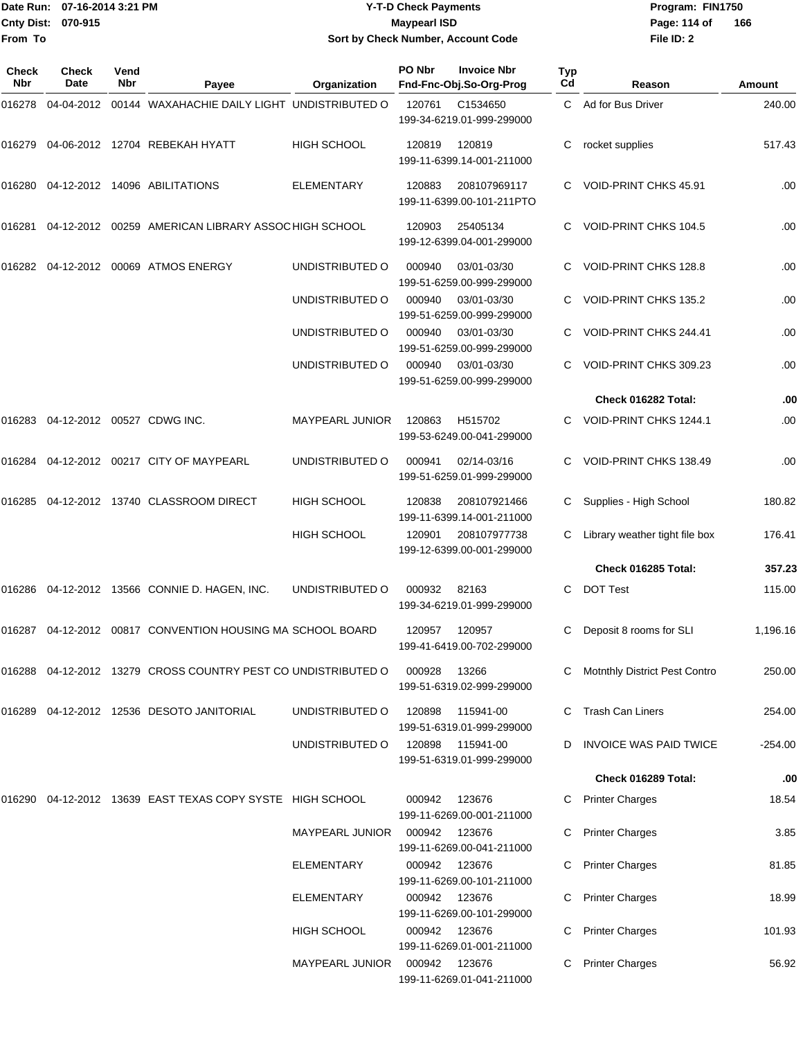|                    | Date Run: 07-16-2014 3:21 PM |
|--------------------|------------------------------|
| Cnty Dist: 070-915 |                              |
| From To            |                              |

# **Date Run: Program: FIN1750 07-16-2014 3:21 PM Y-T-D Check Payments Cnty Dist: Page: 114 of 070-915 Maypearl ISD Sort by Check Number, Account Code**

| Check<br>Nbr | <b>Check</b><br>Date              | Vend<br><b>Nbr</b> | Payee                                                         | Organization           | PO Nbr        | <b>Invoice Nbr</b><br>Fnd-Fnc-Obj.So-Org-Prog | Typ<br>Cd | Reason                               | <b>Amount</b> |
|--------------|-----------------------------------|--------------------|---------------------------------------------------------------|------------------------|---------------|-----------------------------------------------|-----------|--------------------------------------|---------------|
| 016278       |                                   |                    | 04-04-2012 00144 WAXAHACHIE DAILY LIGHT UNDISTRIBUTED O       |                        | 120761        | C1534650<br>199-34-6219.01-999-299000         |           | C Ad for Bus Driver                  | 240.00        |
| 016279       |                                   |                    | 04-06-2012 12704 REBEKAH HYATT                                | <b>HIGH SCHOOL</b>     | 120819        | 120819<br>199-11-6399.14-001-211000           | C         | rocket supplies                      | 517.43        |
|              |                                   |                    | 016280  04-12-2012  14096  ABILITATIONS                       | <b>ELEMENTARY</b>      | 120883        | 208107969117<br>199-11-6399.00-101-211PTO     | C.        | VOID-PRINT CHKS 45.91                | .00           |
| 016281       |                                   |                    | 04-12-2012 00259 AMERICAN LIBRARY ASSOCHIGH SCHOOL            |                        | 120903        | 25405134<br>199-12-6399.04-001-299000         | C         | VOID-PRINT CHKS 104.5                | .00           |
|              |                                   |                    | 016282 04-12-2012 00069 ATMOS ENERGY                          | UNDISTRIBUTED O        | 000940        | 03/01-03/30<br>199-51-6259.00-999-299000      | C         | VOID-PRINT CHKS 128.8                | .00           |
|              |                                   |                    |                                                               | UNDISTRIBUTED O        | 000940        | 03/01-03/30<br>199-51-6259.00-999-299000      | C         | VOID-PRINT CHKS 135.2                | .00           |
|              |                                   |                    |                                                               | UNDISTRIBUTED O        | 000940        | 03/01-03/30<br>199-51-6259.00-999-299000      | C         | VOID-PRINT CHKS 244.41               | .00           |
|              |                                   |                    |                                                               | UNDISTRIBUTED O        | 000940        | 03/01-03/30<br>199-51-6259.00-999-299000      | C         | VOID-PRINT CHKS 309.23               | .00           |
|              |                                   |                    |                                                               |                        |               |                                               |           | Check 016282 Total:                  | .00           |
|              | 016283 04-12-2012 00527 CDWG INC. |                    |                                                               | <b>MAYPEARL JUNIOR</b> | 120863        | H515702<br>199-53-6249.00-041-299000          | C.        | VOID-PRINT CHKS 1244.1               | .00           |
|              |                                   |                    | 016284 04-12-2012 00217 CITY OF MAYPEARL                      | UNDISTRIBUTED O        | 000941        | 02/14-03/16<br>199-51-6259.01-999-299000      | C         | VOID-PRINT CHKS 138.49               | .00           |
| 016285       |                                   |                    | 04-12-2012 13740 CLASSROOM DIRECT                             | HIGH SCHOOL            | 120838        | 208107921466<br>199-11-6399.14-001-211000     | С         | Supplies - High School               | 180.82        |
|              |                                   |                    |                                                               | HIGH SCHOOL            | 120901        | 208107977738<br>199-12-6399.00-001-299000     |           | Library weather tight file box       | 176.41        |
|              |                                   |                    |                                                               |                        |               |                                               |           | Check 016285 Total:                  | 357.23        |
|              |                                   |                    | 016286  04-12-2012  13566  CONNIE D. HAGEN, INC.              | UNDISTRIBUTED O        | 000932        | 82163<br>199-34-6219.01-999-299000            | C         | <b>DOT Test</b>                      | 115.00        |
|              |                                   |                    | 016287 04-12-2012 00817 CONVENTION HOUSING MA SCHOOL BOARD    |                        | 120957        | 120957<br>199-41-6419.00-702-299000           | C         | Deposit 8 rooms for SLI              | 1,196.16      |
|              |                                   |                    | 016288 04-12-2012 13279 CROSS COUNTRY PEST CO UNDISTRIBUTED O |                        | 000928        | 13266<br>199-51-6319.02-999-299000            |           | <b>Motnthly District Pest Contro</b> | 250.00        |
|              |                                   |                    | 016289  04-12-2012  12536  DESOTO JANITORIAL                  | UNDISTRIBUTED O        | 120898        | 115941-00<br>199-51-6319.01-999-299000        |           | <b>Trash Can Liners</b>              | 254.00        |
|              |                                   |                    |                                                               | UNDISTRIBUTED O        | 120898        | 115941-00<br>199-51-6319.01-999-299000        |           | <b>INVOICE WAS PAID TWICE</b>        | $-254.00$     |
|              |                                   |                    |                                                               |                        |               |                                               |           | Check 016289 Total:                  | .00           |
|              |                                   |                    | 016290 04-12-2012 13639 EAST TEXAS COPY SYSTE HIGH SCHOOL     |                        | 000942        | 123676<br>199-11-6269.00-001-211000           | C         | <b>Printer Charges</b>               | 18.54         |
|              |                                   |                    |                                                               | MAYPEARL JUNIOR        | 000942        | 123676<br>199-11-6269.00-041-211000           |           | <b>Printer Charges</b>               | 3.85          |
|              |                                   |                    |                                                               | ELEMENTARY             | 000942        | 123676<br>199-11-6269.00-101-211000           |           | <b>Printer Charges</b>               | 81.85         |
|              |                                   |                    |                                                               | ELEMENTARY             | 000942        | 123676<br>199-11-6269.00-101-299000           |           | <b>Printer Charges</b>               | 18.99         |
|              |                                   |                    |                                                               | HIGH SCHOOL            | 000942 123676 | 199-11-6269.01-001-211000                     |           | <b>Printer Charges</b>               | 101.93        |
|              |                                   |                    |                                                               | MAYPEARL JUNIOR        | 000942 123676 | 199-11-6269.01-041-211000                     |           | <b>Printer Charges</b>               | 56.92         |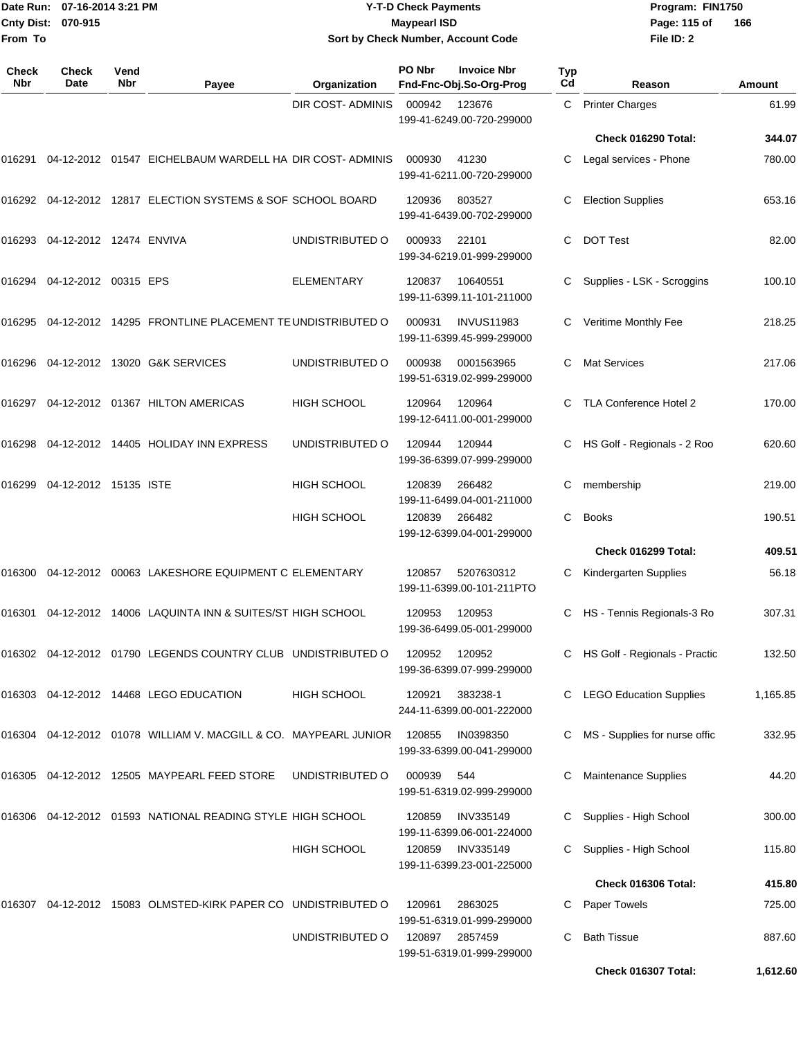|                    | Date Run: 07-16-2014 3:21 PM |
|--------------------|------------------------------|
| Cnty Dist: 070-915 |                              |
| lFrom To           |                              |

# **Date Run: Program: FIN1750 07-16-2014 3:21 PM Y-T-D Check Payments Cnty Dist: Page: 115 of 070-915 Maypearl ISD Sort by Check Number, Account Code**

| <b>Check</b><br><b>Nbr</b> | Check<br>Date           | Vend<br><b>Nbr</b> | Payee                                                         | Organization       | PO Nbr | <b>Invoice Nbr</b><br>Fnd-Fnc-Obj.So-Org-Prog  | Typ<br>Cd | Reason                         | Amount             |
|----------------------------|-------------------------|--------------------|---------------------------------------------------------------|--------------------|--------|------------------------------------------------|-----------|--------------------------------|--------------------|
|                            |                         |                    |                                                               | DIR COST- ADMINIS  | 000942 | 123676<br>199-41-6249.00-720-299000            | C.        | <b>Printer Charges</b>         | 61.99              |
|                            |                         |                    |                                                               |                    |        |                                                |           | Check 016290 Total:            | 344.07             |
| 016291                     |                         |                    | 04-12-2012 01547 EICHELBAUM WARDELL HA DIR COST-ADMINIS       |                    | 000930 | 41230<br>199-41-6211.00-720-299000             |           | Legal services - Phone         | 780.00             |
| 016292                     |                         |                    | 04-12-2012 12817 ELECTION SYSTEMS & SOF SCHOOL BOARD          |                    | 120936 | 803527<br>199-41-6439.00-702-299000            | С         | <b>Election Supplies</b>       | 653.16             |
| 016293                     | 04-12-2012 12474 ENVIVA |                    |                                                               | UNDISTRIBUTED O    | 000933 | 22101<br>199-34-6219.01-999-299000             | C.        | <b>DOT Test</b>                | 82.00              |
| 016294                     | 04-12-2012 00315 EPS    |                    |                                                               | ELEMENTARY         | 120837 | 10640551<br>199-11-6399.11-101-211000          |           | Supplies - LSK - Scroggins     | 100.10             |
| 016295                     |                         |                    | 04-12-2012 14295 FRONTLINE PLACEMENT TE UNDISTRIBUTED O       |                    | 000931 | <b>INVUS11983</b><br>199-11-6399.45-999-299000 | C         | Veritime Monthly Fee           | 218.25             |
| 016296                     |                         |                    | 04-12-2012 13020 G&K SERVICES                                 | UNDISTRIBUTED O    | 000938 | 0001563965<br>199-51-6319.02-999-299000        | C         | <b>Mat Services</b>            | 217.06             |
| 016297                     |                         |                    | 04-12-2012 01367 HILTON AMERICAS                              | <b>HIGH SCHOOL</b> | 120964 | 120964<br>199-12-6411.00-001-299000            |           | TLA Conference Hotel 2         | 170.00             |
| 016298                     |                         |                    | 04-12-2012 14405 HOLIDAY INN EXPRESS                          | UNDISTRIBUTED O    | 120944 | 120944<br>199-36-6399.07-999-299000            | C         | HS Golf - Regionals - 2 Roo    | 620.60             |
| 016299                     | 04-12-2012 15135 ISTE   |                    |                                                               | <b>HIGH SCHOOL</b> | 120839 | 266482<br>199-11-6499.04-001-211000            | C         | membership                     | 219.00             |
|                            |                         |                    |                                                               | <b>HIGH SCHOOL</b> | 120839 | 266482<br>199-12-6399.04-001-299000            | C         | <b>Books</b>                   | 190.51             |
|                            |                         |                    |                                                               |                    |        |                                                |           | Check 016299 Total:            | 409.51             |
| 016300                     |                         |                    | 04-12-2012 00063 LAKESHORE EQUIPMENT C ELEMENTARY             |                    | 120857 | 5207630312<br>199-11-6399.00-101-211PTO        | C         | Kindergarten Supplies          | 56.18              |
| 016301                     |                         |                    | 04-12-2012 14006 LAQUINTA INN & SUITES/ST HIGH SCHOOL         |                    | 120953 | 120953<br>199-36-6499.05-001-299000            | C         | HS - Tennis Regionals-3 Ro     | 307.31             |
|                            |                         |                    | 016302 04-12-2012 01790 LEGENDS COUNTRY CLUB UNDISTRIBUTED O  |                    | 120952 | 120952<br>199-36-6399.07-999-299000            |           | HS Golf - Regionals - Practic  | 132.50             |
|                            |                         |                    | 016303  04-12-2012  14468  LEGO EDUCATION                     | <b>HIGH SCHOOL</b> | 120921 | 383238-1<br>244-11-6399.00-001-222000          |           | <b>LEGO Education Supplies</b> | 1,165.85           |
| 016304                     |                         |                    | 04-12-2012 01078 WILLIAM V. MACGILL & CO. MAYPEARL JUNIOR     |                    | 120855 | IN0398350<br>199-33-6399.00-041-299000         |           | MS - Supplies for nurse offic  | 332.95             |
| 016305                     |                         |                    | 04-12-2012 12505 MAYPEARL FEED STORE                          | UNDISTRIBUTED O    | 000939 | 544<br>199-51-6319.02-999-299000               | C         | Maintenance Supplies           | 44.20              |
|                            |                         |                    | 016306  04-12-2012  01593  NATIONAL READING STYLE HIGH SCHOOL |                    | 120859 | <b>INV335149</b><br>199-11-6399.06-001-224000  |           | Supplies - High School         | 300.00             |
|                            |                         |                    |                                                               | HIGH SCHOOL        | 120859 | INV335149<br>199-11-6399.23-001-225000         | C.        | Supplies - High School         | 115.80             |
|                            |                         |                    |                                                               |                    |        |                                                |           | Check 016306 Total:            | 415.80             |
| 016307                     |                         |                    | 04-12-2012 15083 OLMSTED-KIRK PAPER CO UNDISTRIBUTED O        |                    | 120961 | 2863025<br>199-51-6319.01-999-299000           | C         | Paper Towels                   | 725.00             |
|                            |                         |                    |                                                               | UNDISTRIBUTED O    | 120897 | 2857459<br>199-51-6319.01-999-299000           | C         | <b>Bath Tissue</b>             | 887.60<br>1,612.60 |
|                            |                         |                    |                                                               |                    |        |                                                |           | Check 016307 Total:            |                    |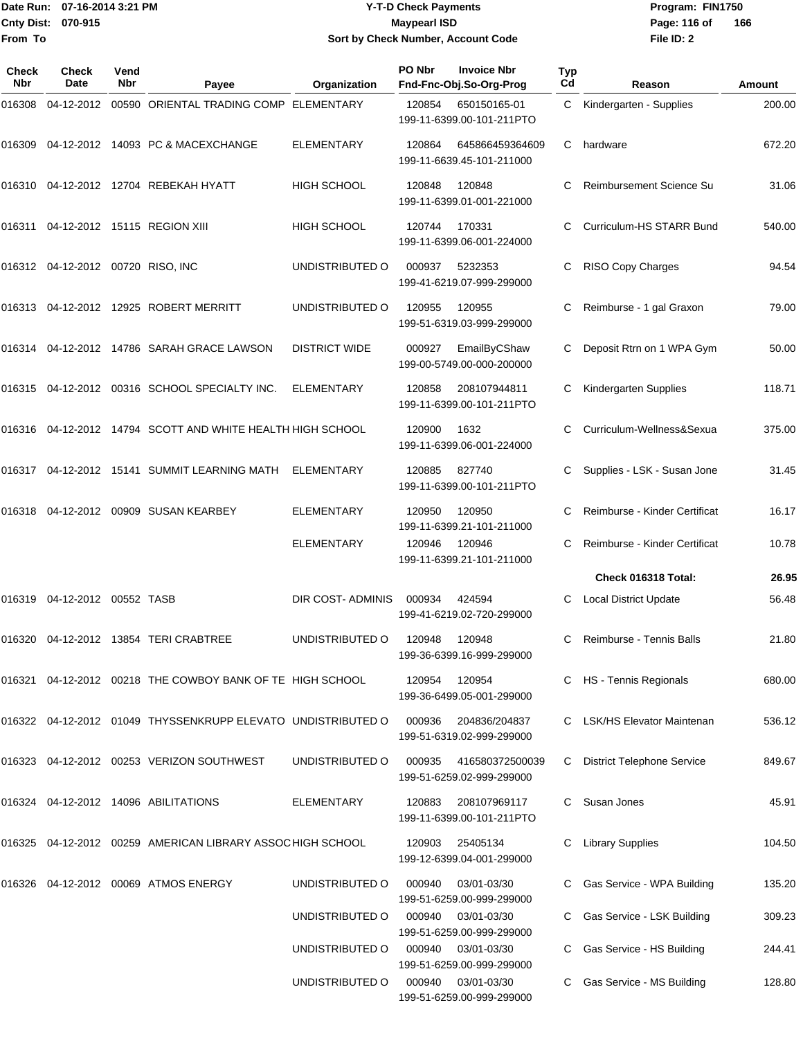**From To**

#### Date Run: 07-16-2014 3:21 PM **Program:** FIN1750 **Cnty Dist:** 070-915 **Page: 116 of MaypearI ISD Page: 116 of Y-T-D Check Payments 070-915 Maypearl ISD Sort by Check Number, Account Code**

| Check<br>Nbr | Check<br><b>Date</b>              | Vend<br>Nbr | Payee                                                         | Organization         | PO Nbr | <b>Invoice Nbr</b><br>Fnd-Fnc-Obj.So-Org-Prog | Typ<br>Cd | Reason                            | Amount |
|--------------|-----------------------------------|-------------|---------------------------------------------------------------|----------------------|--------|-----------------------------------------------|-----------|-----------------------------------|--------|
| 016308       |                                   |             | 04-12-2012 00590 ORIENTAL TRADING COMP ELEMENTARY             |                      | 120854 | 650150165-01<br>199-11-6399.00-101-211PTO     |           | C Kindergarten - Supplies         | 200.00 |
| 016309       |                                   |             | 04-12-2012 14093 PC & MACEXCHANGE                             | <b>ELEMENTARY</b>    | 120864 | 645866459364609<br>199-11-6639.45-101-211000  | C         | hardware                          | 672.20 |
| 016310       |                                   |             | 04-12-2012 12704 REBEKAH HYATT                                | <b>HIGH SCHOOL</b>   | 120848 | 120848<br>199-11-6399.01-001-221000           | C         | Reimbursement Science Su          | 31.06  |
| 016311       |                                   |             | 04-12-2012 15115 REGION XIII                                  | <b>HIGH SCHOOL</b>   | 120744 | 170331<br>199-11-6399.06-001-224000           | C         | Curriculum-HS STARR Bund          | 540.00 |
|              | 016312 04-12-2012 00720 RISO, INC |             |                                                               | UNDISTRIBUTED O      | 000937 | 5232353<br>199-41-6219.07-999-299000          | С         | RISO Copy Charges                 | 94.54  |
|              |                                   |             |                                                               | UNDISTRIBUTED O      | 120955 | 120955<br>199-51-6319.03-999-299000           |           | Reimburse - 1 gal Graxon          | 79.00  |
|              |                                   |             | 016314 04-12-2012 14786 SARAH GRACE LAWSON                    | <b>DISTRICT WIDE</b> | 000927 | EmailByCShaw<br>199-00-5749.00-000-200000     |           | Deposit Rtrn on 1 WPA Gym         | 50.00  |
| 016315       |                                   |             | 04-12-2012 00316 SCHOOL SPECIALTY INC.                        | <b>ELEMENTARY</b>    | 120858 | 208107944811<br>199-11-6399.00-101-211PTO     | C         | Kindergarten Supplies             | 118.71 |
|              |                                   |             | 016316  04-12-2012  14794  SCOTT AND WHITE HEALTH HIGH SCHOOL |                      | 120900 | 1632<br>199-11-6399.06-001-224000             |           | Curriculum-Wellness&Sexua         | 375.00 |
| 016317       |                                   |             | 04-12-2012 15141 SUMMIT LEARNING MATH                         | ELEMENTARY           | 120885 | 827740<br>199-11-6399.00-101-211PTO           | C         | Supplies - LSK - Susan Jone       | 31.45  |
| 016318       |                                   |             | 04-12-2012 00909 SUSAN KEARBEY                                | <b>ELEMENTARY</b>    | 120950 | 120950<br>199-11-6399.21-101-211000           |           | Reimburse - Kinder Certificat     | 16.17  |
|              |                                   |             |                                                               | <b>ELEMENTARY</b>    | 120946 | 120946<br>199-11-6399.21-101-211000           |           | Reimburse - Kinder Certificat     | 10.78  |
|              |                                   |             |                                                               |                      |        |                                               |           | Check 016318 Total:               | 26.95  |
| 016319       | 04-12-2012 00552 TASB             |             |                                                               | DIR COST-ADMINIS     | 000934 | 424594<br>199-41-6219.02-720-299000           |           | <b>Local District Update</b>      | 56.48  |
| 016320       |                                   |             | 04-12-2012 13854 TERI CRABTREE                                | UNDISTRIBUTED O      | 120948 | 120948<br>199-36-6399.16-999-299000           | C         | Reimburse - Tennis Balls          | 21.80  |
|              |                                   |             | 016321 04-12-2012 00218 THE COWBOY BANK OF TE HIGH SCHOOL     |                      | 120954 | 120954<br>199-36-6499.05-001-299000           |           | C HS - Tennis Regionals           | 680.00 |
|              |                                   |             | 016322 04-12-2012 01049 THYSSENKRUPP ELEVATO UNDISTRIBUTED O  |                      | 000936 | 204836/204837<br>199-51-6319.02-999-299000    |           | C LSK/HS Elevator Maintenan       | 536.12 |
|              |                                   |             | 016323 04-12-2012 00253 VERIZON SOUTHWEST                     | UNDISTRIBUTED O      | 000935 | 416580372500039<br>199-51-6259.02-999-299000  | C.        | <b>District Telephone Service</b> | 849.67 |
|              |                                   |             | 016324 04-12-2012 14096 ABILITATIONS                          | <b>ELEMENTARY</b>    | 120883 | 208107969117<br>199-11-6399.00-101-211PTO     | C         | Susan Jones                       | 45.91  |
|              |                                   |             | 016325 04-12-2012 00259 AMERICAN LIBRARY ASSOC HIGH SCHOOL    |                      | 120903 | 25405134<br>199-12-6399.04-001-299000         |           | <b>Library Supplies</b>           | 104.50 |
|              |                                   |             | 016326 04-12-2012 00069 ATMOS ENERGY                          | UNDISTRIBUTED O      | 000940 | 03/01-03/30<br>199-51-6259.00-999-299000      |           | Gas Service - WPA Building        | 135.20 |
|              |                                   |             |                                                               | UNDISTRIBUTED O      | 000940 | 03/01-03/30<br>199-51-6259.00-999-299000      |           | Gas Service - LSK Building        | 309.23 |
|              |                                   |             |                                                               | UNDISTRIBUTED O      | 000940 | 03/01-03/30<br>199-51-6259.00-999-299000      |           | Gas Service - HS Building         | 244.41 |
|              |                                   |             |                                                               | UNDISTRIBUTED O      | 000940 | 03/01-03/30<br>199-51-6259.00-999-299000      |           | Gas Service - MS Building         | 128.80 |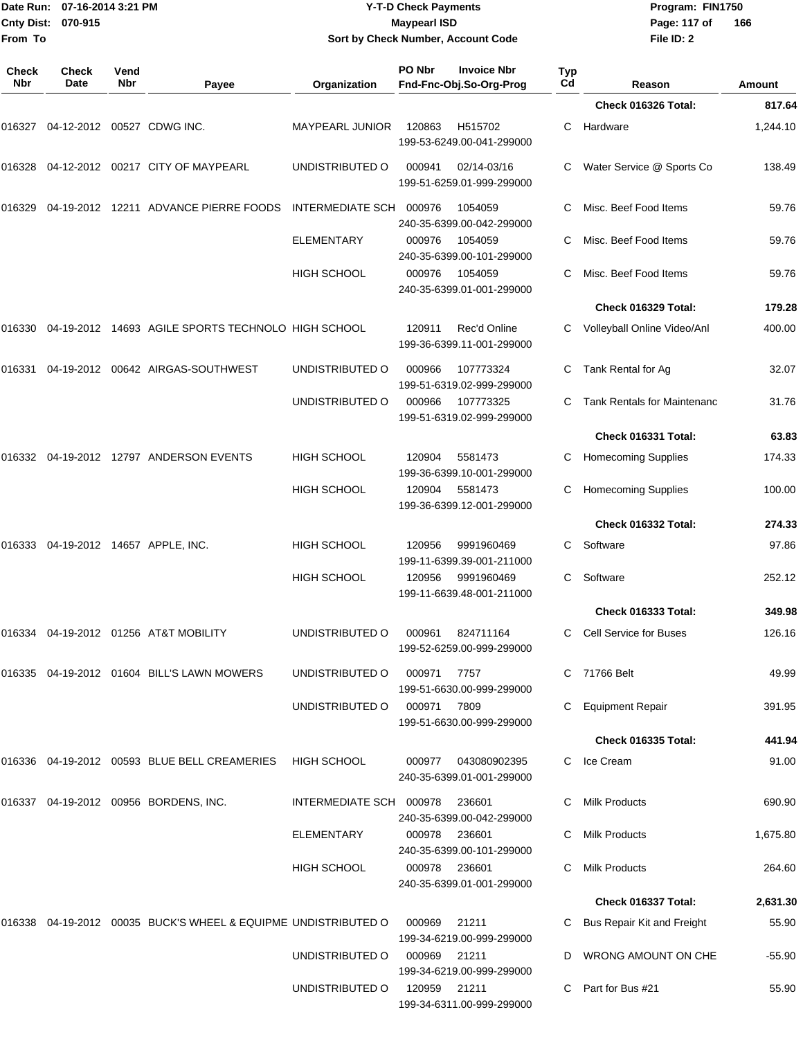| <b>Cnty Dist:</b><br>From To | Date Run: 07-16-2014 3:21 PM<br>070-915 |             |                                                                        |                                    | <b>Y-T-D Check Payments</b><br><b>Maypearl ISD</b><br>Sort by Check Number, Account Code |                   | Program: FIN1750<br>Page: 117 of<br>File ID: 2 | 166               |
|------------------------------|-----------------------------------------|-------------|------------------------------------------------------------------------|------------------------------------|------------------------------------------------------------------------------------------|-------------------|------------------------------------------------|-------------------|
| <b>Check</b><br>Nbr          | <b>Check</b><br>Date                    | Vend<br>Nbr | Payee                                                                  | Organization                       | PO Nbr<br><b>Invoice Nbr</b><br>Fnd-Fnc-Obj.So-Org-Prog                                  | Typ<br>Cd         | Reason                                         | <b>Amount</b>     |
|                              |                                         |             |                                                                        |                                    |                                                                                          |                   | Check 016326 Total:                            | 817.64            |
|                              | 016327 04-12-2012 00527 CDWG INC.       |             |                                                                        | MAYPEARL JUNIOR                    | 120863<br>H515702<br>199-53-6249.00-041-299000                                           | C                 | Hardware                                       | 1,244.10          |
|                              |                                         |             | 016328 04-12-2012 00217  CITY OF MAYPEARL                              | UNDISTRIBUTED O                    | 000941<br>02/14-03/16<br>199-51-6259.01-999-299000                                       |                   | Water Service @ Sports Co                      | 138.49            |
|                              |                                         |             | 016329   04-19-2012   12211   ADVANCE PIERRE FOODS                     | <b>INTERMEDIATE SCH</b>            | 000976<br>1054059<br>240-35-6399.00-042-299000                                           |                   | Misc. Beef Food Items                          | 59.76             |
|                              |                                         |             |                                                                        | <b>ELEMENTARY</b>                  | 000976<br>1054059<br>240-35-6399.00-101-299000                                           | C                 | Misc. Beef Food Items                          | 59.76             |
|                              |                                         |             |                                                                        | <b>HIGH SCHOOL</b>                 | 000976<br>1054059<br>240-35-6399.01-001-299000                                           |                   | Misc. Beef Food Items                          | 59.76             |
|                              |                                         |             |                                                                        |                                    |                                                                                          |                   | Check 016329 Total:                            | 179.28            |
|                              |                                         |             | 016330 04-19-2012 14693  AGILE SPORTS TECHNOLO  HIGH SCHOOL            |                                    | Rec'd Online<br>120911<br>199-36-6399.11-001-299000                                      |                   | Volleyball Online Video/Anl                    | 400.00            |
| 016331                       |                                         |             | 04-19-2012    00642    AIRGAS-SOUTHWEST                                | UNDISTRIBUTED O                    | 000966<br>107773324<br>199-51-6319.02-999-299000                                         | С                 | Tank Rental for Ag                             | 32.07             |
|                              |                                         |             |                                                                        | UNDISTRIBUTED O                    | 000966<br>107773325<br>199-51-6319.02-999-299000                                         | C                 | <b>Tank Rentals for Maintenanc</b>             | 31.76             |
|                              |                                         |             |                                                                        |                                    |                                                                                          |                   | Check 016331 Total:                            | 63.83             |
|                              |                                         |             |                                                                        | <b>HIGH SCHOOL</b>                 | 120904<br>5581473<br>199-36-6399.10-001-299000                                           | C                 | <b>Homecoming Supplies</b>                     | 174.33            |
|                              |                                         |             |                                                                        | <b>HIGH SCHOOL</b>                 | 120904<br>5581473<br>199-36-6399.12-001-299000                                           | C                 | <b>Homecoming Supplies</b>                     | 100.00            |
|                              |                                         |             |                                                                        |                                    |                                                                                          |                   | Check 016332 Total:                            | 274.33            |
|                              |                                         |             | 016333 04-19-2012 14657 APPLE, INC.                                    | <b>HIGH SCHOOL</b>                 | 120956<br>9991960469<br>199-11-6399.39-001-211000                                        | C                 | Software                                       | 97.86             |
|                              |                                         |             |                                                                        | <b>HIGH SCHOOL</b>                 | 120956<br>9991960469<br>199-11-6639.48-001-211000                                        | C.                | Software                                       | 252.12            |
|                              |                                         |             |                                                                        |                                    |                                                                                          |                   | <b>Check 016333 Total:</b>                     | 349.98            |
|                              |                                         |             | 016334    04-19-2012    01256   AT&T MOBILITY                          | UNDISTRIBUTED O                    | 000961<br>824711164<br>199-52-6259.00-999-299000                                         |                   | C Cell Service for Buses                       | 126.16            |
|                              |                                         |             | 016335  04-19-2012  01604  BILL'S LAWN MOWERS                          | UNDISTRIBUTED O                    | 000971<br>7757<br>199-51-6630.00-999-299000                                              |                   | C 71766 Belt                                   | 49.99             |
|                              |                                         |             |                                                                        | UNDISTRIBUTED O                    | 000971<br>7809<br>199-51-6630.00-999-299000                                              |                   | C Equipment Repair                             | 391.95            |
|                              |                                         |             |                                                                        |                                    |                                                                                          |                   | Check 016335 Total:                            | 441.94            |
|                              |                                         |             | 016336   04-19-2012   00593   BLUE   BELL   CREAMERIES   HIGH   SCHOOL |                                    | 000977<br>043080902395<br>240-35-6399.01-001-299000                                      |                   | C Ice Cream                                    | 91.00             |
|                              |                                         |             | 016337  04-19-2012  00956  BORDENS, INC.                               | INTERMEDIATE SCH 000978            | 236601<br>240-35-6399.00-042-299000                                                      | C                 | <b>Milk Products</b>                           | 690.90            |
|                              |                                         |             |                                                                        | ELEMENTARY                         | 000978<br>236601<br>240-35-6399.00-101-299000                                            | C                 | <b>Milk Products</b>                           | 1,675.80          |
|                              |                                         |             |                                                                        | HIGH SCHOOL                        | 000978 236601<br>240-35-6399.01-001-299000                                               | C                 | <b>Milk Products</b>                           | 264.60            |
|                              |                                         |             |                                                                        |                                    |                                                                                          |                   | Check 016337 Total:                            | 2,631.30          |
|                              |                                         |             | 016338  04-19-2012  00035  BUCK'S WHEEL & EQUIPME  UNDISTRIBUTED  O    |                                    | 000969<br>21211<br>199-34-6219.00-999-299000                                             |                   | Bus Repair Kit and Freight                     | 55.90             |
|                              |                                         |             |                                                                        | UNDISTRIBUTED O<br>UNDISTRIBUTED O | 000969<br>21211<br>199-34-6219.00-999-299000<br>120959<br>21211                          | D<br>$\mathbf{C}$ | WRONG AMOUNT ON CHE<br>Part for Bus #21        | $-55.90$<br>55.90 |
|                              |                                         |             |                                                                        |                                    | 199-34-6311.00-999-299000                                                                |                   |                                                |                   |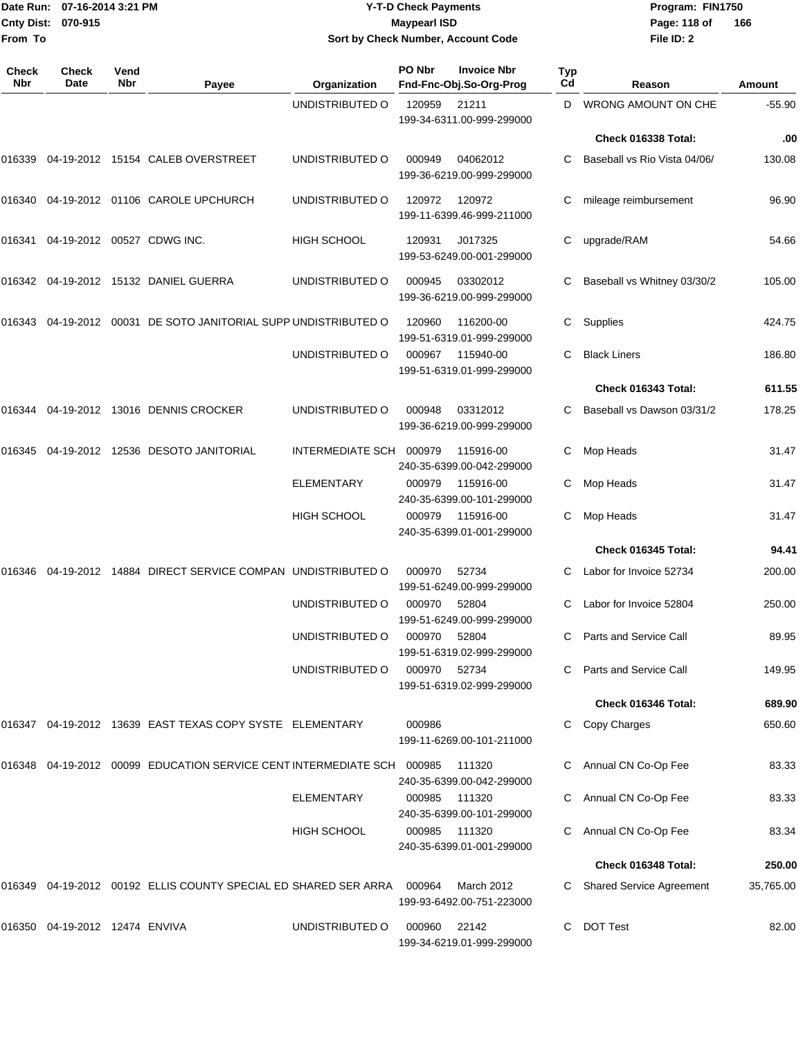|                    | Date Run: 07-16-2014 3:21 PM |
|--------------------|------------------------------|
| Cnty Dist: 070-915 |                              |
| lFrom To           |                              |

# **Date Run: Program: FIN1750 07-16-2014 3:21 PM Y-T-D Check Payments Cnty Dist: Page: 118 of 070-915 Maypearl ISD Sort by Check Number, Account Code**

**File ID: 2** Page: 118 of 166

| Check<br>Nbr | <b>Check</b><br>Date           | Vend<br>Nbr | Payee                                                              | Organization            | PO Nbr | <b>Invoice Nbr</b><br>Fnd-Fnc-Obj.So-Org-Prog | Typ<br>Cd | Reason                          | <b>Amount</b> |
|--------------|--------------------------------|-------------|--------------------------------------------------------------------|-------------------------|--------|-----------------------------------------------|-----------|---------------------------------|---------------|
|              |                                |             |                                                                    | UNDISTRIBUTED O         | 120959 | 21211                                         | D         | <b>WRONG AMOUNT ON CHE</b>      | $-55.90$      |
|              |                                |             |                                                                    |                         |        | 199-34-6311.00-999-299000                     |           |                                 |               |
|              |                                |             |                                                                    |                         |        |                                               |           | Check 016338 Total:             | .00           |
| 016339       |                                |             | 04-19-2012 15154 CALEB OVERSTREET                                  | UNDISTRIBUTED O         | 000949 | 04062012<br>199-36-6219.00-999-299000         | C         | Baseball vs Rio Vista 04/06/    | 130.08        |
| 016340       |                                |             | 04-19-2012 01106 CAROLE UPCHURCH                                   | UNDISTRIBUTED O         | 120972 | 120972<br>199-11-6399.46-999-211000           | С         | mileage reimbursement           | 96.90         |
| 016341       |                                |             | 04-19-2012 00527 CDWG INC.                                         | <b>HIGH SCHOOL</b>      | 120931 | J017325<br>199-53-6249.00-001-299000          | С         | upgrade/RAM                     | 54.66         |
| 016342       |                                |             | 04-19-2012 15132 DANIEL GUERRA                                     | UNDISTRIBUTED O         | 000945 | 03302012<br>199-36-6219.00-999-299000         | С         | Baseball vs Whitney 03/30/2     | 105.00        |
| 016343       |                                |             | 04-19-2012 00031 DE SOTO JANITORIAL SUPP UNDISTRIBUTED O           |                         | 120960 | 116200-00<br>199-51-6319.01-999-299000        | С         | Supplies                        | 424.75        |
|              |                                |             |                                                                    | UNDISTRIBUTED O         | 000967 | 115940-00<br>199-51-6319.01-999-299000        | С         | <b>Black Liners</b>             | 186.80        |
|              |                                |             |                                                                    |                         |        |                                               |           | Check 016343 Total:             | 611.55        |
| 016344       |                                |             | 04-19-2012 13016 DENNIS CROCKER                                    | UNDISTRIBUTED O         | 000948 | 03312012<br>199-36-6219.00-999-299000         |           | Baseball vs Dawson 03/31/2      | 178.25        |
| 016345       |                                |             | 04-19-2012 12536 DESOTO JANITORIAL                                 | <b>INTERMEDIATE SCH</b> | 000979 | 115916-00<br>240-35-6399.00-042-299000        | С         | Mop Heads                       | 31.47         |
|              |                                |             |                                                                    | <b>ELEMENTARY</b>       | 000979 | 115916-00<br>240-35-6399.00-101-299000        | С         | Mop Heads                       | 31.47         |
|              |                                |             |                                                                    | HIGH SCHOOL             | 000979 | 115916-00<br>240-35-6399.01-001-299000        | C         | Mop Heads                       | 31.47         |
|              |                                |             |                                                                    |                         |        |                                               |           | Check 016345 Total:             | 94.41         |
| 016346       |                                |             | 04-19-2012 14884 DIRECT SERVICE COMPAN UNDISTRIBUTED O             |                         | 000970 | 52734<br>199-51-6249.00-999-299000            |           | Labor for Invoice 52734         | 200.00        |
|              |                                |             |                                                                    | UNDISTRIBUTED O         | 000970 | 52804<br>199-51-6249.00-999-299000            | С         | Labor for Invoice 52804         | 250.00        |
|              |                                |             |                                                                    | UNDISTRIBUTED O         | 000970 | 52804<br>199-51-6319.02-999-299000            | С         | Parts and Service Call          | 89.95         |
|              |                                |             |                                                                    | UNDISTRIBUTED O         | 000970 | 52734<br>199-51-6319.02-999-299000            |           | Parts and Service Call          | 149.95        |
|              |                                |             |                                                                    |                         |        |                                               |           | Check 016346 Total:             | 689.90        |
|              |                                |             | 016347  04-19-2012  13639  EAST TEXAS COPY SYSTE  ELEMENTARY       |                         | 000986 | 199-11-6269.00-101-211000                     |           | Copy Charges                    | 650.60        |
| 016348       |                                |             | 04-19-2012  00099  EDUCATION SERVICE CENT INTERMEDIATE SCH  000985 |                         |        | 111320<br>240-35-6399.00-042-299000           | C         | Annual CN Co-Op Fee             | 83.33         |
|              |                                |             |                                                                    | <b>ELEMENTARY</b>       | 000985 | 111320<br>240-35-6399.00-101-299000           | С         | Annual CN Co-Op Fee             | 83.33         |
|              |                                |             |                                                                    | <b>HIGH SCHOOL</b>      | 000985 | 111320<br>240-35-6399.01-001-299000           |           | Annual CN Co-Op Fee             | 83.34         |
|              |                                |             |                                                                    |                         |        |                                               |           | Check 016348 Total:             | 250.00        |
| 016349       |                                |             | 04-19-2012  00192  ELLIS COUNTY SPECIAL ED SHARED SER ARRA         |                         | 000964 | March 2012<br>199-93-6492.00-751-223000       |           | <b>Shared Service Agreement</b> | 35,765.00     |
|              | 016350 04-19-2012 12474 ENVIVA |             |                                                                    | UNDISTRIBUTED O         | 000960 | 22142<br>199-34-6219.01-999-299000            | C         | <b>DOT Test</b>                 | 82.00         |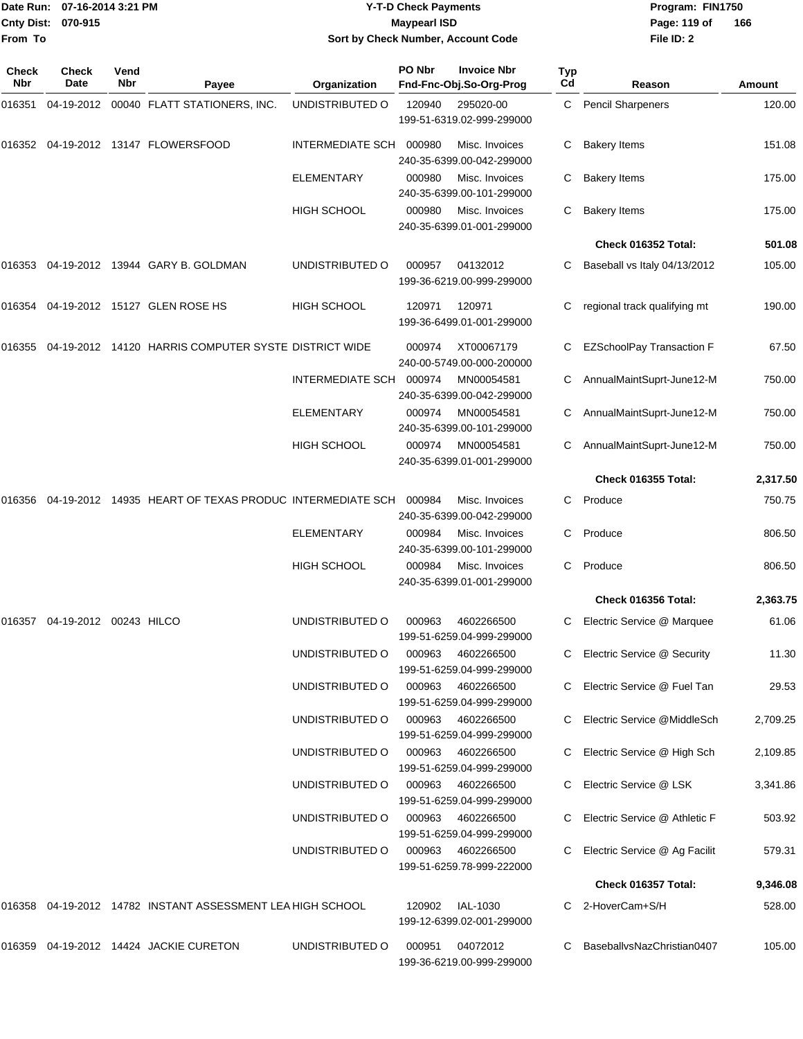|                     | Date Run: 07-16-2014 3:21 PM  |             |                                                            |                                    | <b>Y-T-D Check Payments</b> |                                               |                  | Program: FIN1750                 |          |
|---------------------|-------------------------------|-------------|------------------------------------------------------------|------------------------------------|-----------------------------|-----------------------------------------------|------------------|----------------------------------|----------|
| <b>Cnty Dist:</b>   | 070-915                       |             |                                                            |                                    | <b>Maypearl ISD</b>         |                                               |                  | Page: 119 of                     | 166      |
| From To             |                               |             |                                                            | Sort by Check Number, Account Code |                             |                                               |                  | File ID: 2                       |          |
| <b>Check</b><br>Nbr | <b>Check</b><br>Date          | Vend<br>Nbr | Payee                                                      | Organization                       | PO Nbr                      | <b>Invoice Nbr</b><br>Fnd-Fnc-Obj.So-Org-Prog | <b>Typ</b><br>Cd | Reason                           | Amount   |
| 016351              |                               |             | 04-19-2012 00040 FLATT STATIONERS, INC.                    | UNDISTRIBUTED O                    | 120940                      | 295020-00                                     | C.               | <b>Pencil Sharpeners</b>         | 120.00   |
|                     |                               |             |                                                            |                                    |                             | 199-51-6319.02-999-299000                     |                  |                                  |          |
| 016352              |                               |             | 04-19-2012 13147 FLOWERSFOOD                               | INTERMEDIATE SCH                   | 000980                      | Misc. Invoices<br>240-35-6399.00-042-299000   | C                | <b>Bakery Items</b>              | 151.08   |
|                     |                               |             |                                                            | ELEMENTARY                         | 000980                      | Misc. Invoices<br>240-35-6399.00-101-299000   | C                | <b>Bakery Items</b>              | 175.00   |
|                     |                               |             |                                                            | <b>HIGH SCHOOL</b>                 | 000980                      | Misc. Invoices<br>240-35-6399.01-001-299000   |                  | <b>Bakery Items</b>              | 175.00   |
|                     |                               |             |                                                            |                                    |                             |                                               |                  | Check 016352 Total:              | 501.08   |
| 016353              |                               |             | 04-19-2012 13944 GARY B. GOLDMAN                           | UNDISTRIBUTED O                    | 000957                      | 04132012<br>199-36-6219.00-999-299000         |                  | Baseball vs Italy 04/13/2012     | 105.00   |
|                     |                               |             | 016354 04-19-2012 15127 GLEN ROSE HS                       | <b>HIGH SCHOOL</b>                 | 120971                      | 120971<br>199-36-6499.01-001-299000           |                  | regional track qualifying mt     | 190.00   |
| 016355              |                               |             | 04-19-2012 14120 HARRIS COMPUTER SYSTE DISTRICT WIDE       |                                    | 000974                      | XT00067179<br>240-00-5749.00-000-200000       | C                | <b>EZSchoolPay Transaction F</b> | 67.50    |
|                     |                               |             |                                                            | INTERMEDIATE SCH                   | 000974                      | MN00054581<br>240-35-6399.00-042-299000       |                  | AnnualMaintSuprt-June12-M        | 750.00   |
|                     |                               |             |                                                            | ELEMENTARY                         | 000974                      | MN00054581<br>240-35-6399.00-101-299000       |                  | AnnualMaintSuprt-June12-M        | 750.00   |
|                     |                               |             |                                                            | <b>HIGH SCHOOL</b>                 | 000974                      | MN00054581<br>240-35-6399.01-001-299000       | C.               | AnnualMaintSuprt-June12-M        | 750.00   |
|                     |                               |             |                                                            |                                    |                             |                                               |                  | <b>Check 016355 Total:</b>       | 2,317.50 |
| 016356              |                               |             | 04-19-2012 14935 HEART OF TEXAS PRODUC INTERMEDIATE SCH    |                                    | 000984                      | Misc. Invoices<br>240-35-6399.00-042-299000   | C                | Produce                          | 750.75   |
|                     |                               |             |                                                            | <b>ELEMENTARY</b>                  | 000984                      | Misc. Invoices<br>240-35-6399.00-101-299000   | С                | Produce                          | 806.50   |
|                     |                               |             |                                                            | <b>HIGH SCHOOL</b>                 | 000984                      | Misc. Invoices<br>240-35-6399.01-001-299000   | C                | Produce                          | 806.50   |
|                     |                               |             |                                                            |                                    |                             |                                               |                  | Check 016356 Total:              | 2,363.75 |
|                     | 016357 04-19-2012 00243 HILCO |             |                                                            | UNDISTRIBUTED O                    | 000963                      | 4602266500<br>199-51-6259.04-999-299000       |                  | C Electric Service @ Marquee     | 61.06    |
|                     |                               |             |                                                            | UNDISTRIBUTED O                    | 000963                      | 4602266500<br>199-51-6259.04-999-299000       |                  | C Electric Service @ Security    | 11.30    |
|                     |                               |             |                                                            | UNDISTRIBUTED O                    | 000963                      | 4602266500<br>199-51-6259.04-999-299000       |                  | C Electric Service @ Fuel Tan    | 29.53    |
|                     |                               |             |                                                            | UNDISTRIBUTED O                    | 000963                      | 4602266500<br>199-51-6259.04-999-299000       |                  | C Electric Service @MiddleSch    | 2,709.25 |
|                     |                               |             |                                                            | UNDISTRIBUTED O                    | 000963                      | 4602266500<br>199-51-6259.04-999-299000       |                  | C Electric Service @ High Sch    | 2,109.85 |
|                     |                               |             |                                                            | UNDISTRIBUTED O                    | 000963                      | 4602266500<br>199-51-6259.04-999-299000       |                  | Electric Service @ LSK           | 3,341.86 |
|                     |                               |             |                                                            | UNDISTRIBUTED O                    | 000963                      | 4602266500<br>199-51-6259.04-999-299000       |                  | Electric Service @ Athletic F    | 503.92   |
|                     |                               |             |                                                            | UNDISTRIBUTED O                    | 000963                      | 4602266500<br>199-51-6259.78-999-222000       |                  | Electric Service @ Ag Facilit    | 579.31   |
|                     |                               |             |                                                            |                                    |                             |                                               |                  | <b>Check 016357 Total:</b>       | 9,346.08 |
|                     |                               |             | 016358 04-19-2012 14782 INSTANT ASSESSMENT LEA HIGH SCHOOL |                                    | 120902                      | IAL-1030<br>199-12-6399.02-001-299000         |                  | 2-HoverCam+S/H                   | 528.00   |

016359 04-19-2012 14424 JACKIE CURETON UNDISTRIBUTED O 000951 04072012 C BaseballvsNazChristian0407 105.00 199-36-6219.00-999-299000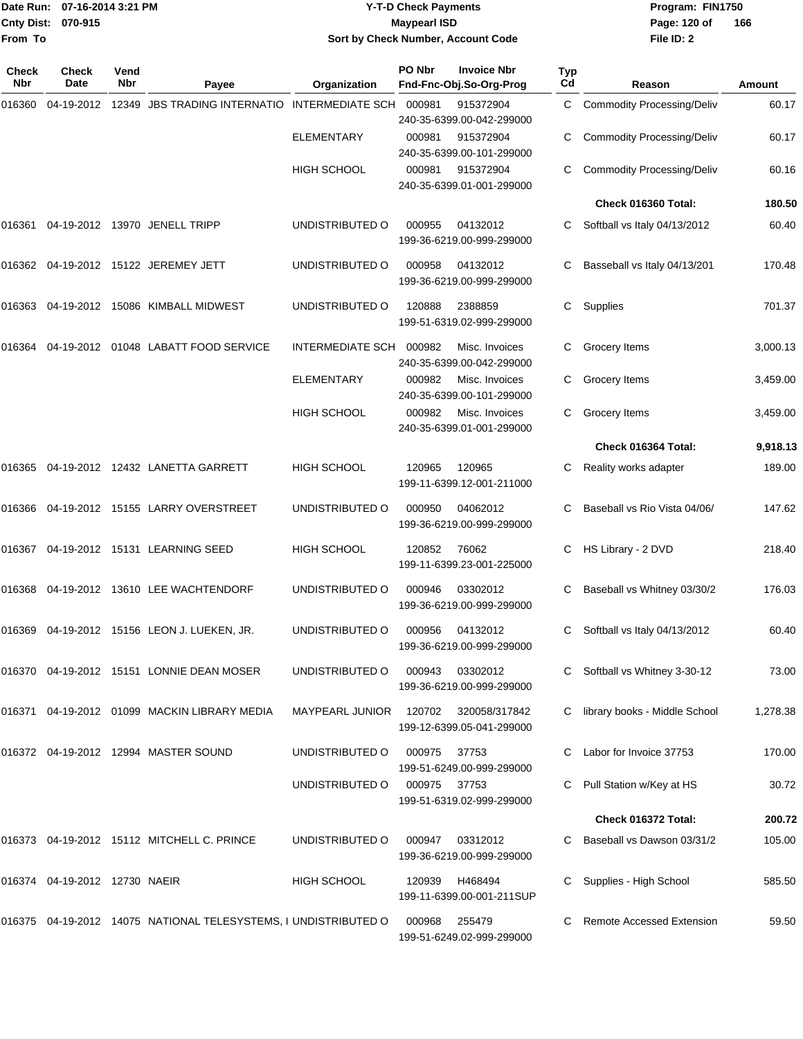|                    | Date Run: 07-16-2014 3:21 PM |
|--------------------|------------------------------|
| Cnty Dist: 070-915 |                              |
| From To            |                              |

# **Date Run: Program: FIN1750 07-16-2014 3:21 PM Y-T-D Check Payments Cnty Dist: Page: 120 of 070-915 Maypearl ISD Sort by Check Number, Account Code**

| <b>Check</b><br><b>Nbr</b> | Check<br>Date                 | Vend<br>Nbr | Payee                                                              | Organization           | PO Nbr | <b>Invoice Nbr</b><br>Fnd-Fnc-Obj.So-Org-Prog | Typ<br>Cd | Reason                            | <b>Amount</b> |
|----------------------------|-------------------------------|-------------|--------------------------------------------------------------------|------------------------|--------|-----------------------------------------------|-----------|-----------------------------------|---------------|
| 016360                     |                               |             | 04-19-2012 12349 JBS TRADING INTERNATIO INTERMEDIATE SCH           |                        | 000981 | 915372904<br>240-35-6399.00-042-299000        | C         | <b>Commodity Processing/Deliv</b> | 60.17         |
|                            |                               |             |                                                                    | <b>ELEMENTARY</b>      | 000981 | 915372904<br>240-35-6399.00-101-299000        | С         | <b>Commodity Processing/Deliv</b> | 60.17         |
|                            |                               |             |                                                                    | <b>HIGH SCHOOL</b>     | 000981 | 915372904<br>240-35-6399.01-001-299000        | C         | <b>Commodity Processing/Deliv</b> | 60.16         |
|                            |                               |             |                                                                    |                        |        |                                               |           | Check 016360 Total:               | 180.50        |
| 016361                     |                               |             | 04-19-2012 13970 JENELL TRIPP                                      | UNDISTRIBUTED O        | 000955 | 04132012<br>199-36-6219.00-999-299000         | C         | Softball vs Italy 04/13/2012      | 60.40         |
| 016362                     |                               |             | 04-19-2012 15122 JEREMEY JETT                                      | UNDISTRIBUTED O        | 000958 | 04132012<br>199-36-6219.00-999-299000         | С         | Basseball vs Italy 04/13/201      | 170.48        |
| 016363                     |                               |             | 04-19-2012 15086 KIMBALL MIDWEST                                   | UNDISTRIBUTED O        | 120888 | 2388859<br>199-51-6319.02-999-299000          | С         | Supplies                          | 701.37        |
| 016364                     |                               |             | 04-19-2012  01048  LABATT FOOD SERVICE                             | INTERMEDIATE SCH       | 000982 | Misc. Invoices<br>240-35-6399.00-042-299000   | С         | Grocery Items                     | 3,000.13      |
|                            |                               |             |                                                                    | <b>ELEMENTARY</b>      | 000982 | Misc. Invoices<br>240-35-6399.00-101-299000   | С         | Grocery Items                     | 3,459.00      |
|                            |                               |             |                                                                    | HIGH SCHOOL            | 000982 | Misc. Invoices<br>240-35-6399.01-001-299000   | C         | Grocery Items                     | 3,459.00      |
|                            |                               |             |                                                                    |                        |        |                                               |           | Check 016364 Total:               | 9,918.13      |
| 016365                     |                               |             | 04-19-2012 12432 LANETTA GARRETT                                   | <b>HIGH SCHOOL</b>     | 120965 | 120965<br>199-11-6399.12-001-211000           | С         | Reality works adapter             | 189.00        |
| 016366                     |                               |             | 04-19-2012 15155 LARRY OVERSTREET                                  | UNDISTRIBUTED O        | 000950 | 04062012<br>199-36-6219.00-999-299000         |           | Baseball vs Rio Vista 04/06/      | 147.62        |
| 016367                     |                               |             | 04-19-2012 15131 LEARNING SEED                                     | <b>HIGH SCHOOL</b>     | 120852 | 76062<br>199-11-6399.23-001-225000            | С         | HS Library - 2 DVD                | 218.40        |
| 016368                     |                               |             | 04-19-2012 13610 LEE WACHTENDORF                                   | UNDISTRIBUTED O        | 000946 | 03302012<br>199-36-6219.00-999-299000         | С         | Baseball vs Whitney 03/30/2       | 176.03        |
| 016369                     |                               |             | 04-19-2012 15156 LEON J. LUEKEN, JR.                               | UNDISTRIBUTED O        | 000956 | 04132012<br>199-36-6219.00-999-299000         | С         | Softball vs Italy 04/13/2012      | 60.40         |
|                            |                               |             | 016370 04-19-2012 15151 LONNIE DEAN MOSER                          | UNDISTRIBUTED O        | 000943 | 03302012<br>199-36-6219.00-999-299000         |           | Softball vs Whitney 3-30-12       | 73.00         |
| 016371                     |                               |             | 04-19-2012 01099 MACKIN LIBRARY MEDIA                              | <b>MAYPEARL JUNIOR</b> | 120702 | 320058/317842<br>199-12-6399.05-041-299000    |           | library books - Middle School     | 1,278.38      |
|                            |                               |             | 016372  04-19-2012  12994  MASTER SOUND                            | UNDISTRIBUTED O        | 000975 | 37753<br>199-51-6249.00-999-299000            |           | Labor for Invoice 37753           | 170.00        |
|                            |                               |             |                                                                    | UNDISTRIBUTED O        | 000975 | 37753<br>199-51-6319.02-999-299000            |           | Pull Station w/Key at HS          | 30.72         |
|                            |                               |             |                                                                    |                        |        |                                               |           | Check 016372 Total:               | 200.72        |
|                            |                               |             | 016373 04-19-2012 15112 MITCHELL C. PRINCE                         | UNDISTRIBUTED O        | 000947 | 03312012<br>199-36-6219.00-999-299000         |           | Baseball vs Dawson 03/31/2        | 105.00        |
|                            | 016374 04-19-2012 12730 NAEIR |             |                                                                    | <b>HIGH SCHOOL</b>     | 120939 | H468494<br>199-11-6399.00-001-211SUP          |           | Supplies - High School            | 585.50        |
|                            |                               |             | 016375  04-19-2012  14075  NATIONAL TELESYSTEMS, I UNDISTRIBUTED O |                        | 000968 | 255479<br>199-51-6249.02-999-299000           |           | <b>Remote Accessed Extension</b>  | 59.50         |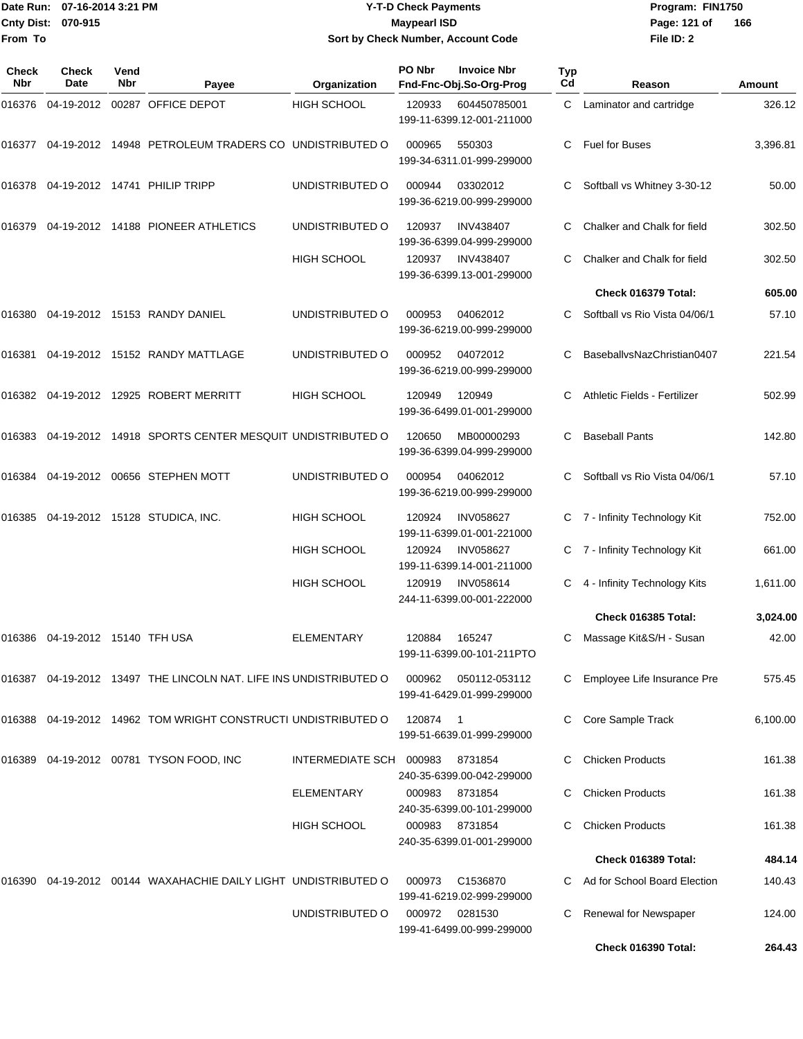# Date Run: 07-16-2014 3:21 PM **Program:** FIN1750 **Y-T-D Check Payments 070-915 Maypearl ISD Sort by Check Number, Account Code**

**File ID: 2** Page: 121 of 166

| Check<br>Nbr | <b>Check</b><br>Date     | Vend<br>Nbr | Payee                                                                | Organization            | PO Nbr | <b>Invoice Nbr</b><br>Fnd-Fnc-Obj.So-Org-Prog           | Typ<br>Cd | Reason                        | Amount   |
|--------------|--------------------------|-------------|----------------------------------------------------------------------|-------------------------|--------|---------------------------------------------------------|-----------|-------------------------------|----------|
| 016376       | 04-19-2012               |             | 00287 OFFICE DEPOT                                                   | <b>HIGH SCHOOL</b>      | 120933 | 604450785001<br>199-11-6399.12-001-211000               | C.        | Laminator and cartridge       | 326.12   |
| 016377       |                          |             | 04-19-2012 14948 PETROLEUM TRADERS CO UNDISTRIBUTED O                |                         | 000965 | 550303<br>199-34-6311.01-999-299000                     |           | <b>Fuel for Buses</b>         | 3,396.81 |
| 016378       |                          |             | 04-19-2012  14741  PHILIP TRIPP                                      | UNDISTRIBUTED O         | 000944 | 03302012<br>199-36-6219.00-999-299000                   | С         | Softball vs Whitney 3-30-12   | 50.00    |
| 016379       |                          |             | 04-19-2012 14188 PIONEER ATHLETICS                                   | UNDISTRIBUTED O         | 120937 | <b>INV438407</b><br>199-36-6399.04-999-299000           | С         | Chalker and Chalk for field   | 302.50   |
|              |                          |             |                                                                      | <b>HIGH SCHOOL</b>      | 120937 | <b>INV438407</b><br>199-36-6399.13-001-299000           |           | Chalker and Chalk for field   | 302.50   |
|              |                          |             |                                                                      |                         |        |                                                         |           | Check 016379 Total:           | 605.00   |
| 016380       |                          |             | 04-19-2012 15153 RANDY DANIEL                                        | UNDISTRIBUTED O         | 000953 | 04062012<br>199-36-6219.00-999-299000                   |           | Softball vs Rio Vista 04/06/1 | 57.10    |
| 016381       |                          |             | 04-19-2012 15152 RANDY MATTLAGE                                      | UNDISTRIBUTED O         | 000952 | 04072012<br>199-36-6219.00-999-299000                   | С         | BaseballvsNazChristian0407    | 221.54   |
|              |                          |             | 016382 04-19-2012 12925 ROBERT MERRITT                               | <b>HIGH SCHOOL</b>      | 120949 | 120949<br>199-36-6499.01-001-299000                     | С         | Athletic Fields - Fertilizer  | 502.99   |
| 016383       |                          |             | 04-19-2012 14918 SPORTS CENTER MESQUIT UNDISTRIBUTED O               |                         | 120650 | MB00000293<br>199-36-6399.04-999-299000                 | С         | <b>Baseball Pants</b>         | 142.80   |
| 016384       |                          |             | 04-19-2012 00656 STEPHEN MOTT                                        | UNDISTRIBUTED O         | 000954 | 04062012<br>199-36-6219.00-999-299000                   | С         | Softball vs Rio Vista 04/06/1 | 57.10    |
| 016385       |                          |             | 04-19-2012 15128 STUDICA, INC.                                       | <b>HIGH SCHOOL</b>      | 120924 | <b>INV058627</b><br>199-11-6399.01-001-221000           | C.        | 7 - Infinity Technology Kit   | 752.00   |
|              |                          |             |                                                                      | <b>HIGH SCHOOL</b>      | 120924 | <b>INV058627</b><br>199-11-6399.14-001-211000           | C.        | 7 - Infinity Technology Kit   | 661.00   |
|              |                          |             |                                                                      | <b>HIGH SCHOOL</b>      | 120919 | <b>INV058614</b><br>244-11-6399.00-001-222000           |           | 4 - Infinity Technology Kits  | 1,611.00 |
|              |                          |             |                                                                      |                         |        |                                                         |           | Check 016385 Total:           | 3,024.00 |
| 016386       | 04-19-2012 15140 TFH USA |             |                                                                      | ELEMENTARY              | 120884 | 165247<br>199-11-6399.00-101-211PTO                     | С         | Massage Kit&S/H - Susan       | 42.00    |
|              |                          |             | 016387  04-19-2012  13497  THE LINCOLN NAT. LIFE INS UNDISTRIBUTED O |                         | 000962 | 050112-053112<br>199-41-6429.01-999-299000              | C.        | Employee Life Insurance Pre   | 575.45   |
|              |                          |             | 016388 04-19-2012 14962 TOM WRIGHT CONSTRUCTI UNDISTRIBUTED O        |                         | 120874 | $\overline{\phantom{0}}$ 1<br>199-51-6639.01-999-299000 |           | Core Sample Track             | 6,100.00 |
| 016389       |                          |             | 04-19-2012  00781  TYSON FOOD, INC                                   | INTERMEDIATE SCH 000983 |        | 8731854<br>240-35-6399.00-042-299000                    |           | <b>Chicken Products</b>       | 161.38   |
|              |                          |             |                                                                      | ELEMENTARY              | 000983 | 8731854<br>240-35-6399.00-101-299000                    | С         | <b>Chicken Products</b>       | 161.38   |
|              |                          |             |                                                                      | <b>HIGH SCHOOL</b>      | 000983 | 8731854<br>240-35-6399.01-001-299000                    |           | <b>Chicken Products</b>       | 161.38   |
|              |                          |             |                                                                      |                         |        |                                                         |           | Check 016389 Total:           | 484.14   |
|              |                          |             | 016390  04-19-2012  00144  WAXAHACHIE DAILY LIGHT UNDISTRIBUTED O    |                         | 000973 | C1536870<br>199-41-6219.02-999-299000                   |           | Ad for School Board Election  | 140.43   |
|              |                          |             |                                                                      | UNDISTRIBUTED O         |        | 000972 0281530<br>199-41-6499.00-999-299000             | С         | Renewal for Newspaper         | 124.00   |
|              |                          |             |                                                                      |                         |        |                                                         |           | Check 016390 Total:           | 264.43   |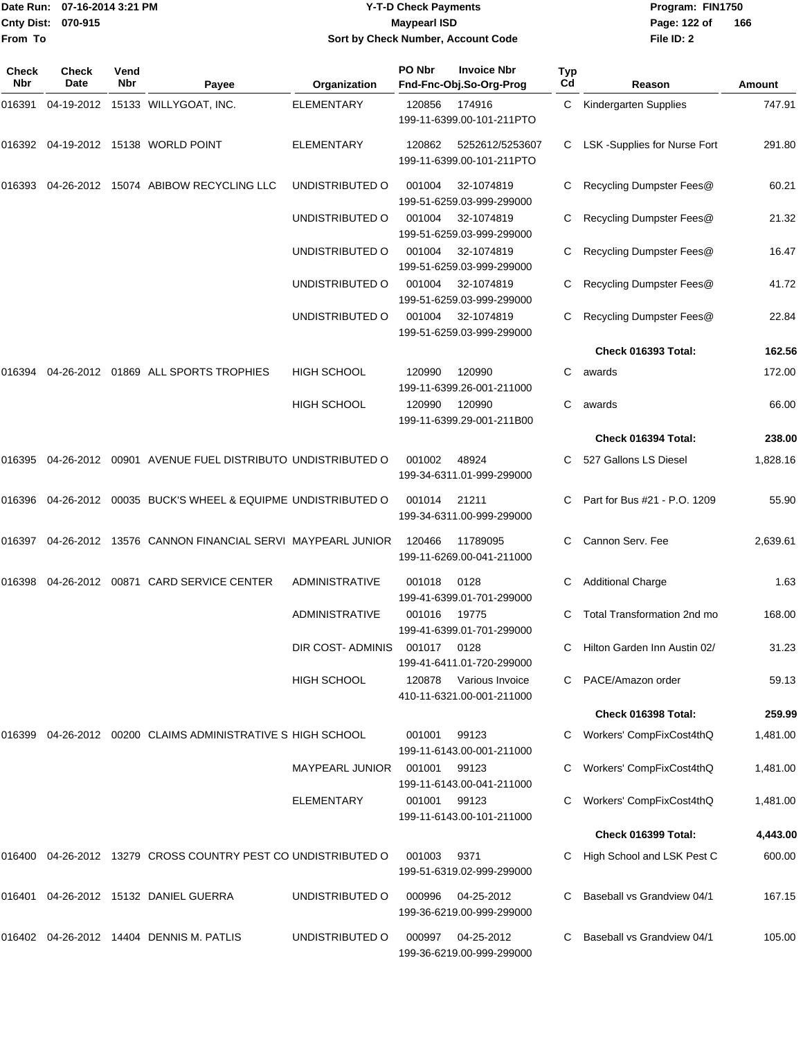# Date Run: 07-16-2014 3:21 PM **Program:** FIN1750 **Y-T-D Check Payments 070-915 Maypearl ISD Sort by Check Number, Account Code**

**File ID: 2** Page: 122 of 166

| Check<br>Nbr | <b>Check</b><br>Date | Vend<br>Nbr | Payee                                                     | Organization          | PO Nbr | <b>Invoice Nbr</b><br>Fnd-Fnc-Obj.So-Org-Prog | Typ<br>Cd | Reason                       | Amount   |
|--------------|----------------------|-------------|-----------------------------------------------------------|-----------------------|--------|-----------------------------------------------|-----------|------------------------------|----------|
| 016391       |                      |             | 04-19-2012 15133 WILLYGOAT, INC.                          | <b>ELEMENTARY</b>     | 120856 | 174916<br>199-11-6399.00-101-211PTO           | C         | Kindergarten Supplies        | 747.91   |
|              |                      |             | 016392 04-19-2012 15138 WORLD POINT                       | <b>ELEMENTARY</b>     | 120862 | 5252612/5253607<br>199-11-6399.00-101-211PTO  | С         | LSK -Supplies for Nurse Fort | 291.80   |
| 016393       | 04-26-2012           |             | 15074 ABIBOW RECYCLING LLC                                | UNDISTRIBUTED O       | 001004 | 32-1074819<br>199-51-6259.03-999-299000       | С         | Recycling Dumpster Fees@     | 60.21    |
|              |                      |             |                                                           | UNDISTRIBUTED O       | 001004 | 32-1074819<br>199-51-6259.03-999-299000       | С         | Recycling Dumpster Fees@     | 21.32    |
|              |                      |             |                                                           | UNDISTRIBUTED O       | 001004 | 32-1074819<br>199-51-6259.03-999-299000       |           | Recycling Dumpster Fees@     | 16.47    |
|              |                      |             |                                                           | UNDISTRIBUTED O       | 001004 | 32-1074819<br>199-51-6259.03-999-299000       | С         | Recycling Dumpster Fees@     | 41.72    |
|              |                      |             |                                                           | UNDISTRIBUTED O       | 001004 | 32-1074819<br>199-51-6259.03-999-299000       | С         | Recycling Dumpster Fees@     | 22.84    |
|              |                      |             |                                                           |                       |        |                                               |           | Check 016393 Total:          | 162.56   |
| 016394       |                      |             | 04-26-2012 01869 ALL SPORTS TROPHIES                      | <b>HIGH SCHOOL</b>    | 120990 | 120990<br>199-11-6399.26-001-211000           | С         | awards                       | 172.00   |
|              |                      |             |                                                           | <b>HIGH SCHOOL</b>    | 120990 | 120990<br>199-11-6399.29-001-211B00           | C         | awards                       | 66.00    |
|              |                      |             |                                                           |                       |        |                                               |           | Check 016394 Total:          | 238.00   |
| 016395       |                      |             | 04-26-2012  00901  AVENUE FUEL DISTRIBUTO UNDISTRIBUTED O |                       | 001002 | 48924<br>199-34-6311.01-999-299000            |           | 527 Gallons LS Diesel        | 1,828.16 |
| 016396       |                      |             | 04-26-2012 00035 BUCK'S WHEEL & EQUIPME UNDISTRIBUTED O   |                       | 001014 | 21211<br>199-34-6311.00-999-299000            | С         | Part for Bus #21 - P.O. 1209 | 55.90    |
| 016397       |                      |             | 04-26-2012 13576 CANNON FINANCIAL SERVI MAYPEARL JUNIOR   |                       | 120466 | 11789095<br>199-11-6269.00-041-211000         | С         | Cannon Serv. Fee             | 2,639.61 |
| 016398       |                      |             | 04-26-2012  00871  CARD SERVICE CENTER                    | <b>ADMINISTRATIVE</b> | 001018 | 0128<br>199-41-6399.01-701-299000             | С         | <b>Additional Charge</b>     | 1.63     |
|              |                      |             |                                                           | <b>ADMINISTRATIVE</b> | 001016 | 19775<br>199-41-6399.01-701-299000            | С         | Total Transformation 2nd mo  | 168.00   |
|              |                      |             |                                                           | DIR COST- ADMINIS     | 001017 | 0128<br>199-41-6411.01-720-299000             |           | Hilton Garden Inn Austin 02/ | 31.23    |
|              |                      |             |                                                           | HIGH SCHOOL           | 120878 | Various Invoice<br>410-11-6321.00-001-211000  |           | PACE/Amazon order            | 59.13    |
|              |                      |             |                                                           |                       |        |                                               |           | Check 016398 Total:          | 259.99   |
| 016399       |                      |             | 04-26-2012 00200 CLAIMS ADMINISTRATIVE S HIGH SCHOOL      |                       | 001001 | 99123<br>199-11-6143.00-001-211000            |           | Workers' CompFixCost4thQ     | 1,481.00 |
|              |                      |             |                                                           | MAYPEARL JUNIOR       | 001001 | 99123<br>199-11-6143.00-041-211000            |           | Workers' CompFixCost4thQ     | 1,481.00 |
|              |                      |             |                                                           | <b>ELEMENTARY</b>     | 001001 | 99123<br>199-11-6143.00-101-211000            |           | Workers' CompFixCost4thQ     | 1,481.00 |
|              |                      |             |                                                           |                       |        |                                               |           | Check 016399 Total:          | 4,443.00 |
| 016400       |                      |             | 04-26-2012 13279 CROSS COUNTRY PEST CO UNDISTRIBUTED O    |                       | 001003 | 9371<br>199-51-6319.02-999-299000             |           | High School and LSK Pest C   | 600.00   |
| 016401       |                      |             | 04-26-2012 15132 DANIEL GUERRA                            | UNDISTRIBUTED O       | 000996 | 04-25-2012<br>199-36-6219.00-999-299000       |           | Baseball vs Grandview 04/1   | 167.15   |
|              |                      |             | 016402 04-26-2012 14404 DENNIS M. PATLIS                  | UNDISTRIBUTED O       | 000997 | 04-25-2012<br>199-36-6219.00-999-299000       | С         | Baseball vs Grandview 04/1   | 105.00   |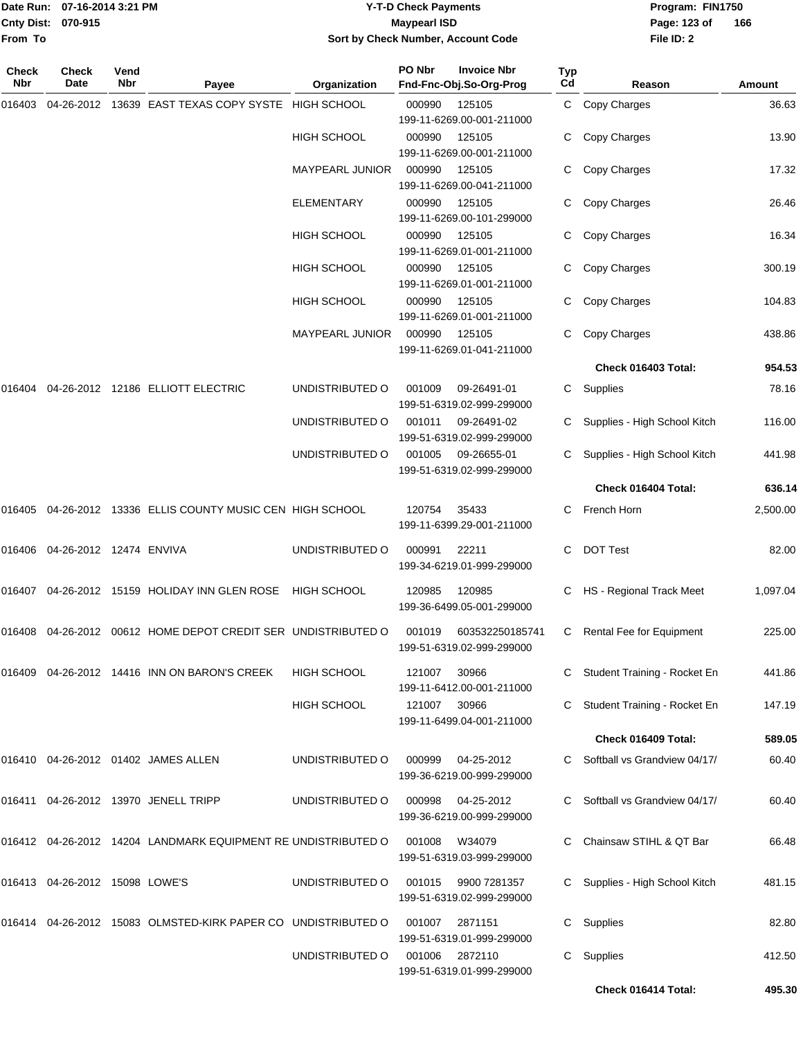# Date Run: 07-16-2014 3:21 PM **Program:** FIN1750 **Y-T-D Check Payments 070-915 Maypearl ISD Sort by Check Number, Account Code**

**File ID: 2** Page: 123 of 166

| Check<br>Nbr | Check<br>Date                     | Vend<br>Nbr | Payee                                                         | Organization           | PO Nbr       | <b>Invoice Nbr</b><br>Fnd-Fnc-Obj.So-Org-Prog                    | <b>Typ</b><br>Cd | Reason                         | Amount   |
|--------------|-----------------------------------|-------------|---------------------------------------------------------------|------------------------|--------------|------------------------------------------------------------------|------------------|--------------------------------|----------|
| 016403       | 04-26-2012                        |             | 13639 EAST TEXAS COPY SYSTE                                   | HIGH SCHOOL            | 000990       | 125105                                                           |                  | C Copy Charges                 | 36.63    |
|              |                                   |             |                                                               | HIGH SCHOOL            | 000990       | 199-11-6269.00-001-211000<br>125105<br>199-11-6269.00-001-211000 | С                | Copy Charges                   | 13.90    |
|              |                                   |             |                                                               | MAYPEARL JUNIOR        | 000990       | 125105<br>199-11-6269.00-041-211000                              |                  | Copy Charges                   | 17.32    |
|              |                                   |             |                                                               | <b>ELEMENTARY</b>      | 000990       | 125105<br>199-11-6269.00-101-299000                              |                  | Copy Charges                   | 26.46    |
|              |                                   |             |                                                               | HIGH SCHOOL            | 000990       | 125105<br>199-11-6269.01-001-211000                              | С                | Copy Charges                   | 16.34    |
|              |                                   |             |                                                               | HIGH SCHOOL            | 000990       | 125105<br>199-11-6269.01-001-211000                              |                  | Copy Charges                   | 300.19   |
|              |                                   |             |                                                               | <b>HIGH SCHOOL</b>     | 000990       | 125105<br>199-11-6269.01-001-211000                              | С                | Copy Charges                   | 104.83   |
|              |                                   |             |                                                               | <b>MAYPEARL JUNIOR</b> | 000990       | 125105<br>199-11-6269.01-041-211000                              | С                | Copy Charges                   | 438.86   |
|              |                                   |             |                                                               |                        |              |                                                                  |                  | Check 016403 Total:            | 954.53   |
| 016404       |                                   |             | 04-26-2012  12186  ELLIOTT ELECTRIC                           | UNDISTRIBUTED O        | 001009       | 09-26491-01<br>199-51-6319.02-999-299000                         |                  | C Supplies                     | 78.16    |
|              |                                   |             |                                                               | UNDISTRIBUTED O        | 001011       | 09-26491-02<br>199-51-6319.02-999-299000                         |                  | C Supplies - High School Kitch | 116.00   |
|              |                                   |             |                                                               | UNDISTRIBUTED O        | 001005       | 09-26655-01<br>199-51-6319.02-999-299000                         |                  | C Supplies - High School Kitch | 441.98   |
|              |                                   |             |                                                               |                        |              |                                                                  |                  | Check 016404 Total:            | 636.14   |
| 016405       |                                   |             | 04-26-2012 13336 ELLIS COUNTY MUSIC CEN HIGH SCHOOL           |                        | 120754       | 35433<br>199-11-6399.29-001-211000                               |                  | C French Horn                  | 2,500.00 |
|              | 016406 04-26-2012 12474 ENVIVA    |             |                                                               | UNDISTRIBUTED O        | 000991       | 22211<br>199-34-6219.01-999-299000                               | C                | <b>DOT Test</b>                | 82.00    |
|              |                                   |             | 016407 04-26-2012 15159 HOLIDAY INN GLEN ROSE HIGH SCHOOL     |                        | 120985       | 120985<br>199-36-6499.05-001-299000                              |                  | C HS - Regional Track Meet     | 1,097.04 |
| 016408       |                                   |             | 04-26-2012 00612 HOME DEPOT CREDIT SER UNDISTRIBUTED O        |                        | 001019       | 603532250185741<br>199-51-6319.02-999-299000                     | C                | Rental Fee for Equipment       | 225.00   |
|              |                                   |             | 016409  04-26-2012  14416  INN ON BARON'S CREEK               | <b>HIGH SCHOOL</b>     | 121007       | 30966<br>199-11-6412.00-001-211000                               |                  | C Student Training - Rocket En | 441.86   |
|              |                                   |             |                                                               | HIGH SCHOOL            | 121007 30966 | 199-11-6499.04-001-211000                                        |                  | C Student Training - Rocket En | 147.19   |
|              |                                   |             |                                                               |                        |              |                                                                  |                  | Check 016409 Total:            | 589.05   |
|              |                                   |             | 016410 04-26-2012 01402 JAMES ALLEN                           | UNDISTRIBUTED O        | 000999       | 04-25-2012<br>199-36-6219.00-999-299000                          |                  | C Softball vs Grandview 04/17/ | 60.40    |
|              |                                   |             | 016411 04-26-2012 13970 JENELL TRIPP                          | UNDISTRIBUTED O        | 000998       | 04-25-2012<br>199-36-6219.00-999-299000                          |                  | Softball vs Grandview 04/17/   | 60.40    |
|              |                                   |             | 016412 04-26-2012 14204 LANDMARK EQUIPMENT RE UNDISTRIBUTED O |                        | 001008       | W34079<br>199-51-6319.03-999-299000                              |                  | C Chainsaw STIHL & QT Bar      | 66.48    |
|              | 016413  04-26-2012  15098  LOWE'S |             |                                                               | UNDISTRIBUTED O        | 001015       | 9900 7281357<br>199-51-6319.02-999-299000                        |                  | C Supplies - High School Kitch | 481.15   |
|              |                                   |             | 016414 04-26-2012 15083 OLMSTED-KIRK PAPER CO UNDISTRIBUTED O |                        | 001007       | 2871151<br>199-51-6319.01-999-299000                             | C.               | Supplies                       | 82.80    |
|              |                                   |             |                                                               | UNDISTRIBUTED O        | 001006       | 2872110<br>199-51-6319.01-999-299000                             | С                | Supplies                       | 412.50   |
|              |                                   |             |                                                               |                        |              |                                                                  |                  | Check 016414 Total:            | 495.30   |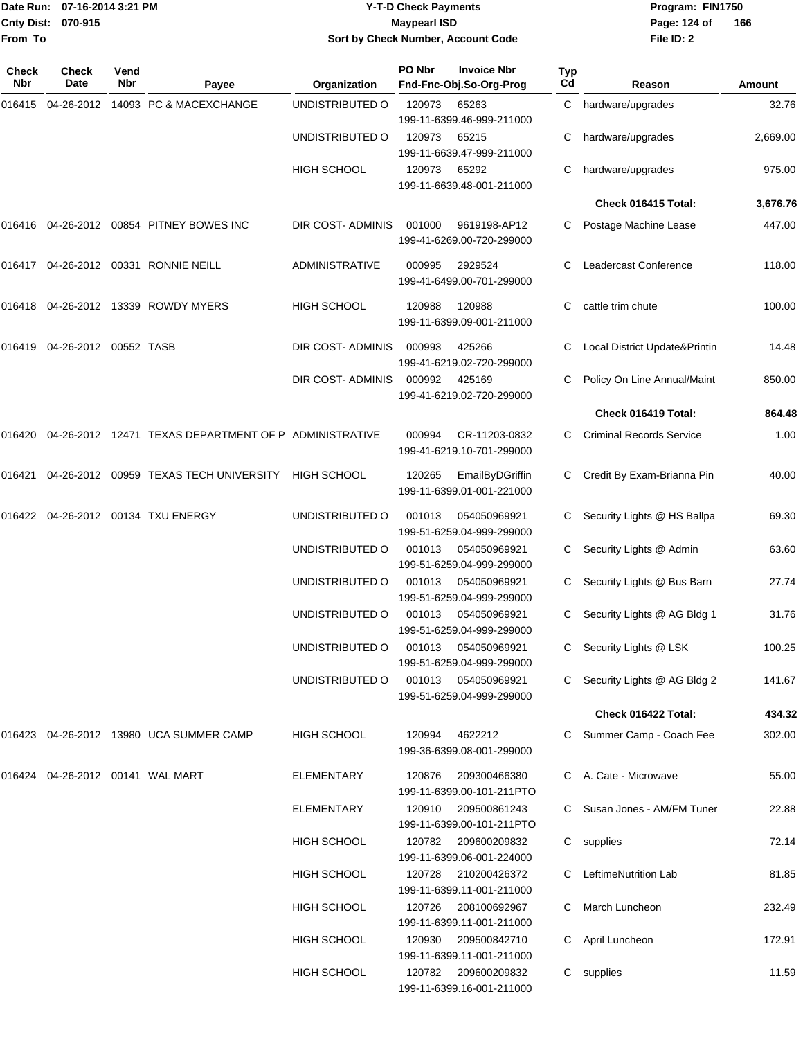# Date Run: 07-16-2014 3:21 PM **Program:** FIN1750 **Y-T-D Check Payments 070-915 Maypearl ISD Sort by Check Number, Account Code**

**File ID: 2** Page: 124 of 166

| Check<br><b>Nbr</b> | Check<br>Date         | Vend<br><b>Nbr</b> | Payee                                                 | Organization          | PO Nbr | <b>Invoice Nbr</b><br>Fnd-Fnc-Obj.So-Org-Prog    | Typ<br>Cd | Reason                          | Amount   |
|---------------------|-----------------------|--------------------|-------------------------------------------------------|-----------------------|--------|--------------------------------------------------|-----------|---------------------------------|----------|
| 016415              |                       |                    | 04-26-2012 14093 PC & MACEXCHANGE                     | UNDISTRIBUTED O       | 120973 | 65263<br>199-11-6399.46-999-211000               |           | C hardware/upgrades             | 32.76    |
|                     |                       |                    |                                                       | UNDISTRIBUTED O       | 120973 | 65215<br>199-11-6639.47-999-211000               |           | hardware/upgrades               | 2,669.00 |
|                     |                       |                    |                                                       | <b>HIGH SCHOOL</b>    | 120973 | 65292<br>199-11-6639.48-001-211000               |           | hardware/upgrades               | 975.00   |
|                     |                       |                    |                                                       |                       |        |                                                  |           | Check 016415 Total:             | 3,676.76 |
|                     |                       |                    | 016416 04-26-2012 00854 PITNEY BOWES INC              | DIR COST- ADMINIS     | 001000 | 9619198-AP12<br>199-41-6269.00-720-299000        |           | Postage Machine Lease           | 447.00   |
| 016417              |                       |                    | 04-26-2012 00331 RONNIE NEILL                         | <b>ADMINISTRATIVE</b> | 000995 | 2929524<br>199-41-6499.00-701-299000             | С         | Leadercast Conference           | 118.00   |
|                     |                       |                    | 016418 04-26-2012 13339 ROWDY MYERS                   | HIGH SCHOOL           | 120988 | 120988<br>199-11-6399.09-001-211000              | С         | cattle trim chute               | 100.00   |
| 016419              | 04-26-2012 00552 TASB |                    |                                                       | DIR COST- ADMINIS     | 000993 | 425266<br>199-41-6219.02-720-299000              |           | Local District Update&Printin   | 14.48    |
|                     |                       |                    |                                                       | DIR COST- ADMINIS     | 000992 | 425169<br>199-41-6219.02-720-299000              |           | Policy On Line Annual/Maint     | 850.00   |
|                     |                       |                    |                                                       |                       |        |                                                  |           | Check 016419 Total:             | 864.48   |
| 016420              |                       |                    | 04-26-2012 12471 TEXAS DEPARTMENT OF P ADMINISTRATIVE |                       | 000994 | CR-11203-0832<br>199-41-6219.10-701-299000       | C.        | <b>Criminal Records Service</b> | 1.00     |
| 016421              |                       |                    | 04-26-2012 00959 TEXAS TECH UNIVERSITY                | <b>HIGH SCHOOL</b>    | 120265 | EmailByDGriffin<br>199-11-6399.01-001-221000     |           | Credit By Exam-Brianna Pin      | 40.00    |
| 016422              |                       |                    | 04-26-2012 00134 TXU ENERGY                           | UNDISTRIBUTED O       | 001013 | 054050969921<br>199-51-6259.04-999-299000        |           | Security Lights @ HS Ballpa     | 69.30    |
|                     |                       |                    |                                                       | UNDISTRIBUTED O       | 001013 | 054050969921<br>199-51-6259.04-999-299000        |           | Security Lights @ Admin         | 63.60    |
|                     |                       |                    |                                                       | UNDISTRIBUTED O       | 001013 | 054050969921<br>199-51-6259.04-999-299000        |           | Security Lights @ Bus Barn      | 27.74    |
|                     |                       |                    |                                                       | UNDISTRIBUTED O       | 001013 | 054050969921<br>199-51-6259.04-999-299000        |           | Security Lights @ AG Bldg 1     | 31.76    |
|                     |                       |                    |                                                       | UNDISTRIBUTED O       |        | 001013 054050969921<br>199-51-6259.04-999-299000 |           | C Security Lights @ LSK         | 100.25   |
|                     |                       |                    |                                                       | UNDISTRIBUTED O       |        | 001013 054050969921<br>199-51-6259.04-999-299000 |           | C Security Lights @ AG Bldg 2   | 141.67   |
|                     |                       |                    |                                                       |                       |        |                                                  |           | Check 016422 Total:             | 434.32   |
|                     |                       |                    | 016423 04-26-2012 13980 UCA SUMMER CAMP               | HIGH SCHOOL           | 120994 | 4622212<br>199-36-6399.08-001-299000             |           | C Summer Camp - Coach Fee       | 302.00   |
| 016424              |                       |                    | 04-26-2012  00141  WAL MART                           | ELEMENTARY            | 120876 | 209300466380<br>199-11-6399.00-101-211PTO        |           | C A. Cate - Microwave           | 55.00    |
|                     |                       |                    |                                                       | <b>ELEMENTARY</b>     | 120910 | 209500861243<br>199-11-6399.00-101-211PTO        |           | C Susan Jones - AM/FM Tuner     | 22.88    |
|                     |                       |                    |                                                       | HIGH SCHOOL           | 120782 | 209600209832<br>199-11-6399.06-001-224000        |           | C supplies                      | 72.14    |
|                     |                       |                    |                                                       | HIGH SCHOOL           | 120728 | 210200426372<br>199-11-6399.11-001-211000        |           | LeftimeNutrition Lab            | 81.85    |
|                     |                       |                    |                                                       | HIGH SCHOOL           | 120726 | 208100692967<br>199-11-6399.11-001-211000        | C         | March Luncheon                  | 232.49   |
|                     |                       |                    |                                                       | HIGH SCHOOL           | 120930 | 209500842710<br>199-11-6399.11-001-211000        |           | C April Luncheon                | 172.91   |
|                     |                       |                    |                                                       | HIGH SCHOOL           | 120782 | 209600209832<br>199-11-6399.16-001-211000        |           | C supplies                      | 11.59    |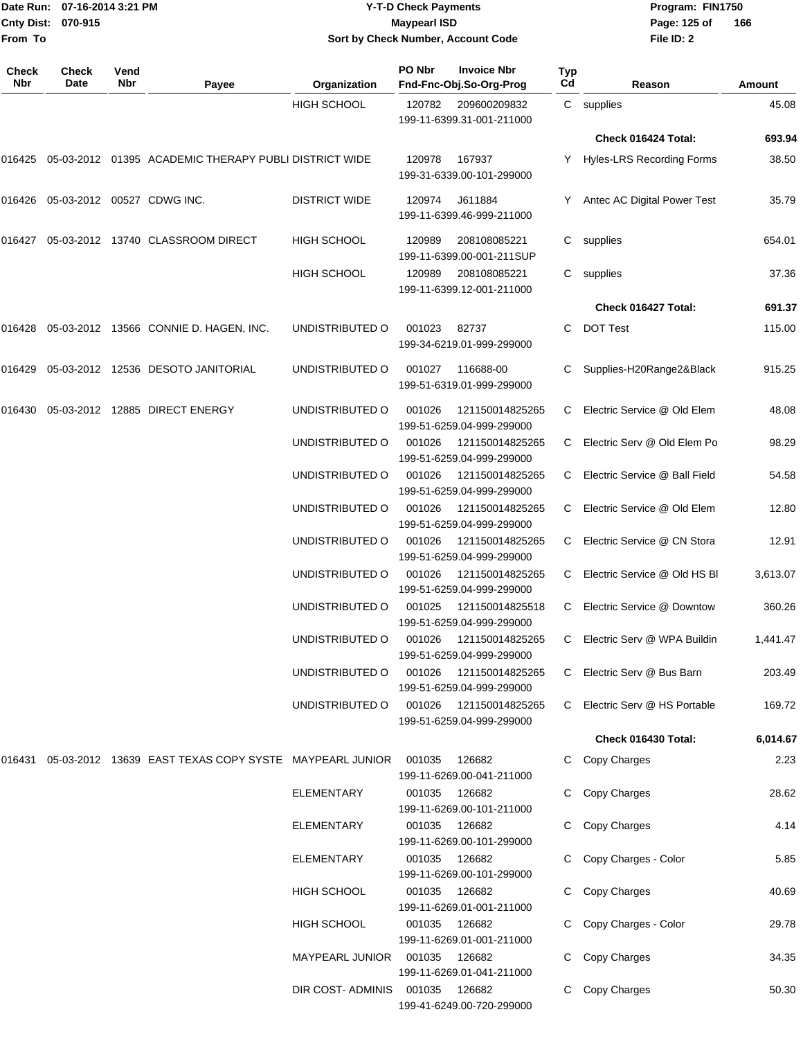|                    | Date Run: 07-16-2014 3:21 PM |
|--------------------|------------------------------|
| Cnty Dist: 070-915 |                              |
| lFrom To           |                              |

# **Date Run: Program: FIN1750 07-16-2014 3:21 PM Y-T-D Check Payments Cnty Dist: Page: 125 of 070-915 Maypearl ISD Sort by Check Number, Account Code**

| <b>Check</b><br>Nbr | Check<br>Date              | Vend<br>Nbr | Payee                                                  | Organization           | PO Nbr | <b>Invoice Nbr</b><br>Fnd-Fnc-Obj.So-Org-Prog | Typ<br>$_{\rm Cd}$ | Reason                        | Amount   |
|---------------------|----------------------------|-------------|--------------------------------------------------------|------------------------|--------|-----------------------------------------------|--------------------|-------------------------------|----------|
|                     |                            |             |                                                        | <b>HIGH SCHOOL</b>     | 120782 | 209600209832<br>199-11-6399.31-001-211000     |                    | C supplies                    | 45.08    |
|                     |                            |             |                                                        |                        |        |                                               |                    | Check 016424 Total:           | 693.94   |
| 016425              |                            |             | 05-03-2012 01395 ACADEMIC THERAPY PUBLI DISTRICT WIDE  |                        | 120978 | 167937<br>199-31-6339.00-101-299000           |                    | Y Hyles-LRS Recording Forms   | 38.50    |
| 016426              | 05-03-2012 00527 CDWG INC. |             |                                                        | <b>DISTRICT WIDE</b>   | 120974 | J611884<br>199-11-6399.46-999-211000          | Y                  | Antec AC Digital Power Test   | 35.79    |
| 016427              |                            |             | 05-03-2012 13740 CLASSROOM DIRECT                      | <b>HIGH SCHOOL</b>     | 120989 | 208108085221<br>199-11-6399.00-001-211SUP     | С                  | supplies                      | 654.01   |
|                     |                            |             |                                                        | <b>HIGH SCHOOL</b>     | 120989 | 208108085221<br>199-11-6399.12-001-211000     |                    | C supplies                    | 37.36    |
|                     |                            |             |                                                        |                        |        |                                               |                    | Check 016427 Total:           | 691.37   |
| 016428              |                            |             | 05-03-2012 13566 CONNIE D. HAGEN, INC.                 | UNDISTRIBUTED O        | 001023 | 82737<br>199-34-6219.01-999-299000            | С                  | <b>DOT Test</b>               | 115.00   |
| 016429              |                            |             | 05-03-2012  12536  DESOTO JANITORIAL                   | UNDISTRIBUTED O        | 001027 | 116688-00<br>199-51-6319.01-999-299000        | C                  | Supplies-H20Range2&Black      | 915.25   |
| 016430              |                            |             | 05-03-2012 12885 DIRECT ENERGY                         | UNDISTRIBUTED O        | 001026 | 121150014825265<br>199-51-6259.04-999-299000  | C.                 | Electric Service @ Old Elem   | 48.08    |
|                     |                            |             |                                                        | UNDISTRIBUTED O        | 001026 | 121150014825265<br>199-51-6259.04-999-299000  | C                  | Electric Serv @ Old Elem Po   | 98.29    |
|                     |                            |             |                                                        | UNDISTRIBUTED O        | 001026 | 121150014825265<br>199-51-6259.04-999-299000  | C                  | Electric Service @ Ball Field | 54.58    |
|                     |                            |             |                                                        | UNDISTRIBUTED O        | 001026 | 121150014825265<br>199-51-6259.04-999-299000  | C                  | Electric Service @ Old Elem   | 12.80    |
|                     |                            |             |                                                        | UNDISTRIBUTED O        | 001026 | 121150014825265<br>199-51-6259.04-999-299000  | C.                 | Electric Service @ CN Stora   | 12.91    |
|                     |                            |             |                                                        | UNDISTRIBUTED O        | 001026 | 121150014825265<br>199-51-6259.04-999-299000  | C                  | Electric Service @ Old HS BI  | 3,613.07 |
|                     |                            |             |                                                        | UNDISTRIBUTED O        | 001025 | 121150014825518<br>199-51-6259.04-999-299000  | C                  | Electric Service @ Downtow    | 360.26   |
|                     |                            |             |                                                        | UNDISTRIBUTED O        | 001026 | 121150014825265<br>199-51-6259.04-999-299000  | C                  | Electric Serv @ WPA Buildin   | 1,441.47 |
|                     |                            |             |                                                        | UNDISTRIBUTED O        | 001026 | 121150014825265<br>199-51-6259.04-999-299000  |                    | C Electric Serv @ Bus Barn    | 203.49   |
|                     |                            |             |                                                        | UNDISTRIBUTED O        | 001026 | 121150014825265<br>199-51-6259.04-999-299000  | C                  | Electric Serv @ HS Portable   | 169.72   |
|                     |                            |             |                                                        |                        |        |                                               |                    | Check 016430 Total:           | 6,014.67 |
| 016431              |                            |             | 05-03-2012 13639 EAST TEXAS COPY SYSTE MAYPEARL JUNIOR |                        | 001035 | 126682<br>199-11-6269.00-041-211000           | C                  | Copy Charges                  | 2.23     |
|                     |                            |             |                                                        | <b>ELEMENTARY</b>      | 001035 | 126682<br>199-11-6269.00-101-211000           |                    | C Copy Charges                | 28.62    |
|                     |                            |             |                                                        | <b>ELEMENTARY</b>      | 001035 | 126682<br>199-11-6269.00-101-299000           |                    | C Copy Charges                | 4.14     |
|                     |                            |             |                                                        | <b>ELEMENTARY</b>      | 001035 | 126682<br>199-11-6269.00-101-299000           |                    | C Copy Charges - Color        | 5.85     |
|                     |                            |             |                                                        | HIGH SCHOOL            | 001035 | 126682<br>199-11-6269.01-001-211000           | C                  | Copy Charges                  | 40.69    |
|                     |                            |             |                                                        | HIGH SCHOOL            | 001035 | 126682<br>199-11-6269.01-001-211000           |                    | Copy Charges - Color          | 29.78    |
|                     |                            |             |                                                        | <b>MAYPEARL JUNIOR</b> | 001035 | 126682<br>199-11-6269.01-041-211000           |                    | Copy Charges                  | 34.35    |
|                     |                            |             |                                                        | DIR COST- ADMINIS      | 001035 | 126682<br>199-41-6249.00-720-299000           |                    | Copy Charges                  | 50.30    |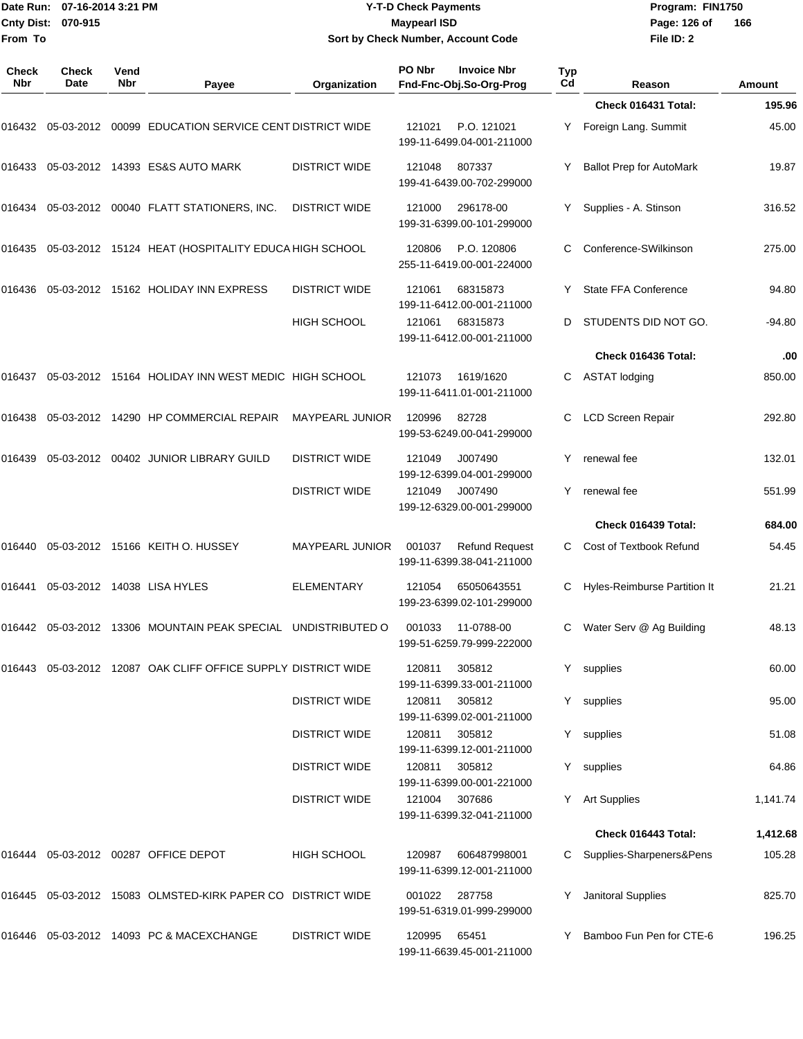| Date Run:<br><b>Cnty Dist:</b><br>From To | 07-16-2014 3:21 PM<br>070-915 |             |                                                                          |                                              | <b>Y-T-D Check Payments</b><br><b>Maypearl ISD</b> | Sort by Check Number, Account Code                 |           | Program: FIN1750<br>Page: 126 of<br>File ID: 2 | 166            |  |
|-------------------------------------------|-------------------------------|-------------|--------------------------------------------------------------------------|----------------------------------------------|----------------------------------------------------|----------------------------------------------------|-----------|------------------------------------------------|----------------|--|
| Check<br>Nbr                              | <b>Check</b><br>Date          | Vend<br>Nbr | Payee                                                                    | Organization                                 | PO Nbr                                             | <b>Invoice Nbr</b><br>Fnd-Fnc-Obj.So-Org-Prog      | Typ<br>Cd | Reason                                         | Amount         |  |
|                                           |                               |             |                                                                          |                                              |                                                    |                                                    |           | Check 016431 Total:                            | 195.96         |  |
|                                           |                               |             | 016432 05-03-2012 00099   EDUCATION SERVICE CENT DISTRICT WIDE           |                                              | 121021                                             | P.O. 121021<br>199-11-6499.04-001-211000           | Y         | Foreign Lang. Summit                           | 45.00          |  |
| 016433                                    |                               |             | 05-03-2012  14393  ES&S AUTO MARK                                        | <b>DISTRICT WIDE</b>                         | 121048                                             | 807337<br>199-41-6439.00-702-299000                |           | <b>Ballot Prep for AutoMark</b>                | 19.87          |  |
|                                           |                               |             | 016434  05-03-2012  00040  FLATT STATIONERS, INC.                        | <b>DISTRICT WIDE</b>                         | 121000                                             | 296178-00<br>199-31-6399.00-101-299000             | Y         | Supplies - A. Stinson                          | 316.52         |  |
| 016435                                    |                               |             | 05-03-2012 15124 HEAT (HOSPITALITY EDUCA HIGH SCHOOL                     |                                              | 120806                                             | P.O. 120806<br>255-11-6419.00-001-224000           | С         | Conference-SWilkinson                          | 275.00         |  |
|                                           |                               |             |                                                                          | <b>DISTRICT WIDE</b>                         | 121061                                             | 68315873<br>199-11-6412.00-001-211000              |           | State FFA Conference                           | 94.80          |  |
|                                           |                               |             |                                                                          | <b>HIGH SCHOOL</b>                           | 121061                                             | 68315873<br>199-11-6412.00-001-211000              | D         | STUDENTS DID NOT GO.                           | $-94.80$       |  |
|                                           |                               |             |                                                                          |                                              |                                                    |                                                    |           | Check 016436 Total:                            | .00            |  |
|                                           |                               |             | 016437 05-03-2012 15164   HOLIDAY INN WEST MEDIC   HIGH SCHOOL           |                                              | 121073                                             | 1619/1620<br>199-11-6411.01-001-211000             | С         | <b>ASTAT lodging</b>                           | 850.00         |  |
| 016438                                    |                               |             | 05-03-2012 14290 HP COMMERCIAL REPAIR                                    | <b>MAYPEARL JUNIOR</b>                       | 120996                                             | 82728<br>199-53-6249.00-041-299000                 | С         | <b>LCD Screen Repair</b>                       | 292.80         |  |
| 016439                                    |                               |             | 05-03-2012  00402  JUNIOR LIBRARY GUILD                                  | <b>DISTRICT WIDE</b>                         | 121049                                             | J007490<br>199-12-6399.04-001-299000               |           | renewal fee                                    | 132.01         |  |
|                                           |                               |             |                                                                          | <b>DISTRICT WIDE</b>                         | 121049                                             | J007490<br>199-12-6329.00-001-299000               | Y         | renewal fee                                    | 551.99         |  |
|                                           |                               |             |                                                                          |                                              |                                                    |                                                    |           | Check 016439 Total:                            | 684.00         |  |
| 016440                                    |                               |             | 05-03-2012 15166 KEITH O. HUSSEY                                         | <b>MAYPEARL JUNIOR</b>                       | 001037                                             | <b>Refund Request</b><br>199-11-6399.38-041-211000 | С         | Cost of Textbook Refund                        | 54.45          |  |
| 016441                                    |                               |             | 05-03-2012 14038 LISA HYLES                                              | ELEMENTARY                                   | 121054                                             | 65050643551<br>199-23-6399.02-101-299000           | С         | <b>Hyles-Reimburse Partition It</b>            | 21.21          |  |
|                                           |                               |             | 016442  05-03-2012  13306  MOUNTAIN PEAK SPECIAL  UNDISTRIBUTED O        |                                              | 001033                                             | 11-0788-00<br>199-51-6259.79-999-222000            |           | C Water Serv @ Ag Building                     | 48.13          |  |
|                                           |                               |             | 016443 05-03-2012 12087   OAK CLIFF OFFICE SUPPLY DISTRICT WIDE          |                                              | 120811                                             | 305812<br>199-11-6399.33-001-211000                |           | Y supplies                                     | 60.00          |  |
|                                           |                               |             |                                                                          | <b>DISTRICT WIDE</b>                         | 120811                                             | 305812<br>199-11-6399.02-001-211000                |           | Y supplies                                     | 95.00          |  |
|                                           |                               |             |                                                                          | <b>DISTRICT WIDE</b><br><b>DISTRICT WIDE</b> | 120811<br>120811                                   | 305812<br>199-11-6399.12-001-211000<br>305812      |           | Y supplies<br>Y supplies                       | 51.08<br>64.86 |  |
|                                           |                               |             |                                                                          | <b>DISTRICT WIDE</b>                         | 121004                                             | 199-11-6399.00-001-221000<br>307686                |           | Y Art Supplies                                 | 1,141.74       |  |
|                                           |                               |             |                                                                          |                                              |                                                    | 199-11-6399.32-041-211000                          |           |                                                |                |  |
|                                           |                               |             |                                                                          |                                              |                                                    |                                                    |           | Check 016443 Total:                            | 1,412.68       |  |
|                                           |                               |             | 016444   05-03-2012   00287   OFFICE DEPOT                               | <b>HIGH SCHOOL</b>                           | 120987                                             | 606487998001<br>199-11-6399.12-001-211000          |           | C Supplies-Sharpeners&Pens                     | 105.28         |  |
|                                           |                               |             | 016445   05-03-2012  15083   OLMSTED-KIRK   PAPER   CO   DISTRICT   WIDE |                                              | 001022                                             | 287758<br>199-51-6319.01-999-299000                |           | Janitoral Supplies                             | 825.70         |  |
|                                           |                               |             | 016446 05-03-2012 14093  PC & MACEXCHANGE                                | <b>DISTRICT WIDE</b>                         | 120995                                             | 65451<br>199-11-6639.45-001-211000                 | Y         | Bamboo Fun Pen for CTE-6                       | 196.25         |  |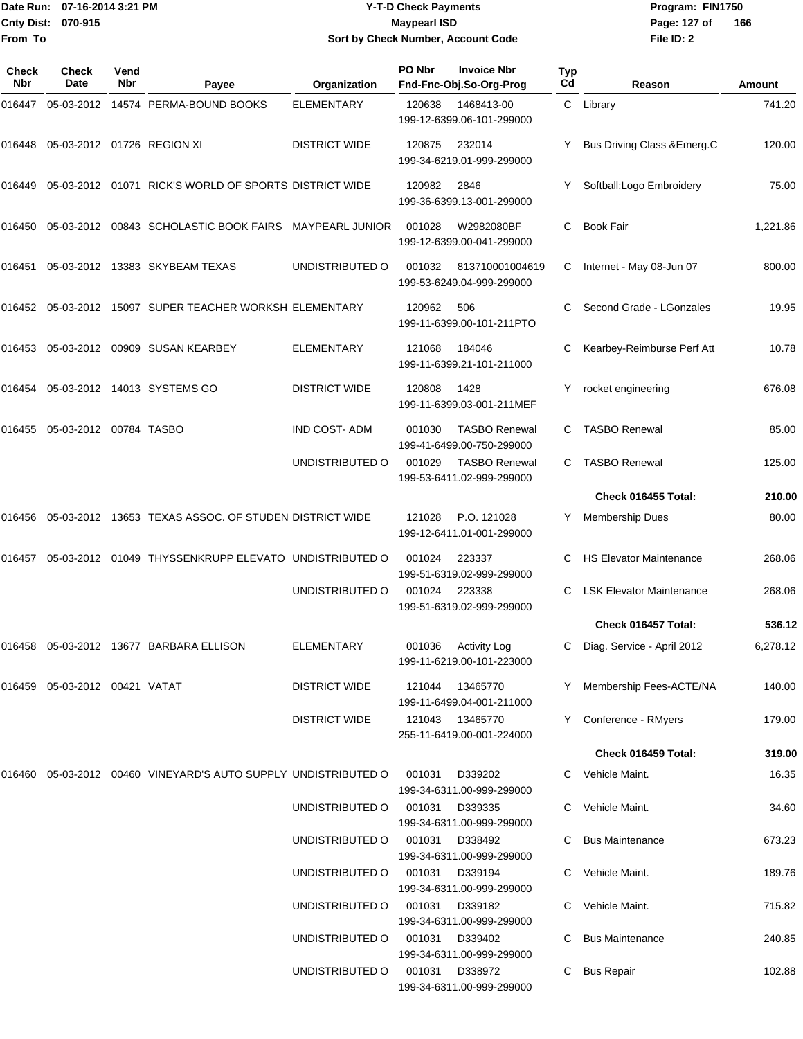# Date Run: 07-16-2014 3:21 PM **Program:** FIN1750 **Y-T-D Check Payments 070-915 Maypearl ISD Sort by Check Number, Account Code**

**File ID: 2** Page: 127 of 166

| Check<br>Nbr | <b>Check</b><br>Date             | Vend<br>Nbr | Payee                                                             | Organization         | PO Nbr | <b>Invoice Nbr</b><br>Fnd-Fnc-Obj.So-Org-Prog     | Typ<br>Cd | Reason                          | Amount   |
|--------------|----------------------------------|-------------|-------------------------------------------------------------------|----------------------|--------|---------------------------------------------------|-----------|---------------------------------|----------|
| 016447       |                                  |             | 05-03-2012 14574 PERMA-BOUND BOOKS                                | <b>ELEMENTARY</b>    | 120638 | 1468413-00<br>199-12-6399.06-101-299000           |           | C Library                       | 741.20   |
| 016448       | 05-03-2012 01726 REGION XI       |             |                                                                   | <b>DISTRICT WIDE</b> | 120875 | 232014<br>199-34-6219.01-999-299000               |           | Bus Driving Class & Emerg.C     | 120.00   |
| 016449       |                                  |             | 05-03-2012  01071  RICK'S WORLD OF SPORTS DISTRICT WIDE           |                      | 120982 | 2846<br>199-36-6399.13-001-299000                 |           | Softball: Logo Embroidery       | 75.00    |
| 016450       |                                  |             | 05-03-2012 00843 SCHOLASTIC BOOK FAIRS MAYPEARL JUNIOR            |                      | 001028 | W2982080BF<br>199-12-6399.00-041-299000           | C         | <b>Book Fair</b>                | 1,221.86 |
| 016451       |                                  |             | 05-03-2012 13383 SKYBEAM TEXAS                                    | UNDISTRIBUTED O      | 001032 | 813710001004619<br>199-53-6249.04-999-299000      | C         | Internet - May 08-Jun 07        | 800.00   |
|              |                                  |             | 016452 05-03-2012 15097 SUPER TEACHER WORKSH ELEMENTARY           |                      | 120962 | 506<br>199-11-6399.00-101-211PTO                  |           | Second Grade - LGonzales        | 19.95    |
| 016453       |                                  |             | 05-03-2012 00909 SUSAN KEARBEY                                    | <b>ELEMENTARY</b>    | 121068 | 184046<br>199-11-6399.21-101-211000               |           | Kearbey-Reimburse Perf Att      | 10.78    |
| 016454       |                                  |             | 05-03-2012 14013 SYSTEMS GO                                       | <b>DISTRICT WIDE</b> | 120808 | 1428<br>199-11-6399.03-001-211MEF                 | Y         | rocket engineering              | 676.08   |
| 016455       | 05-03-2012 00784 TASBO           |             |                                                                   | <b>IND COST-ADM</b>  | 001030 | <b>TASBO Renewal</b><br>199-41-6499.00-750-299000 |           | <b>TASBO Renewal</b>            | 85.00    |
|              |                                  |             |                                                                   | UNDISTRIBUTED O      | 001029 | <b>TASBO Renewal</b><br>199-53-6411.02-999-299000 |           | <b>TASBO Renewal</b>            | 125.00   |
|              |                                  |             |                                                                   |                      |        |                                                   |           | Check 016455 Total:             | 210.00   |
| 016456       |                                  |             | 05-03-2012 13653 TEXAS ASSOC. OF STUDEN DISTRICT WIDE             |                      | 121028 | P.O. 121028<br>199-12-6411.01-001-299000          | Y         | <b>Membership Dues</b>          | 80.00    |
| 016457       |                                  |             | 05-03-2012 01049 THYSSENKRUPP ELEVATO UNDISTRIBUTED O             |                      | 001024 | 223337<br>199-51-6319.02-999-299000               | C.        | <b>HS Elevator Maintenance</b>  | 268.06   |
|              |                                  |             |                                                                   | UNDISTRIBUTED O      | 001024 | 223338<br>199-51-6319.02-999-299000               | С         | <b>LSK Elevator Maintenance</b> | 268.06   |
|              |                                  |             |                                                                   |                      |        |                                                   |           | Check 016457 Total:             | 536.12   |
|              |                                  |             | 016458 05-03-2012 13677 BARBARA ELLISON                           | ELEMENTARY           |        | 001036 Activity Log<br>199-11-6219.00-101-223000  |           | C Diag. Service - April 2012    | 6,278.12 |
|              | 016459  05-03-2012  00421  VATAT |             |                                                                   | <b>DISTRICT WIDE</b> |        | 121044 13465770<br>199-11-6499.04-001-211000      | Y.        | Membership Fees-ACTE/NA         | 140.00   |
|              |                                  |             |                                                                   | <b>DISTRICT WIDE</b> | 121043 | 13465770<br>255-11-6419.00-001-224000             |           | Y Conference - RMyers           | 179.00   |
|              |                                  |             |                                                                   |                      |        |                                                   |           | Check 016459 Total:             | 319.00   |
|              |                                  |             | 016460  05-03-2012  00460  VINEYARD'S AUTO SUPPLY UNDISTRIBUTED O |                      | 001031 | D339202<br>199-34-6311.00-999-299000              |           | C Vehicle Maint.                | 16.35    |
|              |                                  |             |                                                                   | UNDISTRIBUTED O      | 001031 | D339335<br>199-34-6311.00-999-299000              | C.        | Vehicle Maint.                  | 34.60    |
|              |                                  |             |                                                                   | UNDISTRIBUTED O      | 001031 | D338492<br>199-34-6311.00-999-299000              |           | <b>Bus Maintenance</b>          | 673.23   |
|              |                                  |             |                                                                   | UNDISTRIBUTED O      | 001031 | D339194<br>199-34-6311.00-999-299000              | C         | Vehicle Maint.                  | 189.76   |
|              |                                  |             |                                                                   | UNDISTRIBUTED O      | 001031 | D339182<br>199-34-6311.00-999-299000              |           | Vehicle Maint.                  | 715.82   |
|              |                                  |             |                                                                   | UNDISTRIBUTED O      | 001031 | D339402<br>199-34-6311.00-999-299000              |           | <b>Bus Maintenance</b>          | 240.85   |
|              |                                  |             |                                                                   | UNDISTRIBUTED O      | 001031 | D338972<br>199-34-6311.00-999-299000              | C         | <b>Bus Repair</b>               | 102.88   |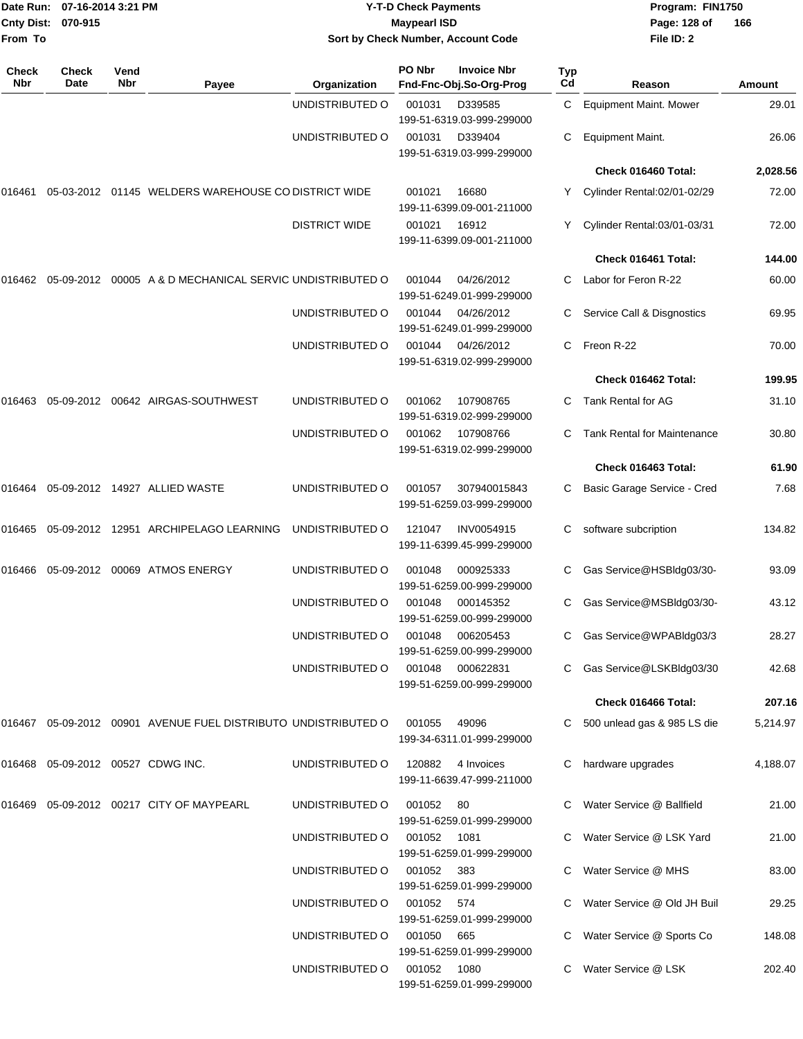| From To             | Date Run: 07-16-2014 3:21 PM<br>Cnty Dist: 070-915 |             |                                                                   |                      | <b>Y-T-D Check Payments</b><br><b>Maypearl ISD</b> | Sort by Check Number, Account Code                                |           | Program: FIN1750<br>Page: 128 of<br>File ID: 2 | 166      |
|---------------------|----------------------------------------------------|-------------|-------------------------------------------------------------------|----------------------|----------------------------------------------------|-------------------------------------------------------------------|-----------|------------------------------------------------|----------|
| <b>Check</b><br>Nbr | Check<br>Date                                      | Vend<br>Nbr | Payee                                                             | Organization         | PO Nbr                                             | <b>Invoice Nbr</b><br>Fnd-Fnc-Obj.So-Org-Prog                     | Typ<br>Cd | Reason                                         | Amount   |
|                     |                                                    |             |                                                                   | UNDISTRIBUTED O      | 001031                                             | D339585                                                           | C         | <b>Equipment Maint. Mower</b>                  | 29.01    |
|                     |                                                    |             |                                                                   | UNDISTRIBUTED O      | 001031                                             | 199-51-6319.03-999-299000<br>D339404<br>199-51-6319.03-999-299000 | С         | Equipment Maint.                               | 26.06    |
|                     |                                                    |             |                                                                   |                      |                                                    |                                                                   |           | Check 016460 Total:                            | 2,028.56 |
| 016461              |                                                    |             | 05-03-2012  01145  WELDERS WAREHOUSE CO DISTRICT WIDE             |                      | 001021                                             | 16680<br>199-11-6399.09-001-211000                                | Y.        | Cylinder Rental:02/01-02/29                    | 72.00    |
|                     |                                                    |             |                                                                   | <b>DISTRICT WIDE</b> | 001021                                             | 16912<br>199-11-6399.09-001-211000                                |           | Cylinder Rental:03/01-03/31                    | 72.00    |
|                     |                                                    |             |                                                                   |                      |                                                    |                                                                   |           | Check 016461 Total:                            | 144.00   |
|                     |                                                    |             | 016462 05-09-2012 00005 A & D MECHANICAL SERVIC UNDISTRIBUTED O   |                      | 001044                                             | 04/26/2012<br>199-51-6249.01-999-299000                           |           | Labor for Feron R-22                           | 60.00    |
|                     |                                                    |             |                                                                   | UNDISTRIBUTED O      | 001044                                             | 04/26/2012<br>199-51-6249.01-999-299000                           | С         | Service Call & Disgnostics                     | 69.95    |
|                     |                                                    |             |                                                                   | UNDISTRIBUTED O      | 001044                                             | 04/26/2012<br>199-51-6319.02-999-299000                           | С         | Freon R-22                                     | 70.00    |
|                     |                                                    |             |                                                                   |                      |                                                    |                                                                   |           | Check 016462 Total:                            | 199.95   |
| 016463              |                                                    |             |                                                                   | UNDISTRIBUTED O      | 001062                                             | 107908765<br>199-51-6319.02-999-299000                            | C         | Tank Rental for AG                             | 31.10    |
|                     |                                                    |             |                                                                   | UNDISTRIBUTED O      | 001062                                             | 107908766<br>199-51-6319.02-999-299000                            |           | <b>Tank Rental for Maintenance</b>             | 30.80    |
|                     |                                                    |             |                                                                   |                      |                                                    |                                                                   |           | Check 016463 Total:                            | 61.90    |
| 016464              |                                                    |             | 05-09-2012 14927 ALLIED WASTE                                     | UNDISTRIBUTED O      | 001057                                             | 307940015843<br>199-51-6259.03-999-299000                         | С         | Basic Garage Service - Cred                    | 7.68     |
|                     |                                                    |             | 016465 05-09-2012 12951 ARCHIPELAGO LEARNING                      | UNDISTRIBUTED O      | 121047                                             | INV0054915<br>199-11-6399.45-999-299000                           | C.        | software subcription                           | 134.82   |
| 016466              |                                                    |             | 05-09-2012 00069 ATMOS ENERGY                                     | UNDISTRIBUTED O      | 001048                                             | 000925333<br>199-51-6259.00-999-299000                            | C.        | Gas Service@HSBldq03/30-                       | 93.09    |
|                     |                                                    |             |                                                                   | UNDISTRIBUTED O      | 001048                                             | 000145352<br>199-51-6259.00-999-299000                            |           | C Gas Service@MSBldg03/30-                     | 43.12    |
|                     |                                                    |             |                                                                   | UNDISTRIBUTED O      | 001048                                             | 006205453<br>199-51-6259.00-999-299000                            |           | Gas Service@WPABldg03/3                        | 28.27    |
|                     |                                                    |             |                                                                   | UNDISTRIBUTED O      | 001048                                             | 000622831<br>199-51-6259.00-999-299000                            |           | C Gas Service@LSKBldg03/30                     | 42.68    |
|                     |                                                    |             |                                                                   |                      |                                                    |                                                                   |           | Check 016466 Total:                            | 207.16   |
|                     |                                                    |             | 016467  05-09-2012  00901  AVENUE FUEL DISTRIBUTO UNDISTRIBUTED O |                      | 001055                                             | 49096<br>199-34-6311.01-999-299000                                |           | C 500 unlead gas & 985 LS die                  | 5,214.97 |
|                     |                                                    |             | 016468 05-09-2012 00527 CDWG INC.                                 | UNDISTRIBUTED O      | 120882                                             | 4 Invoices<br>199-11-6639.47-999-211000                           |           | C hardware upgrades                            | 4,188.07 |
|                     |                                                    |             | 016469  05-09-2012  00217  CITY OF MAYPEARL                       | UNDISTRIBUTED O      | 001052                                             | - 80<br>199-51-6259.01-999-299000                                 |           | Water Service @ Ballfield                      | 21.00    |
|                     |                                                    |             |                                                                   | UNDISTRIBUTED O      | 001052                                             | 1081<br>199-51-6259.01-999-299000                                 |           | Water Service @ LSK Yard                       | 21.00    |
|                     |                                                    |             |                                                                   | UNDISTRIBUTED O      | 001052                                             | 383<br>199-51-6259.01-999-299000                                  |           | Water Service @ MHS                            | 83.00    |
|                     |                                                    |             |                                                                   | UNDISTRIBUTED O      | 001052                                             | 574<br>199-51-6259.01-999-299000                                  |           | Water Service @ Old JH Buil                    | 29.25    |
|                     |                                                    |             |                                                                   | UNDISTRIBUTED O      | 001050                                             | 665<br>199-51-6259.01-999-299000                                  |           | Water Service @ Sports Co                      | 148.08   |
|                     |                                                    |             |                                                                   | UNDISTRIBUTED O      | 001052 1080                                        | 199-51-6259.01-999-299000                                         |           | Water Service @ LSK                            | 202.40   |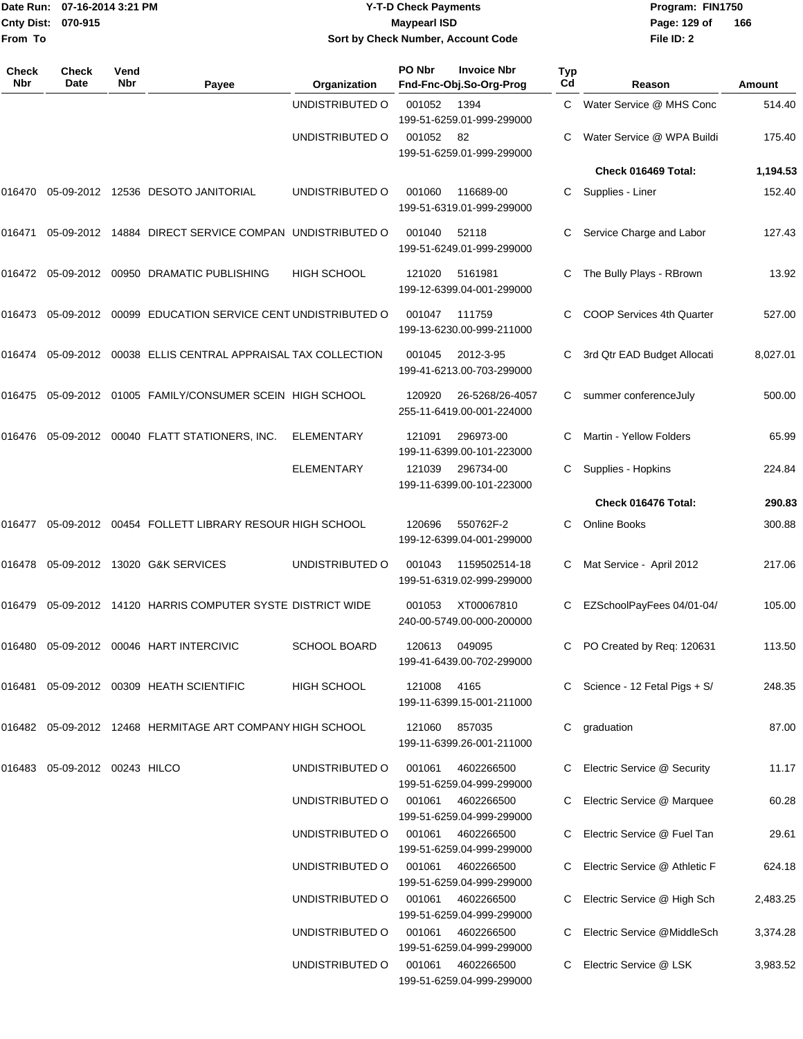|                    | Date Run: 07-16-2014 3:21 PM |
|--------------------|------------------------------|
| Cnty Dist: 070-915 |                              |
| <b>From To</b>     |                              |

# **Date Run: Program: FIN1750 07-16-2014 3:21 PM Y-T-D Check Payments Cnty Dist: Page: 129 of 070-915 Maypearl ISD Sort by Check Number, Account Code**

| Check<br>Nbr | <b>Check</b><br>Date   | Vend<br>Nbr | Payee                                                              | Organization        | PO Nbr        | <b>Invoice Nbr</b><br>Fnd-Fnc-Obj.So-Org-Prog | <b>Typ</b><br>Cd | Reason                           | Amount   |
|--------------|------------------------|-------------|--------------------------------------------------------------------|---------------------|---------------|-----------------------------------------------|------------------|----------------------------------|----------|
|              |                        |             |                                                                    | UNDISTRIBUTED O     | 001052        | 1394<br>199-51-6259.01-999-299000             | C                | Water Service @ MHS Conc         | 514.40   |
|              |                        |             |                                                                    | UNDISTRIBUTED O     | 001052 82     | 199-51-6259.01-999-299000                     |                  | Water Service @ WPA Buildi       | 175.40   |
|              |                        |             |                                                                    |                     |               |                                               |                  | Check 016469 Total:              | 1,194.53 |
| 016470       |                        |             | 05-09-2012  12536  DESOTO JANITORIAL                               | UNDISTRIBUTED O     | 001060        | 116689-00<br>199-51-6319.01-999-299000        | C.               | Supplies - Liner                 | 152.40   |
| 016471       |                        |             | 05-09-2012 14884 DIRECT SERVICE COMPAN UNDISTRIBUTED O             |                     | 001040        | 52118<br>199-51-6249.01-999-299000            | С                | Service Charge and Labor         | 127.43   |
|              |                        |             | 016472 05-09-2012 00950 DRAMATIC PUBLISHING                        | <b>HIGH SCHOOL</b>  | 121020        | 5161981<br>199-12-6399.04-001-299000          | C                | The Bully Plays - RBrown         | 13.92    |
| 016473       |                        |             | 05-09-2012 00099 EDUCATION SERVICE CENT UNDISTRIBUTED O            |                     | 001047        | 111759<br>199-13-6230.00-999-211000           | C                | COOP Services 4th Quarter        | 527.00   |
| 016474       |                        |             | 05-09-2012  00038  ELLIS CENTRAL APPRAISAL TAX COLLECTION          |                     | 001045        | 2012-3-95<br>199-41-6213.00-703-299000        | С                | 3rd Qtr EAD Budget Allocati      | 8,027.01 |
| 016475       |                        |             | 05-09-2012 01005 FAMILY/CONSUMER SCEIN HIGH SCHOOL                 |                     | 120920        | 26-5268/26-4057<br>255-11-6419.00-001-224000  | C                | summer conferenceJuly            | 500.00   |
| 016476       |                        |             | 05-09-2012  00040  FLATT STATIONERS, INC.                          | <b>ELEMENTARY</b>   | 121091        | 296973-00<br>199-11-6399.00-101-223000        | C                | Martin - Yellow Folders          | 65.99    |
|              |                        |             |                                                                    | <b>ELEMENTARY</b>   | 121039        | 296734-00<br>199-11-6399.00-101-223000        | C                | Supplies - Hopkins               | 224.84   |
|              |                        |             |                                                                    |                     |               |                                               |                  | Check 016476 Total:              | 290.83   |
| 016477       |                        |             | 05-09-2012 00454 FOLLETT LIBRARY RESOUR HIGH SCHOOL                |                     | 120696        | 550762F-2<br>199-12-6399.04-001-299000        | C                | <b>Online Books</b>              | 300.88   |
| 016478       |                        |             | 05-09-2012 13020 G&K SERVICES                                      | UNDISTRIBUTED O     | 001043        | 1159502514-18<br>199-51-6319.02-999-299000    | С                | Mat Service - April 2012         | 217.06   |
| 016479       |                        |             | 05-09-2012 14120 HARRIS COMPUTER SYSTE DISTRICT WIDE               |                     | 001053        | XT00067810<br>240-00-5749.00-000-200000       |                  | EZSchoolPayFees 04/01-04/        | 105.00   |
|              |                        |             | 016480  05-09-2012  00046  HART INTERCIVIC                         | <b>SCHOOL BOARD</b> |               | 120613 049095<br>199-41-6439.00-702-299000    |                  | C PO Created by Req: 120631      | 113.50   |
| 016481       |                        |             | 05-09-2012 00309 HEATH SCIENTIFIC                                  | HIGH SCHOOL         | 121008 4165   | 199-11-6399.15-001-211000                     |                  | C Science - 12 Fetal Pigs + $S/$ | 248.35   |
|              |                        |             | 016482    05-09-2012    12468    HERMITAGE ART COMPANY HIGH SCHOOL |                     | 121060 857035 | 199-11-6399.26-001-211000                     |                  | C graduation                     | 87.00    |
| 016483       | 05-09-2012 00243 HILCO |             |                                                                    | UNDISTRIBUTED O     | 001061        | 4602266500<br>199-51-6259.04-999-299000       |                  | C Electric Service @ Security    | 11.17    |
|              |                        |             |                                                                    | UNDISTRIBUTED O     | 001061        | 4602266500<br>199-51-6259.04-999-299000       |                  | C Electric Service @ Marquee     | 60.28    |
|              |                        |             |                                                                    | UNDISTRIBUTED O     | 001061        | 4602266500<br>199-51-6259.04-999-299000       |                  | C Electric Service @ Fuel Tan    | 29.61    |
|              |                        |             |                                                                    | UNDISTRIBUTED O     | 001061        | 4602266500<br>199-51-6259.04-999-299000       |                  | Electric Service @ Athletic F    | 624.18   |
|              |                        |             |                                                                    | UNDISTRIBUTED O     | 001061        | 4602266500<br>199-51-6259.04-999-299000       |                  | C Electric Service @ High Sch    | 2,483.25 |
|              |                        |             |                                                                    | UNDISTRIBUTED O     | 001061        | 4602266500<br>199-51-6259.04-999-299000       |                  | C Electric Service @MiddleSch    | 3,374.28 |
|              |                        |             |                                                                    | UNDISTRIBUTED O     | 001061        | 4602266500<br>199-51-6259.04-999-299000       | C.               | Electric Service @ LSK           | 3,983.52 |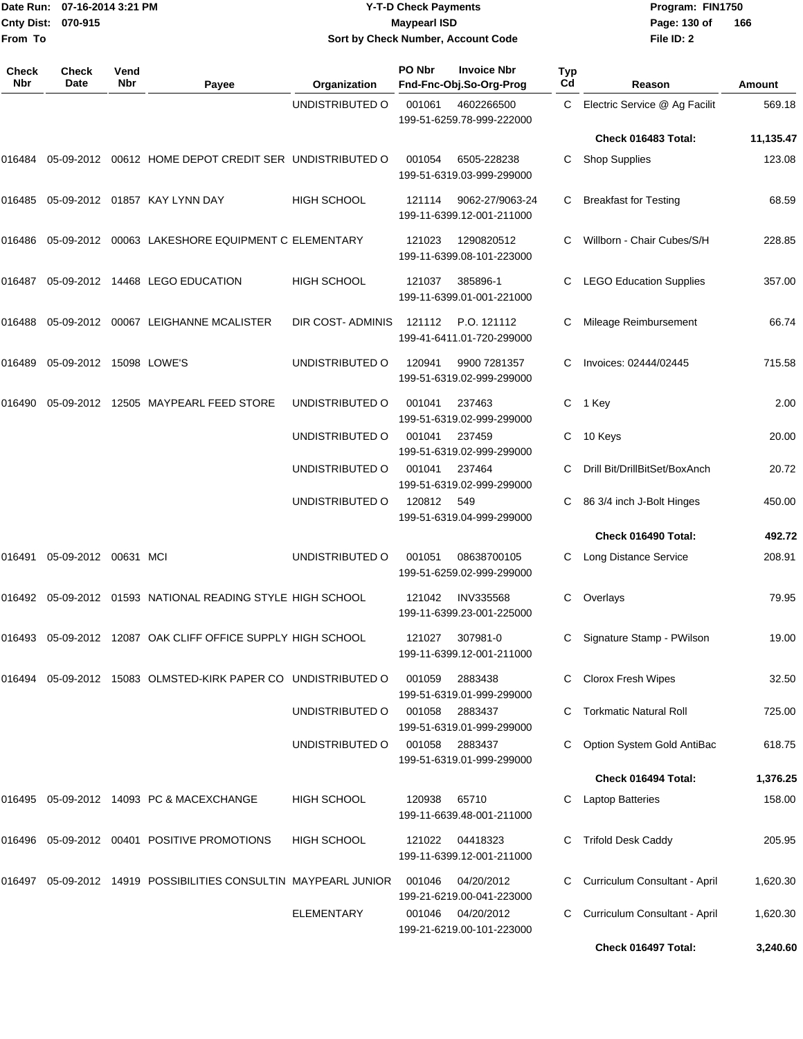**From To**

#### Date Run: 07-16-2014 3:21 PM **Program:** FIN1750 **Cnty Dist:** 070-915 **Page: 130 of Y-T-D Check Payments 070-915 Maypearl ISD Sort by Check Number, Account Code**

| Check<br>Nbr | Check<br>Date           | Vend<br>Nbr | Payee                                                           | Organization       | PO Nbr | <b>Invoice Nbr</b><br>Fnd-Fnc-Obj.So-Org-Prog | <b>Typ</b><br>Cd | Reason                         | Amount    |
|--------------|-------------------------|-------------|-----------------------------------------------------------------|--------------------|--------|-----------------------------------------------|------------------|--------------------------------|-----------|
|              |                         |             |                                                                 | UNDISTRIBUTED O    | 001061 | 4602266500<br>199-51-6259.78-999-222000       | C                | Electric Service @ Ag Facilit  | 569.18    |
|              |                         |             |                                                                 |                    |        |                                               |                  | Check 016483 Total:            | 11,135.47 |
| 016484       |                         |             | 05-09-2012 00612 HOME DEPOT CREDIT SER UNDISTRIBUTED O          |                    | 001054 | 6505-228238<br>199-51-6319.03-999-299000      | C                | <b>Shop Supplies</b>           | 123.08    |
| 016485       |                         |             | 05-09-2012   01857   KAY LYNN DAY                               | <b>HIGH SCHOOL</b> | 121114 | 9062-27/9063-24<br>199-11-6399.12-001-211000  | C                | <b>Breakfast for Testing</b>   | 68.59     |
| 016486       |                         |             | 05-09-2012 00063 LAKESHORE EQUIPMENT C ELEMENTARY               |                    | 121023 | 1290820512<br>199-11-6399.08-101-223000       |                  | Willborn - Chair Cubes/S/H     | 228.85    |
| 016487       |                         |             | 05-09-2012 14468 LEGO EDUCATION                                 | <b>HIGH SCHOOL</b> | 121037 | 385896-1<br>199-11-6399.01-001-221000         |                  | <b>LEGO Education Supplies</b> | 357.00    |
| 016488       |                         |             | 05-09-2012 00067 LEIGHANNE MCALISTER                            | DIR COST-ADMINIS   | 121112 | P.O. 121112<br>199-41-6411.01-720-299000      | C                | Mileage Reimbursement          | 66.74     |
| 016489       | 05-09-2012 15098 LOWE'S |             |                                                                 | UNDISTRIBUTED O    | 120941 | 9900 7281357<br>199-51-6319.02-999-299000     |                  | Invoices: 02444/02445          | 715.58    |
| 016490       | 05-09-2012              |             | 12505 MAYPEARL FEED STORE                                       | UNDISTRIBUTED O    | 001041 | 237463<br>199-51-6319.02-999-299000           | C                | 1 Key                          | 2.00      |
|              |                         |             |                                                                 | UNDISTRIBUTED O    | 001041 | 237459<br>199-51-6319.02-999-299000           | С                | 10 Keys                        | 20.00     |
|              |                         |             |                                                                 | UNDISTRIBUTED O    | 001041 | 237464<br>199-51-6319.02-999-299000           |                  | Drill Bit/DrillBitSet/BoxAnch  | 20.72     |
|              |                         |             |                                                                 | UNDISTRIBUTED O    | 120812 | 549<br>199-51-6319.04-999-299000              |                  | 86 3/4 inch J-Bolt Hinges      | 450.00    |
|              |                         |             |                                                                 |                    |        |                                               |                  | Check 016490 Total:            | 492.72    |
| 016491       | 05-09-2012 00631 MCI    |             |                                                                 | UNDISTRIBUTED O    | 001051 | 08638700105<br>199-51-6259.02-999-299000      | C.               | Long Distance Service          | 208.91    |
|              |                         |             | 016492 05-09-2012 01593 NATIONAL READING STYLE HIGH SCHOOL      |                    | 121042 | <b>INV335568</b><br>199-11-6399.23-001-225000 | C                | Overlays                       | 79.95     |
| 016493       |                         |             | 05-09-2012 12087 OAK CLIFF OFFICE SUPPLY HIGH SCHOOL            |                    | 121027 | 307981-0<br>199-11-6399.12-001-211000         | C.               | Signature Stamp - PWilson      | 19.00     |
| 016494       |                         |             | 05-09-2012 15083 OLMSTED-KIRK PAPER CO UNDISTRIBUTED O          |                    | 001059 | 2883438<br>199-51-6319.01-999-299000          | C                | Clorox Fresh Wipes             | 32.50     |
|              |                         |             |                                                                 | UNDISTRIBUTED O    | 001058 | 2883437<br>199-51-6319.01-999-299000          | C.               | <b>Torkmatic Natural Roll</b>  | 725.00    |
|              |                         |             |                                                                 | UNDISTRIBUTED O    | 001058 | 2883437<br>199-51-6319.01-999-299000          |                  | Option System Gold AntiBac     | 618.75    |
|              |                         |             |                                                                 |                    |        |                                               |                  | Check 016494 Total:            | 1,376.25  |
|              |                         |             | 016495 05-09-2012 14093 PC & MACEXCHANGE                        | <b>HIGH SCHOOL</b> | 120938 | 65710<br>199-11-6639.48-001-211000            |                  | <b>Laptop Batteries</b>        | 158.00    |
| 016496       |                         |             | 05-09-2012 00401 POSITIVE PROMOTIONS                            | <b>HIGH SCHOOL</b> | 121022 | 04418323<br>199-11-6399.12-001-211000         | C.               | <b>Trifold Desk Caddy</b>      | 205.95    |
|              |                         |             | 016497 05-09-2012 14919 POSSIBILITIES CONSULTIN MAYPEARL JUNIOR |                    | 001046 | 04/20/2012<br>199-21-6219.00-041-223000       | C                | Curriculum Consultant - April  | 1,620.30  |
|              |                         |             |                                                                 | <b>ELEMENTARY</b>  | 001046 | 04/20/2012<br>199-21-6219.00-101-223000       |                  | Curriculum Consultant - April  | 1,620.30  |
|              |                         |             |                                                                 |                    |        |                                               |                  | Check 016497 Total:            | 3,240.60  |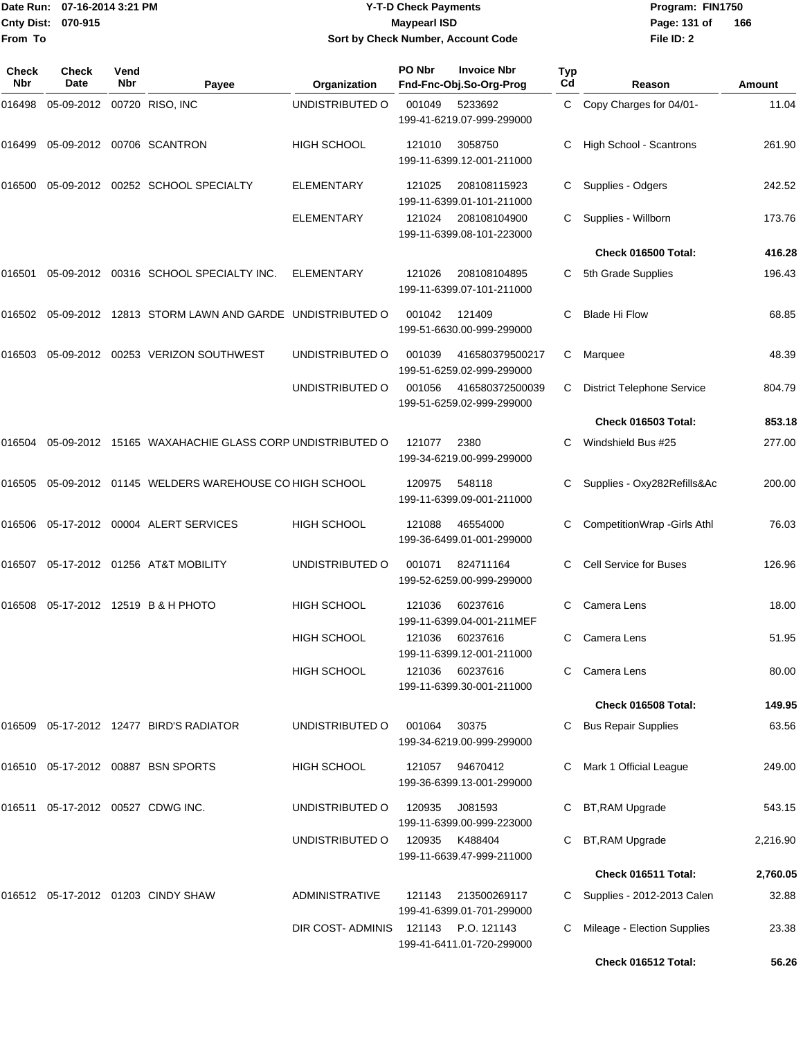|                    | Date Run: 07-16-2014 3:21 PM |
|--------------------|------------------------------|
| Cnty Dist: 070-915 |                              |
| From To            |                              |

# **Date Run: Program: FIN1750 07-16-2014 3:21 PM Y-T-D Check Payments Cnty Dist: Page: 131 of 070-915 Maypearl ISD Sort by Check Number, Account Code**

| <b>Check</b><br><b>Nbr</b> | <b>Check</b><br>Date              | Vend<br>Nbr | Payee                                                  | Organization          | PO Nbr | <b>Invoice Nbr</b><br>Fnd-Fnc-Obj.So-Org-Prog | <b>Typ</b><br>Cd | Reason                                             | <b>Amount</b>  |
|----------------------------|-----------------------------------|-------------|--------------------------------------------------------|-----------------------|--------|-----------------------------------------------|------------------|----------------------------------------------------|----------------|
| 016498                     | 05-09-2012 00720 RISO, INC        |             |                                                        | UNDISTRIBUTED O       | 001049 | 5233692<br>199-41-6219.07-999-299000          | C                | Copy Charges for 04/01-                            | 11.04          |
| 016499                     |                                   |             | 05-09-2012 00706 SCANTRON                              | <b>HIGH SCHOOL</b>    | 121010 | 3058750<br>199-11-6399.12-001-211000          | С                | High School - Scantrons                            | 261.90         |
| 016500                     |                                   |             | 05-09-2012 00252 SCHOOL SPECIALTY                      | ELEMENTARY            | 121025 | 208108115923<br>199-11-6399.01-101-211000     | С                | Supplies - Odgers                                  | 242.52         |
|                            |                                   |             |                                                        | <b>ELEMENTARY</b>     | 121024 | 208108104900<br>199-11-6399.08-101-223000     | C.               | Supplies - Willborn                                | 173.76         |
|                            |                                   |             |                                                        |                       |        |                                               |                  | Check 016500 Total:                                | 416.28         |
| 016501                     |                                   |             | 05-09-2012 00316 SCHOOL SPECIALTY INC.                 | <b>ELEMENTARY</b>     | 121026 | 208108104895<br>199-11-6399.07-101-211000     | C                | 5th Grade Supplies                                 | 196.43         |
| 016502                     |                                   |             | 05-09-2012 12813 STORM LAWN AND GARDE UNDISTRIBUTED O  |                       | 001042 | 121409<br>199-51-6630.00-999-299000           | С                | <b>Blade Hi Flow</b>                               | 68.85          |
| 016503                     |                                   |             | 05-09-2012  00253  VERIZON SOUTHWEST                   | UNDISTRIBUTED O       | 001039 | 416580379500217<br>199-51-6259.02-999-299000  | С                | Marquee                                            | 48.39          |
|                            |                                   |             |                                                        | UNDISTRIBUTED O       | 001056 | 416580372500039<br>199-51-6259.02-999-299000  | С                | <b>District Telephone Service</b>                  | 804.79         |
|                            |                                   |             |                                                        |                       |        |                                               |                  | Check 016503 Total:                                | 853.18         |
| 016504                     |                                   |             | 05-09-2012 15165 WAXAHACHIE GLASS CORP UNDISTRIBUTED O |                       | 121077 | 2380<br>199-34-6219.00-999-299000             | С                | Windshield Bus #25                                 | 277.00         |
| 016505                     |                                   |             | 05-09-2012 01145 WELDERS WAREHOUSE CO HIGH SCHOOL      |                       | 120975 | 548118<br>199-11-6399.09-001-211000           | С                | Supplies - Oxy282Refills&Ac                        | 200.00         |
| 016506                     |                                   |             | 05-17-2012 00004 ALERT SERVICES                        | <b>HIGH SCHOOL</b>    | 121088 | 46554000<br>199-36-6499.01-001-299000         | С                | CompetitionWrap - Girls Athl                       | 76.03          |
| 016507                     |                                   |             | 05-17-2012 01256 AT&T MOBILITY                         | UNDISTRIBUTED O       | 001071 | 824711164<br>199-52-6259.00-999-299000        | С                | <b>Cell Service for Buses</b>                      | 126.96         |
| 016508                     |                                   |             | 05-17-2012 12519 B & H PHOTO                           | <b>HIGH SCHOOL</b>    | 121036 | 60237616<br>199-11-6399.04-001-211MEF         | C.               | Camera Lens                                        | 18.00          |
|                            |                                   |             |                                                        | <b>HIGH SCHOOL</b>    | 121036 | 60237616<br>199-11-6399.12-001-211000         | C.               | Camera Lens                                        | 51.95          |
|                            |                                   |             |                                                        | <b>HIGH SCHOOL</b>    | 121036 | 60237616<br>199-11-6399.30-001-211000         |                  | C Camera Lens                                      | 80.00          |
|                            |                                   |             |                                                        |                       |        |                                               |                  | Check 016508 Total:                                | 149.95         |
|                            |                                   |             | 016509  05-17-2012  12477  BIRD'S RADIATOR             | UNDISTRIBUTED O       | 001064 | 30375<br>199-34-6219.00-999-299000            |                  | <b>Bus Repair Supplies</b>                         | 63.56          |
|                            |                                   |             | 016510 05-17-2012 00887 BSN SPORTS                     | HIGH SCHOOL           | 121057 | 94670412<br>199-36-6399.13-001-299000         | C.               | Mark 1 Official League                             | 249.00         |
|                            | 016511 05-17-2012 00527 CDWG INC. |             |                                                        | UNDISTRIBUTED O       | 120935 | J081593<br>199-11-6399.00-999-223000          |                  | BT, RAM Upgrade                                    | 543.15         |
|                            |                                   |             |                                                        | UNDISTRIBUTED O       | 120935 | K488404<br>199-11-6639.47-999-211000          |                  | BT, RAM Upgrade                                    | 2,216.90       |
|                            |                                   |             |                                                        |                       |        |                                               |                  | Check 016511 Total:                                | 2,760.05       |
|                            |                                   |             | 016512 05-17-2012 01203 CINDY SHAW                     | <b>ADMINISTRATIVE</b> | 121143 | 213500269117<br>199-41-6399.01-701-299000     |                  | C Supplies - 2012-2013 Calen                       | 32.88          |
|                            |                                   |             |                                                        | DIR COST- ADMINIS     | 121143 | P.O. 121143<br>199-41-6411.01-720-299000      |                  | Mileage - Election Supplies<br>Check 016512 Total: | 23.38<br>56.26 |
|                            |                                   |             |                                                        |                       |        |                                               |                  |                                                    |                |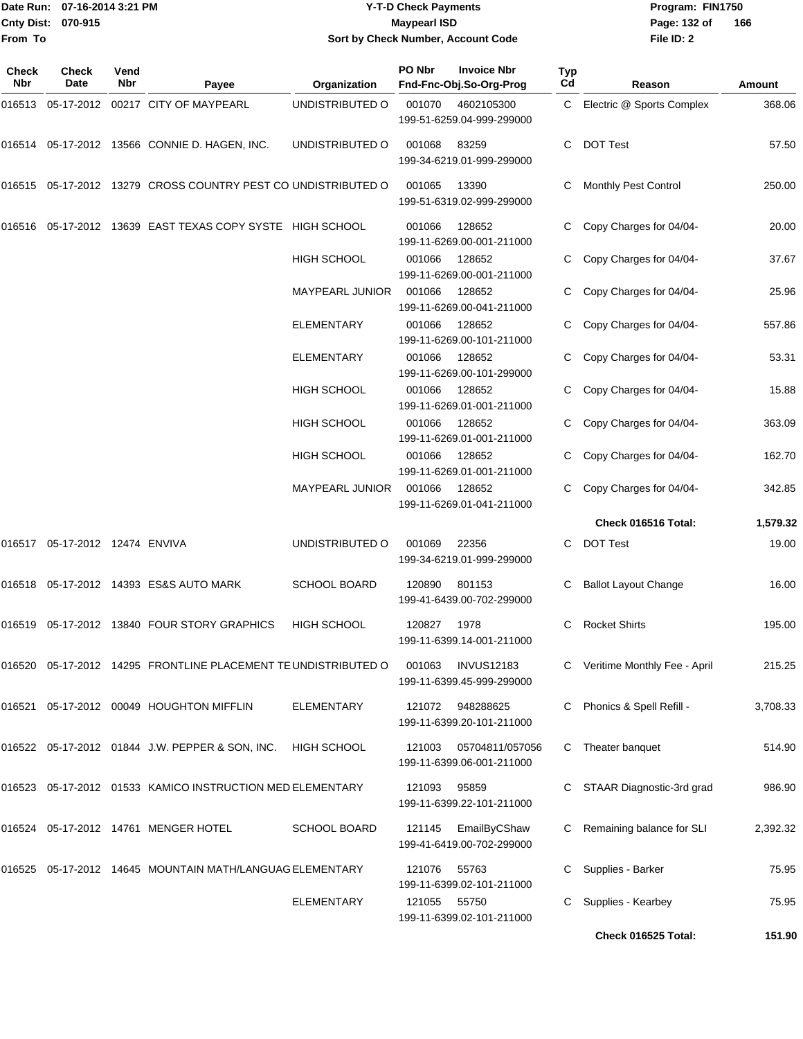# Date Run: 07-16-2014 3:21 PM **Program:** FIN1750 **Y-T-D Check Payments 070-915 Maypearl ISD Sort by Check Number, Account Code**

**File ID: 2** Page: 132 of 166

| Check<br><b>Nbr</b> | Check<br>Date | Vend<br>Nbr | Payee                                                          | Organization           | PO Nbr | <b>Invoice Nbr</b><br>Fnd-Fnc-Obj.So-Org-Prog  | Typ<br>Cd | Reason                         | Amount   |
|---------------------|---------------|-------------|----------------------------------------------------------------|------------------------|--------|------------------------------------------------|-----------|--------------------------------|----------|
|                     |               |             | 016513 05-17-2012 00217 CITY OF MAYPEARL                       | UNDISTRIBUTED O        | 001070 | 4602105300<br>199-51-6259.04-999-299000        | C         | Electric @ Sports Complex      | 368.06   |
|                     |               |             | 016514 05-17-2012 13566 CONNIE D. HAGEN, INC.                  | UNDISTRIBUTED O        | 001068 | 83259<br>199-34-6219.01-999-299000             | C         | <b>DOT Test</b>                | 57.50    |
|                     |               |             | 016515 05-17-2012 13279 CROSS COUNTRY PEST CO UNDISTRIBUTED O  |                        | 001065 | 13390<br>199-51-6319.02-999-299000             | C         | Monthly Pest Control           | 250.00   |
| 016516              |               |             | 05-17-2012 13639 EAST TEXAS COPY SYSTE HIGH SCHOOL             |                        | 001066 | 128652<br>199-11-6269.00-001-211000            |           | Copy Charges for 04/04-        | 20.00    |
|                     |               |             |                                                                | <b>HIGH SCHOOL</b>     | 001066 | 128652<br>199-11-6269.00-001-211000            |           | Copy Charges for 04/04-        | 37.67    |
|                     |               |             |                                                                | MAYPEARL JUNIOR        | 001066 | 128652<br>199-11-6269.00-041-211000            |           | Copy Charges for 04/04-        | 25.96    |
|                     |               |             |                                                                | ELEMENTARY             | 001066 | 128652<br>199-11-6269.00-101-211000            |           | Copy Charges for 04/04-        | 557.86   |
|                     |               |             |                                                                | <b>ELEMENTARY</b>      | 001066 | 128652<br>199-11-6269.00-101-299000            |           | Copy Charges for 04/04-        | 53.31    |
|                     |               |             |                                                                | HIGH SCHOOL            | 001066 | 128652<br>199-11-6269.01-001-211000            |           | Copy Charges for 04/04-        | 15.88    |
|                     |               |             |                                                                | HIGH SCHOOL            | 001066 | 128652<br>199-11-6269.01-001-211000            | C         | Copy Charges for 04/04-        | 363.09   |
|                     |               |             |                                                                | HIGH SCHOOL            | 001066 | 128652<br>199-11-6269.01-001-211000            |           | Copy Charges for 04/04-        | 162.70   |
|                     |               |             |                                                                | <b>MAYPEARL JUNIOR</b> | 001066 | 128652<br>199-11-6269.01-041-211000            |           | Copy Charges for 04/04-        | 342.85   |
|                     |               |             |                                                                |                        |        |                                                |           | Check 016516 Total:            | 1,579.32 |
|                     |               |             |                                                                | UNDISTRIBUTED O        | 001069 | 22356<br>199-34-6219.01-999-299000             | C         | <b>DOT Test</b>                | 19.00    |
|                     |               |             | 016518 05-17-2012 14393 ES&S AUTO MARK                         | <b>SCHOOL BOARD</b>    | 120890 | 801153<br>199-41-6439.00-702-299000            | C         | <b>Ballot Layout Change</b>    | 16.00    |
| 016519              |               |             | 05-17-2012 13840 FOUR STORY GRAPHICS                           | HIGH SCHOOL            | 120827 | 1978<br>199-11-6399.14-001-211000              | C         | <b>Rocket Shirts</b>           | 195.00   |
|                     |               |             | 016520 05-17-2012 14295 FRONTLINE PLACEMENT TE UNDISTRIBUTED O |                        | 001063 | <b>INVUS12183</b><br>199-11-6399.45-999-299000 |           | C Veritime Monthly Fee - April | 215.25   |
|                     |               |             | 016521 05-17-2012 00049 HOUGHTON MIFFLIN                       | <b>ELEMENTARY</b>      | 121072 | 948288625<br>199-11-6399.20-101-211000         | C         | Phonics & Spell Refill -       | 3,708.33 |
|                     |               |             | 016522 05-17-2012 01844 J.W. PEPPER & SON, INC.                | HIGH SCHOOL            | 121003 | 05704811/057056<br>199-11-6399.06-001-211000   | C         | Theater banquet                | 514.90   |
|                     |               |             | 016523 05-17-2012 01533 KAMICO INSTRUCTION MED ELEMENTARY      |                        | 121093 | 95859<br>199-11-6399.22-101-211000             |           | STAAR Diagnostic-3rd grad      | 986.90   |
|                     |               |             | 016524 05-17-2012 14761 MENGER HOTEL                           | <b>SCHOOL BOARD</b>    | 121145 | EmailByCShaw<br>199-41-6419.00-702-299000      | C         | Remaining balance for SLI      | 2,392.32 |
|                     |               |             | 016525 05-17-2012 14645 MOUNTAIN MATH/LANGUAG ELEMENTARY       |                        | 121076 | 55763<br>199-11-6399.02-101-211000             |           | Supplies - Barker              | 75.95    |
|                     |               |             |                                                                | <b>ELEMENTARY</b>      | 121055 | 55750<br>199-11-6399.02-101-211000             | C         | Supplies - Kearbey             | 75.95    |
|                     |               |             |                                                                |                        |        |                                                |           | Check 016525 Total:            | 151.90   |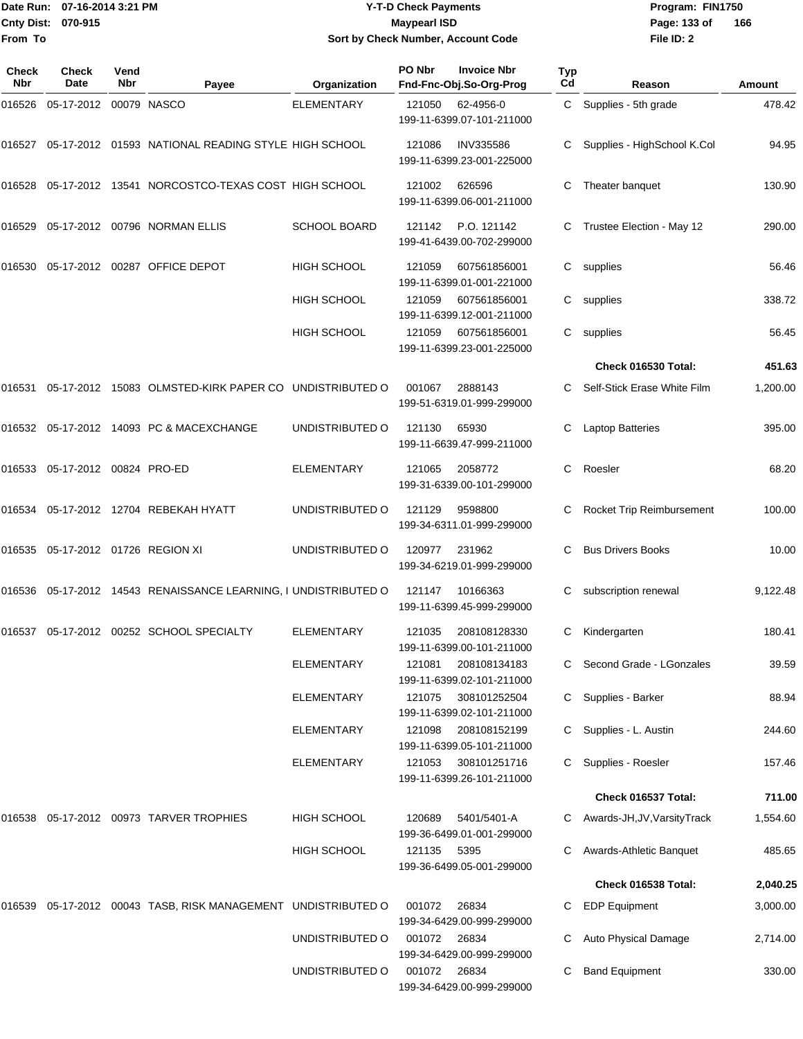# Date Run: 07-16-2014 3:21 PM **Program:** FIN1750 **Y-T-D Check Payments 070-915 Maypearl ISD Sort by Check Number, Account Code**

**File ID: 2** Page: 133 of 166

| Check<br>Nbr | <b>Check</b><br>Date                 | Vend<br><b>Nbr</b> | Payee                                                           | Organization        | PO Nbr       | <b>Invoice Nbr</b><br>Fnd-Fnc-Obj.So-Org-Prog | Typ<br>Cd | Reason                       | Amount   |
|--------------|--------------------------------------|--------------------|-----------------------------------------------------------------|---------------------|--------------|-----------------------------------------------|-----------|------------------------------|----------|
| 016526       | 05-17-2012                           |                    | 00079 NASCO                                                     | <b>ELEMENTARY</b>   | 121050       | 62-4956-0<br>199-11-6399.07-101-211000        |           | C Supplies - 5th grade       | 478.42   |
|              |                                      |                    | 016527  05-17-2012  01593  NATIONAL READING STYLE HIGH SCHOOL   |                     | 121086       | <b>INV335586</b><br>199-11-6399.23-001-225000 | С         | Supplies - HighSchool K.Col  | 94.95    |
| 016528       |                                      |                    | 05-17-2012 13541 NORCOSTCO-TEXAS COST HIGH SCHOOL               |                     | 121002       | 626596<br>199-11-6399.06-001-211000           | С         | Theater banquet              | 130.90   |
| 016529       |                                      |                    | 05-17-2012 00796 NORMAN ELLIS                                   | <b>SCHOOL BOARD</b> | 121142       | P.O. 121142<br>199-41-6439.00-702-299000      | C         | Trustee Election - May 12    | 290.00   |
| 016530       |                                      |                    | 05-17-2012 00287 OFFICE DEPOT                                   | <b>HIGH SCHOOL</b>  | 121059       | 607561856001<br>199-11-6399.01-001-221000     | C         | supplies                     | 56.46    |
|              |                                      |                    |                                                                 | <b>HIGH SCHOOL</b>  | 121059       | 607561856001<br>199-11-6399.12-001-211000     | C         | supplies                     | 338.72   |
|              |                                      |                    |                                                                 | <b>HIGH SCHOOL</b>  | 121059       | 607561856001<br>199-11-6399.23-001-225000     | C.        | supplies                     | 56.45    |
|              |                                      |                    |                                                                 |                     |              |                                               |           | Check 016530 Total:          | 451.63   |
| 016531       |                                      |                    | 05-17-2012 15083 OLMSTED-KIRK PAPER CO UNDISTRIBUTED O          |                     | 001067       | 2888143<br>199-51-6319.01-999-299000          | C.        | Self-Stick Erase White Film  | 1,200.00 |
|              |                                      |                    | 016532 05-17-2012 14093 PC & MACEXCHANGE                        | UNDISTRIBUTED O     | 121130       | 65930<br>199-11-6639.47-999-211000            | С         | <b>Laptop Batteries</b>      | 395.00   |
|              | 016533  05-17-2012  00824  PRO-ED    |                    |                                                                 | <b>ELEMENTARY</b>   | 121065       | 2058772<br>199-31-6339.00-101-299000          | C         | Roesler                      | 68.20    |
| 016534       |                                      |                    | 05-17-2012 12704 REBEKAH HYATT                                  | UNDISTRIBUTED O     | 121129       | 9598800<br>199-34-6311.01-999-299000          | С         | Rocket Trip Reimbursement    | 100.00   |
|              | 016535  05-17-2012  01726  REGION XI |                    |                                                                 | UNDISTRIBUTED O     | 120977       | 231962<br>199-34-6219.01-999-299000           | C         | <b>Bus Drivers Books</b>     | 10.00    |
|              |                                      |                    | 016536 05-17-2012 14543 RENAISSANCE LEARNING, I UNDISTRIBUTED O |                     | 121147       | 10166363<br>199-11-6399.45-999-299000         | С         | subscription renewal         | 9,122.48 |
|              |                                      |                    | 016537   05-17-2012   00252   SCHOOL SPECIALTY                  | <b>ELEMENTARY</b>   | 121035       | 208108128330<br>199-11-6399.00-101-211000     | С         | Kindergarten                 | 180.41   |
|              |                                      |                    |                                                                 | <b>ELEMENTARY</b>   | 121081       | 208108134183<br>199-11-6399.02-101-211000     |           | C Second Grade - LGonzales   | 39.59    |
|              |                                      |                    |                                                                 | <b>ELEMENTARY</b>   | 121075       | 308101252504<br>199-11-6399.02-101-211000     | C         | Supplies - Barker            | 88.94    |
|              |                                      |                    |                                                                 | <b>ELEMENTARY</b>   | 121098       | 208108152199<br>199-11-6399.05-101-211000     | C         | Supplies - L. Austin         | 244.60   |
|              |                                      |                    |                                                                 | <b>ELEMENTARY</b>   | 121053       | 308101251716<br>199-11-6399.26-101-211000     | C         | Supplies - Roesler           | 157.46   |
|              |                                      |                    |                                                                 |                     |              |                                               |           | Check 016537 Total:          | 711.00   |
|              |                                      |                    | 016538 05-17-2012 00973 TARVER TROPHIES                         | <b>HIGH SCHOOL</b>  | 120689       | 5401/5401-A<br>199-36-6499.01-001-299000      |           | Awards-JH, JV, Varsity Track | 1,554.60 |
|              |                                      |                    |                                                                 | <b>HIGH SCHOOL</b>  | 121135       | 5395<br>199-36-6499.05-001-299000             | C         | Awards-Athletic Banquet      | 485.65   |
|              |                                      |                    |                                                                 |                     |              |                                               |           | Check 016538 Total:          | 2,040.25 |
| 016539       |                                      |                    | 05-17-2012 00043 TASB, RISK MANAGEMENT UNDISTRIBUTED O          |                     | 001072       | 26834<br>199-34-6429.00-999-299000            | С         | <b>EDP Equipment</b>         | 3,000.00 |
|              |                                      |                    |                                                                 | UNDISTRIBUTED O     | 001072       | 26834<br>199-34-6429.00-999-299000            | С         | Auto Physical Damage         | 2,714.00 |
|              |                                      |                    |                                                                 | UNDISTRIBUTED O     | 001072 26834 | 199-34-6429.00-999-299000                     | С         | <b>Band Equipment</b>        | 330.00   |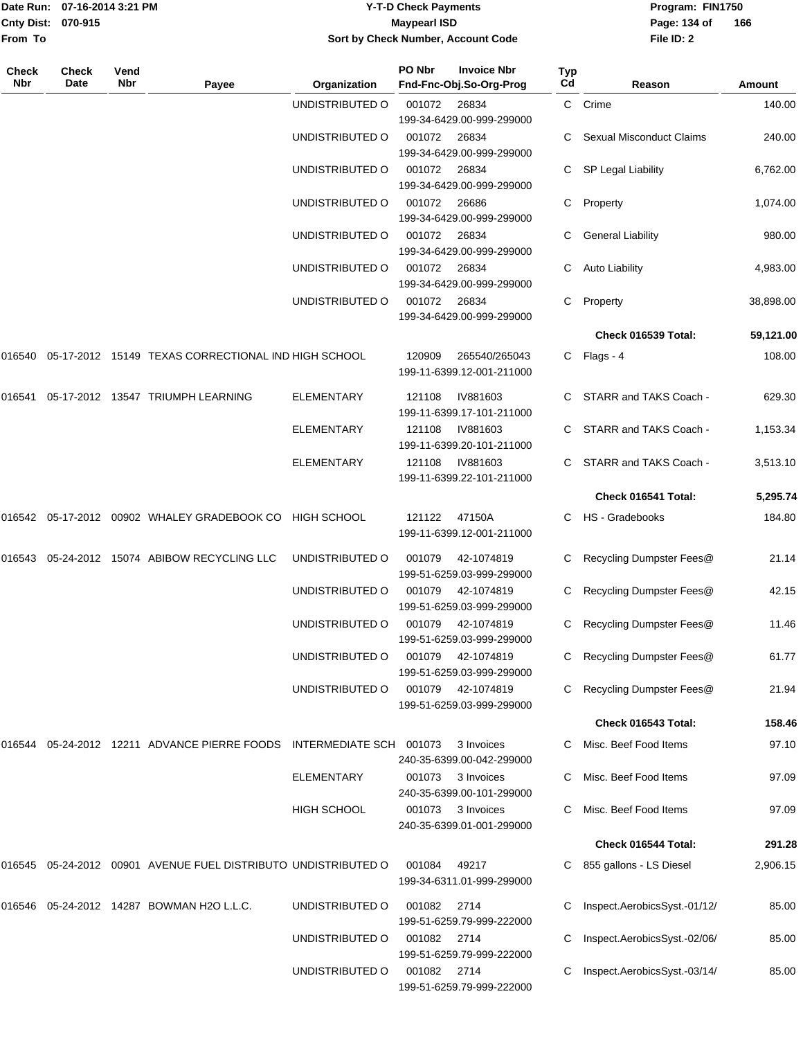| Date Run: 07-16-2014 3:21 PM |       |      | <b>Y-T-D Check Payments</b>        |                    |     | Program: FIN1750 |     |  |  |
|------------------------------|-------|------|------------------------------------|--------------------|-----|------------------|-----|--|--|
| Cnty Dist: 070-915           |       |      | Maypearl ISD                       |                    |     | Page: 134 of     | 166 |  |  |
| <b>From To</b>               |       |      | Sort by Check Number, Account Code |                    |     | File ID: 2       |     |  |  |
| <b>Check</b>                 | Check | Vend | <b>PO Nbr</b>                      | <b>Invoice Nbr</b> | Typ |                  |     |  |  |

| Nbr    | Date | Nbr | Payee                                                                | Organization       | Fnd-Fnc-Obj.So-Org-Prog                              | Cd | Reason                          | Amount    |
|--------|------|-----|----------------------------------------------------------------------|--------------------|------------------------------------------------------|----|---------------------------------|-----------|
|        |      |     |                                                                      | UNDISTRIBUTED O    | 001072<br>26834<br>199-34-6429.00-999-299000         |    | C Crime                         | 140.00    |
|        |      |     |                                                                      | UNDISTRIBUTED O    | 001072<br>26834<br>199-34-6429.00-999-299000         |    | <b>Sexual Misconduct Claims</b> | 240.00    |
|        |      |     |                                                                      | UNDISTRIBUTED O    | 26834<br>001072<br>199-34-6429.00-999-299000         |    | SP Legal Liability              | 6,762.00  |
|        |      |     |                                                                      | UNDISTRIBUTED O    | 001072<br>26686<br>199-34-6429.00-999-299000         | C. | Property                        | 1,074.00  |
|        |      |     |                                                                      | UNDISTRIBUTED O    | 001072<br>26834<br>199-34-6429.00-999-299000         | C. | <b>General Liability</b>        | 980.00    |
|        |      |     |                                                                      | UNDISTRIBUTED O    | 001072<br>26834<br>199-34-6429.00-999-299000         |    | Auto Liability                  | 4,983.00  |
|        |      |     |                                                                      | UNDISTRIBUTED O    | 001072<br>26834<br>199-34-6429.00-999-299000         | C  | Property                        | 38,898.00 |
|        |      |     |                                                                      |                    |                                                      |    | Check 016539 Total:             | 59,121.00 |
| 016540 |      |     | 05-17-2012 15149 TEXAS CORRECTIONAL IND HIGH SCHOOL                  |                    | 120909<br>265540/265043<br>199-11-6399.12-001-211000 |    | C Flags - 4                     | 108.00    |
| 016541 |      |     | 05-17-2012 13547 TRIUMPH LEARNING                                    | <b>ELEMENTARY</b>  | IV881603<br>121108<br>199-11-6399.17-101-211000      | C. | STARR and TAKS Coach -          | 629.30    |
|        |      |     |                                                                      | <b>ELEMENTARY</b>  | 121108<br>IV881603<br>199-11-6399.20-101-211000      |    | STARR and TAKS Coach -          | 1,153.34  |
|        |      |     |                                                                      | <b>ELEMENTARY</b>  | 121108<br>IV881603<br>199-11-6399.22-101-211000      | C. | STARR and TAKS Coach -          | 3,513.10  |
|        |      |     |                                                                      |                    |                                                      |    | Check 016541 Total:             | 5,295.74  |
| 016542 |      |     | 05-17-2012 00902 WHALEY GRADEBOOK CO                                 | <b>HIGH SCHOOL</b> | 121122<br>47150A<br>199-11-6399.12-001-211000        |    | C HS - Gradebooks               | 184.80    |
| 016543 |      |     | 05-24-2012 15074 ABIBOW RECYCLING LLC                                | UNDISTRIBUTED O    | 001079<br>42-1074819<br>199-51-6259.03-999-299000    | C. | Recycling Dumpster Fees@        | 21.14     |
|        |      |     |                                                                      | UNDISTRIBUTED O    | 001079<br>42-1074819<br>199-51-6259.03-999-299000    |    | Recycling Dumpster Fees@        | 42.15     |
|        |      |     |                                                                      | UNDISTRIBUTED O    | 001079<br>42-1074819<br>199-51-6259.03-999-299000    | C  | Recycling Dumpster Fees@        | 11.46     |
|        |      |     |                                                                      | UNDISTRIBUTED O    | 001079<br>42-1074819<br>199-51-6259.03-999-299000    | C  | Recycling Dumpster Fees@        | 61.77     |
|        |      |     |                                                                      | UNDISTRIBUTED O    | 001079<br>42-1074819<br>199-51-6259.03-999-299000    |    | C Recycling Dumpster Fees@      | 21.94     |
|        |      |     |                                                                      |                    |                                                      |    | Check 016543 Total:             | 158.46    |
|        |      |     | 016544 05-24-2012 12211 ADVANCE PIERRE FOODS INTERMEDIATE SCH 001073 |                    | 3 Invoices<br>240-35-6399.00-042-299000              |    | Misc. Beef Food Items           | 97.10     |
|        |      |     |                                                                      | ELEMENTARY         | 001073<br>3 Invoices<br>240-35-6399.00-101-299000    |    | Misc. Beef Food Items           | 97.09     |
|        |      |     |                                                                      | <b>HIGH SCHOOL</b> | 001073<br>3 Invoices<br>240-35-6399.01-001-299000    | C. | Misc. Beef Food Items           | 97.09     |
|        |      |     |                                                                      |                    |                                                      |    | Check 016544 Total:             | 291.28    |
|        |      |     | 016545 05-24-2012 00901 AVENUE FUEL DISTRIBUTO UNDISTRIBUTED O       |                    | 001084<br>49217<br>199-34-6311.01-999-299000         |    | 855 gallons - LS Diesel         | 2,906.15  |
|        |      |     | 016546 05-24-2012 14287 BOWMAN H2O L.L.C.                            | UNDISTRIBUTED O    | 001082<br>2714<br>199-51-6259.79-999-222000          |    | Inspect.AerobicsSyst.-01/12/    | 85.00     |
|        |      |     |                                                                      | UNDISTRIBUTED O    | 001082<br>2714<br>199-51-6259.79-999-222000          |    | Inspect.AerobicsSyst.-02/06/    | 85.00     |
|        |      |     |                                                                      | UNDISTRIBUTED O    | 001082 2714<br>199-51-6259.79-999-222000             |    | Inspect.AerobicsSyst.-03/14/    | 85.00     |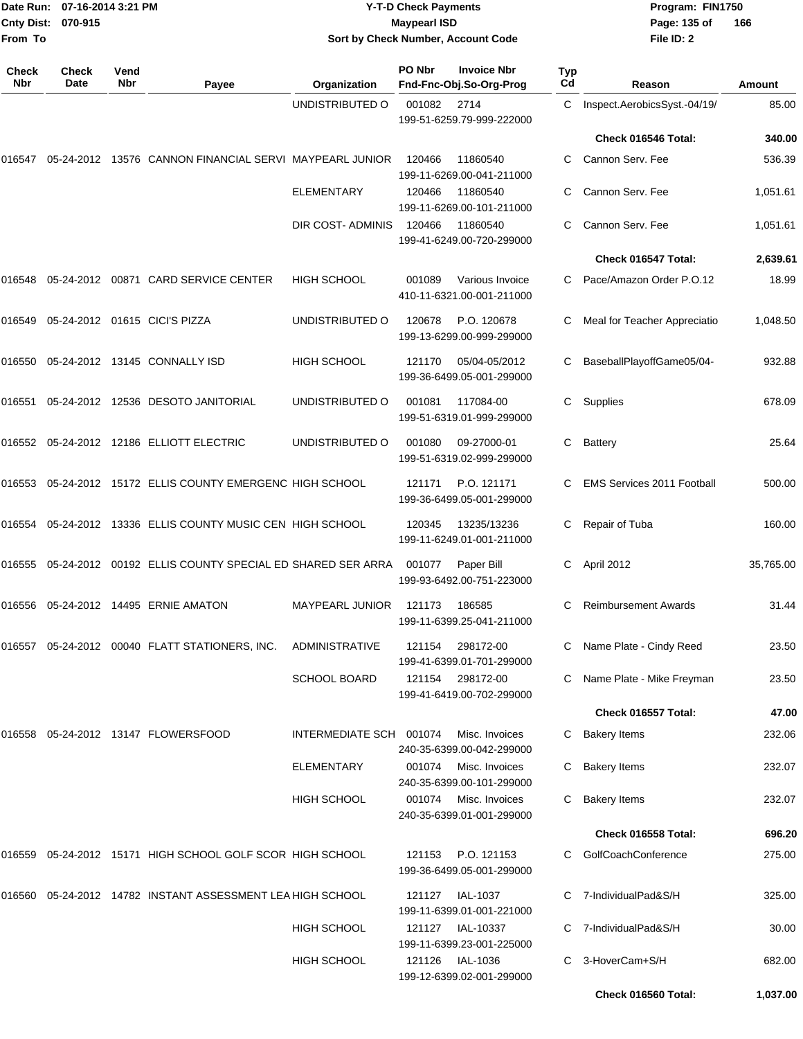| From To             | Date Run: 07-16-2014 3:21 PM<br><b>Cnty Dist:</b><br>070-915 |             |                                                               | <b>Y-T-D Check Payments</b><br>Program: FIN1750<br><b>Maypearl ISD</b><br>Page: 135 of<br>Sort by Check Number, Account Code<br>File ID: 2 |        |                                               |           |                                   |           |
|---------------------|--------------------------------------------------------------|-------------|---------------------------------------------------------------|--------------------------------------------------------------------------------------------------------------------------------------------|--------|-----------------------------------------------|-----------|-----------------------------------|-----------|
| <b>Check</b><br>Nbr | Check<br>Date                                                | Vend<br>Nbr | Payee                                                         | Organization                                                                                                                               | PO Nbr | <b>Invoice Nbr</b><br>Fnd-Fnc-Obj.So-Org-Prog | Typ<br>Cd | Reason                            | Amount    |
|                     |                                                              |             |                                                               | UNDISTRIBUTED O                                                                                                                            | 001082 | 2714<br>199-51-6259.79-999-222000             | C.        | Inspect.AerobicsSyst.-04/19/      | 85.00     |
|                     |                                                              |             |                                                               |                                                                                                                                            |        |                                               |           | Check 016546 Total:               | 340.00    |
| 016547              |                                                              |             | 05-24-2012 13576 CANNON FINANCIAL SERVI MAYPEARL JUNIOR       |                                                                                                                                            | 120466 | 11860540<br>199-11-6269.00-041-211000         | С         | Cannon Serv. Fee                  | 536.39    |
|                     |                                                              |             |                                                               | <b>ELEMENTARY</b>                                                                                                                          | 120466 | 11860540<br>199-11-6269.00-101-211000         | С         | Cannon Serv. Fee                  | 1,051.61  |
|                     |                                                              |             |                                                               | DIR COST- ADMINIS                                                                                                                          | 120466 | 11860540<br>199-41-6249.00-720-299000         | С         | Cannon Serv. Fee                  | 1,051.61  |
|                     |                                                              |             |                                                               |                                                                                                                                            |        |                                               |           | Check 016547 Total:               | 2,639.61  |
| 016548              |                                                              |             | 05-24-2012 00871 CARD SERVICE CENTER                          | <b>HIGH SCHOOL</b>                                                                                                                         | 001089 | Various Invoice<br>410-11-6321.00-001-211000  |           | Pace/Amazon Order P.O.12          | 18.99     |
| 016549              |                                                              |             | 05-24-2012 01615 CICI'S PIZZA                                 | UNDISTRIBUTED O                                                                                                                            | 120678 | P.O. 120678<br>199-13-6299.00-999-299000      | С         | Meal for Teacher Appreciatio      | 1,048.50  |
|                     |                                                              |             | 016550  05-24-2012  13145  CONNALLY ISD                       | HIGH SCHOOL                                                                                                                                | 121170 | 05/04-05/2012<br>199-36-6499.05-001-299000    | С         | BaseballPlayoffGame05/04-         | 932.88    |
|                     |                                                              |             |                                                               | UNDISTRIBUTED O                                                                                                                            | 001081 | 117084-00<br>199-51-6319.01-999-299000        | С         | Supplies                          | 678.09    |
|                     |                                                              |             | 016552   05-24-2012   12186   ELLIOTT ELECTRIC                | UNDISTRIBUTED O                                                                                                                            | 001080 | 09-27000-01<br>199-51-6319.02-999-299000      | С         | Battery                           | 25.64     |
|                     |                                                              |             | 016553 05-24-2012 15172 ELLIS COUNTY EMERGENC HIGH SCHOOL     |                                                                                                                                            | 121171 | P.O. 121171<br>199-36-6499.05-001-299000      | С         | <b>EMS Services 2011 Football</b> | 500.00    |
|                     |                                                              |             | 016554 05-24-2012 13336 ELLIS COUNTY MUSIC CEN HIGH SCHOOL    |                                                                                                                                            | 120345 | 13235/13236<br>199-11-6249.01-001-211000      | С         | Repair of Tuba                    | 160.00    |
| 016555              |                                                              |             | 05-24-2012 00192 ELLIS COUNTY SPECIAL ED SHARED SER ARRA      |                                                                                                                                            | 001077 | Paper Bill<br>199-93-6492.00-751-223000       | С         | April 2012                        | 35,765.00 |
|                     |                                                              |             |                                                               | <b>MAYPEARL JUNIOR</b>                                                                                                                     | 121173 | 186585<br>199-11-6399.25-041-211000           |           | <b>Reimbursement Awards</b>       | 31.44     |
|                     |                                                              |             | 016557 05-24-2012 00040 FLATT STATIONERS, INC.                | ADMINISTRATIVE                                                                                                                             | 121154 | 298172-00<br>199-41-6399.01-701-299000        | C.        | Name Plate - Cindy Reed           | 23.50     |
|                     |                                                              |             |                                                               | <b>SCHOOL BOARD</b>                                                                                                                        | 121154 | 298172-00<br>199-41-6419.00-702-299000        |           | Name Plate - Mike Freyman         | 23.50     |
|                     |                                                              |             |                                                               |                                                                                                                                            |        |                                               |           | Check 016557 Total:               | 47.00     |
|                     |                                                              |             | 016558  05-24-2012  13147  FLOWERSFOOD                        | INTERMEDIATE SCH 001074                                                                                                                    |        | Misc. Invoices<br>240-35-6399.00-042-299000   | C.        | <b>Bakery Items</b>               | 232.06    |
|                     |                                                              |             |                                                               | ELEMENTARY                                                                                                                                 | 001074 | Misc. Invoices<br>240-35-6399.00-101-299000   | C.        | <b>Bakery Items</b>               | 232.07    |
|                     |                                                              |             |                                                               | <b>HIGH SCHOOL</b>                                                                                                                         | 001074 | Misc. Invoices<br>240-35-6399.01-001-299000   | C.        | <b>Bakery Items</b>               | 232.07    |
|                     |                                                              |             |                                                               |                                                                                                                                            |        |                                               |           | Check 016558 Total:               | 696.20    |
|                     |                                                              |             | 016559  05-24-2012  15171  HIGH SCHOOL GOLF SCOR  HIGH SCHOOL |                                                                                                                                            | 121153 | P.O. 121153<br>199-36-6499.05-001-299000      |           | GolfCoachConference               | 275.00    |
|                     |                                                              |             | 016560  05-24-2012  14782  INSTANT ASSESSMENT LEA HIGH SCHOOL |                                                                                                                                            | 121127 | IAL-1037<br>199-11-6399.01-001-221000         |           | C 7-IndividualPad&S/H             | 325.00    |
|                     |                                                              |             |                                                               | <b>HIGH SCHOOL</b>                                                                                                                         | 121127 | IAL-10337<br>199-11-6399.23-001-225000        |           | C 7-IndividualPad&S/H             | 30.00     |
|                     |                                                              |             |                                                               | HIGH SCHOOL                                                                                                                                | 121126 | <b>IAL-1036</b><br>199-12-6399.02-001-299000  | C.        | 3-HoverCam+S/H                    | 682.00    |

**Check 016560 Total: 1,037.00**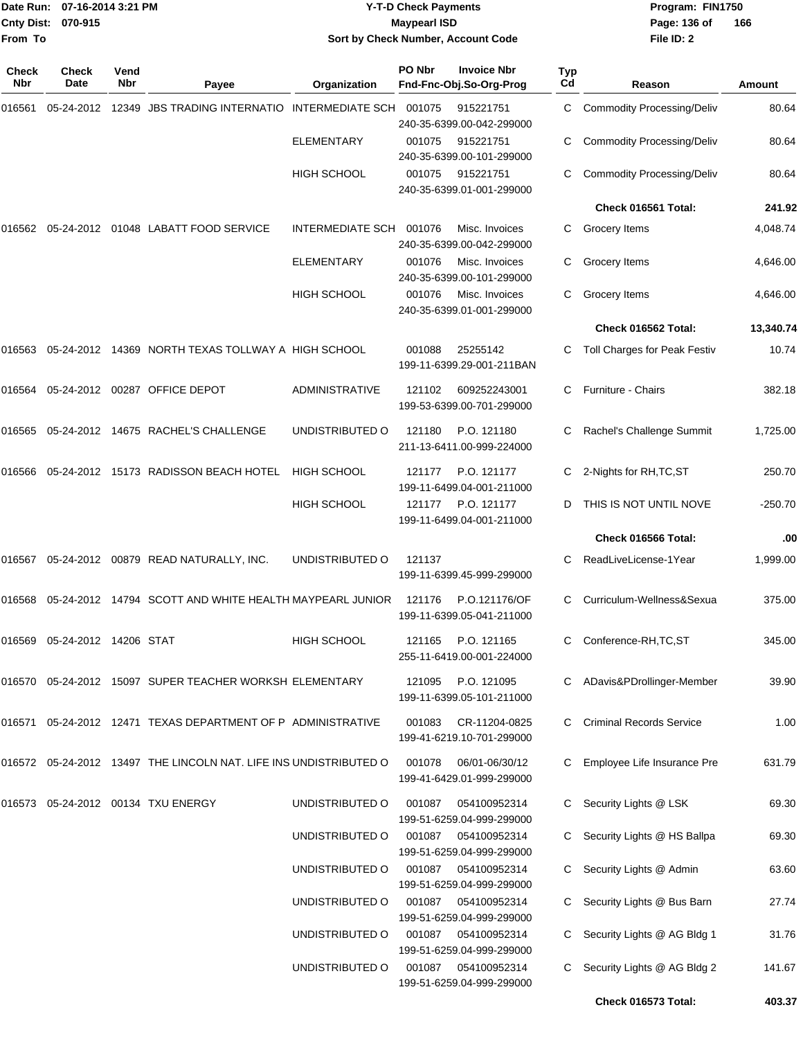|              | Date Run: 07-16-2014 3:21 PM<br>Cnty Dist: 070-915<br>From To |             |                                                                       |                         | <b>Y-T-D Check Payments</b><br><b>Maypearl ISD</b> | Sort by Check Number, Account Code                                  |           | Program: FIN1750<br>Page: 136 of<br>166<br>File ID: 2 |           |  |
|--------------|---------------------------------------------------------------|-------------|-----------------------------------------------------------------------|-------------------------|----------------------------------------------------|---------------------------------------------------------------------|-----------|-------------------------------------------------------|-----------|--|
| Check<br>Nbr | Check<br>Date                                                 | Vend<br>Nbr | Payee                                                                 | Organization            | PO Nbr                                             | <b>Invoice Nbr</b><br>Fnd-Fnc-Obj.So-Org-Prog                       | Typ<br>Cd | Reason                                                | Amount    |  |
| 016561       | 05-24-2012                                                    |             | 12349 JBS TRADING INTERNATIO                                          | <b>INTERMEDIATE SCH</b> | 001075                                             | 915221751                                                           | C         | <b>Commodity Processing/Deliv</b>                     | 80.64     |  |
|              |                                                               |             |                                                                       | <b>ELEMENTARY</b>       | 001075                                             | 240-35-6399.00-042-299000<br>915221751<br>240-35-6399.00-101-299000 | С         | <b>Commodity Processing/Deliv</b>                     | 80.64     |  |
|              |                                                               |             |                                                                       | <b>HIGH SCHOOL</b>      | 001075                                             | 915221751<br>240-35-6399.01-001-299000                              | C         | Commodity Processing/Deliv                            | 80.64     |  |
|              |                                                               |             |                                                                       |                         |                                                    |                                                                     |           | Check 016561 Total:                                   | 241.92    |  |
| 016562       |                                                               |             | 05-24-2012 01048 LABATT FOOD SERVICE                                  | <b>INTERMEDIATE SCH</b> | 001076                                             | Misc. Invoices<br>240-35-6399.00-042-299000                         | C         | Grocery Items                                         | 4,048.74  |  |
|              |                                                               |             |                                                                       | ELEMENTARY              | 001076                                             | Misc. Invoices<br>240-35-6399.00-101-299000                         | C.        | Grocery Items                                         | 4,646.00  |  |
|              |                                                               |             |                                                                       | <b>HIGH SCHOOL</b>      | 001076                                             | Misc. Invoices<br>240-35-6399.01-001-299000                         | C         | Grocery Items                                         | 4,646.00  |  |
|              |                                                               |             |                                                                       |                         |                                                    |                                                                     |           | Check 016562 Total:                                   | 13,340.74 |  |
| 016563       |                                                               |             | 05-24-2012 14369 NORTH TEXAS TOLLWAY A HIGH SCHOOL                    |                         | 001088                                             | 25255142<br>199-11-6399.29-001-211BAN                               | C         | Toll Charges for Peak Festiv                          | 10.74     |  |
| 016564       |                                                               |             | 05-24-2012 00287 OFFICE DEPOT                                         | <b>ADMINISTRATIVE</b>   | 121102                                             | 609252243001<br>199-53-6399.00-701-299000                           | C         | Furniture - Chairs                                    | 382.18    |  |
| 016565       |                                                               |             | 05-24-2012 14675 RACHEL'S CHALLENGE                                   | UNDISTRIBUTED O         | 121180                                             | P.O. 121180<br>211-13-6411.00-999-224000                            | C         | Rachel's Challenge Summit                             | 1,725.00  |  |
|              |                                                               |             | 016566 05-24-2012 15173 RADISSON BEACH HOTEL                          | <b>HIGH SCHOOL</b>      | 121177                                             | P.O. 121177<br>199-11-6499.04-001-211000                            | C         | 2-Nights for RH, TC, ST                               | 250.70    |  |
|              |                                                               |             |                                                                       | <b>HIGH SCHOOL</b>      | 121177                                             | P.O. 121177<br>199-11-6499.04-001-211000                            | D         | THIS IS NOT UNTIL NOVE                                | -250.70   |  |
|              |                                                               |             |                                                                       |                         |                                                    |                                                                     |           | Check 016566 Total:                                   | .00       |  |
| 016567       |                                                               |             | 05-24-2012  00879  READ NATURALLY, INC.                               | UNDISTRIBUTED O         | 121137                                             | 199-11-6399.45-999-299000                                           | C         | ReadLiveLicense-1Year                                 | 1,999.00  |  |
|              |                                                               |             | 016568 05-24-2012 14794 SCOTT AND WHITE HEALTH MAYPEARL JUNIOR 121176 |                         |                                                    | P.O.121176/OF<br>199-11-6399.05-041-211000                          |           | Curriculum-Wellness&Sexua                             | 375.00    |  |
|              | 016569  05-24-2012  14206  STAT                               |             |                                                                       | <b>HIGH SCHOOL</b>      | 121165                                             | P.O. 121165<br>255-11-6419.00-001-224000                            | C.        | Conference-RH, TC, ST                                 | 345.00    |  |
|              |                                                               |             | 016570 05-24-2012 15097 SUPER TEACHER WORKSH ELEMENTARY               |                         | 121095                                             | P.O. 121095<br>199-11-6399.05-101-211000                            |           | ADavis&PDrollinger-Member                             | 39.90     |  |
|              |                                                               |             | 016571  05-24-2012  12471  TEXAS DEPARTMENT OF P ADMINISTRATIVE       |                         | 001083                                             | CR-11204-0825<br>199-41-6219.10-701-299000                          | C.        | <b>Criminal Records Service</b>                       | 1.00      |  |
|              |                                                               |             | 016572 05-24-2012 13497 THE LINCOLN NAT. LIFE INS UNDISTRIBUTED O     |                         | 001078                                             | 06/01-06/30/12<br>199-41-6429.01-999-299000                         |           | C Employee Life Insurance Pre                         | 631.79    |  |
|              |                                                               |             | 016573 05-24-2012 00134 TXU ENERGY                                    | UNDISTRIBUTED O         | 001087                                             | 054100952314<br>199-51-6259.04-999-299000                           | C.        | Security Lights @ LSK                                 | 69.30     |  |
|              |                                                               |             |                                                                       | UNDISTRIBUTED O         | 001087                                             | 054100952314<br>199-51-6259.04-999-299000                           | C.        | Security Lights @ HS Ballpa                           | 69.30     |  |
|              |                                                               |             |                                                                       | UNDISTRIBUTED O         | 001087                                             | 054100952314<br>199-51-6259.04-999-299000                           | C.        | Security Lights @ Admin                               | 63.60     |  |
|              |                                                               |             |                                                                       | UNDISTRIBUTED O         | 001087                                             | 054100952314<br>199-51-6259.04-999-299000                           | C.        | Security Lights @ Bus Barn                            | 27.74     |  |
|              |                                                               |             |                                                                       | UNDISTRIBUTED O         | 001087                                             | 054100952314<br>199-51-6259.04-999-299000                           | C         | Security Lights @ AG Bldg 1                           | 31.76     |  |
|              |                                                               |             |                                                                       | UNDISTRIBUTED O         |                                                    | 001087 054100952314<br>199-51-6259.04-999-299000                    | C.        | Security Lights @ AG Bldg 2                           | 141.67    |  |
|              |                                                               |             |                                                                       |                         |                                                    |                                                                     |           | Check 016573 Total:                                   | 403.37    |  |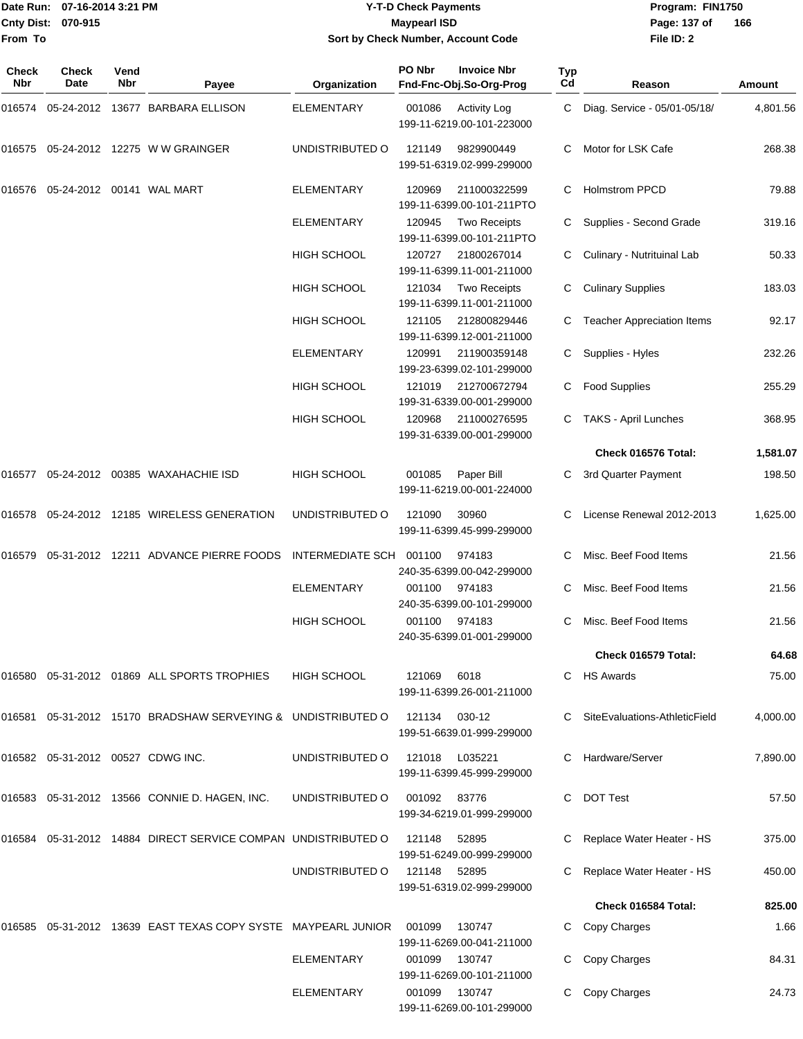**From To**

#### Date Run: 07-16-2014 3:21 PM **Program:** FIN1750 **Cnty Dist:** 070-915 **Page: 137 of** Maypearl ISD **CONTEX 150 Page: 137 of Y-T-D Check Payments 070-915 Maypearl ISD Sort by Check Number, Account Code**

| Check<br>Nbr | Check<br>Date                     | Vend<br><b>Nbr</b> | Payee                                                                | Organization            | PO Nbr       | <b>Invoice Nbr</b><br>Fnd-Fnc-Obj.So-Org-Prog    | Typ<br>Cd | Reason                            | Amount   |
|--------------|-----------------------------------|--------------------|----------------------------------------------------------------------|-------------------------|--------------|--------------------------------------------------|-----------|-----------------------------------|----------|
| 016574       |                                   |                    | 05-24-2012 13677 BARBARA ELLISON                                     | <b>ELEMENTARY</b>       | 001086       | <b>Activity Log</b><br>199-11-6219.00-101-223000 | C         | Diag. Service - 05/01-05/18/      | 4,801.56 |
| 016575       |                                   |                    | 05-24-2012 12275 W W GRAINGER                                        | UNDISTRIBUTED O         | 121149       | 9829900449<br>199-51-6319.02-999-299000          | C.        | Motor for LSK Cafe                | 268.38   |
| 016576       | 05-24-2012 00141 WAL MART         |                    |                                                                      | ELEMENTARY              | 120969       | 211000322599<br>199-11-6399.00-101-211PTO        | C         | <b>Holmstrom PPCD</b>             | 79.88    |
|              |                                   |                    |                                                                      | <b>ELEMENTARY</b>       | 120945       | <b>Two Receipts</b><br>199-11-6399.00-101-211PTO | C         | Supplies - Second Grade           | 319.16   |
|              |                                   |                    |                                                                      | <b>HIGH SCHOOL</b>      | 120727       | 21800267014<br>199-11-6399.11-001-211000         |           | Culinary - Nutrituinal Lab        | 50.33    |
|              |                                   |                    |                                                                      | HIGH SCHOOL             | 121034       | <b>Two Receipts</b><br>199-11-6399.11-001-211000 | С         | <b>Culinary Supplies</b>          | 183.03   |
|              |                                   |                    |                                                                      | <b>HIGH SCHOOL</b>      | 121105       | 212800829446<br>199-11-6399.12-001-211000        |           | <b>Teacher Appreciation Items</b> | 92.17    |
|              |                                   |                    |                                                                      | <b>ELEMENTARY</b>       | 120991       | 211900359148<br>199-23-6399.02-101-299000        | C.        | Supplies - Hyles                  | 232.26   |
|              |                                   |                    |                                                                      | HIGH SCHOOL             | 121019       | 212700672794<br>199-31-6339.00-001-299000        | C.        | <b>Food Supplies</b>              | 255.29   |
|              |                                   |                    |                                                                      | <b>HIGH SCHOOL</b>      | 120968       | 211000276595<br>199-31-6339.00-001-299000        | C         | TAKS - April Lunches              | 368.95   |
|              |                                   |                    |                                                                      |                         |              |                                                  |           | Check 016576 Total:               | 1,581.07 |
| 016577       |                                   |                    | 05-24-2012 00385 WAXAHACHIE ISD                                      | <b>HIGH SCHOOL</b>      | 001085       | Paper Bill<br>199-11-6219.00-001-224000          | C         | 3rd Quarter Payment               | 198.50   |
| 016578       |                                   |                    | 05-24-2012 12185 WIRELESS GENERATION                                 | UNDISTRIBUTED O         | 121090       | 30960<br>199-11-6399.45-999-299000               |           | License Renewal 2012-2013         | 1,625.00 |
| 016579       |                                   |                    | 05-31-2012 12211 ADVANCE PIERRE FOODS                                | <b>INTERMEDIATE SCH</b> | 001100       | 974183<br>240-35-6399.00-042-299000              |           | Misc. Beef Food Items             | 21.56    |
|              |                                   |                    |                                                                      | <b>ELEMENTARY</b>       | 001100       | 974183<br>240-35-6399.00-101-299000              | C         | Misc. Beef Food Items             | 21.56    |
|              |                                   |                    |                                                                      | HIGH SCHOOL             | 001100       | 974183<br>240-35-6399.01-001-299000              |           | Misc. Beef Food Items             | 21.56    |
|              |                                   |                    |                                                                      |                         |              |                                                  |           | Check 016579 Total:               | 64.68    |
|              |                                   |                    | 016580  05-31-2012  01869  ALL SPORTS TROPHIES                       | HIGH SCHOOL             | 121069       | 6018<br>199-11-6399.26-001-211000                |           | C HS Awards                       | 75.00    |
| 016581       |                                   |                    | 05-31-2012 15170 BRADSHAW SERVEYING & UNDISTRIBUTED O                |                         | 121134       | 030-12<br>199-51-6639.01-999-299000              |           | SiteEvaluations-AthleticField     | 4,000.00 |
|              | 016582 05-31-2012 00527 CDWG INC. |                    |                                                                      | UNDISTRIBUTED O         | 121018       | L035221<br>199-11-6399.45-999-299000             | C.        | Hardware/Server                   | 7,890.00 |
|              |                                   |                    | 016583 05-31-2012 13566 CONNIE D. HAGEN, INC.                        | UNDISTRIBUTED O         | 001092       | 83776<br>199-34-6219.01-999-299000               |           | <b>DOT Test</b>                   | 57.50    |
| 016584       |                                   |                    | 05-31-2012 14884 DIRECT SERVICE COMPAN UNDISTRIBUTED O               |                         | 121148       | 52895<br>199-51-6249.00-999-299000               |           | Replace Water Heater - HS         | 375.00   |
|              |                                   |                    |                                                                      | UNDISTRIBUTED O         | 121148 52895 | 199-51-6319.02-999-299000                        |           | Replace Water Heater - HS         | 450.00   |
|              |                                   |                    |                                                                      |                         |              |                                                  |           | Check 016584 Total:               | 825.00   |
|              |                                   |                    | 016585 05-31-2012 13639 EAST TEXAS COPY SYSTE MAYPEARL JUNIOR 001099 |                         |              | 130747<br>199-11-6269.00-041-211000              |           | Copy Charges                      | 1.66     |
|              |                                   |                    |                                                                      | <b>ELEMENTARY</b>       | 001099       | 130747<br>199-11-6269.00-101-211000              |           | Copy Charges                      | 84.31    |
|              |                                   |                    |                                                                      | <b>ELEMENTARY</b>       | 001099       | 130747<br>199-11-6269.00-101-299000              |           | Copy Charges                      | 24.73    |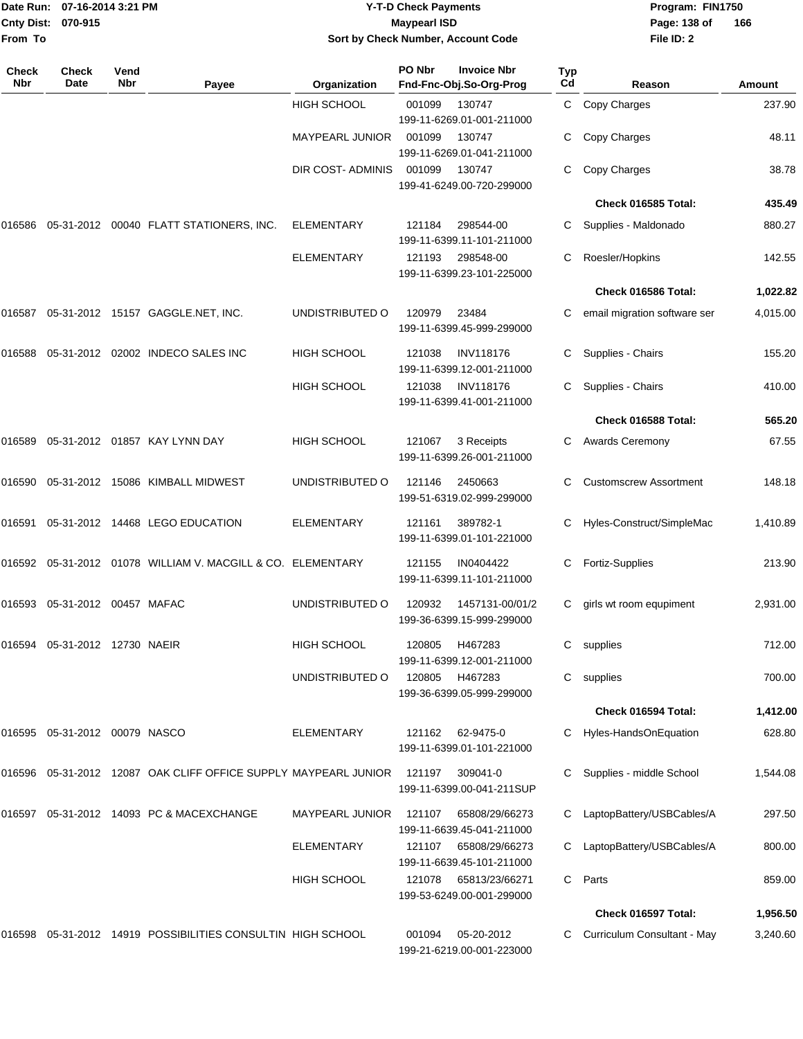|                              | Date Run: 07-16-2014 3:21 PM     |             |                                                                 |                        | <b>Y-T-D Check Payments</b> |                                               |                  | Program: FIN1750              | 166      |  |  |  |
|------------------------------|----------------------------------|-------------|-----------------------------------------------------------------|------------------------|-----------------------------|-----------------------------------------------|------------------|-------------------------------|----------|--|--|--|
| <b>Cnty Dist:</b><br>From To | 070-915                          |             |                                                                 |                        | <b>Maypearl ISD</b>         | Sort by Check Number, Account Code            |                  | Page: 138 of<br>File ID: 2    |          |  |  |  |
| <b>Check</b><br><b>Nbr</b>   | Check<br>Date                    | Vend<br>Nbr | Payee                                                           | Organization           | PO Nbr                      | <b>Invoice Nbr</b><br>Fnd-Fnc-Obj.So-Org-Prog | <b>Typ</b><br>Cd | Reason                        | Amount   |  |  |  |
|                              |                                  |             |                                                                 | <b>HIGH SCHOOL</b>     | 001099                      | 130747<br>199-11-6269.01-001-211000           | C                | Copy Charges                  | 237.90   |  |  |  |
|                              |                                  |             |                                                                 | MAYPEARL JUNIOR        | 001099                      | 130747<br>199-11-6269.01-041-211000           | С                | Copy Charges                  | 48.11    |  |  |  |
|                              |                                  |             |                                                                 | DIR COST- ADMINIS      | 001099                      | 130747<br>199-41-6249.00-720-299000           |                  | Copy Charges                  | 38.78    |  |  |  |
|                              |                                  |             |                                                                 |                        |                             |                                               |                  | Check 016585 Total:           | 435.49   |  |  |  |
|                              |                                  |             | 016586  05-31-2012  00040  FLATT STATIONERS, INC.               | ELEMENTARY             | 121184                      | 298544-00<br>199-11-6399.11-101-211000        |                  | Supplies - Maldonado          | 880.27   |  |  |  |
|                              |                                  |             |                                                                 | ELEMENTARY             | 121193                      | 298548-00<br>199-11-6399.23-101-225000        | С                | Roesler/Hopkins               | 142.55   |  |  |  |
|                              |                                  |             |                                                                 |                        |                             |                                               |                  | Check 016586 Total:           | 1,022.82 |  |  |  |
|                              |                                  |             | 016587  05-31-2012  15157  GAGGLE.NET, INC.                     | UNDISTRIBUTED O        | 120979                      | 23484<br>199-11-6399.45-999-299000            | С                | email migration software ser  | 4,015.00 |  |  |  |
| 016588                       |                                  |             | 05-31-2012 02002 INDECO SALES INC                               | <b>HIGH SCHOOL</b>     | 121038                      | <b>INV118176</b><br>199-11-6399.12-001-211000 | С                | Supplies - Chairs             | 155.20   |  |  |  |
|                              |                                  |             |                                                                 | <b>HIGH SCHOOL</b>     | 121038                      | <b>INV118176</b><br>199-11-6399.41-001-211000 |                  | Supplies - Chairs             | 410.00   |  |  |  |
|                              |                                  |             |                                                                 |                        |                             |                                               |                  | Check 016588 Total:           | 565.20   |  |  |  |
|                              |                                  |             | 016589  05-31-2012  01857  KAY LYNN DAY                         | <b>HIGH SCHOOL</b>     | 121067                      | 3 Receipts<br>199-11-6399.26-001-211000       |                  | Awards Ceremony               | 67.55    |  |  |  |
|                              |                                  |             | 016590 05-31-2012 15086 KIMBALL MIDWEST                         | UNDISTRIBUTED O        | 121146                      | 2450663<br>199-51-6319.02-999-299000          | C                | <b>Customscrew Assortment</b> | 148.18   |  |  |  |
| 016591                       |                                  |             | 05-31-2012  14468  LEGO EDUCATION                               | <b>ELEMENTARY</b>      | 121161                      | 389782-1<br>199-11-6399.01-101-221000         | С                | Hyles-Construct/SimpleMac     | 1,410.89 |  |  |  |
|                              |                                  |             | 016592 05-31-2012 01078 WILLIAM V. MACGILL & CO. ELEMENTARY     |                        | 121155                      | IN0404422<br>199-11-6399.11-101-211000        | C                | <b>Fortiz-Supplies</b>        | 213.90   |  |  |  |
|                              | 016593  05-31-2012  00457  MAFAC |             |                                                                 | UNDISTRIBUTED O        | 120932                      | 1457131-00/01/2<br>199-36-6399.15-999-299000  |                  | C girls wt room equpiment     | 2,931.00 |  |  |  |
|                              | 016594  05-31-2012  12730  NAEIR |             |                                                                 | <b>HIGH SCHOOL</b>     | 120805                      | H467283<br>199-11-6399.12-001-211000          | C                | supplies                      | 712.00   |  |  |  |
|                              |                                  |             |                                                                 | UNDISTRIBUTED O        | 120805                      | H467283<br>199-36-6399.05-999-299000          | C                | supplies                      | 700.00   |  |  |  |
|                              |                                  |             |                                                                 |                        |                             |                                               |                  | Check 016594 Total:           | 1,412.00 |  |  |  |
|                              | 016595 05-31-2012 00079 NASCO    |             |                                                                 | <b>ELEMENTARY</b>      | 121162                      | 62-9475-0<br>199-11-6399.01-101-221000        |                  | Hyles-HandsOnEquation         | 628.80   |  |  |  |
|                              |                                  |             | 016596 05-31-2012 12087 OAK CLIFF OFFICE SUPPLY MAYPEARL JUNIOR |                        | 121197                      | 309041-0<br>199-11-6399.00-041-211SUP         |                  | Supplies - middle School      | 1,544.08 |  |  |  |
|                              |                                  |             | 016597 05-31-2012 14093 PC & MACEXCHANGE                        | <b>MAYPEARL JUNIOR</b> | 121107                      | 65808/29/66273<br>199-11-6639.45-041-211000   |                  | LaptopBattery/USBCables/A     | 297.50   |  |  |  |
|                              |                                  |             |                                                                 | ELEMENTARY             | 121107                      | 65808/29/66273<br>199-11-6639.45-101-211000   |                  | LaptopBattery/USBCables/A     | 800.00   |  |  |  |
|                              |                                  |             |                                                                 | HIGH SCHOOL            | 121078                      | 65813/23/66271<br>199-53-6249.00-001-299000   | C                | Parts                         | 859.00   |  |  |  |
|                              |                                  |             |                                                                 |                        |                             |                                               |                  | Check 016597 Total:           | 1,956.50 |  |  |  |
|                              |                                  |             | 016598 05-31-2012 14919 POSSIBILITIES CONSULTIN HIGH SCHOOL     |                        | 001094                      | 05-20-2012                                    |                  | C Curriculum Consultant - May | 3,240.60 |  |  |  |

199-21-6219.00-001-223000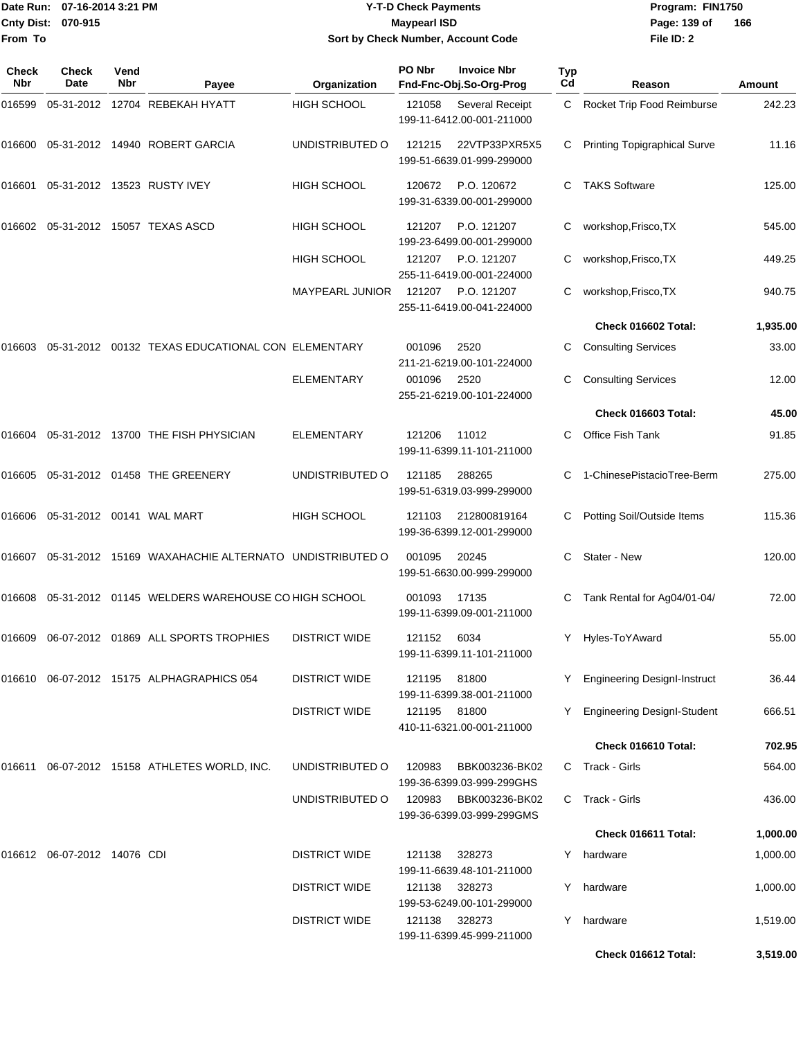| Date Run:<br><b>Cnty Dist:</b><br><b>From To</b> | 07-16-2014 3:21 PM<br>070-915 |                    |                     |                    | <b>Maypearl ISD</b>                                     | <b>Y-T-D Check Payments</b><br>Program: Fl<br>Page: 139 of<br>Sort by Check Number, Account Code |                       |                                  |  |  |  |
|--------------------------------------------------|-------------------------------|--------------------|---------------------|--------------------|---------------------------------------------------------|--------------------------------------------------------------------------------------------------|-----------------------|----------------------------------|--|--|--|
| <b>Check</b><br>Nbr                              | <b>Check</b><br><b>Date</b>   | Vend<br><b>Nbr</b> | Payee               | Organization       | PO Nbr<br><b>Invoice Nbr</b><br>Fnd-Fnc-Obj.So-Org-Prog |                                                                                                  | Typ<br>C <sub>d</sub> | File ID: 2<br>Reason             |  |  |  |
| 016599                                           | 05-31-2012                    |                    | 12704 REBEKAH HYATT | <b>HIGH SCHOOL</b> | 121058                                                  | Several Receipt<br>199-11-6412.00-001-211000                                                     | C.                    | <b>Rocket Trip Food Reimburs</b> |  |  |  |
| 016600                                           | 05-31-2012                    |                    | 14940 ROBERT GARCIA | UNDISTRIBUTED O    | 121215                                                  | 22VTP33PXR5X5<br>199-51-6639.01-999-299000                                                       | C.                    | Printing Topigraphical Surve     |  |  |  |
| 016601                                           | 05-31-2012                    |                    | 13523 RUSTY IVEY    | <b>HIGH SCHOOL</b> | 120672                                                  | P.O. 120672                                                                                      |                       | <b>TAKS Software</b>             |  |  |  |

# **Date Run: Program: FIN1750**

Reason **Amount File ID: 2 166** Rocket Trip Food Reimburse 242.23 Printing Topigraphical Surve 11.16

|                                        |                                                                          |                      |               | 199-51-6639.01-999-299000                       |    |                                     |          |
|----------------------------------------|--------------------------------------------------------------------------|----------------------|---------------|-------------------------------------------------|----|-------------------------------------|----------|
|                                        | 016601  05-31-2012  13523  RUSTY IVEY                                    | <b>HIGH SCHOOL</b>   | 120672        | P.O. 120672<br>199-31-6339.00-001-299000        |    | C TAKS Software                     | 125.00   |
|                                        |                                                                          | <b>HIGH SCHOOL</b>   | 121207        | P.O. 121207<br>199-23-6499.00-001-299000        | C  | workshop, Frisco, TX                | 545.00   |
|                                        |                                                                          | <b>HIGH SCHOOL</b>   | 121207        | P.O. 121207<br>255-11-6419.00-001-224000        |    | workshop, Frisco, TX                | 449.25   |
|                                        |                                                                          | MAYPEARL JUNIOR      |               | 121207 P.O. 121207<br>255-11-6419.00-041-224000 |    | C workshop, Frisco, TX              | 940.75   |
|                                        |                                                                          |                      |               |                                                 |    | Check 016602 Total:                 | 1,935.00 |
|                                        |                                                                          |                      | 001096        | 2520<br>211-21-6219.00-101-224000               |    | C Consulting Services               | 33.00    |
|                                        |                                                                          | <b>ELEMENTARY</b>    | 001096        | 2520<br>255-21-6219.00-101-224000               |    | <b>Consulting Services</b>          | 12.00    |
|                                        |                                                                          |                      |               |                                                 |    | Check 016603 Total:                 | 45.00    |
|                                        | 016604  05-31-2012  13700  THE FISH PHYSICIAN                            | <b>ELEMENTARY</b>    | 121206        | 11012<br>199-11-6399.11-101-211000              | C. | Office Fish Tank                    | 91.85    |
|                                        | 016605  05-31-2012  01458  THE GREENERY                                  | UNDISTRIBUTED O      | 121185        | 288265<br>199-51-6319.03-999-299000             |    | 1-ChinesePistacioTree-Berm          | 275.00   |
| 016606   05-31-2012   00141   WAL MART |                                                                          | <b>HIGH SCHOOL</b>   | 121103        | 212800819164<br>199-36-6399.12-001-299000       |    | C Potting Soil/Outside Items        | 115.36   |
|                                        | 016607   05-31-2012   15169   WAXAHACHIE   ALTERNATO   UNDISTRIBUTED   O |                      | 001095        | 20245<br>199-51-6630.00-999-299000              | C. | Stater - New                        | 120.00   |
|                                        | 016608  05-31-2012  01145  WELDERS WAREHOUSE CO HIGH SCHOOL              |                      | 001093        | 17135<br>199-11-6399.09-001-211000              |    | Tank Rental for Ag04/01-04/         | 72.00    |
|                                        | 016609  06-07-2012  01869  ALL SPORTS TROPHIES                           | <b>DISTRICT WIDE</b> | 121152        | 6034<br>199-11-6399.11-101-211000               | Y  | Hyles-ToYAward                      | 55.00    |
|                                        |                                                                          | <b>DISTRICT WIDE</b> | 121195        | 81800<br>199-11-6399.38-001-211000              | Y. | <b>Engineering DesignI-Instruct</b> | 36.44    |
|                                        |                                                                          | <b>DISTRICT WIDE</b> | 121195        | 81800<br>410-11-6321.00-001-211000              |    | <b>Engineering DesignI-Student</b>  | 666.51   |
|                                        |                                                                          |                      |               |                                                 |    | Check 016610 Total:                 | 702.95   |
|                                        |                                                                          | UNDISTRIBUTED O      | 120983        | BBK003236-BK02<br>199-36-6399.03-999-299GHS     |    | C Track - Girls                     | 564.00   |
|                                        |                                                                          | UNDISTRIBUTED O      | 120983        | BBK003236-BK02<br>199-36-6399.03-999-299GMS     |    | C Track - Girls                     | 436.00   |
|                                        |                                                                          |                      |               |                                                 |    | Check 016611 Total:                 | 1,000.00 |
| 016612 06-07-2012 14076 CDI            |                                                                          | <b>DISTRICT WIDE</b> | 121138        | 328273<br>199-11-6639.48-101-211000             |    | Y hardware                          | 1,000.00 |
|                                        |                                                                          | <b>DISTRICT WIDE</b> | 121138 328273 |                                                 |    | Y hardware                          | 1,000.00 |

199-53-6249.00-101-299000

199-11-6399.45-999-211000

DISTRICT WIDE 121138 328273 Y hardware 1,519.00

**Check 016612 Total: 3,519.00**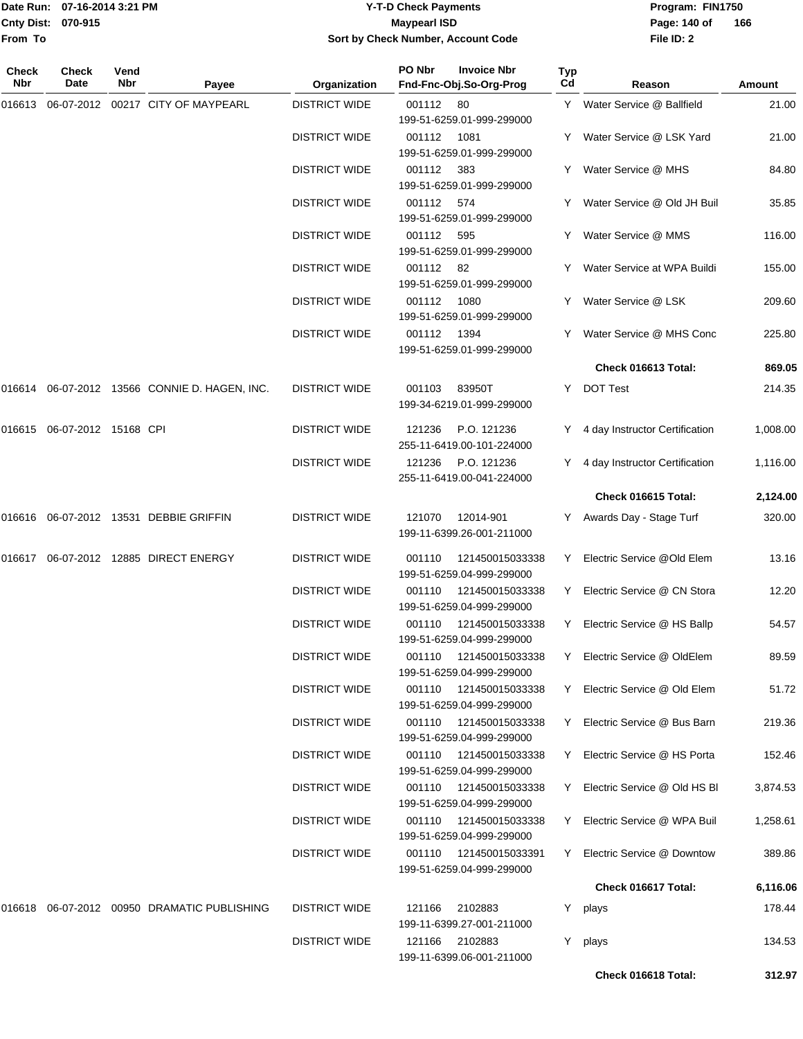**From To**

#### Date Run: 07-16-2014 3:21 PM **Program:** FIN1750 **Cnty Dist:** 070-915 **Page: 140 of** Maypearl ISD **CONTEX IS A RESERVE A Page: 140 of Y-T-D Check Payments 070-915 Maypearl ISD Sort by Check Number, Account Code**

| Check<br>Nbr | <b>Check</b><br>Date | Vend<br>Nbr | Payee                                         | Organization         | PO Nbr      | <b>Invoice Nbr</b><br>Fnd-Fnc-Obj.So-Org-Prog        | <b>Typ</b><br>Cd | Reason                           | Amount   |
|--------------|----------------------|-------------|-----------------------------------------------|----------------------|-------------|------------------------------------------------------|------------------|----------------------------------|----------|
| 016613       |                      |             | 06-07-2012 00217 CITY OF MAYPEARL             | <b>DISTRICT WIDE</b> | 001112 80   | 199-51-6259.01-999-299000                            |                  | Y Water Service @ Ballfield      | 21.00    |
|              |                      |             |                                               | <b>DISTRICT WIDE</b> | 001112 1081 | 199-51-6259.01-999-299000                            |                  | Y Water Service @ LSK Yard       | 21.00    |
|              |                      |             |                                               | <b>DISTRICT WIDE</b> | 001112 383  | 199-51-6259.01-999-299000                            |                  | Y Water Service @ MHS            | 84.80    |
|              |                      |             |                                               | <b>DISTRICT WIDE</b> | 001112 574  | 199-51-6259.01-999-299000                            |                  | Y Water Service @ Old JH Buil    | 35.85    |
|              |                      |             |                                               | <b>DISTRICT WIDE</b> | 001112      | - 595<br>199-51-6259.01-999-299000                   |                  | Y Water Service @ MMS            | 116.00   |
|              |                      |             |                                               | <b>DISTRICT WIDE</b> | 001112 82   | 199-51-6259.01-999-299000                            |                  | Y Water Service at WPA Buildi    | 155.00   |
|              |                      |             |                                               | <b>DISTRICT WIDE</b> | 001112      | 1080<br>199-51-6259.01-999-299000                    |                  | Y Water Service @ LSK            | 209.60   |
|              |                      |             |                                               | <b>DISTRICT WIDE</b> | 001112 1394 | 199-51-6259.01-999-299000                            |                  | Y Water Service @ MHS Conc       | 225.80   |
|              |                      |             |                                               |                      |             |                                                      |                  | Check 016613 Total:              | 869.05   |
|              |                      |             | 016614 06-07-2012 13566 CONNIE D. HAGEN, INC. | <b>DISTRICT WIDE</b> | 001103      | 83950T<br>199-34-6219.01-999-299000                  | Y                | <b>DOT Test</b>                  | 214.35   |
| 016615       | 06-07-2012 15168 CPI |             |                                               | <b>DISTRICT WIDE</b> | 121236      | P.O. 121236<br>255-11-6419.00-101-224000             |                  | Y 4 day Instructor Certification | 1,008.00 |
|              |                      |             |                                               | <b>DISTRICT WIDE</b> | 121236      | P.O. 121236<br>255-11-6419.00-041-224000             |                  | Y 4 day Instructor Certification | 1,116.00 |
|              |                      |             |                                               |                      |             |                                                      |                  | Check 016615 Total:              | 2,124.00 |
| 016616       |                      |             | 06-07-2012 13531 DEBBIE GRIFFIN               | <b>DISTRICT WIDE</b> | 121070      | 12014-901<br>199-11-6399.26-001-211000               |                  | Y Awards Day - Stage Turf        | 320.00   |
|              |                      |             | 016617 06-07-2012 12885 DIRECT ENERGY         | <b>DISTRICT WIDE</b> | 001110      | 121450015033338<br>199-51-6259.04-999-299000         |                  | Y Electric Service @Old Elem     | 13.16    |
|              |                      |             |                                               | <b>DISTRICT WIDE</b> | 001110      | 121450015033338<br>199-51-6259.04-999-299000         | Y                | Electric Service @ CN Stora      | 12.20    |
|              |                      |             |                                               | <b>DISTRICT WIDE</b> | 001110      | 121450015033338<br>199-51-6259.04-999-299000         | Y                | Electric Service @ HS Ballp      | 54.57    |
|              |                      |             |                                               | <b>DISTRICT WIDE</b> | 001110      | 121450015033338<br>199-51-6259.04-999-299000         |                  | Y Electric Service @ OldElem     | 89.59    |
|              |                      |             |                                               | <b>DISTRICT WIDE</b> |             | 001110 121450015033338<br>199-51-6259.04-999-299000  |                  | Y Electric Service @ Old Elem    | 51.72    |
|              |                      |             |                                               | <b>DISTRICT WIDE</b> |             | 001110 121450015033338<br>199-51-6259.04-999-299000  |                  | Y Electric Service @ Bus Barn    | 219.36   |
|              |                      |             |                                               | <b>DISTRICT WIDE</b> |             | 001110 121450015033338<br>199-51-6259.04-999-299000  | Y                | Electric Service @ HS Porta      | 152.46   |
|              |                      |             |                                               | <b>DISTRICT WIDE</b> |             | 001110 121450015033338<br>199-51-6259.04-999-299000  |                  | Y Electric Service @ Old HS BI   | 3,874.53 |
|              |                      |             |                                               | <b>DISTRICT WIDE</b> |             | 001110 121450015033338<br>199-51-6259.04-999-299000  |                  | Y Electric Service @ WPA Buil    | 1,258.61 |
|              |                      |             |                                               | <b>DISTRICT WIDE</b> |             | 001110  121450015033391<br>199-51-6259.04-999-299000 |                  | Y Electric Service @ Downtow     | 389.86   |
|              |                      |             |                                               |                      |             |                                                      |                  | Check 016617 Total:              | 6,116.06 |
| 016618       |                      |             | 06-07-2012 00950 DRAMATIC PUBLISHING          | <b>DISTRICT WIDE</b> | 121166      | 2102883<br>199-11-6399.27-001-211000                 |                  | Y plays                          | 178.44   |
|              |                      |             |                                               | <b>DISTRICT WIDE</b> |             | 121166 2102883<br>199-11-6399.06-001-211000          |                  | Y plays                          | 134.53   |
|              |                      |             |                                               |                      |             |                                                      |                  | Check 016618 Total:              | 312.97   |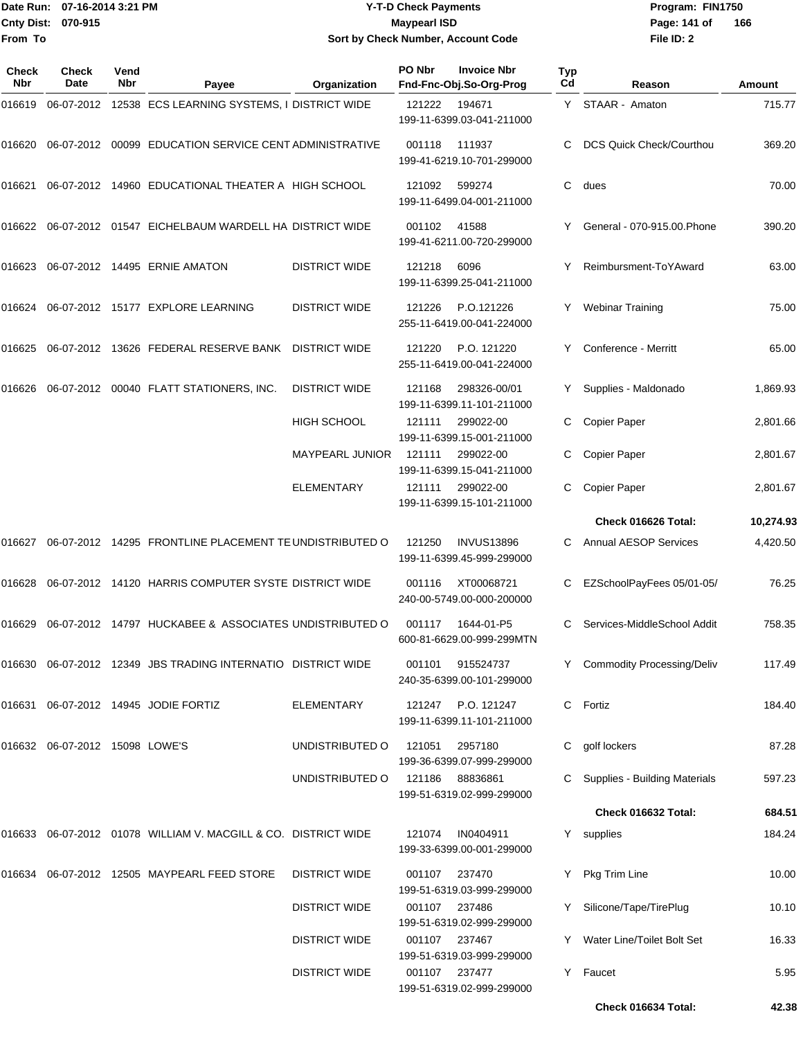# Date Run: 07-16-2014 3:21 PM **Program:** FIN1750 **Y-T-D Check Payments 070-915 Maypearl ISD Sort by Check Number, Account Code**

**File ID: 2** Page: 141 of 166

| Check<br><b>Nbr</b> | Check<br>Date                  | Vend<br>Nbr | Payee                                                             | Organization           | PO Nbr        | <b>Invoice Nbr</b><br>Fnd-Fnc-Obj.So-Org-Prog  | Typ<br>Cd | Reason                          | Amount    |
|---------------------|--------------------------------|-------------|-------------------------------------------------------------------|------------------------|---------------|------------------------------------------------|-----------|---------------------------------|-----------|
| 016619              |                                |             | 06-07-2012 12538 ECS LEARNING SYSTEMS, I DISTRICT WIDE            |                        | 121222        | 194671<br>199-11-6399.03-041-211000            | Y         | STAAR - Amaton                  | 715.77    |
| 016620              |                                |             | 06-07-2012 00099 EDUCATION SERVICE CENT ADMINISTRATIVE            |                        | 001118        | 111937<br>199-41-6219.10-701-299000            | C         | <b>DCS Quick Check/Courthou</b> | 369.20    |
| 016621              |                                |             | 06-07-2012 14960 EDUCATIONAL THEATER A HIGH SCHOOL                |                        | 121092        | 599274<br>199-11-6499.04-001-211000            | C         | dues                            | 70.00     |
|                     |                                |             | 016622 06-07-2012 01547 EICHELBAUM WARDELL HA DISTRICT WIDE       |                        | 001102        | 41588<br>199-41-6211.00-720-299000             |           | General - 070-915.00. Phone     | 390.20    |
| 016623              |                                |             | 06-07-2012 14495 ERNIE AMATON                                     | <b>DISTRICT WIDE</b>   | 121218        | 6096<br>199-11-6399.25-041-211000              | Y         | Reimbursment-ToYAward           | 63.00     |
| 016624              |                                |             | 06-07-2012 15177 EXPLORE LEARNING                                 | <b>DISTRICT WIDE</b>   | 121226        | P.O.121226<br>255-11-6419.00-041-224000        | Y         | <b>Webinar Training</b>         | 75.00     |
| 016625              |                                |             | 06-07-2012 13626 FEDERAL RESERVE BANK                             | <b>DISTRICT WIDE</b>   | 121220        | P.O. 121220<br>255-11-6419.00-041-224000       | Y         | Conference - Merritt            | 65.00     |
| 016626              |                                |             | 06-07-2012 00040 FLATT STATIONERS, INC.                           | <b>DISTRICT WIDE</b>   | 121168        | 298326-00/01<br>199-11-6399.11-101-211000      | Y         | Supplies - Maldonado            | 1,869.93  |
|                     |                                |             |                                                                   | <b>HIGH SCHOOL</b>     | 121111        | 299022-00<br>199-11-6399.15-001-211000         | C         | Copier Paper                    | 2,801.66  |
|                     |                                |             |                                                                   | <b>MAYPEARL JUNIOR</b> | 121111        | 299022-00<br>199-11-6399.15-041-211000         | C         | Copier Paper                    | 2,801.67  |
|                     |                                |             |                                                                   | <b>ELEMENTARY</b>      | 121111        | 299022-00<br>199-11-6399.15-101-211000         | C         | <b>Copier Paper</b>             | 2,801.67  |
|                     |                                |             |                                                                   |                        |               |                                                |           | Check 016626 Total:             | 10,274.93 |
| 016627              |                                |             | 06-07-2012 14295 FRONTLINE PLACEMENT TE UNDISTRIBUTED O           |                        | 121250        | <b>INVUS13896</b><br>199-11-6399.45-999-299000 | C         | <b>Annual AESOP Services</b>    | 4,420.50  |
| 016628              |                                |             | 06-07-2012 14120 HARRIS COMPUTER SYSTE DISTRICT WIDE              |                        | 001116        | XT00068721<br>240-00-5749.00-000-200000        |           | EZSchoolPayFees 05/01-05/       | 76.25     |
| 016629              |                                |             | 06-07-2012 14797 HUCKABEE & ASSOCIATES UNDISTRIBUTED O            |                        | 001117        | 1644-01-P5<br>600-81-6629.00-999-299MTN        | C         | Services-MiddleSchool Addit     | 758.35    |
|                     |                                |             | 016630 06-07-2012 12349 JBS TRADING INTERNATIO DISTRICT WIDE      |                        | 001101        | 915524737<br>240-35-6399.00-101-299000         |           | Y Commodity Processing/Deliv    | 117.49    |
|                     |                                |             | 016631 06-07-2012 14945 JODIE FORTIZ                              | ELEMENTARY             | 121247        | P.O. 121247<br>199-11-6399.11-101-211000       |           | C Fortiz                        | 184.40    |
|                     | 016632 06-07-2012 15098 LOWE'S |             |                                                                   | UNDISTRIBUTED O        | 121051        | 2957180<br>199-36-6399.07-999-299000           | C.        | golf lockers                    | 87.28     |
|                     |                                |             |                                                                   | UNDISTRIBUTED O        | 121186        | 88836861<br>199-51-6319.02-999-299000          |           | Supplies - Building Materials   | 597.23    |
|                     |                                |             |                                                                   |                        |               |                                                |           | Check 016632 Total:             | 684.51    |
|                     |                                |             | 016633  06-07-2012  01078  WILLIAM V. MACGILL & CO. DISTRICT WIDE |                        | 121074        | IN0404911<br>199-33-6399.00-001-299000         |           | Y supplies                      | 184.24    |
|                     |                                |             | 016634 06-07-2012 12505 MAYPEARL FEED STORE                       | <b>DISTRICT WIDE</b>   | 001107        | 237470<br>199-51-6319.03-999-299000            |           | Y Pkg Trim Line                 | 10.00     |
|                     |                                |             |                                                                   | <b>DISTRICT WIDE</b>   | 001107 237486 | 199-51-6319.02-999-299000                      | Y.        | Silicone/Tape/TirePlug          | 10.10     |
|                     |                                |             |                                                                   | <b>DISTRICT WIDE</b>   | 001107 237467 | 199-51-6319.03-999-299000                      | Y.        | Water Line/Toilet Bolt Set      | 16.33     |
|                     |                                |             |                                                                   | <b>DISTRICT WIDE</b>   | 001107 237477 | 199-51-6319.02-999-299000                      |           | Y Faucet                        | 5.95      |
|                     |                                |             |                                                                   |                        |               |                                                |           | Check 016634 Total:             | 42.38     |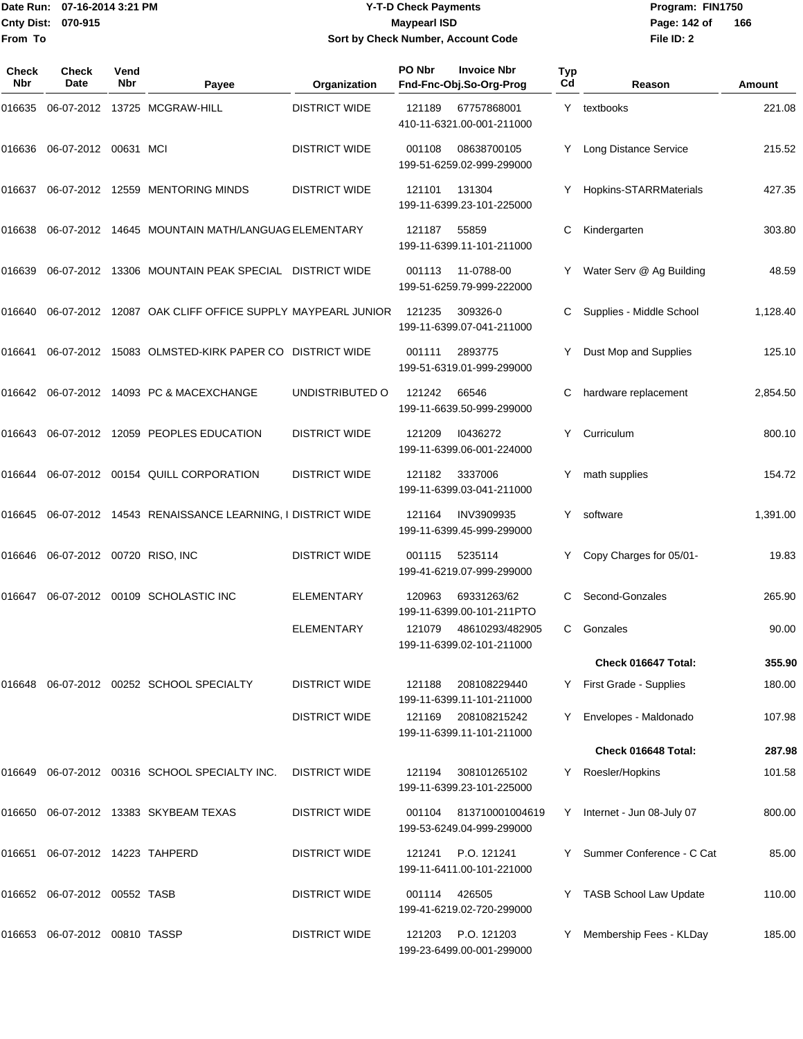# Date Run: 07-16-2014 3:21 PM **Program:** FIN1750 **Y-T-D Check Payments 070-915 Maypearl ISD Sort by Check Number, Account Code**

**File ID: 2** Page: 142 of 166

| Check<br>Nbr | <b>Check</b><br>Date       | Vend<br><b>Nbr</b> | Payee                                                    | Organization         | PO Nbr | <b>Invoice Nbr</b><br>Fnd-Fnc-Obj.So-Org-Prog   | Typ<br>Cd | Reason                      | Amount   |
|--------------|----------------------------|--------------------|----------------------------------------------------------|----------------------|--------|-------------------------------------------------|-----------|-----------------------------|----------|
| 016635       |                            |                    | 06-07-2012 13725 MCGRAW-HILL                             | <b>DISTRICT WIDE</b> | 121189 | 67757868001<br>410-11-6321.00-001-211000        |           | Y textbooks                 | 221.08   |
| 016636       | 06-07-2012 00631 MCI       |                    |                                                          | <b>DISTRICT WIDE</b> | 001108 | 08638700105<br>199-51-6259.02-999-299000        |           | Y Long Distance Service     | 215.52   |
| 016637       |                            |                    | 06-07-2012 12559 MENTORING MINDS                         | <b>DISTRICT WIDE</b> | 121101 | 131304<br>199-11-6399.23-101-225000             |           | Hopkins-STARRMaterials      | 427.35   |
| 016638       |                            |                    | 06-07-2012 14645 MOUNTAIN MATH/LANGUAG ELEMENTARY        |                      | 121187 | 55859<br>199-11-6399.11-101-211000              | С         | Kindergarten                | 303.80   |
| 016639       |                            |                    | 06-07-2012 13306 MOUNTAIN PEAK SPECIAL DISTRICT WIDE     |                      | 001113 | 11-0788-00<br>199-51-6259.79-999-222000         |           | Water Serv @ Ag Building    | 48.59    |
| 016640       |                            |                    | 06-07-2012 12087 OAK CLIFF OFFICE SUPPLY MAYPEARL JUNIOR |                      | 121235 | 309326-0<br>199-11-6399.07-041-211000           | С         | Supplies - Middle School    | 1,128.40 |
| 016641       |                            |                    | 06-07-2012 15083 OLMSTED-KIRK PAPER CO DISTRICT WIDE     |                      | 001111 | 2893775<br>199-51-6319.01-999-299000            |           | Dust Mop and Supplies       | 125.10   |
|              |                            |                    | 016642    06-07-2012    14093    PC & MACEXCHANGE        | UNDISTRIBUTED O      | 121242 | 66546<br>199-11-6639.50-999-299000              |           | hardware replacement        | 2,854.50 |
| 016643       |                            |                    | 06-07-2012 12059 PEOPLES EDUCATION                       | <b>DISTRICT WIDE</b> | 121209 | 10436272<br>199-11-6399.06-001-224000           | Y         | Curriculum                  | 800.10   |
| 016644       |                            |                    | 06-07-2012 00154 QUILL CORPORATION                       | <b>DISTRICT WIDE</b> | 121182 | 3337006<br>199-11-6399.03-041-211000            | Y         | math supplies               | 154.72   |
| 016645       |                            |                    | 06-07-2012 14543 RENAISSANCE LEARNING, I DISTRICT WIDE   |                      | 121164 | <b>INV3909935</b><br>199-11-6399.45-999-299000  | Y         | software                    | 1,391.00 |
| 016646       | 06-07-2012 00720 RISO, INC |                    |                                                          | <b>DISTRICT WIDE</b> | 001115 | 5235114<br>199-41-6219.07-999-299000            |           | Copy Charges for 05/01-     | 19.83    |
| 016647       |                            |                    | 06-07-2012 00109 SCHOLASTIC INC                          | <b>ELEMENTARY</b>    | 120963 | 69331263/62<br>199-11-6399.00-101-211PTO        | С         | Second-Gonzales             | 265.90   |
|              |                            |                    |                                                          | ELEMENTARY           | 121079 | 48610293/482905<br>199-11-6399.02-101-211000    | C         | Gonzales                    | 90.00    |
|              |                            |                    |                                                          |                      |        |                                                 |           | Check 016647 Total:         | 355.90   |
| 016648       |                            |                    | 06-07-2012 00252 SCHOOL SPECIALTY                        | <b>DISTRICT WIDE</b> | 121188 | 208108229440<br>199-11-6399.11-101-211000       |           | Y First Grade - Supplies    | 180.00   |
|              |                            |                    |                                                          | <b>DISTRICT WIDE</b> | 121169 | 208108215242<br>199-11-6399.11-101-211000       | Y         | Envelopes - Maldonado       | 107.98   |
|              |                            |                    |                                                          |                      |        |                                                 |           | Check 016648 Total:         | 287.98   |
|              |                            |                    | 016649 06-07-2012 00316 SCHOOL SPECIALTY INC.            | <b>DISTRICT WIDE</b> | 121194 | 308101265102<br>199-11-6399.23-101-225000       |           | Y Roesler/Hopkins           | 101.58   |
|              |                            |                    | 016650 06-07-2012 13383 SKYBEAM TEXAS                    | <b>DISTRICT WIDE</b> | 001104 | 813710001004619<br>199-53-6249.04-999-299000    |           | Y Internet - Jun 08-July 07 | 800.00   |
| 016651       | 06-07-2012 14223 TAHPERD   |                    |                                                          | <b>DISTRICT WIDE</b> | 121241 | P.O. 121241<br>199-11-6411.00-101-221000        |           | Y Summer Conference - C Cat | 85.00    |
|              |                            |                    |                                                          | <b>DISTRICT WIDE</b> | 001114 | 426505<br>199-41-6219.02-720-299000             |           | Y TASB School Law Update    | 110.00   |
|              |                            |                    |                                                          | <b>DISTRICT WIDE</b> |        | 121203 P.O. 121203<br>199-23-6499.00-001-299000 |           | Y Membership Fees - KLDay   | 185.00   |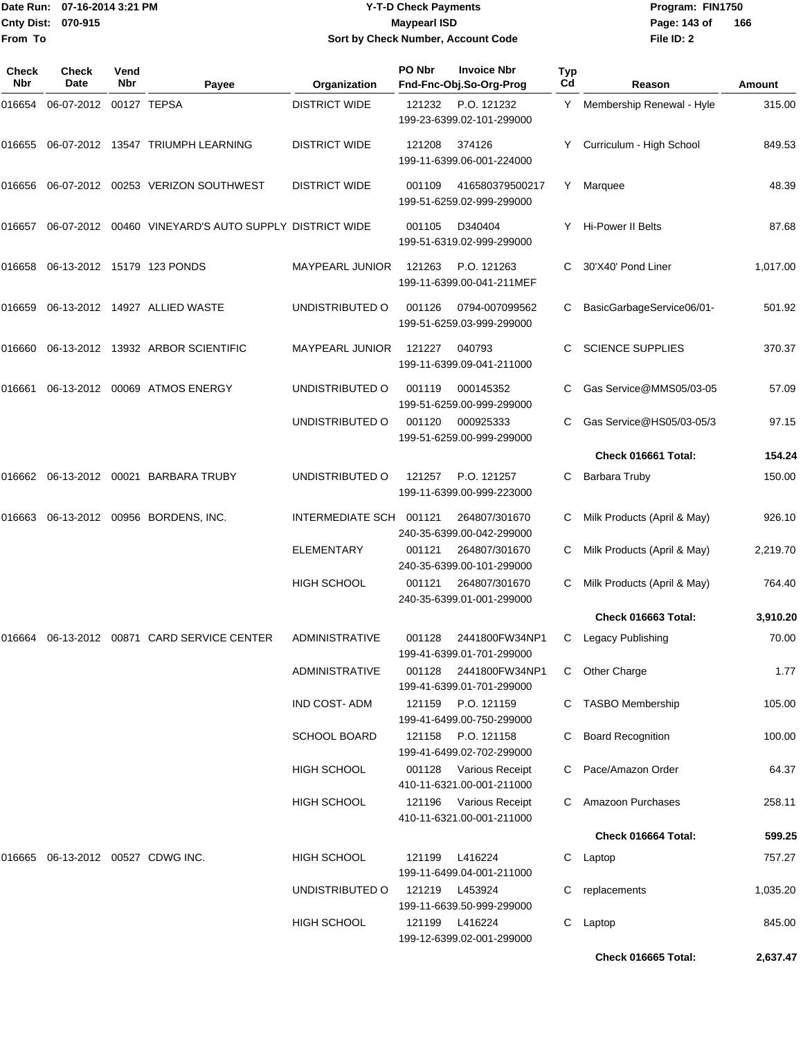**From To**

#### Date Run: 07-16-2014 3:21 PM **Program:** FIN1750 **Cnty Dist:** 070-915 **Page: 143 of MaypearI ISD Page: 143 of Y-T-D Check Payments 070-915 Maypearl ISD Sort by Check Number, Account Code**

| Check<br>Nbr | Check<br>Date              | Vend<br><b>Nbr</b> | Payee                                                 | Organization            | PO Nbr         | <b>Invoice Nbr</b><br>Fnd-Fnc-Obj.So-Org-Prog       | <b>Typ</b><br>Cd | Reason                      | Amount   |
|--------------|----------------------------|--------------------|-------------------------------------------------------|-------------------------|----------------|-----------------------------------------------------|------------------|-----------------------------|----------|
| 016654       | 06-07-2012 00127 TEPSA     |                    |                                                       | <b>DISTRICT WIDE</b>    | 121232         | P.O. 121232<br>199-23-6399.02-101-299000            | Y.               | Membership Renewal - Hyle   | 315.00   |
| 016655       |                            |                    | 06-07-2012 13547 TRIUMPH LEARNING                     | <b>DISTRICT WIDE</b>    | 121208         | 374126<br>199-11-6399.06-001-224000                 |                  | Curriculum - High School    | 849.53   |
| 016656       |                            |                    | 06-07-2012  00253  VERIZON SOUTHWEST                  | <b>DISTRICT WIDE</b>    | 001109         | 416580379500217<br>199-51-6259.02-999-299000        | Y                | Marquee                     | 48.39    |
| 016657       |                            |                    | 06-07-2012 00460 VINEYARD'S AUTO SUPPLY DISTRICT WIDE |                         | 001105         | D340404<br>199-51-6319.02-999-299000                | Y                | Hi-Power II Belts           | 87.68    |
| 016658       |                            |                    | 06-13-2012 15179 123 PONDS                            | <b>MAYPEARL JUNIOR</b>  | 121263         | P.O. 121263<br>199-11-6399.00-041-211MEF            | C                | 30'X40' Pond Liner          | 1,017.00 |
| 016659       |                            |                    | 06-13-2012 14927 ALLIED WASTE                         | UNDISTRIBUTED O         | 001126         | 0794-007099562<br>199-51-6259.03-999-299000         | C                | BasicGarbageService06/01-   | 501.92   |
| 016660       |                            |                    | 06-13-2012 13932 ARBOR SCIENTIFIC                     | <b>MAYPEARL JUNIOR</b>  | 121227         | 040793<br>199-11-6399.09-041-211000                 |                  | <b>SCIENCE SUPPLIES</b>     | 370.37   |
| 016661       |                            |                    | 06-13-2012 00069 ATMOS ENERGY                         | UNDISTRIBUTED O         | 001119         | 000145352<br>199-51-6259.00-999-299000              | C                | Gas Service@MMS05/03-05     | 57.09    |
|              |                            |                    |                                                       | UNDISTRIBUTED O         | 001120         | 000925333<br>199-51-6259.00-999-299000              | С                | Gas Service@HS05/03-05/3    | 97.15    |
|              |                            |                    |                                                       |                         |                |                                                     |                  | Check 016661 Total:         | 154.24   |
| 016662       |                            |                    | 06-13-2012 00021 BARBARA TRUBY                        | UNDISTRIBUTED O         | 121257         | P.O. 121257<br>199-11-6399.00-999-223000            | С                | Barbara Truby               | 150.00   |
| 016663       |                            |                    | 06-13-2012 00956 BORDENS, INC.                        | INTERMEDIATE SCH 001121 |                | 264807/301670<br>240-35-6399.00-042-299000          | С                | Milk Products (April & May) | 926.10   |
|              |                            |                    |                                                       | <b>ELEMENTARY</b>       | 001121         | 264807/301670<br>240-35-6399.00-101-299000          | С                | Milk Products (April & May) | 2,219.70 |
|              |                            |                    |                                                       | <b>HIGH SCHOOL</b>      | 001121         | 264807/301670<br>240-35-6399.01-001-299000          | С                | Milk Products (April & May) | 764.40   |
|              |                            |                    |                                                       |                         |                |                                                     |                  | Check 016663 Total:         | 3,910.20 |
| 016664       |                            |                    | 06-13-2012 00871 CARD SERVICE CENTER                  | ADMINISTRATIVE          | 001128         | 2441800FW34NP1<br>199-41-6399.01-701-299000         | С                | Legacy Publishing           | 70.00    |
|              |                            |                    |                                                       | <b>ADMINISTRATIVE</b>   | 001128         | 2441800FW34NP1<br>199-41-6399.01-701-299000         | C                | Other Charge                | 1.77     |
|              |                            |                    |                                                       | <b>IND COST-ADM</b>     | 121159         | P.O. 121159<br>199-41-6499.00-750-299000            |                  | <b>TASBO Membership</b>     | 105.00   |
|              |                            |                    |                                                       | <b>SCHOOL BOARD</b>     |                | 121158 P.O. 121158<br>199-41-6499.02-702-299000     | С                | <b>Board Recognition</b>    | 100.00   |
|              |                            |                    |                                                       | <b>HIGH SCHOOL</b>      |                | 001128 Various Receipt<br>410-11-6321.00-001-211000 |                  | C Pace/Amazon Order         | 64.37    |
|              |                            |                    |                                                       | <b>HIGH SCHOOL</b>      |                | 121196 Various Receipt<br>410-11-6321.00-001-211000 |                  | C Amazoon Purchases         | 258.11   |
|              |                            |                    |                                                       |                         |                |                                                     |                  | Check 016664 Total:         | 599.25   |
| 016665       | 06-13-2012 00527 CDWG INC. |                    |                                                       | <b>HIGH SCHOOL</b>      | 121199         | L416224<br>199-11-6499.04-001-211000                |                  | C Laptop                    | 757.27   |
|              |                            |                    |                                                       | UNDISTRIBUTED O         | 121219 L453924 | 199-11-6639.50-999-299000                           |                  | replacements                | 1,035.20 |
|              |                            |                    |                                                       | <b>HIGH SCHOOL</b>      | 121199         | L416224<br>199-12-6399.02-001-299000                | C.               | Laptop                      | 845.00   |
|              |                            |                    |                                                       |                         |                |                                                     |                  | Check 016665 Total:         | 2,637.47 |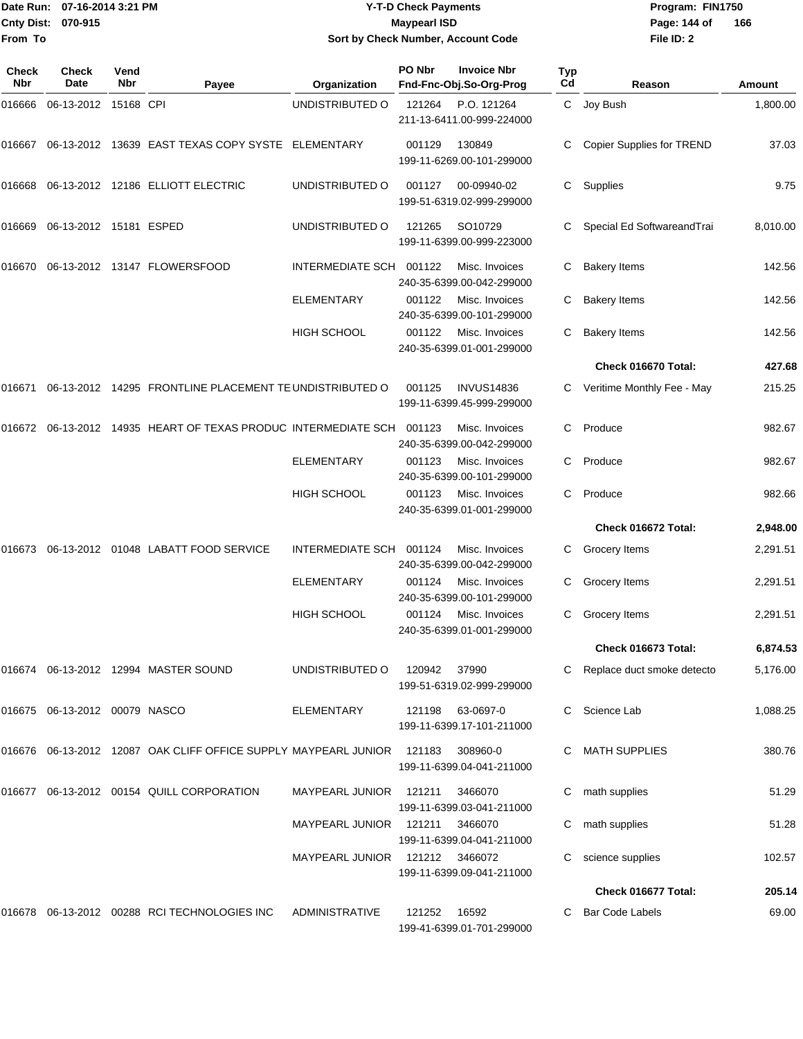|                     | Date Run: 07-16-2014 3:21 PM<br>Cnty Dist: 070-915 |                    |                                                                   |                                    | <b>Y-T-D Check Payments</b> |                                                  |           | Program: FIN1750                 | 166<br>Amount |
|---------------------|----------------------------------------------------|--------------------|-------------------------------------------------------------------|------------------------------------|-----------------------------|--------------------------------------------------|-----------|----------------------------------|---------------|
| From To             |                                                    |                    |                                                                   | Sort by Check Number, Account Code | <b>Maypearl ISD</b>         |                                                  |           | Page: 144 of<br>File ID: 2       |               |
| <b>Check</b><br>Nbr | Check<br>Date                                      | Vend<br><b>Nbr</b> | Payee                                                             | Organization                       | PO Nbr                      | <b>Invoice Nbr</b><br>Fnd-Fnc-Obj.So-Org-Prog    | Typ<br>Cd | Reason                           |               |
| 016666              | 06-13-2012 15168 CPI                               |                    |                                                                   | UNDISTRIBUTED O                    | 121264                      | P.O. 121264<br>211-13-6411.00-999-224000         | C.        | Joy Bush                         | 1,800.00      |
|                     |                                                    |                    | 016667  06-13-2012  13639  EAST TEXAS COPY SYSTE  ELEMENTARY      |                                    | 001129                      | 130849<br>199-11-6269.00-101-299000              |           | <b>Copier Supplies for TREND</b> | 37.03         |
|                     |                                                    |                    | 016668 06-13-2012 12186 ELLIOTT ELECTRIC                          | UNDISTRIBUTED O                    | 001127                      | 00-09940-02<br>199-51-6319.02-999-299000         | С         | Supplies                         | 9.75          |
| 016669              | 06-13-2012 15181 ESPED                             |                    |                                                                   | UNDISTRIBUTED O                    | 121265                      | SO <sub>10729</sub><br>199-11-6399.00-999-223000 |           | Special Ed SoftwareandTrai       | 8,010.00      |
| 016670              |                                                    |                    | 06-13-2012  13147  FLOWERSFOOD                                    | INTERMEDIATE SCH 001122            |                             | Misc. Invoices<br>240-35-6399.00-042-299000      | С         | <b>Bakery Items</b>              | 142.56        |
|                     |                                                    |                    |                                                                   | ELEMENTARY                         | 001122                      | Misc. Invoices<br>240-35-6399.00-101-299000      | С         | <b>Bakery Items</b>              | 142.56        |
|                     |                                                    |                    |                                                                   | <b>HIGH SCHOOL</b>                 | 001122                      | Misc. Invoices<br>240-35-6399.01-001-299000      | С         | <b>Bakery Items</b>              | 142.56        |
|                     |                                                    |                    |                                                                   |                                    |                             |                                                  |           | Check 016670 Total:              | 427.68        |
| 016671              |                                                    |                    | 06-13-2012 14295 FRONTLINE PLACEMENT TE UNDISTRIBUTED O           |                                    | 001125                      | <b>INVUS14836</b><br>199-11-6399.45-999-299000   | C         | Veritime Monthly Fee - May       | 215.25        |
|                     |                                                    |                    | 016672  06-13-2012  14935  HEART OF TEXAS PRODUC INTERMEDIATE SCH |                                    | 001123                      | Misc. Invoices<br>240-35-6399.00-042-299000      | С         | Produce                          | 982.67        |
|                     |                                                    |                    |                                                                   | <b>ELEMENTARY</b>                  | 001123                      | Misc. Invoices<br>240-35-6399.00-101-299000      | С         | Produce                          | 982.67        |
|                     |                                                    |                    |                                                                   | HIGH SCHOOL                        | 001123                      | Misc. Invoices<br>240-35-6399.01-001-299000      | С         | Produce                          | 982.66        |
|                     |                                                    |                    |                                                                   |                                    |                             |                                                  |           | Check 016672 Total:              | 2,948.00      |
| 016673              |                                                    |                    | 06-13-2012 01048 LABATT FOOD SERVICE                              | INTERMEDIATE SCH 001124            |                             | Misc. Invoices<br>240-35-6399.00-042-299000      | C         | Grocery Items                    | 2,291.51      |
|                     |                                                    |                    |                                                                   | <b>ELEMENTARY</b>                  | 001124                      | Misc. Invoices<br>240-35-6399.00-101-299000      |           | C Grocery Items                  | 2,291.51      |
|                     |                                                    |                    |                                                                   | <b>HIGH SCHOOL</b>                 | 001124                      | Misc. Invoices<br>240-35-6399.01-001-299000      |           | C Grocery Items                  | 2,291.51      |
|                     |                                                    |                    |                                                                   |                                    |                             |                                                  |           | Check 016673 Total:              | 6,874.53      |
|                     |                                                    |                    | 016674 06-13-2012 12994 MASTER SOUND                              | UNDISTRIBUTED O                    | 120942                      | 37990<br>199-51-6319.02-999-299000               |           | Replace duct smoke detecto       | 5,176.00      |
|                     | 016675 06-13-2012 00079 NASCO                      |                    |                                                                   | <b>ELEMENTARY</b>                  | 121198                      | 63-0697-0<br>199-11-6399.17-101-211000           | C.        | Science Lab                      | 1,088.25      |
|                     |                                                    |                    | 016676 06-13-2012 12087 OAK CLIFF OFFICE SUPPLY MAYPEARL JUNIOR   |                                    | 121183                      | 308960-0<br>199-11-6399.04-041-211000            |           | <b>MATH SUPPLIES</b>             | 380.76        |
|                     |                                                    |                    | 016677 06-13-2012 00154 QUILL CORPORATION                         | MAYPEARL JUNIOR                    | 121211                      | 3466070<br>199-11-6399.03-041-211000             | C         | math supplies                    | 51.29         |
|                     |                                                    |                    |                                                                   | MAYPEARL JUNIOR                    | 121211                      | 3466070<br>199-11-6399.04-041-211000             |           | math supplies                    | 51.28         |
|                     |                                                    |                    |                                                                   | MAYPEARL JUNIOR                    | 121212 3466072              | 199-11-6399.09-041-211000                        |           | science supplies                 | 102.57        |
|                     |                                                    |                    |                                                                   |                                    |                             |                                                  |           | Check 016677 Total:              | 205.14        |
|                     |                                                    |                    | 016678  06-13-2012  00288  RCI TECHNOLOGIES INC                   | ADMINISTRATIVE                     | 121252                      | 16592                                            |           | C Bar Code Labels                | 69.00         |

199-41-6399.01-701-299000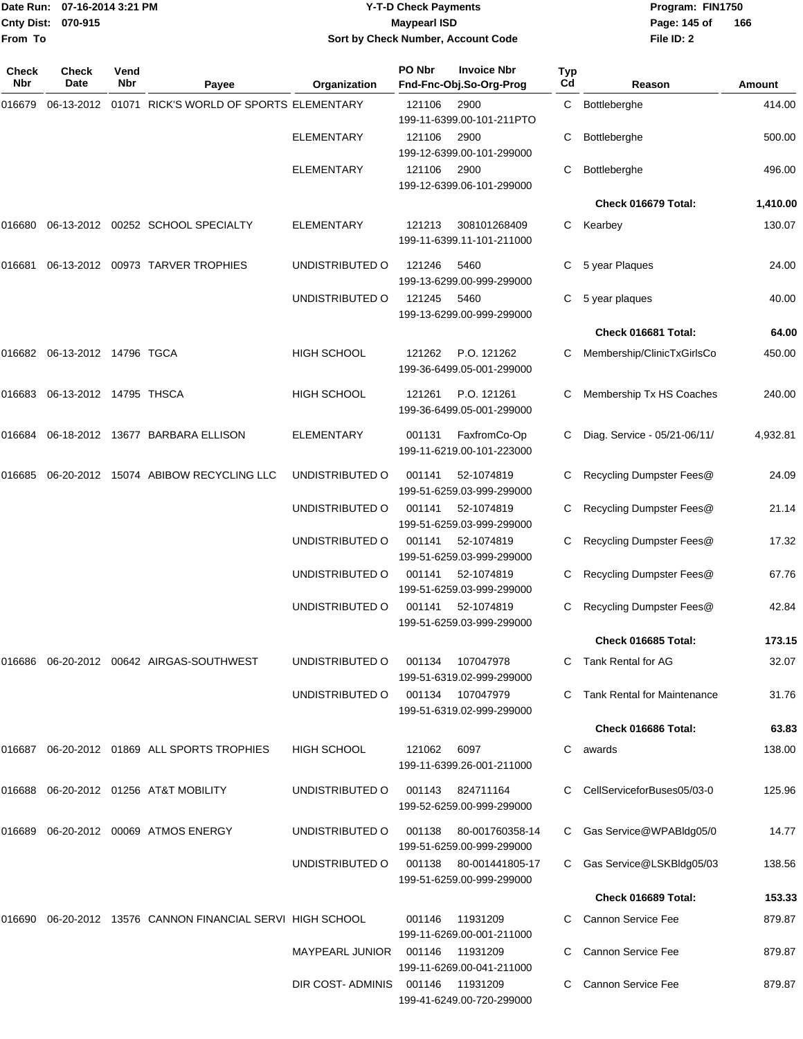**From To**

### Date Run: 07-16-2014 3:21 PM **Program:** FIN1750 **Cnty Dist:** 070-915 **Page:** 145 of **Y-T-D Check Payments 070-915 Maypearl ISD Sort by Check Number, Account Code**

| Check<br><b>Nbr</b> | Check<br>Date          | Vend<br><b>Nbr</b> | Payee                                               | Organization           | PO Nbr | <b>Invoice Nbr</b><br>Fnd-Fnc-Obj.So-Org-Prog       | <b>Typ</b><br>Cd | Reason                             | Amount   |
|---------------------|------------------------|--------------------|-----------------------------------------------------|------------------------|--------|-----------------------------------------------------|------------------|------------------------------------|----------|
| 016679              | 06-13-2012             |                    | 01071 RICK'S WORLD OF SPORTS ELEMENTARY             |                        | 121106 | 2900<br>199-11-6399.00-101-211PTO                   | C                | Bottleberghe                       | 414.00   |
|                     |                        |                    |                                                     | <b>ELEMENTARY</b>      | 121106 | 2900<br>199-12-6399.00-101-299000                   | С                | Bottleberghe                       | 500.00   |
|                     |                        |                    |                                                     | <b>ELEMENTARY</b>      | 121106 | 2900<br>199-12-6399.06-101-299000                   | С                | <b>Bottleberghe</b>                | 496.00   |
|                     |                        |                    |                                                     |                        |        |                                                     |                  | Check 016679 Total:                | 1,410.00 |
| 016680              |                        |                    | 06-13-2012 00252 SCHOOL SPECIALTY                   | <b>ELEMENTARY</b>      | 121213 | 308101268409<br>199-11-6399.11-101-211000           | C                | Kearbey                            | 130.07   |
| 016681              |                        |                    | 06-13-2012 00973 TARVER TROPHIES                    | UNDISTRIBUTED O        | 121246 | 5460<br>199-13-6299.00-999-299000                   |                  | 5 year Plaques                     | 24.00    |
|                     |                        |                    |                                                     | UNDISTRIBUTED O        | 121245 | 5460<br>199-13-6299.00-999-299000                   | C                | 5 year plaques                     | 40.00    |
|                     |                        |                    |                                                     |                        |        |                                                     |                  | Check 016681 Total:                | 64.00    |
| 016682              | 06-13-2012 14796 TGCA  |                    |                                                     | HIGH SCHOOL            | 121262 | P.O. 121262<br>199-36-6499.05-001-299000            | C                | Membership/ClinicTxGirlsCo         | 450.00   |
| 016683              | 06-13-2012 14795 THSCA |                    |                                                     | <b>HIGH SCHOOL</b>     | 121261 | P.O. 121261<br>199-36-6499.05-001-299000            | C                | Membership Tx HS Coaches           | 240.00   |
| 016684              |                        |                    | 06-18-2012 13677 BARBARA ELLISON                    | <b>ELEMENTARY</b>      | 001131 | FaxfromCo-Op<br>199-11-6219.00-101-223000           |                  | Diag. Service - 05/21-06/11/       | 4,932.81 |
| 016685              |                        |                    | 06-20-2012 15074 ABIBOW RECYCLING LLC               | UNDISTRIBUTED O        | 001141 | 52-1074819<br>199-51-6259.03-999-299000             | С                | Recycling Dumpster Fees@           | 24.09    |
|                     |                        |                    |                                                     | UNDISTRIBUTED O        | 001141 | 52-1074819<br>199-51-6259.03-999-299000             | С                | Recycling Dumpster Fees@           | 21.14    |
|                     |                        |                    |                                                     | UNDISTRIBUTED O        | 001141 | 52-1074819<br>199-51-6259.03-999-299000             | C.               | Recycling Dumpster Fees@           | 17.32    |
|                     |                        |                    |                                                     | UNDISTRIBUTED O        | 001141 | 52-1074819<br>199-51-6259.03-999-299000             | C                | Recycling Dumpster Fees@           | 67.76    |
|                     |                        |                    |                                                     | UNDISTRIBUTED O        | 001141 | 52-1074819<br>199-51-6259.03-999-299000             | C                | Recycling Dumpster Fees@           | 42.84    |
|                     |                        |                    |                                                     |                        |        |                                                     |                  | Check 016685 Total:                | 173.15   |
| 016686              |                        |                    | 06-20-2012 00642 AIRGAS-SOUTHWEST                   | UNDISTRIBUTED O        | 001134 | 107047978<br>199-51-6319.02-999-299000              |                  | Tank Rental for AG                 | 32.07    |
|                     |                        |                    |                                                     | UNDISTRIBUTED O        |        | 001134 107047979<br>199-51-6319.02-999-299000       |                  | <b>Tank Rental for Maintenance</b> | 31.76    |
|                     |                        |                    |                                                     |                        |        |                                                     |                  | Check 016686 Total:                | 63.83    |
| 016687              |                        |                    | 06-20-2012 01869 ALL SPORTS TROPHIES                | <b>HIGH SCHOOL</b>     | 121062 | 6097<br>199-11-6399.26-001-211000                   | C                | awards                             | 138.00   |
| 016688              |                        |                    | 06-20-2012 01256 AT&T MOBILITY                      | UNDISTRIBUTED O        | 001143 | 824711164<br>199-52-6259.00-999-299000              |                  | CellServiceforBuses05/03-0         | 125.96   |
| 016689              |                        |                    | 06-20-2012 00069 ATMOS ENERGY                       | UNDISTRIBUTED O        | 001138 | 80-001760358-14<br>199-51-6259.00-999-299000        | C                | Gas Service@WPABldg05/0            | 14.77    |
|                     |                        |                    |                                                     | UNDISTRIBUTED O        |        | 001138 80-001441805-17<br>199-51-6259.00-999-299000 |                  | C Gas Service@LSKBldg05/03         | 138.56   |
|                     |                        |                    |                                                     |                        |        |                                                     |                  | Check 016689 Total:                | 153.33   |
| 016690              |                        |                    | 06-20-2012 13576 CANNON FINANCIAL SERVI HIGH SCHOOL |                        | 001146 | 11931209<br>199-11-6269.00-001-211000               |                  | C Cannon Service Fee               | 879.87   |
|                     |                        |                    |                                                     | <b>MAYPEARL JUNIOR</b> | 001146 | 11931209<br>199-11-6269.00-041-211000               |                  | Cannon Service Fee                 | 879.87   |
|                     |                        |                    |                                                     | DIR COST- ADMINIS      | 001146 | 11931209<br>199-41-6249.00-720-299000               | C.               | Cannon Service Fee                 | 879.87   |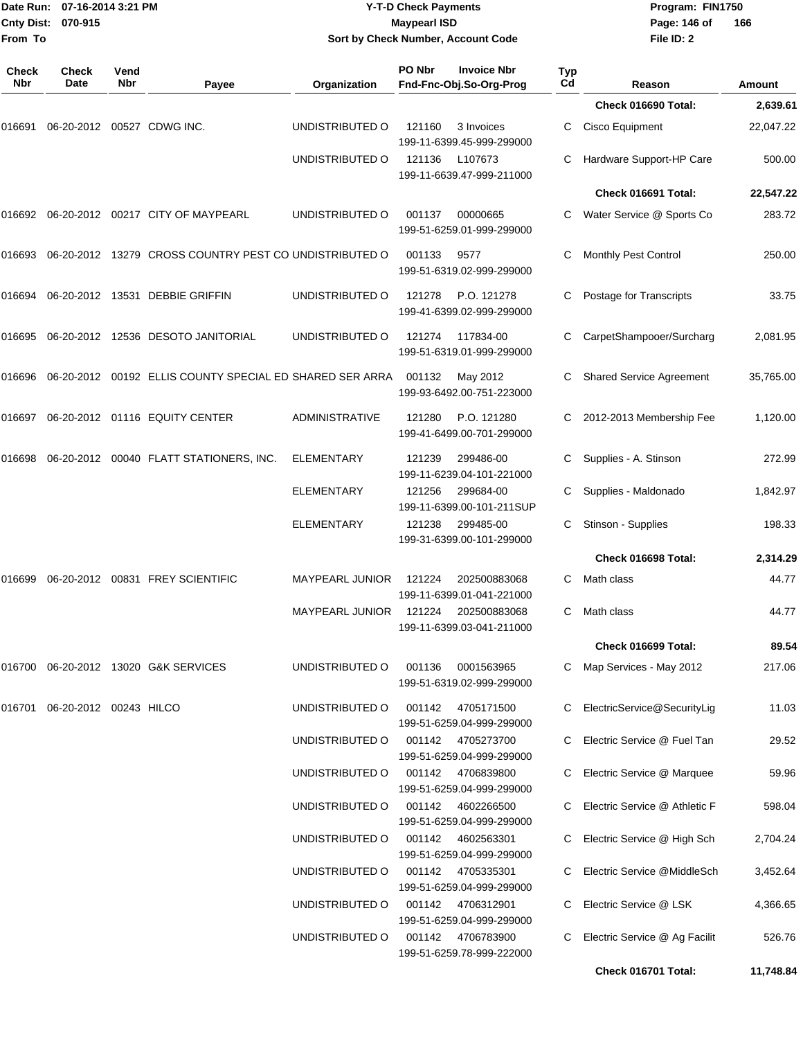| From To             | Date Run: 07-16-2014 3:21 PM<br>Cnty Dist: 070-915 |             |                                                          |                        | <b>Y-T-D Check Payments</b><br><b>Maypearl ISD</b> | Sort by Check Number, Account Code             |           | Program: FIN1750<br>Page: 146 of<br>File ID: 2 | 166           |
|---------------------|----------------------------------------------------|-------------|----------------------------------------------------------|------------------------|----------------------------------------------------|------------------------------------------------|-----------|------------------------------------------------|---------------|
| <b>Check</b><br>Nbr | Check<br>Date                                      | Vend<br>Nbr | Payee                                                    | Organization           | PO Nbr                                             | <b>Invoice Nbr</b><br>Fnd-Fnc-Obj.So-Org-Prog  | Typ<br>Cd | Reason                                         | <b>Amount</b> |
|                     |                                                    |             |                                                          |                        |                                                    |                                                |           | Check 016690 Total:                            | 2,639.61      |
| 016691              |                                                    |             | 06-20-2012 00527 CDWG INC.                               | UNDISTRIBUTED O        | 121160                                             | 3 Invoices<br>199-11-6399.45-999-299000        | С         | Cisco Equipment                                | 22,047.22     |
|                     |                                                    |             |                                                          | UNDISTRIBUTED O        | 121136                                             | L107673<br>199-11-6639.47-999-211000           | С         | Hardware Support-HP Care                       | 500.00        |
|                     |                                                    |             |                                                          |                        |                                                    |                                                |           | Check 016691 Total:                            | 22,547.22     |
| 016692              |                                                    |             | 06-20-2012 00217 CITY OF MAYPEARL                        | UNDISTRIBUTED O        | 001137                                             | 00000665<br>199-51-6259.01-999-299000          | С         | Water Service @ Sports Co                      | 283.72        |
| 016693              |                                                    |             | 06-20-2012 13279 CROSS COUNTRY PEST CO UNDISTRIBUTED O   |                        | 001133                                             | 9577<br>199-51-6319.02-999-299000              | С         | Monthly Pest Control                           | 250.00        |
| 016694              |                                                    |             | 06-20-2012 13531 DEBBIE GRIFFIN                          | UNDISTRIBUTED O        | 121278                                             | P.O. 121278<br>199-41-6399.02-999-299000       | С         | Postage for Transcripts                        | 33.75         |
| 016695              |                                                    |             | 06-20-2012 12536 DESOTO JANITORIAL                       | UNDISTRIBUTED O        | 121274                                             | 117834-00<br>199-51-6319.01-999-299000         | С         | CarpetShampooer/Surcharg                       | 2,081.95      |
| 016696              |                                                    |             | 06-20-2012 00192 ELLIS COUNTY SPECIAL ED SHARED SER ARRA |                        | 001132                                             | May 2012<br>199-93-6492.00-751-223000          | С         | <b>Shared Service Agreement</b>                | 35,765.00     |
| 016697              |                                                    |             | 06-20-2012 01116 EQUITY CENTER                           | <b>ADMINISTRATIVE</b>  | 121280                                             | P.O. 121280<br>199-41-6499.00-701-299000       | C         | 2012-2013 Membership Fee                       | 1,120.00      |
| 016698              |                                                    |             | 06-20-2012 00040 FLATT STATIONERS, INC.                  | <b>ELEMENTARY</b>      | 121239                                             | 299486-00<br>199-11-6239.04-101-221000         | С         | Supplies - A. Stinson                          | 272.99        |
|                     |                                                    |             |                                                          | <b>ELEMENTARY</b>      | 121256                                             | 299684-00<br>199-11-6399.00-101-211SUP         | С         | Supplies - Maldonado                           | 1,842.97      |
|                     |                                                    |             |                                                          | ELEMENTARY             | 121238                                             | 299485-00<br>199-31-6399.00-101-299000         | С         | Stinson - Supplies                             | 198.33        |
|                     |                                                    |             |                                                          |                        |                                                    |                                                |           | Check 016698 Total:                            | 2,314.29      |
|                     |                                                    |             | 016699 06-20-2012 00831 FREY SCIENTIFIC                  | <b>MAYPEARL JUNIOR</b> | 121224                                             | 202500883068<br>199-11-6399.01-041-221000      | С         | Math class                                     | 44.77         |
|                     |                                                    |             |                                                          | <b>MAYPEARL JUNIOR</b> | 121224                                             | 202500883068<br>199-11-6399.03-041-211000      |           | C Math class                                   | 44.77         |
|                     |                                                    |             |                                                          |                        |                                                    |                                                |           | Check 016699 Total:                            | 89.54         |
|                     |                                                    |             | 016700 06-20-2012 13020 G&K SERVICES                     | UNDISTRIBUTED O        | 001136                                             | 0001563965<br>199-51-6319.02-999-299000        |           | C Map Services - May 2012                      | 217.06        |
|                     | 016701 06-20-2012 00243 HILCO                      |             |                                                          | UNDISTRIBUTED O        | 001142                                             | 4705171500<br>199-51-6259.04-999-299000        | C.        | ElectricService@SecurityLig                    | 11.03         |
|                     |                                                    |             |                                                          | UNDISTRIBUTED O        |                                                    | 001142 4705273700<br>199-51-6259.04-999-299000 | C.        | Electric Service @ Fuel Tan                    | 29.52         |
|                     |                                                    |             |                                                          | UNDISTRIBUTED O        | 001142                                             | 4706839800<br>199-51-6259.04-999-299000        | C.        | Electric Service @ Marquee                     | 59.96         |
|                     |                                                    |             |                                                          | UNDISTRIBUTED O        | 001142                                             | 4602266500<br>199-51-6259.04-999-299000        | C.        | Electric Service @ Athletic F                  | 598.04        |
|                     |                                                    |             |                                                          | UNDISTRIBUTED O        | 001142                                             | 4602563301<br>199-51-6259.04-999-299000        | C.        | Electric Service @ High Sch                    | 2,704.24      |
|                     |                                                    |             |                                                          | UNDISTRIBUTED O        | 001142                                             | 4705335301<br>199-51-6259.04-999-299000        | C.        | Electric Service @MiddleSch                    | 3,452.64      |
|                     |                                                    |             |                                                          | UNDISTRIBUTED O        |                                                    | 001142 4706312901<br>199-51-6259.04-999-299000 | C.        | Electric Service @ LSK                         | 4,366.65      |
|                     |                                                    |             |                                                          | UNDISTRIBUTED O        |                                                    | 001142 4706783900<br>199-51-6259.78-999-222000 | C.        | Electric Service @ Ag Facilit                  | 526.76        |
|                     |                                                    |             |                                                          |                        |                                                    |                                                |           | Check 016701 Total:                            | 11,748.84     |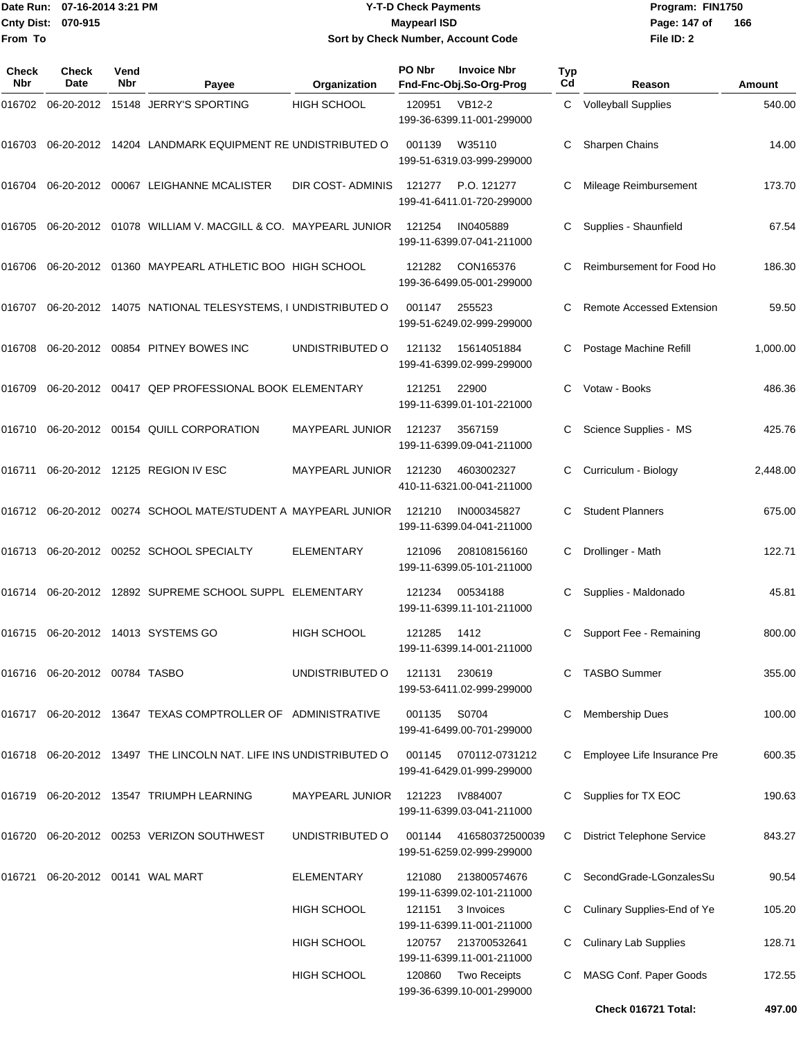**From To**

### Date Run: 07-16-2014 3:21 PM **Program:** FIN1750 **Cnty Dist:** 070-915 **Page: 147 of MaypearI ISD Page: 147 of Y-T-D Check Payments 070-915 Maypearl ISD Sort by Check Number, Account Code**

| <b>Check</b><br><b>Nbr</b> | Check<br><b>Date</b>                | Vend<br>Nbr | Payee                                                             | Organization            | PO Nbr | <b>Invoice Nbr</b><br>Fnd-Fnc-Obj.So-Org-Prog                                 | <b>Typ</b><br>Cd | Reason                            | Amount   |
|----------------------------|-------------------------------------|-------------|-------------------------------------------------------------------|-------------------------|--------|-------------------------------------------------------------------------------|------------------|-----------------------------------|----------|
| 016702                     | 06-20-2012                          |             | 15148 JERRY'S SPORTING                                            | <b>HIGH SCHOOL</b>      | 120951 | <b>VB12-2</b><br>199-36-6399.11-001-299000                                    | C                | <b>Volleyball Supplies</b>        | 540.00   |
| 016703                     |                                     |             | 06-20-2012 14204 LANDMARK EQUIPMENT RE UNDISTRIBUTED O            |                         | 001139 | W35110<br>199-51-6319.03-999-299000                                           |                  | Sharpen Chains                    | 14.00    |
| 016704                     | 06-20-2012                          |             | 00067 LEIGHANNE MCALISTER                                         | <b>DIR COST-ADMINIS</b> | 121277 | P.O. 121277<br>199-41-6411.01-720-299000                                      | С                | Mileage Reimbursement             | 173.70   |
| 016705                     |                                     |             | 06-20-2012  01078  WILLIAM V. MACGILL & CO. MAYPEARL JUNIOR       |                         | 121254 | IN0405889<br>199-11-6399.07-041-211000                                        | C                | Supplies - Shaunfield             | 67.54    |
| 016706                     | 06-20-2012                          |             | 01360 MAYPEARL ATHLETIC BOO HIGH SCHOOL                           |                         | 121282 | CON165376<br>199-36-6499.05-001-299000                                        | С                | Reimbursement for Food Ho         | 186.30   |
| 016707                     |                                     |             | 06-20-2012 14075 NATIONAL TELESYSTEMS, I UNDISTRIBUTED O          |                         | 001147 | 255523<br>199-51-6249.02-999-299000                                           | C                | <b>Remote Accessed Extension</b>  | 59.50    |
| 016708                     |                                     |             | 06-20-2012 00854 PITNEY BOWES INC                                 | UNDISTRIBUTED O         | 121132 | 15614051884<br>199-41-6399.02-999-299000                                      | С                | Postage Machine Refill            | 1,000.00 |
| 016709                     |                                     |             | 06-20-2012 00417 QEP PROFESSIONAL BOOK ELEMENTARY                 |                         | 121251 | 22900<br>199-11-6399.01-101-221000                                            |                  | Votaw - Books                     | 486.36   |
| 016710                     |                                     |             | 06-20-2012 00154 QUILL CORPORATION                                | <b>MAYPEARL JUNIOR</b>  | 121237 | 3567159<br>199-11-6399.09-041-211000                                          | С                | Science Supplies - MS             | 425.76   |
| 016711                     |                                     |             | 06-20-2012 12125 REGION IV ESC                                    | <b>MAYPEARL JUNIOR</b>  | 121230 | 4603002327<br>410-11-6321.00-041-211000                                       | С                | Curriculum - Biology              | 2,448.00 |
| 016712                     | 06-20-2012                          |             | 00274 SCHOOL MATE/STUDENT A MAYPEARL JUNIOR                       |                         | 121210 | IN000345827<br>199-11-6399.04-041-211000                                      |                  | <b>Student Planners</b>           | 675.00   |
| 016713                     | 06-20-2012                          |             | 00252 SCHOOL SPECIALTY                                            | <b>ELEMENTARY</b>       | 121096 | 208108156160<br>199-11-6399.05-101-211000                                     | C                | Drollinger - Math                 | 122.71   |
| 016714                     | 06-20-2012                          |             | 12892 SUPREME SCHOOL SUPPL ELEMENTARY                             |                         | 121234 | 00534188<br>199-11-6399.11-101-211000                                         | С                | Supplies - Maldonado              | 45.81    |
|                            |                                     |             | 016715 06-20-2012 14013 SYSTEMS GO                                | <b>HIGH SCHOOL</b>      | 121285 | 1412<br>199-11-6399.14-001-211000                                             |                  | Support Fee - Remaining           | 800.00   |
|                            | 016716   06-20-2012   00784   TASBO |             |                                                                   | UNDISTRIBUTED O         | 121131 | 230619<br>199-53-6411.02-999-299000                                           |                  | <b>TASBO Summer</b>               | 355.00   |
|                            |                                     |             | 016717 06-20-2012 13647 TEXAS COMPTROLLER OF ADMINISTRATIVE       |                         | 001135 | S0704<br>199-41-6499.00-701-299000                                            | C                | Membership Dues                   | 100.00   |
|                            |                                     |             | 016718 06-20-2012 13497 THE LINCOLN NAT. LIFE INS UNDISTRIBUTED O |                         | 001145 | 070112-0731212<br>199-41-6429.01-999-299000                                   |                  | Employee Life Insurance Pre       | 600.35   |
|                            |                                     |             | 016719 06-20-2012 13547 TRIUMPH LEARNING                          | <b>MAYPEARL JUNIOR</b>  | 121223 | IV884007<br>199-11-6399.03-041-211000                                         |                  | Supplies for TX EOC               | 190.63   |
|                            |                                     |             | 016720 06-20-2012 00253 VERIZON SOUTHWEST                         | UNDISTRIBUTED O         | 001144 | 416580372500039<br>199-51-6259.02-999-299000                                  | C                | <b>District Telephone Service</b> | 843.27   |
| 016721                     |                                     |             |                                                                   | <b>ELEMENTARY</b>       | 121080 | 213800574676<br>199-11-6399.02-101-211000                                     |                  | SecondGrade-LGonzalesSu           | 90.54    |
|                            |                                     |             |                                                                   | <b>HIGH SCHOOL</b>      | 121151 | 3 Invoices<br>199-11-6399.11-001-211000                                       | C                | Culinary Supplies-End of Ye       | 105.20   |
|                            |                                     |             |                                                                   | <b>HIGH SCHOOL</b>      | 120757 | 213700532641                                                                  |                  | <b>Culinary Lab Supplies</b>      | 128.71   |
|                            |                                     |             |                                                                   | HIGH SCHOOL             | 120860 | 199-11-6399.11-001-211000<br><b>Two Receipts</b><br>199-36-6399.10-001-299000 |                  | MASG Conf. Paper Goods            | 172.55   |
|                            |                                     |             |                                                                   |                         |        |                                                                               |                  | Check 016721 Total:               | 497.00   |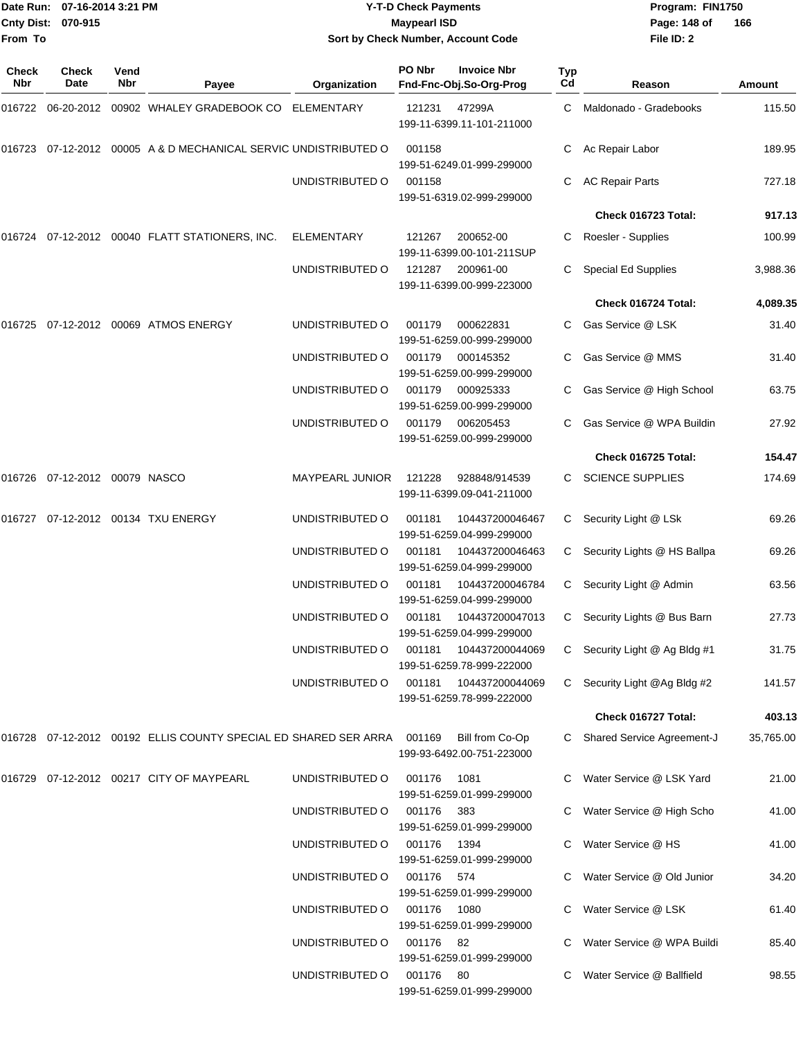|                    | Date Run: 07-16-2014 3:21 PM |
|--------------------|------------------------------|
| Cnty Dist: 070-915 |                              |
| From To            |                              |

# **Date Run: Program: FIN1750 07-16-2014 3:21 PM Y-T-D Check Payments Cnty Dist: Page: 148 of 070-915 Maypearl ISD Sort by Check Number, Account Code**

| Check<br><b>Nbr</b> | Check<br>Date                 | Vend<br><b>Nbr</b> | Payee                                                                  | Organization           | PO Nbr      | <b>Invoice Nbr</b><br>Fnd-Fnc-Obj.So-Org-Prog | Typ<br>Cd | Reason                            | Amount    |
|---------------------|-------------------------------|--------------------|------------------------------------------------------------------------|------------------------|-------------|-----------------------------------------------|-----------|-----------------------------------|-----------|
|                     |                               |                    | 016722 06-20-2012 00902   WHALEY GRADEBOOK CO ELEMENTARY               |                        | 121231      | 47299A<br>199-11-6399.11-101-211000           | C.        | Maldonado - Gradebooks            | 115.50    |
|                     |                               |                    | 016723 07-12-2012 00005 A & D MECHANICAL SERVIC UNDISTRIBUTED O        |                        | 001158      | 199-51-6249.01-999-299000                     |           | Ac Repair Labor                   | 189.95    |
|                     |                               |                    |                                                                        | UNDISTRIBUTED O        | 001158      | 199-51-6319.02-999-299000                     | С         | <b>AC Repair Parts</b>            | 727.18    |
|                     |                               |                    |                                                                        |                        |             |                                               |           | Check 016723 Total:               | 917.13    |
|                     |                               |                    | 016724 07-12-2012 00040 FLATT STATIONERS, INC.                         | ELEMENTARY             | 121267      | 200652-00<br>199-11-6399.00-101-211SUP        | C         | Roesler - Supplies                | 100.99    |
|                     |                               |                    |                                                                        | UNDISTRIBUTED O        | 121287      | 200961-00<br>199-11-6399.00-999-223000        | C         | <b>Special Ed Supplies</b>        | 3,988.36  |
|                     |                               |                    |                                                                        |                        |             |                                               |           | Check 016724 Total:               | 4,089.35  |
|                     |                               |                    | 016725 07-12-2012 00069 ATMOS ENERGY                                   | UNDISTRIBUTED O        | 001179      | 000622831<br>199-51-6259.00-999-299000        | C.        | Gas Service @ LSK                 | 31.40     |
|                     |                               |                    |                                                                        | UNDISTRIBUTED O        | 001179      | 000145352<br>199-51-6259.00-999-299000        |           | Gas Service @ MMS                 | 31.40     |
|                     |                               |                    |                                                                        | UNDISTRIBUTED O        | 001179      | 000925333<br>199-51-6259.00-999-299000        |           | Gas Service @ High School         | 63.75     |
|                     |                               |                    |                                                                        | UNDISTRIBUTED O        | 001179      | 006205453<br>199-51-6259.00-999-299000        |           | Gas Service @ WPA Buildin         | 27.92     |
|                     |                               |                    |                                                                        |                        |             |                                               |           | Check 016725 Total:               | 154.47    |
|                     | 016726 07-12-2012 00079 NASCO |                    |                                                                        | <b>MAYPEARL JUNIOR</b> | 121228      | 928848/914539<br>199-11-6399.09-041-211000    | C.        | <b>SCIENCE SUPPLIES</b>           | 174.69    |
| 016727              |                               |                    | 07-12-2012 00134 TXU ENERGY                                            | UNDISTRIBUTED O        | 001181      | 104437200046467<br>199-51-6259.04-999-299000  | C         | Security Light @ LSk              | 69.26     |
|                     |                               |                    |                                                                        | UNDISTRIBUTED O        | 001181      | 104437200046463<br>199-51-6259.04-999-299000  | C         | Security Lights @ HS Ballpa       | 69.26     |
|                     |                               |                    |                                                                        | UNDISTRIBUTED O        | 001181      | 104437200046784<br>199-51-6259.04-999-299000  | C         | Security Light @ Admin            | 63.56     |
|                     |                               |                    |                                                                        | UNDISTRIBUTED O        | 001181      | 104437200047013<br>199-51-6259.04-999-299000  | C         | Security Lights @ Bus Barn        | 27.73     |
|                     |                               |                    |                                                                        | UNDISTRIBUTED O        | 001181      | 104437200044069<br>199-51-6259.78-999-222000  |           | C Security Light @ Ag Bldg #1     | 31.75     |
|                     |                               |                    |                                                                        | UNDISTRIBUTED O        | 001181      | 104437200044069<br>199-51-6259.78-999-222000  |           | C Security Light @Ag Bldg #2      | 141.57    |
|                     |                               |                    |                                                                        |                        |             |                                               |           | Check 016727 Total:               | 403.13    |
|                     |                               |                    | 016728 07-12-2012 00192 ELLIS COUNTY SPECIAL ED SHARED SER ARRA 001169 |                        |             | Bill from Co-Op<br>199-93-6492.00-751-223000  |           | <b>Shared Service Agreement-J</b> | 35,765.00 |
|                     |                               |                    | 016729 07-12-2012 00217 CITY OF MAYPEARL                               | UNDISTRIBUTED O        | 001176      | 1081<br>199-51-6259.01-999-299000             |           | Water Service @ LSK Yard          | 21.00     |
|                     |                               |                    |                                                                        | UNDISTRIBUTED O        | 001176 383  | 199-51-6259.01-999-299000                     |           | C Water Service @ High Scho       | 41.00     |
|                     |                               |                    |                                                                        | UNDISTRIBUTED O        | 001176 1394 | 199-51-6259.01-999-299000                     |           | Water Service @ HS                | 41.00     |
|                     |                               |                    |                                                                        | UNDISTRIBUTED O        | 001176 574  | 199-51-6259.01-999-299000                     |           | Water Service @ Old Junior        | 34.20     |
|                     |                               |                    |                                                                        | UNDISTRIBUTED O        | 001176 1080 | 199-51-6259.01-999-299000                     |           | Water Service @ LSK               | 61.40     |
|                     |                               |                    |                                                                        | UNDISTRIBUTED O        | 001176 82   | 199-51-6259.01-999-299000                     |           | Water Service @ WPA Buildi        | 85.40     |
|                     |                               |                    |                                                                        | UNDISTRIBUTED O        | 001176 80   | 199-51-6259.01-999-299000                     |           | Water Service @ Ballfield         | 98.55     |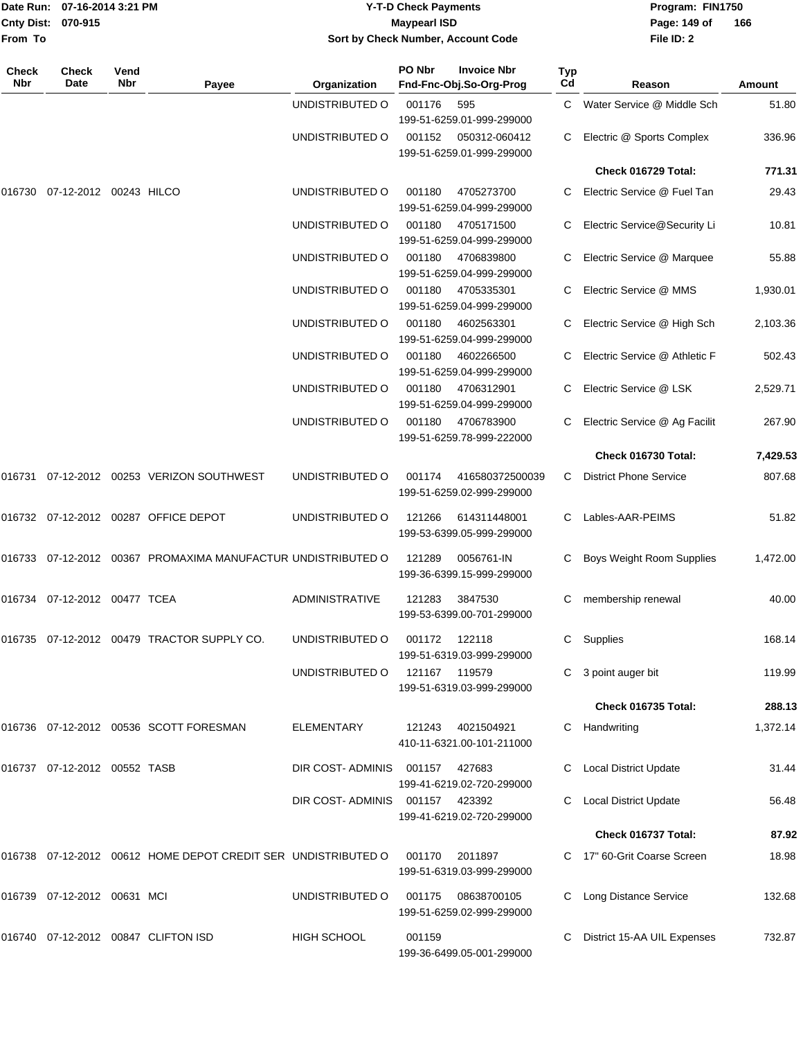| <b>Cnty Dist:</b><br>From To | Date Run: 07-16-2014 3:21 PM<br>070-915 |             |                                                               | Sort by Check Number, Account Code | <b>Y-T-D Check Payments</b><br><b>Maypearl ISD</b> |                                                 | Program: FIN1750<br>Page: 149 of<br>166<br>File ID: 2 |                               |               |
|------------------------------|-----------------------------------------|-------------|---------------------------------------------------------------|------------------------------------|----------------------------------------------------|-------------------------------------------------|-------------------------------------------------------|-------------------------------|---------------|
| Check<br><b>Nbr</b>          | Check<br>Date                           | Vend<br>Nbr | Payee                                                         | Organization                       | PO Nbr                                             | <b>Invoice Nbr</b><br>Fnd-Fnc-Obj.So-Org-Prog   | Typ<br>Cd                                             | Reason                        | <b>Amount</b> |
|                              |                                         |             |                                                               | UNDISTRIBUTED O                    | 001176                                             | 595<br>199-51-6259.01-999-299000                |                                                       | C Water Service @ Middle Sch  | 51.80         |
|                              |                                         |             |                                                               | UNDISTRIBUTED O                    | 001152                                             | 050312-060412<br>199-51-6259.01-999-299000      | С                                                     | Electric @ Sports Complex     | 336.96        |
|                              |                                         |             |                                                               |                                    |                                                    |                                                 |                                                       | Check 016729 Total:           | 771.31        |
| 016730                       | 07-12-2012 00243 HILCO                  |             |                                                               | UNDISTRIBUTED O                    | 001180                                             | 4705273700<br>199-51-6259.04-999-299000         | С                                                     | Electric Service @ Fuel Tan   | 29.43         |
|                              |                                         |             |                                                               | UNDISTRIBUTED O                    | 001180                                             | 4705171500<br>199-51-6259.04-999-299000         | С                                                     | Electric Service@Security Li  | 10.81         |
|                              |                                         |             |                                                               | UNDISTRIBUTED O                    | 001180                                             | 4706839800<br>199-51-6259.04-999-299000         | C.                                                    | Electric Service @ Marquee    | 55.88         |
|                              |                                         |             |                                                               | UNDISTRIBUTED O                    | 001180                                             | 4705335301<br>199-51-6259.04-999-299000         | С                                                     | Electric Service @ MMS        | 1,930.01      |
|                              |                                         |             |                                                               | UNDISTRIBUTED O                    | 001180                                             | 4602563301<br>199-51-6259.04-999-299000         | С                                                     | Electric Service @ High Sch   | 2,103.36      |
|                              |                                         |             |                                                               | UNDISTRIBUTED O                    | 001180                                             | 4602266500<br>199-51-6259.04-999-299000         |                                                       | Electric Service @ Athletic F | 502.43        |
|                              |                                         |             |                                                               | UNDISTRIBUTED O                    | 001180                                             | 4706312901<br>199-51-6259.04-999-299000         | С                                                     | Electric Service @ LSK        | 2,529.71      |
|                              |                                         |             |                                                               | UNDISTRIBUTED O                    | 001180                                             | 4706783900<br>199-51-6259.78-999-222000         | С                                                     | Electric Service @ Ag Facilit | 267.90        |
|                              |                                         |             |                                                               |                                    |                                                    |                                                 |                                                       | Check 016730 Total:           | 7,429.53      |
|                              |                                         |             | 016731 07-12-2012 00253 VERIZON SOUTHWEST                     | UNDISTRIBUTED O                    | 001174                                             | 416580372500039<br>199-51-6259.02-999-299000    | С                                                     | <b>District Phone Service</b> | 807.68        |
|                              |                                         |             | 016732 07-12-2012 00287 OFFICE DEPOT                          | UNDISTRIBUTED O                    | 121266                                             | 614311448001<br>199-53-6399.05-999-299000       | С                                                     | Lables-AAR-PEIMS              | 51.82         |
|                              |                                         |             | 016733 07-12-2012 00367 PROMAXIMA MANUFACTUR UNDISTRIBUTED O  |                                    | 121289                                             | 0056761-IN<br>199-36-6399.15-999-299000         | С                                                     | Boys Weight Room Supplies     | 1,472.00      |
|                              | 016734 07-12-2012 00477 TCEA            |             |                                                               | ADMINISTRATIVE                     | 121283                                             | 3847530<br>199-53-6399.00-701-299000            |                                                       | C membership renewal          | 40.00         |
|                              |                                         |             | 016735 07-12-2012 00479 TRACTOR SUPPLY CO.                    | UNDISTRIBUTED O                    | 001172 122118                                      | 199-51-6319.03-999-299000                       |                                                       | C Supplies                    | 168.14        |
|                              |                                         |             |                                                               | UNDISTRIBUTED O                    | 121167 119579                                      | 199-51-6319.03-999-299000                       |                                                       | C 3 point auger bit           | 119.99        |
|                              |                                         |             |                                                               |                                    |                                                    |                                                 |                                                       | Check 016735 Total:           | 288.13        |
|                              |                                         |             | 016736 07-12-2012 00536 SCOTT FORESMAN                        | <b>ELEMENTARY</b>                  | 121243                                             | 4021504921<br>410-11-6321.00-101-211000         |                                                       | C Handwriting                 | 1,372.14      |
|                              | 016737 07-12-2012 00552 TASB            |             |                                                               | DIR COST-ADMINIS                   | 001157                                             | 427683<br>199-41-6219.02-720-299000             |                                                       | C Local District Update       | 31.44         |
|                              |                                         |             |                                                               | DIR COST-ADMINIS 001157            |                                                    | 423392<br>199-41-6219.02-720-299000             |                                                       | C Local District Update       | 56.48         |
|                              |                                         |             |                                                               |                                    |                                                    |                                                 |                                                       | Check 016737 Total:           | 87.92         |
|                              |                                         |             | 016738 07-12-2012 00612 HOME DEPOT CREDIT SER UNDISTRIBUTED O |                                    | 001170                                             | 2011897<br>199-51-6319.03-999-299000            |                                                       | C 17" 60-Grit Coarse Screen   | 18.98         |
|                              | 016739 07-12-2012 00631 MCI             |             |                                                               | UNDISTRIBUTED O                    |                                                    | 001175 08638700105<br>199-51-6259.02-999-299000 |                                                       | C Long Distance Service       | 132.68        |
|                              |                                         |             | 016740 07-12-2012 00847 CLIFTON ISD                           | <b>HIGH SCHOOL</b>                 | 001159                                             | 199-36-6499.05-001-299000                       |                                                       | District 15-AA UIL Expenses   | 732.87        |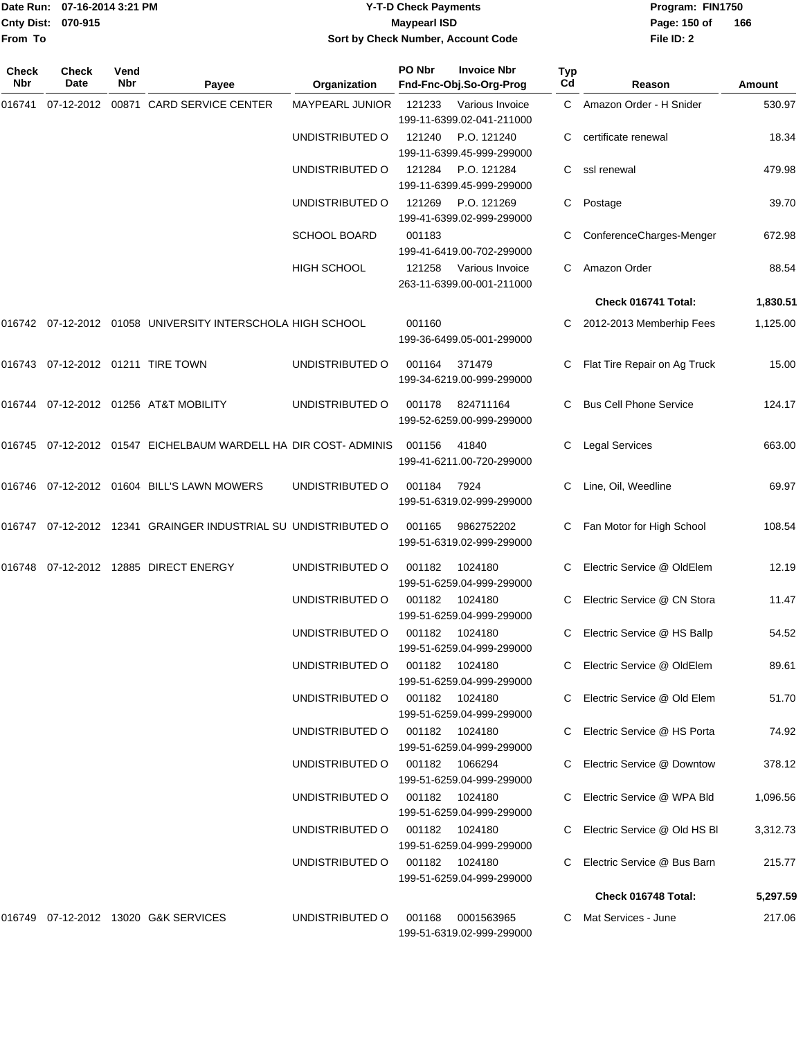**Cnty Dist: 070-915 From To**

## Date Run: 07-16-2014 3:21 PM **Program:** FIN1750 **Y-T-D Check Payments 070-915 Maypearl ISD Sort by Check Number, Account Code**

**File ID: 2** Page: 150 of 166

| Check<br><b>Nbr</b> | <b>Check</b><br>Date | Vend<br>Nbr | Payee                                                           | Organization                   | PO Nbr         | <b>Invoice Nbr</b><br>Fnd-Fnc-Obj.So-Org-Prog | <b>Typ</b><br>Cd | Reason                        | Amount   |
|---------------------|----------------------|-------------|-----------------------------------------------------------------|--------------------------------|----------------|-----------------------------------------------|------------------|-------------------------------|----------|
|                     |                      |             | 016741 07-12-2012 00871 CARD SERVICE CENTER                     | MAYPEARL JUNIOR                | 121233         | Various Invoice<br>199-11-6399.02-041-211000  |                  | C Amazon Order - H Snider     | 530.97   |
|                     |                      |             |                                                                 | UNDISTRIBUTED O                | 121240         | P.O. 121240<br>199-11-6399.45-999-299000      |                  | certificate renewal           | 18.34    |
|                     |                      |             |                                                                 | UNDISTRIBUTED O                | 121284         | P.O. 121284<br>199-11-6399.45-999-299000      | C                | ssl renewal                   | 479.98   |
|                     |                      |             |                                                                 | UNDISTRIBUTED O                | 121269         | P.O. 121269<br>199-41-6399.02-999-299000      | C                | Postage                       | 39.70    |
|                     |                      |             |                                                                 | <b>SCHOOL BOARD</b>            | 001183         | 199-41-6419.00-702-299000                     |                  | ConferenceCharges-Menger      | 672.98   |
|                     |                      |             |                                                                 | HIGH SCHOOL                    | 121258         | Various Invoice<br>263-11-6399.00-001-211000  |                  | Amazon Order                  | 88.54    |
|                     |                      |             |                                                                 |                                |                |                                               |                  | Check 016741 Total:           | 1,830.51 |
|                     |                      |             | 016742 07-12-2012 01058 UNIVERSITY INTERSCHOLA HIGH SCHOOL      |                                | 001160         | 199-36-6499.05-001-299000                     |                  | 2012-2013 Memberhip Fees      | 1,125.00 |
|                     |                      |             | 016743  07-12-2012  01211  TIRE TOWN                            | UNDISTRIBUTED O                | 001164         | 371479<br>199-34-6219.00-999-299000           | C                | Flat Tire Repair on Ag Truck  | 15.00    |
|                     |                      |             | 016744 07-12-2012 01256 AT&T MOBILITY                           | UNDISTRIBUTED O                | 001178         | 824711164<br>199-52-6259.00-999-299000        |                  | <b>Bus Cell Phone Service</b> | 124.17   |
|                     |                      |             | 016745 07-12-2012 01547 EICHELBAUM WARDELL HA DIR COST- ADMINIS |                                | 001156         | 41840<br>199-41-6211.00-720-299000            |                  | <b>Legal Services</b>         | 663.00   |
|                     |                      |             | 016746 07-12-2012 01604 BILL'S LAWN MOWERS                      | UNDISTRIBUTED O                | 001184         | 7924<br>199-51-6319.02-999-299000             | C                | Line, Oil, Weedline           | 69.97    |
|                     |                      |             | 016747 07-12-2012 12341 GRAINGER INDUSTRIAL SU UNDISTRIBUTED O  |                                | 001165         | 9862752202<br>199-51-6319.02-999-299000       |                  | Fan Motor for High School     | 108.54   |
| 016748              |                      |             | 07-12-2012 12885 DIRECT ENERGY                                  | UNDISTRIBUTED O                | 001182         | 1024180<br>199-51-6259.04-999-299000          | C                | Electric Service @ OldElem    | 12.19    |
|                     |                      |             |                                                                 | UNDISTRIBUTED O                | 001182         | 1024180<br>199-51-6259.04-999-299000          | C                | Electric Service @ CN Stora   | 11.47    |
|                     |                      |             |                                                                 | UNDISTRIBUTED O                | 001182 1024180 | 199-51-6259.04-999-299000                     | C                | Electric Service @ HS Ballp   | 54.52    |
|                     |                      |             |                                                                 | UNDISTRIBUTED O                |                | 001182 1024180<br>199-51-6259.04-999-299000   |                  | C Electric Service @ OldElem  | 89.61    |
|                     |                      |             |                                                                 | UNDISTRIBUTED O                | 001182 1024180 | 199-51-6259.04-999-299000                     | C.               | Electric Service @ Old Elem   | 51.70    |
|                     |                      |             |                                                                 | UNDISTRIBUTED O                | 001182 1024180 | 199-51-6259.04-999-299000                     |                  | Electric Service @ HS Porta   | 74.92    |
|                     |                      |             |                                                                 | UNDISTRIBUTED O                | 001182 1066294 | 199-51-6259.04-999-299000                     |                  | Electric Service @ Downtow    | 378.12   |
|                     |                      |             |                                                                 | UNDISTRIBUTED O 001182 1024180 |                | 199-51-6259.04-999-299000                     |                  | Electric Service @ WPA Bld    | 1,096.56 |
|                     |                      |             |                                                                 | UNDISTRIBUTED O                | 001182 1024180 | 199-51-6259.04-999-299000                     |                  | Electric Service @ Old HS BI  | 3,312.73 |
|                     |                      |             |                                                                 | UNDISTRIBUTED O                | 001182 1024180 | 199-51-6259.04-999-299000                     |                  | Electric Service @ Bus Barn   | 215.77   |
|                     |                      |             |                                                                 |                                |                |                                               |                  | Check 016748 Total:           | 5,297.59 |
|                     |                      |             |                                                                 | UNDISTRIBUTED O                | 001168         | 0001563965<br>199-51-6319.02-999-299000       |                  | Mat Services - June           | 217.06   |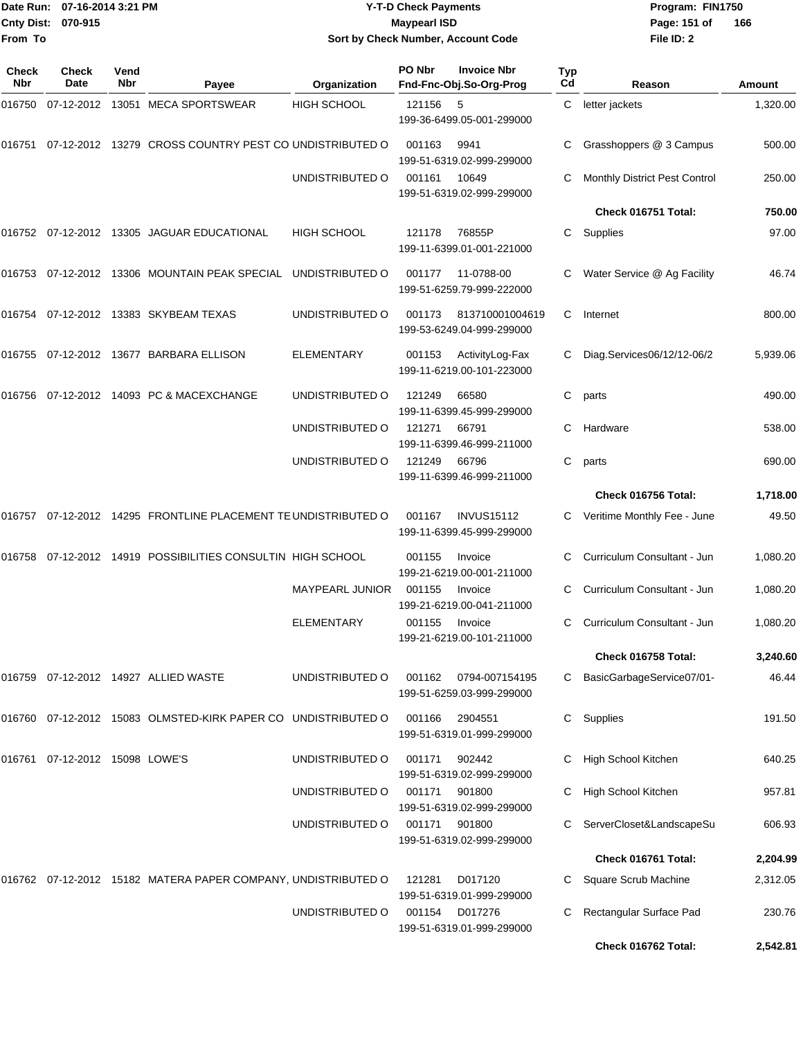| Date Run:           | 07-16-2014 3:21 PM                |             |                                                                  |                    | <b>Y-T-D Check Payments</b> |                                                    |           | Program: FIN1750              |          |
|---------------------|-----------------------------------|-------------|------------------------------------------------------------------|--------------------|-----------------------------|----------------------------------------------------|-----------|-------------------------------|----------|
| <b>Cnty Dist:</b>   | 070-915                           |             |                                                                  |                    | <b>Maypearl ISD</b>         |                                                    |           | Page: 151 of                  | 166      |
| From To             |                                   |             |                                                                  |                    |                             | Sort by Check Number, Account Code                 |           | File ID: 2                    |          |
| Check<br><b>Nbr</b> | <b>Check</b><br>Date              | Vend<br>Nbr | Payee                                                            | Organization       | PO Nbr                      | <b>Invoice Nbr</b><br>Fnd-Fnc-Obj.So-Org-Prog      | Typ<br>Cd | Reason                        | Amount   |
| 016750              |                                   |             | 07-12-2012 13051 MECA SPORTSWEAR                                 | <b>HIGH SCHOOL</b> | 121156                      | - 5<br>199-36-6499.05-001-299000                   | C.        | letter jackets                | 1,320.00 |
| 016751              |                                   |             | 07-12-2012 13279 CROSS COUNTRY PEST CO UNDISTRIBUTED O           |                    | 001163                      | 9941<br>199-51-6319.02-999-299000                  |           | Grasshoppers @ 3 Campus       | 500.00   |
|                     |                                   |             |                                                                  | UNDISTRIBUTED O    | 001161                      | 10649<br>199-51-6319.02-999-299000                 | С         | Monthly District Pest Control | 250.00   |
|                     |                                   |             |                                                                  |                    |                             |                                                    |           | Check 016751 Total:           | 750.00   |
|                     |                                   |             | 016752  07-12-2012  13305  JAGUAR EDUCATIONAL                    | <b>HIGH SCHOOL</b> | 121178                      | 76855P<br>199-11-6399.01-001-221000                | С         | Supplies                      | 97.00    |
|                     |                                   |             | 016753  07-12-2012  13306  MOUNTAIN PEAK SPECIAL                 | UNDISTRIBUTED O    | 001177                      | 11-0788-00<br>199-51-6259.79-999-222000            | С         | Water Service @ Ag Facility   | 46.74    |
|                     |                                   |             | 016754 07-12-2012 13383 SKYBEAM TEXAS                            | UNDISTRIBUTED O    | 001173                      | 813710001004619<br>199-53-6249.04-999-299000       | С         | Internet                      | 800.00   |
|                     |                                   |             | 016755 07-12-2012 13677   BARBARA ELLISON                        | <b>ELEMENTARY</b>  | 001153                      | ActivityLog-Fax<br>199-11-6219.00-101-223000       |           | Diag.Services06/12/12-06/2    | 5,939.06 |
|                     |                                   |             | 016756 07-12-2012 14093   PC & MACEXCHANGE                       | UNDISTRIBUTED O    | 121249                      | 66580<br>199-11-6399.45-999-299000                 | С         | parts                         | 490.00   |
|                     |                                   |             |                                                                  | UNDISTRIBUTED O    | 121271                      | 66791<br>199-11-6399.46-999-211000                 | С         | Hardware                      | 538.00   |
|                     |                                   |             |                                                                  | UNDISTRIBUTED O    | 121249                      | 66796<br>199-11-6399.46-999-211000                 | С         | parts                         | 690.00   |
|                     |                                   |             |                                                                  |                    |                             |                                                    |           | Check 016756 Total:           | 1,718.00 |
|                     |                                   |             | 016757 07-12-2012 14295 FRONTLINE PLACEMENT TE UNDISTRIBUTED O   |                    | 001167                      | <b>INVUS15112</b><br>199-11-6399.45-999-299000     | C.        | Veritime Monthly Fee - June   | 49.50    |
|                     |                                   |             | 016758 07-12-2012 14919   POSSIBILITIES CONSULTIN  HIGH SCHOOL   |                    | 001155                      | Invoice<br>199-21-6219.00-001-211000               | С         | Curriculum Consultant - Jun   | 1,080.20 |
|                     |                                   |             |                                                                  | MAYPEARL JUNIOR    | 001155                      | Invoice<br>199-21-6219.00-041-211000               |           | C Curriculum Consultant - Jun | 1,080.20 |
|                     |                                   |             |                                                                  | <b>ELEMENTARY</b>  | 001155                      | Invoice<br>199-21-6219.00-101-211000               |           | Curriculum Consultant - Jun   | 1,080.20 |
|                     |                                   |             |                                                                  |                    |                             |                                                    |           | Check 016758 Total:           | 3,240.60 |
|                     |                                   |             | 016759 07-12-2012 14927 ALLIED WASTE                             | UNDISTRIBUTED O    |                             | 001162 0794-007154195<br>199-51-6259.03-999-299000 | С         | BasicGarbageService07/01-     | 46.44    |
|                     |                                   |             | 016760 07-12-2012 15083 OLMSTED-KIRK PAPER CO UNDISTRIBUTED O    |                    | 001166                      | 2904551<br>199-51-6319.01-999-299000               |           | C Supplies                    | 191.50   |
|                     | 016761  07-12-2012  15098  LOWE'S |             |                                                                  | UNDISTRIBUTED O    | 001171                      | 902442<br>199-51-6319.02-999-299000                |           | High School Kitchen           | 640.25   |
|                     |                                   |             |                                                                  | UNDISTRIBUTED O    | 001171                      | 901800<br>199-51-6319.02-999-299000                |           | High School Kitchen           | 957.81   |
|                     |                                   |             |                                                                  | UNDISTRIBUTED O    | 001171                      | 901800<br>199-51-6319.02-999-299000                |           | C ServerCloset&LandscapeSu    | 606.93   |
|                     |                                   |             |                                                                  |                    |                             |                                                    |           | Check 016761 Total:           | 2,204.99 |
|                     |                                   |             | 016762  07-12-2012  15182  MATERA PAPER COMPANY, UNDISTRIBUTED O |                    | 121281                      | D017120<br>199-51-6319.01-999-299000               |           | C Square Scrub Machine        | 2,312.05 |
|                     |                                   |             |                                                                  | UNDISTRIBUTED O    | 001154                      | D017276<br>199-51-6319.01-999-299000               | С         | Rectangular Surface Pad       | 230.76   |

**Check 016762 Total: 2,542.81**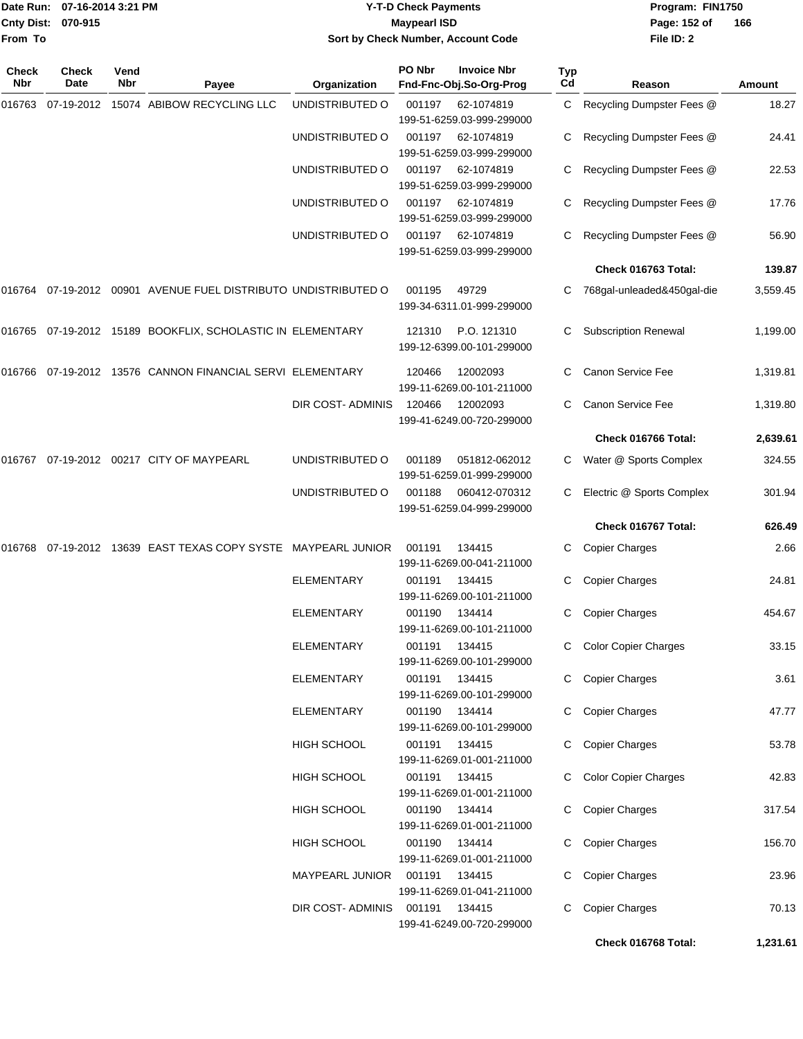|                    | Date Run: 07-16-2014 3:21 PM |
|--------------------|------------------------------|
| Cnty Dist: 070-915 |                              |
| <b>From To</b>     |                              |

# **Date Run: Program: FIN1750 07-16-2014 3:21 PM Y-T-D Check Payments Cnty Dist: Page: 152 of 070-915 Maypearl ISD Sort by Check Number, Account Code**

| Check<br>Nbr | <b>Check</b><br>Date | Vend<br>Nbr | Payee                                                          | Organization       | PO Nbr | <b>Invoice Nbr</b><br>Fnd-Fnc-Obj.So-Org-Prog                        | <b>Typ</b><br>Cd | Reason                      | Amount   |
|--------------|----------------------|-------------|----------------------------------------------------------------|--------------------|--------|----------------------------------------------------------------------|------------------|-----------------------------|----------|
| 016763       | 07-19-2012           |             | 15074 ABIBOW RECYCLING LLC                                     | UNDISTRIBUTED O    | 001197 | 62-1074819                                                           |                  | C Recycling Dumpster Fees @ | 18.27    |
|              |                      |             |                                                                | UNDISTRIBUTED O    | 001197 | 199-51-6259.03-999-299000<br>62-1074819<br>199-51-6259.03-999-299000 |                  | Recycling Dumpster Fees @   | 24.41    |
|              |                      |             |                                                                | UNDISTRIBUTED O    | 001197 | 62-1074819                                                           |                  | Recycling Dumpster Fees @   | 22.53    |
|              |                      |             |                                                                | UNDISTRIBUTED O    | 001197 | 199-51-6259.03-999-299000<br>62-1074819                              | C                | Recycling Dumpster Fees @   | 17.76    |
|              |                      |             |                                                                | UNDISTRIBUTED O    | 001197 | 199-51-6259.03-999-299000<br>62-1074819<br>199-51-6259.03-999-299000 |                  | Recycling Dumpster Fees @   | 56.90    |
|              |                      |             |                                                                |                    |        |                                                                      |                  | Check 016763 Total:         | 139.87   |
|              |                      |             | 016764 07-19-2012 00901 AVENUE FUEL DISTRIBUTO UNDISTRIBUTED O |                    | 001195 | 49729<br>199-34-6311.01-999-299000                                   |                  | 768gal-unleaded&450gal-die  | 3,559.45 |
| 016765       |                      |             | 07-19-2012 15189 BOOKFLIX, SCHOLASTIC IN ELEMENTARY            |                    | 121310 | P.O. 121310<br>199-12-6399.00-101-299000                             | C                | <b>Subscription Renewal</b> | 1,199.00 |
|              |                      |             | 016766 07-19-2012 13576 CANNON FINANCIAL SERVI ELEMENTARY      |                    | 120466 | 12002093<br>199-11-6269.00-101-211000                                | C.               | Canon Service Fee           | 1,319.81 |
|              |                      |             |                                                                | DIR COST- ADMINIS  | 120466 | 12002093<br>199-41-6249.00-720-299000                                |                  | Canon Service Fee           | 1,319.80 |
|              |                      |             |                                                                |                    |        |                                                                      |                  | Check 016766 Total:         | 2,639.61 |
| 016767       |                      |             | 07-19-2012 00217 CITY OF MAYPEARL                              | UNDISTRIBUTED O    | 001189 | 051812-062012<br>199-51-6259.01-999-299000                           |                  | Water @ Sports Complex      | 324.55   |
|              |                      |             |                                                                | UNDISTRIBUTED O    | 001188 | 060412-070312<br>199-51-6259.04-999-299000                           |                  | Electric @ Sports Complex   | 301.94   |
|              |                      |             |                                                                |                    |        |                                                                      |                  | Check 016767 Total:         | 626.49   |
| 016768       |                      |             | 07-19-2012 13639 EAST TEXAS COPY SYSTE MAYPEARL JUNIOR         |                    | 001191 | 134415<br>199-11-6269.00-041-211000                                  | C                | <b>Copier Charges</b>       | 2.66     |
|              |                      |             |                                                                | <b>ELEMENTARY</b>  | 001191 | 134415<br>199-11-6269.00-101-211000                                  | С                | <b>Copier Charges</b>       | 24.81    |
|              |                      |             |                                                                | <b>ELEMENTARY</b>  | 001190 | 134414<br>199-11-6269.00-101-211000                                  | C                | <b>Copier Charges</b>       | 454.67   |
|              |                      |             |                                                                | ELEMENTARY         | 001191 | 134415<br>199-11-6269.00-101-299000                                  | C                | <b>Color Copier Charges</b> | 33.15    |
|              |                      |             |                                                                | <b>ELEMENTARY</b>  | 001191 | 134415<br>199-11-6269.00-101-299000                                  |                  | C Copier Charges            | 3.61     |
|              |                      |             |                                                                | ELEMENTARY         |        | 001190 134414<br>199-11-6269.00-101-299000                           |                  | Copier Charges              | 47.77    |
|              |                      |             |                                                                | <b>HIGH SCHOOL</b> |        | 001191 134415<br>199-11-6269.01-001-211000                           |                  | <b>Copier Charges</b>       | 53.78    |
|              |                      |             |                                                                | <b>HIGH SCHOOL</b> |        | 001191 134415<br>199-11-6269.01-001-211000                           |                  | <b>Color Copier Charges</b> | 42.83    |
|              |                      |             |                                                                | HIGH SCHOOL        |        | 001190 134414<br>199-11-6269.01-001-211000                           |                  | C Copier Charges            | 317.54   |
|              |                      |             |                                                                | <b>HIGH SCHOOL</b> |        | 001190 134414<br>199-11-6269.01-001-211000                           |                  | C Copier Charges            | 156.70   |
|              |                      |             |                                                                | MAYPEARL JUNIOR    | 001191 | 134415<br>199-11-6269.01-041-211000                                  |                  | C Copier Charges            | 23.96    |
|              |                      |             |                                                                | DIR COST-ADMINIS   | 001191 | 134415<br>199-41-6249.00-720-299000                                  |                  | C Copier Charges            | 70.13    |
|              |                      |             |                                                                |                    |        |                                                                      |                  | Check 016768 Total:         | 1,231.61 |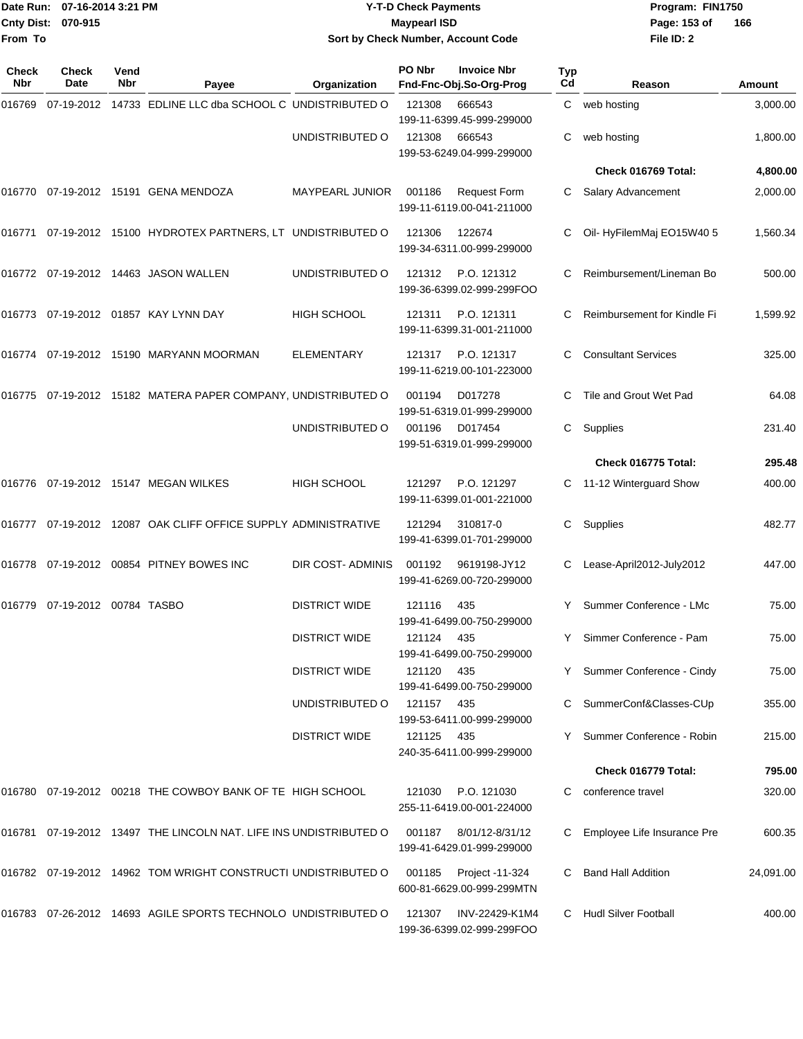|              | Date Run: 07-16-2014 3:21 PM  |                    |                                                                   |                                    | <b>Y-T-D Check Payments</b> |                                                     |           | Program: FIN1750            |               |
|--------------|-------------------------------|--------------------|-------------------------------------------------------------------|------------------------------------|-----------------------------|-----------------------------------------------------|-----------|-----------------------------|---------------|
|              | Cnty Dist: 070-915            |                    |                                                                   |                                    | <b>Maypearl ISD</b>         |                                                     |           | Page: 153 of                | 166           |
| From To      |                               |                    |                                                                   | Sort by Check Number, Account Code |                             |                                                     |           | File ID: 2                  |               |
| Check<br>Nbr | Check<br>Date                 | Vend<br><b>Nbr</b> | Payee                                                             | Organization                       | PO Nbr                      | <b>Invoice Nbr</b><br>Fnd-Fnc-Obj.So-Org-Prog       | Typ<br>Cd | Reason                      | <b>Amount</b> |
| 016769       | 07-19-2012                    |                    | 14733 EDLINE LLC dba SCHOOL C UNDISTRIBUTED O                     |                                    | 121308                      | 666543<br>199-11-6399.45-999-299000                 | C.        | web hosting                 | 3,000.00      |
|              |                               |                    |                                                                   | UNDISTRIBUTED O                    | 121308                      | 666543<br>199-53-6249.04-999-299000                 | С         | web hosting                 | 1,800.00      |
|              |                               |                    |                                                                   |                                    |                             |                                                     |           | Check 016769 Total:         | 4,800.00      |
|              |                               |                    | 016770 07-19-2012 15191 GENA MENDOZA                              | MAYPEARL JUNIOR                    | 001186                      | <b>Request Form</b><br>199-11-6119.00-041-211000    | C         | Salary Advancement          | 2,000.00      |
|              |                               |                    | 016771 07-19-2012 15100 HYDROTEX PARTNERS, LT UNDISTRIBUTED O     |                                    | 121306                      | 122674<br>199-34-6311.00-999-299000                 |           | Oil-HyFilemMaj EO15W40 5    | 1,560.34      |
|              |                               |                    | 016772 07-19-2012 14463 JASON WALLEN                              | UNDISTRIBUTED O                    | 121312                      | P.O. 121312<br>199-36-6399.02-999-299FOO            | С         | Reimbursement/Lineman Bo    | 500.00        |
|              |                               |                    | 016773 07-19-2012 01857 KAY LYNN DAY                              | <b>HIGH SCHOOL</b>                 | 121311                      | P.O. 121311<br>199-11-6399.31-001-211000            | С         | Reimbursement for Kindle Fi | 1,599.92      |
|              |                               |                    | 016774 07-19-2012 15190 MARYANN MOORMAN                           | ELEMENTARY                         | 121317                      | P.O. 121317<br>199-11-6219.00-101-223000            | C         | <b>Consultant Services</b>  | 325.00        |
|              |                               |                    | 016775 07-19-2012 15182 MATERA PAPER COMPANY, UNDISTRIBUTED O     |                                    | 001194                      | D017278<br>199-51-6319.01-999-299000                |           | Tile and Grout Wet Pad      | 64.08         |
|              |                               |                    |                                                                   | UNDISTRIBUTED O                    | 001196                      | D017454<br>199-51-6319.01-999-299000                | C         | Supplies                    | 231.40        |
|              |                               |                    |                                                                   |                                    |                             |                                                     |           | Check 016775 Total:         | 295.48        |
|              |                               |                    | 016776 07-19-2012 15147 MEGAN WILKES                              | <b>HIGH SCHOOL</b>                 | 121297                      | P.O. 121297<br>199-11-6399.01-001-221000            | C.        | 11-12 Winterguard Show      | 400.00        |
|              |                               |                    | 016777 07-19-2012 12087 OAK CLIFF OFFICE SUPPLY ADMINISTRATIVE    |                                    | 121294                      | 310817-0<br>199-41-6399.01-701-299000               | С         | Supplies                    | 482.77        |
|              |                               |                    | 016778 07-19-2012 00854 PITNEY BOWES INC                          | DIR COST- ADMINIS                  | 001192                      | 9619198-JY12<br>199-41-6269.00-720-299000           |           | Lease-April2012-July2012    | 447.00        |
|              | 016779 07-19-2012 00784 TASBO |                    |                                                                   | <b>DISTRICT WIDE</b>               | 121116                      | - 435<br>199-41-6499.00-750-299000                  |           | Y Summer Conference - LMc   | 75.00         |
|              |                               |                    |                                                                   | <b>DISTRICT WIDE</b>               | 121124 435                  | 199-41-6499.00-750-299000                           |           | Y Simmer Conference - Pam   | 75.00         |
|              |                               |                    |                                                                   | <b>DISTRICT WIDE</b>               | 121120 435                  | 199-41-6499.00-750-299000                           |           | Y Summer Conference - Cindy | 75.00         |
|              |                               |                    |                                                                   | UNDISTRIBUTED O                    | 121157                      | - 435<br>199-53-6411.00-999-299000                  |           | C SummerConf&Classes-CUp    | 355.00        |
|              |                               |                    |                                                                   | <b>DISTRICT WIDE</b>               | 121125 435                  | 240-35-6411.00-999-299000                           |           | Y Summer Conference - Robin | 215.00        |
|              |                               |                    |                                                                   |                                    |                             |                                                     |           | Check 016779 Total:         | 795.00        |
|              |                               |                    | 016780 07-19-2012 00218 THE COWBOY BANK OF TE HIGH SCHOOL         |                                    |                             | 121030 P.O. 121030<br>255-11-6419.00-001-224000     | C.        | conference travel           | 320.00        |
|              |                               |                    | 016781 07-19-2012 13497 THE LINCOLN NAT. LIFE INS UNDISTRIBUTED O |                                    |                             | 001187 8/01/12-8/31/12<br>199-41-6429.01-999-299000 |           | Employee Life Insurance Pre | 600.35        |
|              |                               |                    | 016782 07-19-2012 14962 TOM WRIGHT CONSTRUCTI UNDISTRIBUTED O     |                                    |                             | 001185 Project -11-324<br>600-81-6629.00-999-299MTN | C.        | <b>Band Hall Addition</b>   | 24,091.00     |
|              |                               |                    | 016783 07-26-2012 14693 AGILE SPORTS TECHNOLO UNDISTRIBUTED O     |                                    | 121307                      | INV-22429-K1M4<br>199-36-6399.02-999-299FOO         |           | C Hudl Silver Football      | 400.00        |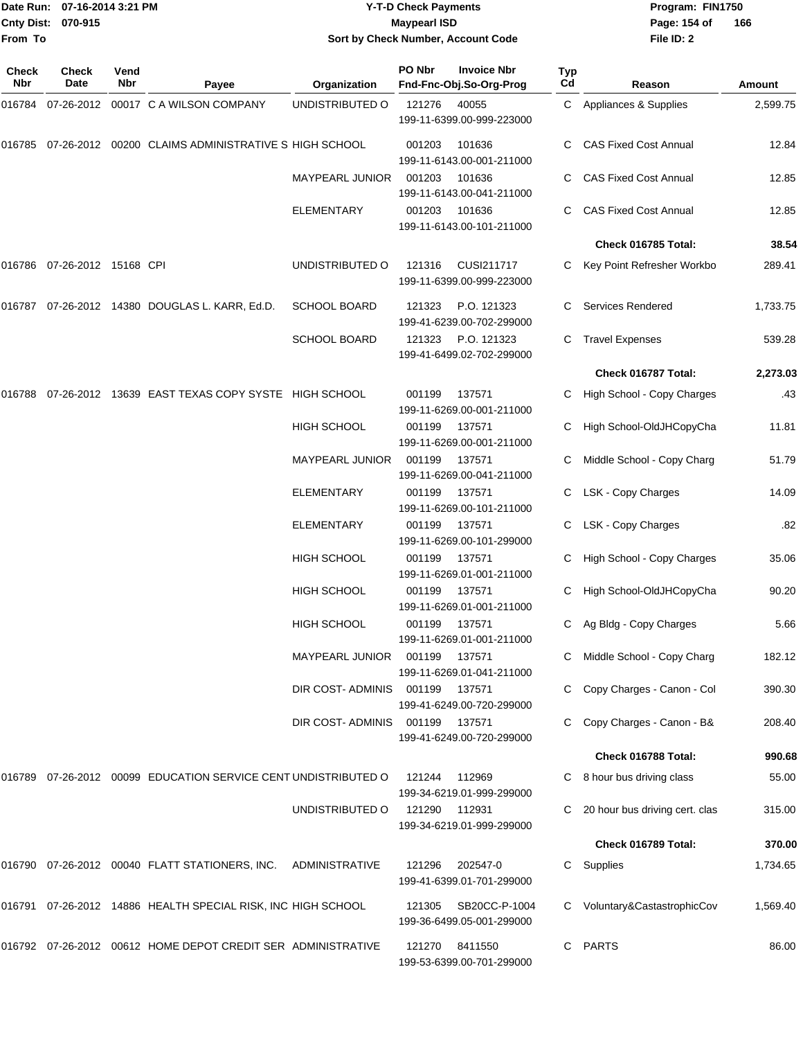**Cnty Dist: 070-915 From To**

## Date Run: 07-16-2014 3:21 PM **Program:** FIN1750 **Y-T-D Check Payments 070-915 Maypearl ISD Sort by Check Number, Account Code**

**File ID: 2** Page: 154 of 166

| Check<br>Nbr | <b>Check</b><br>Date | Vend<br>Nbr | Payee                                                             | Organization           | PO Nbr | <b>Invoice Nbr</b><br>Fnd-Fnc-Obj.So-Org-Prog | Typ<br>Cd | Reason                         | <b>Amount</b> |
|--------------|----------------------|-------------|-------------------------------------------------------------------|------------------------|--------|-----------------------------------------------|-----------|--------------------------------|---------------|
| 016784       |                      |             | 07-26-2012 00017 C A WILSON COMPANY                               | UNDISTRIBUTED O        | 121276 | 40055<br>199-11-6399.00-999-223000            |           | C Appliances & Supplies        | 2,599.75      |
| 016785       |                      |             | 07-26-2012  00200  CLAIMS ADMINISTRATIVE S HIGH SCHOOL            |                        | 001203 | 101636<br>199-11-6143.00-001-211000           |           | <b>CAS Fixed Cost Annual</b>   | 12.84         |
|              |                      |             |                                                                   | <b>MAYPEARL JUNIOR</b> | 001203 | 101636<br>199-11-6143.00-041-211000           |           | <b>CAS Fixed Cost Annual</b>   | 12.85         |
|              |                      |             |                                                                   | <b>ELEMENTARY</b>      | 001203 | 101636<br>199-11-6143.00-101-211000           | C         | <b>CAS Fixed Cost Annual</b>   | 12.85         |
|              |                      |             |                                                                   |                        |        |                                               |           | Check 016785 Total:            | 38.54         |
| 016786       | 07-26-2012 15168 CPI |             |                                                                   | UNDISTRIBUTED O        | 121316 | CUSI211717<br>199-11-6399.00-999-223000       |           | Key Point Refresher Workbo     | 289.41        |
|              |                      |             | 016787 07-26-2012 14380 DOUGLAS L. KARR, Ed.D.                    | <b>SCHOOL BOARD</b>    | 121323 | P.O. 121323<br>199-41-6239.00-702-299000      |           | <b>Services Rendered</b>       | 1,733.75      |
|              |                      |             |                                                                   | <b>SCHOOL BOARD</b>    | 121323 | P.O. 121323<br>199-41-6499.02-702-299000      |           | <b>Travel Expenses</b>         | 539.28        |
|              |                      |             |                                                                   |                        |        |                                               |           | Check 016787 Total:            | 2,273.03      |
| 016788       |                      |             | 07-26-2012 13639 EAST TEXAS COPY SYSTE HIGH SCHOOL                |                        | 001199 | 137571<br>199-11-6269.00-001-211000           |           | High School - Copy Charges     | .43           |
|              |                      |             |                                                                   | <b>HIGH SCHOOL</b>     | 001199 | 137571<br>199-11-6269.00-001-211000           | С         | High School-OldJHCopyCha       | 11.81         |
|              |                      |             |                                                                   | <b>MAYPEARL JUNIOR</b> | 001199 | 137571<br>199-11-6269.00-041-211000           | C         | Middle School - Copy Charg     | 51.79         |
|              |                      |             |                                                                   | <b>ELEMENTARY</b>      | 001199 | 137571<br>199-11-6269.00-101-211000           |           | LSK - Copy Charges             | 14.09         |
|              |                      |             |                                                                   | ELEMENTARY             | 001199 | 137571<br>199-11-6269.00-101-299000           | C         | LSK - Copy Charges             | .82           |
|              |                      |             |                                                                   | <b>HIGH SCHOOL</b>     | 001199 | 137571<br>199-11-6269.01-001-211000           |           | High School - Copy Charges     | 35.06         |
|              |                      |             |                                                                   | HIGH SCHOOL            | 001199 | 137571<br>199-11-6269.01-001-211000           |           | High School-OldJHCopyCha       | 90.20         |
|              |                      |             |                                                                   | HIGH SCHOOL            | 001199 | 137571<br>199-11-6269.01-001-211000           | C         | Ag Bldg - Copy Charges         | 5.66          |
|              |                      |             |                                                                   | <b>MAYPEARL JUNIOR</b> | 001199 | 137571<br>199-11-6269.01-041-211000           |           | Middle School - Copy Charg     | 182.12        |
|              |                      |             |                                                                   | DIR COST- ADMINIS      | 001199 | 137571<br>199-41-6249.00-720-299000           |           | Copy Charges - Canon - Col     | 390.30        |
|              |                      |             |                                                                   | DIR COST-ADMINIS       | 001199 | 137571<br>199-41-6249.00-720-299000           |           | Copy Charges - Canon - B&      | 208.40        |
|              |                      |             |                                                                   |                        |        |                                               |           | Check 016788 Total:            | 990.68        |
|              |                      |             | 016789 07-26-2012 00099 EDUCATION SERVICE CENT UNDISTRIBUTED O    |                        | 121244 | 112969<br>199-34-6219.01-999-299000           |           | 8 hour bus driving class       | 55.00         |
|              |                      |             |                                                                   | UNDISTRIBUTED O        | 121290 | 112931<br>199-34-6219.01-999-299000           |           | 20 hour bus driving cert. clas | 315.00        |
|              |                      |             |                                                                   |                        |        |                                               |           | Check 016789 Total:            | 370.00        |
|              |                      |             | 016790  07-26-2012  00040  FLATT STATIONERS, INC.  ADMINISTRATIVE |                        | 121296 | 202547-0<br>199-41-6399.01-701-299000         | С         | Supplies                       | 1,734.65      |
|              |                      |             | 016791  07-26-2012  14886  HEALTH SPECIAL RISK, INC HIGH SCHOOL   |                        | 121305 | SB20CC-P-1004<br>199-36-6499.05-001-299000    |           | Voluntary&CastastrophicCov     | 1,569.40      |
|              |                      |             | 016792 07-26-2012 00612 HOME DEPOT CREDIT SER ADMINISTRATIVE      |                        | 121270 | 8411550<br>199-53-6399.00-701-299000          | C         | <b>PARTS</b>                   | 86.00         |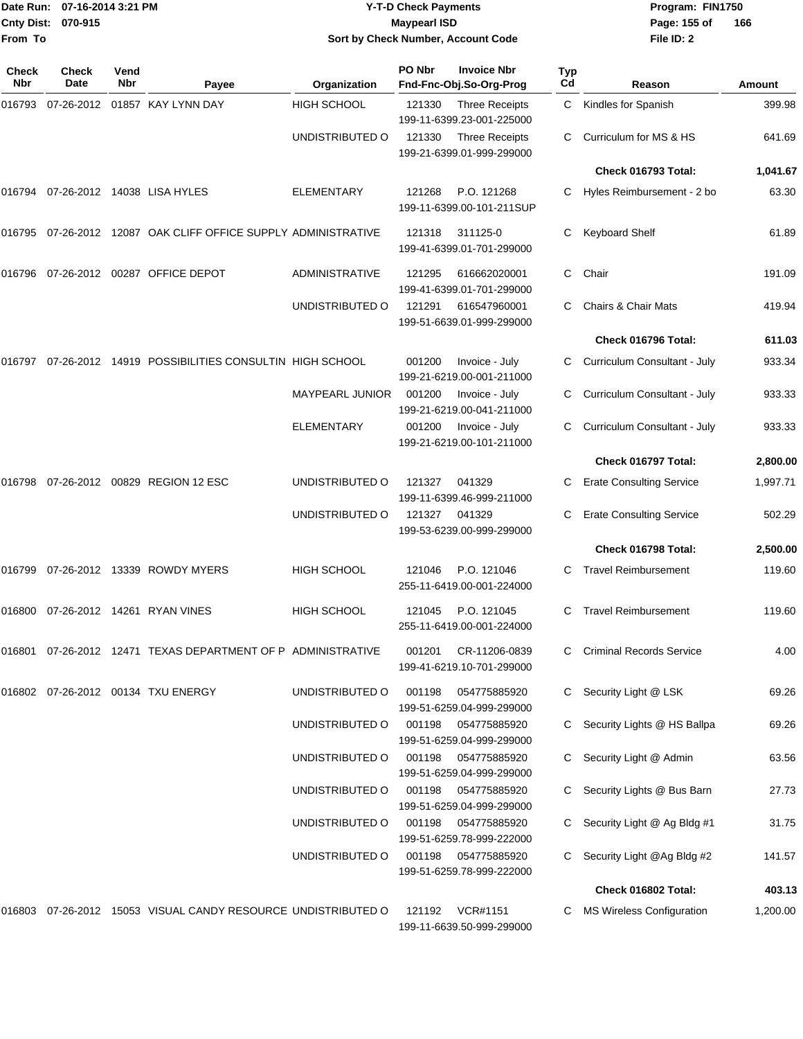| From To      | Date Run: 07-16-2014 3:21 PM<br>Cnty Dist: 070-915 |             |                                                                  | <b>Y-T-D Check Payments</b><br><b>Maypearl ISD</b><br>Sort by Check Number, Account Code |        |                                                    |                       | Program: FIN1750<br>Page: 155 of<br>File ID: 2 | 166      |
|--------------|----------------------------------------------------|-------------|------------------------------------------------------------------|------------------------------------------------------------------------------------------|--------|----------------------------------------------------|-----------------------|------------------------------------------------|----------|
| Check<br>Nbr | <b>Check</b><br>Date                               | Vend<br>Nbr | Payee                                                            | Organization                                                                             | PO Nbr | <b>Invoice Nbr</b><br>Fnd-Fnc-Obj.So-Org-Prog      | Typ<br>C <sub>d</sub> | Reason                                         | Amount   |
|              |                                                    |             | 016793 07-26-2012 01857 KAY LYNN DAY                             | <b>HIGH SCHOOL</b>                                                                       | 121330 | <b>Three Receipts</b><br>199-11-6399.23-001-225000 | C                     | Kindles for Spanish                            | 399.98   |
|              |                                                    |             |                                                                  | UNDISTRIBUTED O                                                                          | 121330 | <b>Three Receipts</b><br>199-21-6399.01-999-299000 | C.                    | Curriculum for MS & HS                         | 641.69   |
|              |                                                    |             |                                                                  |                                                                                          |        |                                                    |                       | Check 016793 Total:                            | 1,041.67 |
|              |                                                    |             | 016794 07-26-2012 14038 LISA HYLES                               | <b>ELEMENTARY</b>                                                                        | 121268 | P.O. 121268<br>199-11-6399.00-101-211SUP           | C.                    | Hyles Reimbursement - 2 bo                     | 63.30    |
|              |                                                    |             | 016795 07-26-2012 12087 OAK CLIFF OFFICE SUPPLY ADMINISTRATIVE   |                                                                                          | 121318 | 311125-0<br>199-41-6399.01-701-299000              | C                     | <b>Keyboard Shelf</b>                          | 61.89    |
| 016796       |                                                    |             | 07-26-2012 00287 OFFICE DEPOT                                    | <b>ADMINISTRATIVE</b>                                                                    | 121295 | 616662020001<br>199-41-6399.01-701-299000          | C                     | Chair                                          | 191.09   |
|              |                                                    |             |                                                                  | UNDISTRIBUTED O                                                                          | 121291 | 616547960001<br>199-51-6639.01-999-299000          | C                     | Chairs & Chair Mats                            | 419.94   |
|              |                                                    |             |                                                                  |                                                                                          |        |                                                    |                       | Check 016796 Total:                            | 611.03   |
| 016797       |                                                    |             | 07-26-2012 14919 POSSIBILITIES CONSULTIN HIGH SCHOOL             |                                                                                          | 001200 | Invoice - July<br>199-21-6219.00-001-211000        | C.                    | Curriculum Consultant - July                   | 933.34   |
|              |                                                    |             |                                                                  | <b>MAYPEARL JUNIOR</b>                                                                   | 001200 | Invoice - July<br>199-21-6219.00-041-211000        | C                     | Curriculum Consultant - July                   | 933.33   |
|              |                                                    |             |                                                                  | <b>ELEMENTARY</b>                                                                        | 001200 | Invoice - July<br>199-21-6219.00-101-211000        |                       | Curriculum Consultant - July                   | 933.33   |
|              |                                                    |             |                                                                  |                                                                                          |        |                                                    |                       | Check 016797 Total:                            | 2,800.00 |
| 016798       |                                                    |             | 07-26-2012 00829 REGION 12 ESC                                   | UNDISTRIBUTED O                                                                          | 121327 | 041329<br>199-11-6399.46-999-211000                |                       | <b>Erate Consulting Service</b>                | 1,997.71 |
|              |                                                    |             |                                                                  | UNDISTRIBUTED O                                                                          | 121327 | 041329<br>199-53-6239.00-999-299000                | C                     | <b>Erate Consulting Service</b>                | 502.29   |
|              |                                                    |             |                                                                  |                                                                                          |        |                                                    |                       | Check 016798 Total:                            | 2,500.00 |
| 016799       |                                                    |             | 07-26-2012 13339 ROWDY MYERS                                     | <b>HIGH SCHOOL</b>                                                                       | 121046 | P.O. 121046<br>255-11-6419.00-001-224000           | C                     | <b>Travel Reimbursement</b>                    | 119.60   |
|              |                                                    |             | 016800 07-26-2012 14261 RYAN VINES                               | HIGH SCHOOL                                                                              | 121045 | P.O. 121045<br>255-11-6419.00-001-224000           |                       | C Travel Reimbursement                         | 119.60   |
|              |                                                    |             | 016801 07-26-2012 12471 TEXAS DEPARTMENT OF P ADMINISTRATIVE     |                                                                                          | 001201 | CR-11206-0839<br>199-41-6219.10-701-299000         |                       | <b>Criminal Records Service</b>                | 4.00     |
|              |                                                    |             | 016802 07-26-2012 00134 TXU ENERGY                               | UNDISTRIBUTED O                                                                          | 001198 | 054775885920<br>199-51-6259.04-999-299000          |                       | C Security Light @ LSK                         | 69.26    |
|              |                                                    |             |                                                                  | UNDISTRIBUTED O                                                                          | 001198 | 054775885920<br>199-51-6259.04-999-299000          | C                     | Security Lights @ HS Ballpa                    | 69.26    |
|              |                                                    |             |                                                                  | UNDISTRIBUTED O                                                                          | 001198 | 054775885920<br>199-51-6259.04-999-299000          |                       | Security Light @ Admin                         | 63.56    |
|              |                                                    |             |                                                                  | UNDISTRIBUTED O                                                                          | 001198 | 054775885920<br>199-51-6259.04-999-299000          |                       | C Security Lights @ Bus Barn                   | 27.73    |
|              |                                                    |             |                                                                  | UNDISTRIBUTED O                                                                          | 001198 | 054775885920<br>199-51-6259.78-999-222000          | C.                    | Security Light @ Ag Bldg #1                    | 31.75    |
|              |                                                    |             |                                                                  | UNDISTRIBUTED O                                                                          | 001198 | 054775885920<br>199-51-6259.78-999-222000          |                       | Security Light @Ag Bldg #2                     | 141.57   |
|              |                                                    |             |                                                                  |                                                                                          |        |                                                    |                       | Check 016802 Total:                            | 403.13   |
|              |                                                    |             | 016803  07-26-2012  15053  VISUAL CANDY RESOURCE UNDISTRIBUTED O |                                                                                          | 121192 | VCR#1151<br>199-11-6639.50-999-299000              |                       | C MS Wireless Configuration                    | 1,200.00 |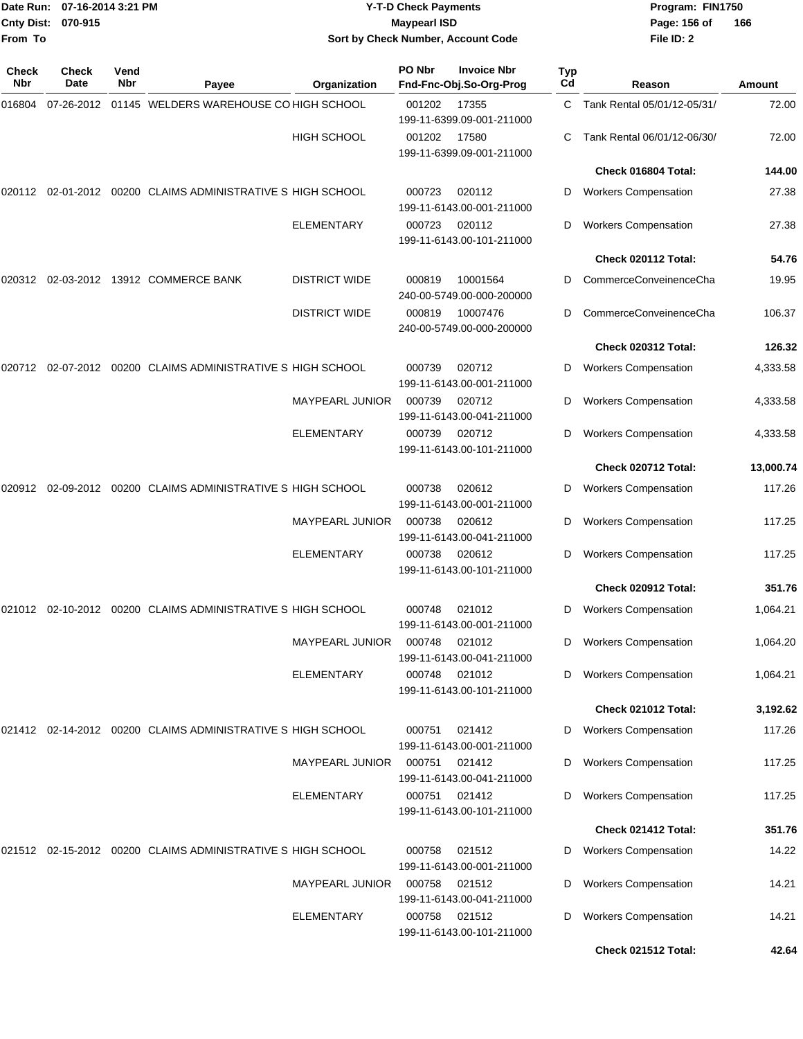| From To      | Date Run: 07-16-2014 3:21 PM<br>Cnty Dist: 070-915 |             |                                                             |                                             | <b>Y-T-D Check Payments</b><br><b>Maypearl ISD</b> | Sort by Check Number, Account Code            | Program: FIN1750<br>Page: 156 of<br>File ID: 2 | 166                                                        |                      |
|--------------|----------------------------------------------------|-------------|-------------------------------------------------------------|---------------------------------------------|----------------------------------------------------|-----------------------------------------------|------------------------------------------------|------------------------------------------------------------|----------------------|
|              |                                                    |             |                                                             |                                             |                                                    |                                               |                                                |                                                            |                      |
| Check<br>Nbr | Check<br>Date                                      | Vend<br>Nbr | Payee                                                       | Organization                                | PO Nbr                                             | <b>Invoice Nbr</b><br>Fnd-Fnc-Obj.So-Org-Prog | Typ<br>Cd                                      | Reason                                                     | Amount               |
| 016804       | 07-26-2012                                         |             | 01145 WELDERS WAREHOUSE CO HIGH SCHOOL                      |                                             | 001202                                             | 17355<br>199-11-6399.09-001-211000            | C.                                             | Tank Rental 05/01/12-05/31/                                | 72.00                |
|              |                                                    |             |                                                             | <b>HIGH SCHOOL</b>                          | 001202                                             | 17580<br>199-11-6399.09-001-211000            | C                                              | Tank Rental 06/01/12-06/30/                                | 72.00                |
|              |                                                    |             |                                                             |                                             |                                                    |                                               |                                                | Check 016804 Total:                                        | 144.00               |
|              |                                                    |             | 020112 02-01-2012 00200 CLAIMS ADMINISTRATIVE S HIGH SCHOOL |                                             | 000723                                             | 020112<br>199-11-6143.00-001-211000           | D                                              | <b>Workers Compensation</b>                                | 27.38                |
|              |                                                    |             |                                                             | <b>ELEMENTARY</b>                           | 000723                                             | 020112<br>199-11-6143.00-101-211000           | D                                              | <b>Workers Compensation</b>                                | 27.38                |
|              |                                                    |             |                                                             |                                             |                                                    |                                               |                                                | Check 020112 Total:                                        | 54.76                |
|              |                                                    |             | 020312 02-03-2012 13912 COMMERCE BANK                       | <b>DISTRICT WIDE</b>                        | 000819                                             | 10001564<br>240-00-5749.00-000-200000         | D                                              | CommerceConveinenceCha                                     | 19.95                |
|              |                                                    |             |                                                             | <b>DISTRICT WIDE</b>                        | 000819                                             | 10007476<br>240-00-5749.00-000-200000         | D                                              | CommerceConveinenceCha                                     | 106.37               |
|              |                                                    |             |                                                             |                                             |                                                    |                                               |                                                | Check 020312 Total:                                        | 126.32               |
| 020712       | 02-07-2012                                         |             | 00200 CLAIMS ADMINISTRATIVE S HIGH SCHOOL                   |                                             | 000739                                             | 020712<br>199-11-6143.00-001-211000           | D                                              | <b>Workers Compensation</b>                                | 4,333.58             |
|              |                                                    |             |                                                             | MAYPEARL JUNIOR                             | 000739                                             | 020712<br>199-11-6143.00-041-211000           | D                                              | <b>Workers Compensation</b>                                | 4,333.58             |
|              |                                                    |             |                                                             | <b>ELEMENTARY</b>                           | 000739                                             | 020712<br>199-11-6143.00-101-211000           | D                                              | <b>Workers Compensation</b>                                | 4,333.58             |
|              |                                                    |             |                                                             |                                             |                                                    |                                               |                                                | Check 020712 Total:                                        | 13,000.74            |
| 020912       |                                                    |             | 02-09-2012 00200 CLAIMS ADMINISTRATIVE S HIGH SCHOOL        |                                             | 000738                                             | 020612<br>199-11-6143.00-001-211000           | D                                              | <b>Workers Compensation</b>                                | 117.26               |
|              |                                                    |             |                                                             | MAYPEARL JUNIOR                             | 000738                                             | 020612<br>199-11-6143.00-041-211000           | D                                              | <b>Workers Compensation</b>                                | 117.25               |
|              |                                                    |             |                                                             | <b>ELEMENTARY</b>                           | 000738                                             | 020612<br>199-11-6143.00-101-211000           | D                                              | <b>Workers Compensation</b>                                | 117.25               |
|              |                                                    |             |                                                             |                                             |                                                    |                                               |                                                | Check 020912 Total:                                        | 351.76               |
|              |                                                    |             | 021012 02-10-2012 00200 CLAIMS ADMINISTRATIVE S HIGH SCHOOL |                                             | 000748                                             | 021012<br>199-11-6143.00-001-211000           | D                                              | <b>Workers Compensation</b>                                | 1,064.21             |
|              |                                                    |             |                                                             | <b>MAYPEARL JUNIOR</b><br><b>ELEMENTARY</b> | 000748<br>000748                                   | 021012<br>199-11-6143.00-041-211000<br>021012 | D<br>D                                         | <b>Workers Compensation</b><br><b>Workers Compensation</b> | 1,064.20<br>1,064.21 |
|              |                                                    |             |                                                             |                                             |                                                    | 199-11-6143.00-101-211000                     |                                                | <b>Check 021012 Total:</b>                                 | 3,192.62             |
|              |                                                    |             |                                                             |                                             |                                                    |                                               |                                                |                                                            |                      |
|              |                                                    |             | 021412 02-14-2012 00200 CLAIMS ADMINISTRATIVE S HIGH SCHOOL | <b>MAYPEARL JUNIOR</b>                      | 000751<br>000751                                   | 021412<br>199-11-6143.00-001-211000<br>021412 | D<br>D                                         | <b>Workers Compensation</b><br><b>Workers Compensation</b> | 117.26<br>117.25     |
|              |                                                    |             |                                                             | <b>ELEMENTARY</b>                           |                                                    | 199-11-6143.00-041-211000<br>000751 021412    | D                                              | <b>Workers Compensation</b>                                | 117.25               |
|              |                                                    |             |                                                             |                                             |                                                    | 199-11-6143.00-101-211000                     |                                                | Check 021412 Total:                                        | 351.76               |
|              |                                                    |             |                                                             |                                             |                                                    |                                               |                                                |                                                            |                      |
|              |                                                    |             | 021512 02-15-2012 00200 CLAIMS ADMINISTRATIVE S HIGH SCHOOL |                                             | 000758<br>000758                                   | 021512<br>199-11-6143.00-001-211000<br>021512 | D                                              | <b>Workers Compensation</b>                                | 14.22<br>14.21       |
|              |                                                    |             |                                                             | <b>MAYPEARL JUNIOR</b>                      |                                                    | 199-11-6143.00-041-211000                     | D                                              | <b>Workers Compensation</b>                                |                      |
|              |                                                    |             |                                                             | <b>ELEMENTARY</b>                           | 000758                                             | 021512<br>199-11-6143.00-101-211000           | D                                              | <b>Workers Compensation</b>                                | 14.21                |
|              |                                                    |             |                                                             |                                             |                                                    |                                               |                                                | Check 021512 Total:                                        | 42.64                |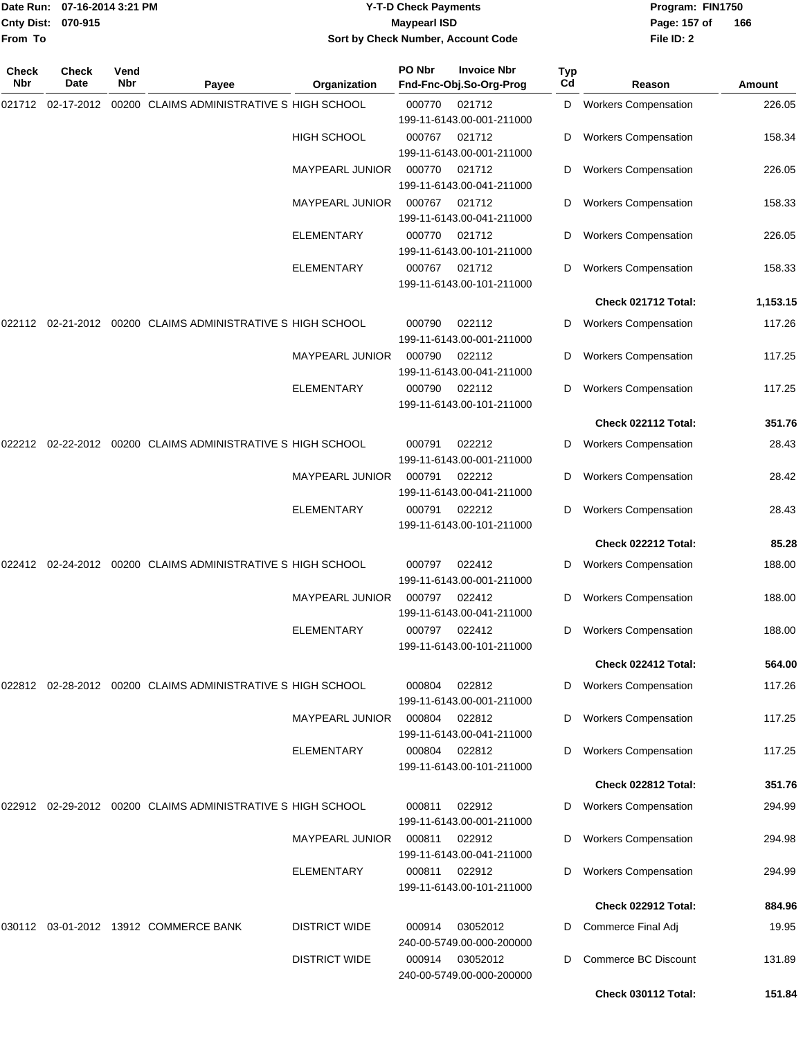|                    | Date Run: 07-16-2014 3:21 PM |
|--------------------|------------------------------|
| Cnty Dist: 070-915 |                              |
| From To            |                              |

## **Date Run: Program: FIN1750 07-16-2014 3:21 PM Y-T-D Check Payments Cnty Dist: Page: 157 of 070-915 Maypearl ISD Sort by Check Number, Account Code**

| Check<br>Nbr | Check<br>Date | Vend<br>Nbr | Payee                                                       | Organization           | PO Nbr | <b>Invoice Nbr</b><br>Fnd-Fnc-Obj.So-Org-Prog                    | <b>Typ</b><br>Cd | Reason                      | Amount   |
|--------------|---------------|-------------|-------------------------------------------------------------|------------------------|--------|------------------------------------------------------------------|------------------|-----------------------------|----------|
| 021712       | 02-17-2012    |             | 00200 CLAIMS ADMINISTRATIVE S HIGH SCHOOL                   |                        | 000770 | 021712                                                           | D                | <b>Workers Compensation</b> | 226.05   |
|              |               |             |                                                             | <b>HIGH SCHOOL</b>     | 000767 | 199-11-6143.00-001-211000<br>021712<br>199-11-6143.00-001-211000 | D                | <b>Workers Compensation</b> | 158.34   |
|              |               |             |                                                             | MAYPEARL JUNIOR        | 000770 | 021712<br>199-11-6143.00-041-211000                              | D                | <b>Workers Compensation</b> | 226.05   |
|              |               |             |                                                             | MAYPEARL JUNIOR        | 000767 | 021712<br>199-11-6143.00-041-211000                              | D                | <b>Workers Compensation</b> | 158.33   |
|              |               |             |                                                             | ELEMENTARY             | 000770 | 021712<br>199-11-6143.00-101-211000                              | D                | <b>Workers Compensation</b> | 226.05   |
|              |               |             |                                                             | <b>ELEMENTARY</b>      | 000767 | 021712<br>199-11-6143.00-101-211000                              | D                | <b>Workers Compensation</b> | 158.33   |
|              |               |             |                                                             |                        |        |                                                                  |                  | Check 021712 Total:         | 1,153.15 |
|              |               |             | 022112 02-21-2012 00200 CLAIMS ADMINISTRATIVE S HIGH SCHOOL |                        | 000790 | 022112<br>199-11-6143.00-001-211000                              | D                | <b>Workers Compensation</b> | 117.26   |
|              |               |             |                                                             | MAYPEARL JUNIOR        | 000790 | 022112<br>199-11-6143.00-041-211000                              | D                | <b>Workers Compensation</b> | 117.25   |
|              |               |             |                                                             | <b>ELEMENTARY</b>      | 000790 | 022112<br>199-11-6143.00-101-211000                              | D                | <b>Workers Compensation</b> | 117.25   |
|              |               |             |                                                             |                        |        |                                                                  |                  | Check 022112 Total:         | 351.76   |
| 022212       | 02-22-2012    |             | 00200 CLAIMS ADMINISTRATIVE S HIGH SCHOOL                   |                        | 000791 | 022212<br>199-11-6143.00-001-211000                              | D                | <b>Workers Compensation</b> | 28.43    |
|              |               |             |                                                             | <b>MAYPEARL JUNIOR</b> | 000791 | 022212<br>199-11-6143.00-041-211000                              | D                | <b>Workers Compensation</b> | 28.42    |
|              |               |             |                                                             | <b>ELEMENTARY</b>      | 000791 | 022212<br>199-11-6143.00-101-211000                              | D                | <b>Workers Compensation</b> | 28.43    |
|              |               |             |                                                             |                        |        |                                                                  |                  | Check 022212 Total:         | 85.28    |
| 022412       | 02-24-2012    |             | 00200 CLAIMS ADMINISTRATIVE S HIGH SCHOOL                   |                        | 000797 | 022412<br>199-11-6143.00-001-211000                              | D                | <b>Workers Compensation</b> | 188.00   |
|              |               |             |                                                             | <b>MAYPEARL JUNIOR</b> | 000797 | 022412<br>199-11-6143.00-041-211000                              | D                | <b>Workers Compensation</b> | 188.00   |
|              |               |             |                                                             | <b>ELEMENTARY</b>      | 000797 | 022412<br>199-11-6143.00-101-211000                              | D                | <b>Workers Compensation</b> | 188.00   |
|              |               |             |                                                             |                        |        |                                                                  |                  | Check 022412 Total:         | 564.00   |
|              |               |             | 022812 02-28-2012 00200 CLAIMS ADMINISTRATIVE S HIGH SCHOOL |                        | 000804 | 022812<br>199-11-6143.00-001-211000                              | D                | <b>Workers Compensation</b> | 117.26   |
|              |               |             |                                                             | <b>MAYPEARL JUNIOR</b> | 000804 | 022812<br>199-11-6143.00-041-211000                              | D                | <b>Workers Compensation</b> | 117.25   |
|              |               |             |                                                             | <b>ELEMENTARY</b>      | 000804 | 022812<br>199-11-6143.00-101-211000                              | D                | <b>Workers Compensation</b> | 117.25   |
|              |               |             |                                                             |                        |        |                                                                  |                  | Check 022812 Total:         | 351.76   |
|              |               |             | 022912 02-29-2012 00200 CLAIMS ADMINISTRATIVE S HIGH SCHOOL |                        | 000811 | 022912<br>199-11-6143.00-001-211000                              | D                | <b>Workers Compensation</b> | 294.99   |
|              |               |             |                                                             | <b>MAYPEARL JUNIOR</b> | 000811 | 022912<br>199-11-6143.00-041-211000                              | D                | <b>Workers Compensation</b> | 294.98   |
|              |               |             |                                                             | ELEMENTARY             | 000811 | 022912<br>199-11-6143.00-101-211000                              | D                | <b>Workers Compensation</b> | 294.99   |
|              |               |             |                                                             |                        |        |                                                                  |                  | Check 022912 Total:         | 884.96   |
| 030112       |               |             | 03-01-2012 13912 COMMERCE BANK                              | <b>DISTRICT WIDE</b>   | 000914 | 03052012<br>240-00-5749.00-000-200000                            | D                | Commerce Final Adj          | 19.95    |
|              |               |             |                                                             | <b>DISTRICT WIDE</b>   | 000914 | 03052012<br>240-00-5749.00-000-200000                            | D                | Commerce BC Discount        | 131.89   |
|              |               |             |                                                             |                        |        |                                                                  |                  | Check 030112 Total:         | 151.84   |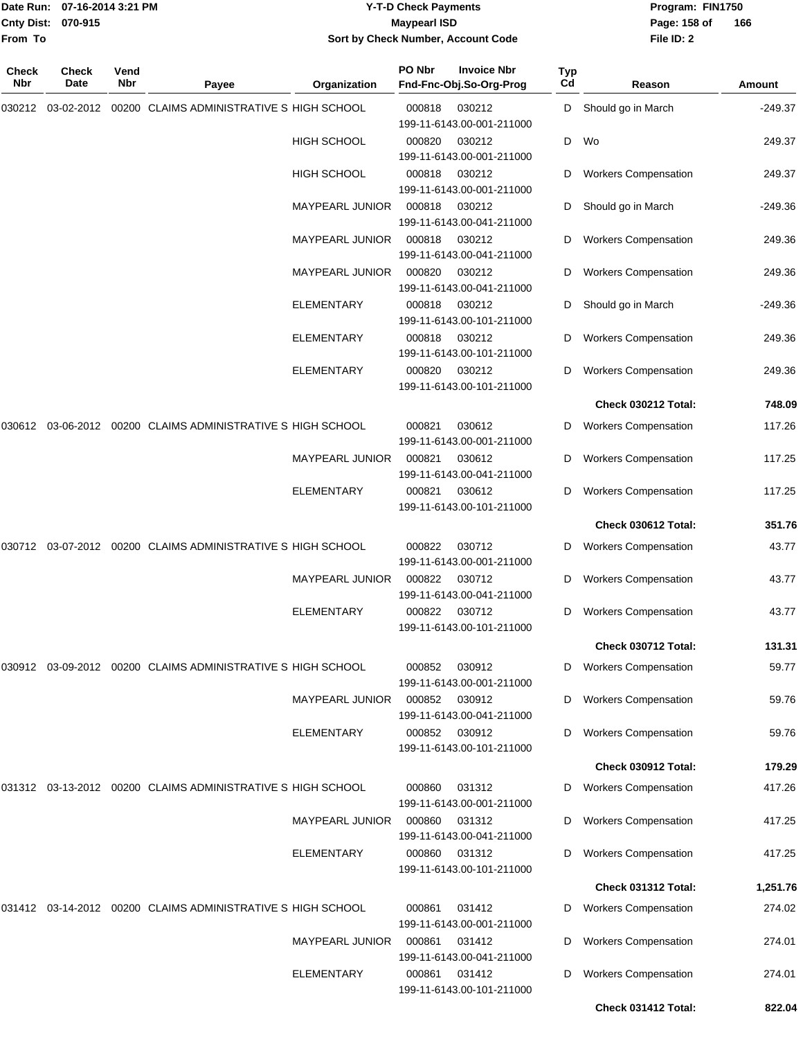|                    | Date Run: 07-16-2014 3:21 PM |
|--------------------|------------------------------|
| Cnty Dist: 070-915 |                              |
| From To            |                              |

# **Date Run: Program: FIN1750 07-16-2014 3:21 PM Y-T-D Check Payments Cnty Dist: Page: 158 of 070-915 Maypearl ISD Sort by Check Number, Account Code**

| Check<br>Nbr | Check<br>Date | Vend<br>Nbr | Payee                                                       | Organization           | PO Nbr                              | <b>Invoice Nbr</b><br>Fnd-Fnc-Obj.So-Org-Prog | Typ<br>Cd                   | Reason                      | Amount    |
|--------------|---------------|-------------|-------------------------------------------------------------|------------------------|-------------------------------------|-----------------------------------------------|-----------------------------|-----------------------------|-----------|
| 030212       | 03-02-2012    |             | 00200 CLAIMS ADMINISTRATIVE S HIGH SCHOOL                   |                        | 000818                              | 030212<br>199-11-6143.00-001-211000           | D                           | Should go in March          | $-249.37$ |
|              |               |             |                                                             | <b>HIGH SCHOOL</b>     | 000820                              | 030212<br>199-11-6143.00-001-211000           | D                           | Wo                          | 249.37    |
|              |               |             |                                                             | <b>HIGH SCHOOL</b>     | 000818                              | 030212<br>199-11-6143.00-001-211000           | D                           | <b>Workers Compensation</b> | 249.37    |
|              |               |             |                                                             | <b>MAYPEARL JUNIOR</b> | 000818                              | 030212<br>199-11-6143.00-041-211000           | D                           | Should go in March          | $-249.36$ |
|              |               |             |                                                             | <b>MAYPEARL JUNIOR</b> | 000818                              | 030212<br>199-11-6143.00-041-211000           | D                           | <b>Workers Compensation</b> | 249.36    |
|              |               |             | <b>MAYPEARL JUNIOR</b>                                      | 000820                 | 030212<br>199-11-6143.00-041-211000 | D                                             | <b>Workers Compensation</b> | 249.36                      |           |
|              |               |             |                                                             | ELEMENTARY             | 000818                              | 030212<br>199-11-6143.00-101-211000           | D                           | Should go in March          | $-249.36$ |
|              |               |             |                                                             | <b>ELEMENTARY</b>      | 000818                              | 030212<br>199-11-6143.00-101-211000           | D                           | <b>Workers Compensation</b> | 249.36    |
|              |               |             |                                                             | ELEMENTARY             | 000820                              | 030212<br>199-11-6143.00-101-211000           | D                           | <b>Workers Compensation</b> | 249.36    |
|              |               |             |                                                             |                        |                                     |                                               |                             | Check 030212 Total:         | 748.09    |
| 030612       |               |             | 03-06-2012 00200 CLAIMS ADMINISTRATIVE S HIGH SCHOOL        |                        | 000821                              | 030612<br>199-11-6143.00-001-211000           | D                           | <b>Workers Compensation</b> | 117.26    |
|              |               |             |                                                             | MAYPEARL JUNIOR        | 000821                              | 030612<br>199-11-6143.00-041-211000           | D                           | <b>Workers Compensation</b> | 117.25    |
|              |               |             |                                                             | ELEMENTARY             | 000821                              | 030612<br>199-11-6143.00-101-211000           | D                           | <b>Workers Compensation</b> | 117.25    |
|              |               |             |                                                             |                        |                                     |                                               |                             | Check 030612 Total:         | 351.76    |
| 030712       |               |             | 03-07-2012 00200 CLAIMS ADMINISTRATIVE S HIGH SCHOOL        |                        | 000822                              | 030712<br>199-11-6143.00-001-211000           | D                           | <b>Workers Compensation</b> | 43.77     |
|              |               |             |                                                             | <b>MAYPEARL JUNIOR</b> | 000822                              | 030712<br>199-11-6143.00-041-211000           | D                           | <b>Workers Compensation</b> | 43.77     |
|              |               |             |                                                             | <b>ELEMENTARY</b>      | 000822                              | 030712<br>199-11-6143.00-101-211000           | D                           | <b>Workers Compensation</b> | 43.77     |
|              |               |             |                                                             |                        |                                     |                                               |                             | Check 030712 Total:         | 131.31    |
| 030912       |               |             | 03-09-2012 00200 CLAIMS ADMINISTRATIVE S HIGH SCHOOL        |                        | 000852                              | 030912<br>199-11-6143.00-001-211000           | D                           | <b>Workers Compensation</b> | 59.77     |
|              |               |             |                                                             | <b>MAYPEARL JUNIOR</b> | 000852                              | 030912<br>199-11-6143.00-041-211000           | D                           | <b>Workers Compensation</b> | 59.76     |
|              |               |             |                                                             | ELEMENTARY             | 000852                              | 030912<br>199-11-6143.00-101-211000           | D                           | <b>Workers Compensation</b> | 59.76     |
|              |               |             |                                                             |                        |                                     |                                               |                             | Check 030912 Total:         | 179.29    |
|              |               |             | 031312 03-13-2012 00200 CLAIMS ADMINISTRATIVE S HIGH SCHOOL |                        | 000860                              | 031312<br>199-11-6143.00-001-211000           | D                           | <b>Workers Compensation</b> | 417.26    |
|              |               |             |                                                             | <b>MAYPEARL JUNIOR</b> | 000860                              | 031312<br>199-11-6143.00-041-211000           | D                           | <b>Workers Compensation</b> | 417.25    |
|              |               |             |                                                             | <b>ELEMENTARY</b>      | 000860                              | 031312<br>199-11-6143.00-101-211000           | D                           | <b>Workers Compensation</b> | 417.25    |
|              |               |             |                                                             |                        |                                     |                                               |                             | Check 031312 Total:         | 1,251.76  |
|              |               |             | 031412 03-14-2012 00200 CLAIMS ADMINISTRATIVE S HIGH SCHOOL |                        | 000861                              | 031412<br>199-11-6143.00-001-211000           | D                           | <b>Workers Compensation</b> | 274.02    |
|              |               |             |                                                             | <b>MAYPEARL JUNIOR</b> | 000861                              | 031412<br>199-11-6143.00-041-211000           | D                           | <b>Workers Compensation</b> | 274.01    |
|              |               |             |                                                             | <b>ELEMENTARY</b>      | 000861                              | 031412<br>199-11-6143.00-101-211000           | D                           | <b>Workers Compensation</b> | 274.01    |
|              |               |             |                                                             |                        |                                     |                                               |                             | Check 031412 Total:         | 822.04    |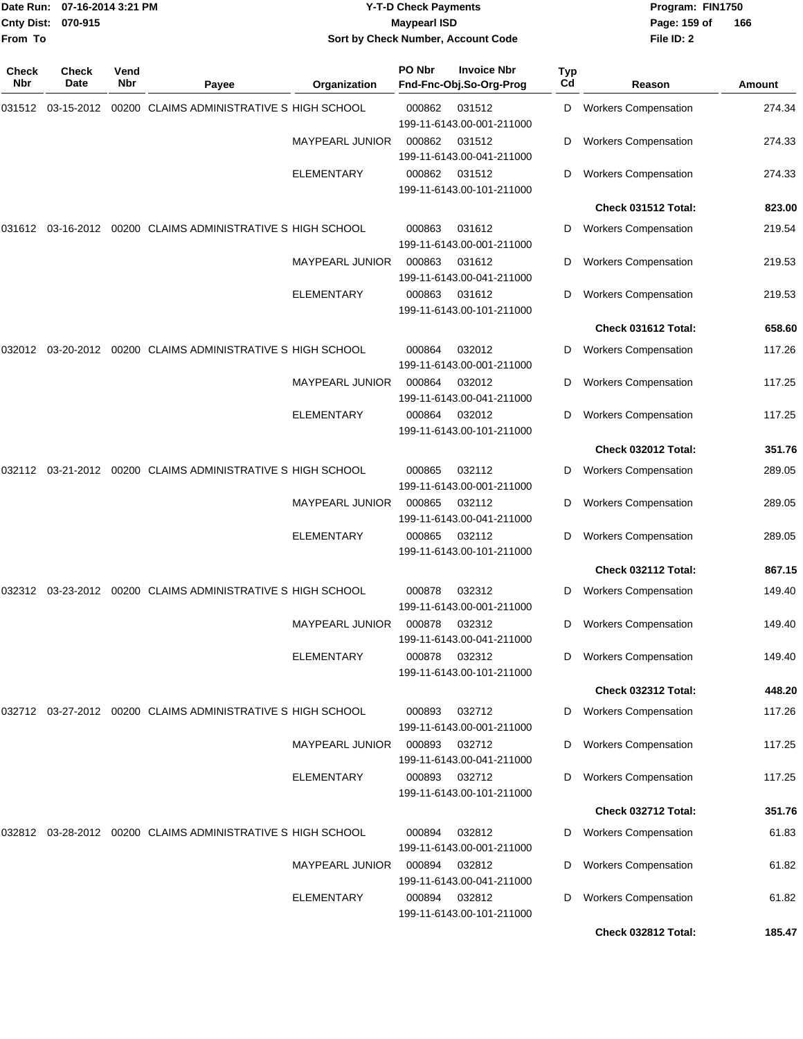| <b>Cnty Dist:</b><br>From To | Date Run: 07-16-2014 3:21 PM<br>070-915 |             |                                                                            | <b>Y-T-D Check Payments</b><br><b>Maypearl ISD</b><br>Sort by Check Number, Account Code |        |                                               |           |                             | Program: FIN1750<br>166 |
|------------------------------|-----------------------------------------|-------------|----------------------------------------------------------------------------|------------------------------------------------------------------------------------------|--------|-----------------------------------------------|-----------|-----------------------------|-------------------------|
| Check<br><b>Nbr</b>          | Check<br>Date                           | Vend<br>Nbr | Payee                                                                      | Organization                                                                             | PO Nbr | <b>Invoice Nbr</b><br>Fnd-Fnc-Obj.So-Org-Prog | Typ<br>Cd | Reason                      | Amount                  |
|                              |                                         |             | 00200 CLAIMS ADMINISTRATIVE S HIGH SCHOOL                                  |                                                                                          | 000862 | 031512<br>199-11-6143.00-001-211000           | D         | <b>Workers Compensation</b> | 274.34                  |
|                              |                                         |             |                                                                            | MAYPEARL JUNIOR                                                                          | 000862 | 031512<br>199-11-6143.00-041-211000           | D         | <b>Workers Compensation</b> | 274.33                  |
|                              |                                         |             |                                                                            | <b>ELEMENTARY</b>                                                                        | 000862 | 031512<br>199-11-6143.00-101-211000           | D         | <b>Workers Compensation</b> | 274.33                  |
|                              |                                         |             |                                                                            |                                                                                          |        |                                               |           | Check 031512 Total:         | 823.00                  |
|                              |                                         |             | 031612  03-16-2012  00200  CLAIMS ADMINISTRATIVE S            HIGH SCHOOL  |                                                                                          | 000863 | 031612<br>199-11-6143.00-001-211000           | D         | <b>Workers Compensation</b> | 219.54                  |
|                              |                                         |             |                                                                            | <b>MAYPEARL JUNIOR</b>                                                                   | 000863 | 031612<br>199-11-6143.00-041-211000           | D         | <b>Workers Compensation</b> | 219.53                  |
|                              |                                         |             |                                                                            | ELEMENTARY                                                                               | 000863 | 031612<br>199-11-6143.00-101-211000           | D         | <b>Workers Compensation</b> | 219.53                  |
|                              |                                         |             |                                                                            |                                                                                          |        |                                               |           | Check 031612 Total:         | 658.60                  |
| 032012                       |                                         |             | 03-20-2012 00200 CLAIMS ADMINISTRATIVE S HIGH SCHOOL                       |                                                                                          | 000864 | 032012<br>199-11-6143.00-001-211000           | D         | <b>Workers Compensation</b> | 117.26                  |
|                              |                                         |             |                                                                            | <b>MAYPEARL JUNIOR</b>                                                                   | 000864 | 032012<br>199-11-6143.00-041-211000           | D         | <b>Workers Compensation</b> | 117.25                  |
|                              |                                         |             |                                                                            | <b>ELEMENTARY</b>                                                                        | 000864 | 032012<br>199-11-6143.00-101-211000           | D         | <b>Workers Compensation</b> | 117.25                  |
|                              |                                         |             |                                                                            |                                                                                          |        |                                               |           | Check 032012 Total:         | 351.76                  |
|                              |                                         |             | 032112  03-21-2012  00200  CLAIMS ADMINISTRATIVE S            HIGH SCHOOL  |                                                                                          | 000865 | 032112<br>199-11-6143.00-001-211000           | D         | <b>Workers Compensation</b> | 289.05                  |
|                              |                                         |             |                                                                            | MAYPEARL JUNIOR                                                                          | 000865 | 032112<br>199-11-6143.00-041-211000           | D         | <b>Workers Compensation</b> | 289.05                  |
|                              |                                         |             |                                                                            | <b>ELEMENTARY</b>                                                                        | 000865 | 032112<br>199-11-6143.00-101-211000           | D         | <b>Workers Compensation</b> | 289.05                  |
|                              |                                         |             |                                                                            |                                                                                          |        |                                               |           | Check 032112 Total:         | 867.15                  |
|                              |                                         |             | 032312 03-23-2012 00200 CLAIMS ADMINISTRATIVE S HIGH SCHOOL                |                                                                                          | 000878 | 032312<br>199-11-6143.00-001-211000           |           | D Workers Compensation      | 149.40                  |
|                              |                                         |             |                                                                            | <b>MAYPEARL JUNIOR</b>                                                                   | 000878 | 032312<br>199-11-6143.00-041-211000           | D         | <b>Workers Compensation</b> | 149.40                  |
|                              |                                         |             |                                                                            | <b>ELEMENTARY</b>                                                                        | 000878 | 032312<br>199-11-6143.00-101-211000           | D         | <b>Workers Compensation</b> | 149.40                  |
|                              |                                         |             |                                                                            |                                                                                          |        |                                               |           | <b>Check 032312 Total:</b>  | 448.20                  |
|                              |                                         |             | 032712  03-27-2012  00200  CLAIMS ADMINISTRATIVE S HIGH SCHOOL             |                                                                                          | 000893 | 032712<br>199-11-6143.00-001-211000           | D         | <b>Workers Compensation</b> | 117.26                  |
|                              |                                         |             |                                                                            | <b>MAYPEARL JUNIOR</b>                                                                   | 000893 | 032712<br>199-11-6143.00-041-211000           | D         | <b>Workers Compensation</b> | 117.25                  |
|                              |                                         |             |                                                                            | ELEMENTARY                                                                               | 000893 | 032712<br>199-11-6143.00-101-211000           | D         | <b>Workers Compensation</b> | 117.25                  |
|                              |                                         |             |                                                                            |                                                                                          |        |                                               |           | Check 032712 Total:         | 351.76                  |
|                              |                                         |             | 032812  03-28-2012  00200  CLAIMS  ADMINISTRATIVE S            HIGH SCHOOL |                                                                                          | 000894 | 032812<br>199-11-6143.00-001-211000           | D         | <b>Workers Compensation</b> | 61.83                   |
|                              |                                         |             |                                                                            | <b>MAYPEARL JUNIOR</b>                                                                   | 000894 | 032812<br>199-11-6143.00-041-211000           | D         | <b>Workers Compensation</b> | 61.82                   |
|                              |                                         |             |                                                                            | <b>ELEMENTARY</b>                                                                        | 000894 | 032812<br>199-11-6143.00-101-211000           | D         | <b>Workers Compensation</b> | 61.82                   |
|                              |                                         |             |                                                                            |                                                                                          |        |                                               |           | Check 032812 Total:         | 185.47                  |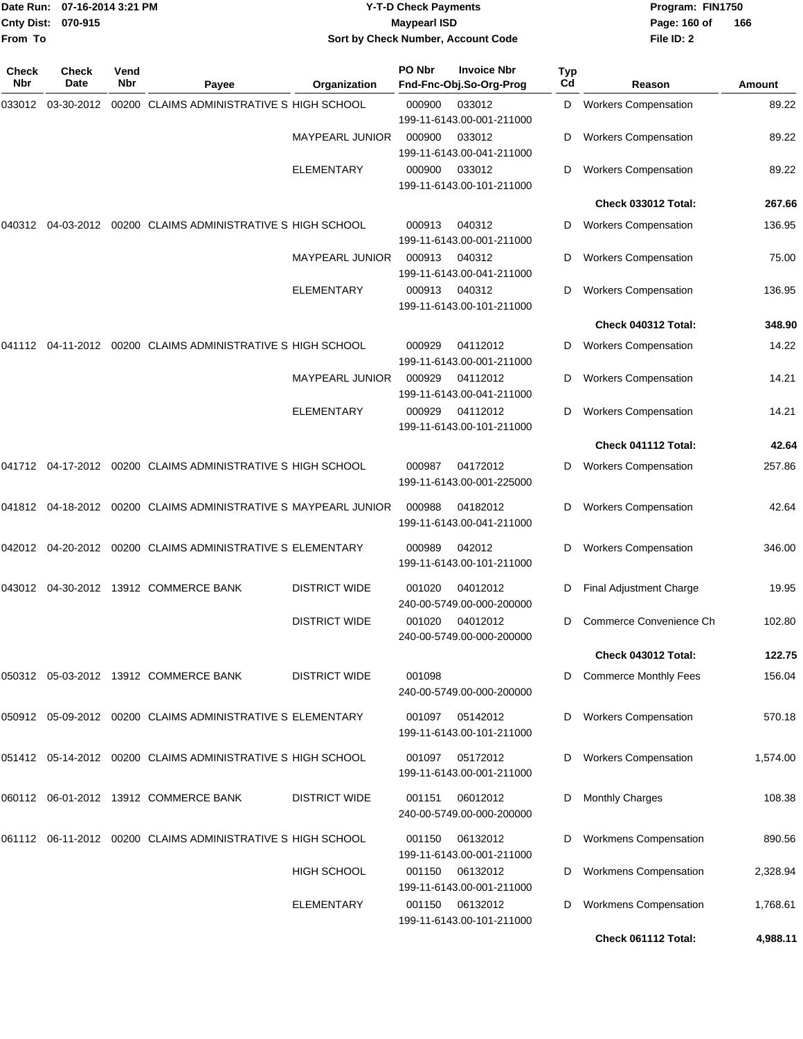| From To      | Date Run: 07-16-2014 3:21 PM<br>Cnty Dist:<br>070-915 |             |                                                                           | <b>Y-T-D Check Payments</b><br><b>Maypearl ISD</b><br>Sort by Check Number, Account Code |        |                                               |           | Program: FIN1750<br>Page: 160 of<br>File ID: 2 | 166      |
|--------------|-------------------------------------------------------|-------------|---------------------------------------------------------------------------|------------------------------------------------------------------------------------------|--------|-----------------------------------------------|-----------|------------------------------------------------|----------|
| Check<br>Nbr | Check<br>Date                                         | Vend<br>Nbr | Payee                                                                     | Organization                                                                             | PO Nbr | <b>Invoice Nbr</b><br>Fnd-Fnc-Obj.So-Org-Prog | Typ<br>Cd | Reason                                         | Amount   |
|              |                                                       |             | 00200 CLAIMS ADMINISTRATIVE S HIGH SCHOOL                                 |                                                                                          | 000900 | 033012<br>199-11-6143.00-001-211000           | D         | <b>Workers Compensation</b>                    | 89.22    |
|              |                                                       |             |                                                                           | <b>MAYPEARL JUNIOR</b>                                                                   | 000900 | 033012<br>199-11-6143.00-041-211000           | D         | <b>Workers Compensation</b>                    | 89.22    |
|              |                                                       |             |                                                                           | ELEMENTARY                                                                               | 000900 | 033012<br>199-11-6143.00-101-211000           | D         | <b>Workers Compensation</b>                    | 89.22    |
|              |                                                       |             |                                                                           |                                                                                          |        |                                               |           | Check 033012 Total:                            | 267.66   |
| 040312       |                                                       |             | 04-03-2012 00200 CLAIMS ADMINISTRATIVE S HIGH SCHOOL                      |                                                                                          | 000913 | 040312<br>199-11-6143.00-001-211000           | D         | <b>Workers Compensation</b>                    | 136.95   |
|              |                                                       |             |                                                                           | <b>MAYPEARL JUNIOR</b>                                                                   | 000913 | 040312<br>199-11-6143.00-041-211000           | D         | <b>Workers Compensation</b>                    | 75.00    |
|              |                                                       |             |                                                                           | <b>ELEMENTARY</b>                                                                        | 000913 | 040312<br>199-11-6143.00-101-211000           | D         | <b>Workers Compensation</b>                    | 136.95   |
|              |                                                       |             |                                                                           |                                                                                          |        |                                               |           | Check 040312 Total:                            | 348.90   |
|              |                                                       |             | 041112   04-11-2012   00200   CLAIMS   ADMINISTRATIVE   S   HIGH   SCHOOL |                                                                                          | 000929 | 04112012<br>199-11-6143.00-001-211000         | D         | <b>Workers Compensation</b>                    | 14.22    |
|              |                                                       |             |                                                                           | <b>MAYPEARL JUNIOR</b>                                                                   | 000929 | 04112012<br>199-11-6143.00-041-211000         | D         | <b>Workers Compensation</b>                    | 14.21    |
|              |                                                       |             |                                                                           | ELEMENTARY                                                                               | 000929 | 04112012<br>199-11-6143.00-101-211000         | D         | <b>Workers Compensation</b>                    | 14.21    |
|              |                                                       |             |                                                                           |                                                                                          |        |                                               |           | Check 041112 Total:                            | 42.64    |
|              |                                                       |             | 041712  04-17-2012  00200  CLAIMS ADMINISTRATIVE S   HIGH SCHOOL          |                                                                                          | 000987 | 04172012<br>199-11-6143.00-001-225000         | D         | <b>Workers Compensation</b>                    | 257.86   |
|              |                                                       |             | 041812  04-18-2012  00200  CLAIMS ADMINISTRATIVE S MAYPEARL JUNIOR        |                                                                                          | 000988 | 04182012<br>199-11-6143.00-041-211000         | D         | <b>Workers Compensation</b>                    | 42.64    |
|              |                                                       |             | 042012  04-20-2012  00200  CLAIMS  ADMINISTRATIVE S ELEMENTARY            |                                                                                          | 000989 | 042012<br>199-11-6143.00-101-211000           | D         | <b>Workers Compensation</b>                    | 346.00   |
| 043012       |                                                       |             | 04-30-2012 13912 COMMERCE BANK                                            | <b>DISTRICT WIDE</b>                                                                     | 001020 | 04012012<br>240-00-5749.00-000-200000         | D         | Final Adjustment Charge                        | 19.95    |
|              |                                                       |             |                                                                           | <b>DISTRICT WIDE</b>                                                                     | 001020 | 04012012<br>240-00-5749.00-000-200000         |           | Commerce Convenience Ch                        | 102.80   |
|              |                                                       |             |                                                                           |                                                                                          |        |                                               |           | Check 043012 Total:                            | 122.75   |
|              |                                                       |             | 050312 05-03-2012 13912 COMMERCE BANK                                     | <b>DISTRICT WIDE</b>                                                                     | 001098 | 240-00-5749.00-000-200000                     |           | <b>Commerce Monthly Fees</b>                   | 156.04   |
|              |                                                       |             | 050912  05-09-2012  00200  CLAIMS ADMINISTRATIVE S ELEMENTARY             |                                                                                          | 001097 | 05142012<br>199-11-6143.00-101-211000         | D         | <b>Workers Compensation</b>                    | 570.18   |
|              |                                                       |             | 051412  05-14-2012  00200  CLAIMS ADMINISTRATIVE S HIGH SCHOOL            |                                                                                          | 001097 | 05172012<br>199-11-6143.00-001-211000         |           | <b>Workers Compensation</b>                    | 1,574.00 |
|              |                                                       |             | 060112 06-01-2012 13912 COMMERCE BANK                                     | <b>DISTRICT WIDE</b>                                                                     | 001151 | 06012012<br>240-00-5749.00-000-200000         | D         | <b>Monthly Charges</b>                         | 108.38   |
|              |                                                       |             | 061112  06-11-2012  00200  CLAIMS ADMINISTRATIVE S HIGH SCHOOL            |                                                                                          | 001150 | 06132012<br>199-11-6143.00-001-211000         | D         | <b>Workmens Compensation</b>                   | 890.56   |
|              |                                                       |             |                                                                           | <b>HIGH SCHOOL</b>                                                                       | 001150 | 06132012<br>199-11-6143.00-001-211000         | D         | <b>Workmens Compensation</b>                   | 2,328.94 |
|              |                                                       |             |                                                                           | <b>ELEMENTARY</b>                                                                        | 001150 | 06132012<br>199-11-6143.00-101-211000         | D         | <b>Workmens Compensation</b>                   | 1,768.61 |

**Check 061112 Total: 4,988.11**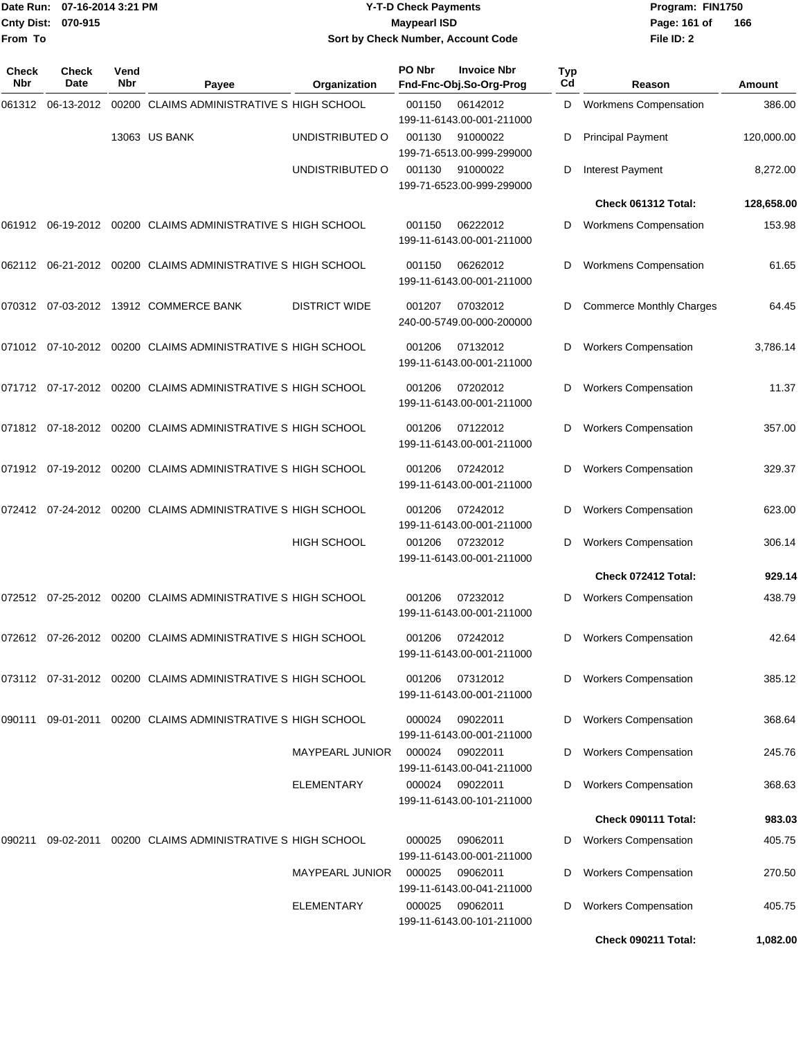|                    | Date Run: 07-16-2014 3:21 PM |
|--------------------|------------------------------|
| Cnty Dist: 070-915 |                              |
| From To            |                              |

### **Date Run: Program: FIN1750 07-16-2014 3:21 PM Y-T-D Check Payments Cnty Dist: Page: 161 of 070-915 Maypearl ISD Sort by Check Number, Account Code**

| <b>Check</b><br>Nbr | Check<br>Date | Vend<br>Nbr | Payee                                                       | Organization           | PO Nbr | <b>Invoice Nbr</b><br>Fnd-Fnc-Obj.So-Org-Prog | <b>Typ</b><br>Cd | Reason                                                    | Amount             |
|---------------------|---------------|-------------|-------------------------------------------------------------|------------------------|--------|-----------------------------------------------|------------------|-----------------------------------------------------------|--------------------|
| 061312              | 06-13-2012    |             | 00200 CLAIMS ADMINISTRATIVE S HIGH SCHOOL                   |                        | 001150 | 06142012<br>199-11-6143.00-001-211000         | D                | <b>Workmens Compensation</b>                              | 386.00             |
|                     |               |             | 13063 US BANK                                               | UNDISTRIBUTED O        | 001130 | 91000022<br>199-71-6513.00-999-299000         | D                | <b>Principal Payment</b>                                  | 120,000.00         |
|                     |               |             |                                                             | UNDISTRIBUTED O        | 001130 | 91000022<br>199-71-6523.00-999-299000         | D                | <b>Interest Payment</b>                                   | 8,272.00           |
|                     |               |             |                                                             |                        |        |                                               |                  | Check 061312 Total:                                       | 128,658.00         |
| 061912              |               |             | 06-19-2012 00200 CLAIMS ADMINISTRATIVE S HIGH SCHOOL        |                        | 001150 | 06222012<br>199-11-6143.00-001-211000         | D                | <b>Workmens Compensation</b>                              | 153.98             |
| 062112              |               |             | 06-21-2012 00200 CLAIMS ADMINISTRATIVE S HIGH SCHOOL        |                        | 001150 | 06262012<br>199-11-6143.00-001-211000         | D                | <b>Workmens Compensation</b>                              | 61.65              |
|                     |               |             | 070312 07-03-2012 13912 COMMERCE BANK                       | <b>DISTRICT WIDE</b>   | 001207 | 07032012<br>240-00-5749.00-000-200000         | D                | <b>Commerce Monthly Charges</b>                           | 64.45              |
|                     |               |             | 071012 07-10-2012 00200 CLAIMS ADMINISTRATIVE S HIGH SCHOOL |                        | 001206 | 07132012<br>199-11-6143.00-001-211000         | D                | <b>Workers Compensation</b>                               | 3,786.14           |
|                     |               |             | 071712 07-17-2012 00200 CLAIMS ADMINISTRATIVE S HIGH SCHOOL |                        | 001206 | 07202012<br>199-11-6143.00-001-211000         | D                | <b>Workers Compensation</b>                               | 11.37              |
|                     |               |             | 071812 07-18-2012 00200 CLAIMS ADMINISTRATIVE S HIGH SCHOOL |                        | 001206 | 07122012<br>199-11-6143.00-001-211000         | D                | <b>Workers Compensation</b>                               | 357.00             |
|                     |               |             | 071912 07-19-2012 00200 CLAIMS ADMINISTRATIVE S HIGH SCHOOL |                        | 001206 | 07242012<br>199-11-6143.00-001-211000         | D                | <b>Workers Compensation</b>                               | 329.37             |
| 072412              |               |             | 07-24-2012 00200 CLAIMS ADMINISTRATIVE S HIGH SCHOOL        |                        | 001206 | 07242012<br>199-11-6143.00-001-211000         | D                | <b>Workers Compensation</b>                               | 623.00             |
|                     |               |             |                                                             | <b>HIGH SCHOOL</b>     | 001206 | 07232012<br>199-11-6143.00-001-211000         | D                | <b>Workers Compensation</b>                               | 306.14             |
|                     |               |             |                                                             |                        |        |                                               |                  | Check 072412 Total:                                       | 929.14             |
| 072512              |               |             | 07-25-2012 00200 CLAIMS ADMINISTRATIVE S HIGH SCHOOL        |                        | 001206 | 07232012<br>199-11-6143.00-001-211000         | D                | <b>Workers Compensation</b>                               | 438.79             |
|                     |               |             | 072612 07-26-2012 00200 CLAIMS ADMINISTRATIVE S HIGH SCHOOL |                        | 001206 | 07242012<br>199-11-6143.00-001-211000         | D                | <b>Workers Compensation</b>                               | 42.64              |
|                     |               |             | 073112 07-31-2012 00200 CLAIMS ADMINISTRATIVE S HIGH SCHOOL |                        | 001206 | 07312012<br>199-11-6143.00-001-211000         | D                | <b>Workers Compensation</b>                               | 385.12             |
| 090111              |               |             | 09-01-2011 00200 CLAIMS ADMINISTRATIVE S HIGH SCHOOL        |                        | 000024 | 09022011<br>199-11-6143.00-001-211000         | D                | <b>Workers Compensation</b>                               | 368.64             |
|                     |               |             |                                                             | <b>MAYPEARL JUNIOR</b> | 000024 | 09022011<br>199-11-6143.00-041-211000         | D                | <b>Workers Compensation</b>                               | 245.76             |
|                     |               |             |                                                             | ELEMENTARY             | 000024 | 09022011<br>199-11-6143.00-101-211000         | D                | <b>Workers Compensation</b>                               | 368.63             |
|                     |               |             |                                                             |                        |        |                                               |                  | Check 090111 Total:                                       | 983.03             |
| 090211              |               |             | 09-02-2011 00200 CLAIMS ADMINISTRATIVE S HIGH SCHOOL        |                        | 000025 | 09062011<br>199-11-6143.00-001-211000         | D                | <b>Workers Compensation</b>                               | 405.75             |
|                     |               |             |                                                             | MAYPEARL JUNIOR        | 000025 | 09062011<br>199-11-6143.00-041-211000         | D                | <b>Workers Compensation</b>                               | 270.50             |
|                     |               |             |                                                             | ELEMENTARY             | 000025 | 09062011<br>199-11-6143.00-101-211000         | D                | <b>Workers Compensation</b><br><b>Check 090211 Total:</b> | 405.75<br>1,082.00 |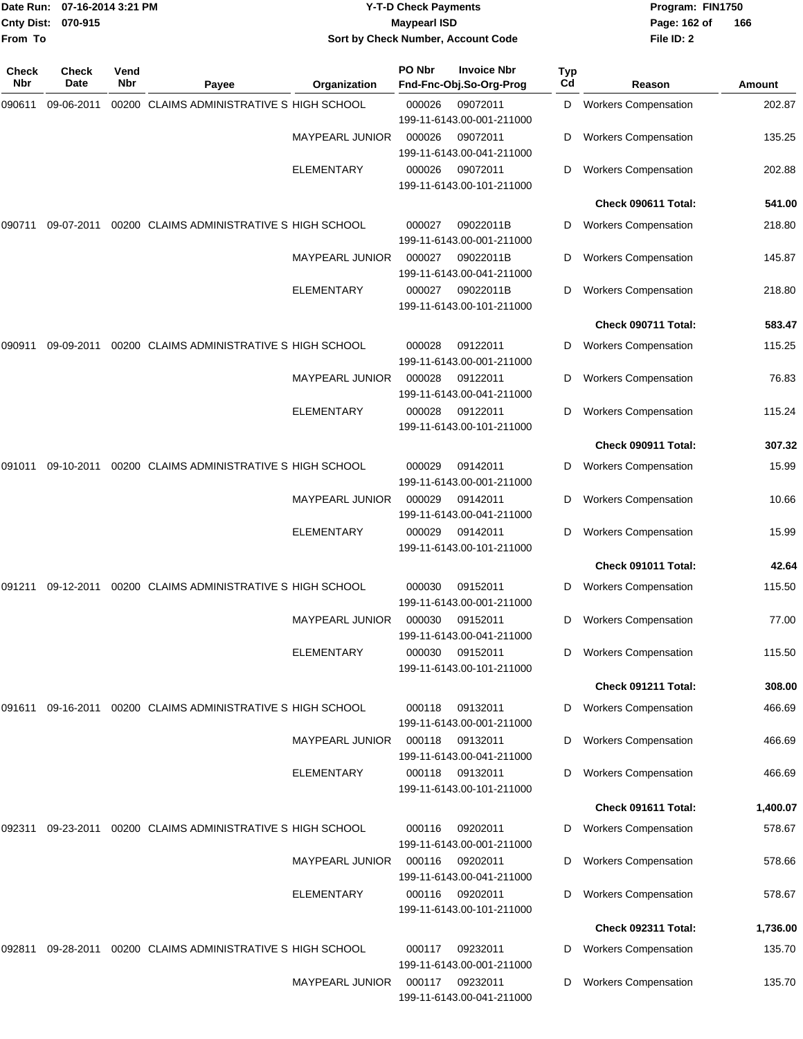| Date Run:<br>Cnty Dist: | 07-16-2014 3:21 PM<br>070-915<br>From To |             |                                                      | <b>Y-T-D Check Payments</b><br><b>Maypearl ISD</b><br>Sort by Check Number, Account Code |        |                                               |           | Program: FIN1750<br>Page: 162 of<br>File ID: 2 | 166      |
|-------------------------|------------------------------------------|-------------|------------------------------------------------------|------------------------------------------------------------------------------------------|--------|-----------------------------------------------|-----------|------------------------------------------------|----------|
|                         |                                          |             |                                                      |                                                                                          |        |                                               |           |                                                |          |
| Check<br>Nbr            | Check<br>Date                            | Vend<br>Nbr | Payee                                                | Organization                                                                             | PO Nbr | <b>Invoice Nbr</b><br>Fnd-Fnc-Obj.So-Org-Prog | Typ<br>Cd | Reason                                         | Amount   |
| 090611                  | 09-06-2011                               |             | 00200 CLAIMS ADMINISTRATIVE S HIGH SCHOOL            |                                                                                          | 000026 | 09072011<br>199-11-6143.00-001-211000         | D         | <b>Workers Compensation</b>                    | 202.87   |
|                         |                                          |             |                                                      | <b>MAYPEARL JUNIOR</b>                                                                   | 000026 | 09072011<br>199-11-6143.00-041-211000         | D         | <b>Workers Compensation</b>                    | 135.25   |
|                         |                                          |             |                                                      | ELEMENTARY                                                                               | 000026 | 09072011<br>199-11-6143.00-101-211000         | D         | <b>Workers Compensation</b>                    | 202.88   |
|                         |                                          |             |                                                      |                                                                                          |        |                                               |           | Check 090611 Total:                            | 541.00   |
| 090711                  | 09-07-2011                               |             | 00200 CLAIMS ADMINISTRATIVE S HIGH SCHOOL            |                                                                                          | 000027 | 09022011B<br>199-11-6143.00-001-211000        | D         | <b>Workers Compensation</b>                    | 218.80   |
|                         |                                          |             |                                                      | MAYPEARL JUNIOR                                                                          | 000027 | 09022011B<br>199-11-6143.00-041-211000        | D         | <b>Workers Compensation</b>                    | 145.87   |
|                         |                                          |             |                                                      | <b>ELEMENTARY</b>                                                                        | 000027 | 09022011B<br>199-11-6143.00-101-211000        | D         | <b>Workers Compensation</b>                    | 218.80   |
|                         |                                          |             |                                                      |                                                                                          |        |                                               |           | Check 090711 Total:                            | 583.47   |
| 090911                  | 09-09-2011                               |             | 00200 CLAIMS ADMINISTRATIVE S HIGH SCHOOL            |                                                                                          | 000028 | 09122011<br>199-11-6143.00-001-211000         | D         | <b>Workers Compensation</b>                    | 115.25   |
|                         |                                          |             |                                                      | <b>MAYPEARL JUNIOR</b>                                                                   | 000028 | 09122011<br>199-11-6143.00-041-211000         | D         | <b>Workers Compensation</b>                    | 76.83    |
|                         |                                          |             |                                                      | <b>ELEMENTARY</b>                                                                        | 000028 | 09122011<br>199-11-6143.00-101-211000         | D         | <b>Workers Compensation</b>                    | 115.24   |
|                         |                                          |             |                                                      |                                                                                          |        |                                               |           | Check 090911 Total:                            | 307.32   |
| 091011                  | 09-10-2011                               |             | 00200 CLAIMS ADMINISTRATIVE S HIGH SCHOOL            |                                                                                          | 000029 | 09142011<br>199-11-6143.00-001-211000         | D         | <b>Workers Compensation</b>                    | 15.99    |
|                         |                                          |             |                                                      | <b>MAYPEARL JUNIOR</b>                                                                   | 000029 | 09142011<br>199-11-6143.00-041-211000         | D         | <b>Workers Compensation</b>                    | 10.66    |
|                         |                                          |             |                                                      | ELEMENTARY                                                                               | 000029 | 09142011<br>199-11-6143.00-101-211000         | D         | <b>Workers Compensation</b>                    | 15.99    |
|                         |                                          |             |                                                      |                                                                                          |        |                                               |           | Check 091011 Total:                            | 42.64    |
| 091211                  | 09-12-2011                               |             | 00200 CLAIMS ADMINISTRATIVE S HIGH SCHOOL            |                                                                                          | 000030 | 09152011<br>199-11-6143.00-001-211000         | D         | <b>Workers Compensation</b>                    | 115.50   |
|                         |                                          |             |                                                      | <b>MAYPEARL JUNIOR</b>                                                                   | 000030 | 09152011<br>199-11-6143.00-041-211000         | D         | <b>Workers Compensation</b>                    | 77.00    |
|                         |                                          |             |                                                      | <b>ELEMENTARY</b>                                                                        | 000030 | 09152011<br>199-11-6143.00-101-211000         | D         | <b>Workers Compensation</b>                    | 115.50   |
|                         |                                          |             |                                                      |                                                                                          |        |                                               |           | Check 091211 Total:                            | 308.00   |
| 091611                  | 09-16-2011                               |             | 00200 CLAIMS ADMINISTRATIVE S HIGH SCHOOL            |                                                                                          | 000118 | 09132011<br>199-11-6143.00-001-211000         | D         | <b>Workers Compensation</b>                    | 466.69   |
|                         |                                          |             |                                                      | <b>MAYPEARL JUNIOR</b>                                                                   | 000118 | 09132011<br>199-11-6143.00-041-211000         | D         | <b>Workers Compensation</b>                    | 466.69   |
|                         |                                          |             |                                                      | <b>ELEMENTARY</b>                                                                        | 000118 | 09132011<br>199-11-6143.00-101-211000         | D         | <b>Workers Compensation</b>                    | 466.69   |
|                         |                                          |             |                                                      |                                                                                          |        |                                               |           | Check 091611 Total:                            | 1,400.07 |
| 092311                  |                                          |             | 09-23-2011 00200 CLAIMS ADMINISTRATIVE S HIGH SCHOOL |                                                                                          | 000116 | 09202011<br>199-11-6143.00-001-211000         | D         | <b>Workers Compensation</b>                    | 578.67   |
|                         |                                          |             |                                                      | <b>MAYPEARL JUNIOR</b>                                                                   | 000116 | 09202011<br>199-11-6143.00-041-211000         | D         | <b>Workers Compensation</b>                    | 578.66   |
|                         |                                          |             |                                                      | <b>ELEMENTARY</b>                                                                        | 000116 | 09202011<br>199-11-6143.00-101-211000         | D         | <b>Workers Compensation</b>                    | 578.67   |
|                         |                                          |             |                                                      |                                                                                          |        |                                               |           | Check 092311 Total:                            | 1,736.00 |
| 092811                  | 09-28-2011                               |             | 00200 CLAIMS ADMINISTRATIVE S HIGH SCHOOL            |                                                                                          | 000117 | 09232011<br>199-11-6143.00-001-211000         | D         | <b>Workers Compensation</b>                    | 135.70   |
|                         |                                          |             |                                                      | <b>MAYPEARL JUNIOR</b>                                                                   | 000117 | 09232011<br>199-11-6143.00-041-211000         | D         | <b>Workers Compensation</b>                    | 135.70   |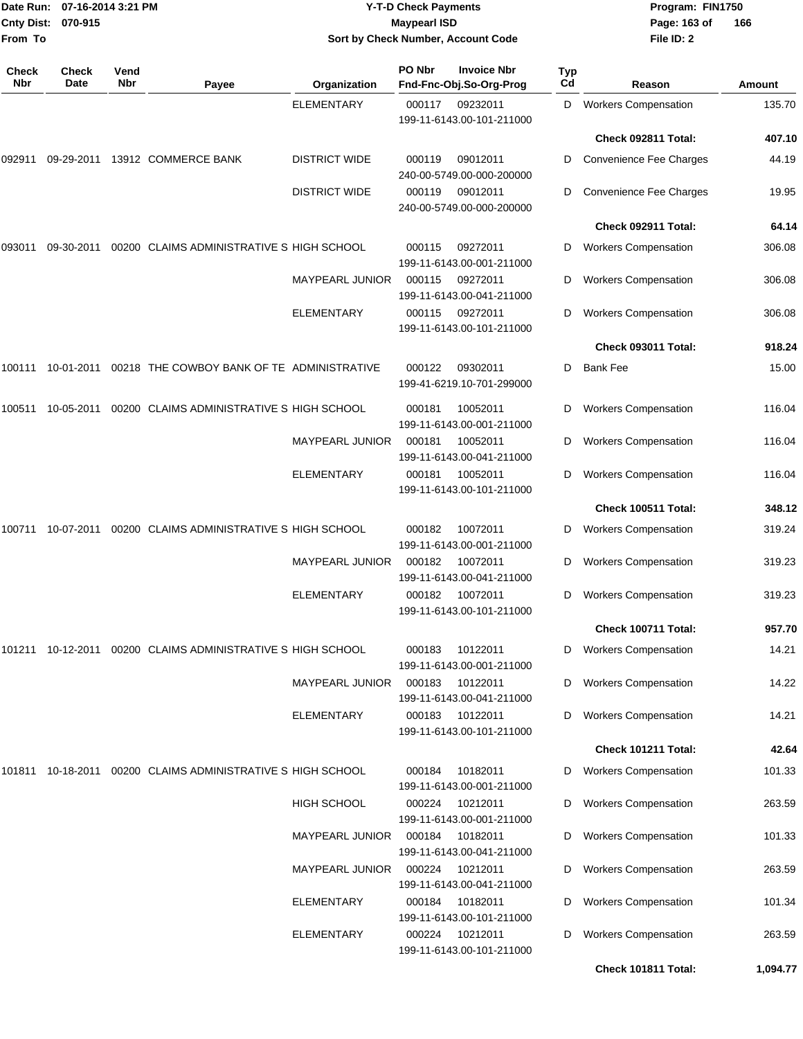| From To             | Date Run: 07-16-2014 3:21 PM<br>Cnty Dist: 070-915 |             | <b>Y-T-D Check Payments</b><br><b>Maypearl ISD</b><br>Sort by Check Number, Account Code |                        |        |                                               | Program: FIN1750<br>Page: 163 of<br>File ID: 2 | 166                         |          |
|---------------------|----------------------------------------------------|-------------|------------------------------------------------------------------------------------------|------------------------|--------|-----------------------------------------------|------------------------------------------------|-----------------------------|----------|
| <b>Check</b><br>Nbr | Check<br>Date                                      | Vend<br>Nbr | Payee                                                                                    | Organization           | PO Nbr | <b>Invoice Nbr</b><br>Fnd-Fnc-Obj.So-Org-Prog | <b>Typ</b><br>Cd                               | Reason                      | Amount   |
|                     |                                                    |             |                                                                                          | <b>ELEMENTARY</b>      | 000117 | 09232011                                      | D                                              | <b>Workers Compensation</b> | 135.70   |
|                     |                                                    |             |                                                                                          |                        |        | 199-11-6143.00-101-211000                     |                                                |                             |          |
|                     |                                                    |             |                                                                                          |                        |        |                                               |                                                | Check 092811 Total:         | 407.10   |
| 092911              | 09-29-2011                                         |             | 13912 COMMERCE BANK                                                                      | <b>DISTRICT WIDE</b>   | 000119 | 09012011<br>240-00-5749.00-000-200000         | D                                              | Convenience Fee Charges     | 44.19    |
|                     |                                                    |             |                                                                                          | <b>DISTRICT WIDE</b>   | 000119 | 09012011<br>240-00-5749.00-000-200000         | D                                              | Convenience Fee Charges     | 19.95    |
|                     |                                                    |             |                                                                                          |                        |        |                                               |                                                | Check 092911 Total:         | 64.14    |
| 093011              | 09-30-2011                                         |             | 00200 CLAIMS ADMINISTRATIVE S HIGH SCHOOL                                                |                        | 000115 | 09272011<br>199-11-6143.00-001-211000         | D                                              | <b>Workers Compensation</b> | 306.08   |
|                     |                                                    |             |                                                                                          | <b>MAYPEARL JUNIOR</b> | 000115 | 09272011<br>199-11-6143.00-041-211000         | D                                              | <b>Workers Compensation</b> | 306.08   |
|                     |                                                    |             |                                                                                          | <b>ELEMENTARY</b>      | 000115 | 09272011<br>199-11-6143.00-101-211000         | D                                              | <b>Workers Compensation</b> | 306.08   |
|                     |                                                    |             |                                                                                          |                        |        |                                               |                                                | Check 093011 Total:         | 918.24   |
| 100111              | 10-01-2011                                         |             | 00218 THE COWBOY BANK OF TE ADMINISTRATIVE                                               |                        | 000122 | 09302011<br>199-41-6219.10-701-299000         | D                                              | <b>Bank Fee</b>             | 15.00    |
| 100511              | 10-05-2011                                         |             | 00200 CLAIMS ADMINISTRATIVE S HIGH SCHOOL                                                |                        | 000181 | 10052011<br>199-11-6143.00-001-211000         | D                                              | <b>Workers Compensation</b> | 116.04   |
|                     |                                                    |             |                                                                                          | <b>MAYPEARL JUNIOR</b> | 000181 | 10052011<br>199-11-6143.00-041-211000         | D                                              | <b>Workers Compensation</b> | 116.04   |
|                     |                                                    |             |                                                                                          | <b>ELEMENTARY</b>      | 000181 | 10052011<br>199-11-6143.00-101-211000         | D                                              | <b>Workers Compensation</b> | 116.04   |
|                     |                                                    |             |                                                                                          |                        |        |                                               |                                                | Check 100511 Total:         | 348.12   |
| 100711              | 10-07-2011                                         |             | 00200 CLAIMS ADMINISTRATIVE S HIGH SCHOOL                                                |                        | 000182 | 10072011<br>199-11-6143.00-001-211000         | D                                              | <b>Workers Compensation</b> | 319.24   |
|                     |                                                    |             |                                                                                          | <b>MAYPEARL JUNIOR</b> | 000182 | 10072011<br>199-11-6143.00-041-211000         | D                                              | <b>Workers Compensation</b> | 319.23   |
|                     |                                                    |             |                                                                                          | ELEMENTARY             | 000182 | 10072011<br>199-11-6143.00-101-211000         | D                                              | <b>Workers Compensation</b> | 319.23   |
|                     |                                                    |             |                                                                                          |                        |        |                                               |                                                | Check 100711 Total:         | 957.70   |
|                     |                                                    |             | 101211 10-12-2011 00200 CLAIMS ADMINISTRATIVE S HIGH SCHOOL                              |                        | 000183 | 10122011<br>199-11-6143.00-001-211000         | D                                              | <b>Workers Compensation</b> | 14.21    |
|                     |                                                    |             |                                                                                          | <b>MAYPEARL JUNIOR</b> | 000183 | 10122011<br>199-11-6143.00-041-211000         | D                                              | <b>Workers Compensation</b> | 14.22    |
|                     |                                                    |             |                                                                                          | <b>ELEMENTARY</b>      | 000183 | 10122011<br>199-11-6143.00-101-211000         | D                                              | <b>Workers Compensation</b> | 14.21    |
|                     |                                                    |             |                                                                                          |                        |        |                                               |                                                | <b>Check 101211 Total:</b>  | 42.64    |
| 101811              |                                                    |             | 10-18-2011 00200 CLAIMS ADMINISTRATIVE S HIGH SCHOOL                                     |                        | 000184 | 10182011<br>199-11-6143.00-001-211000         | D                                              | <b>Workers Compensation</b> | 101.33   |
|                     |                                                    |             |                                                                                          | HIGH SCHOOL            | 000224 | 10212011<br>199-11-6143.00-001-211000         | D                                              | <b>Workers Compensation</b> | 263.59   |
|                     |                                                    |             |                                                                                          | <b>MAYPEARL JUNIOR</b> | 000184 | 10182011<br>199-11-6143.00-041-211000         | D                                              | <b>Workers Compensation</b> | 101.33   |
|                     |                                                    |             |                                                                                          | <b>MAYPEARL JUNIOR</b> | 000224 | 10212011<br>199-11-6143.00-041-211000         | D                                              | <b>Workers Compensation</b> | 263.59   |
|                     |                                                    |             |                                                                                          | <b>ELEMENTARY</b>      | 000184 | 10182011<br>199-11-6143.00-101-211000         | D                                              | <b>Workers Compensation</b> | 101.34   |
|                     |                                                    |             |                                                                                          | <b>ELEMENTARY</b>      | 000224 | 10212011<br>199-11-6143.00-101-211000         | D                                              | <b>Workers Compensation</b> | 263.59   |
|                     |                                                    |             |                                                                                          |                        |        |                                               |                                                | Check 101811 Total:         | 1,094.77 |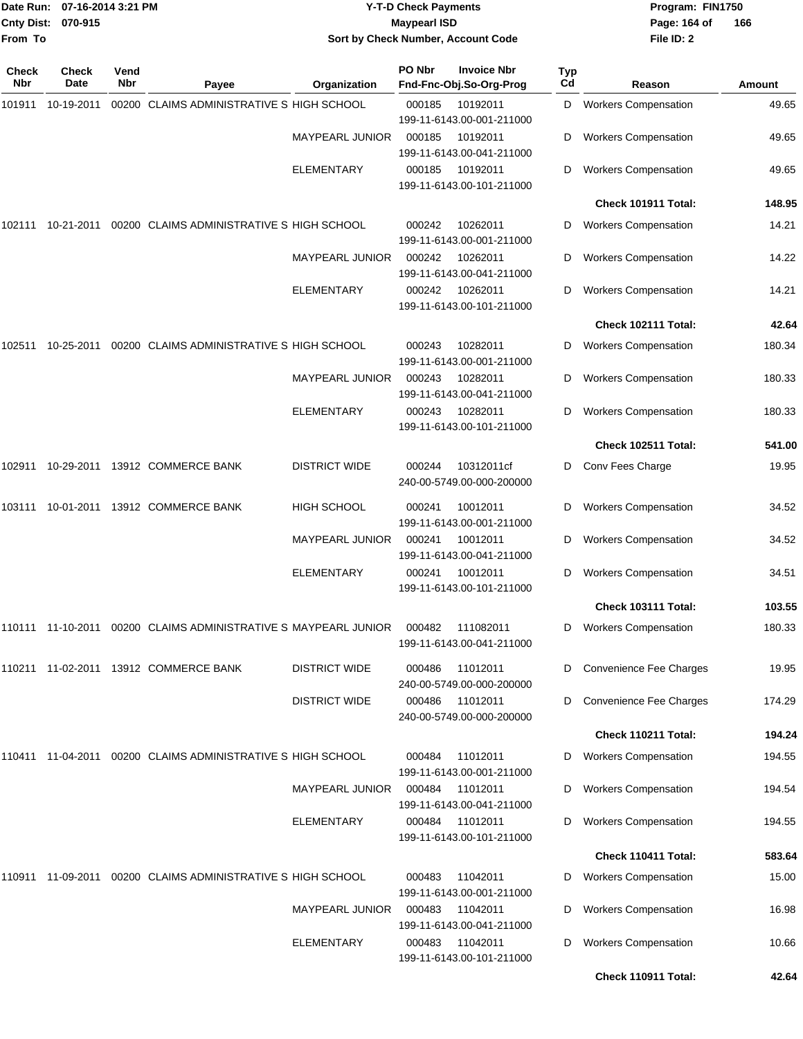| Date Run:           | 07-16-2014 3:21 PM   |             |                                                                           | <b>Y-T-D Check Payments</b> |        |                                               |           |                                | Program: FIN1750 |  |  |
|---------------------|----------------------|-------------|---------------------------------------------------------------------------|-----------------------------|--------|-----------------------------------------------|-----------|--------------------------------|------------------|--|--|
| <b>Cnty Dist:</b>   | 070-915              |             | <b>Maypearl ISD</b>                                                       |                             |        |                                               |           | Page: 164 of                   | 166              |  |  |
| From To             |                      |             |                                                                           |                             |        | Sort by Check Number, Account Code            |           | File ID: 2                     |                  |  |  |
| Check<br><b>Nbr</b> | <b>Check</b><br>Date | Vend<br>Nbr | Payee                                                                     | Organization                | PO Nbr | <b>Invoice Nbr</b><br>Fnd-Fnc-Obj.So-Org-Prog | Typ<br>Cd | Reason                         | <b>Amount</b>    |  |  |
| 101911              | 10-19-2011           |             | 00200 CLAIMS ADMINISTRATIVE S HIGH SCHOOL                                 |                             | 000185 | 10192011<br>199-11-6143.00-001-211000         | D         | <b>Workers Compensation</b>    | 49.65            |  |  |
|                     |                      |             |                                                                           | <b>MAYPEARL JUNIOR</b>      | 000185 | 10192011<br>199-11-6143.00-041-211000         | D         | <b>Workers Compensation</b>    | 49.65            |  |  |
|                     |                      |             |                                                                           | ELEMENTARY                  | 000185 | 10192011<br>199-11-6143.00-101-211000         | D         | <b>Workers Compensation</b>    | 49.65            |  |  |
|                     |                      |             |                                                                           |                             |        |                                               |           | Check 101911 Total:            | 148.95           |  |  |
| 102111              |                      |             | 10-21-2011 00200 CLAIMS ADMINISTRATIVE S HIGH SCHOOL                      |                             | 000242 | 10262011<br>199-11-6143.00-001-211000         | D         | <b>Workers Compensation</b>    | 14.21            |  |  |
|                     |                      |             |                                                                           | <b>MAYPEARL JUNIOR</b>      | 000242 | 10262011<br>199-11-6143.00-041-211000         | D         | <b>Workers Compensation</b>    | 14.22            |  |  |
|                     |                      |             |                                                                           | ELEMENTARY                  | 000242 | 10262011<br>199-11-6143.00-101-211000         | D         | <b>Workers Compensation</b>    | 14.21            |  |  |
|                     |                      |             |                                                                           |                             |        |                                               |           | Check 102111 Total:            | 42.64            |  |  |
| 102511              | 10-25-2011           |             | 00200 CLAIMS ADMINISTRATIVE S HIGH SCHOOL                                 |                             | 000243 | 10282011<br>199-11-6143.00-001-211000         | D         | <b>Workers Compensation</b>    | 180.34           |  |  |
|                     |                      |             |                                                                           | MAYPEARL JUNIOR             | 000243 | 10282011<br>199-11-6143.00-041-211000         | D         | <b>Workers Compensation</b>    | 180.33           |  |  |
|                     |                      |             |                                                                           | <b>ELEMENTARY</b>           | 000243 | 10282011<br>199-11-6143.00-101-211000         | D         | <b>Workers Compensation</b>    | 180.33           |  |  |
|                     |                      |             |                                                                           |                             |        |                                               |           | Check 102511 Total:            | 541.00           |  |  |
| 102911              |                      |             | 10-29-2011 13912 COMMERCE BANK                                            | <b>DISTRICT WIDE</b>        | 000244 | 10312011cf<br>240-00-5749.00-000-200000       | D         | Conv Fees Charge               | 19.95            |  |  |
| 103111              |                      |             | 10-01-2011 13912 COMMERCE BANK                                            | <b>HIGH SCHOOL</b>          | 000241 | 10012011<br>199-11-6143.00-001-211000         | D         | <b>Workers Compensation</b>    | 34.52            |  |  |
|                     |                      |             |                                                                           | <b>MAYPEARL JUNIOR</b>      | 000241 | 10012011<br>199-11-6143.00-041-211000         | D         | <b>Workers Compensation</b>    | 34.52            |  |  |
|                     |                      |             |                                                                           | ELEMENTARY                  | 000241 | 10012011<br>199-11-6143.00-101-211000         | D         | <b>Workers Compensation</b>    | 34.51            |  |  |
|                     |                      |             |                                                                           |                             |        |                                               |           | <b>Check 103111 Total:</b>     | 103.55           |  |  |
|                     |                      |             | 110111  11-10-2011  00200  CLAIMS ADMINISTRATIVE S MAYPEARL JUNIOR        |                             | 000482 | 111082011<br>199-11-6143.00-041-211000        | D         | <b>Workers Compensation</b>    | 180.33           |  |  |
|                     |                      |             | 110211 11-02-2011 13912 COMMERCE BANK                                     | <b>DISTRICT WIDE</b>        | 000486 | 11012011<br>240-00-5749.00-000-200000         | D         | <b>Convenience Fee Charges</b> | 19.95            |  |  |
|                     |                      |             |                                                                           | <b>DISTRICT WIDE</b>        | 000486 | 11012011<br>240-00-5749.00-000-200000         | D         | Convenience Fee Charges        | 174.29           |  |  |
|                     |                      |             |                                                                           |                             |        |                                               |           | Check 110211 Total:            | 194.24           |  |  |
|                     |                      |             | 110411  11-04-2011  00200  CLAIMS ADMINISTRATIVE S            HIGH SCHOOL |                             | 000484 | 11012011<br>199-11-6143.00-001-211000         | D         | <b>Workers Compensation</b>    | 194.55           |  |  |
|                     |                      |             |                                                                           | <b>MAYPEARL JUNIOR</b>      | 000484 | 11012011<br>199-11-6143.00-041-211000         |           | <b>Workers Compensation</b>    | 194.54           |  |  |
|                     |                      |             |                                                                           | ELEMENTARY                  | 000484 | 11012011<br>199-11-6143.00-101-211000         | D         | <b>Workers Compensation</b>    | 194.55           |  |  |
|                     |                      |             |                                                                           |                             |        |                                               |           | Check 110411 Total:            | 583.64           |  |  |
| 110911              |                      |             | 11-09-2011 00200 CLAIMS ADMINISTRATIVE S HIGH SCHOOL                      |                             | 000483 | 11042011<br>199-11-6143.00-001-211000         | D         | <b>Workers Compensation</b>    | 15.00            |  |  |
|                     |                      |             |                                                                           | <b>MAYPEARL JUNIOR</b>      | 000483 | 11042011<br>199-11-6143.00-041-211000         | D         | <b>Workers Compensation</b>    | 16.98            |  |  |
|                     |                      |             |                                                                           | ELEMENTARY                  | 000483 | 11042011<br>199-11-6143.00-101-211000         | D         | <b>Workers Compensation</b>    | 10.66            |  |  |

**Check 110911 Total: 42.64**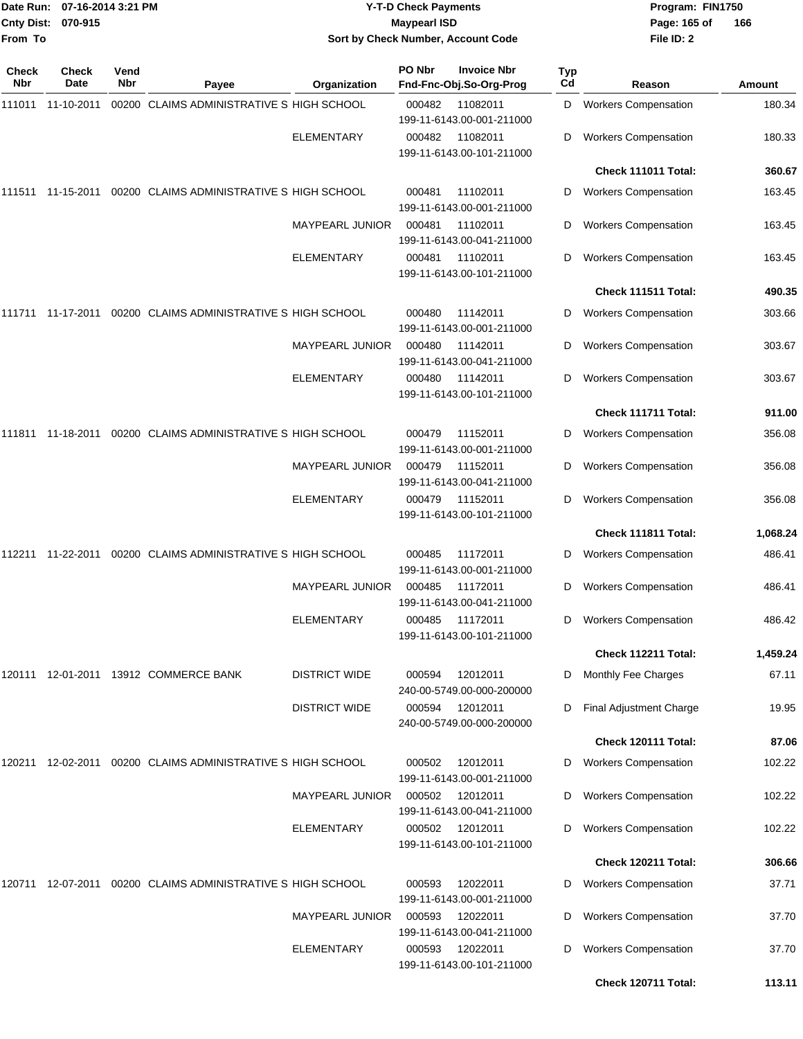| From To      | Date Run: 07-16-2014 3:21 PM<br>Cnty Dist: 070-915 |             |                                                             | <b>Y-T-D Check Payments</b><br><b>Maypearl ISD</b> |        |                                               |                  | Program: FIN1750<br>Page: 165 of<br>File ID: 2 | 166      |
|--------------|----------------------------------------------------|-------------|-------------------------------------------------------------|----------------------------------------------------|--------|-----------------------------------------------|------------------|------------------------------------------------|----------|
|              |                                                    |             |                                                             | Sort by Check Number, Account Code                 |        |                                               |                  |                                                |          |
| Check<br>Nbr | <b>Check</b><br>Date                               | Vend<br>Nbr | Payee                                                       | Organization                                       | PO Nbr | <b>Invoice Nbr</b><br>Fnd-Fnc-Obj.So-Org-Prog | <b>Typ</b><br>Cd | Reason                                         | Amount   |
| 111011       | 11-10-2011                                         |             | 00200 CLAIMS ADMINISTRATIVE S HIGH SCHOOL                   |                                                    | 000482 | 11082011<br>199-11-6143.00-001-211000         | D                | <b>Workers Compensation</b>                    | 180.34   |
|              |                                                    |             |                                                             | <b>ELEMENTARY</b>                                  | 000482 | 11082011<br>199-11-6143.00-101-211000         | D                | <b>Workers Compensation</b>                    | 180.33   |
|              |                                                    |             |                                                             |                                                    |        |                                               |                  | Check 111011 Total:                            | 360.67   |
|              | 111511  11-15-2011                                 |             | 00200 CLAIMS ADMINISTRATIVE S HIGH SCHOOL                   |                                                    | 000481 | 11102011<br>199-11-6143.00-001-211000         | D                | <b>Workers Compensation</b>                    | 163.45   |
|              |                                                    |             |                                                             | <b>MAYPEARL JUNIOR</b>                             | 000481 | 11102011<br>199-11-6143.00-041-211000         | D                | <b>Workers Compensation</b>                    | 163.45   |
|              |                                                    |             |                                                             | ELEMENTARY                                         | 000481 | 11102011<br>199-11-6143.00-101-211000         | D                | <b>Workers Compensation</b>                    | 163.45   |
|              |                                                    |             |                                                             |                                                    |        |                                               |                  | Check 111511 Total:                            | 490.35   |
|              |                                                    |             | 00200 CLAIMS ADMINISTRATIVE S HIGH SCHOOL                   |                                                    | 000480 | 11142011<br>199-11-6143.00-001-211000         | D                | <b>Workers Compensation</b>                    | 303.66   |
|              |                                                    |             |                                                             | <b>MAYPEARL JUNIOR</b>                             | 000480 | 11142011<br>199-11-6143.00-041-211000         | D                | <b>Workers Compensation</b>                    | 303.67   |
|              |                                                    |             |                                                             | ELEMENTARY                                         | 000480 | 11142011<br>199-11-6143.00-101-211000         | D                | <b>Workers Compensation</b>                    | 303.67   |
|              |                                                    |             |                                                             |                                                    |        |                                               |                  | Check 111711 Total:                            | 911.00   |
| 111811       | 11-18-2011                                         |             | 00200 CLAIMS ADMINISTRATIVE S HIGH SCHOOL                   |                                                    | 000479 | 11152011<br>199-11-6143.00-001-211000         | D                | <b>Workers Compensation</b>                    | 356.08   |
|              |                                                    |             |                                                             | <b>MAYPEARL JUNIOR</b>                             | 000479 | 11152011<br>199-11-6143.00-041-211000         | D                | <b>Workers Compensation</b>                    | 356.08   |
|              |                                                    |             |                                                             | <b>ELEMENTARY</b>                                  | 000479 | 11152011<br>199-11-6143.00-101-211000         | D                | <b>Workers Compensation</b>                    | 356.08   |
|              |                                                    |             |                                                             |                                                    |        |                                               |                  | Check 111811 Total:                            | 1,068.24 |
| 112211       | 11-22-2011                                         |             | 00200 CLAIMS ADMINISTRATIVE S HIGH SCHOOL                   |                                                    | 000485 | 11172011<br>199-11-6143.00-001-211000         | D                | <b>Workers Compensation</b>                    | 486.41   |
|              |                                                    |             |                                                             | <b>MAYPEARL JUNIOR</b>                             |        | 000485 11172011<br>199-11-6143.00-041-211000  | D                | <b>Workers Compensation</b>                    | 486.41   |
|              |                                                    |             |                                                             | <b>ELEMENTARY</b>                                  | 000485 | 11172011<br>199-11-6143.00-101-211000         | D                | <b>Workers Compensation</b>                    | 486.42   |
|              |                                                    |             |                                                             |                                                    |        |                                               |                  | Check 112211 Total:                            | 1,459.24 |
|              |                                                    |             | 120111 12-01-2011 13912 COMMERCE BANK                       | <b>DISTRICT WIDE</b>                               | 000594 | 12012011<br>240-00-5749.00-000-200000         | D                | <b>Monthly Fee Charges</b>                     | 67.11    |
|              |                                                    |             |                                                             | <b>DISTRICT WIDE</b>                               | 000594 | 12012011<br>240-00-5749.00-000-200000         | D                | Final Adjustment Charge                        | 19.95    |
|              |                                                    |             |                                                             |                                                    |        |                                               |                  | Check 120111 Total:                            | 87.06    |
|              |                                                    |             | 120211 12-02-2011 00200 CLAIMS ADMINISTRATIVE S HIGH SCHOOL |                                                    | 000502 | 12012011<br>199-11-6143.00-001-211000         | D                | <b>Workers Compensation</b>                    | 102.22   |
|              |                                                    |             |                                                             | <b>MAYPEARL JUNIOR</b>                             | 000502 | 12012011<br>199-11-6143.00-041-211000         | D                | <b>Workers Compensation</b>                    | 102.22   |
|              |                                                    |             |                                                             | <b>ELEMENTARY</b>                                  | 000502 | 12012011<br>199-11-6143.00-101-211000         | D                | <b>Workers Compensation</b>                    | 102.22   |
|              |                                                    |             |                                                             |                                                    |        |                                               |                  | <b>Check 120211 Total:</b>                     | 306.66   |
| 120711       |                                                    |             | 12-07-2011 00200 CLAIMS ADMINISTRATIVE S HIGH SCHOOL        |                                                    | 000593 | 12022011<br>199-11-6143.00-001-211000         | D                | <b>Workers Compensation</b>                    | 37.71    |
|              |                                                    |             |                                                             | <b>MAYPEARL JUNIOR</b>                             | 000593 | 12022011<br>199-11-6143.00-041-211000         | D                | <b>Workers Compensation</b>                    | 37.70    |
|              |                                                    |             |                                                             | <b>ELEMENTARY</b>                                  | 000593 | 12022011<br>199-11-6143.00-101-211000         | D                | <b>Workers Compensation</b>                    | 37.70    |
|              |                                                    |             |                                                             |                                                    |        |                                               |                  | Check 120711 Total:                            | 113.11   |